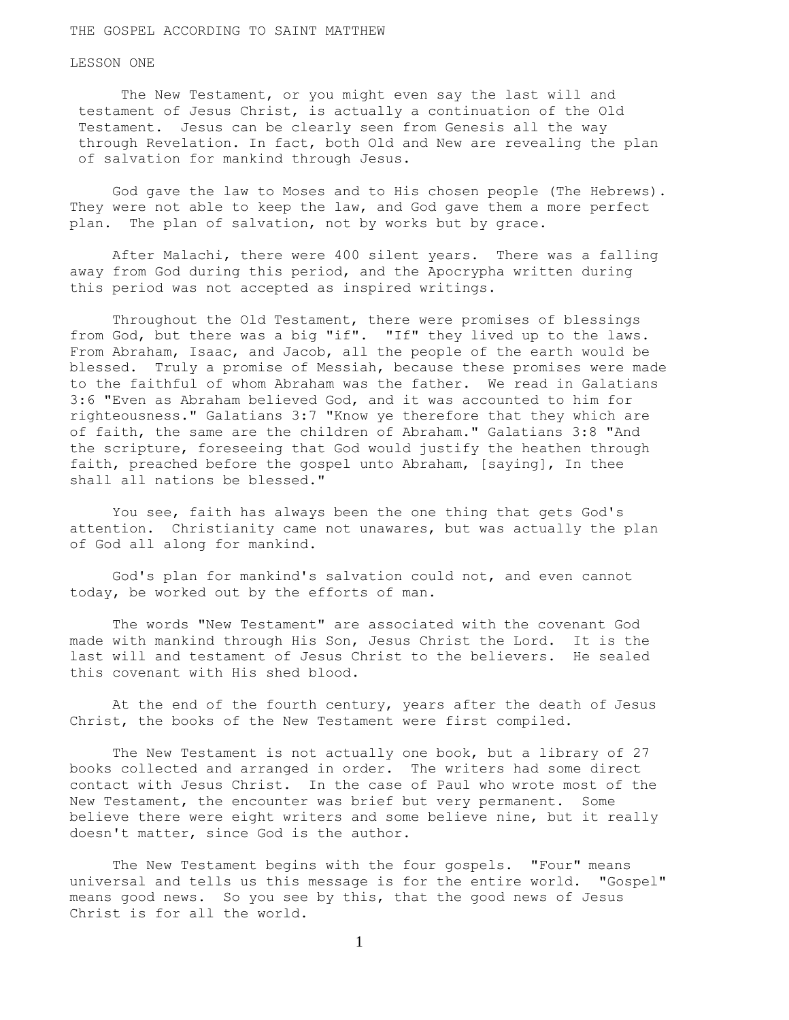THE GOSPEL ACCORDING TO SAINT MATTHEW

LESSON ONE

 The New Testament, or you might even say the last will and testament of Jesus Christ, is actually a continuation of the Old Testament. Jesus can be clearly seen from Genesis all the way through Revelation. In fact, both Old and New are revealing the plan of salvation for mankind through Jesus.

 God gave the law to Moses and to His chosen people (The Hebrews). They were not able to keep the law, and God gave them a more perfect plan. The plan of salvation, not by works but by grace.

 After Malachi, there were 400 silent years. There was a falling away from God during this period, and the Apocrypha written during this period was not accepted as inspired writings.

 Throughout the Old Testament, there were promises of blessings from God, but there was a big "if". "If" they lived up to the laws. From Abraham, Isaac, and Jacob, all the people of the earth would be blessed. Truly a promise of Messiah, because these promises were made to the faithful of whom Abraham was the father. We read in Galatians 3:6 "Even as Abraham believed God, and it was accounted to him for righteousness." Galatians 3:7 "Know ye therefore that they which are of faith, the same are the children of Abraham." Galatians 3:8 "And the scripture, foreseeing that God would justify the heathen through faith, preached before the gospel unto Abraham, [saying], In thee shall all nations be blessed."

 You see, faith has always been the one thing that gets God's attention. Christianity came not unawares, but was actually the plan of God all along for mankind.

 God's plan for mankind's salvation could not, and even cannot today, be worked out by the efforts of man.

 The words "New Testament" are associated with the covenant God made with mankind through His Son, Jesus Christ the Lord. It is the last will and testament of Jesus Christ to the believers. He sealed this covenant with His shed blood.

 At the end of the fourth century, years after the death of Jesus Christ, the books of the New Testament were first compiled.

 The New Testament is not actually one book, but a library of 27 books collected and arranged in order. The writers had some direct contact with Jesus Christ. In the case of Paul who wrote most of the New Testament, the encounter was brief but very permanent. Some believe there were eight writers and some believe nine, but it really doesn't matter, since God is the author.

 The New Testament begins with the four gospels. "Four" means universal and tells us this message is for the entire world. "Gospel" means good news. So you see by this, that the good news of Jesus Christ is for all the world.

1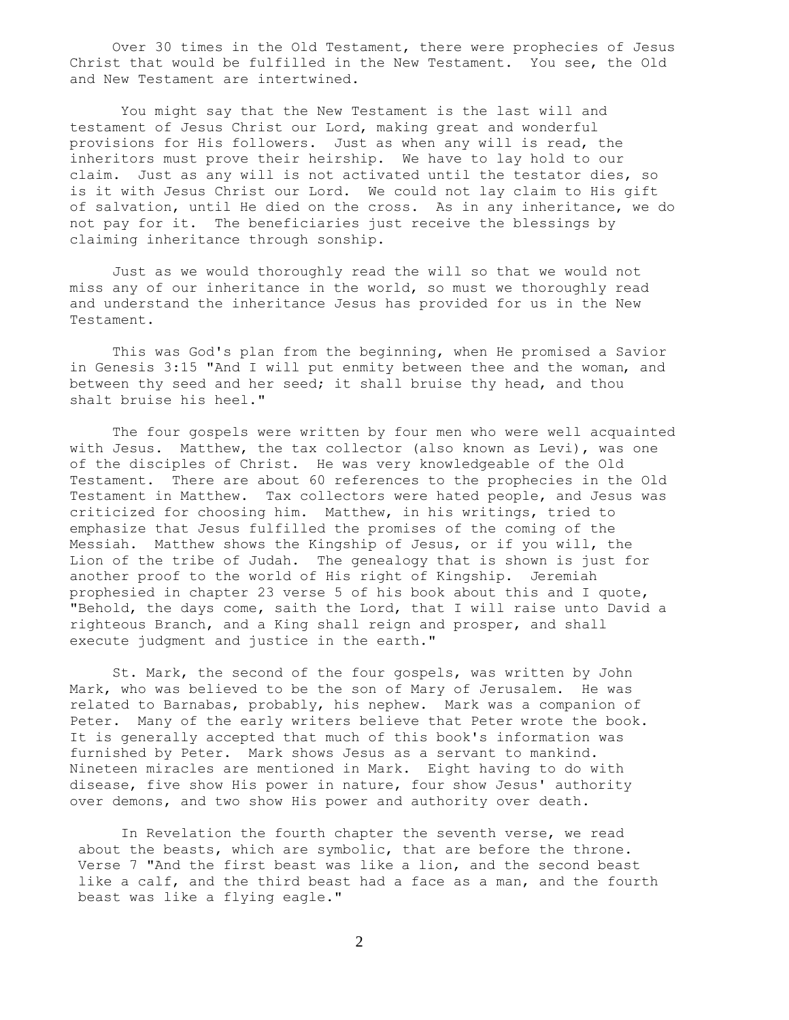Over 30 times in the Old Testament, there were prophecies of Jesus Christ that would be fulfilled in the New Testament. You see, the Old and New Testament are intertwined.

 You might say that the New Testament is the last will and testament of Jesus Christ our Lord, making great and wonderful provisions for His followers. Just as when any will is read, the inheritors must prove their heirship. We have to lay hold to our claim. Just as any will is not activated until the testator dies, so is it with Jesus Christ our Lord. We could not lay claim to His gift of salvation, until He died on the cross. As in any inheritance, we do not pay for it. The beneficiaries just receive the blessings by claiming inheritance through sonship.

 Just as we would thoroughly read the will so that we would not miss any of our inheritance in the world, so must we thoroughly read and understand the inheritance Jesus has provided for us in the New Testament.

 This was God's plan from the beginning, when He promised a Savior in Genesis 3:15 "And I will put enmity between thee and the woman, and between thy seed and her seed; it shall bruise thy head, and thou shalt bruise his heel."

 The four gospels were written by four men who were well acquainted with Jesus. Matthew, the tax collector (also known as Levi), was one of the disciples of Christ. He was very knowledgeable of the Old Testament. There are about 60 references to the prophecies in the Old Testament in Matthew. Tax collectors were hated people, and Jesus was criticized for choosing him. Matthew, in his writings, tried to emphasize that Jesus fulfilled the promises of the coming of the Messiah. Matthew shows the Kingship of Jesus, or if you will, the Lion of the tribe of Judah. The genealogy that is shown is just for another proof to the world of His right of Kingship. Jeremiah prophesied in chapter 23 verse 5 of his book about this and I quote, "Behold, the days come, saith the Lord, that I will raise unto David a righteous Branch, and a King shall reign and prosper, and shall execute judgment and justice in the earth."

 St. Mark, the second of the four gospels, was written by John Mark, who was believed to be the son of Mary of Jerusalem. He was related to Barnabas, probably, his nephew. Mark was a companion of Peter. Many of the early writers believe that Peter wrote the book. It is generally accepted that much of this book's information was furnished by Peter. Mark shows Jesus as a servant to mankind. Nineteen miracles are mentioned in Mark. Eight having to do with disease, five show His power in nature, four show Jesus' authority over demons, and two show His power and authority over death.

 In Revelation the fourth chapter the seventh verse, we read about the beasts, which are symbolic, that are before the throne. Verse 7 "And the first beast was like a lion, and the second beast like a calf, and the third beast had a face as a man, and the fourth beast was like a flying eagle."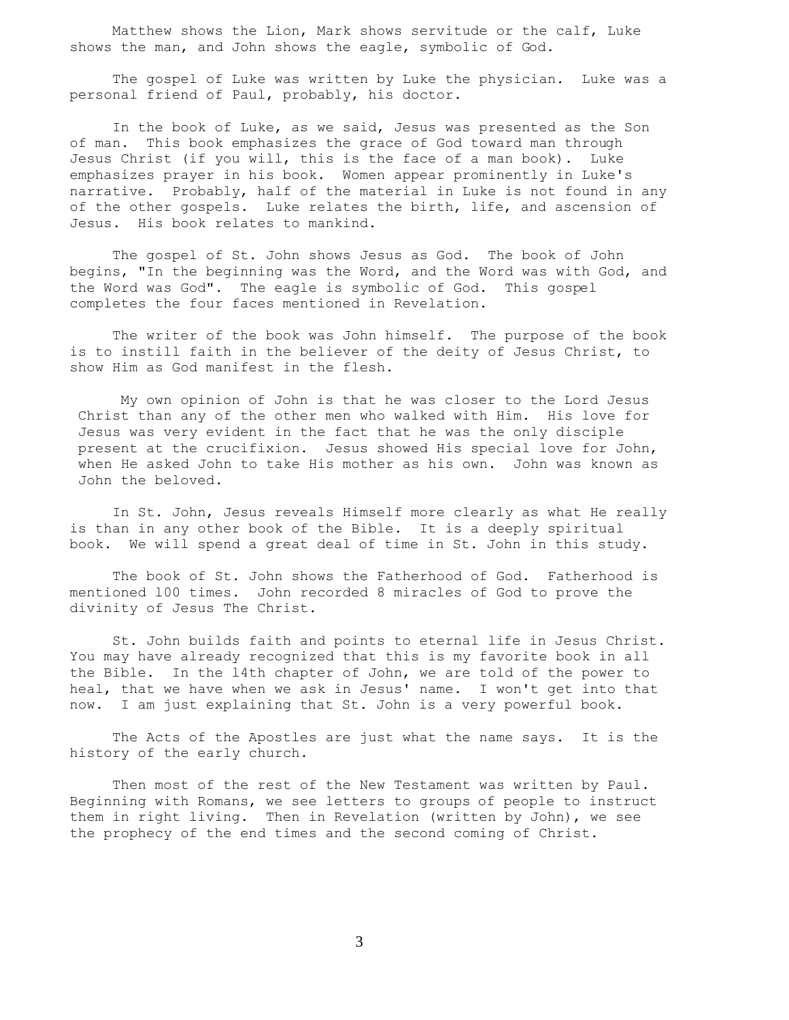Matthew shows the Lion, Mark shows servitude or the calf, Luke shows the man, and John shows the eagle, symbolic of God.

 The gospel of Luke was written by Luke the physician. Luke was a personal friend of Paul, probably, his doctor.

 In the book of Luke, as we said, Jesus was presented as the Son of man. This book emphasizes the grace of God toward man through Jesus Christ (if you will, this is the face of a man book). Luke emphasizes prayer in his book. Women appear prominently in Luke's narrative. Probably, half of the material in Luke is not found in any of the other gospels. Luke relates the birth, life, and ascension of Jesus. His book relates to mankind.

 The gospel of St. John shows Jesus as God. The book of John begins, "In the beginning was the Word, and the Word was with God, and the Word was God". The eagle is symbolic of God. This gospel completes the four faces mentioned in Revelation.

 The writer of the book was John himself. The purpose of the book is to instill faith in the believer of the deity of Jesus Christ, to show Him as God manifest in the flesh.

 My own opinion of John is that he was closer to the Lord Jesus Christ than any of the other men who walked with Him. His love for Jesus was very evident in the fact that he was the only disciple present at the crucifixion. Jesus showed His special love for John, when He asked John to take His mother as his own. John was known as John the beloved.

 In St. John, Jesus reveals Himself more clearly as what He really is than in any other book of the Bible. It is a deeply spiritual book. We will spend a great deal of time in St. John in this study.

 The book of St. John shows the Fatherhood of God. Fatherhood is mentioned l00 times. John recorded 8 miracles of God to prove the divinity of Jesus The Christ.

 St. John builds faith and points to eternal life in Jesus Christ. You may have already recognized that this is my favorite book in all the Bible. In the l4th chapter of John, we are told of the power to heal, that we have when we ask in Jesus' name. I won't get into that now. I am just explaining that St. John is a very powerful book.

 The Acts of the Apostles are just what the name says. It is the history of the early church.

 Then most of the rest of the New Testament was written by Paul. Beginning with Romans, we see letters to groups of people to instruct them in right living. Then in Revelation (written by John), we see the prophecy of the end times and the second coming of Christ.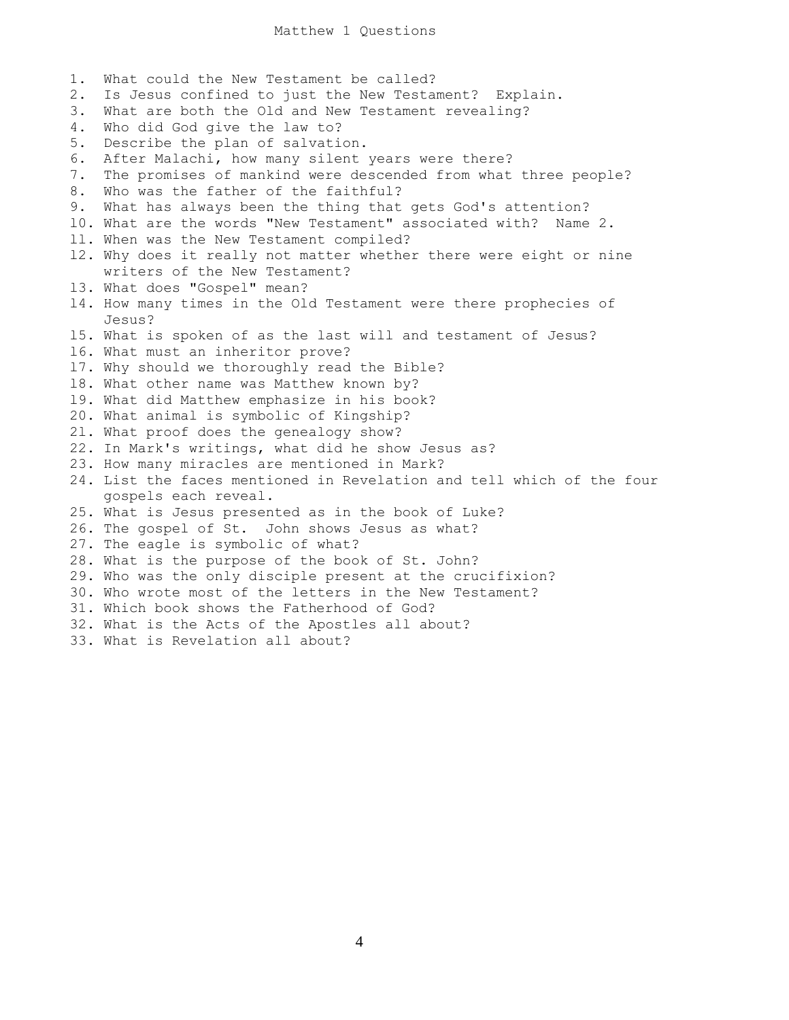1. What could the New Testament be called? 2. Is Jesus confined to just the New Testament? Explain. 3. What are both the Old and New Testament revealing? 4. Who did God give the law to? 5. Describe the plan of salvation. 6. After Malachi, how many silent years were there? 7. The promises of mankind were descended from what three people? 8. Who was the father of the faithful? 9. What has always been the thing that gets God's attention? l0. What are the words "New Testament" associated with? Name 2. ll. When was the New Testament compiled? l2. Why does it really not matter whether there were eight or nine writers of the New Testament? l3. What does "Gospel" mean? l4. How many times in the Old Testament were there prophecies of Jesus? l5. What is spoken of as the last will and testament of Jesus? l6. What must an inheritor prove? l7. Why should we thoroughly read the Bible? l8. What other name was Matthew known by? l9. What did Matthew emphasize in his book? 20. What animal is symbolic of Kingship? 2l. What proof does the genealogy show? 22. In Mark's writings, what did he show Jesus as? 23. How many miracles are mentioned in Mark? 24. List the faces mentioned in Revelation and tell which of the four gospels each reveal. 25. What is Jesus presented as in the book of Luke? 26. The gospel of St. John shows Jesus as what? 27. The eagle is symbolic of what? 28. What is the purpose of the book of St. John? 29. Who was the only disciple present at the crucifixion? 30. Who wrote most of the letters in the New Testament? 31. Which book shows the Fatherhood of God? 32. What is the Acts of the Apostles all about? 33. What is Revelation all about?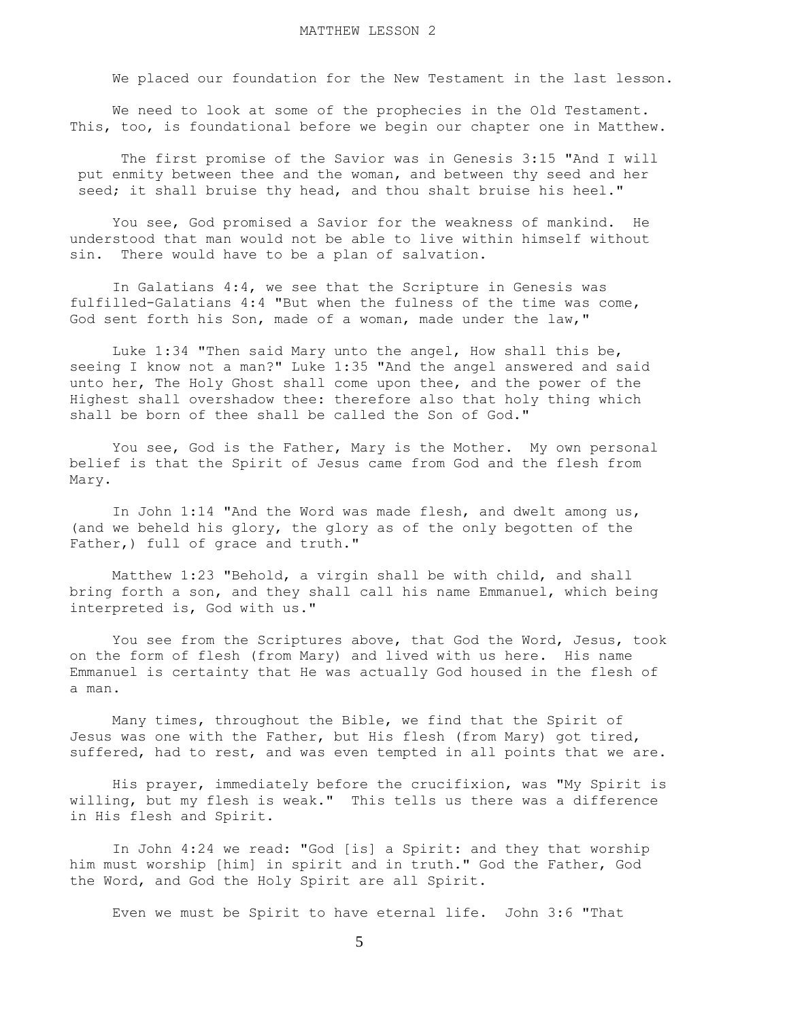We placed our foundation for the New Testament in the last lesson.

 We need to look at some of the prophecies in the Old Testament. This, too, is foundational before we begin our chapter one in Matthew.

 The first promise of the Savior was in Genesis 3:15 "And I will put enmity between thee and the woman, and between thy seed and her seed; it shall bruise thy head, and thou shalt bruise his heel."

 You see, God promised a Savior for the weakness of mankind. He understood that man would not be able to live within himself without sin. There would have to be a plan of salvation.

 In Galatians 4:4, we see that the Scripture in Genesis was fulfilled-Galatians 4:4 "But when the fulness of the time was come, God sent forth his Son, made of a woman, made under the law,"

 Luke 1:34 "Then said Mary unto the angel, How shall this be, seeing I know not a man?" Luke 1:35 "And the angel answered and said unto her, The Holy Ghost shall come upon thee, and the power of the Highest shall overshadow thee: therefore also that holy thing which shall be born of thee shall be called the Son of God."

 You see, God is the Father, Mary is the Mother. My own personal belief is that the Spirit of Jesus came from God and the flesh from Mary.

 In John 1:14 "And the Word was made flesh, and dwelt among us, (and we beheld his glory, the glory as of the only begotten of the Father,) full of grace and truth."

 Matthew 1:23 "Behold, a virgin shall be with child, and shall bring forth a son, and they shall call his name Emmanuel, which being interpreted is, God with us."

 You see from the Scriptures above, that God the Word, Jesus, took on the form of flesh (from Mary) and lived with us here. His name Emmanuel is certainty that He was actually God housed in the flesh of a man.

 Many times, throughout the Bible, we find that the Spirit of Jesus was one with the Father, but His flesh (from Mary) got tired, suffered, had to rest, and was even tempted in all points that we are.

 His prayer, immediately before the crucifixion, was "My Spirit is willing, but my flesh is weak." This tells us there was a difference in His flesh and Spirit.

 In John 4:24 we read: "God [is] a Spirit: and they that worship him must worship [him] in spirit and in truth." God the Father, God the Word, and God the Holy Spirit are all Spirit.

Even we must be Spirit to have eternal life. John 3:6 "That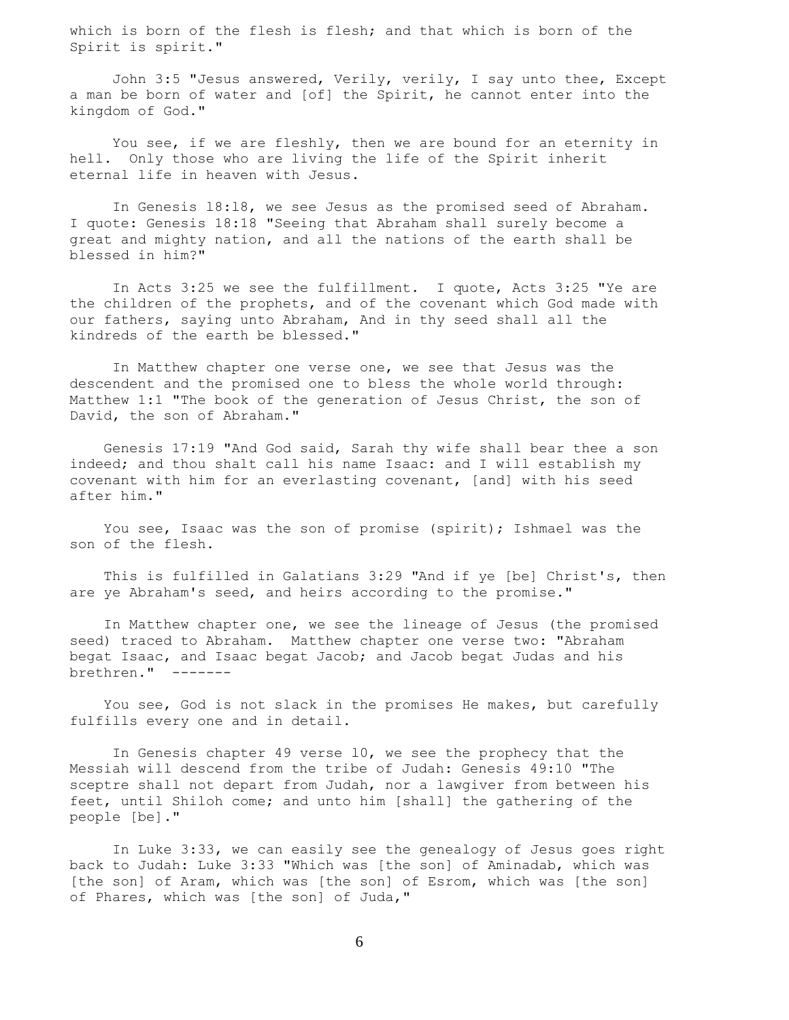which is born of the flesh is flesh; and that which is born of the Spirit is spirit."

 John 3:5 "Jesus answered, Verily, verily, I say unto thee, Except a man be born of water and [of] the Spirit, he cannot enter into the kingdom of God."

 You see, if we are fleshly, then we are bound for an eternity in hell. Only those who are living the life of the Spirit inherit eternal life in heaven with Jesus.

 In Genesis l8:l8, we see Jesus as the promised seed of Abraham. I quote: Genesis 18:18 "Seeing that Abraham shall surely become a great and mighty nation, and all the nations of the earth shall be blessed in him?"

 In Acts 3:25 we see the fulfillment. I quote, Acts 3:25 "Ye are the children of the prophets, and of the covenant which God made with our fathers, saying unto Abraham, And in thy seed shall all the kindreds of the earth be blessed."

 In Matthew chapter one verse one, we see that Jesus was the descendent and the promised one to bless the whole world through: Matthew 1:1 "The book of the generation of Jesus Christ, the son of David, the son of Abraham."

 Genesis 17:19 "And God said, Sarah thy wife shall bear thee a son indeed; and thou shalt call his name Isaac: and I will establish my covenant with him for an everlasting covenant, [and] with his seed after him."

You see, Isaac was the son of promise (spirit); Ishmael was the son of the flesh.

 This is fulfilled in Galatians 3:29 "And if ye [be] Christ's, then are ye Abraham's seed, and heirs according to the promise."

 In Matthew chapter one, we see the lineage of Jesus (the promised seed) traced to Abraham. Matthew chapter one verse two: "Abraham begat Isaac, and Isaac begat Jacob; and Jacob begat Judas and his brethren." -------

 You see, God is not slack in the promises He makes, but carefully fulfills every one and in detail.

 In Genesis chapter 49 verse l0, we see the prophecy that the Messiah will descend from the tribe of Judah: Genesis 49:10 "The sceptre shall not depart from Judah, nor a lawgiver from between his feet, until Shiloh come; and unto him [shall] the gathering of the people [be]."

 In Luke 3:33, we can easily see the genealogy of Jesus goes right back to Judah: Luke 3:33 "Which was [the son] of Aminadab, which was [the son] of Aram, which was [the son] of Esrom, which was [the son] of Phares, which was [the son] of Juda,"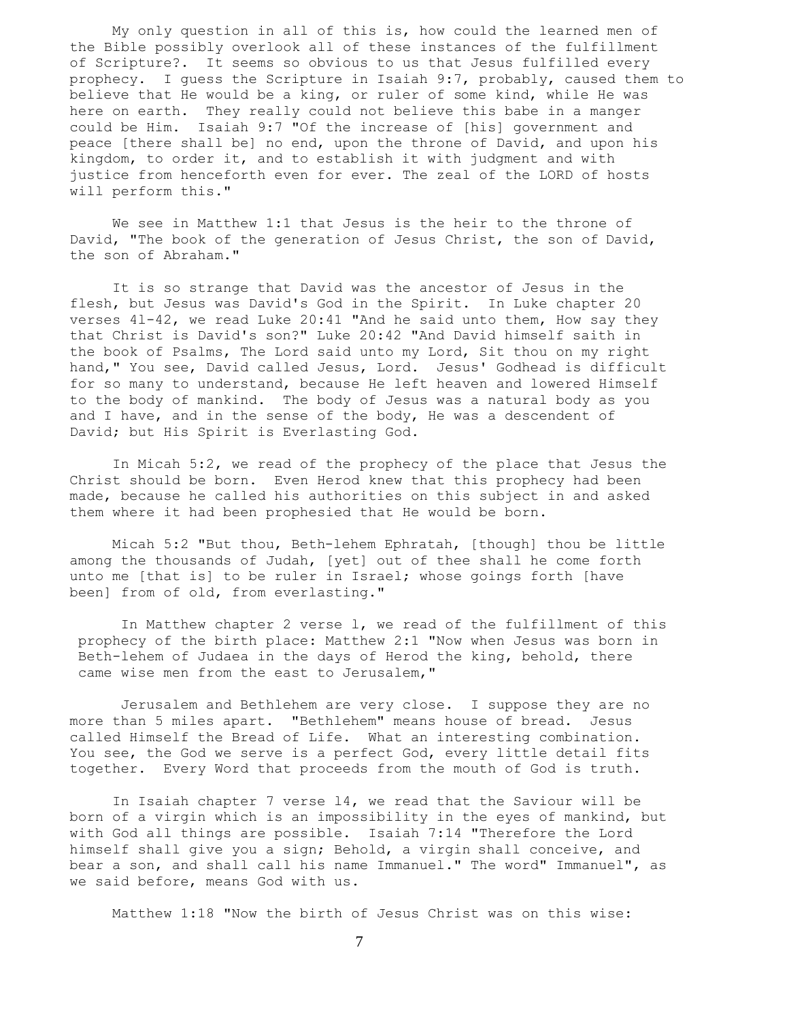My only question in all of this is, how could the learned men of the Bible possibly overlook all of these instances of the fulfillment of Scripture?. It seems so obvious to us that Jesus fulfilled every prophecy. I guess the Scripture in Isaiah 9:7, probably, caused them to believe that He would be a king, or ruler of some kind, while He was here on earth. They really could not believe this babe in a manger could be Him. Isaiah 9:7 "Of the increase of [his] government and peace [there shall be] no end, upon the throne of David, and upon his kingdom, to order it, and to establish it with judgment and with justice from henceforth even for ever. The zeal of the LORD of hosts will perform this."

 We see in Matthew 1:1 that Jesus is the heir to the throne of David, "The book of the generation of Jesus Christ, the son of David, the son of Abraham."

 It is so strange that David was the ancestor of Jesus in the flesh, but Jesus was David's God in the Spirit. In Luke chapter 20 verses 4l-42, we read Luke 20:41 "And he said unto them, How say they that Christ is David's son?" Luke 20:42 "And David himself saith in the book of Psalms, The Lord said unto my Lord, Sit thou on my right hand," You see, David called Jesus, Lord. Jesus' Godhead is difficult for so many to understand, because He left heaven and lowered Himself to the body of mankind. The body of Jesus was a natural body as you and I have, and in the sense of the body, He was a descendent of David; but His Spirit is Everlasting God.

 In Micah 5:2, we read of the prophecy of the place that Jesus the Christ should be born. Even Herod knew that this prophecy had been made, because he called his authorities on this subject in and asked them where it had been prophesied that He would be born.

 Micah 5:2 "But thou, Beth-lehem Ephratah, [though] thou be little among the thousands of Judah, [yet] out of thee shall he come forth unto me [that is] to be ruler in Israel; whose goings forth [have been] from of old, from everlasting."

 In Matthew chapter 2 verse l, we read of the fulfillment of this prophecy of the birth place: Matthew 2:1 "Now when Jesus was born in Beth-lehem of Judaea in the days of Herod the king, behold, there came wise men from the east to Jerusalem,"

 Jerusalem and Bethlehem are very close. I suppose they are no more than 5 miles apart. "Bethlehem" means house of bread. Jesus called Himself the Bread of Life. What an interesting combination. You see, the God we serve is a perfect God, every little detail fits together. Every Word that proceeds from the mouth of God is truth.

 In Isaiah chapter 7 verse l4, we read that the Saviour will be born of a virgin which is an impossibility in the eyes of mankind, but with God all things are possible. Isaiah 7:14 "Therefore the Lord himself shall give you a sign; Behold, a virgin shall conceive, and bear a son, and shall call his name Immanuel." The word" Immanuel", as we said before, means God with us.

Matthew 1:18 "Now the birth of Jesus Christ was on this wise: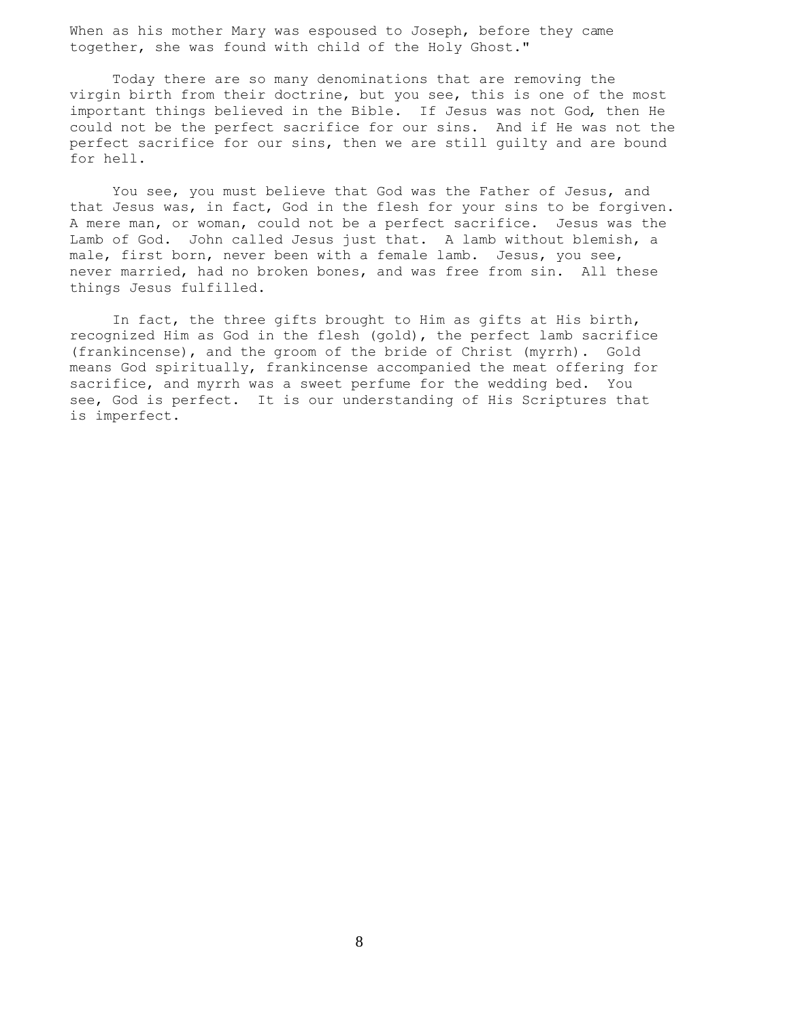When as his mother Mary was espoused to Joseph, before they came together, she was found with child of the Holy Ghost."

 Today there are so many denominations that are removing the virgin birth from their doctrine, but you see, this is one of the most important things believed in the Bible. If Jesus was not God, then He could not be the perfect sacrifice for our sins. And if He was not the perfect sacrifice for our sins, then we are still guilty and are bound for hell.

 You see, you must believe that God was the Father of Jesus, and that Jesus was, in fact, God in the flesh for your sins to be forgiven. A mere man, or woman, could not be a perfect sacrifice. Jesus was the Lamb of God. John called Jesus just that. A lamb without blemish, a male, first born, never been with a female lamb. Jesus, you see, never married, had no broken bones, and was free from sin. All these things Jesus fulfilled.

 In fact, the three gifts brought to Him as gifts at His birth, recognized Him as God in the flesh (gold), the perfect lamb sacrifice (frankincense), and the groom of the bride of Christ (myrrh). Gold means God spiritually, frankincense accompanied the meat offering for sacrifice, and myrrh was a sweet perfume for the wedding bed. You see, God is perfect. It is our understanding of His Scriptures that is imperfect.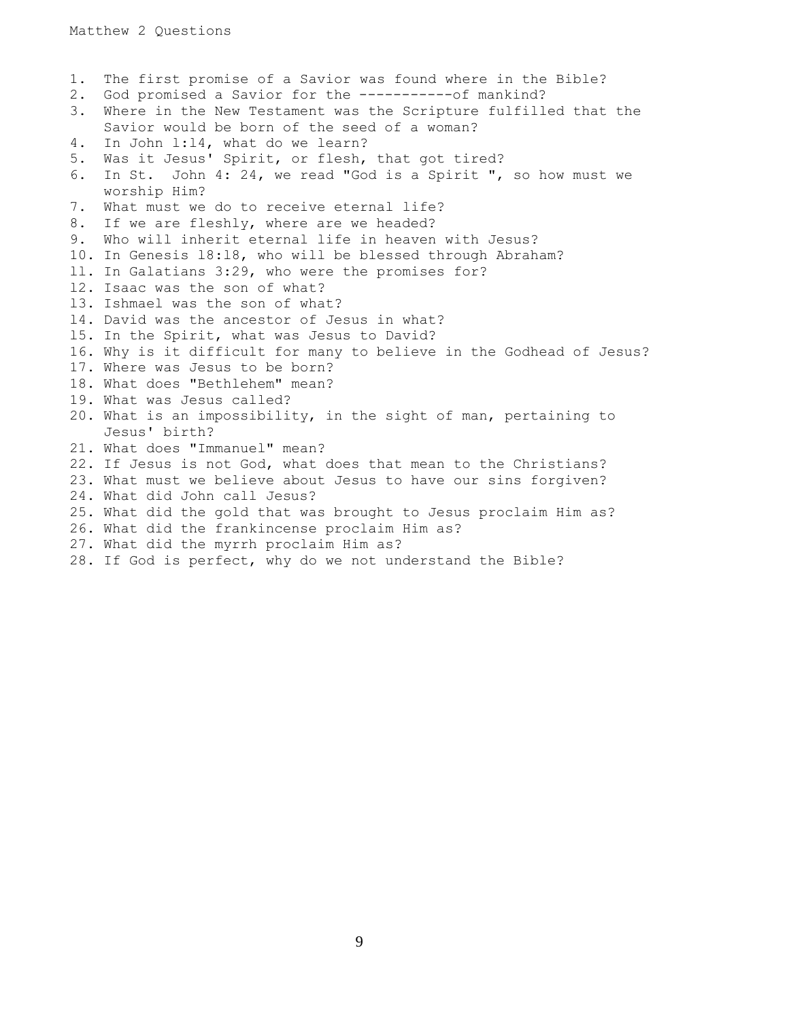1. The first promise of a Savior was found where in the Bible? 2. God promised a Savior for the -----------of mankind? 3. Where in the New Testament was the Scripture fulfilled that the Savior would be born of the seed of a woman? 4. In John l:l4, what do we learn? 5. Was it Jesus' Spirit, or flesh, that got tired? 6. In St. John 4: 24, we read "God is a Spirit ", so how must we worship Him? 7. What must we do to receive eternal life? 8. If we are fleshly, where are we headed? 9. Who will inherit eternal life in heaven with Jesus? 10. In Genesis l8:l8, who will be blessed through Abraham? ll. In Galatians 3:29, who were the promises for? l2. Isaac was the son of what? l3. Ishmael was the son of what? l4. David was the ancestor of Jesus in what? l5. In the Spirit, what was Jesus to David? 16. Why is it difficult for many to believe in the Godhead of Jesus? 17. Where was Jesus to be born? 18. What does "Bethlehem" mean? 19. What was Jesus called? 20. What is an impossibility, in the sight of man, pertaining to Jesus' birth? 21. What does "Immanuel" mean? 22. If Jesus is not God, what does that mean to the Christians? 23. What must we believe about Jesus to have our sins forgiven? 24. What did John call Jesus? 25. What did the gold that was brought to Jesus proclaim Him as? 26. What did the frankincense proclaim Him as? 27. What did the myrrh proclaim Him as? 28. If God is perfect, why do we not understand the Bible?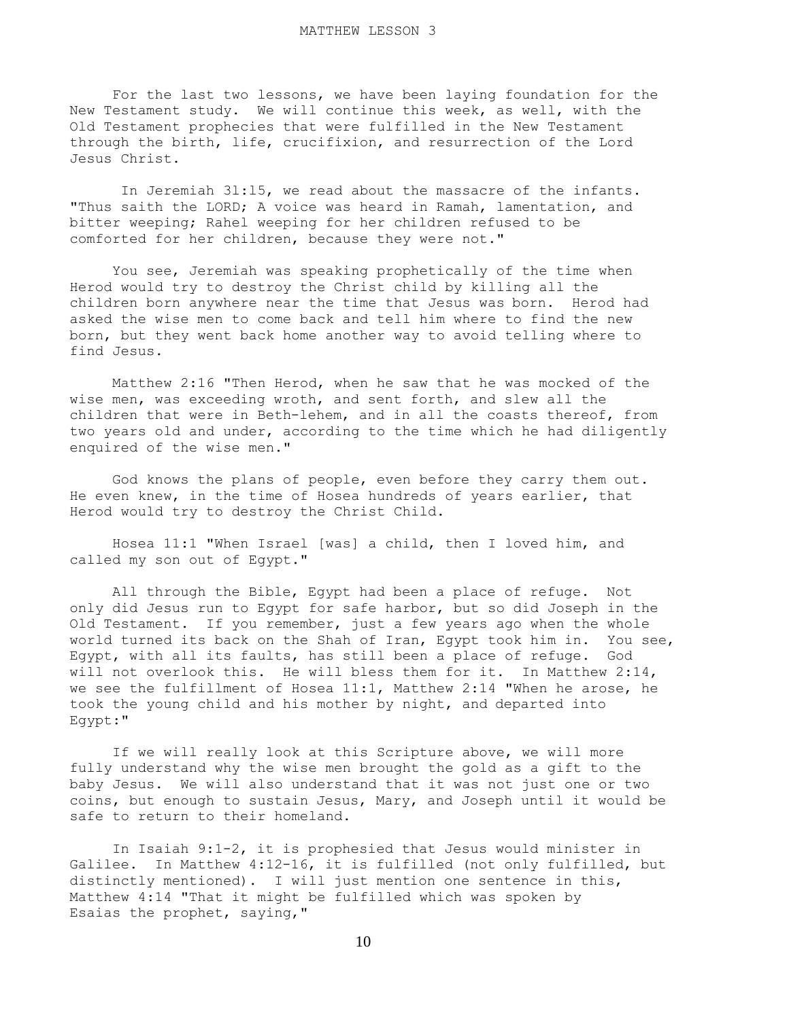For the last two lessons, we have been laying foundation for the New Testament study. We will continue this week, as well, with the Old Testament prophecies that were fulfilled in the New Testament through the birth, life, crucifixion, and resurrection of the Lord Jesus Christ.

 In Jeremiah 3l:l5, we read about the massacre of the infants. "Thus saith the LORD; A voice was heard in Ramah, lamentation, and bitter weeping; Rahel weeping for her children refused to be comforted for her children, because they were not."

 You see, Jeremiah was speaking prophetically of the time when Herod would try to destroy the Christ child by killing all the children born anywhere near the time that Jesus was born. Herod had asked the wise men to come back and tell him where to find the new born, but they went back home another way to avoid telling where to find Jesus.

 Matthew 2:16 "Then Herod, when he saw that he was mocked of the wise men, was exceeding wroth, and sent forth, and slew all the children that were in Beth-lehem, and in all the coasts thereof, from two years old and under, according to the time which he had diligently enquired of the wise men."

 God knows the plans of people, even before they carry them out. He even knew, in the time of Hosea hundreds of years earlier, that Herod would try to destroy the Christ Child.

 Hosea 11:1 "When Israel [was] a child, then I loved him, and called my son out of Egypt."

 All through the Bible, Egypt had been a place of refuge. Not only did Jesus run to Egypt for safe harbor, but so did Joseph in the Old Testament. If you remember, just a few years ago when the whole world turned its back on the Shah of Iran, Egypt took him in. You see, Egypt, with all its faults, has still been a place of refuge. God will not overlook this. He will bless them for it. In Matthew 2:14, we see the fulfillment of Hosea 11:1, Matthew 2:14 "When he arose, he took the young child and his mother by night, and departed into Egypt:"

 If we will really look at this Scripture above, we will more fully understand why the wise men brought the gold as a gift to the baby Jesus. We will also understand that it was not just one or two coins, but enough to sustain Jesus, Mary, and Joseph until it would be safe to return to their homeland.

 In Isaiah 9:1-2, it is prophesied that Jesus would minister in Galilee. In Matthew 4:12-16, it is fulfilled (not only fulfilled, but distinctly mentioned). I will just mention one sentence in this, Matthew 4:14 "That it might be fulfilled which was spoken by Esaias the prophet, saying,"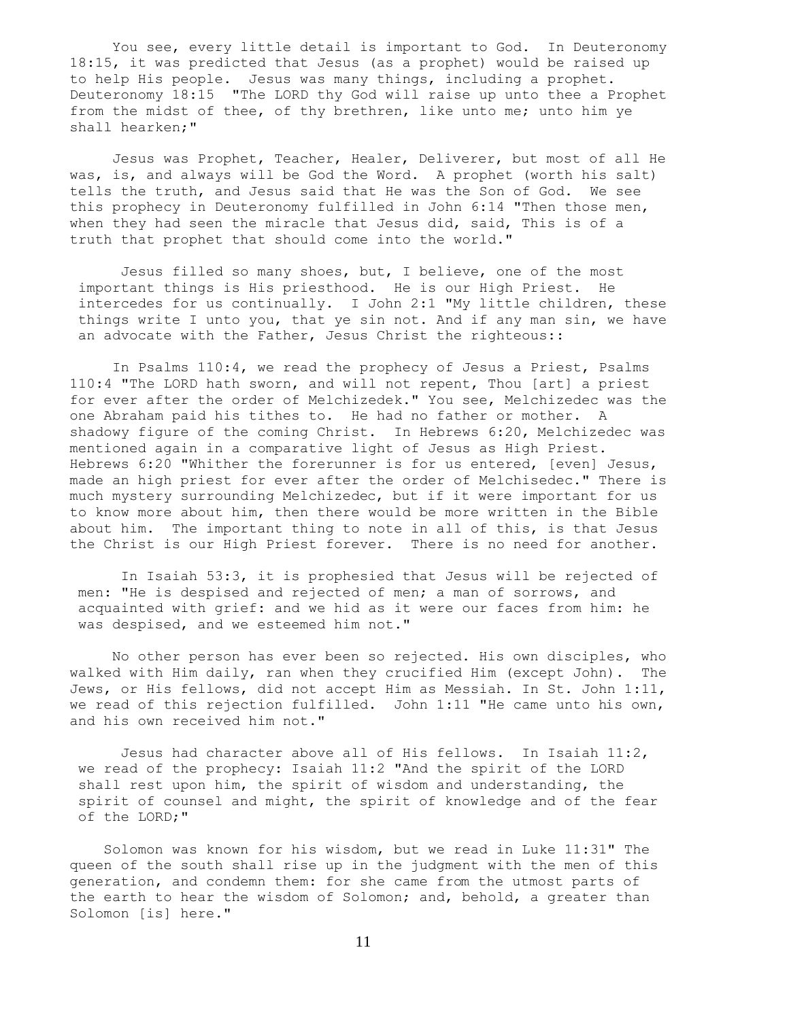You see, every little detail is important to God. In Deuteronomy 18:15, it was predicted that Jesus (as a prophet) would be raised up to help His people. Jesus was many things, including a prophet. Deuteronomy 18:15 "The LORD thy God will raise up unto thee a Prophet from the midst of thee, of thy brethren, like unto me; unto him ye shall hearken;"

 Jesus was Prophet, Teacher, Healer, Deliverer, but most of all He was, is, and always will be God the Word. A prophet (worth his salt) tells the truth, and Jesus said that He was the Son of God. We see this prophecy in Deuteronomy fulfilled in John 6:14 "Then those men, when they had seen the miracle that Jesus did, said, This is of a truth that prophet that should come into the world."

 Jesus filled so many shoes, but, I believe, one of the most important things is His priesthood. He is our High Priest. He intercedes for us continually. I John 2:1 "My little children, these things write I unto you, that ye sin not. And if any man sin, we have an advocate with the Father, Jesus Christ the righteous::

 In Psalms 110:4, we read the prophecy of Jesus a Priest, Psalms 110:4 "The LORD hath sworn, and will not repent, Thou [art] a priest for ever after the order of Melchizedek." You see, Melchizedec was the one Abraham paid his tithes to. He had no father or mother. A shadowy figure of the coming Christ. In Hebrews 6:20, Melchizedec was mentioned again in a comparative light of Jesus as High Priest. Hebrews 6:20 "Whither the forerunner is for us entered, [even] Jesus, made an high priest for ever after the order of Melchisedec." There is much mystery surrounding Melchizedec, but if it were important for us to know more about him, then there would be more written in the Bible about him. The important thing to note in all of this, is that Jesus the Christ is our High Priest forever. There is no need for another.

 In Isaiah 53:3, it is prophesied that Jesus will be rejected of men: "He is despised and rejected of men; a man of sorrows, and acquainted with grief: and we hid as it were our faces from him: he was despised, and we esteemed him not."

 No other person has ever been so rejected. His own disciples, who walked with Him daily, ran when they crucified Him (except John). The Jews, or His fellows, did not accept Him as Messiah. In St. John 1:11, we read of this rejection fulfilled. John 1:11 "He came unto his own, and his own received him not."

 Jesus had character above all of His fellows. In Isaiah 11:2, we read of the prophecy: Isaiah 11:2 "And the spirit of the LORD shall rest upon him, the spirit of wisdom and understanding, the spirit of counsel and might, the spirit of knowledge and of the fear of the LORD;"

 Solomon was known for his wisdom, but we read in Luke 11:31" The queen of the south shall rise up in the judgment with the men of this generation, and condemn them: for she came from the utmost parts of the earth to hear the wisdom of Solomon; and, behold, a greater than Solomon [is] here."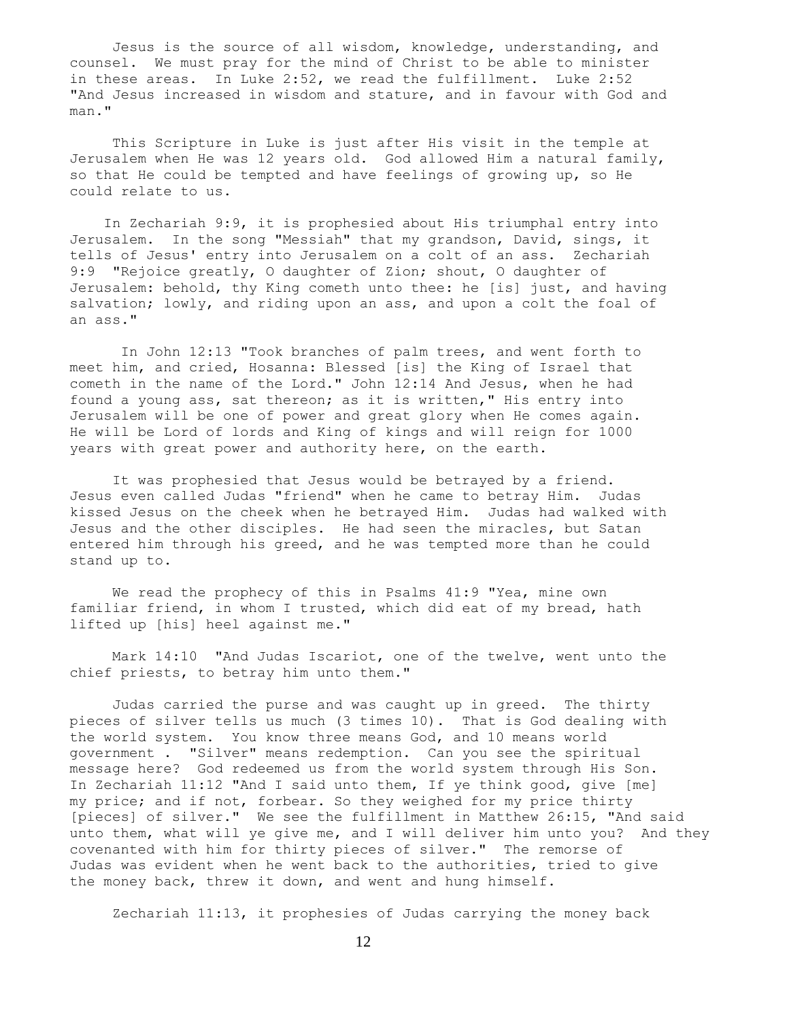Jesus is the source of all wisdom, knowledge, understanding, and counsel. We must pray for the mind of Christ to be able to minister in these areas. In Luke 2:52, we read the fulfillment. Luke 2:52 "And Jesus increased in wisdom and stature, and in favour with God and man."

 This Scripture in Luke is just after His visit in the temple at Jerusalem when He was 12 years old. God allowed Him a natural family, so that He could be tempted and have feelings of growing up, so He could relate to us.

 In Zechariah 9:9, it is prophesied about His triumphal entry into Jerusalem. In the song "Messiah" that my grandson, David, sings, it tells of Jesus' entry into Jerusalem on a colt of an ass. Zechariah 9:9 "Rejoice greatly, O daughter of Zion; shout, O daughter of Jerusalem: behold, thy King cometh unto thee: he [is] just, and having salvation; lowly, and riding upon an ass, and upon a colt the foal of an ass."

 In John 12:13 "Took branches of palm trees, and went forth to meet him, and cried, Hosanna: Blessed [is] the King of Israel that cometh in the name of the Lord." John 12:14 And Jesus, when he had found a young ass, sat thereon; as it is written," His entry into Jerusalem will be one of power and great glory when He comes again. He will be Lord of lords and King of kings and will reign for 1000 years with great power and authority here, on the earth.

 It was prophesied that Jesus would be betrayed by a friend. Jesus even called Judas "friend" when he came to betray Him. Judas kissed Jesus on the cheek when he betrayed Him. Judas had walked with Jesus and the other disciples. He had seen the miracles, but Satan entered him through his greed, and he was tempted more than he could stand up to.

 We read the prophecy of this in Psalms 41:9 "Yea, mine own familiar friend, in whom I trusted, which did eat of my bread, hath lifted up [his] heel against me."

 Mark 14:10 "And Judas Iscariot, one of the twelve, went unto the chief priests, to betray him unto them."

 Judas carried the purse and was caught up in greed. The thirty pieces of silver tells us much (3 times 10). That is God dealing with the world system. You know three means God, and 10 means world government . "Silver" means redemption. Can you see the spiritual message here? God redeemed us from the world system through His Son. In Zechariah 11:12 "And I said unto them, If ye think good, give [me] my price; and if not, forbear. So they weighed for my price thirty [pieces] of silver." We see the fulfillment in Matthew 26:15, "And said unto them, what will ye give me, and I will deliver him unto you? And they covenanted with him for thirty pieces of silver." The remorse of Judas was evident when he went back to the authorities, tried to give the money back, threw it down, and went and hung himself.

Zechariah 11:13, it prophesies of Judas carrying the money back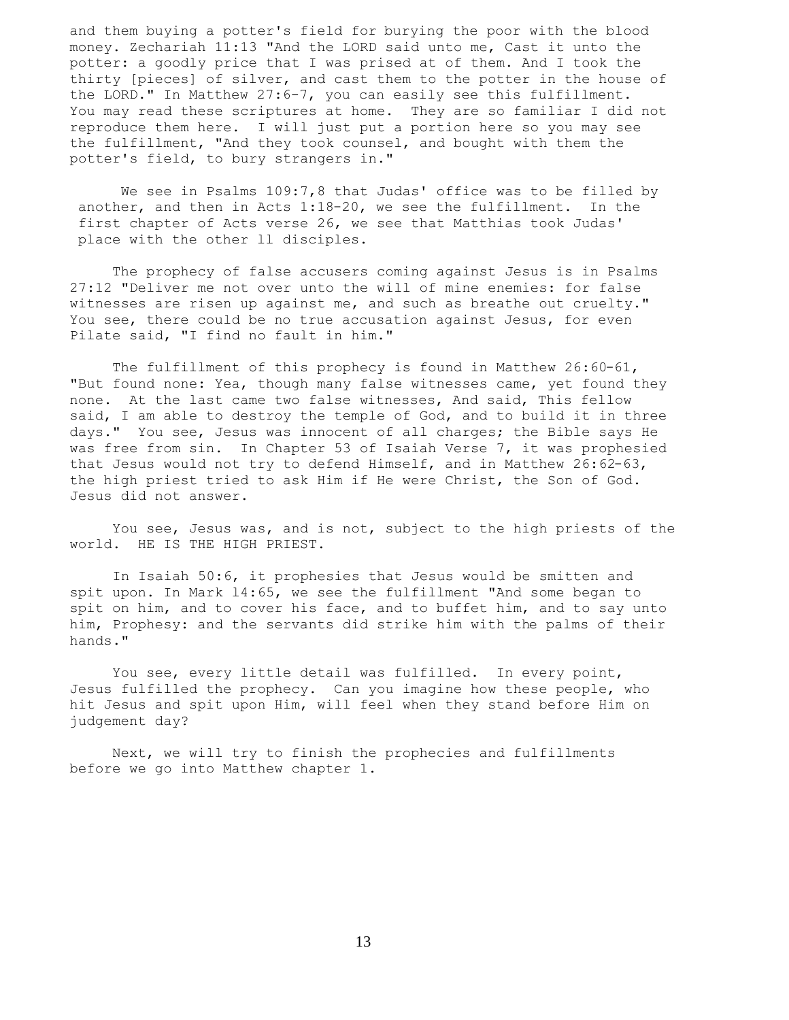and them buying a potter's field for burying the poor with the blood money. Zechariah 11:13 "And the LORD said unto me, Cast it unto the potter: a goodly price that I was prised at of them. And I took the thirty [pieces] of silver, and cast them to the potter in the house of the LORD." In Matthew 27:6-7, you can easily see this fulfillment. You may read these scriptures at home. They are so familiar I did not reproduce them here. I will just put a portion here so you may see the fulfillment, "And they took counsel, and bought with them the potter's field, to bury strangers in."

We see in Psalms 109:7,8 that Judas' office was to be filled by another, and then in Acts 1:18-20, we see the fulfillment. In the first chapter of Acts verse 26, we see that Matthias took Judas' place with the other ll disciples.

 The prophecy of false accusers coming against Jesus is in Psalms 27:12 "Deliver me not over unto the will of mine enemies: for false witnesses are risen up against me, and such as breathe out cruelty." You see, there could be no true accusation against Jesus, for even Pilate said, "I find no fault in him."

 The fulfillment of this prophecy is found in Matthew 26:60-61, "But found none: Yea, though many false witnesses came, yet found they none. At the last came two false witnesses, And said, This fellow said, I am able to destroy the temple of God, and to build it in three days." You see, Jesus was innocent of all charges; the Bible says He was free from sin. In Chapter 53 of Isaiah Verse 7, it was prophesied that Jesus would not try to defend Himself, and in Matthew 26:62-63, the high priest tried to ask Him if He were Christ, the Son of God. Jesus did not answer.

 You see, Jesus was, and is not, subject to the high priests of the world. HE IS THE HIGH PRIEST.

 In Isaiah 50:6, it prophesies that Jesus would be smitten and spit upon. In Mark l4:65, we see the fulfillment "And some began to spit on him, and to cover his face, and to buffet him, and to say unto him, Prophesy: and the servants did strike him with the palms of their hands."

You see, every little detail was fulfilled. In every point, Jesus fulfilled the prophecy. Can you imagine how these people, who hit Jesus and spit upon Him, will feel when they stand before Him on judgement day?

 Next, we will try to finish the prophecies and fulfillments before we go into Matthew chapter 1.

13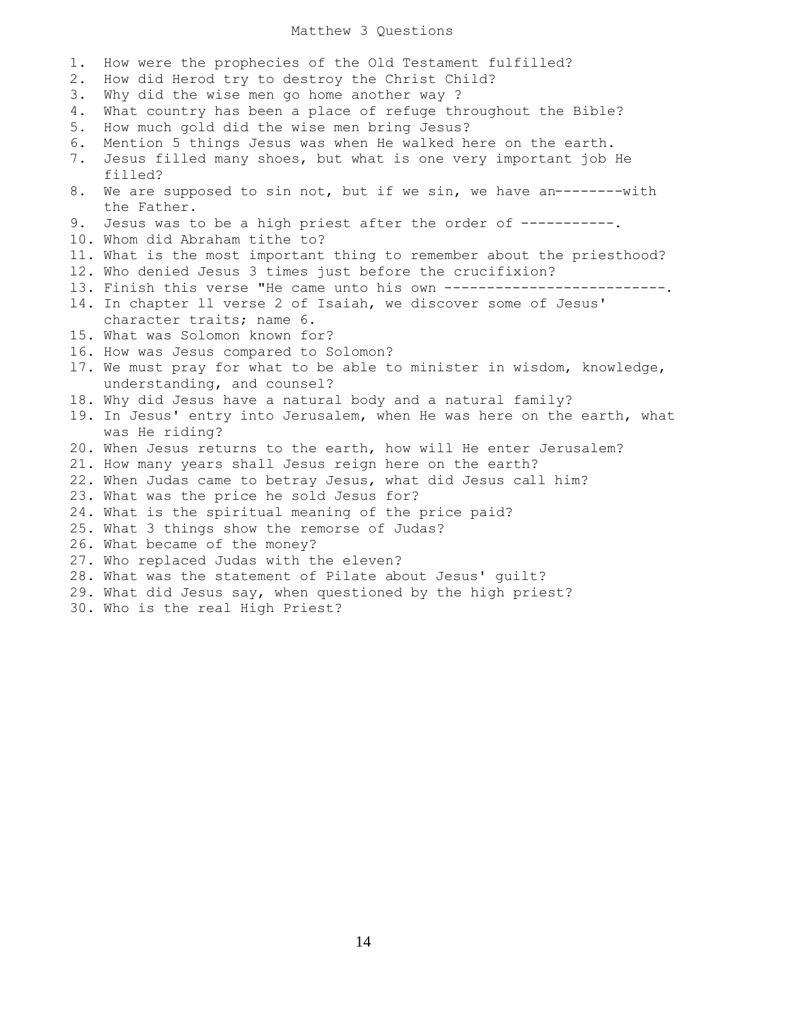## Matthew 3 Questions

| 1.<br>$2$ . | How were the prophecies of the Old Testament fulfilled?<br>How did Herod try to destroy the Christ Child?       |
|-------------|-----------------------------------------------------------------------------------------------------------------|
| 3.          | Why did the wise men go home another way ?                                                                      |
| 4.          | What country has been a place of refuge throughout the Bible?                                                   |
| 5.          | How much gold did the wise men bring Jesus?                                                                     |
| 6.          | Mention 5 things Jesus was when He walked here on the earth.                                                    |
| 7.          | Jesus filled many shoes, but what is one very important job He<br>filled?                                       |
| 8.          | We are supposed to sin not, but if we sin, we have an--------with                                               |
|             | the Father.                                                                                                     |
| 9.          | Jesus was to be a high priest after the order of -----------.                                                   |
|             | 10. Whom did Abraham tithe to?                                                                                  |
|             | 11. What is the most important thing to remember about the priesthood?                                          |
|             | 12. Who denied Jesus 3 times just before the crucifixion?                                                       |
|             | 13. Finish this verse "He came unto his own --------------------------                                          |
|             | 14. In chapter 11 verse 2 of Isaiah, we discover some of Jesus'                                                 |
|             | character traits; name 6.                                                                                       |
|             | 15. What was Solomon known for?                                                                                 |
|             | 16. How was Jesus compared to Solomon?                                                                          |
|             | 17. We must pray for what to be able to minister in wisdom, knowledge,<br>understanding, and counsel?           |
|             | 18. Why did Jesus have a natural body and a natural family?                                                     |
|             | 19. In Jesus' entry into Jerusalem, when He was here on the earth, what<br>was He riding?                       |
|             | 20. When Jesus returns to the earth, how will He enter Jerusalem?                                               |
|             | 21. How many years shall Jesus reign here on the earth?                                                         |
|             | 22. When Judas came to betray Jesus, what did Jesus call him?                                                   |
|             | 23. What was the price he sold Jesus for?                                                                       |
|             | 24. What is the spiritual meaning of the price paid?                                                            |
|             | 25. What 3 things show the remorse of Judas?                                                                    |
|             | 26. What became of the money?                                                                                   |
|             | 27. Who replaced Judas with the eleven?                                                                         |
|             | 28. What was the statement of Pilate about Jesus' quilt?                                                        |
|             | the contract of the contract of the contract of the contract of the contract of the contract of the contract of |

- 29. What did Jesus say, when questioned by the high priest?
- 30. Who is the real High Priest?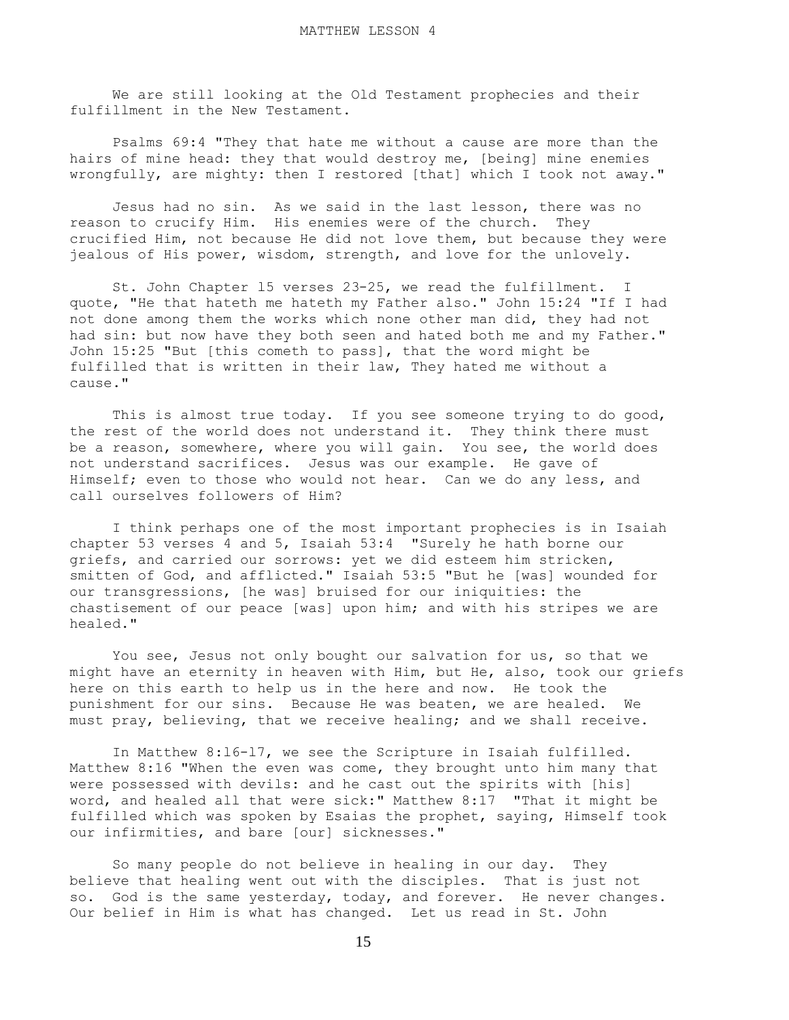We are still looking at the Old Testament prophecies and their fulfillment in the New Testament.

 Psalms 69:4 "They that hate me without a cause are more than the hairs of mine head: they that would destroy me, [being] mine enemies wrongfully, are mighty: then I restored [that] which I took not away."

 Jesus had no sin. As we said in the last lesson, there was no reason to crucify Him. His enemies were of the church. They crucified Him, not because He did not love them, but because they were jealous of His power, wisdom, strength, and love for the unlovely.

 St. John Chapter l5 verses 23-25, we read the fulfillment. I quote, "He that hateth me hateth my Father also." John 15:24 "If I had not done among them the works which none other man did, they had not had sin: but now have they both seen and hated both me and my Father." John 15:25 "But [this cometh to pass], that the word might be fulfilled that is written in their law, They hated me without a cause."

 This is almost true today. If you see someone trying to do good, the rest of the world does not understand it. They think there must be a reason, somewhere, where you will gain. You see, the world does not understand sacrifices. Jesus was our example. He gave of Himself; even to those who would not hear. Can we do any less, and call ourselves followers of Him?

 I think perhaps one of the most important prophecies is in Isaiah chapter 53 verses 4 and 5, Isaiah 53:4 "Surely he hath borne our griefs, and carried our sorrows: yet we did esteem him stricken, smitten of God, and afflicted." Isaiah 53:5 "But he [was] wounded for our transgressions, [he was] bruised for our iniquities: the chastisement of our peace [was] upon him; and with his stripes we are healed."

You see, Jesus not only bought our salvation for us, so that we might have an eternity in heaven with Him, but He, also, took our griefs here on this earth to help us in the here and now. He took the punishment for our sins. Because He was beaten, we are healed. We must pray, believing, that we receive healing; and we shall receive.

 In Matthew 8:l6-l7, we see the Scripture in Isaiah fulfilled. Matthew 8:16 "When the even was come, they brought unto him many that were possessed with devils: and he cast out the spirits with [his] word, and healed all that were sick:" Matthew 8:17 "That it might be fulfilled which was spoken by Esaias the prophet, saying, Himself took our infirmities, and bare [our] sicknesses."

 So many people do not believe in healing in our day. They believe that healing went out with the disciples. That is just not so. God is the same yesterday, today, and forever. He never changes. Our belief in Him is what has changed. Let us read in St. John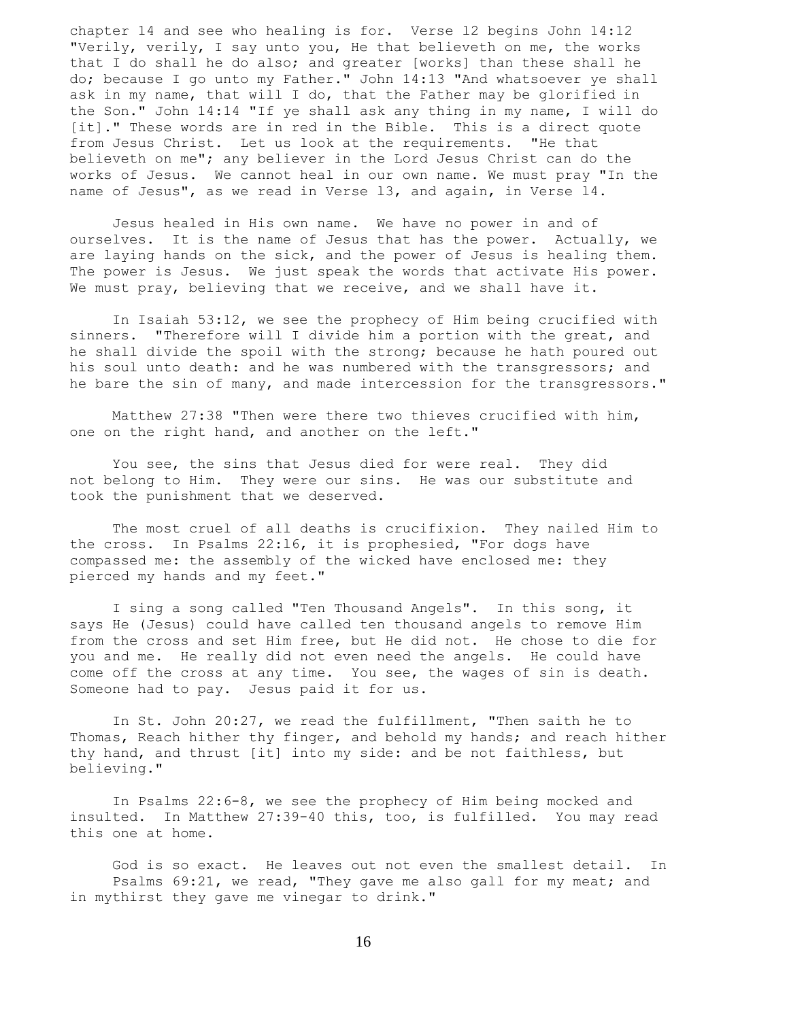chapter 14 and see who healing is for. Verse l2 begins John 14:12 "Verily, verily, I say unto you, He that believeth on me, the works that I do shall he do also; and greater [works] than these shall he do; because I go unto my Father." John 14:13 "And whatsoever ye shall ask in my name, that will I do, that the Father may be glorified in the Son." John 14:14 "If ye shall ask any thing in my name, I will do [it]." These words are in red in the Bible. This is a direct quote from Jesus Christ. Let us look at the requirements. "He that believeth on me"; any believer in the Lord Jesus Christ can do the works of Jesus. We cannot heal in our own name. We must pray "In the name of Jesus", as we read in Verse l3, and again, in Verse l4.

 Jesus healed in His own name. We have no power in and of ourselves. It is the name of Jesus that has the power. Actually, we are laying hands on the sick, and the power of Jesus is healing them. The power is Jesus. We just speak the words that activate His power. We must pray, believing that we receive, and we shall have it.

 In Isaiah 53:12, we see the prophecy of Him being crucified with sinners. "Therefore will I divide him a portion with the great, and he shall divide the spoil with the strong; because he hath poured out his soul unto death: and he was numbered with the transgressors; and he bare the sin of many, and made intercession for the transgressors."

 Matthew 27:38 "Then were there two thieves crucified with him, one on the right hand, and another on the left."

 You see, the sins that Jesus died for were real. They did not belong to Him. They were our sins. He was our substitute and took the punishment that we deserved.

 The most cruel of all deaths is crucifixion. They nailed Him to the cross. In Psalms 22:l6, it is prophesied, "For dogs have compassed me: the assembly of the wicked have enclosed me: they pierced my hands and my feet."

 I sing a song called "Ten Thousand Angels". In this song, it says He (Jesus) could have called ten thousand angels to remove Him from the cross and set Him free, but He did not. He chose to die for you and me. He really did not even need the angels. He could have come off the cross at any time. You see, the wages of sin is death. Someone had to pay. Jesus paid it for us.

 In St. John 20:27, we read the fulfillment, "Then saith he to Thomas, Reach hither thy finger, and behold my hands; and reach hither thy hand, and thrust [it] into my side: and be not faithless, but believing."

 In Psalms 22:6-8, we see the prophecy of Him being mocked and insulted. In Matthew 27:39-40 this, too, is fulfilled. You may read this one at home.

 God is so exact. He leaves out not even the smallest detail. In Psalms 69:21, we read, "They gave me also gall for my meat; and in mythirst they gave me vinegar to drink."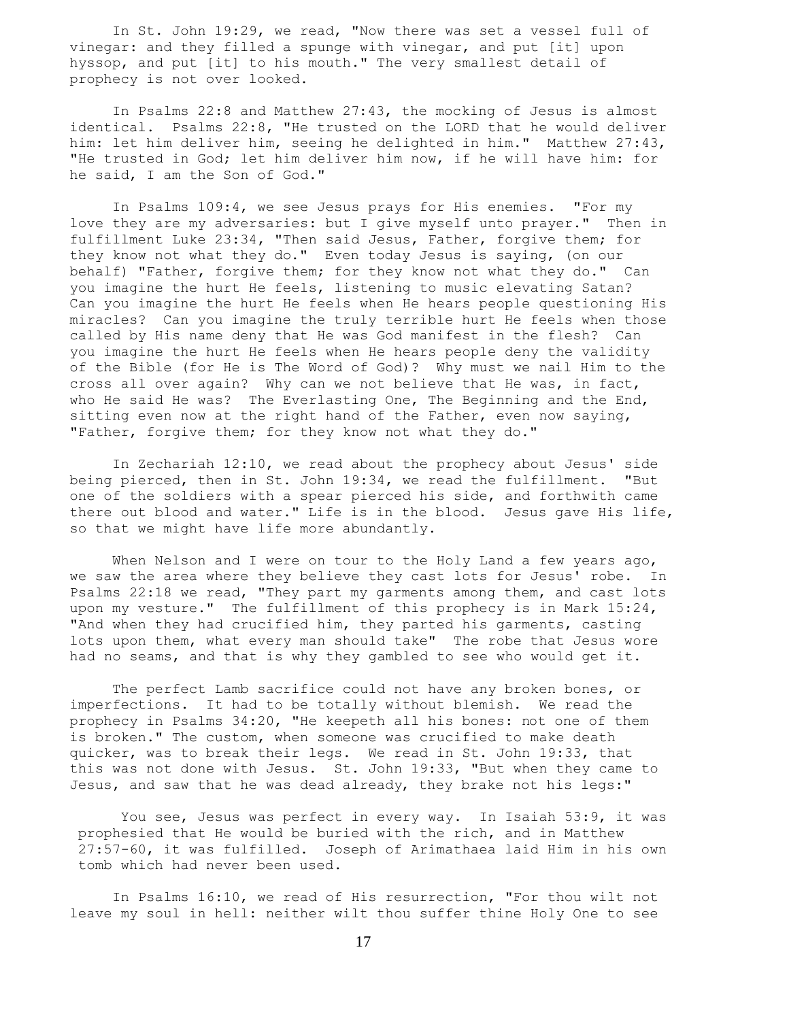In St. John 19:29, we read, "Now there was set a vessel full of vinegar: and they filled a spunge with vinegar, and put [it] upon hyssop, and put [it] to his mouth." The very smallest detail of prophecy is not over looked.

 In Psalms 22:8 and Matthew 27:43, the mocking of Jesus is almost identical. Psalms 22:8, "He trusted on the LORD that he would deliver him: let him deliver him, seeing he delighted in him." Matthew 27:43, "He trusted in God; let him deliver him now, if he will have him: for he said, I am the Son of God."

 In Psalms 109:4, we see Jesus prays for His enemies. "For my love they are my adversaries: but I give myself unto prayer." Then in fulfillment Luke 23:34, "Then said Jesus, Father, forgive them; for they know not what they do." Even today Jesus is saying, (on our behalf) "Father, forgive them; for they know not what they do." Can you imagine the hurt He feels, listening to music elevating Satan? Can you imagine the hurt He feels when He hears people questioning His miracles? Can you imagine the truly terrible hurt He feels when those called by His name deny that He was God manifest in the flesh? Can you imagine the hurt He feels when He hears people deny the validity of the Bible (for He is The Word of God)? Why must we nail Him to the cross all over again? Why can we not believe that He was, in fact, who He said He was? The Everlasting One, The Beginning and the End, sitting even now at the right hand of the Father, even now saying, "Father, forgive them; for they know not what they do."

 In Zechariah 12:10, we read about the prophecy about Jesus' side being pierced, then in St. John 19:34, we read the fulfillment. "But one of the soldiers with a spear pierced his side, and forthwith came there out blood and water." Life is in the blood. Jesus gave His life, so that we might have life more abundantly.

When Nelson and I were on tour to the Holy Land a few years ago, we saw the area where they believe they cast lots for Jesus' robe. In Psalms 22:18 we read, "They part my garments among them, and cast lots upon my vesture." The fulfillment of this prophecy is in Mark 15:24, "And when they had crucified him, they parted his garments, casting lots upon them, what every man should take" The robe that Jesus wore had no seams, and that is why they gambled to see who would get it.

 The perfect Lamb sacrifice could not have any broken bones, or imperfections. It had to be totally without blemish. We read the prophecy in Psalms 34:20, "He keepeth all his bones: not one of them is broken." The custom, when someone was crucified to make death quicker, was to break their legs. We read in St. John 19:33, that this was not done with Jesus. St. John 19:33, "But when they came to Jesus, and saw that he was dead already, they brake not his legs:"

You see, Jesus was perfect in every way. In Isaiah 53:9, it was prophesied that He would be buried with the rich, and in Matthew 27:57-60, it was fulfilled. Joseph of Arimathaea laid Him in his own tomb which had never been used.

 In Psalms 16:10, we read of His resurrection, "For thou wilt not leave my soul in hell: neither wilt thou suffer thine Holy One to see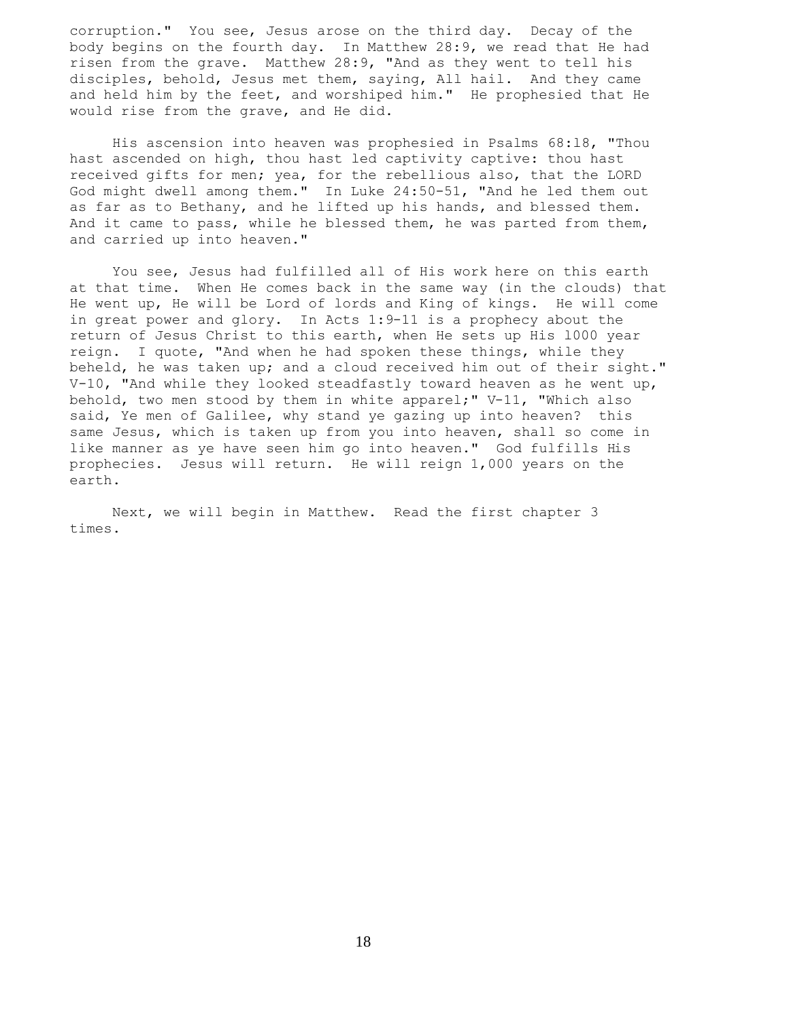corruption." You see, Jesus arose on the third day. Decay of the body begins on the fourth day. In Matthew 28:9, we read that He had risen from the grave. Matthew 28:9, "And as they went to tell his disciples, behold, Jesus met them, saying, All hail. And they came and held him by the feet, and worshiped him." He prophesied that He would rise from the grave, and He did.

 His ascension into heaven was prophesied in Psalms 68:l8, "Thou hast ascended on high, thou hast led captivity captive: thou hast received gifts for men; yea, for the rebellious also, that the LORD God might dwell among them." In Luke 24:50-51, "And he led them out as far as to Bethany, and he lifted up his hands, and blessed them. And it came to pass, while he blessed them, he was parted from them, and carried up into heaven."

 You see, Jesus had fulfilled all of His work here on this earth at that time. When He comes back in the same way (in the clouds) that He went up, He will be Lord of lords and King of kings. He will come in great power and glory. In Acts 1:9-11 is a prophecy about the return of Jesus Christ to this earth, when He sets up His l000 year reign. I quote, "And when he had spoken these things, while they beheld, he was taken up; and a cloud received him out of their sight."  $V-10$ , "And while they looked steadfastly toward heaven as he went up, behold, two men stood by them in white apparel;" V-11, "Which also said, Ye men of Galilee, why stand ye gazing up into heaven? this same Jesus, which is taken up from you into heaven, shall so come in like manner as ye have seen him go into heaven." God fulfills His prophecies. Jesus will return. He will reign 1,000 years on the earth.

 Next, we will begin in Matthew. Read the first chapter 3 times.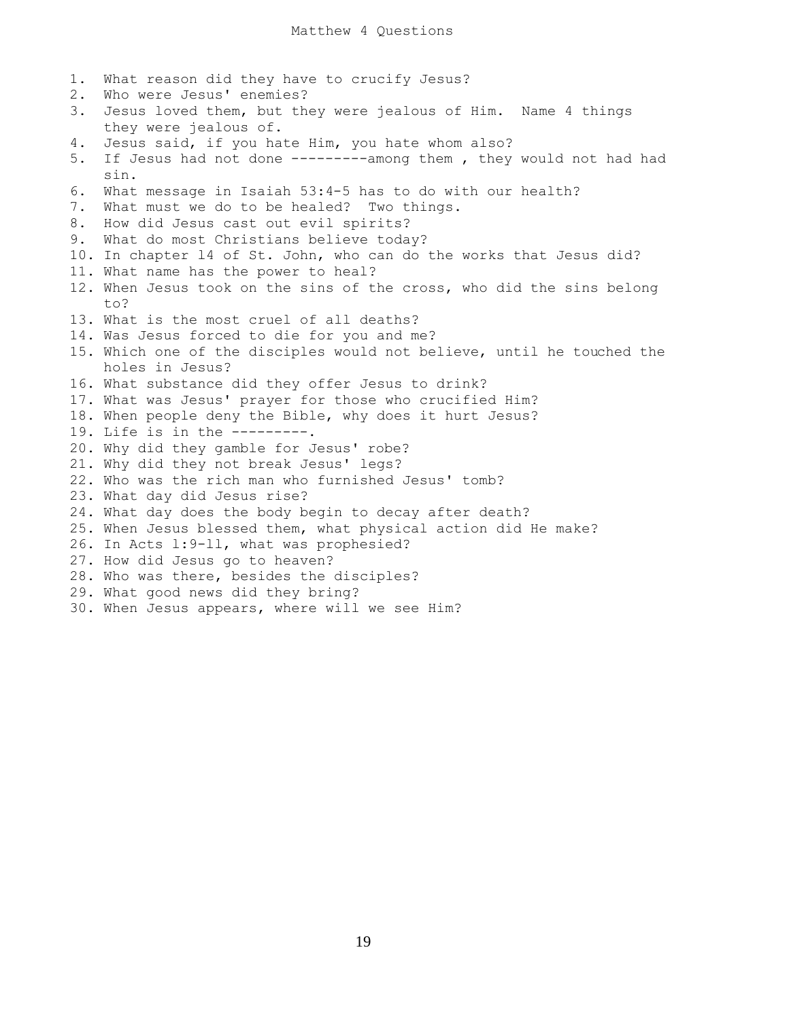1. What reason did they have to crucify Jesus?

2. Who were Jesus' enemies? 3. Jesus loved them, but they were jealous of Him. Name 4 things they were jealous of. 4. Jesus said, if you hate Him, you hate whom also? 5. If Jesus had not done ---------among them , they would not had had sin. 6. What message in Isaiah 53:4-5 has to do with our health? 7. What must we do to be healed? Two things. 8. How did Jesus cast out evil spirits? 9. What do most Christians believe today? 10. In chapter l4 of St. John, who can do the works that Jesus did? 11. What name has the power to heal? 12. When Jesus took on the sins of the cross, who did the sins belong to? 13. What is the most cruel of all deaths? 14. Was Jesus forced to die for you and me? 15. Which one of the disciples would not believe, until he touched the holes in Jesus? 16. What substance did they offer Jesus to drink? 17. What was Jesus' prayer for those who crucified Him? 18. When people deny the Bible, why does it hurt Jesus? 19. Life is in the ---------. 20. Why did they gamble for Jesus' robe? 21. Why did they not break Jesus' legs? 22. Who was the rich man who furnished Jesus' tomb? 23. What day did Jesus rise? 24. What day does the body begin to decay after death? 25. When Jesus blessed them, what physical action did He make? 26. In Acts l:9-ll, what was prophesied? 27. How did Jesus go to heaven? 28. Who was there, besides the disciples? 29. What good news did they bring? 30. When Jesus appears, where will we see Him?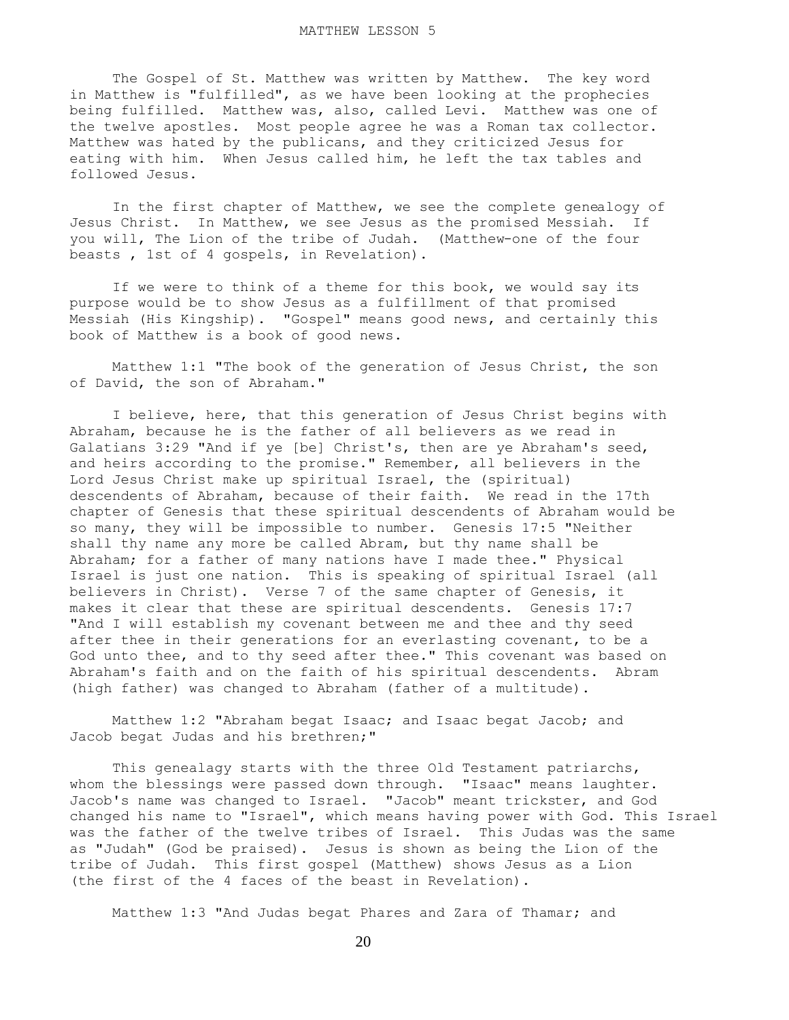The Gospel of St. Matthew was written by Matthew. The key word in Matthew is "fulfilled", as we have been looking at the prophecies being fulfilled. Matthew was, also, called Levi. Matthew was one of the twelve apostles. Most people agree he was a Roman tax collector. Matthew was hated by the publicans, and they criticized Jesus for eating with him. When Jesus called him, he left the tax tables and followed Jesus.

 In the first chapter of Matthew, we see the complete genealogy of Jesus Christ. In Matthew, we see Jesus as the promised Messiah. If you will, The Lion of the tribe of Judah. (Matthew-one of the four beasts , 1st of 4 gospels, in Revelation).

 If we were to think of a theme for this book, we would say its purpose would be to show Jesus as a fulfillment of that promised Messiah (His Kingship). "Gospel" means good news, and certainly this book of Matthew is a book of good news.

 Matthew 1:1 "The book of the generation of Jesus Christ, the son of David, the son of Abraham."

 I believe, here, that this generation of Jesus Christ begins with Abraham, because he is the father of all believers as we read in Galatians 3:29 "And if ye [be] Christ's, then are ye Abraham's seed, and heirs according to the promise." Remember, all believers in the Lord Jesus Christ make up spiritual Israel, the (spiritual) descendents of Abraham, because of their faith. We read in the 17th chapter of Genesis that these spiritual descendents of Abraham would be so many, they will be impossible to number. Genesis 17:5 "Neither shall thy name any more be called Abram, but thy name shall be Abraham; for a father of many nations have I made thee." Physical Israel is just one nation. This is speaking of spiritual Israel (all believers in Christ). Verse 7 of the same chapter of Genesis, it makes it clear that these are spiritual descendents. Genesis 17:7 "And I will establish my covenant between me and thee and thy seed after thee in their generations for an everlasting covenant, to be a God unto thee, and to thy seed after thee." This covenant was based on Abraham's faith and on the faith of his spiritual descendents. Abram (high father) was changed to Abraham (father of a multitude).

 Matthew 1:2 "Abraham begat Isaac; and Isaac begat Jacob; and Jacob begat Judas and his brethren;"

 This genealagy starts with the three Old Testament patriarchs, whom the blessings were passed down through. "Isaac" means laughter. Jacob's name was changed to Israel. "Jacob" meant trickster, and God changed his name to "Israel", which means having power with God. This Israel was the father of the twelve tribes of Israel. This Judas was the same as "Judah" (God be praised). Jesus is shown as being the Lion of the tribe of Judah. This first gospel (Matthew) shows Jesus as a Lion (the first of the 4 faces of the beast in Revelation).

Matthew 1:3 "And Judas begat Phares and Zara of Thamar; and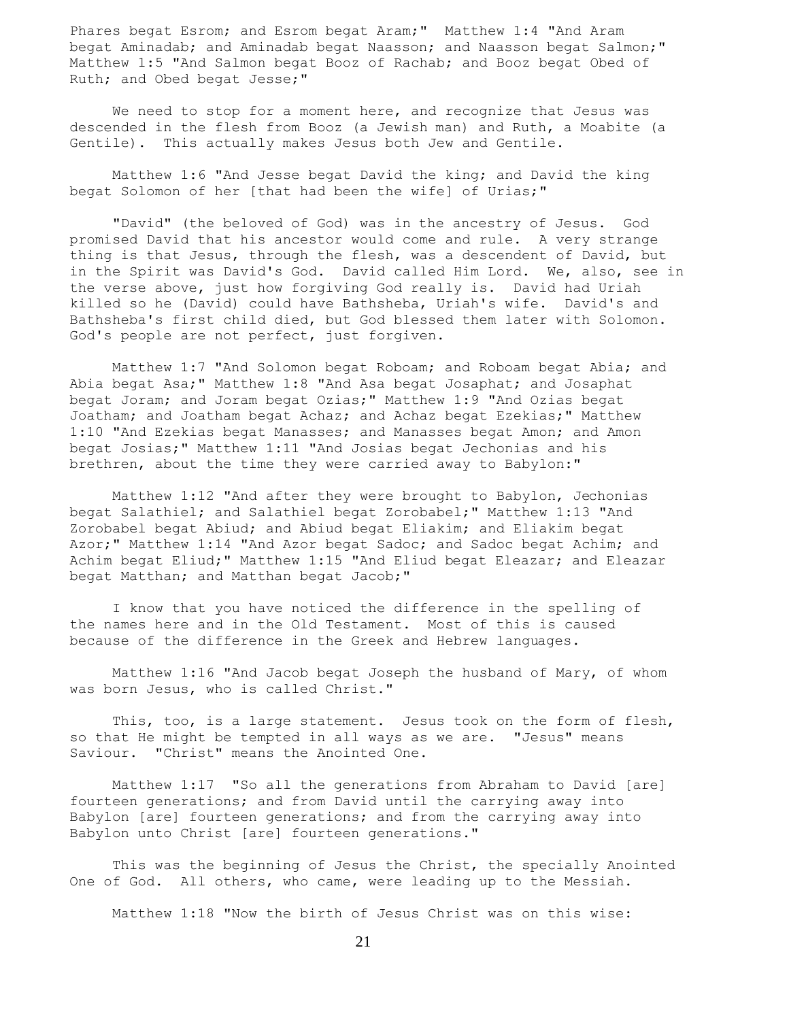Phares begat Esrom; and Esrom begat Aram;" Matthew 1:4 "And Aram begat Aminadab; and Aminadab begat Naasson; and Naasson begat Salmon;" Matthew 1:5 "And Salmon begat Booz of Rachab; and Booz begat Obed of Ruth; and Obed begat Jesse;"

 We need to stop for a moment here, and recognize that Jesus was descended in the flesh from Booz (a Jewish man) and Ruth, a Moabite (a Gentile). This actually makes Jesus both Jew and Gentile.

 Matthew 1:6 "And Jesse begat David the king; and David the king begat Solomon of her [that had been the wife] of Urias;"

 "David" (the beloved of God) was in the ancestry of Jesus. God promised David that his ancestor would come and rule. A very strange thing is that Jesus, through the flesh, was a descendent of David, but in the Spirit was David's God. David called Him Lord. We, also, see in the verse above, just how forgiving God really is. David had Uriah killed so he (David) could have Bathsheba, Uriah's wife. David's and Bathsheba's first child died, but God blessed them later with Solomon. God's people are not perfect, just forgiven.

 Matthew 1:7 "And Solomon begat Roboam; and Roboam begat Abia; and Abia begat Asa;" Matthew 1:8 "And Asa begat Josaphat; and Josaphat begat Joram; and Joram begat Ozias;" Matthew 1:9 "And Ozias begat Joatham; and Joatham begat Achaz; and Achaz begat Ezekias;" Matthew 1:10 "And Ezekias begat Manasses; and Manasses begat Amon; and Amon begat Josias;" Matthew 1:11 "And Josias begat Jechonias and his brethren, about the time they were carried away to Babylon:"

 Matthew 1:12 "And after they were brought to Babylon, Jechonias begat Salathiel; and Salathiel begat Zorobabel;" Matthew 1:13 "And Zorobabel begat Abiud; and Abiud begat Eliakim; and Eliakim begat Azor;" Matthew 1:14 "And Azor begat Sadoc; and Sadoc begat Achim; and Achim begat Eliud;" Matthew 1:15 "And Eliud begat Eleazar; and Eleazar begat Matthan; and Matthan begat Jacob;"

 I know that you have noticed the difference in the spelling of the names here and in the Old Testament. Most of this is caused because of the difference in the Greek and Hebrew languages.

 Matthew 1:16 "And Jacob begat Joseph the husband of Mary, of whom was born Jesus, who is called Christ."

This, too, is a large statement. Jesus took on the form of flesh, so that He might be tempted in all ways as we are. "Jesus" means Saviour. "Christ" means the Anointed One.

 Matthew 1:17 "So all the generations from Abraham to David [are] fourteen generations; and from David until the carrying away into Babylon [are] fourteen generations; and from the carrying away into Babylon unto Christ [are] fourteen generations."

 This was the beginning of Jesus the Christ, the specially Anointed One of God. All others, who came, were leading up to the Messiah.

Matthew 1:18 "Now the birth of Jesus Christ was on this wise: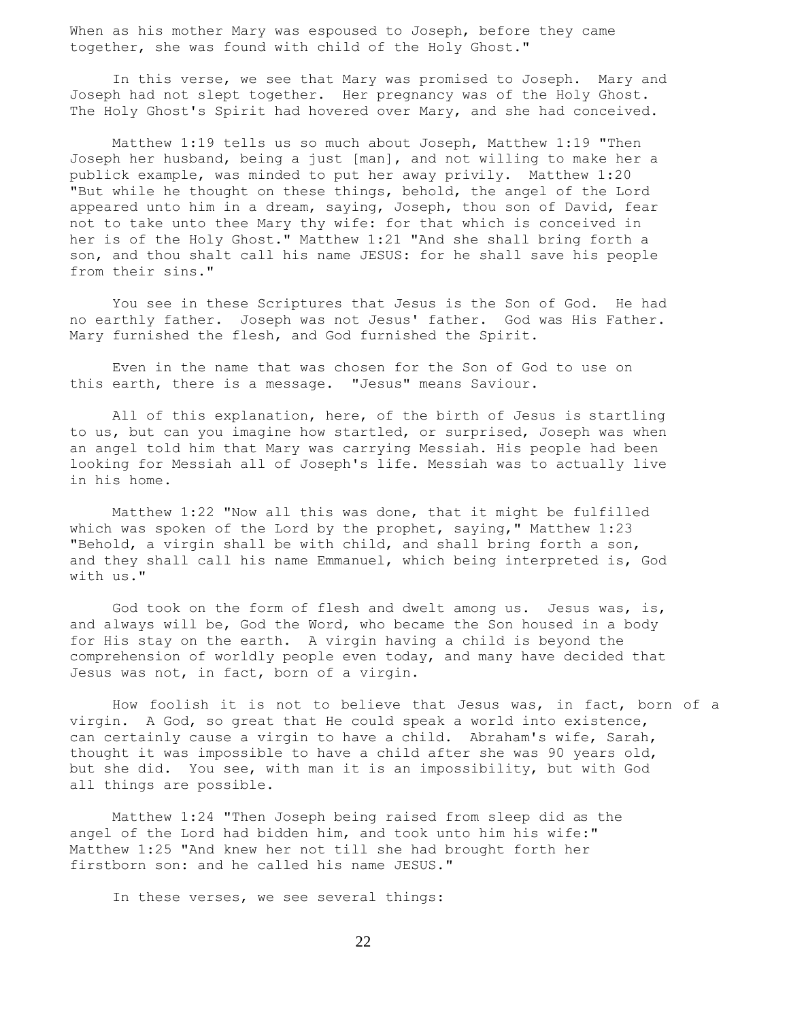When as his mother Mary was espoused to Joseph, before they came together, she was found with child of the Holy Ghost."

 In this verse, we see that Mary was promised to Joseph. Mary and Joseph had not slept together. Her pregnancy was of the Holy Ghost. The Holy Ghost's Spirit had hovered over Mary, and she had conceived.

 Matthew 1:19 tells us so much about Joseph, Matthew 1:19 "Then Joseph her husband, being a just [man], and not willing to make her a publick example, was minded to put her away privily. Matthew 1:20 "But while he thought on these things, behold, the angel of the Lord appeared unto him in a dream, saying, Joseph, thou son of David, fear not to take unto thee Mary thy wife: for that which is conceived in her is of the Holy Ghost." Matthew 1:21 "And she shall bring forth a son, and thou shalt call his name JESUS: for he shall save his people from their sins."

 You see in these Scriptures that Jesus is the Son of God. He had no earthly father. Joseph was not Jesus' father. God was His Father. Mary furnished the flesh, and God furnished the Spirit.

 Even in the name that was chosen for the Son of God to use on this earth, there is a message. "Jesus" means Saviour.

 All of this explanation, here, of the birth of Jesus is startling to us, but can you imagine how startled, or surprised, Joseph was when an angel told him that Mary was carrying Messiah. His people had been looking for Messiah all of Joseph's life. Messiah was to actually live in his home.

 Matthew 1:22 "Now all this was done, that it might be fulfilled which was spoken of the Lord by the prophet, saying," Matthew 1:23 "Behold, a virgin shall be with child, and shall bring forth a son, and they shall call his name Emmanuel, which being interpreted is, God with us."

God took on the form of flesh and dwelt among us. Jesus was, is, and always will be, God the Word, who became the Son housed in a body for His stay on the earth. A virgin having a child is beyond the comprehension of worldly people even today, and many have decided that Jesus was not, in fact, born of a virgin.

 How foolish it is not to believe that Jesus was, in fact, born of a virgin. A God, so great that He could speak a world into existence, can certainly cause a virgin to have a child. Abraham's wife, Sarah, thought it was impossible to have a child after she was 90 years old, but she did. You see, with man it is an impossibility, but with God all things are possible.

 Matthew 1:24 "Then Joseph being raised from sleep did as the angel of the Lord had bidden him, and took unto him his wife:" Matthew 1:25 "And knew her not till she had brought forth her firstborn son: and he called his name JESUS."

In these verses, we see several things: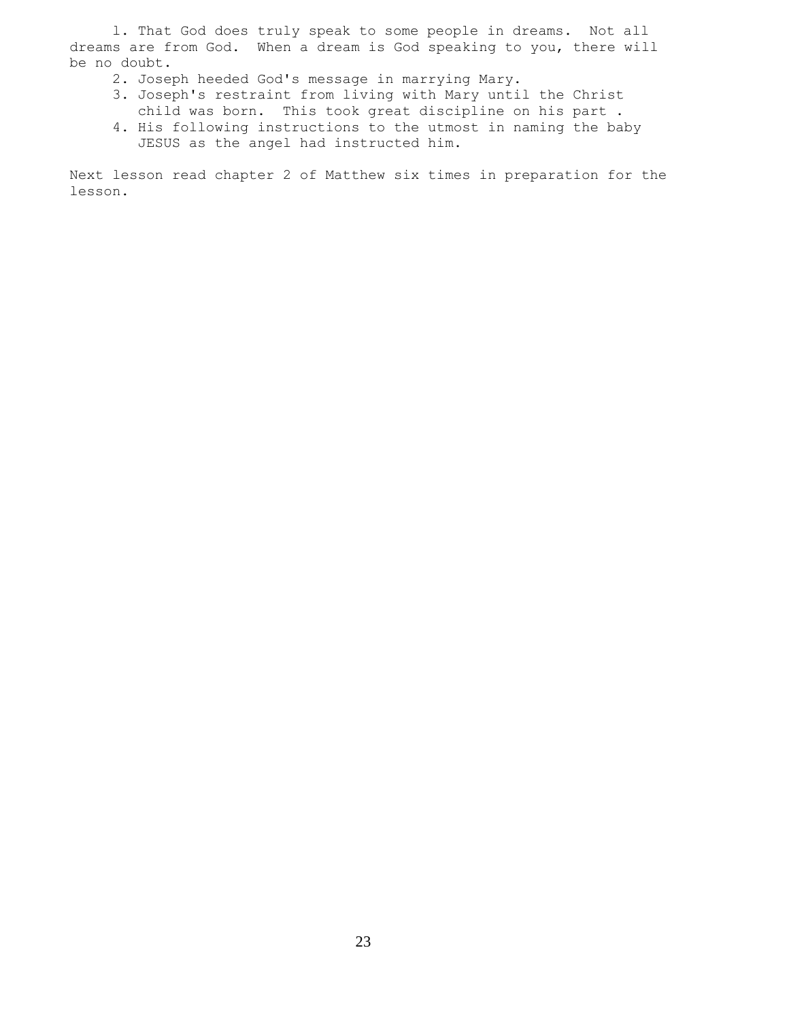l. That God does truly speak to some people in dreams. Not all dreams are from God. When a dream is God speaking to you, there will be no doubt.

- 2. Joseph heeded God's message in marrying Mary.
- 3. Joseph's restraint from living with Mary until the Christ child was born. This took great discipline on his part .
- 4. His following instructions to the utmost in naming the baby JESUS as the angel had instructed him.

Next lesson read chapter 2 of Matthew six times in preparation for the lesson.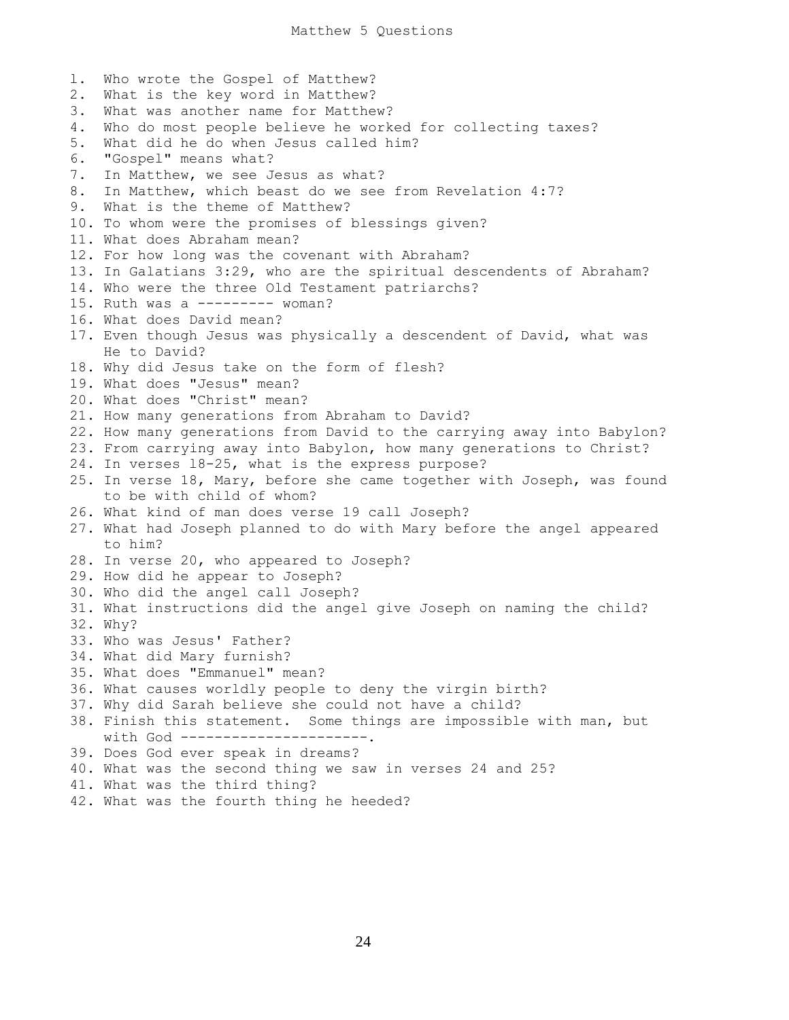l. Who wrote the Gospel of Matthew? 2. What is the key word in Matthew? 3. What was another name for Matthew? 4. Who do most people believe he worked for collecting taxes? 5. What did he do when Jesus called him? 6. "Gospel" means what? 7. In Matthew, we see Jesus as what? 8. In Matthew, which beast do we see from Revelation 4:7? 9. What is the theme of Matthew? 10. To whom were the promises of blessings given? 11. What does Abraham mean? 12. For how long was the covenant with Abraham? 13. In Galatians 3:29, who are the spiritual descendents of Abraham? 14. Who were the three Old Testament patriarchs? 15. Ruth was a --------- woman? 16. What does David mean? 17. Even though Jesus was physically a descendent of David, what was He to David? 18. Why did Jesus take on the form of flesh? 19. What does "Jesus" mean? 20. What does "Christ" mean? 21. How many generations from Abraham to David? 22. How many generations from David to the carrying away into Babylon? 23. From carrying away into Babylon, how many generations to Christ? 24. In verses l8-25, what is the express purpose? 25. In verse 18, Mary, before she came together with Joseph, was found to be with child of whom? 26. What kind of man does verse 19 call Joseph? 27. What had Joseph planned to do with Mary before the angel appeared to him? 28. In verse 20, who appeared to Joseph? 29. How did he appear to Joseph? 30. Who did the angel call Joseph? 31. What instructions did the angel give Joseph on naming the child? 32. Why? 33. Who was Jesus' Father? 34. What did Mary furnish? 35. What does "Emmanuel" mean? 36. What causes worldly people to deny the virgin birth? 37. Why did Sarah believe she could not have a child? 38. Finish this statement. Some things are impossible with man, but with God -----------------------. 39. Does God ever speak in dreams? 40. What was the second thing we saw in verses 24 and 25? 41. What was the third thing? 42. What was the fourth thing he heeded?

24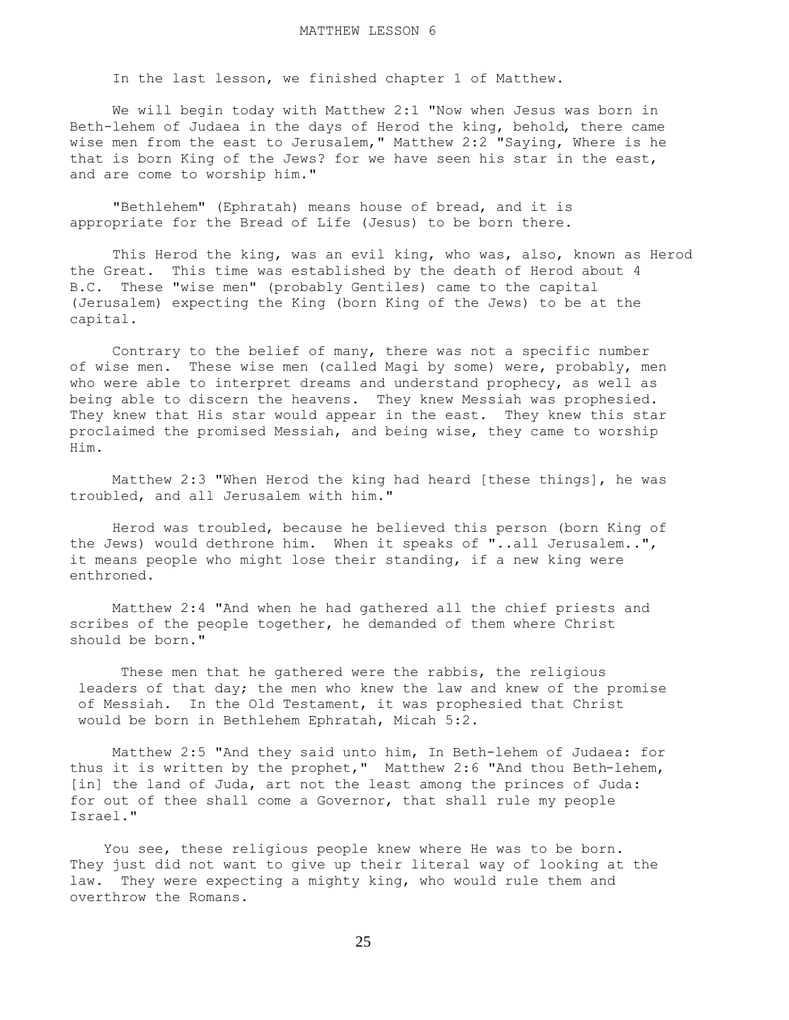In the last lesson, we finished chapter 1 of Matthew.

 We will begin today with Matthew 2:1 "Now when Jesus was born in Beth-lehem of Judaea in the days of Herod the king, behold, there came wise men from the east to Jerusalem," Matthew 2:2 "Saying, Where is he that is born King of the Jews? for we have seen his star in the east, and are come to worship him."

 "Bethlehem" (Ephratah) means house of bread, and it is appropriate for the Bread of Life (Jesus) to be born there.

 This Herod the king, was an evil king, who was, also, known as Herod the Great. This time was established by the death of Herod about 4 B.C. These "wise men" (probably Gentiles) came to the capital (Jerusalem) expecting the King (born King of the Jews) to be at the capital.

 Contrary to the belief of many, there was not a specific number of wise men. These wise men (called Magi by some) were, probably, men who were able to interpret dreams and understand prophecy, as well as being able to discern the heavens. They knew Messiah was prophesied. They knew that His star would appear in the east. They knew this star proclaimed the promised Messiah, and being wise, they came to worship Him.

 Matthew 2:3 "When Herod the king had heard [these things], he was troubled, and all Jerusalem with him."

 Herod was troubled, because he believed this person (born King of the Jews) would dethrone him. When it speaks of "..all Jerusalem..", it means people who might lose their standing, if a new king were enthroned.

 Matthew 2:4 "And when he had gathered all the chief priests and scribes of the people together, he demanded of them where Christ should be born."

 These men that he gathered were the rabbis, the religious leaders of that day; the men who knew the law and knew of the promise of Messiah. In the Old Testament, it was prophesied that Christ would be born in Bethlehem Ephratah, Micah 5:2.

 Matthew 2:5 "And they said unto him, In Beth-lehem of Judaea: for thus it is written by the prophet," Matthew 2:6 "And thou Beth-lehem, [in] the land of Juda, art not the least among the princes of Juda: for out of thee shall come a Governor, that shall rule my people Israel."

 You see, these religious people knew where He was to be born. They just did not want to give up their literal way of looking at the law. They were expecting a mighty king, who would rule them and overthrow the Romans.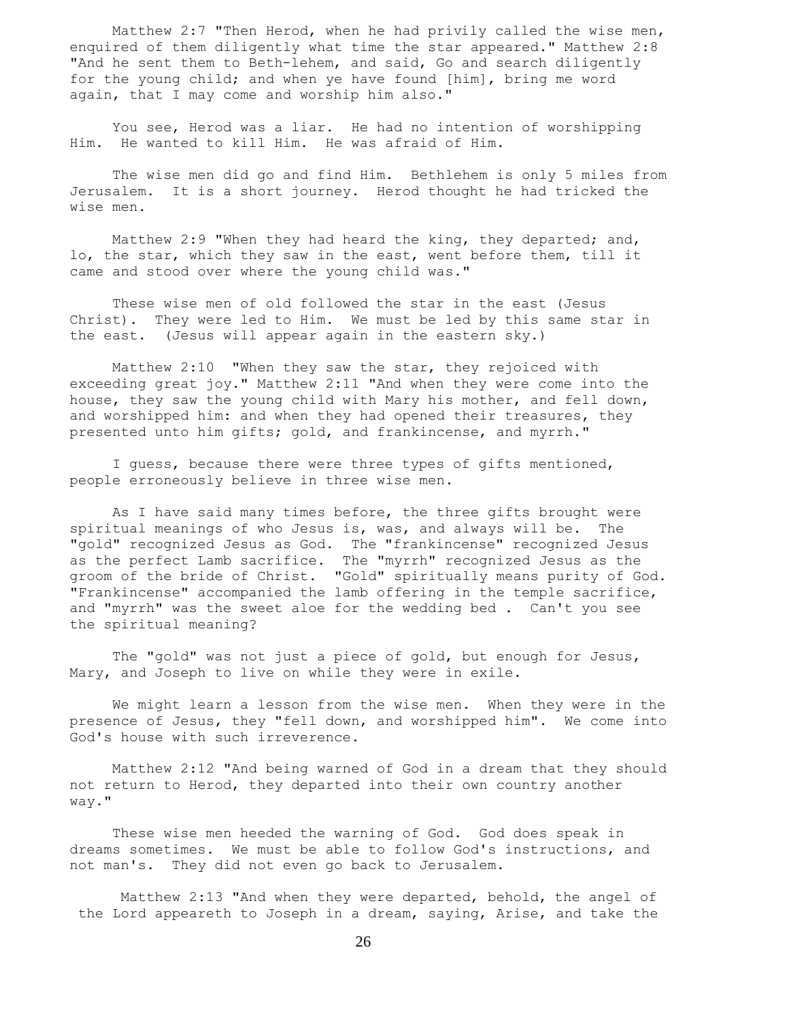Matthew 2:7 "Then Herod, when he had privily called the wise men, enquired of them diligently what time the star appeared." Matthew 2:8 "And he sent them to Beth-lehem, and said, Go and search diligently for the young child; and when ye have found [him], bring me word again, that I may come and worship him also."

 You see, Herod was a liar. He had no intention of worshipping Him. He wanted to kill Him. He was afraid of Him.

 The wise men did go and find Him. Bethlehem is only 5 miles from Jerusalem. It is a short journey. Herod thought he had tricked the wise men.

 Matthew 2:9 "When they had heard the king, they departed; and, lo, the star, which they saw in the east, went before them, till it came and stood over where the young child was."

 These wise men of old followed the star in the east (Jesus Christ). They were led to Him. We must be led by this same star in the east. (Jesus will appear again in the eastern sky.)

 Matthew 2:10 "When they saw the star, they rejoiced with exceeding great joy." Matthew 2:11 "And when they were come into the house, they saw the young child with Mary his mother, and fell down, and worshipped him: and when they had opened their treasures, they presented unto him gifts; gold, and frankincense, and myrrh."

 I guess, because there were three types of gifts mentioned, people erroneously believe in three wise men.

 As I have said many times before, the three gifts brought were spiritual meanings of who Jesus is, was, and always will be. The "gold" recognized Jesus as God. The "frankincense" recognized Jesus as the perfect Lamb sacrifice. The "myrrh" recognized Jesus as the groom of the bride of Christ. "Gold" spiritually means purity of God. "Frankincense" accompanied the lamb offering in the temple sacrifice, and "myrrh" was the sweet aloe for the wedding bed . Can't you see the spiritual meaning?

 The "gold" was not just a piece of gold, but enough for Jesus, Mary, and Joseph to live on while they were in exile.

 We might learn a lesson from the wise men. When they were in the presence of Jesus, they "fell down, and worshipped him". We come into God's house with such irreverence.

 Matthew 2:12 "And being warned of God in a dream that they should not return to Herod, they departed into their own country another way."

 These wise men heeded the warning of God. God does speak in dreams sometimes. We must be able to follow God's instructions, and not man's. They did not even go back to Jerusalem.

 Matthew 2:13 "And when they were departed, behold, the angel of the Lord appeareth to Joseph in a dream, saying, Arise, and take the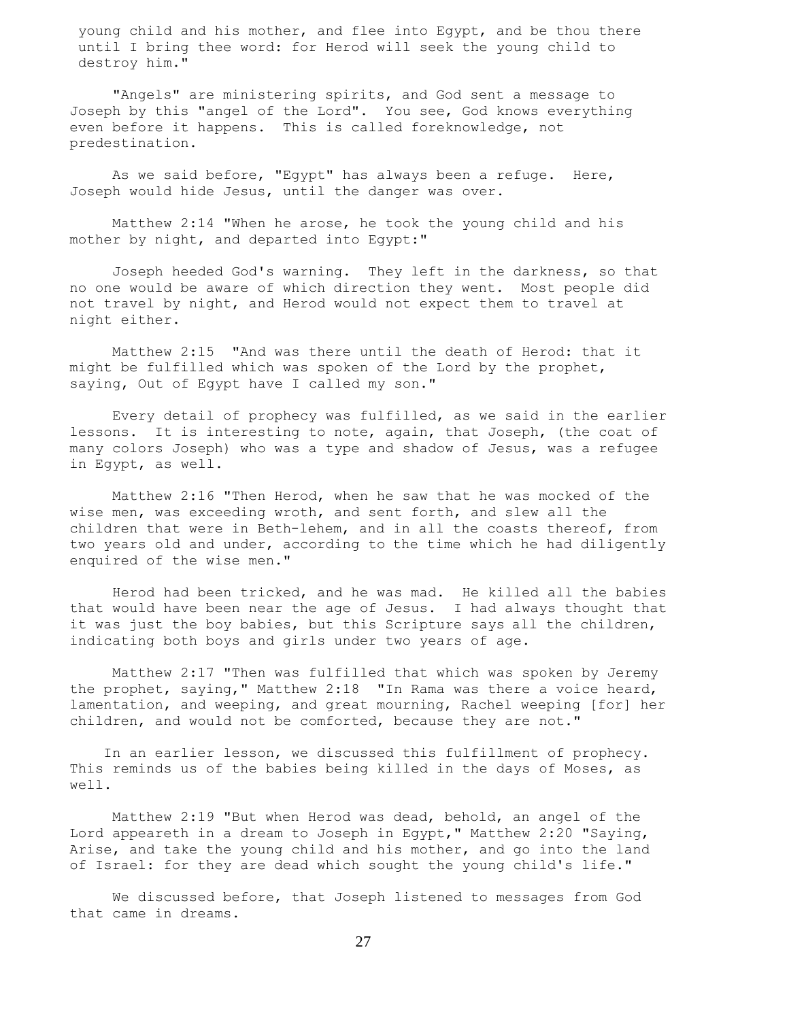young child and his mother, and flee into Egypt, and be thou there until I bring thee word: for Herod will seek the young child to destroy him."

 "Angels" are ministering spirits, and God sent a message to Joseph by this "angel of the Lord". You see, God knows everything even before it happens. This is called foreknowledge, not predestination.

 As we said before, "Egypt" has always been a refuge. Here, Joseph would hide Jesus, until the danger was over.

 Matthew 2:14 "When he arose, he took the young child and his mother by night, and departed into Egypt:"

 Joseph heeded God's warning. They left in the darkness, so that no one would be aware of which direction they went. Most people did not travel by night, and Herod would not expect them to travel at night either.

 Matthew 2:15 "And was there until the death of Herod: that it might be fulfilled which was spoken of the Lord by the prophet, saying, Out of Egypt have I called my son."

 Every detail of prophecy was fulfilled, as we said in the earlier lessons. It is interesting to note, again, that Joseph, (the coat of many colors Joseph) who was a type and shadow of Jesus, was a refugee in Egypt, as well.

 Matthew 2:16 "Then Herod, when he saw that he was mocked of the wise men, was exceeding wroth, and sent forth, and slew all the children that were in Beth-lehem, and in all the coasts thereof, from two years old and under, according to the time which he had diligently enquired of the wise men."

 Herod had been tricked, and he was mad. He killed all the babies that would have been near the age of Jesus. I had always thought that it was just the boy babies, but this Scripture says all the children, indicating both boys and girls under two years of age.

 Matthew 2:17 "Then was fulfilled that which was spoken by Jeremy the prophet, saying," Matthew 2:18 "In Rama was there a voice heard, lamentation, and weeping, and great mourning, Rachel weeping [for] her children, and would not be comforted, because they are not."

 In an earlier lesson, we discussed this fulfillment of prophecy. This reminds us of the babies being killed in the days of Moses, as well.

 Matthew 2:19 "But when Herod was dead, behold, an angel of the Lord appeareth in a dream to Joseph in Egypt," Matthew 2:20 "Saying, Arise, and take the young child and his mother, and go into the land of Israel: for they are dead which sought the young child's life."

 We discussed before, that Joseph listened to messages from God that came in dreams.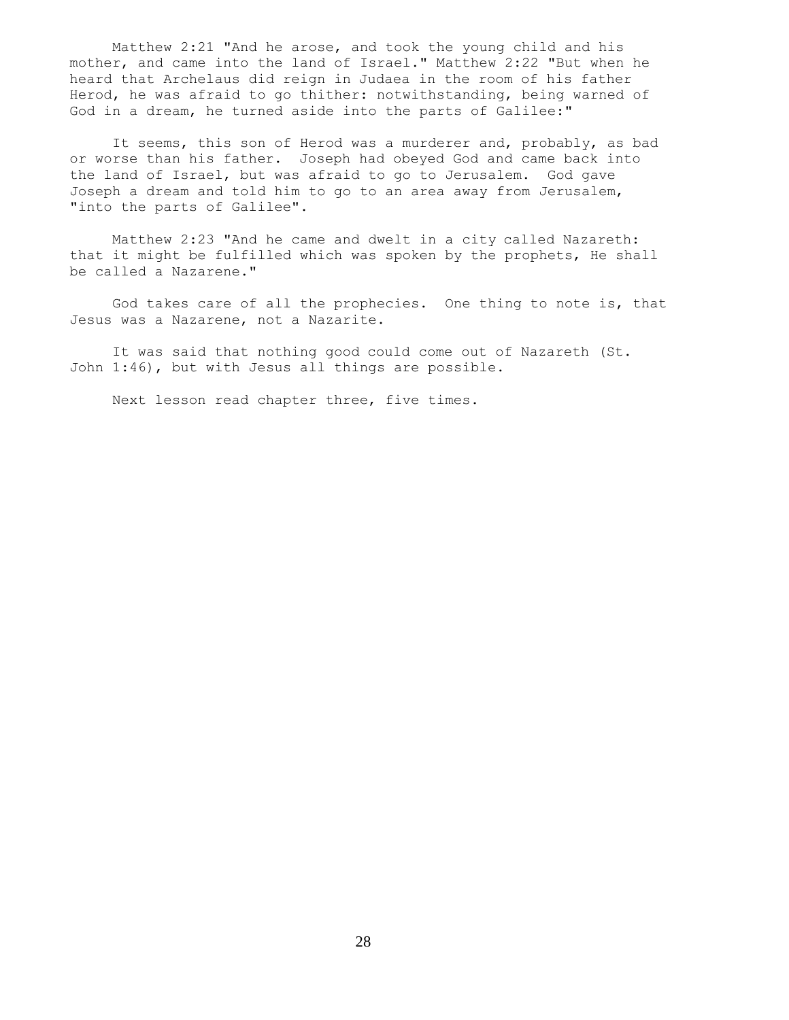Matthew 2:21 "And he arose, and took the young child and his mother, and came into the land of Israel." Matthew 2:22 "But when he heard that Archelaus did reign in Judaea in the room of his father Herod, he was afraid to go thither: notwithstanding, being warned of God in a dream, he turned aside into the parts of Galilee:"

 It seems, this son of Herod was a murderer and, probably, as bad or worse than his father. Joseph had obeyed God and came back into the land of Israel, but was afraid to go to Jerusalem. God gave Joseph a dream and told him to go to an area away from Jerusalem, "into the parts of Galilee".

 Matthew 2:23 "And he came and dwelt in a city called Nazareth: that it might be fulfilled which was spoken by the prophets, He shall be called a Nazarene."

 God takes care of all the prophecies. One thing to note is, that Jesus was a Nazarene, not a Nazarite.

 It was said that nothing good could come out of Nazareth (St. John 1:46), but with Jesus all things are possible.

Next lesson read chapter three, five times.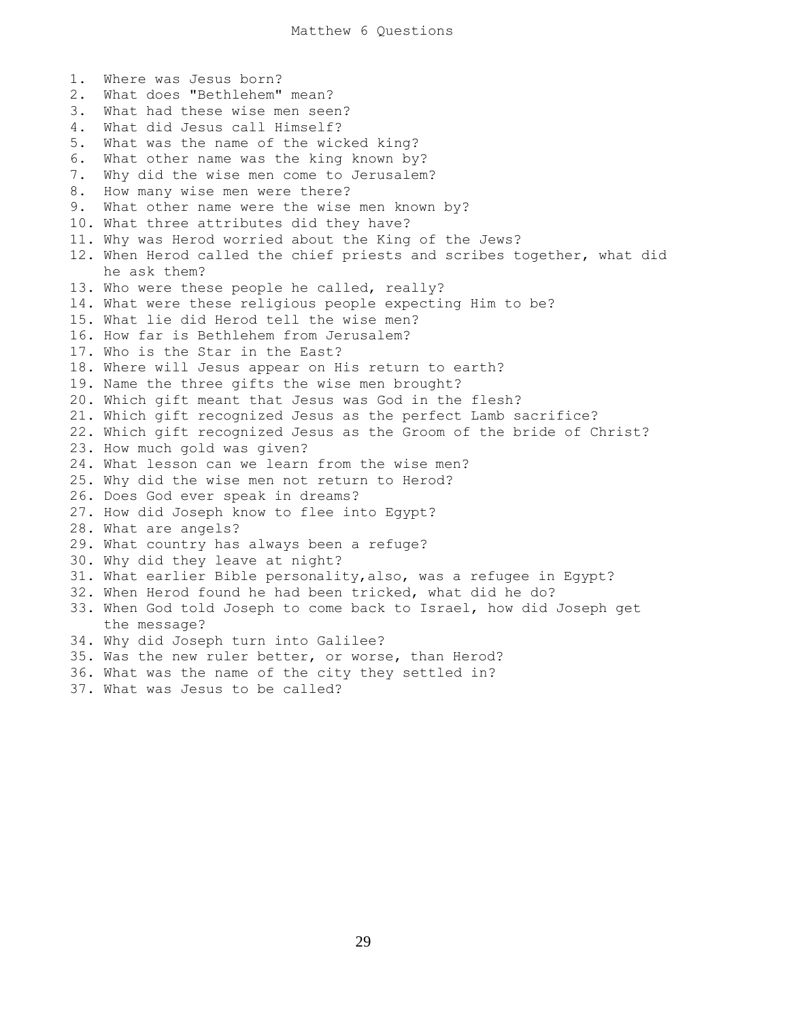1. Where was Jesus born? 2. What does "Bethlehem" mean? 3. What had these wise men seen? 4. What did Jesus call Himself? 5. What was the name of the wicked king? 6. What other name was the king known by? 7. Why did the wise men come to Jerusalem? 8. How many wise men were there? 9. What other name were the wise men known by? 10. What three attributes did they have? 11. Why was Herod worried about the King of the Jews? 12. When Herod called the chief priests and scribes together, what did he ask them? 13. Who were these people he called, really? l4. What were these religious people expecting Him to be? 15. What lie did Herod tell the wise men? 16. How far is Bethlehem from Jerusalem? 17. Who is the Star in the East? 18. Where will Jesus appear on His return to earth? 19. Name the three gifts the wise men brought? 20. Which gift meant that Jesus was God in the flesh? 21. Which gift recognized Jesus as the perfect Lamb sacrifice? 22. Which gift recognized Jesus as the Groom of the bride of Christ? 23. How much gold was given? 24. What lesson can we learn from the wise men? 25. Why did the wise men not return to Herod? 26. Does God ever speak in dreams? 27. How did Joseph know to flee into Egypt? 28. What are angels? 29. What country has always been a refuge? 30. Why did they leave at night? 31. What earlier Bible personality,also, was a refugee in Egypt? 32. When Herod found he had been tricked, what did he do? 33. When God told Joseph to come back to Israel, how did Joseph get the message? 34. Why did Joseph turn into Galilee? 35. Was the new ruler better, or worse, than Herod? 36. What was the name of the city they settled in? 37. What was Jesus to be called?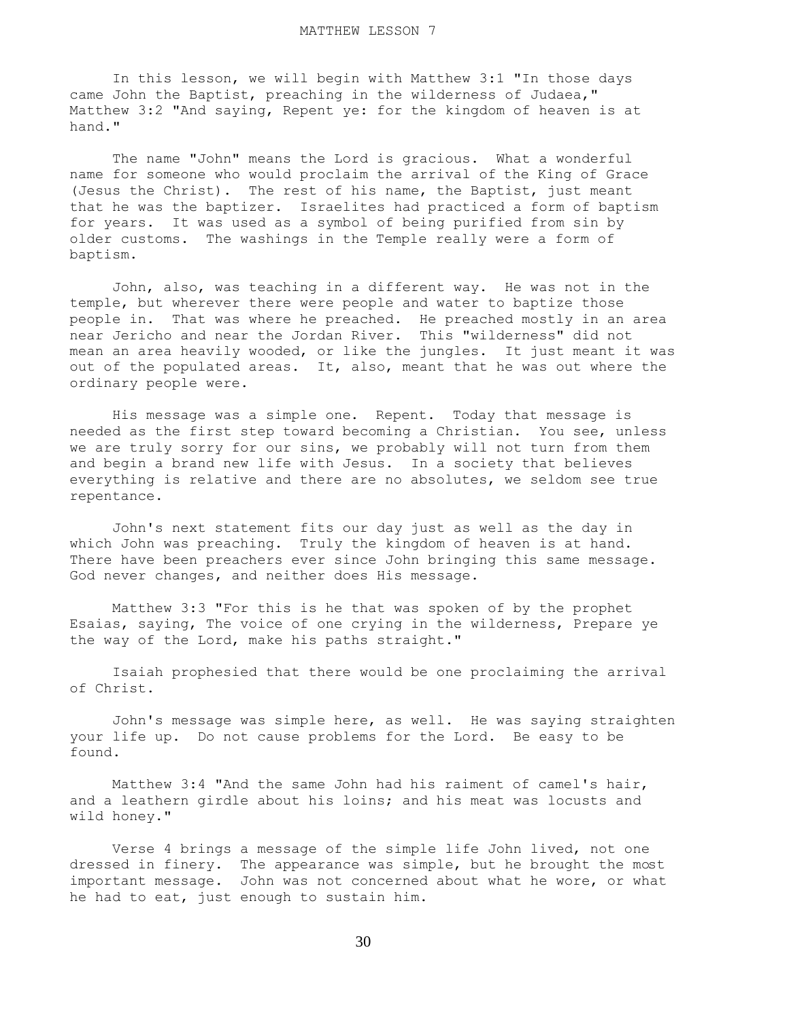In this lesson, we will begin with Matthew 3:1 "In those days came John the Baptist, preaching in the wilderness of Judaea," Matthew 3:2 "And saying, Repent ye: for the kingdom of heaven is at hand."

 The name "John" means the Lord is gracious. What a wonderful name for someone who would proclaim the arrival of the King of Grace (Jesus the Christ). The rest of his name, the Baptist, just meant that he was the baptizer. Israelites had practiced a form of baptism for years. It was used as a symbol of being purified from sin by older customs. The washings in the Temple really were a form of baptism.

 John, also, was teaching in a different way. He was not in the temple, but wherever there were people and water to baptize those people in. That was where he preached. He preached mostly in an area near Jericho and near the Jordan River. This "wilderness" did not mean an area heavily wooded, or like the jungles. It just meant it was out of the populated areas. It, also, meant that he was out where the ordinary people were.

 His message was a simple one. Repent. Today that message is needed as the first step toward becoming a Christian. You see, unless we are truly sorry for our sins, we probably will not turn from them and begin a brand new life with Jesus. In a society that believes everything is relative and there are no absolutes, we seldom see true repentance.

 John's next statement fits our day just as well as the day in which John was preaching. Truly the kingdom of heaven is at hand. There have been preachers ever since John bringing this same message. God never changes, and neither does His message.

 Matthew 3:3 "For this is he that was spoken of by the prophet Esaias, saying, The voice of one crying in the wilderness, Prepare ye the way of the Lord, make his paths straight."

 Isaiah prophesied that there would be one proclaiming the arrival of Christ.

 John's message was simple here, as well. He was saying straighten your life up. Do not cause problems for the Lord. Be easy to be found.

 Matthew 3:4 "And the same John had his raiment of camel's hair, and a leathern girdle about his loins; and his meat was locusts and wild honey."

 Verse 4 brings a message of the simple life John lived, not one dressed in finery. The appearance was simple, but he brought the most important message. John was not concerned about what he wore, or what he had to eat, just enough to sustain him.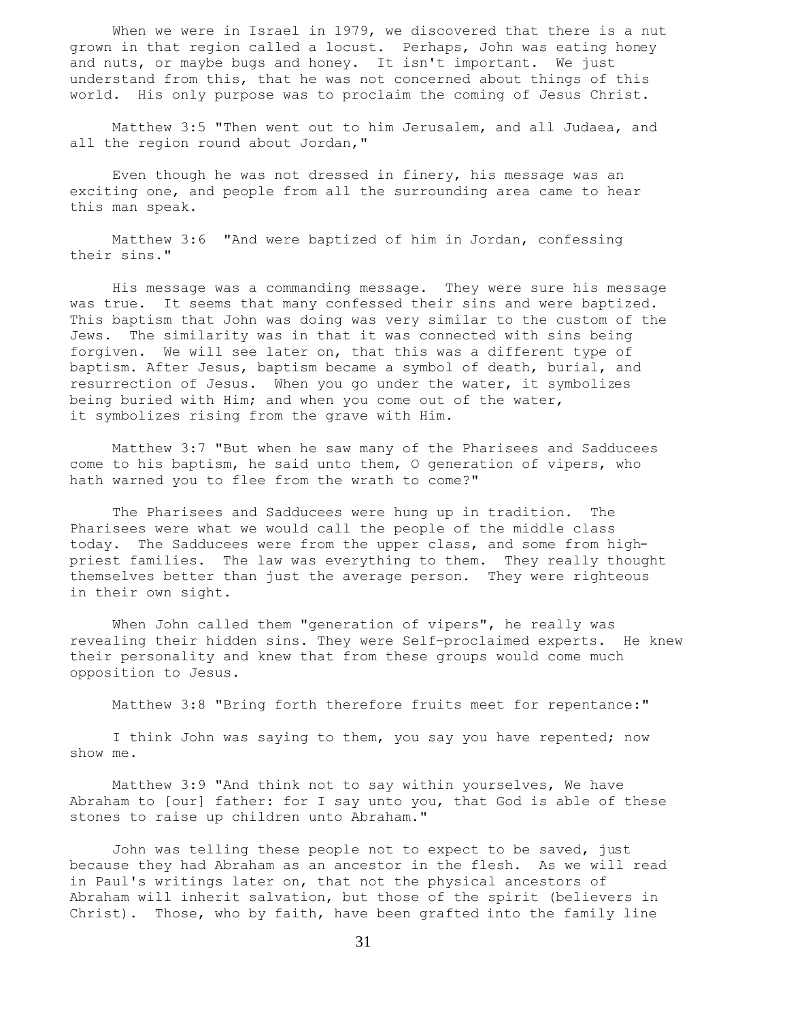When we were in Israel in 1979, we discovered that there is a nut grown in that region called a locust. Perhaps, John was eating honey and nuts, or maybe bugs and honey. It isn't important. We just understand from this, that he was not concerned about things of this world. His only purpose was to proclaim the coming of Jesus Christ.

 Matthew 3:5 "Then went out to him Jerusalem, and all Judaea, and all the region round about Jordan,"

 Even though he was not dressed in finery, his message was an exciting one, and people from all the surrounding area came to hear this man speak.

 Matthew 3:6 "And were baptized of him in Jordan, confessing their sins."

 His message was a commanding message. They were sure his message was true. It seems that many confessed their sins and were baptized. This baptism that John was doing was very similar to the custom of the Jews. The similarity was in that it was connected with sins being forgiven. We will see later on, that this was a different type of baptism. After Jesus, baptism became a symbol of death, burial, and resurrection of Jesus. When you go under the water, it symbolizes being buried with Him; and when you come out of the water, it symbolizes rising from the grave with Him.

 Matthew 3:7 "But when he saw many of the Pharisees and Sadducees come to his baptism, he said unto them, O generation of vipers, who hath warned you to flee from the wrath to come?"

 The Pharisees and Sadducees were hung up in tradition. The Pharisees were what we would call the people of the middle class today. The Sadducees were from the upper class, and some from highpriest families. The law was everything to them. They really thought themselves better than just the average person. They were righteous in their own sight.

 When John called them "generation of vipers", he really was revealing their hidden sins. They were Self-proclaimed experts. He knew their personality and knew that from these groups would come much opposition to Jesus.

Matthew 3:8 "Bring forth therefore fruits meet for repentance:"

I think John was saying to them, you say you have repented; now show me.

 Matthew 3:9 "And think not to say within yourselves, We have Abraham to [our] father: for I say unto you, that God is able of these stones to raise up children unto Abraham."

 John was telling these people not to expect to be saved, just because they had Abraham as an ancestor in the flesh. As we will read in Paul's writings later on, that not the physical ancestors of Abraham will inherit salvation, but those of the spirit (believers in Christ). Those, who by faith, have been grafted into the family line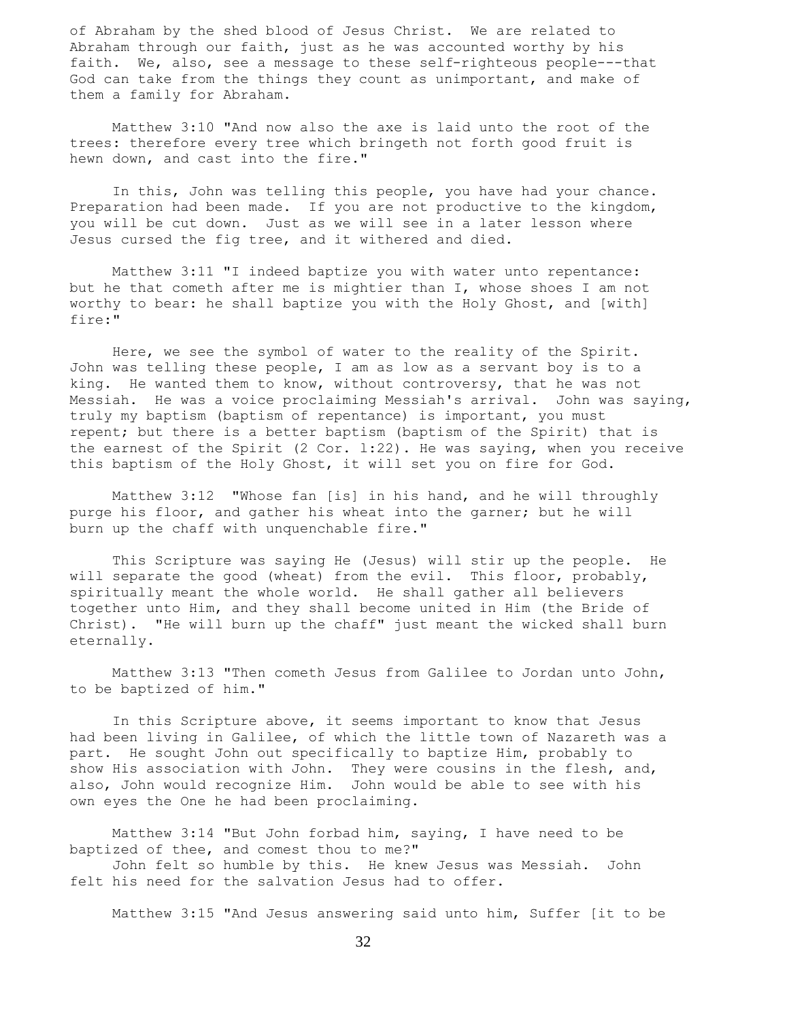of Abraham by the shed blood of Jesus Christ. We are related to Abraham through our faith, just as he was accounted worthy by his faith. We, also, see a message to these self-righteous people---that God can take from the things they count as unimportant, and make of them a family for Abraham.

 Matthew 3:10 "And now also the axe is laid unto the root of the trees: therefore every tree which bringeth not forth good fruit is hewn down, and cast into the fire."

 In this, John was telling this people, you have had your chance. Preparation had been made. If you are not productive to the kingdom, you will be cut down. Just as we will see in a later lesson where Jesus cursed the fig tree, and it withered and died.

 Matthew 3:11 "I indeed baptize you with water unto repentance: but he that cometh after me is mightier than I, whose shoes I am not worthy to bear: he shall baptize you with the Holy Ghost, and [with] fire:"

 Here, we see the symbol of water to the reality of the Spirit. John was telling these people, I am as low as a servant boy is to a king. He wanted them to know, without controversy, that he was not Messiah. He was a voice proclaiming Messiah's arrival. John was saying, truly my baptism (baptism of repentance) is important, you must repent; but there is a better baptism (baptism of the Spirit) that is the earnest of the Spirit (2 Cor. l:22). He was saying, when you receive this baptism of the Holy Ghost, it will set you on fire for God.

 Matthew 3:12 "Whose fan [is] in his hand, and he will throughly purge his floor, and gather his wheat into the garner; but he will burn up the chaff with unquenchable fire."

 This Scripture was saying He (Jesus) will stir up the people. He will separate the good (wheat) from the evil. This floor, probably, spiritually meant the whole world. He shall gather all believers together unto Him, and they shall become united in Him (the Bride of Christ). "He will burn up the chaff" just meant the wicked shall burn eternally.

 Matthew 3:13 "Then cometh Jesus from Galilee to Jordan unto John, to be baptized of him."

 In this Scripture above, it seems important to know that Jesus had been living in Galilee, of which the little town of Nazareth was a part. He sought John out specifically to baptize Him, probably to show His association with John. They were cousins in the flesh, and, also, John would recognize Him. John would be able to see with his own eyes the One he had been proclaiming.

 Matthew 3:14 "But John forbad him, saying, I have need to be baptized of thee, and comest thou to me?"

 John felt so humble by this. He knew Jesus was Messiah. John felt his need for the salvation Jesus had to offer.

Matthew 3:15 "And Jesus answering said unto him, Suffer [it to be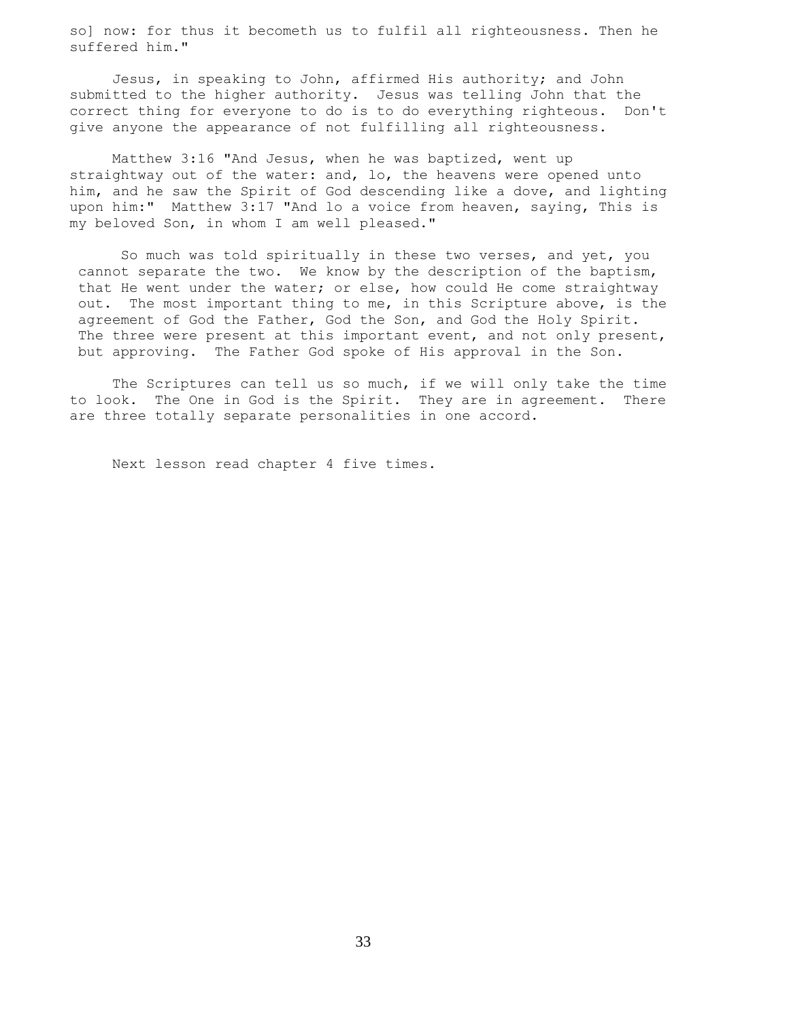so] now: for thus it becometh us to fulfil all righteousness. Then he suffered him."

 Jesus, in speaking to John, affirmed His authority; and John submitted to the higher authority. Jesus was telling John that the correct thing for everyone to do is to do everything righteous. Don't give anyone the appearance of not fulfilling all righteousness.

 Matthew 3:16 "And Jesus, when he was baptized, went up straightway out of the water: and, lo, the heavens were opened unto him, and he saw the Spirit of God descending like a dove, and lighting upon him:" Matthew 3:17 "And lo a voice from heaven, saying, This is my beloved Son, in whom I am well pleased."

 So much was told spiritually in these two verses, and yet, you cannot separate the two. We know by the description of the baptism, that He went under the water; or else, how could He come straightway out. The most important thing to me, in this Scripture above, is the agreement of God the Father, God the Son, and God the Holy Spirit. The three were present at this important event, and not only present, but approving. The Father God spoke of His approval in the Son.

 The Scriptures can tell us so much, if we will only take the time to look. The One in God is the Spirit. They are in agreement. There are three totally separate personalities in one accord.

Next lesson read chapter 4 five times.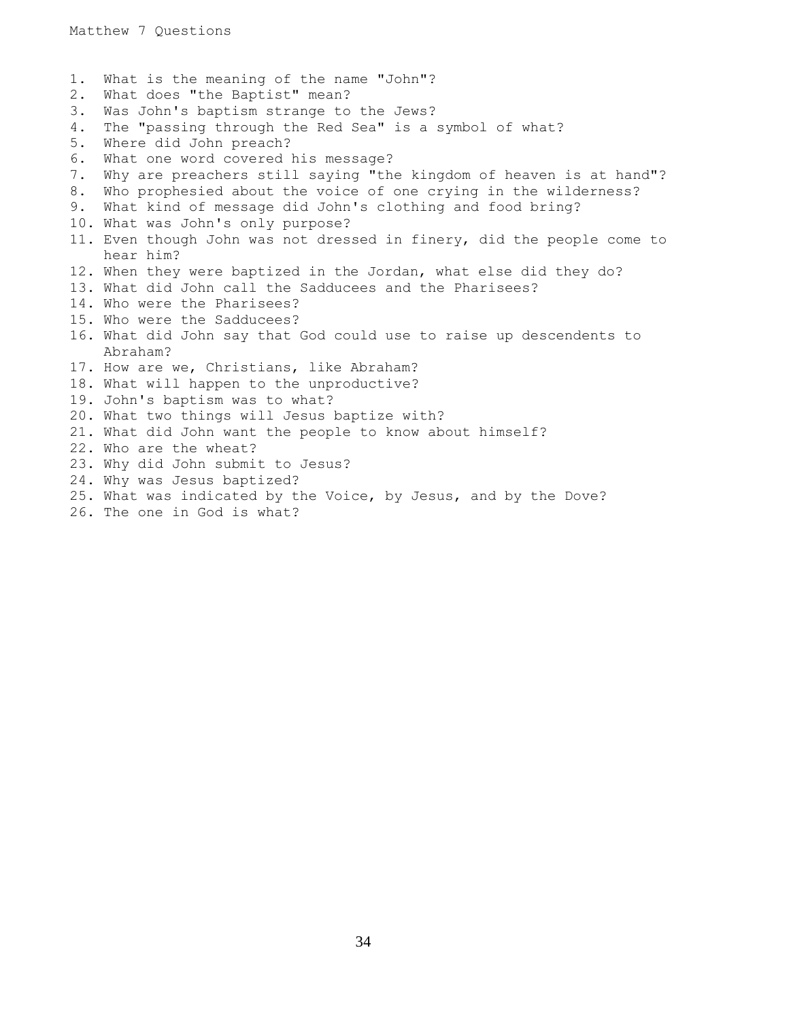1. What is the meaning of the name "John"? 2. What does "the Baptist" mean? 3. Was John's baptism strange to the Jews? 4. The "passing through the Red Sea" is a symbol of what? 5. Where did John preach? 6. What one word covered his message? 7. Why are preachers still saying "the kingdom of heaven is at hand"? 8. Who prophesied about the voice of one crying in the wilderness? 9. What kind of message did John's clothing and food bring? 10. What was John's only purpose? 11. Even though John was not dressed in finery, did the people come to hear him? 12. When they were baptized in the Jordan, what else did they do? 13. What did John call the Sadducees and the Pharisees? 14. Who were the Pharisees? 15. Who were the Sadducees? 16. What did John say that God could use to raise up descendents to Abraham? 17. How are we, Christians, like Abraham? 18. What will happen to the unproductive? 19. John's baptism was to what? 20. What two things will Jesus baptize with? 21. What did John want the people to know about himself? 22. Who are the wheat? 23. Why did John submit to Jesus? 24. Why was Jesus baptized? 25. What was indicated by the Voice, by Jesus, and by the Dove?

26. The one in God is what?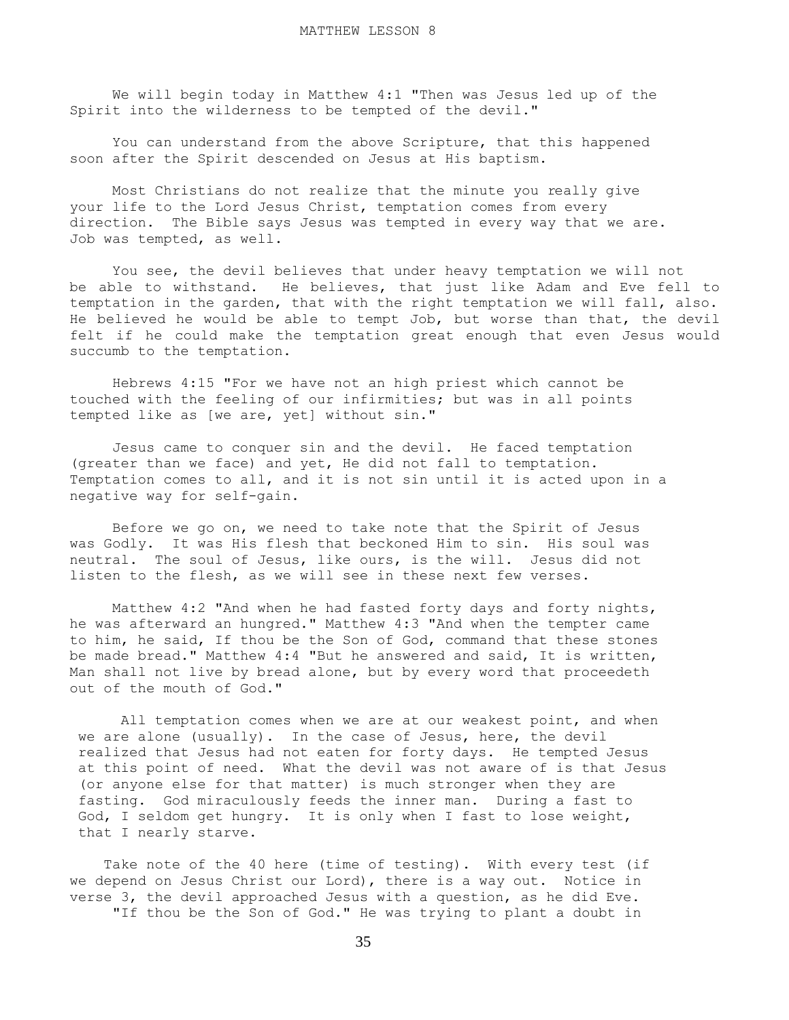We will begin today in Matthew 4:1 "Then was Jesus led up of the Spirit into the wilderness to be tempted of the devil."

 You can understand from the above Scripture, that this happened soon after the Spirit descended on Jesus at His baptism.

 Most Christians do not realize that the minute you really give your life to the Lord Jesus Christ, temptation comes from every direction. The Bible says Jesus was tempted in every way that we are. Job was tempted, as well.

 You see, the devil believes that under heavy temptation we will not be able to withstand. He believes, that just like Adam and Eve fell to temptation in the garden, that with the right temptation we will fall, also. He believed he would be able to tempt Job, but worse than that, the devil felt if he could make the temptation great enough that even Jesus would succumb to the temptation.

 Hebrews 4:15 "For we have not an high priest which cannot be touched with the feeling of our infirmities; but was in all points tempted like as [we are, yet] without sin."

 Jesus came to conquer sin and the devil. He faced temptation (greater than we face) and yet, He did not fall to temptation. Temptation comes to all, and it is not sin until it is acted upon in a negative way for self-gain.

 Before we go on, we need to take note that the Spirit of Jesus was Godly. It was His flesh that beckoned Him to sin. His soul was neutral. The soul of Jesus, like ours, is the will. Jesus did not listen to the flesh, as we will see in these next few verses.

 Matthew 4:2 "And when he had fasted forty days and forty nights, he was afterward an hungred." Matthew 4:3 "And when the tempter came to him, he said, If thou be the Son of God, command that these stones be made bread." Matthew 4:4 "But he answered and said, It is written, Man shall not live by bread alone, but by every word that proceedeth out of the mouth of God."

All temptation comes when we are at our weakest point, and when we are alone (usually). In the case of Jesus, here, the devil realized that Jesus had not eaten for forty days. He tempted Jesus at this point of need. What the devil was not aware of is that Jesus (or anyone else for that matter) is much stronger when they are fasting. God miraculously feeds the inner man. During a fast to God, I seldom get hungry. It is only when I fast to lose weight, that I nearly starve.

 Take note of the 40 here (time of testing). With every test (if we depend on Jesus Christ our Lord), there is a way out. Notice in verse 3, the devil approached Jesus with a question, as he did Eve. "If thou be the Son of God." He was trying to plant a doubt in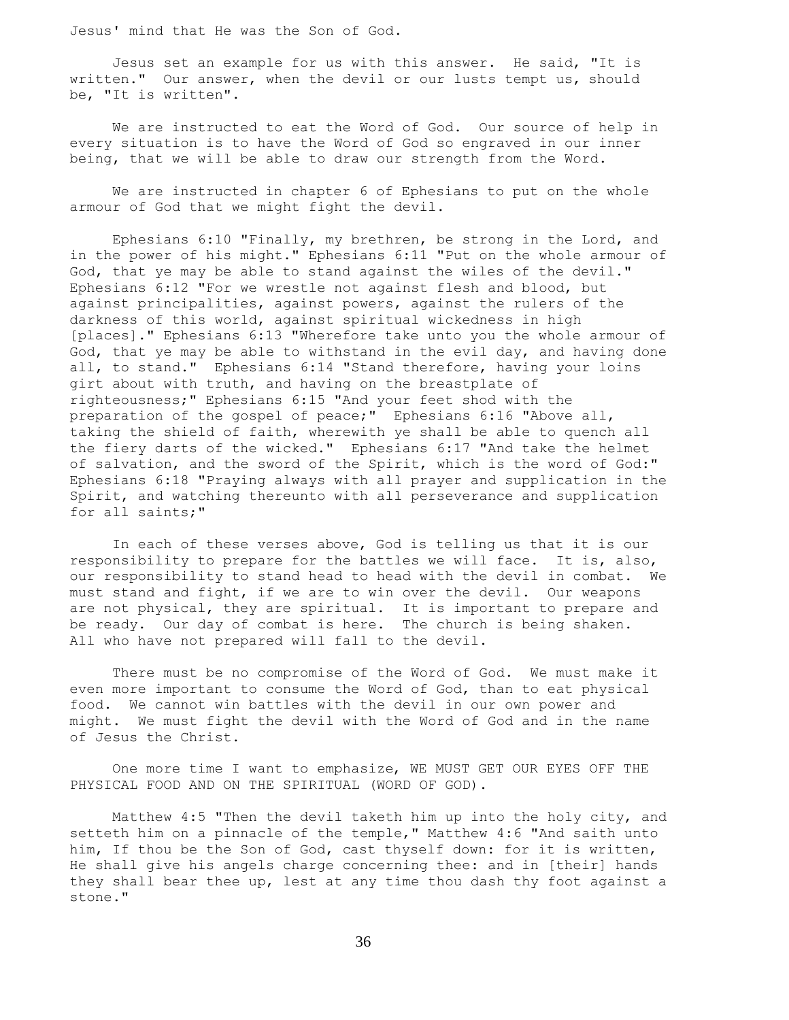Jesus' mind that He was the Son of God.

 Jesus set an example for us with this answer. He said, "It is written." Our answer, when the devil or our lusts tempt us, should be, "It is written".

 We are instructed to eat the Word of God. Our source of help in every situation is to have the Word of God so engraved in our inner being, that we will be able to draw our strength from the Word.

 We are instructed in chapter 6 of Ephesians to put on the whole armour of God that we might fight the devil.

 Ephesians 6:10 "Finally, my brethren, be strong in the Lord, and in the power of his might." Ephesians 6:11 "Put on the whole armour of God, that ye may be able to stand against the wiles of the devil." Ephesians 6:12 "For we wrestle not against flesh and blood, but against principalities, against powers, against the rulers of the darkness of this world, against spiritual wickedness in high [places]." Ephesians 6:13 "Wherefore take unto you the whole armour of God, that ye may be able to withstand in the evil day, and having done all, to stand." Ephesians 6:14 "Stand therefore, having your loins girt about with truth, and having on the breastplate of righteousness;" Ephesians 6:15 "And your feet shod with the preparation of the gospel of peace;" Ephesians 6:16 "Above all, taking the shield of faith, wherewith ye shall be able to quench all the fiery darts of the wicked." Ephesians 6:17 "And take the helmet of salvation, and the sword of the Spirit, which is the word of God:" Ephesians 6:18 "Praying always with all prayer and supplication in the Spirit, and watching thereunto with all perseverance and supplication for all saints;"

 In each of these verses above, God is telling us that it is our responsibility to prepare for the battles we will face. It is, also, our responsibility to stand head to head with the devil in combat. We must stand and fight, if we are to win over the devil. Our weapons are not physical, they are spiritual. It is important to prepare and be ready. Our day of combat is here. The church is being shaken. All who have not prepared will fall to the devil.

 There must be no compromise of the Word of God. We must make it even more important to consume the Word of God, than to eat physical food. We cannot win battles with the devil in our own power and might. We must fight the devil with the Word of God and in the name of Jesus the Christ.

 One more time I want to emphasize, WE MUST GET OUR EYES OFF THE PHYSICAL FOOD AND ON THE SPIRITUAL (WORD OF GOD).

 Matthew 4:5 "Then the devil taketh him up into the holy city, and setteth him on a pinnacle of the temple," Matthew 4:6 "And saith unto him, If thou be the Son of God, cast thyself down: for it is written, He shall give his angels charge concerning thee: and in [their] hands they shall bear thee up, lest at any time thou dash thy foot against a stone."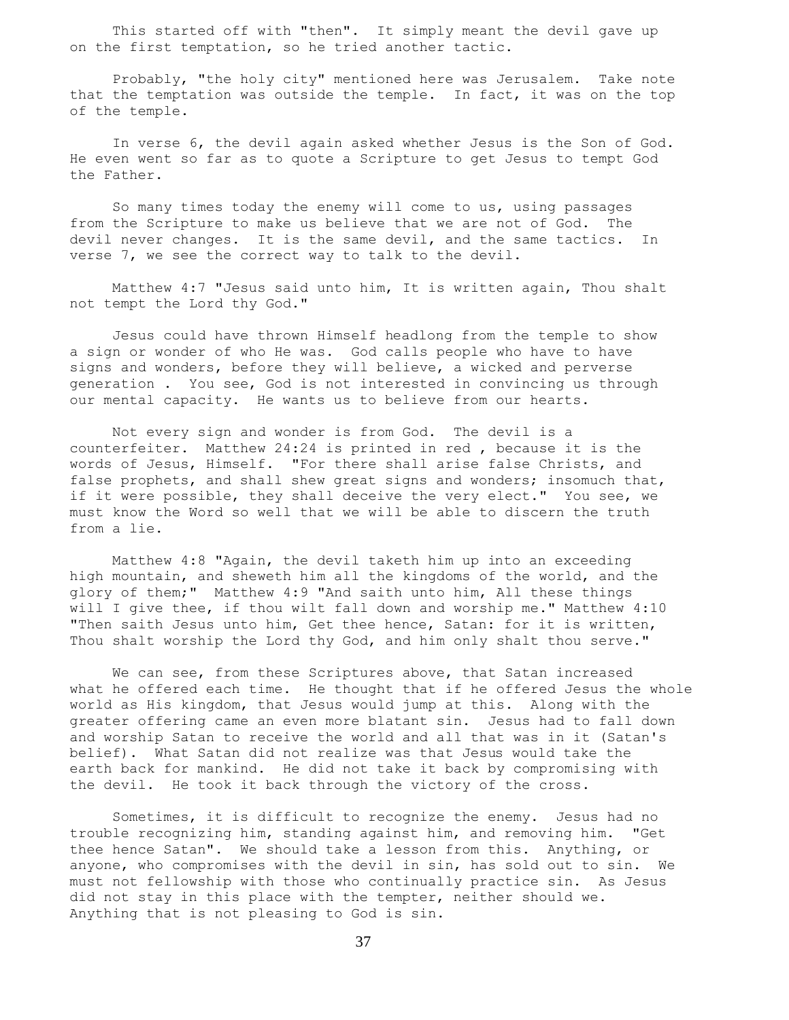This started off with "then". It simply meant the devil gave up on the first temptation, so he tried another tactic.

 Probably, "the holy city" mentioned here was Jerusalem. Take note that the temptation was outside the temple. In fact, it was on the top of the temple.

 In verse 6, the devil again asked whether Jesus is the Son of God. He even went so far as to quote a Scripture to get Jesus to tempt God the Father.

 So many times today the enemy will come to us, using passages from the Scripture to make us believe that we are not of God. The devil never changes. It is the same devil, and the same tactics. In verse 7, we see the correct way to talk to the devil.

 Matthew 4:7 "Jesus said unto him, It is written again, Thou shalt not tempt the Lord thy God."

 Jesus could have thrown Himself headlong from the temple to show a sign or wonder of who He was. God calls people who have to have signs and wonders, before they will believe, a wicked and perverse generation . You see, God is not interested in convincing us through our mental capacity. He wants us to believe from our hearts.

 Not every sign and wonder is from God. The devil is a counterfeiter. Matthew 24:24 is printed in red , because it is the words of Jesus, Himself. "For there shall arise false Christs, and false prophets, and shall shew great signs and wonders; insomuch that, if it were possible, they shall deceive the very elect." You see, we must know the Word so well that we will be able to discern the truth from a lie.

 Matthew 4:8 "Again, the devil taketh him up into an exceeding high mountain, and sheweth him all the kingdoms of the world, and the glory of them;" Matthew 4:9 "And saith unto him, All these things will I give thee, if thou wilt fall down and worship me." Matthew 4:10 "Then saith Jesus unto him, Get thee hence, Satan: for it is written, Thou shalt worship the Lord thy God, and him only shalt thou serve."

We can see, from these Scriptures above, that Satan increased what he offered each time. He thought that if he offered Jesus the whole world as His kingdom, that Jesus would jump at this. Along with the greater offering came an even more blatant sin. Jesus had to fall down and worship Satan to receive the world and all that was in it (Satan's belief). What Satan did not realize was that Jesus would take the earth back for mankind. He did not take it back by compromising with the devil. He took it back through the victory of the cross.

 Sometimes, it is difficult to recognize the enemy. Jesus had no trouble recognizing him, standing against him, and removing him. "Get thee hence Satan". We should take a lesson from this. Anything, or anyone, who compromises with the devil in sin, has sold out to sin. We must not fellowship with those who continually practice sin. As Jesus did not stay in this place with the tempter, neither should we. Anything that is not pleasing to God is sin.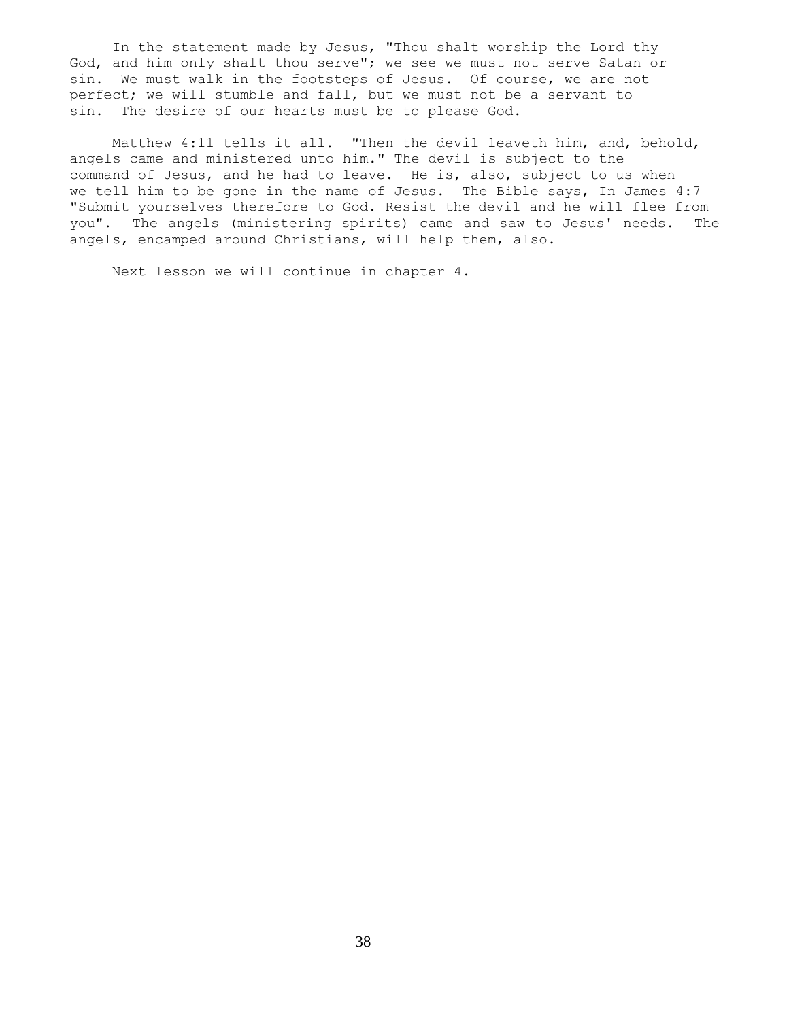In the statement made by Jesus, "Thou shalt worship the Lord thy God, and him only shalt thou serve"; we see we must not serve Satan or sin. We must walk in the footsteps of Jesus. Of course, we are not perfect; we will stumble and fall, but we must not be a servant to sin. The desire of our hearts must be to please God.

 Matthew 4:11 tells it all. "Then the devil leaveth him, and, behold, angels came and ministered unto him." The devil is subject to the command of Jesus, and he had to leave. He is, also, subject to us when we tell him to be gone in the name of Jesus. The Bible says, In James 4:7 "Submit yourselves therefore to God. Resist the devil and he will flee from you". The angels (ministering spirits) came and saw to Jesus' needs. The angels, encamped around Christians, will help them, also.

Next lesson we will continue in chapter 4.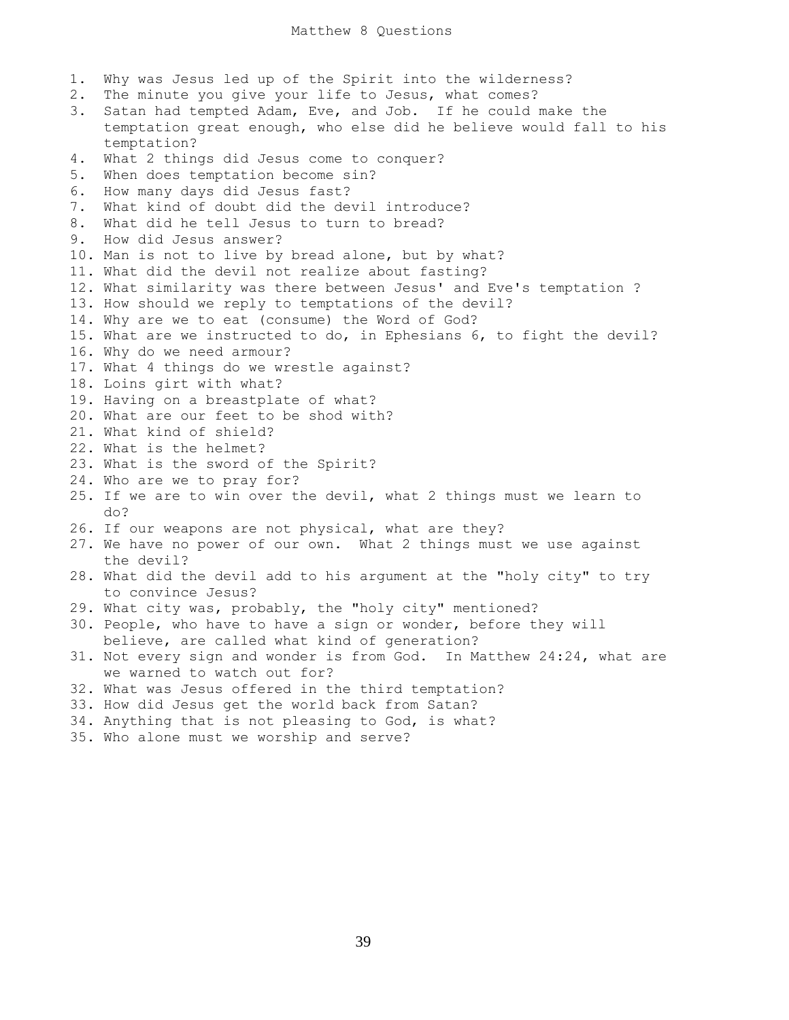1. Why was Jesus led up of the Spirit into the wilderness? 2. The minute you give your life to Jesus, what comes? 3. Satan had tempted Adam, Eve, and Job. If he could make the temptation great enough, who else did he believe would fall to his temptation? 4. What 2 things did Jesus come to conquer? 5. When does temptation become sin? 6. How many days did Jesus fast? 7. What kind of doubt did the devil introduce? 8. What did he tell Jesus to turn to bread? 9. How did Jesus answer? 10. Man is not to live by bread alone, but by what? 11. What did the devil not realize about fasting? 12. What similarity was there between Jesus' and Eve's temptation ? 13. How should we reply to temptations of the devil? 14. Why are we to eat (consume) the Word of God? 15. What are we instructed to do, in Ephesians 6, to fight the devil? 16. Why do we need armour? 17. What 4 things do we wrestle against? 18. Loins girt with what? 19. Having on a breastplate of what? 20. What are our feet to be shod with? 21. What kind of shield? 22. What is the helmet? 23. What is the sword of the Spirit? 24. Who are we to pray for? 25. If we are to win over the devil, what 2 things must we learn to do? 26. If our weapons are not physical, what are they? 27. We have no power of our own. What 2 things must we use against the devil? 28. What did the devil add to his argument at the "holy city" to try to convince Jesus? 29. What city was, probably, the "holy city" mentioned? 30. People, who have to have a sign or wonder, before they will believe, are called what kind of generation? 31. Not every sign and wonder is from God. In Matthew 24:24, what are we warned to watch out for? 32. What was Jesus offered in the third temptation? 33. How did Jesus get the world back from Satan? 34. Anything that is not pleasing to God, is what? 35. Who alone must we worship and serve?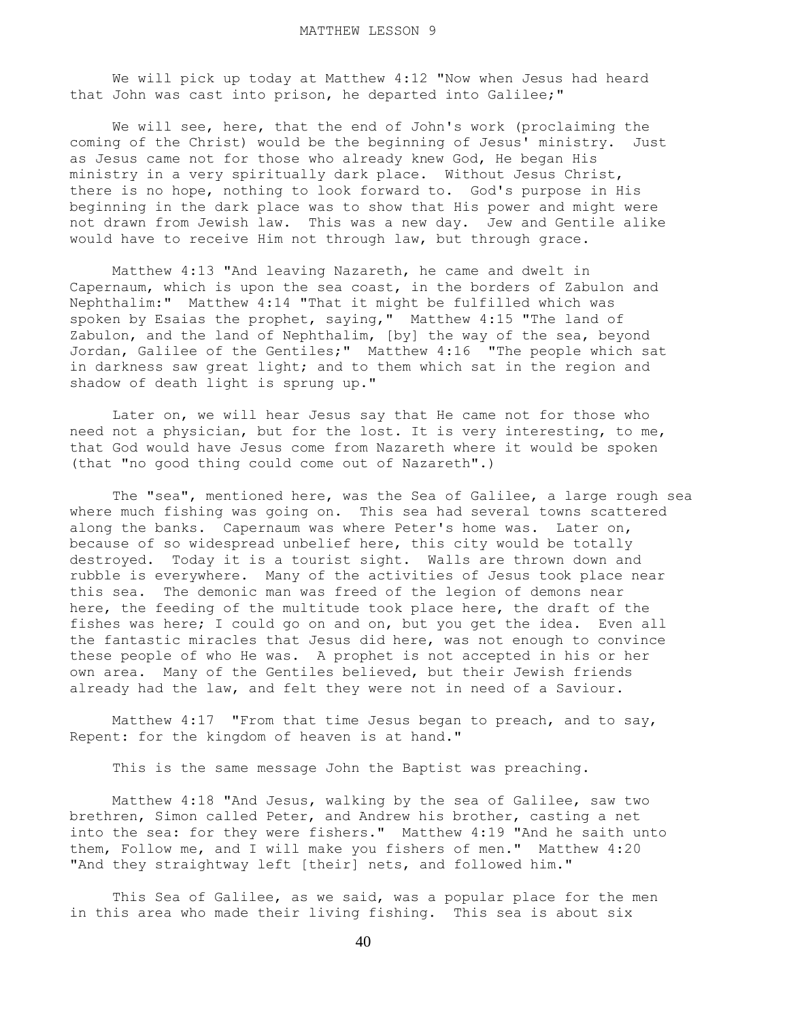We will pick up today at Matthew 4:12 "Now when Jesus had heard that John was cast into prison, he departed into Galilee;"

 We will see, here, that the end of John's work (proclaiming the coming of the Christ) would be the beginning of Jesus' ministry. Just as Jesus came not for those who already knew God, He began His ministry in a very spiritually dark place. Without Jesus Christ, there is no hope, nothing to look forward to. God's purpose in His beginning in the dark place was to show that His power and might were not drawn from Jewish law. This was a new day. Jew and Gentile alike would have to receive Him not through law, but through grace.

 Matthew 4:13 "And leaving Nazareth, he came and dwelt in Capernaum, which is upon the sea coast, in the borders of Zabulon and Nephthalim:" Matthew 4:14 "That it might be fulfilled which was spoken by Esaias the prophet, saying," Matthew 4:15 "The land of Zabulon, and the land of Nephthalim, [by] the way of the sea, beyond Jordan, Galilee of the Gentiles;" Matthew 4:16 "The people which sat in darkness saw great light; and to them which sat in the region and shadow of death light is sprung up."

 Later on, we will hear Jesus say that He came not for those who need not a physician, but for the lost. It is very interesting, to me, that God would have Jesus come from Nazareth where it would be spoken (that "no good thing could come out of Nazareth".)

 The "sea", mentioned here, was the Sea of Galilee, a large rough sea where much fishing was going on. This sea had several towns scattered along the banks. Capernaum was where Peter's home was. Later on, because of so widespread unbelief here, this city would be totally destroyed. Today it is a tourist sight. Walls are thrown down and rubble is everywhere. Many of the activities of Jesus took place near this sea. The demonic man was freed of the legion of demons near here, the feeding of the multitude took place here, the draft of the fishes was here; I could go on and on, but you get the idea. Even all the fantastic miracles that Jesus did here, was not enough to convince these people of who He was. A prophet is not accepted in his or her own area. Many of the Gentiles believed, but their Jewish friends already had the law, and felt they were not in need of a Saviour.

Matthew 4:17 "From that time Jesus began to preach, and to say, Repent: for the kingdom of heaven is at hand."

This is the same message John the Baptist was preaching.

 Matthew 4:18 "And Jesus, walking by the sea of Galilee, saw two brethren, Simon called Peter, and Andrew his brother, casting a net into the sea: for they were fishers." Matthew 4:19 "And he saith unto them, Follow me, and I will make you fishers of men." Matthew 4:20 "And they straightway left [their] nets, and followed him."

This Sea of Galilee, as we said, was a popular place for the men in this area who made their living fishing. This sea is about six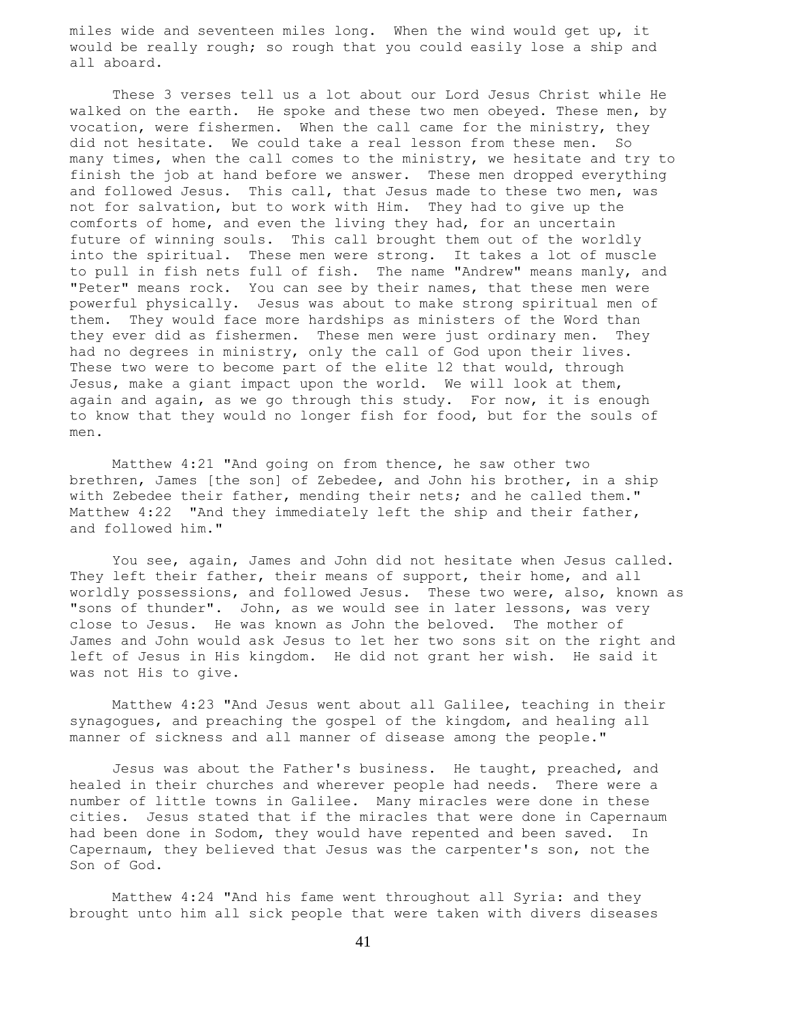miles wide and seventeen miles long. When the wind would get up, it would be really rough; so rough that you could easily lose a ship and all aboard.

 These 3 verses tell us a lot about our Lord Jesus Christ while He walked on the earth. He spoke and these two men obeyed. These men, by vocation, were fishermen. When the call came for the ministry, they did not hesitate. We could take a real lesson from these men. So many times, when the call comes to the ministry, we hesitate and try to finish the job at hand before we answer. These men dropped everything and followed Jesus. This call, that Jesus made to these two men, was not for salvation, but to work with Him. They had to give up the comforts of home, and even the living they had, for an uncertain future of winning souls. This call brought them out of the worldly into the spiritual. These men were strong. It takes a lot of muscle to pull in fish nets full of fish. The name "Andrew" means manly, and "Peter" means rock. You can see by their names, that these men were powerful physically. Jesus was about to make strong spiritual men of them. They would face more hardships as ministers of the Word than they ever did as fishermen. These men were just ordinary men. They had no degrees in ministry, only the call of God upon their lives. These two were to become part of the elite l2 that would, through Jesus, make a giant impact upon the world. We will look at them, again and again, as we go through this study. For now, it is enough to know that they would no longer fish for food, but for the souls of men.

 Matthew 4:21 "And going on from thence, he saw other two brethren, James [the son] of Zebedee, and John his brother, in a ship with Zebedee their father, mending their nets; and he called them." Matthew 4:22 "And they immediately left the ship and their father, and followed him."

 You see, again, James and John did not hesitate when Jesus called. They left their father, their means of support, their home, and all worldly possessions, and followed Jesus. These two were, also, known as "sons of thunder". John, as we would see in later lessons, was very close to Jesus. He was known as John the beloved. The mother of James and John would ask Jesus to let her two sons sit on the right and left of Jesus in His kingdom. He did not grant her wish. He said it was not His to give.

 Matthew 4:23 "And Jesus went about all Galilee, teaching in their synagogues, and preaching the gospel of the kingdom, and healing all manner of sickness and all manner of disease among the people."

 Jesus was about the Father's business. He taught, preached, and healed in their churches and wherever people had needs. There were a number of little towns in Galilee. Many miracles were done in these cities. Jesus stated that if the miracles that were done in Capernaum had been done in Sodom, they would have repented and been saved. In Capernaum, they believed that Jesus was the carpenter's son, not the Son of God.

 Matthew 4:24 "And his fame went throughout all Syria: and they brought unto him all sick people that were taken with divers diseases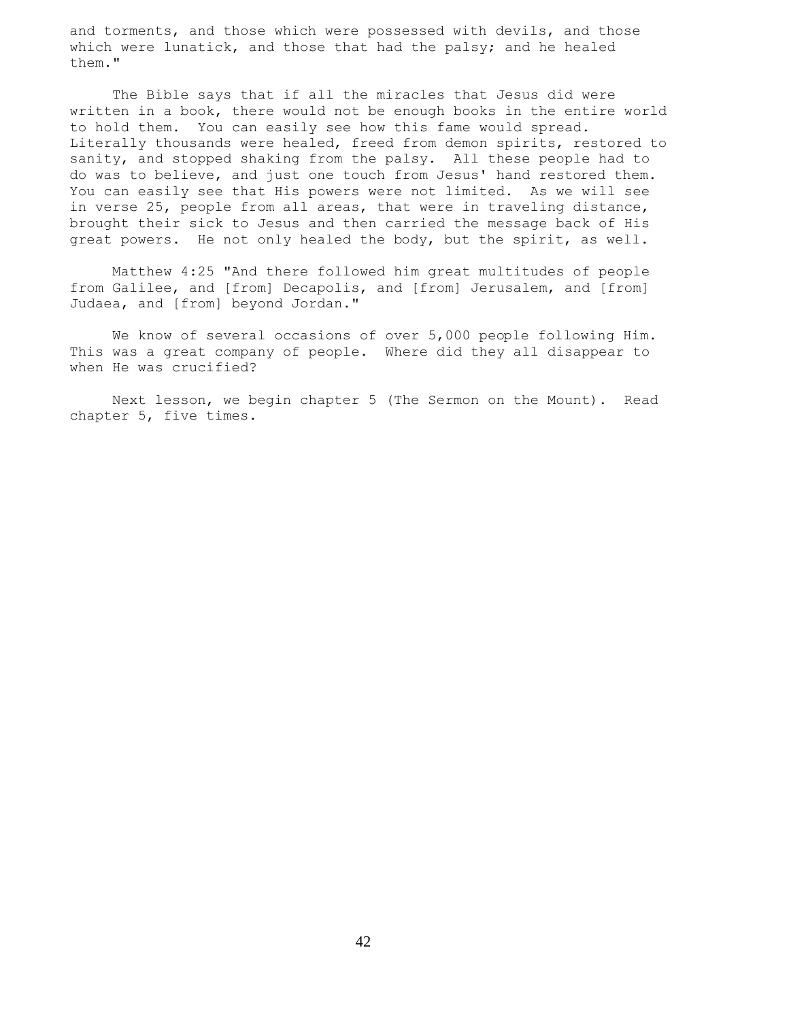and torments, and those which were possessed with devils, and those which were lunatick, and those that had the palsy; and he healed them."

 The Bible says that if all the miracles that Jesus did were written in a book, there would not be enough books in the entire world to hold them. You can easily see how this fame would spread. Literally thousands were healed, freed from demon spirits, restored to sanity, and stopped shaking from the palsy. All these people had to do was to believe, and just one touch from Jesus' hand restored them. You can easily see that His powers were not limited. As we will see in verse 25, people from all areas, that were in traveling distance, brought their sick to Jesus and then carried the message back of His great powers. He not only healed the body, but the spirit, as well.

 Matthew 4:25 "And there followed him great multitudes of people from Galilee, and [from] Decapolis, and [from] Jerusalem, and [from] Judaea, and [from] beyond Jordan."

 We know of several occasions of over 5,000 people following Him. This was a great company of people. Where did they all disappear to when He was crucified?

 Next lesson, we begin chapter 5 (The Sermon on the Mount). Read chapter 5, five times.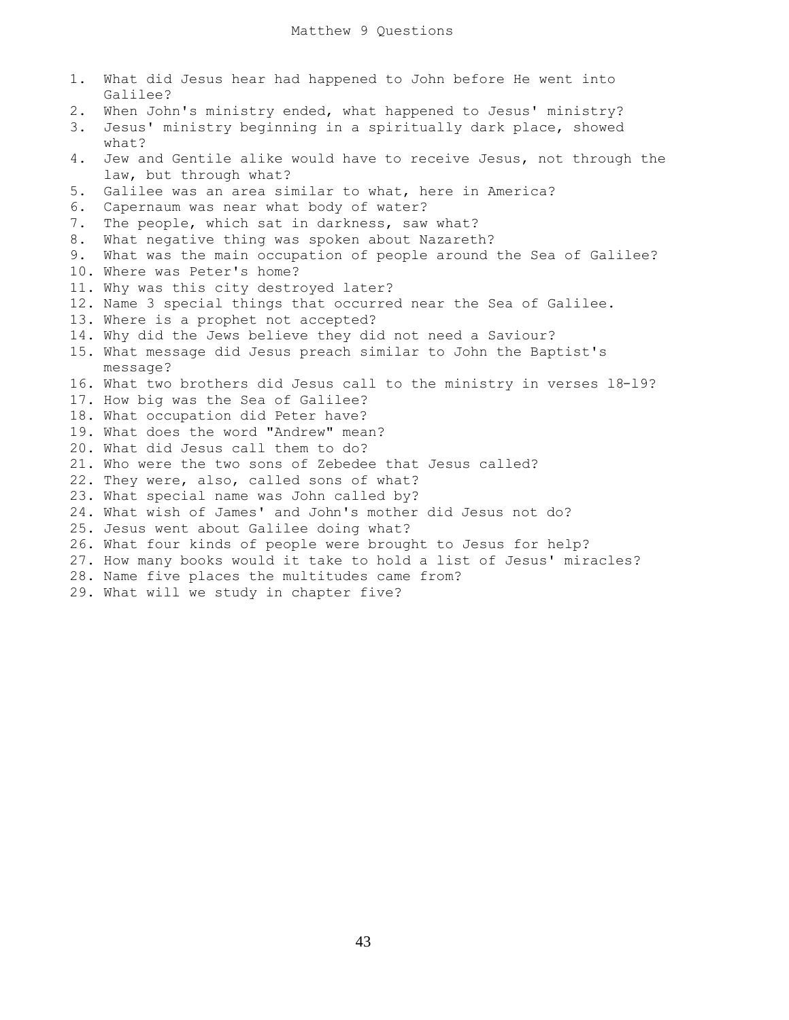| 1. | What did Jesus hear had happened to John before He went into<br>Galilee? |
|----|--------------------------------------------------------------------------|
| 2. | When John's ministry ended, what happened to Jesus' ministry?            |
| 3. | Jesus' ministry beginning in a spiritually dark place, showed            |
|    | what?                                                                    |
| 4. | Jew and Gentile alike would have to receive Jesus, not through the       |
|    | law, but through what?                                                   |
| 5. | Galilee was an area similar to what, here in America?                    |
| 6. | Capernaum was near what body of water?                                   |
| 7. | The people, which sat in darkness, saw what?                             |
| 8. | What negative thing was spoken about Nazareth?                           |
| 9. | What was the main occupation of people around the Sea of Galilee?        |
|    | 10. Where was Peter's home?                                              |
|    | 11. Why was this city destroyed later?                                   |
|    | 12. Name 3 special things that occurred near the Sea of Galilee.         |
|    | 13. Where is a prophet not accepted?                                     |
|    | 14. Why did the Jews believe they did not need a Saviour?                |
|    | 15. What message did Jesus preach similar to John the Baptist's          |
|    | message?                                                                 |
|    | 16. What two brothers did Jesus call to the ministry in verses 18-19?    |
|    | 17. How big was the Sea of Galilee?                                      |
|    | 18. What occupation did Peter have?                                      |
|    | 19. What does the word "Andrew" mean?                                    |
|    | 20. What did Jesus call them to do?                                      |
|    | 21. Who were the two sons of Zebedee that Jesus called?                  |
|    | 22. They were, also, called sons of what?                                |
|    | 23. What special name was John called by?                                |
|    | 24. What wish of James' and John's mother did Jesus not do?              |
|    | 25. Jesus went about Galilee doing what?                                 |
|    | 26. What four kinds of people were brought to Jesus for help?            |
|    | 27. How many books would it take to hold a list of Jesus' miracles?      |
|    | 28. Name five places the multitudes came from?                           |
|    | 29. What will we study in chapter five?                                  |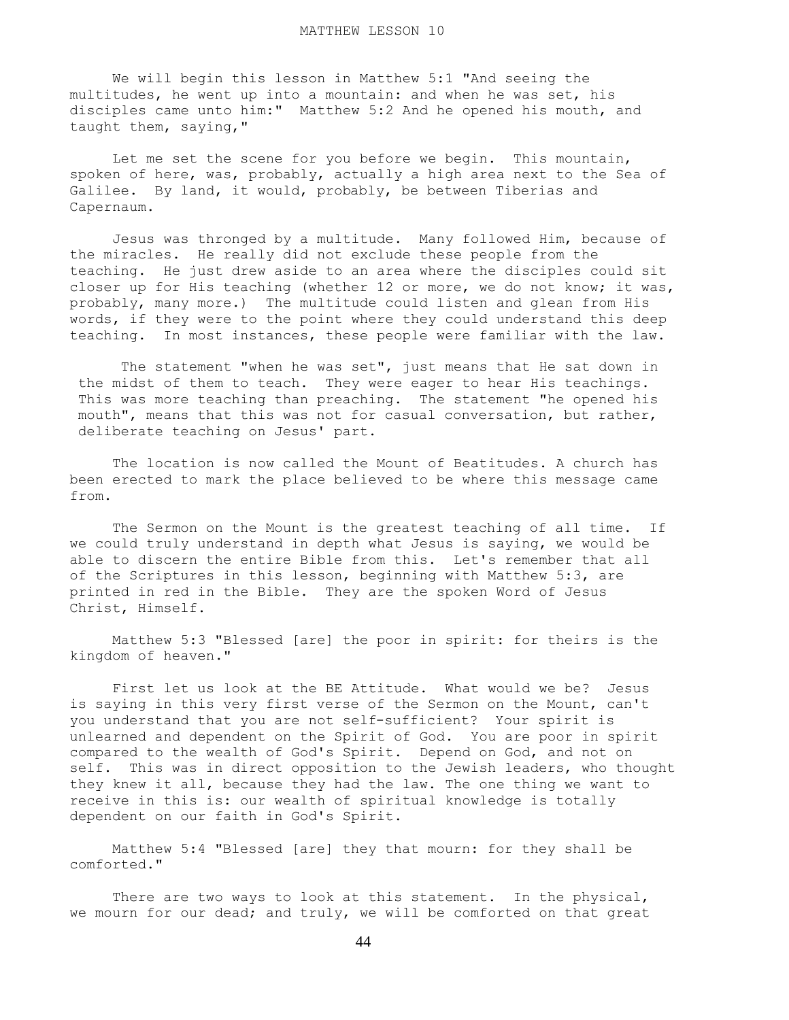We will begin this lesson in Matthew 5:1 "And seeing the multitudes, he went up into a mountain: and when he was set, his disciples came unto him:" Matthew 5:2 And he opened his mouth, and taught them, saying,"

 Let me set the scene for you before we begin. This mountain, spoken of here, was, probably, actually a high area next to the Sea of Galilee. By land, it would, probably, be between Tiberias and Capernaum.

 Jesus was thronged by a multitude. Many followed Him, because of the miracles. He really did not exclude these people from the teaching. He just drew aside to an area where the disciples could sit closer up for His teaching (whether 12 or more, we do not know; it was, probably, many more.) The multitude could listen and glean from His words, if they were to the point where they could understand this deep teaching. In most instances, these people were familiar with the law.

 The statement "when he was set", just means that He sat down in the midst of them to teach. They were eager to hear His teachings. This was more teaching than preaching. The statement "he opened his mouth", means that this was not for casual conversation, but rather, deliberate teaching on Jesus' part.

 The location is now called the Mount of Beatitudes. A church has been erected to mark the place believed to be where this message came from.

 The Sermon on the Mount is the greatest teaching of all time. If we could truly understand in depth what Jesus is saying, we would be able to discern the entire Bible from this. Let's remember that all of the Scriptures in this lesson, beginning with Matthew 5:3, are printed in red in the Bible. They are the spoken Word of Jesus Christ, Himself.

 Matthew 5:3 "Blessed [are] the poor in spirit: for theirs is the kingdom of heaven."

 First let us look at the BE Attitude. What would we be? Jesus is saying in this very first verse of the Sermon on the Mount, can't you understand that you are not self-sufficient? Your spirit is unlearned and dependent on the Spirit of God. You are poor in spirit compared to the wealth of God's Spirit. Depend on God, and not on self. This was in direct opposition to the Jewish leaders, who thought they knew it all, because they had the law. The one thing we want to receive in this is: our wealth of spiritual knowledge is totally dependent on our faith in God's Spirit.

 Matthew 5:4 "Blessed [are] they that mourn: for they shall be comforted."

There are two ways to look at this statement. In the physical, we mourn for our dead; and truly, we will be comforted on that great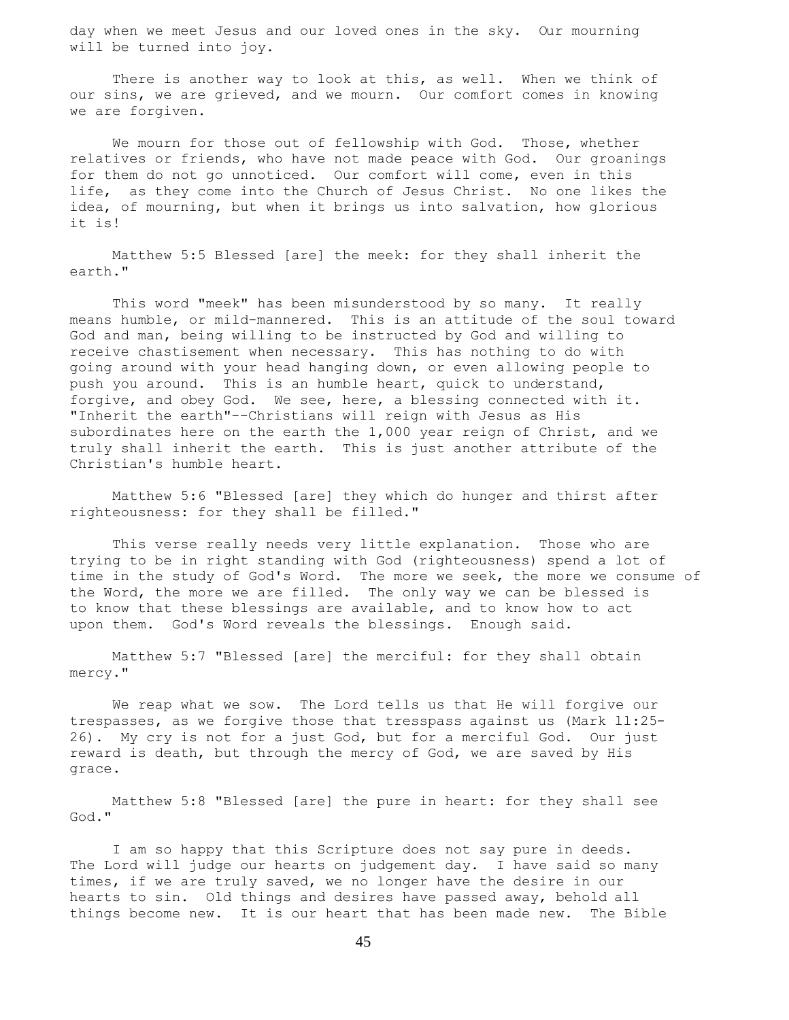day when we meet Jesus and our loved ones in the sky. Our mourning will be turned into joy.

There is another way to look at this, as well. When we think of our sins, we are grieved, and we mourn. Our comfort comes in knowing we are forgiven.

We mourn for those out of fellowship with God. Those, whether relatives or friends, who have not made peace with God. Our groanings for them do not go unnoticed. Our comfort will come, even in this life, as they come into the Church of Jesus Christ. No one likes the idea, of mourning, but when it brings us into salvation, how glorious it is!

 Matthew 5:5 Blessed [are] the meek: for they shall inherit the earth."

 This word "meek" has been misunderstood by so many. It really means humble, or mild-mannered. This is an attitude of the soul toward God and man, being willing to be instructed by God and willing to receive chastisement when necessary. This has nothing to do with going around with your head hanging down, or even allowing people to push you around. This is an humble heart, quick to understand, forgive, and obey God. We see, here, a blessing connected with it. "Inherit the earth"--Christians will reign with Jesus as His subordinates here on the earth the 1,000 year reign of Christ, and we truly shall inherit the earth. This is just another attribute of the Christian's humble heart.

 Matthew 5:6 "Blessed [are] they which do hunger and thirst after righteousness: for they shall be filled."

 This verse really needs very little explanation. Those who are trying to be in right standing with God (righteousness) spend a lot of time in the study of God's Word. The more we seek, the more we consume of the Word, the more we are filled. The only way we can be blessed is to know that these blessings are available, and to know how to act upon them. God's Word reveals the blessings. Enough said.

 Matthew 5:7 "Blessed [are] the merciful: for they shall obtain mercy."

 We reap what we sow. The Lord tells us that He will forgive our trespasses, as we forgive those that tresspass against us (Mark ll:25- 26). My cry is not for a just God, but for a merciful God. Our just reward is death, but through the mercy of God, we are saved by His grace.

 Matthew 5:8 "Blessed [are] the pure in heart: for they shall see God."

 I am so happy that this Scripture does not say pure in deeds. The Lord will judge our hearts on judgement day. I have said so many times, if we are truly saved, we no longer have the desire in our hearts to sin. Old things and desires have passed away, behold all things become new. It is our heart that has been made new. The Bible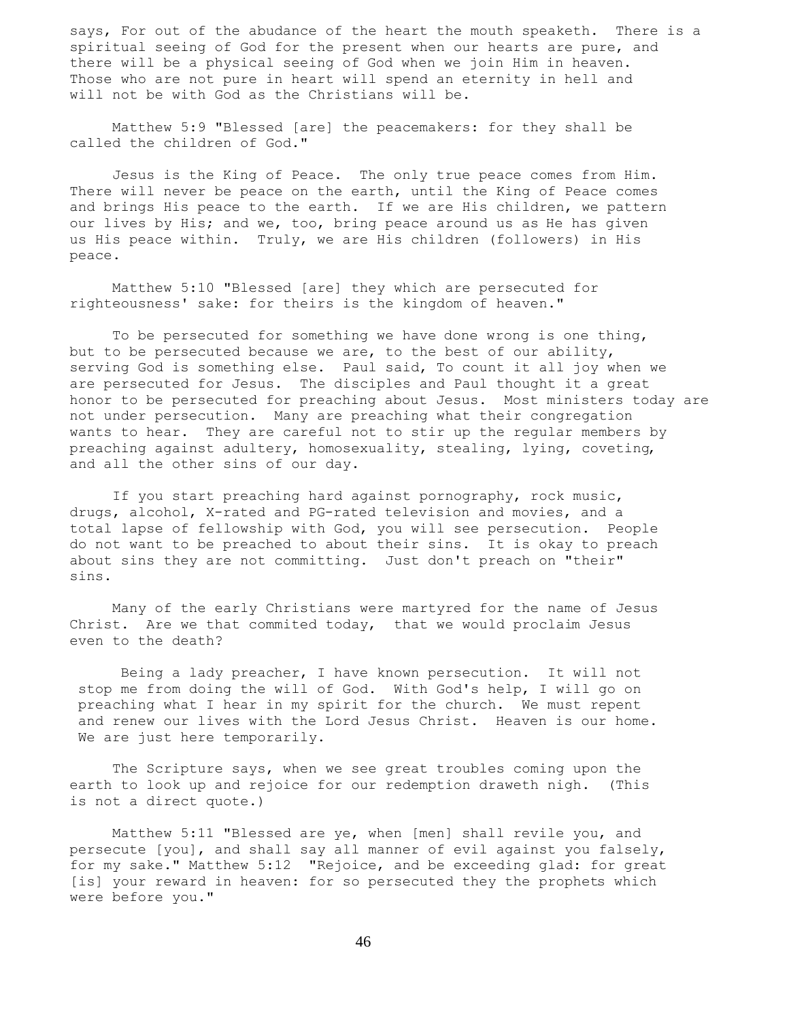says, For out of the abudance of the heart the mouth speaketh. There is a spiritual seeing of God for the present when our hearts are pure, and there will be a physical seeing of God when we join Him in heaven. Those who are not pure in heart will spend an eternity in hell and will not be with God as the Christians will be.

 Matthew 5:9 "Blessed [are] the peacemakers: for they shall be called the children of God."

 Jesus is the King of Peace. The only true peace comes from Him. There will never be peace on the earth, until the King of Peace comes and brings His peace to the earth. If we are His children, we pattern our lives by His; and we, too, bring peace around us as He has given us His peace within. Truly, we are His children (followers) in His peace.

 Matthew 5:10 "Blessed [are] they which are persecuted for righteousness' sake: for theirs is the kingdom of heaven."

 To be persecuted for something we have done wrong is one thing, but to be persecuted because we are, to the best of our ability, serving God is something else. Paul said, To count it all joy when we are persecuted for Jesus. The disciples and Paul thought it a great honor to be persecuted for preaching about Jesus. Most ministers today are not under persecution. Many are preaching what their congregation wants to hear. They are careful not to stir up the regular members by preaching against adultery, homosexuality, stealing, lying, coveting, and all the other sins of our day.

 If you start preaching hard against pornography, rock music, drugs, alcohol, X-rated and PG-rated television and movies, and a total lapse of fellowship with God, you will see persecution. People do not want to be preached to about their sins. It is okay to preach about sins they are not committing. Just don't preach on "their" sins.

 Many of the early Christians were martyred for the name of Jesus Christ. Are we that commited today, that we would proclaim Jesus even to the death?

 Being a lady preacher, I have known persecution. It will not stop me from doing the will of God. With God's help, I will go on preaching what I hear in my spirit for the church. We must repent and renew our lives with the Lord Jesus Christ. Heaven is our home. We are just here temporarily.

 The Scripture says, when we see great troubles coming upon the earth to look up and rejoice for our redemption draweth nigh. (This is not a direct quote.)

 Matthew 5:11 "Blessed are ye, when [men] shall revile you, and persecute [you], and shall say all manner of evil against you falsely, for my sake." Matthew 5:12 "Rejoice, and be exceeding glad: for great [is] your reward in heaven: for so persecuted they the prophets which were before you."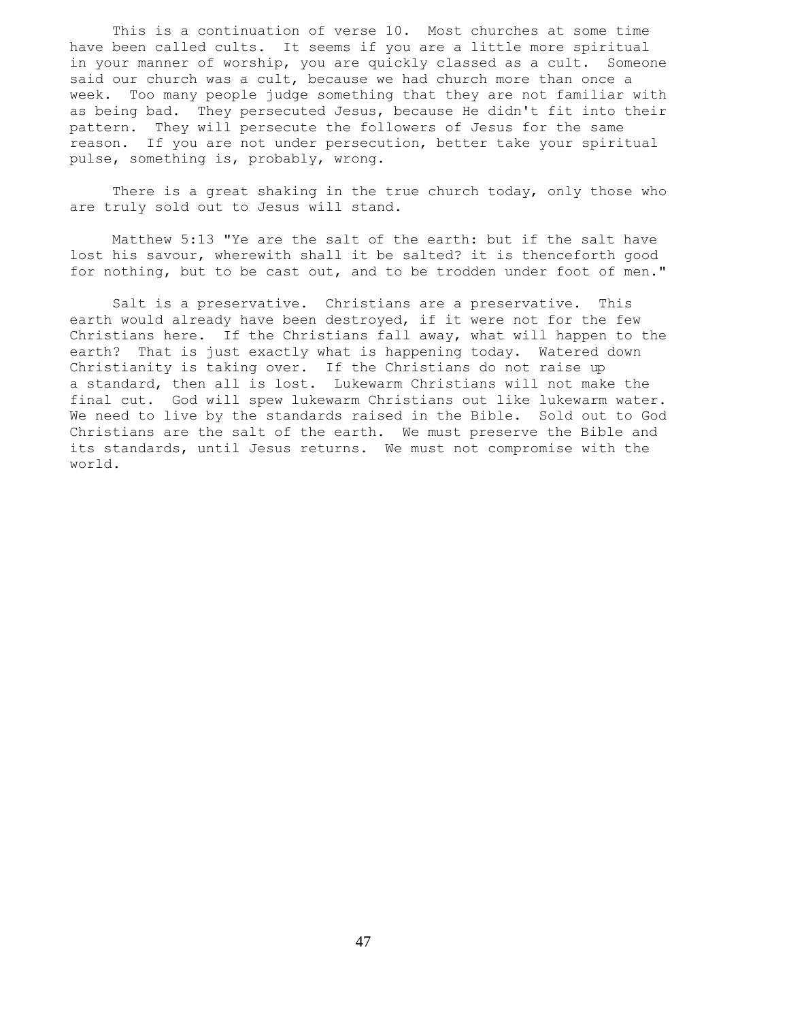This is a continuation of verse 10. Most churches at some time have been called cults. It seems if you are a little more spiritual in your manner of worship, you are quickly classed as a cult. Someone said our church was a cult, because we had church more than once a week. Too many people judge something that they are not familiar with as being bad. They persecuted Jesus, because He didn't fit into their pattern. They will persecute the followers of Jesus for the same reason. If you are not under persecution, better take your spiritual pulse, something is, probably, wrong.

 There is a great shaking in the true church today, only those who are truly sold out to Jesus will stand.

 Matthew 5:13 "Ye are the salt of the earth: but if the salt have lost his savour, wherewith shall it be salted? it is thenceforth good for nothing, but to be cast out, and to be trodden under foot of men."

 Salt is a preservative. Christians are a preservative. This earth would already have been destroyed, if it were not for the few Christians here. If the Christians fall away, what will happen to the earth? That is just exactly what is happening today. Watered down Christianity is taking over. If the Christians do not raise up a standard, then all is lost. Lukewarm Christians will not make the final cut. God will spew lukewarm Christians out like lukewarm water. We need to live by the standards raised in the Bible. Sold out to God Christians are the salt of the earth. We must preserve the Bible and its standards, until Jesus returns. We must not compromise with the world.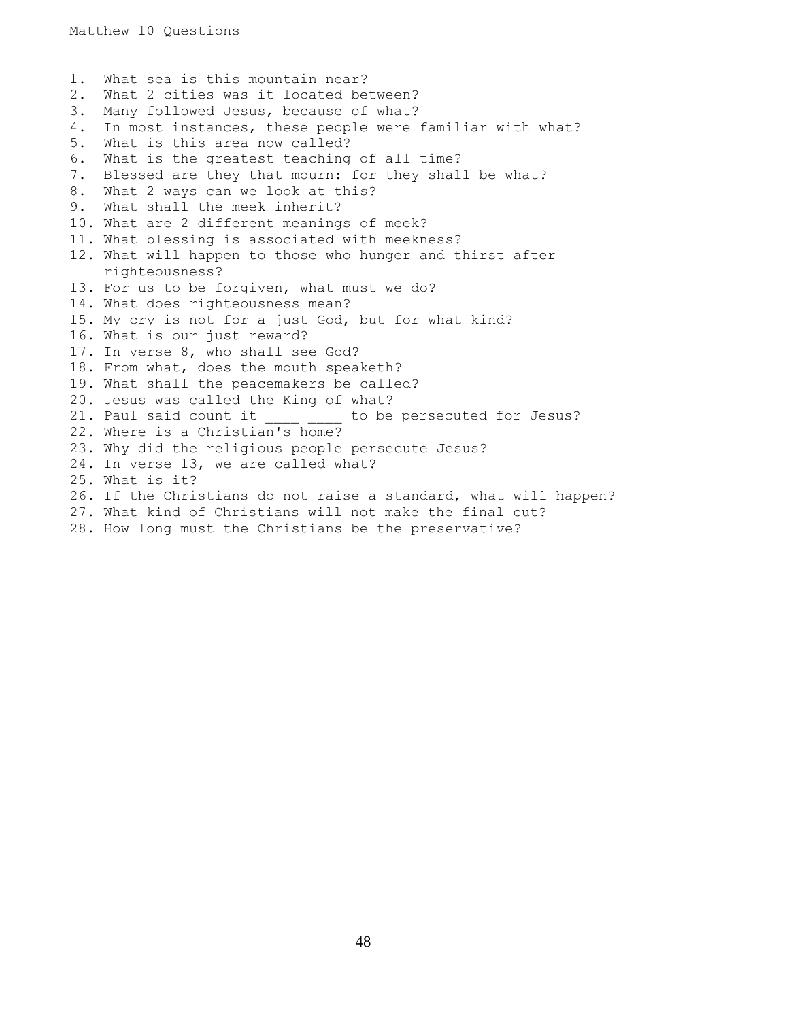1. What sea is this mountain near? 2. What 2 cities was it located between? 3. Many followed Jesus, because of what? 4. In most instances, these people were familiar with what? 5. What is this area now called? 6. What is the greatest teaching of all time? 7. Blessed are they that mourn: for they shall be what? 8. What 2 ways can we look at this? 9. What shall the meek inherit? 10. What are 2 different meanings of meek? 11. What blessing is associated with meekness? 12. What will happen to those who hunger and thirst after righteousness? 13. For us to be forgiven, what must we do? 14. What does righteousness mean? 15. My cry is not for a just God, but for what kind? 16. What is our just reward? 17. In verse 8, who shall see God? 18. From what, does the mouth speaketh? 19. What shall the peacemakers be called? 20. Jesus was called the King of what? 21. Paul said count it \_\_\_\_ \_\_\_\_ to be persecuted for Jesus? 22. Where is a Christian's home? 23. Why did the religious people persecute Jesus? 24. In verse 13, we are called what? 25. What is it? 26. If the Christians do not raise a standard, what will happen? 27. What kind of Christians will not make the final cut? 28. How long must the Christians be the preservative?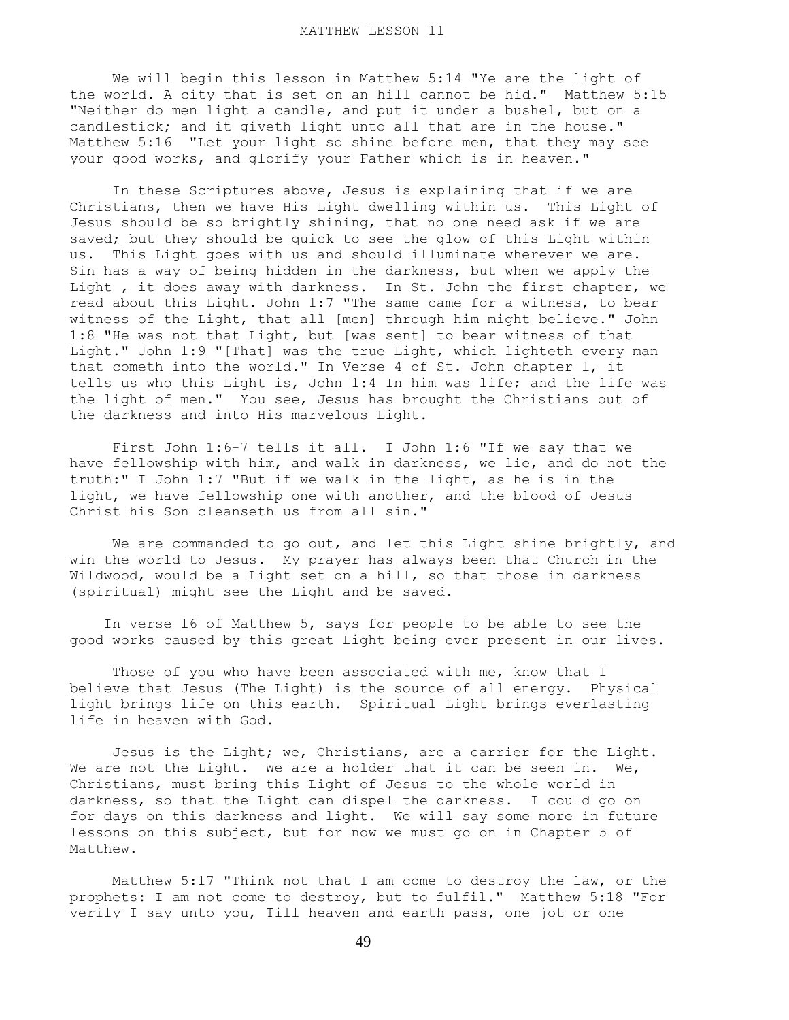We will begin this lesson in Matthew 5:14 "Ye are the light of the world. A city that is set on an hill cannot be hid." Matthew 5:15 "Neither do men light a candle, and put it under a bushel, but on a candlestick; and it giveth light unto all that are in the house." Matthew 5:16 "Let your light so shine before men, that they may see your good works, and glorify your Father which is in heaven."

 In these Scriptures above, Jesus is explaining that if we are Christians, then we have His Light dwelling within us. This Light of Jesus should be so brightly shining, that no one need ask if we are saved; but they should be quick to see the glow of this Light within us. This Light goes with us and should illuminate wherever we are. Sin has a way of being hidden in the darkness, but when we apply the Light , it does away with darkness. In St. John the first chapter, we read about this Light. John 1:7 "The same came for a witness, to bear witness of the Light, that all [men] through him might believe." John 1:8 "He was not that Light, but [was sent] to bear witness of that Light." John 1:9 "[That] was the true Light, which lighteth every man that cometh into the world." In Verse 4 of St. John chapter l, it tells us who this Light is, John 1:4 In him was life; and the life was the light of men." You see, Jesus has brought the Christians out of the darkness and into His marvelous Light.

 First John 1:6-7 tells it all. I John 1:6 "If we say that we have fellowship with him, and walk in darkness, we lie, and do not the truth:" I John 1:7 "But if we walk in the light, as he is in the light, we have fellowship one with another, and the blood of Jesus Christ his Son cleanseth us from all sin."

We are commanded to go out, and let this Light shine brightly, and win the world to Jesus. My prayer has always been that Church in the Wildwood, would be a Light set on a hill, so that those in darkness (spiritual) might see the Light and be saved.

 In verse l6 of Matthew 5, says for people to be able to see the good works caused by this great Light being ever present in our lives.

Those of you who have been associated with me, know that I believe that Jesus (The Light) is the source of all energy. Physical light brings life on this earth. Spiritual Light brings everlasting life in heaven with God.

 Jesus is the Light; we, Christians, are a carrier for the Light. We are not the Light. We are a holder that it can be seen in. We, Christians, must bring this Light of Jesus to the whole world in darkness, so that the Light can dispel the darkness. I could go on for days on this darkness and light. We will say some more in future lessons on this subject, but for now we must go on in Chapter 5 of Matthew.

 Matthew 5:17 "Think not that I am come to destroy the law, or the prophets: I am not come to destroy, but to fulfil." Matthew 5:18 "For verily I say unto you, Till heaven and earth pass, one jot or one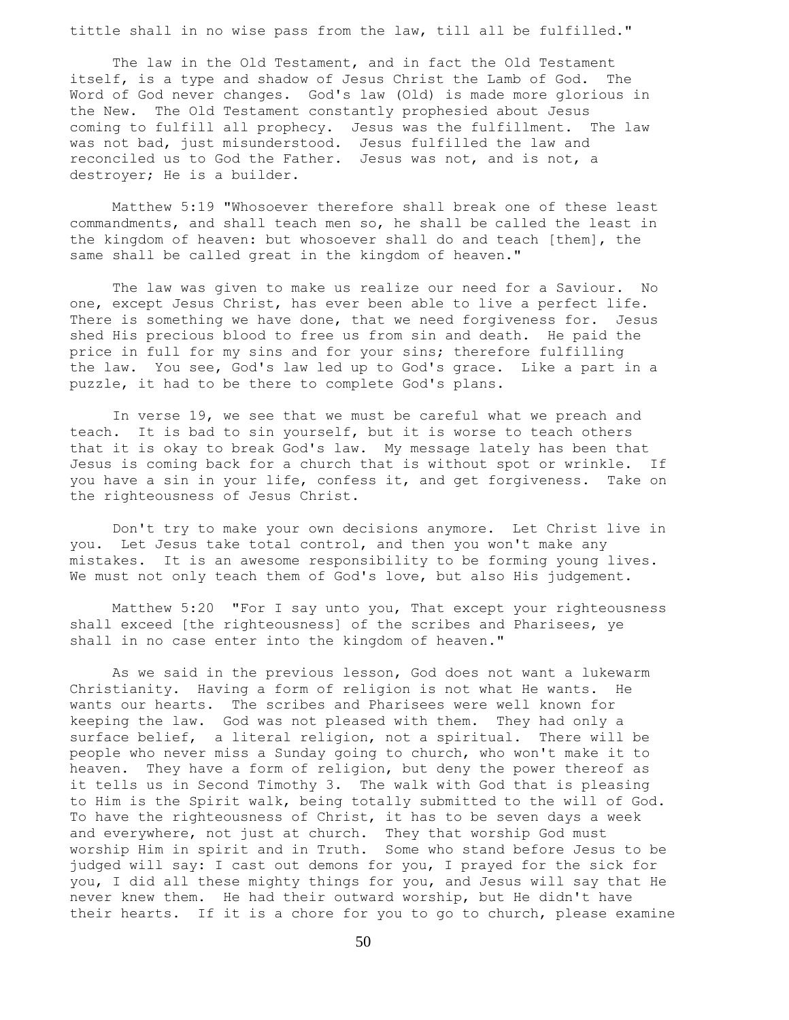tittle shall in no wise pass from the law, till all be fulfilled."

 The law in the Old Testament, and in fact the Old Testament itself, is a type and shadow of Jesus Christ the Lamb of God. The Word of God never changes. God's law (Old) is made more glorious in the New. The Old Testament constantly prophesied about Jesus coming to fulfill all prophecy. Jesus was the fulfillment. The law was not bad, just misunderstood. Jesus fulfilled the law and reconciled us to God the Father. Jesus was not, and is not, a destroyer; He is a builder.

 Matthew 5:19 "Whosoever therefore shall break one of these least commandments, and shall teach men so, he shall be called the least in the kingdom of heaven: but whosoever shall do and teach [them], the same shall be called great in the kingdom of heaven."

 The law was given to make us realize our need for a Saviour. No one, except Jesus Christ, has ever been able to live a perfect life. There is something we have done, that we need forgiveness for. Jesus shed His precious blood to free us from sin and death. He paid the price in full for my sins and for your sins; therefore fulfilling the law. You see, God's law led up to God's grace. Like a part in a puzzle, it had to be there to complete God's plans.

 In verse 19, we see that we must be careful what we preach and teach. It is bad to sin yourself, but it is worse to teach others that it is okay to break God's law. My message lately has been that Jesus is coming back for a church that is without spot or wrinkle. If you have a sin in your life, confess it, and get forgiveness. Take on the righteousness of Jesus Christ.

 Don't try to make your own decisions anymore. Let Christ live in you. Let Jesus take total control, and then you won't make any mistakes. It is an awesome responsibility to be forming young lives. We must not only teach them of God's love, but also His judgement.

 Matthew 5:20 "For I say unto you, That except your righteousness shall exceed [the righteousness] of the scribes and Pharisees, ye shall in no case enter into the kingdom of heaven."

 As we said in the previous lesson, God does not want a lukewarm Christianity. Having a form of religion is not what He wants. He wants our hearts. The scribes and Pharisees were well known for keeping the law. God was not pleased with them. They had only a surface belief, a literal religion, not a spiritual. There will be people who never miss a Sunday going to church, who won't make it to heaven. They have a form of religion, but deny the power thereof as it tells us in Second Timothy 3. The walk with God that is pleasing to Him is the Spirit walk, being totally submitted to the will of God. To have the righteousness of Christ, it has to be seven days a week and everywhere, not just at church. They that worship God must worship Him in spirit and in Truth. Some who stand before Jesus to be judged will say: I cast out demons for you, I prayed for the sick for you, I did all these mighty things for you, and Jesus will say that He never knew them. He had their outward worship, but He didn't have their hearts. If it is a chore for you to go to church, please examine

50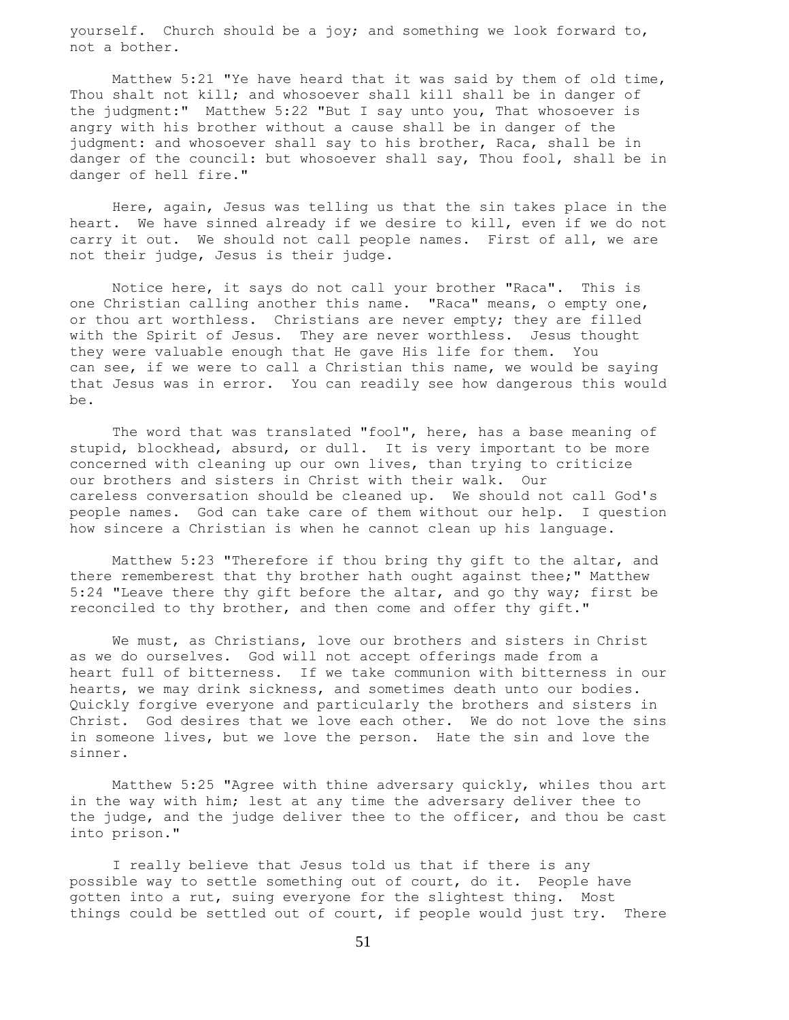yourself. Church should be a joy; and something we look forward to, not a bother.

 Matthew 5:21 "Ye have heard that it was said by them of old time, Thou shalt not kill; and whosoever shall kill shall be in danger of the judgment:" Matthew 5:22 "But I say unto you, That whosoever is angry with his brother without a cause shall be in danger of the judgment: and whosoever shall say to his brother, Raca, shall be in danger of the council: but whosoever shall say, Thou fool, shall be in danger of hell fire."

 Here, again, Jesus was telling us that the sin takes place in the heart. We have sinned already if we desire to kill, even if we do not carry it out. We should not call people names. First of all, we are not their judge, Jesus is their judge.

 Notice here, it says do not call your brother "Raca". This is one Christian calling another this name. "Raca" means, o empty one, or thou art worthless. Christians are never empty; they are filled with the Spirit of Jesus. They are never worthless. Jesus thought they were valuable enough that He gave His life for them. You can see, if we were to call a Christian this name, we would be saying that Jesus was in error. You can readily see how dangerous this would be.

The word that was translated "fool", here, has a base meaning of stupid, blockhead, absurd, or dull. It is very important to be more concerned with cleaning up our own lives, than trying to criticize our brothers and sisters in Christ with their walk. Our careless conversation should be cleaned up. We should not call God's people names. God can take care of them without our help. I question how sincere a Christian is when he cannot clean up his language.

 Matthew 5:23 "Therefore if thou bring thy gift to the altar, and there rememberest that thy brother hath ought against thee;" Matthew 5:24 "Leave there thy gift before the altar, and go thy way; first be reconciled to thy brother, and then come and offer thy gift."

 We must, as Christians, love our brothers and sisters in Christ as we do ourselves. God will not accept offerings made from a heart full of bitterness. If we take communion with bitterness in our hearts, we may drink sickness, and sometimes death unto our bodies. Quickly forgive everyone and particularly the brothers and sisters in Christ. God desires that we love each other. We do not love the sins in someone lives, but we love the person. Hate the sin and love the sinner.

 Matthew 5:25 "Agree with thine adversary quickly, whiles thou art in the way with him; lest at any time the adversary deliver thee to the judge, and the judge deliver thee to the officer, and thou be cast into prison."

 I really believe that Jesus told us that if there is any possible way to settle something out of court, do it. People have gotten into a rut, suing everyone for the slightest thing. Most things could be settled out of court, if people would just try. There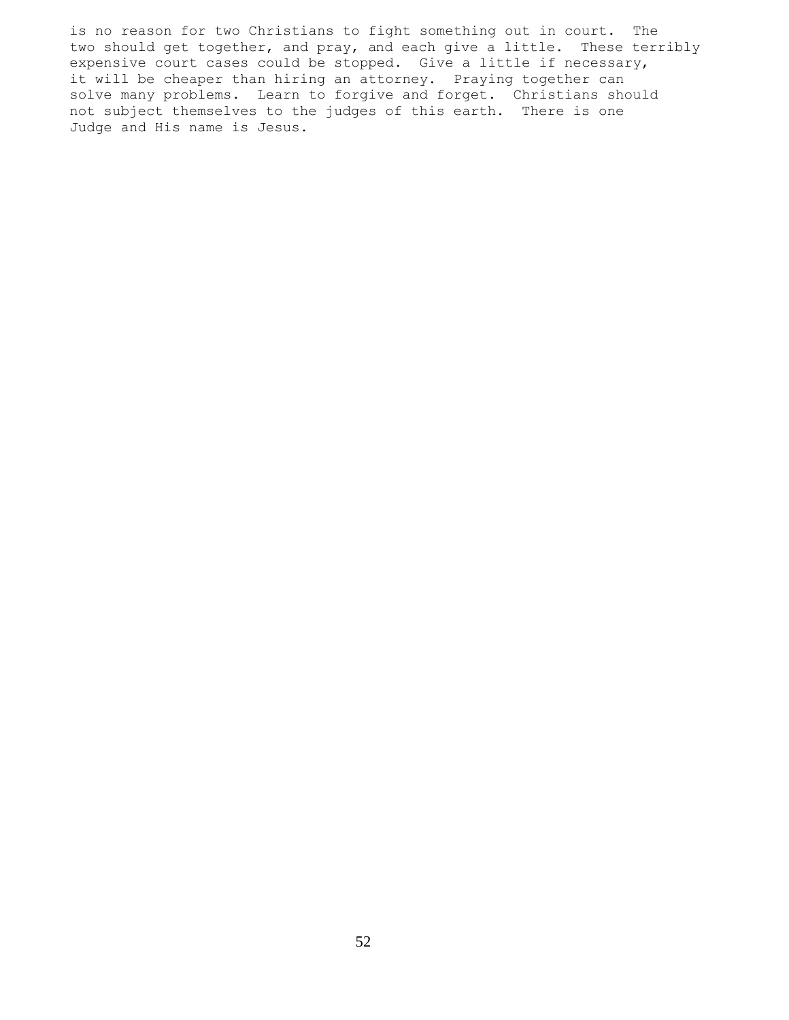is no reason for two Christians to fight something out in court. The two should get together, and pray, and each give a little. These terribly expensive court cases could be stopped. Give a little if necessary, it will be cheaper than hiring an attorney. Praying together can solve many problems. Learn to forgive and forget. Christians should not subject themselves to the judges of this earth. There is one Judge and His name is Jesus.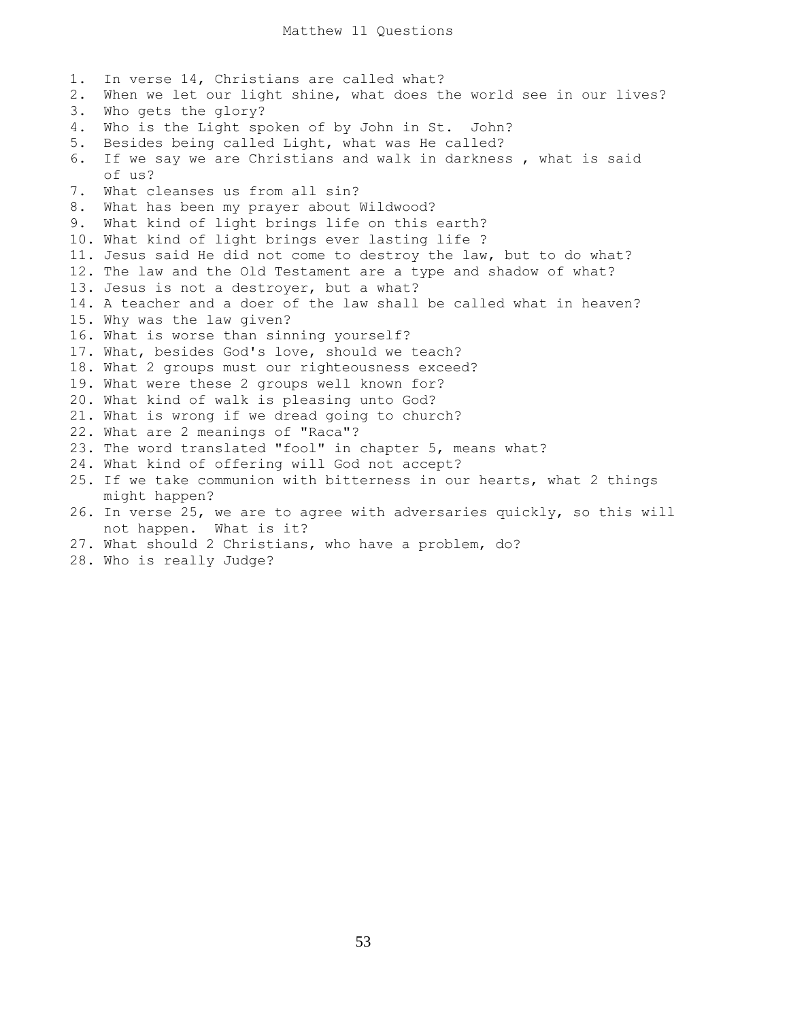1. In verse 14, Christians are called what? 2. When we let our light shine, what does the world see in our lives? 3. Who gets the glory? 4. Who is the Light spoken of by John in St. John? 5. Besides being called Light, what was He called? 6. If we say we are Christians and walk in darkness , what is said of us? 7. What cleanses us from all sin? 8. What has been my prayer about Wildwood? 9. What kind of light brings life on this earth? 10. What kind of light brings ever lasting life ? 11. Jesus said He did not come to destroy the law, but to do what? 12. The law and the Old Testament are a type and shadow of what? 13. Jesus is not a destroyer, but a what? 14. A teacher and a doer of the law shall be called what in heaven? 15. Why was the law given? 16. What is worse than sinning yourself? 17. What, besides God's love, should we teach? 18. What 2 groups must our righteousness exceed? 19. What were these 2 groups well known for? 20. What kind of walk is pleasing unto God? 21. What is wrong if we dread going to church? 22. What are 2 meanings of "Raca"? 23. The word translated "fool" in chapter 5, means what? 24. What kind of offering will God not accept? 25. If we take communion with bitterness in our hearts, what 2 things might happen? 26. In verse 25, we are to agree with adversaries quickly, so this will not happen. What is it? 27. What should 2 Christians, who have a problem, do?

28. Who is really Judge?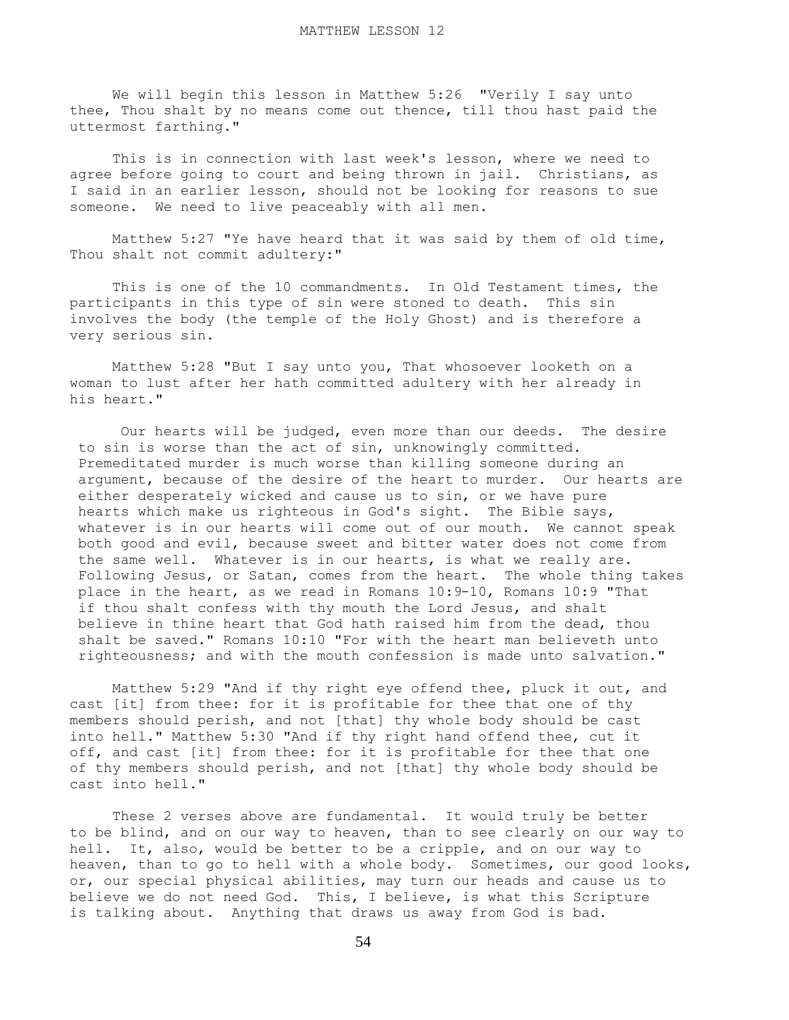We will begin this lesson in Matthew 5:26 "Verily I say unto thee, Thou shalt by no means come out thence, till thou hast paid the uttermost farthing."

 This is in connection with last week's lesson, where we need to agree before going to court and being thrown in jail. Christians, as I said in an earlier lesson, should not be looking for reasons to sue someone. We need to live peaceably with all men.

 Matthew 5:27 "Ye have heard that it was said by them of old time, Thou shalt not commit adultery:"

 This is one of the 10 commandments. In Old Testament times, the participants in this type of sin were stoned to death. This sin involves the body (the temple of the Holy Ghost) and is therefore a very serious sin.

 Matthew 5:28 "But I say unto you, That whosoever looketh on a woman to lust after her hath committed adultery with her already in his heart."

 Our hearts will be judged, even more than our deeds. The desire to sin is worse than the act of sin, unknowingly committed. Premeditated murder is much worse than killing someone during an argument, because of the desire of the heart to murder. Our hearts are either desperately wicked and cause us to sin, or we have pure hearts which make us righteous in God's sight. The Bible says, whatever is in our hearts will come out of our mouth. We cannot speak both good and evil, because sweet and bitter water does not come from the same well. Whatever is in our hearts, is what we really are. Following Jesus, or Satan, comes from the heart. The whole thing takes place in the heart, as we read in Romans 10:9-10, Romans 10:9 "That if thou shalt confess with thy mouth the Lord Jesus, and shalt believe in thine heart that God hath raised him from the dead, thou shalt be saved." Romans 10:10 "For with the heart man believeth unto righteousness; and with the mouth confession is made unto salvation."

 Matthew 5:29 "And if thy right eye offend thee, pluck it out, and cast [it] from thee: for it is profitable for thee that one of thy members should perish, and not [that] thy whole body should be cast into hell." Matthew 5:30 "And if thy right hand offend thee, cut it off, and cast [it] from thee: for it is profitable for thee that one of thy members should perish, and not [that] thy whole body should be cast into hell."

 These 2 verses above are fundamental. It would truly be better to be blind, and on our way to heaven, than to see clearly on our way to hell. It, also, would be better to be a cripple, and on our way to heaven, than to go to hell with a whole body. Sometimes, our good looks, or, our special physical abilities, may turn our heads and cause us to believe we do not need God. This, I believe, is what this Scripture is talking about. Anything that draws us away from God is bad.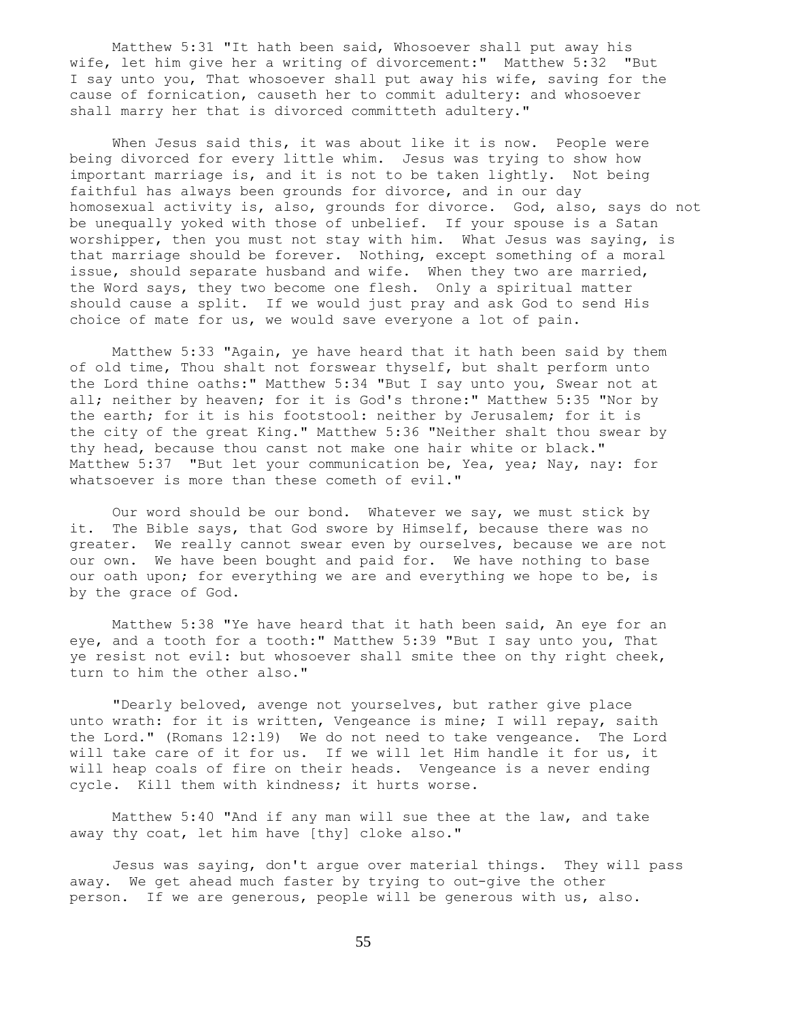Matthew 5:31 "It hath been said, Whosoever shall put away his wife, let him give her a writing of divorcement:" Matthew 5:32 "But I say unto you, That whosoever shall put away his wife, saving for the cause of fornication, causeth her to commit adultery: and whosoever shall marry her that is divorced committeth adultery."

When Jesus said this, it was about like it is now. People were being divorced for every little whim. Jesus was trying to show how important marriage is, and it is not to be taken lightly. Not being faithful has always been grounds for divorce, and in our day homosexual activity is, also, grounds for divorce. God, also, says do not be unequally yoked with those of unbelief. If your spouse is a Satan worshipper, then you must not stay with him. What Jesus was saying, is that marriage should be forever. Nothing, except something of a moral issue, should separate husband and wife. When they two are married, the Word says, they two become one flesh. Only a spiritual matter should cause a split. If we would just pray and ask God to send His choice of mate for us, we would save everyone a lot of pain.

 Matthew 5:33 "Again, ye have heard that it hath been said by them of old time, Thou shalt not forswear thyself, but shalt perform unto the Lord thine oaths:" Matthew 5:34 "But I say unto you, Swear not at all; neither by heaven; for it is God's throne:" Matthew 5:35 "Nor by the earth; for it is his footstool: neither by Jerusalem; for it is the city of the great King." Matthew 5:36 "Neither shalt thou swear by thy head, because thou canst not make one hair white or black." Matthew 5:37 "But let your communication be, Yea, yea; Nay, nay: for whatsoever is more than these cometh of evil."

 Our word should be our bond. Whatever we say, we must stick by it. The Bible says, that God swore by Himself, because there was no greater. We really cannot swear even by ourselves, because we are not our own. We have been bought and paid for. We have nothing to base our oath upon; for everything we are and everything we hope to be, is by the grace of God.

 Matthew 5:38 "Ye have heard that it hath been said, An eye for an eye, and a tooth for a tooth:" Matthew 5:39 "But I say unto you, That ye resist not evil: but whosoever shall smite thee on thy right cheek, turn to him the other also."

 "Dearly beloved, avenge not yourselves, but rather give place unto wrath: for it is written, Vengeance is mine; I will repay, saith the Lord." (Romans 12:l9) We do not need to take vengeance. The Lord will take care of it for us. If we will let Him handle it for us, it will heap coals of fire on their heads. Vengeance is a never ending cycle. Kill them with kindness; it hurts worse.

 Matthew 5:40 "And if any man will sue thee at the law, and take away thy coat, let him have [thy] cloke also."

 Jesus was saying, don't argue over material things. They will pass away. We get ahead much faster by trying to out-give the other person. If we are generous, people will be generous with us, also.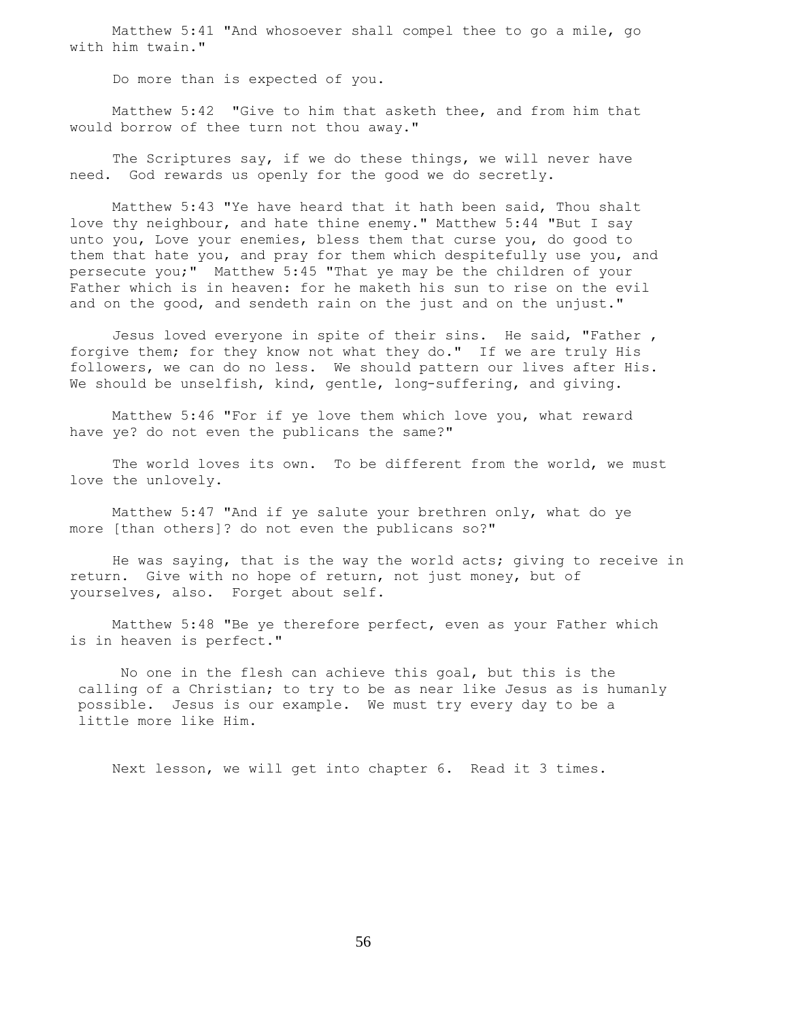Matthew 5:41 "And whosoever shall compel thee to go a mile, go with him twain."

Do more than is expected of you.

 Matthew 5:42 "Give to him that asketh thee, and from him that would borrow of thee turn not thou away."

The Scriptures say, if we do these things, we will never have need. God rewards us openly for the good we do secretly.

 Matthew 5:43 "Ye have heard that it hath been said, Thou shalt love thy neighbour, and hate thine enemy." Matthew 5:44 "But I say unto you, Love your enemies, bless them that curse you, do good to them that hate you, and pray for them which despitefully use you, and persecute you;" Matthew 5:45 "That ye may be the children of your Father which is in heaven: for he maketh his sun to rise on the evil and on the good, and sendeth rain on the just and on the unjust."

 Jesus loved everyone in spite of their sins. He said, "Father , forgive them; for they know not what they do." If we are truly His followers, we can do no less. We should pattern our lives after His. We should be unselfish, kind, gentle, long-suffering, and giving.

 Matthew 5:46 "For if ye love them which love you, what reward have ye? do not even the publicans the same?"

The world loves its own. To be different from the world, we must love the unlovely.

 Matthew 5:47 "And if ye salute your brethren only, what do ye more [than others]? do not even the publicans so?"

 He was saying, that is the way the world acts; giving to receive in return. Give with no hope of return, not just money, but of yourselves, also. Forget about self.

 Matthew 5:48 "Be ye therefore perfect, even as your Father which is in heaven is perfect."

 No one in the flesh can achieve this goal, but this is the calling of a Christian; to try to be as near like Jesus as is humanly possible. Jesus is our example. We must try every day to be a little more like Him.

Next lesson, we will get into chapter 6. Read it 3 times.

56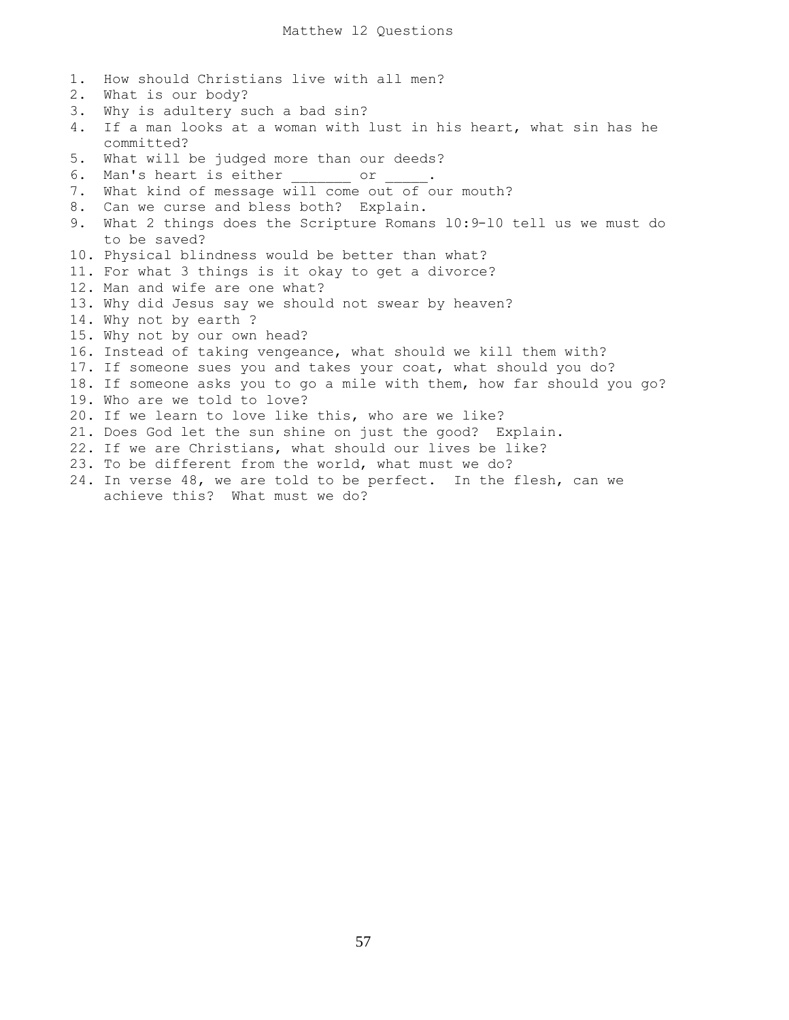1. How should Christians live with all men?

2. What is our body? 3. Why is adultery such a bad sin? 4. If a man looks at a woman with lust in his heart, what sin has he committed? 5. What will be judged more than our deeds? 6. Man's heart is either or 7. What kind of message will come out of our mouth? 8. Can we curse and bless both? Explain. 9. What 2 things does the Scripture Romans l0:9-l0 tell us we must do to be saved? 10. Physical blindness would be better than what? 11. For what 3 things is it okay to get a divorce? 12. Man and wife are one what? 13. Why did Jesus say we should not swear by heaven? 14. Why not by earth ? 15. Why not by our own head? 16. Instead of taking vengeance, what should we kill them with? 17. If someone sues you and takes your coat, what should you do? 18. If someone asks you to go a mile with them, how far should you go? 19. Who are we told to love? 20. If we learn to love like this, who are we like? 21. Does God let the sun shine on just the good? Explain. 22. If we are Christians, what should our lives be like? 23. To be different from the world, what must we do? 24. In verse 48, we are told to be perfect. In the flesh, can we achieve this? What must we do?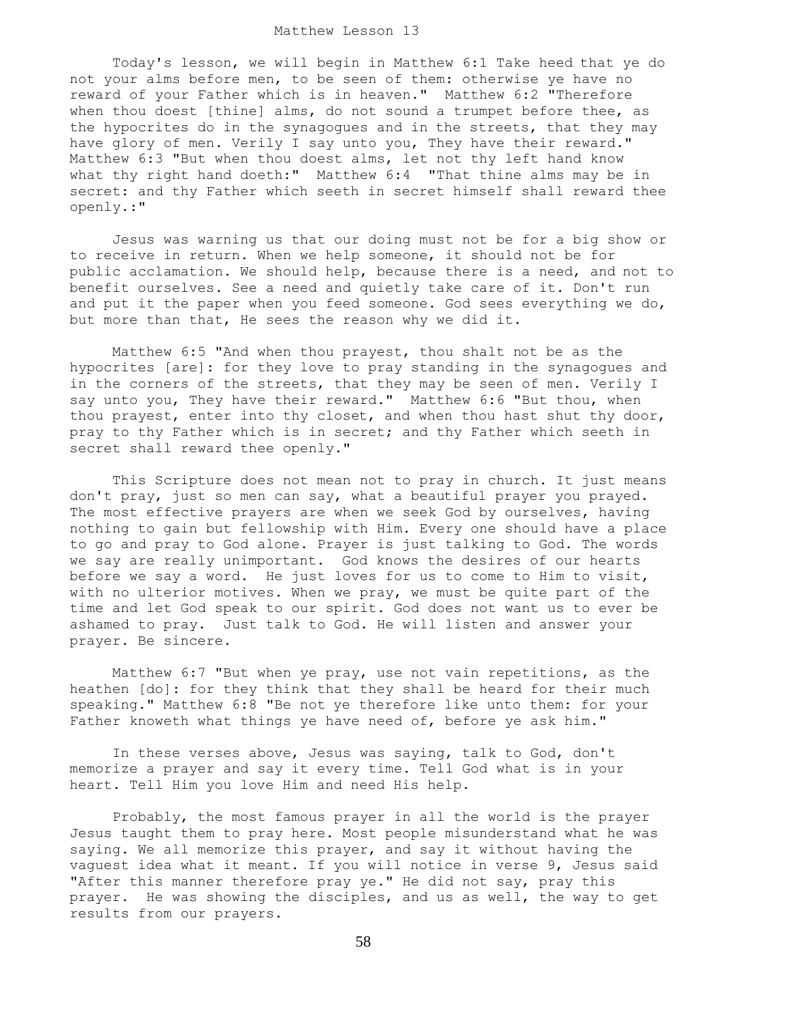## Matthew Lesson 13

 Today's lesson, we will begin in Matthew 6:1 Take heed that ye do not your alms before men, to be seen of them: otherwise ye have no reward of your Father which is in heaven." Matthew 6:2 "Therefore when thou doest [thine] alms, do not sound a trumpet before thee, as the hypocrites do in the synagogues and in the streets, that they may have glory of men. Verily I say unto you, They have their reward." Matthew 6:3 "But when thou doest alms, let not thy left hand know what thy right hand doeth:" Matthew 6:4 "That thine alms may be in secret: and thy Father which seeth in secret himself shall reward thee openly.:"

 Jesus was warning us that our doing must not be for a big show or to receive in return. When we help someone, it should not be for public acclamation. We should help, because there is a need, and not to benefit ourselves. See a need and quietly take care of it. Don't run and put it the paper when you feed someone. God sees everything we do, but more than that, He sees the reason why we did it.

 Matthew 6:5 "And when thou prayest, thou shalt not be as the hypocrites [are]: for they love to pray standing in the synagogues and in the corners of the streets, that they may be seen of men. Verily I say unto you, They have their reward." Matthew 6:6 "But thou, when thou prayest, enter into thy closet, and when thou hast shut thy door, pray to thy Father which is in secret; and thy Father which seeth in secret shall reward thee openly."

 This Scripture does not mean not to pray in church. It just means don't pray, just so men can say, what a beautiful prayer you prayed. The most effective prayers are when we seek God by ourselves, having nothing to gain but fellowship with Him. Every one should have a place to go and pray to God alone. Prayer is just talking to God. The words we say are really unimportant. God knows the desires of our hearts before we say a word. He just loves for us to come to Him to visit, with no ulterior motives. When we pray, we must be quite part of the time and let God speak to our spirit. God does not want us to ever be ashamed to pray. Just talk to God. He will listen and answer your prayer. Be sincere.

 Matthew 6:7 "But when ye pray, use not vain repetitions, as the heathen [do]: for they think that they shall be heard for their much speaking." Matthew 6:8 "Be not ye therefore like unto them: for your Father knoweth what things ye have need of, before ye ask him."

 In these verses above, Jesus was saying, talk to God, don't memorize a prayer and say it every time. Tell God what is in your heart. Tell Him you love Him and need His help.

 Probably, the most famous prayer in all the world is the prayer Jesus taught them to pray here. Most people misunderstand what he was saying. We all memorize this prayer, and say it without having the vaguest idea what it meant. If you will notice in verse 9, Jesus said "After this manner therefore pray ye." He did not say, pray this prayer. He was showing the disciples, and us as well, the way to get results from our prayers.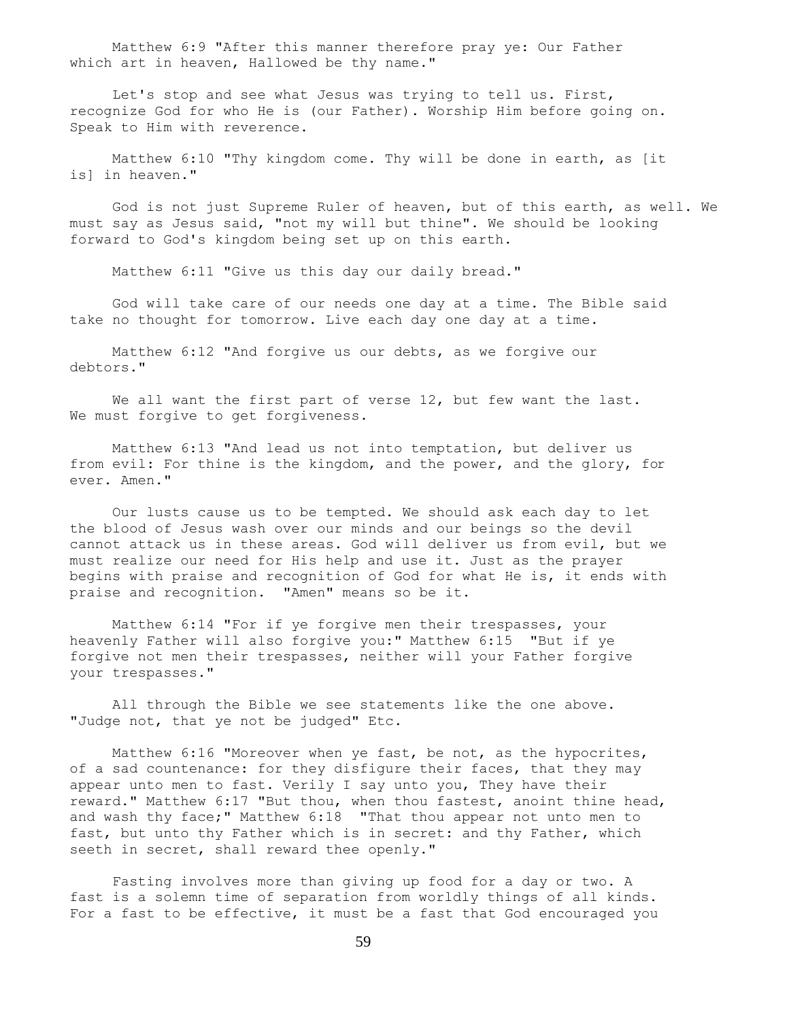Matthew 6:9 "After this manner therefore pray ye: Our Father which art in heaven, Hallowed be thy name."

 Let's stop and see what Jesus was trying to tell us. First, recognize God for who He is (our Father). Worship Him before going on. Speak to Him with reverence.

 Matthew 6:10 "Thy kingdom come. Thy will be done in earth, as [it is] in heaven."

 God is not just Supreme Ruler of heaven, but of this earth, as well. We must say as Jesus said, "not my will but thine". We should be looking forward to God's kingdom being set up on this earth.

Matthew 6:11 "Give us this day our daily bread."

 God will take care of our needs one day at a time. The Bible said take no thought for tomorrow. Live each day one day at a time.

 Matthew 6:12 "And forgive us our debts, as we forgive our debtors."

We all want the first part of verse 12, but few want the last. We must forgive to get forgiveness.

 Matthew 6:13 "And lead us not into temptation, but deliver us from evil: For thine is the kingdom, and the power, and the glory, for ever. Amen."

 Our lusts cause us to be tempted. We should ask each day to let the blood of Jesus wash over our minds and our beings so the devil cannot attack us in these areas. God will deliver us from evil, but we must realize our need for His help and use it. Just as the prayer begins with praise and recognition of God for what He is, it ends with praise and recognition. "Amen" means so be it.

 Matthew 6:14 "For if ye forgive men their trespasses, your heavenly Father will also forgive you:" Matthew 6:15 "But if ye forgive not men their trespasses, neither will your Father forgive your trespasses."

 All through the Bible we see statements like the one above. "Judge not, that ye not be judged" Etc.

 Matthew 6:16 "Moreover when ye fast, be not, as the hypocrites, of a sad countenance: for they disfigure their faces, that they may appear unto men to fast. Verily I say unto you, They have their reward." Matthew 6:17 "But thou, when thou fastest, anoint thine head, and wash thy face;" Matthew 6:18 "That thou appear not unto men to fast, but unto thy Father which is in secret: and thy Father, which seeth in secret, shall reward thee openly."

 Fasting involves more than giving up food for a day or two. A fast is a solemn time of separation from worldly things of all kinds. For a fast to be effective, it must be a fast that God encouraged you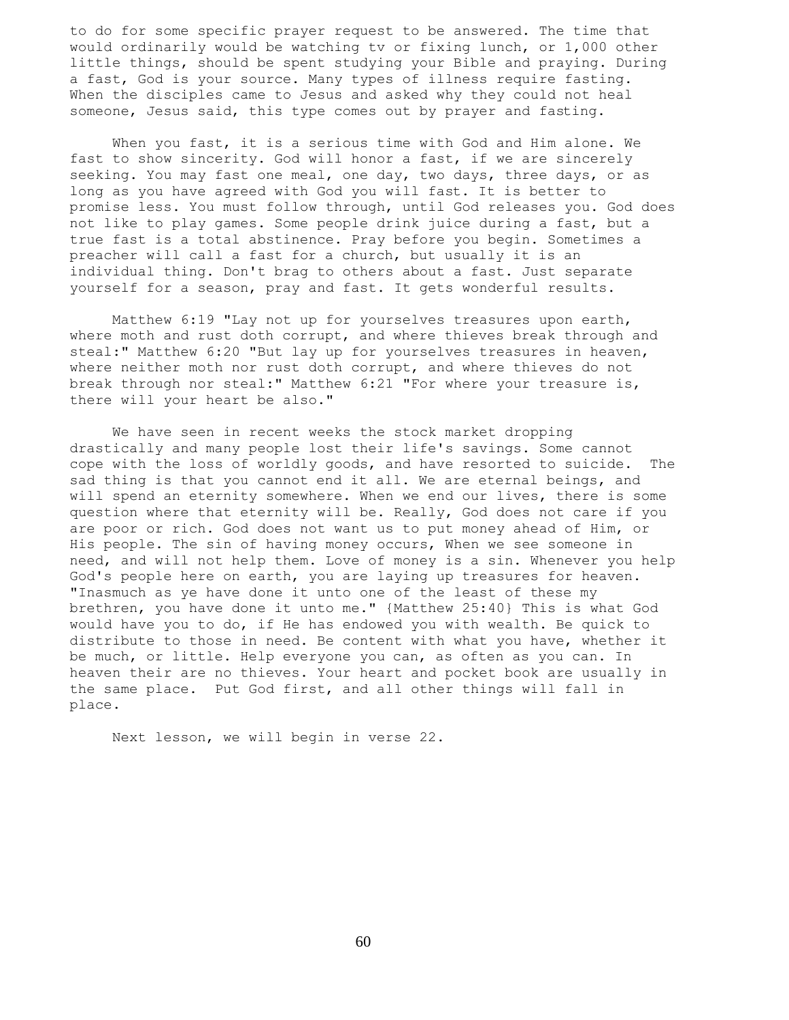to do for some specific prayer request to be answered. The time that would ordinarily would be watching tv or fixing lunch, or 1,000 other little things, should be spent studying your Bible and praying. During a fast, God is your source. Many types of illness require fasting. When the disciples came to Jesus and asked why they could not heal someone, Jesus said, this type comes out by prayer and fasting.

 When you fast, it is a serious time with God and Him alone. We fast to show sincerity. God will honor a fast, if we are sincerely seeking. You may fast one meal, one day, two days, three days, or as long as you have agreed with God you will fast. It is better to promise less. You must follow through, until God releases you. God does not like to play games. Some people drink juice during a fast, but a true fast is a total abstinence. Pray before you begin. Sometimes a preacher will call a fast for a church, but usually it is an individual thing. Don't brag to others about a fast. Just separate yourself for a season, pray and fast. It gets wonderful results.

 Matthew 6:19 "Lay not up for yourselves treasures upon earth, where moth and rust doth corrupt, and where thieves break through and steal:" Matthew 6:20 "But lay up for yourselves treasures in heaven, where neither moth nor rust doth corrupt, and where thieves do not break through nor steal:" Matthew 6:21 "For where your treasure is, there will your heart be also."

 We have seen in recent weeks the stock market dropping drastically and many people lost their life's savings. Some cannot cope with the loss of worldly goods, and have resorted to suicide. The sad thing is that you cannot end it all. We are eternal beings, and will spend an eternity somewhere. When we end our lives, there is some question where that eternity will be. Really, God does not care if you are poor or rich. God does not want us to put money ahead of Him, or His people. The sin of having money occurs, When we see someone in need, and will not help them. Love of money is a sin. Whenever you help God's people here on earth, you are laying up treasures for heaven. "Inasmuch as ye have done it unto one of the least of these my brethren, you have done it unto me." {Matthew 25:40} This is what God would have you to do, if He has endowed you with wealth. Be quick to distribute to those in need. Be content with what you have, whether it be much, or little. Help everyone you can, as often as you can. In heaven their are no thieves. Your heart and pocket book are usually in the same place. Put God first, and all other things will fall in place.

Next lesson, we will begin in verse 22.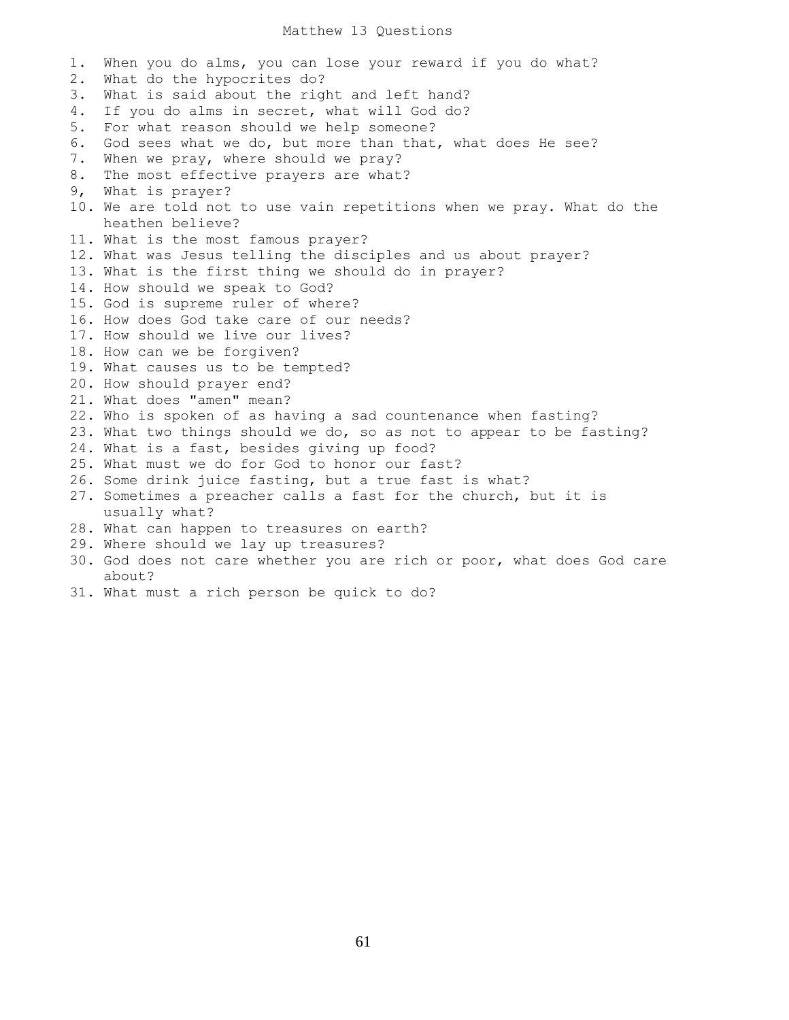## Matthew 13 Questions

1. When you do alms, you can lose your reward if you do what? 2. What do the hypocrites do? 3. What is said about the right and left hand? 4. If you do alms in secret, what will God do? 5. For what reason should we help someone? 6. God sees what we do, but more than that, what does He see? 7. When we pray, where should we pray? 8. The most effective prayers are what? 9, What is prayer? 10. We are told not to use vain repetitions when we pray. What do the heathen believe? 11. What is the most famous prayer? 12. What was Jesus telling the disciples and us about prayer? 13. What is the first thing we should do in prayer? 14. How should we speak to God? 15. God is supreme ruler of where? 16. How does God take care of our needs? 17. How should we live our lives? 18. How can we be forgiven? 19. What causes us to be tempted? 20. How should prayer end? 21. What does "amen" mean? 22. Who is spoken of as having a sad countenance when fasting? 23. What two things should we do, so as not to appear to be fasting? 24. What is a fast, besides giving up food? 25. What must we do for God to honor our fast? 26. Some drink juice fasting, but a true fast is what? 27. Sometimes a preacher calls a fast for the church, but it is usually what? 28. What can happen to treasures on earth? 29. Where should we lay up treasures? 30. God does not care whether you are rich or poor, what does God care about?

31. What must a rich person be quick to do?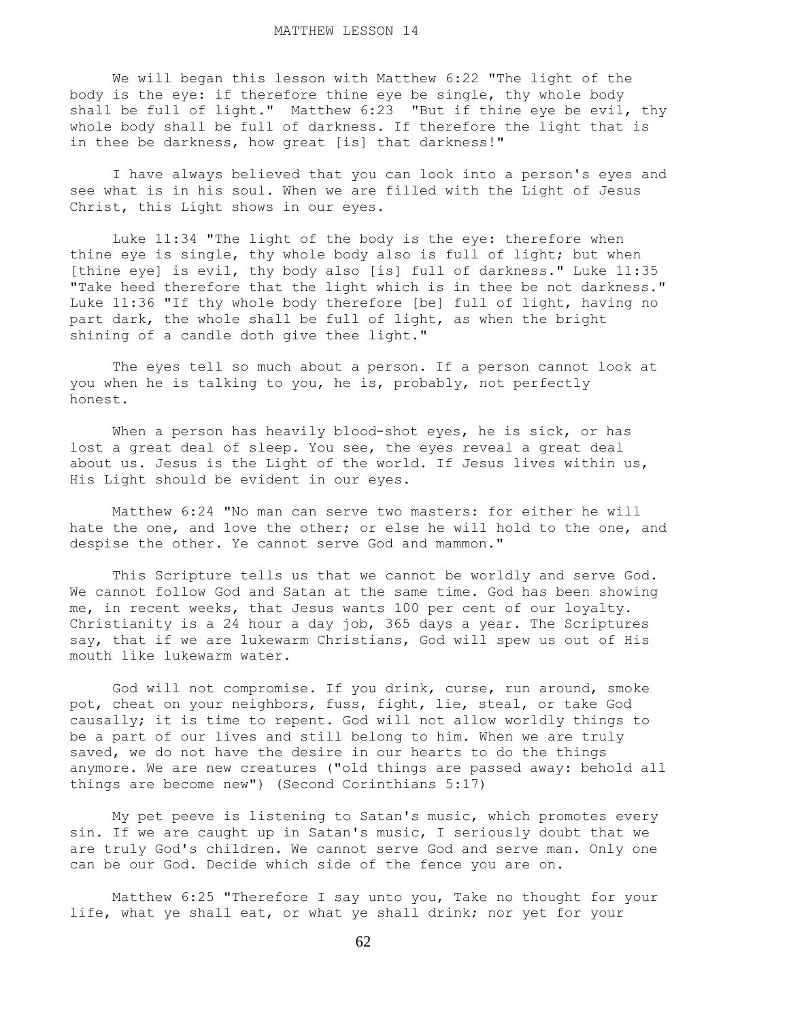We will began this lesson with Matthew 6:22 "The light of the body is the eye: if therefore thine eye be single, thy whole body shall be full of light." Matthew 6:23 "But if thine eye be evil, thy whole body shall be full of darkness. If therefore the light that is in thee be darkness, how great [is] that darkness!"

 I have always believed that you can look into a person's eyes and see what is in his soul. When we are filled with the Light of Jesus Christ, this Light shows in our eyes.

 Luke 11:34 "The light of the body is the eye: therefore when thine eye is single, thy whole body also is full of light; but when [thine eye] is evil, thy body also [is] full of darkness." Luke 11:35 "Take heed therefore that the light which is in thee be not darkness." Luke 11:36 "If thy whole body therefore [be] full of light, having no part dark, the whole shall be full of light, as when the bright shining of a candle doth give thee light."

 The eyes tell so much about a person. If a person cannot look at you when he is talking to you, he is, probably, not perfectly honest.

When a person has heavily blood-shot eyes, he is sick, or has lost a great deal of sleep. You see, the eyes reveal a great deal about us. Jesus is the Light of the world. If Jesus lives within us, His Light should be evident in our eyes.

 Matthew 6:24 "No man can serve two masters: for either he will hate the one, and love the other; or else he will hold to the one, and despise the other. Ye cannot serve God and mammon."

 This Scripture tells us that we cannot be worldly and serve God. We cannot follow God and Satan at the same time. God has been showing me, in recent weeks, that Jesus wants 100 per cent of our loyalty. Christianity is a 24 hour a day job, 365 days a year. The Scriptures say, that if we are lukewarm Christians, God will spew us out of His mouth like lukewarm water.

 God will not compromise. If you drink, curse, run around, smoke pot, cheat on your neighbors, fuss, fight, lie, steal, or take God causally; it is time to repent. God will not allow worldly things to be a part of our lives and still belong to him. When we are truly saved, we do not have the desire in our hearts to do the things anymore. We are new creatures ("old things are passed away: behold all things are become new") (Second Corinthians 5:17)

 My pet peeve is listening to Satan's music, which promotes every sin. If we are caught up in Satan's music, I seriously doubt that we are truly God's children. We cannot serve God and serve man. Only one can be our God. Decide which side of the fence you are on.

 Matthew 6:25 "Therefore I say unto you, Take no thought for your life, what ye shall eat, or what ye shall drink; nor yet for your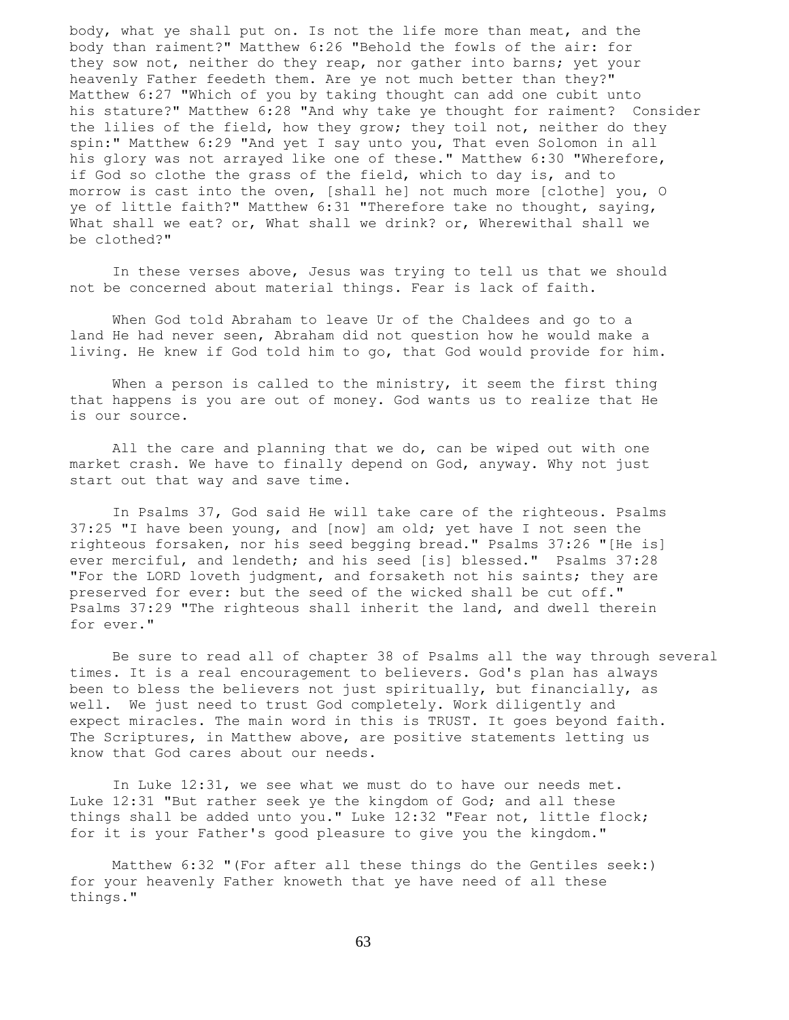body, what ye shall put on. Is not the life more than meat, and the body than raiment?" Matthew 6:26 "Behold the fowls of the air: for they sow not, neither do they reap, nor gather into barns; yet your heavenly Father feedeth them. Are ye not much better than they?" Matthew 6:27 "Which of you by taking thought can add one cubit unto his stature?" Matthew 6:28 "And why take ye thought for raiment? Consider the lilies of the field, how they grow; they toil not, neither do they spin:" Matthew 6:29 "And yet I say unto you, That even Solomon in all his glory was not arrayed like one of these." Matthew 6:30 "Wherefore, if God so clothe the grass of the field, which to day is, and to morrow is cast into the oven, [shall he] not much more [clothe] you, O ye of little faith?" Matthew 6:31 "Therefore take no thought, saying, What shall we eat? or, What shall we drink? or, Wherewithal shall we be clothed?"

 In these verses above, Jesus was trying to tell us that we should not be concerned about material things. Fear is lack of faith.

 When God told Abraham to leave Ur of the Chaldees and go to a land He had never seen, Abraham did not question how he would make a living. He knew if God told him to go, that God would provide for him.

When a person is called to the ministry, it seem the first thing that happens is you are out of money. God wants us to realize that He is our source.

 All the care and planning that we do, can be wiped out with one market crash. We have to finally depend on God, anyway. Why not just start out that way and save time.

 In Psalms 37, God said He will take care of the righteous. Psalms 37:25 "I have been young, and [now] am old; yet have I not seen the righteous forsaken, nor his seed begging bread." Psalms 37:26 "[He is] ever merciful, and lendeth; and his seed [is] blessed." Psalms 37:28 "For the LORD loveth judgment, and forsaketh not his saints; they are preserved for ever: but the seed of the wicked shall be cut off." Psalms 37:29 "The righteous shall inherit the land, and dwell therein for ever."

 Be sure to read all of chapter 38 of Psalms all the way through several times. It is a real encouragement to believers. God's plan has always been to bless the believers not just spiritually, but financially, as well. We just need to trust God completely. Work diligently and expect miracles. The main word in this is TRUST. It goes beyond faith. The Scriptures, in Matthew above, are positive statements letting us know that God cares about our needs.

 In Luke 12:31, we see what we must do to have our needs met. Luke 12:31 "But rather seek ye the kingdom of God; and all these things shall be added unto you." Luke 12:32 "Fear not, little flock; for it is your Father's good pleasure to give you the kingdom."

 Matthew 6:32 "(For after all these things do the Gentiles seek:) for your heavenly Father knoweth that ye have need of all these things."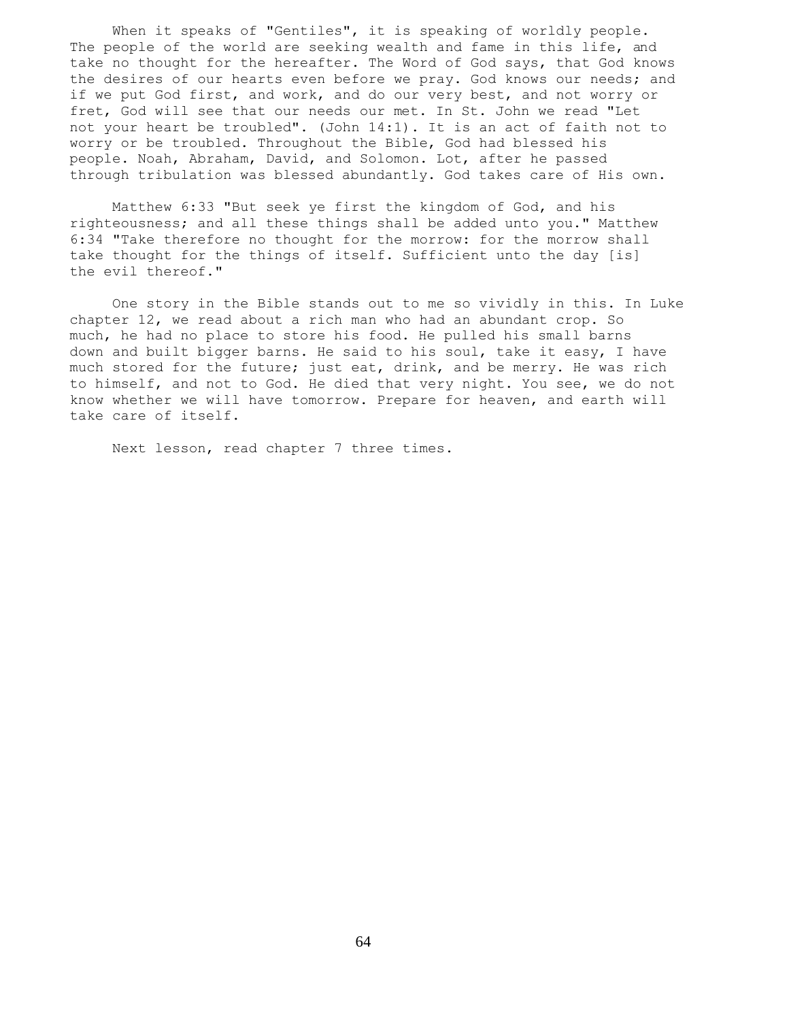When it speaks of "Gentiles", it is speaking of worldly people. The people of the world are seeking wealth and fame in this life, and take no thought for the hereafter. The Word of God says, that God knows the desires of our hearts even before we pray. God knows our needs; and if we put God first, and work, and do our very best, and not worry or fret, God will see that our needs our met. In St. John we read "Let not your heart be troubled". (John 14:1). It is an act of faith not to worry or be troubled. Throughout the Bible, God had blessed his people. Noah, Abraham, David, and Solomon. Lot, after he passed through tribulation was blessed abundantly. God takes care of His own.

 Matthew 6:33 "But seek ye first the kingdom of God, and his righteousness; and all these things shall be added unto you." Matthew 6:34 "Take therefore no thought for the morrow: for the morrow shall take thought for the things of itself. Sufficient unto the day [is] the evil thereof."

 One story in the Bible stands out to me so vividly in this. In Luke chapter 12, we read about a rich man who had an abundant crop. So much, he had no place to store his food. He pulled his small barns down and built bigger barns. He said to his soul, take it easy, I have much stored for the future; just eat, drink, and be merry. He was rich to himself, and not to God. He died that very night. You see, we do not know whether we will have tomorrow. Prepare for heaven, and earth will take care of itself.

Next lesson, read chapter 7 three times.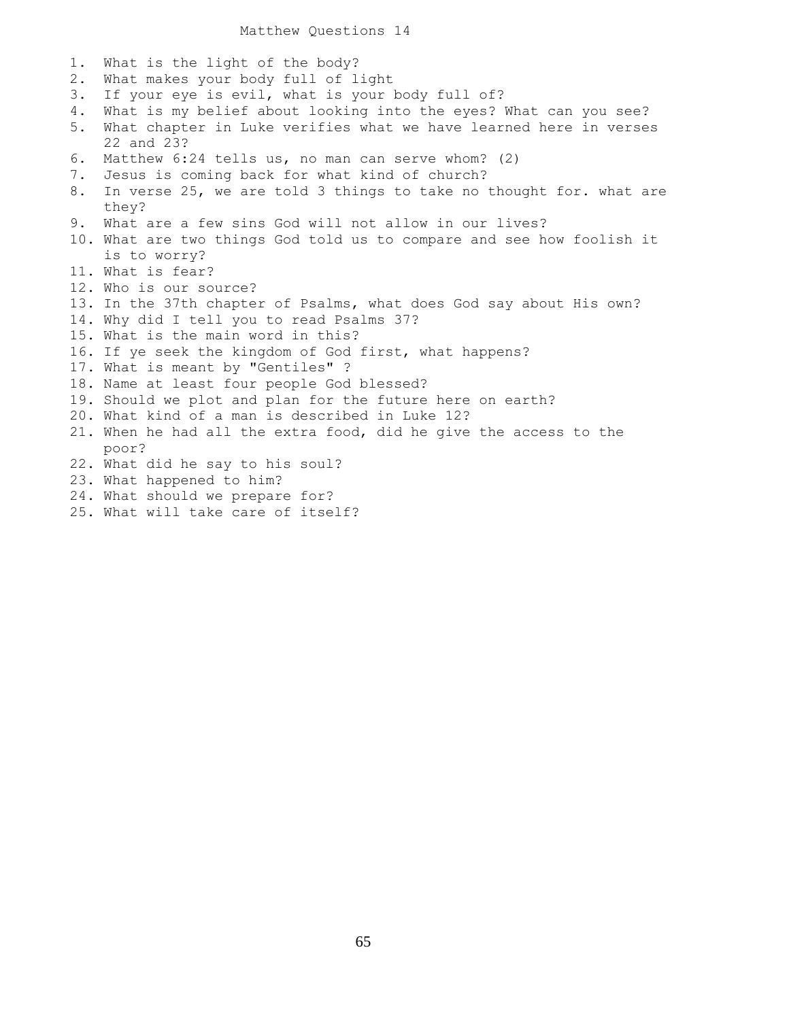Matthew Questions 14

| 1. | What is the light of the body?                                        |
|----|-----------------------------------------------------------------------|
| 2. | What makes your body full of light                                    |
| 3. | If your eye is evil, what is your body full of?                       |
| 4. | What is my belief about looking into the eyes? What can you see?      |
| 5. | What chapter in Luke verifies what we have learned here in verses     |
|    | 22 and 23?                                                            |
| 6. | Matthew 6:24 tells us, no man can serve whom? (2)                     |
| 7. | Jesus is coming back for what kind of church?                         |
| 8. | In verse 25, we are told 3 things to take no thought for. what are    |
|    | they?                                                                 |
| 9. | What are a few sins God will not allow in our lives?                  |
|    | 10. What are two things God told us to compare and see how foolish it |
|    | is to worry?                                                          |
|    | 11. What is fear?                                                     |
|    | 12. Who is our source?                                                |
|    | 13. In the 37th chapter of Psalms, what does God say about His own?   |
|    | 14. Why did I tell you to read Psalms 37?                             |
|    | 15. What is the main word in this?                                    |
|    | 16. If ye seek the kingdom of God first, what happens?                |
|    | 17. What is meant by "Gentiles" ?                                     |
|    | 18. Name at least four people God blessed?                            |
|    | 19. Should we plot and plan for the future here on earth?             |
|    | 20. What kind of a man is described in Luke 12?                       |
|    | 21. When he had all the extra food, did he give the access to the     |
|    | poor?                                                                 |
|    | 22. What did he say to his soul?                                      |
|    | 23. What happened to him?                                             |
|    | 24. What should we prepare for?                                       |
|    | $\Omega$ E Mbat $\sim$ 11 tales some of $I$ taalf $\Omega$            |

25. What will take care of itself?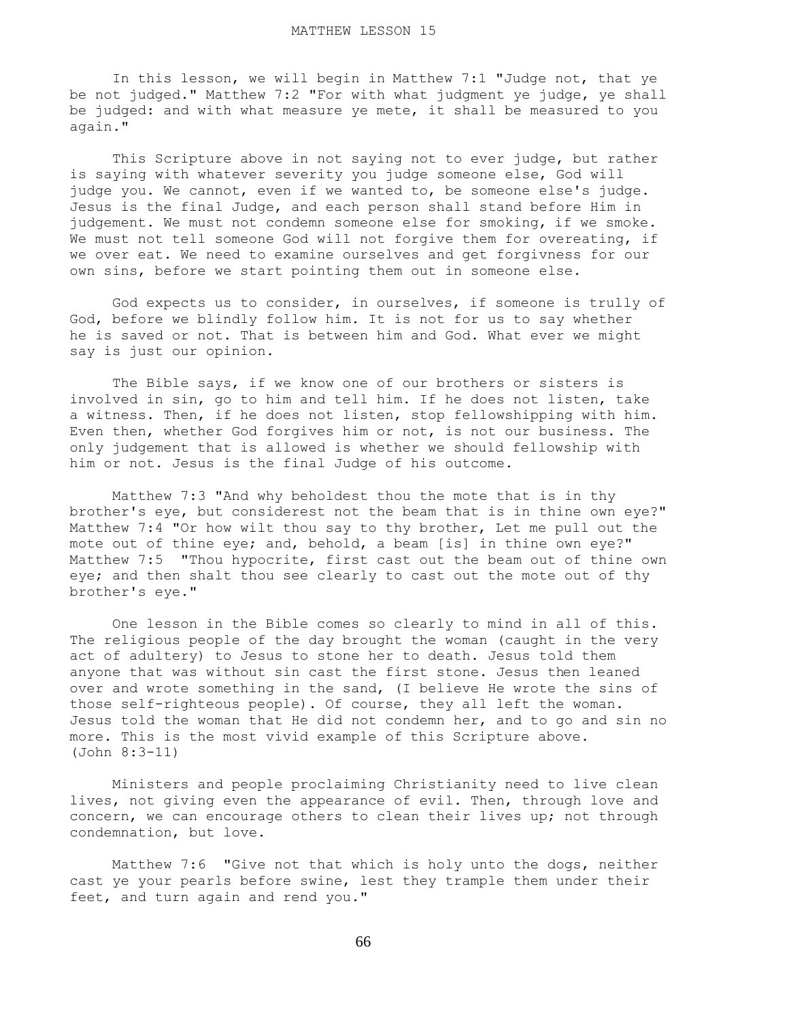In this lesson, we will begin in Matthew 7:1 "Judge not, that ye be not judged." Matthew 7:2 "For with what judgment ye judge, ye shall be judged: and with what measure ye mete, it shall be measured to you again."

 This Scripture above in not saying not to ever judge, but rather is saying with whatever severity you judge someone else, God will judge you. We cannot, even if we wanted to, be someone else's judge. Jesus is the final Judge, and each person shall stand before Him in judgement. We must not condemn someone else for smoking, if we smoke. We must not tell someone God will not forgive them for overeating, if we over eat. We need to examine ourselves and get forgivness for our own sins, before we start pointing them out in someone else.

 God expects us to consider, in ourselves, if someone is trully of God, before we blindly follow him. It is not for us to say whether he is saved or not. That is between him and God. What ever we might say is just our opinion.

 The Bible says, if we know one of our brothers or sisters is involved in sin, go to him and tell him. If he does not listen, take a witness. Then, if he does not listen, stop fellowshipping with him. Even then, whether God forgives him or not, is not our business. The only judgement that is allowed is whether we should fellowship with him or not. Jesus is the final Judge of his outcome.

 Matthew 7:3 "And why beholdest thou the mote that is in thy brother's eye, but considerest not the beam that is in thine own eye?" Matthew 7:4 "Or how wilt thou say to thy brother, Let me pull out the mote out of thine eye; and, behold, a beam [is] in thine own eye?" Matthew 7:5 "Thou hypocrite, first cast out the beam out of thine own eye; and then shalt thou see clearly to cast out the mote out of thy brother's eye."

 One lesson in the Bible comes so clearly to mind in all of this. The religious people of the day brought the woman (caught in the very act of adultery) to Jesus to stone her to death. Jesus told them anyone that was without sin cast the first stone. Jesus then leaned over and wrote something in the sand, (I believe He wrote the sins of those self-righteous people). Of course, they all left the woman. Jesus told the woman that He did not condemn her, and to go and sin no more. This is the most vivid example of this Scripture above. (John 8:3-11)

 Ministers and people proclaiming Christianity need to live clean lives, not giving even the appearance of evil. Then, through love and concern, we can encourage others to clean their lives up; not through condemnation, but love.

 Matthew 7:6 "Give not that which is holy unto the dogs, neither cast ye your pearls before swine, lest they trample them under their feet, and turn again and rend you."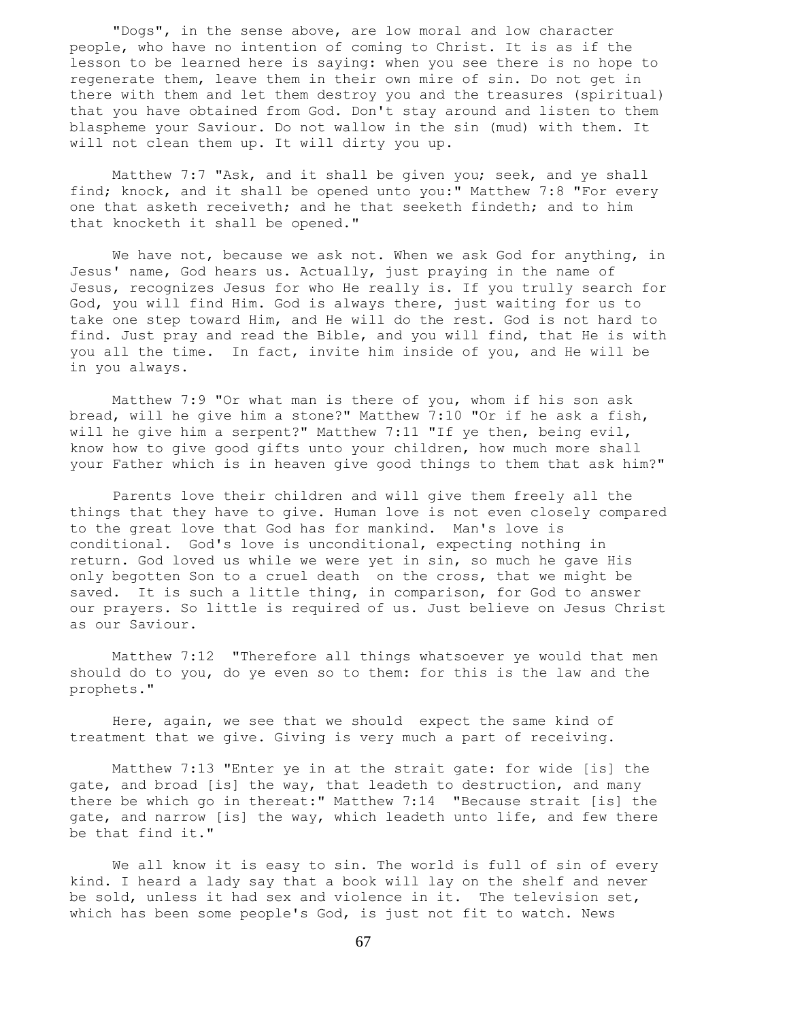"Dogs", in the sense above, are low moral and low character people, who have no intention of coming to Christ. It is as if the lesson to be learned here is saying: when you see there is no hope to regenerate them, leave them in their own mire of sin. Do not get in there with them and let them destroy you and the treasures (spiritual) that you have obtained from God. Don't stay around and listen to them blaspheme your Saviour. Do not wallow in the sin (mud) with them. It will not clean them up. It will dirty you up.

 Matthew 7:7 "Ask, and it shall be given you; seek, and ye shall find; knock, and it shall be opened unto you:" Matthew 7:8 "For every one that asketh receiveth; and he that seeketh findeth; and to him that knocketh it shall be opened."

 We have not, because we ask not. When we ask God for anything, in Jesus' name, God hears us. Actually, just praying in the name of Jesus, recognizes Jesus for who He really is. If you trully search for God, you will find Him. God is always there, just waiting for us to take one step toward Him, and He will do the rest. God is not hard to find. Just pray and read the Bible, and you will find, that He is with you all the time. In fact, invite him inside of you, and He will be in you always.

 Matthew 7:9 "Or what man is there of you, whom if his son ask bread, will he give him a stone?" Matthew 7:10 "Or if he ask a fish, will he give him a serpent?" Matthew 7:11 "If ye then, being evil, know how to give good gifts unto your children, how much more shall your Father which is in heaven give good things to them that ask him?"

 Parents love their children and will give them freely all the things that they have to give. Human love is not even closely compared to the great love that God has for mankind. Man's love is conditional. God's love is unconditional, expecting nothing in return. God loved us while we were yet in sin, so much he gave His only begotten Son to a cruel death on the cross, that we might be saved. It is such a little thing, in comparison, for God to answer our prayers. So little is required of us. Just believe on Jesus Christ as our Saviour.

 Matthew 7:12 "Therefore all things whatsoever ye would that men should do to you, do ye even so to them: for this is the law and the prophets."

 Here, again, we see that we should expect the same kind of treatment that we give. Giving is very much a part of receiving.

 Matthew 7:13 "Enter ye in at the strait gate: for wide [is] the gate, and broad [is] the way, that leadeth to destruction, and many there be which go in thereat:" Matthew 7:14 "Because strait [is] the gate, and narrow [is] the way, which leadeth unto life, and few there be that find it."

 We all know it is easy to sin. The world is full of sin of every kind. I heard a lady say that a book will lay on the shelf and never be sold, unless it had sex and violence in it. The television set, which has been some people's God, is just not fit to watch. News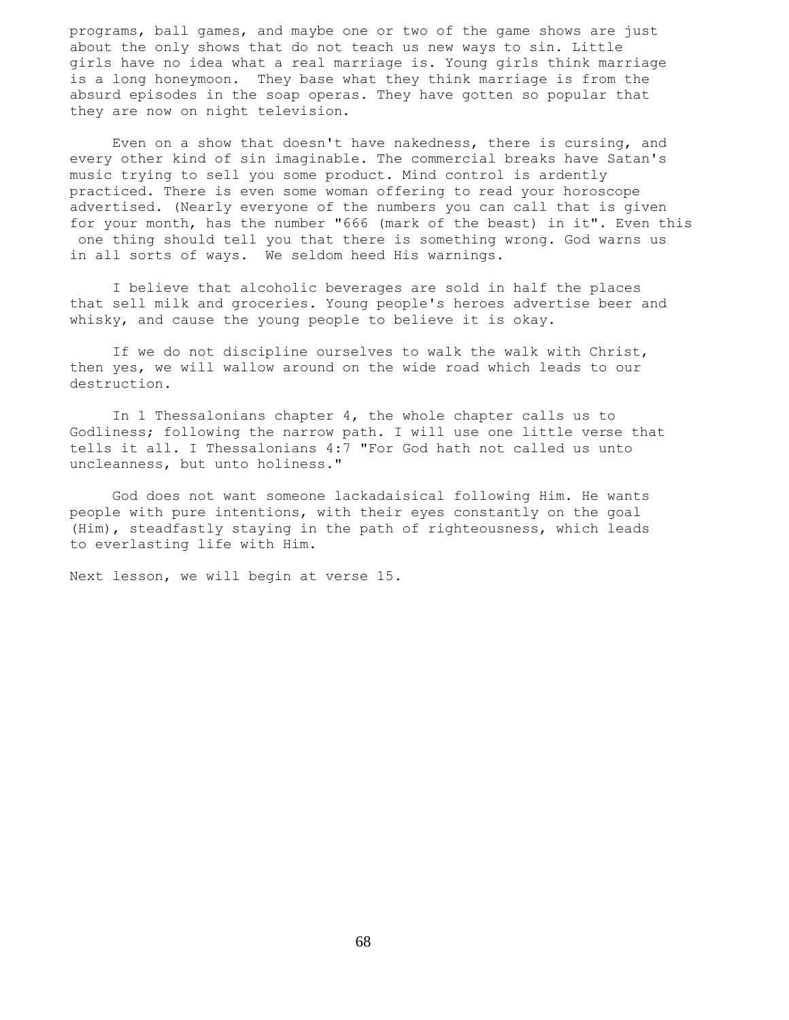programs, ball games, and maybe one or two of the game shows are just about the only shows that do not teach us new ways to sin. Little girls have no idea what a real marriage is. Young girls think marriage is a long honeymoon. They base what they think marriage is from the absurd episodes in the soap operas. They have gotten so popular that they are now on night television.

 Even on a show that doesn't have nakedness, there is cursing, and every other kind of sin imaginable. The commercial breaks have Satan's music trying to sell you some product. Mind control is ardently practiced. There is even some woman offering to read your horoscope advertised. (Nearly everyone of the numbers you can call that is given for your month, has the number "666 (mark of the beast) in it". Even this one thing should tell you that there is something wrong. God warns us in all sorts of ways. We seldom heed His warnings.

 I believe that alcoholic beverages are sold in half the places that sell milk and groceries. Young people's heroes advertise beer and whisky, and cause the young people to believe it is okay.

 If we do not discipline ourselves to walk the walk with Christ, then yes, we will wallow around on the wide road which leads to our destruction.

 In 1 Thessalonians chapter 4, the whole chapter calls us to Godliness; following the narrow path. I will use one little verse that tells it all. I Thessalonians 4:7 "For God hath not called us unto uncleanness, but unto holiness."

 God does not want someone lackadaisical following Him. He wants people with pure intentions, with their eyes constantly on the goal (Him), steadfastly staying in the path of righteousness, which leads to everlasting life with Him.

Next lesson, we will begin at verse 15.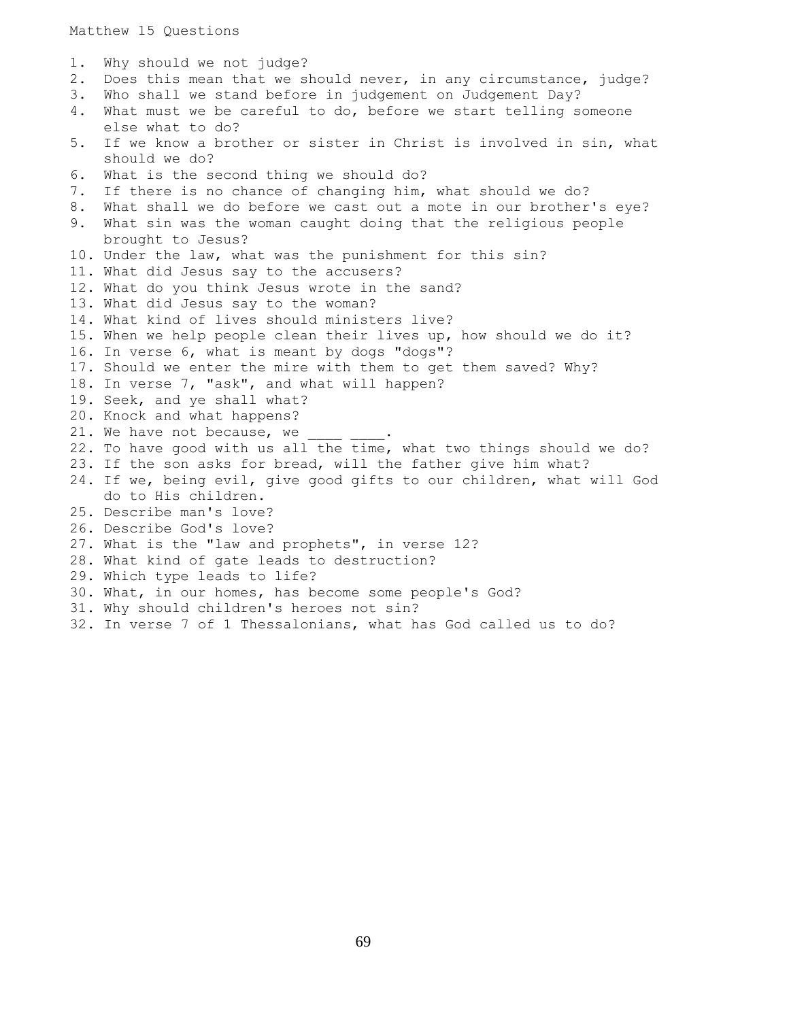1. Why should we not judge? 2. Does this mean that we should never, in any circumstance, judge? 3. Who shall we stand before in judgement on Judgement Day? 4. What must we be careful to do, before we start telling someone else what to do? 5. If we know a brother or sister in Christ is involved in sin, what should we do? 6. What is the second thing we should do? 7. If there is no chance of changing him, what should we do? 8. What shall we do before we cast out a mote in our brother's eye? 9. What sin was the woman caught doing that the religious people brought to Jesus? 10. Under the law, what was the punishment for this sin? 11. What did Jesus say to the accusers? 12. What do you think Jesus wrote in the sand? 13. What did Jesus say to the woman? 14. What kind of lives should ministers live? 15. When we help people clean their lives up, how should we do it? 16. In verse 6, what is meant by dogs "dogs"? 17. Should we enter the mire with them to get them saved? Why? 18. In verse 7, "ask", and what will happen? 19. Seek, and ye shall what? 20. Knock and what happens? 21. We have not because, we 22. To have good with us all the time, what two things should we do? 23. If the son asks for bread, will the father give him what? 24. If we, being evil, give good gifts to our children, what will God do to His children. 25. Describe man's love? 26. Describe God's love? 27. What is the "law and prophets", in verse 12? 28. What kind of gate leads to destruction? 29. Which type leads to life? 30. What, in our homes, has become some people's God? 31. Why should children's heroes not sin? 32. In verse 7 of 1 Thessalonians, what has God called us to do?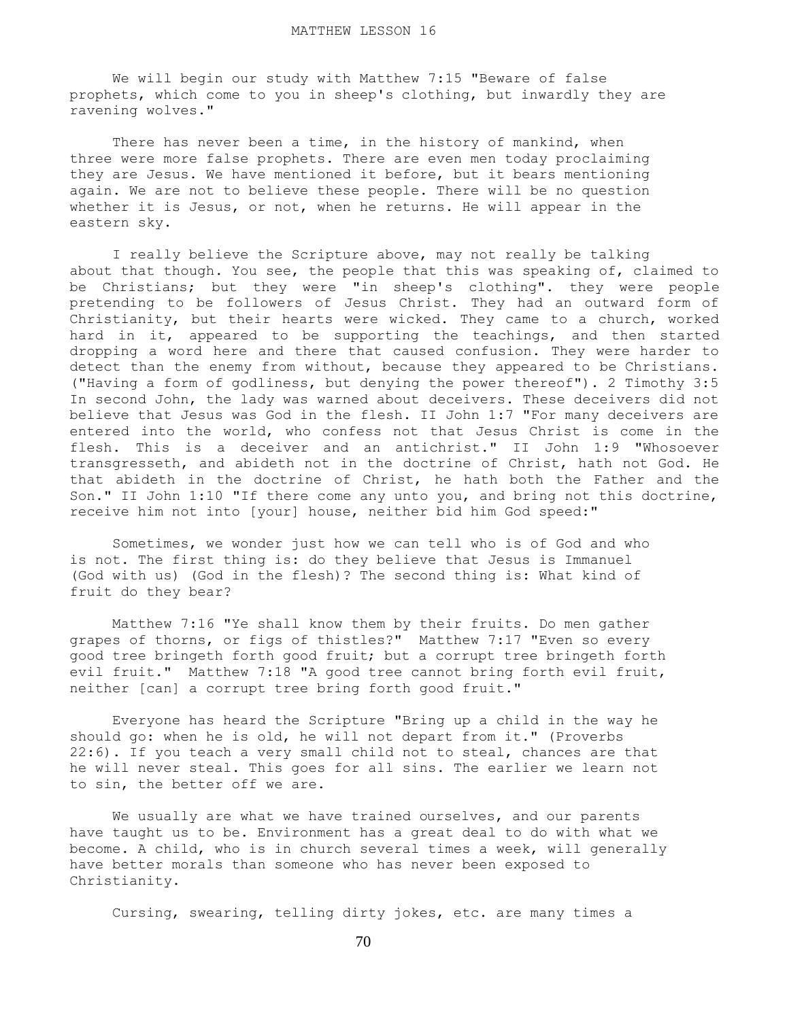We will begin our study with Matthew 7:15 "Beware of false prophets, which come to you in sheep's clothing, but inwardly they are ravening wolves."

There has never been a time, in the history of mankind, when three were more false prophets. There are even men today proclaiming they are Jesus. We have mentioned it before, but it bears mentioning again. We are not to believe these people. There will be no question whether it is Jesus, or not, when he returns. He will appear in the eastern sky.

 I really believe the Scripture above, may not really be talking about that though. You see, the people that this was speaking of, claimed to be Christians; but they were "in sheep's clothing". they were people pretending to be followers of Jesus Christ. They had an outward form of Christianity, but their hearts were wicked. They came to a church, worked hard in it, appeared to be supporting the teachings, and then started dropping a word here and there that caused confusion. They were harder to detect than the enemy from without, because they appeared to be Christians. ("Having a form of godliness, but denying the power thereof"). 2 Timothy 3:5 In second John, the lady was warned about deceivers. These deceivers did not believe that Jesus was God in the flesh. II John 1:7 "For many deceivers are entered into the world, who confess not that Jesus Christ is come in the flesh. This is a deceiver and an antichrist." II John 1:9 "Whosoever transgresseth, and abideth not in the doctrine of Christ, hath not God. He that abideth in the doctrine of Christ, he hath both the Father and the Son." II John 1:10 "If there come any unto you, and bring not this doctrine, receive him not into [your] house, neither bid him God speed:"

 Sometimes, we wonder just how we can tell who is of God and who is not. The first thing is: do they believe that Jesus is Immanuel (God with us) (God in the flesh)? The second thing is: What kind of fruit do they bear?

 Matthew 7:16 "Ye shall know them by their fruits. Do men gather grapes of thorns, or figs of thistles?" Matthew 7:17 "Even so every good tree bringeth forth good fruit; but a corrupt tree bringeth forth evil fruit." Matthew 7:18 "A good tree cannot bring forth evil fruit, neither [can] a corrupt tree bring forth good fruit."

 Everyone has heard the Scripture "Bring up a child in the way he should go: when he is old, he will not depart from it." (Proverbs 22:6). If you teach a very small child not to steal, chances are that he will never steal. This goes for all sins. The earlier we learn not to sin, the better off we are.

We usually are what we have trained ourselves, and our parents have taught us to be. Environment has a great deal to do with what we become. A child, who is in church several times a week, will generally have better morals than someone who has never been exposed to Christianity.

Cursing, swearing, telling dirty jokes, etc. are many times a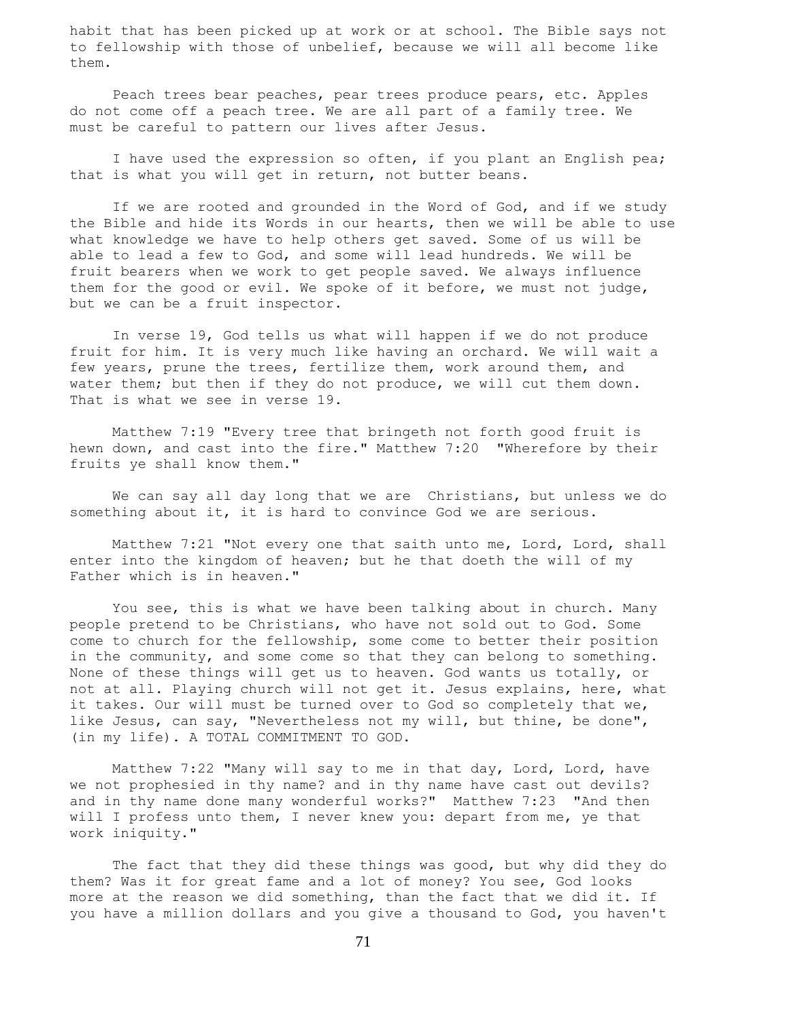habit that has been picked up at work or at school. The Bible says not to fellowship with those of unbelief, because we will all become like them.

 Peach trees bear peaches, pear trees produce pears, etc. Apples do not come off a peach tree. We are all part of a family tree. We must be careful to pattern our lives after Jesus.

 I have used the expression so often, if you plant an English pea; that is what you will get in return, not butter beans.

If we are rooted and grounded in the Word of God, and if we study the Bible and hide its Words in our hearts, then we will be able to use what knowledge we have to help others get saved. Some of us will be able to lead a few to God, and some will lead hundreds. We will be fruit bearers when we work to get people saved. We always influence them for the good or evil. We spoke of it before, we must not judge, but we can be a fruit inspector.

 In verse 19, God tells us what will happen if we do not produce fruit for him. It is very much like having an orchard. We will wait a few years, prune the trees, fertilize them, work around them, and water them; but then if they do not produce, we will cut them down. That is what we see in verse 19.

 Matthew 7:19 "Every tree that bringeth not forth good fruit is hewn down, and cast into the fire." Matthew 7:20 "Wherefore by their fruits ye shall know them."

 We can say all day long that we are Christians, but unless we do something about it, it is hard to convince God we are serious.

 Matthew 7:21 "Not every one that saith unto me, Lord, Lord, shall enter into the kingdom of heaven; but he that doeth the will of my Father which is in heaven."

 You see, this is what we have been talking about in church. Many people pretend to be Christians, who have not sold out to God. Some come to church for the fellowship, some come to better their position in the community, and some come so that they can belong to something. None of these things will get us to heaven. God wants us totally, or not at all. Playing church will not get it. Jesus explains, here, what it takes. Our will must be turned over to God so completely that we, like Jesus, can say, "Nevertheless not my will, but thine, be done", (in my life). A TOTAL COMMITMENT TO GOD.

 Matthew 7:22 "Many will say to me in that day, Lord, Lord, have we not prophesied in thy name? and in thy name have cast out devils? and in thy name done many wonderful works?" Matthew 7:23 "And then will I profess unto them, I never knew you: depart from me, ye that work iniquity."

 The fact that they did these things was good, but why did they do them? Was it for great fame and a lot of money? You see, God looks more at the reason we did something, than the fact that we did it. If you have a million dollars and you give a thousand to God, you haven't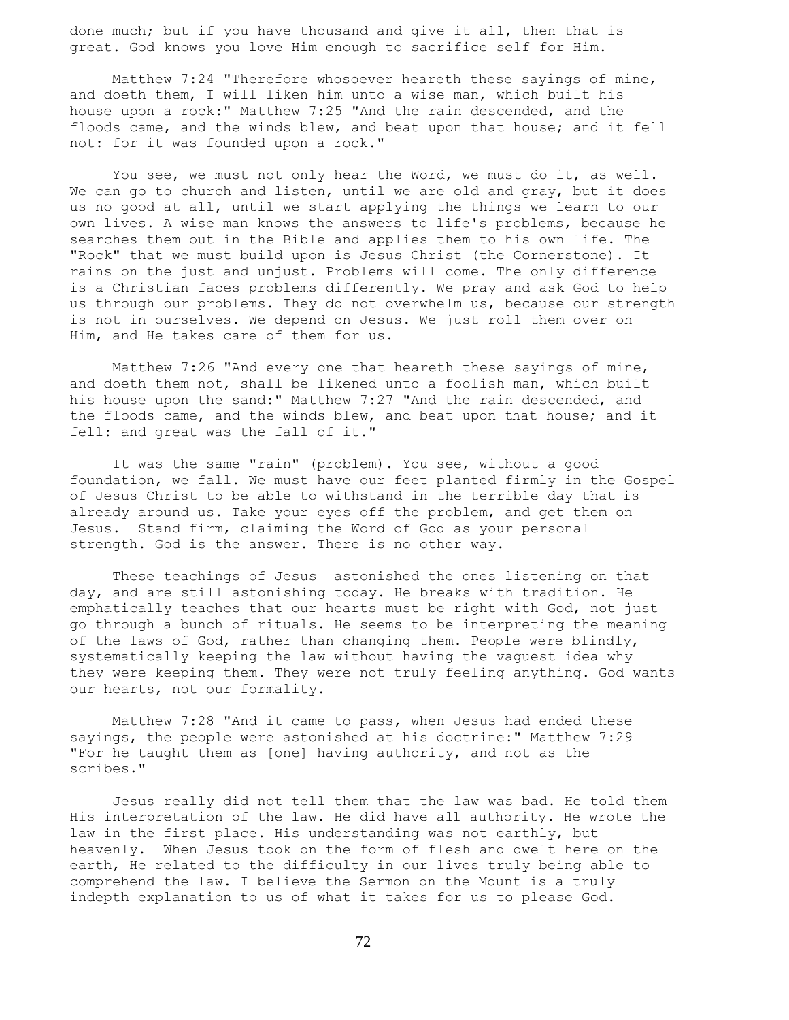done much; but if you have thousand and give it all, then that is great. God knows you love Him enough to sacrifice self for Him.

 Matthew 7:24 "Therefore whosoever heareth these sayings of mine, and doeth them, I will liken him unto a wise man, which built his house upon a rock:" Matthew 7:25 "And the rain descended, and the floods came, and the winds blew, and beat upon that house; and it fell not: for it was founded upon a rock."

 You see, we must not only hear the Word, we must do it, as well. We can go to church and listen, until we are old and gray, but it does us no good at all, until we start applying the things we learn to our own lives. A wise man knows the answers to life's problems, because he searches them out in the Bible and applies them to his own life. The "Rock" that we must build upon is Jesus Christ (the Cornerstone). It rains on the just and unjust. Problems will come. The only difference is a Christian faces problems differently. We pray and ask God to help us through our problems. They do not overwhelm us, because our strength is not in ourselves. We depend on Jesus. We just roll them over on Him, and He takes care of them for us.

 Matthew 7:26 "And every one that heareth these sayings of mine, and doeth them not, shall be likened unto a foolish man, which built his house upon the sand:" Matthew 7:27 "And the rain descended, and the floods came, and the winds blew, and beat upon that house; and it fell: and great was the fall of it."

 It was the same "rain" (problem). You see, without a good foundation, we fall. We must have our feet planted firmly in the Gospel of Jesus Christ to be able to withstand in the terrible day that is already around us. Take your eyes off the problem, and get them on Jesus. Stand firm, claiming the Word of God as your personal strength. God is the answer. There is no other way.

 These teachings of Jesus astonished the ones listening on that day, and are still astonishing today. He breaks with tradition. He emphatically teaches that our hearts must be right with God, not just go through a bunch of rituals. He seems to be interpreting the meaning of the laws of God, rather than changing them. People were blindly, systematically keeping the law without having the vaguest idea why they were keeping them. They were not truly feeling anything. God wants our hearts, not our formality.

 Matthew 7:28 "And it came to pass, when Jesus had ended these sayings, the people were astonished at his doctrine:" Matthew 7:29 "For he taught them as [one] having authority, and not as the scribes."

 Jesus really did not tell them that the law was bad. He told them His interpretation of the law. He did have all authority. He wrote the law in the first place. His understanding was not earthly, but heavenly. When Jesus took on the form of flesh and dwelt here on the earth, He related to the difficulty in our lives truly being able to comprehend the law. I believe the Sermon on the Mount is a truly indepth explanation to us of what it takes for us to please God.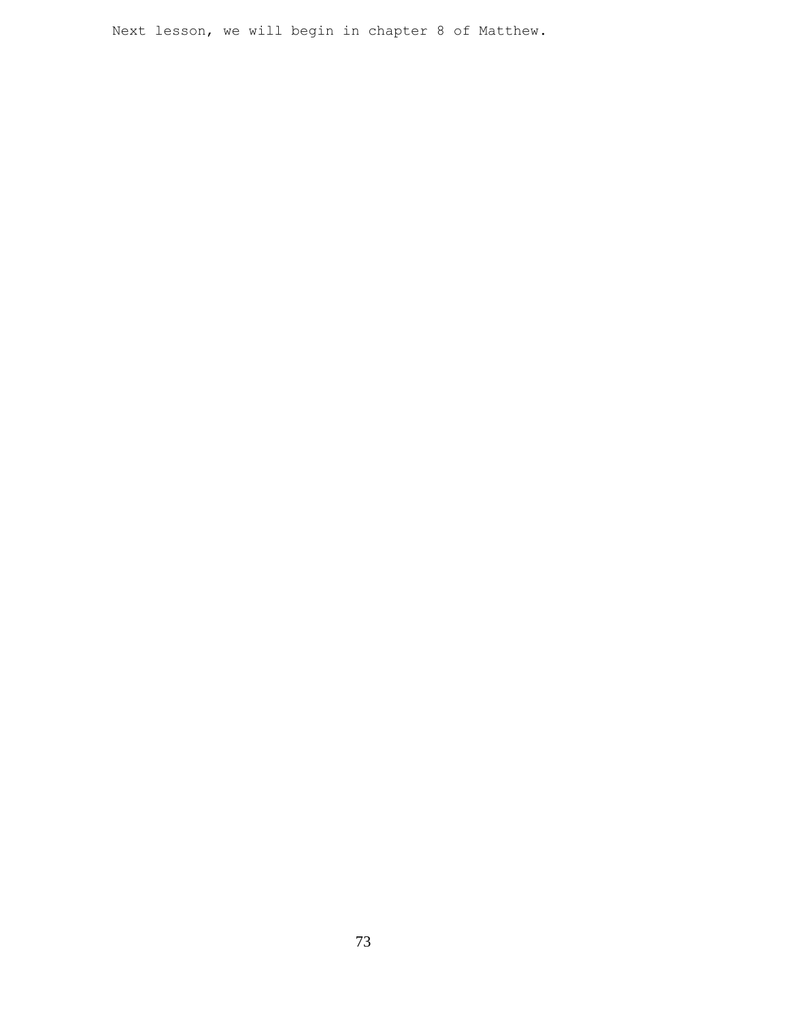Next lesson, we will begin in chapter 8 of Matthew.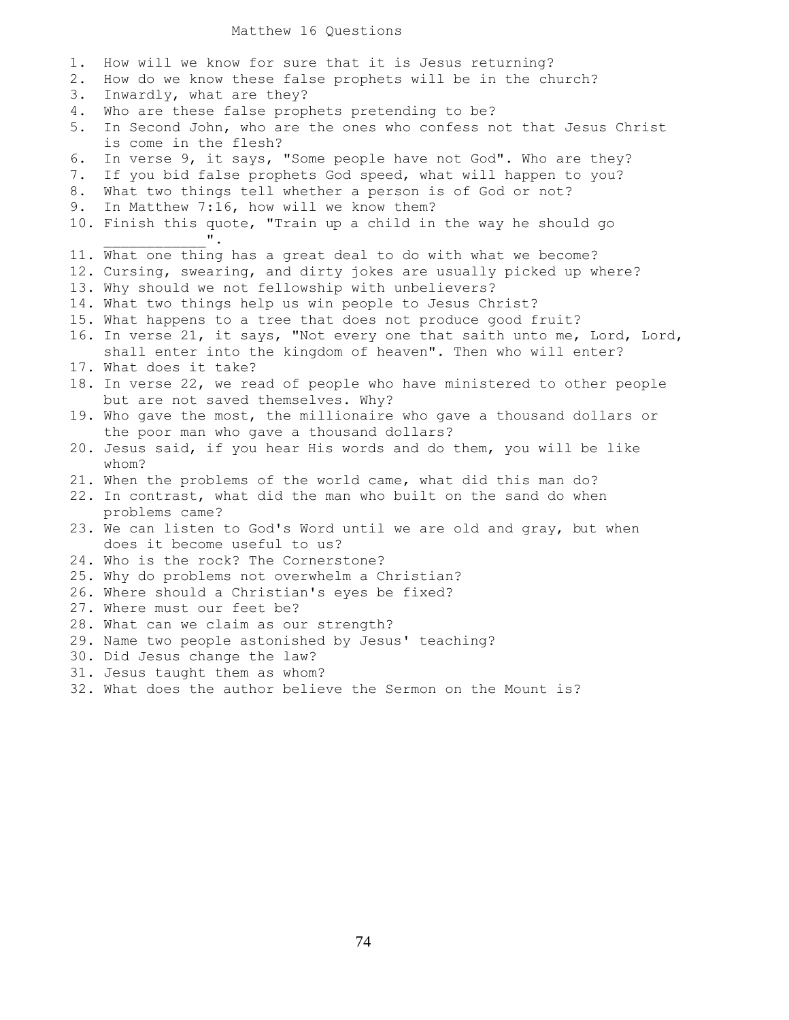## Matthew 16 Questions

| 1. | How will we know for sure that it is Jesus returning?                    |
|----|--------------------------------------------------------------------------|
| 2. | How do we know these false prophets will be in the church?               |
| 3. | Inwardly, what are they?                                                 |
| 4. | Who are these false prophets pretending to be?                           |
| 5. | In Second John, who are the ones who confess not that Jesus Christ       |
|    | is come in the flesh?                                                    |
| 6. | In verse 9, it says, "Some people have not God". Who are they?           |
| 7. | If you bid false prophets God speed, what will happen to you?            |
| 8. | What two things tell whether a person is of God or not?                  |
| 9. | In Matthew 7:16, how will we know them?                                  |
|    | 10. Finish this quote, "Train up a child in the way he should go         |
|    |                                                                          |
|    | 11. What one thing has a great deal to do with what we become?           |
|    | 12. Cursing, swearing, and dirty jokes are usually picked up where?      |
|    | 13. Why should we not fellowship with unbelievers?                       |
|    | 14. What two things help us win people to Jesus Christ?                  |
|    | 15. What happens to a tree that does not produce good fruit?             |
|    | 16. In verse 21, it says, "Not every one that saith unto me, Lord, Lord, |
|    | shall enter into the kingdom of heaven". Then who will enter?            |
|    | 17. What does it take?                                                   |
|    | 18. In verse 22, we read of people who have ministered to other people   |
|    | but are not saved themselves. Why?                                       |
|    | 19. Who gave the most, the millionaire who gave a thousand dollars or    |
|    | the poor man who gave a thousand dollars?                                |
|    | 20. Jesus said, if you hear His words and do them, you will be like      |
|    | whom?                                                                    |
|    | 21. When the problems of the world came, what did this man do?           |
|    | 22. In contrast, what did the man who built on the sand do when          |
|    | problems came?                                                           |
|    | 23. We can listen to God's Word until we are old and gray, but when      |
|    | does it become useful to us?                                             |
|    | 24. Who is the rock? The Cornerstone?                                    |
|    | 25. Why do problems not overwhelm a Christian?                           |
|    | 26. Where should a Christian's eyes be fixed?                            |
|    | 27. Where must our feet be?                                              |
|    | 28. What can we claim as our strength?                                   |
|    | 29. Name two people astonished by Jesus' teaching?                       |
|    | 30. Did Jesus change the law?                                            |
|    | 31. Jesus taught them as whom?                                           |
|    | 32. What does the author believe the Sermon on the Mount is?             |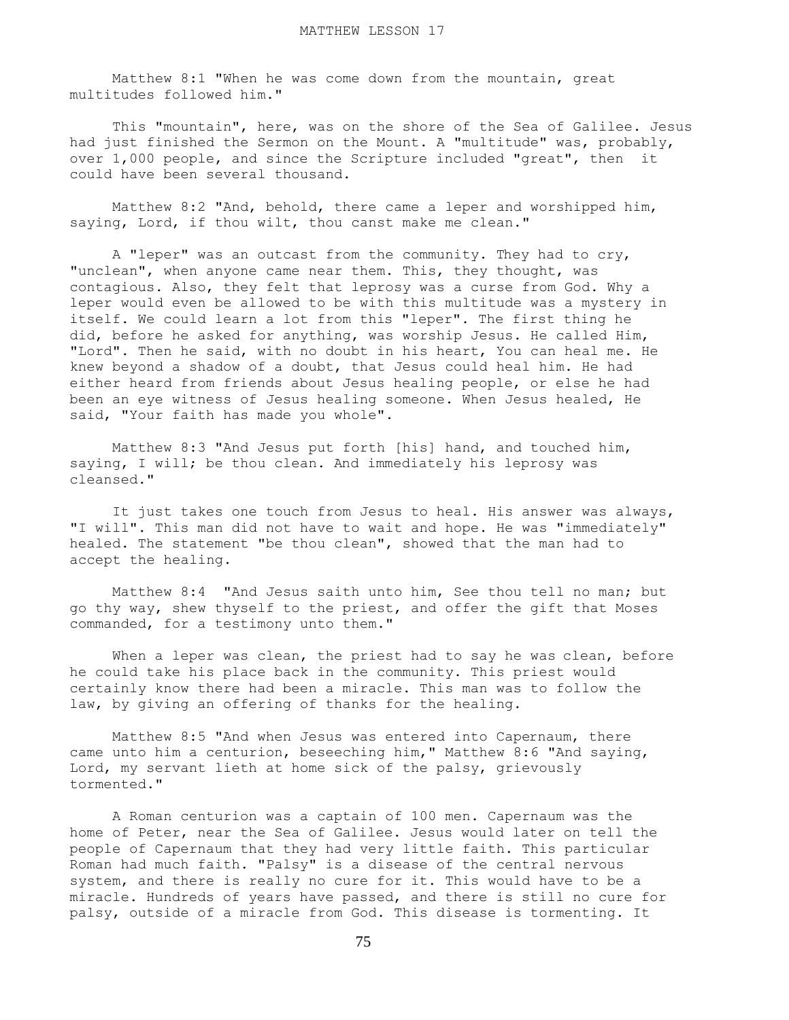Matthew 8:1 "When he was come down from the mountain, great multitudes followed him."

 This "mountain", here, was on the shore of the Sea of Galilee. Jesus had just finished the Sermon on the Mount. A "multitude" was, probably, over 1,000 people, and since the Scripture included "great", then it could have been several thousand.

 Matthew 8:2 "And, behold, there came a leper and worshipped him, saying, Lord, if thou wilt, thou canst make me clean."

 A "leper" was an outcast from the community. They had to cry, "unclean", when anyone came near them. This, they thought, was contagious. Also, they felt that leprosy was a curse from God. Why a leper would even be allowed to be with this multitude was a mystery in itself. We could learn a lot from this "leper". The first thing he did, before he asked for anything, was worship Jesus. He called Him, "Lord". Then he said, with no doubt in his heart, You can heal me. He knew beyond a shadow of a doubt, that Jesus could heal him. He had either heard from friends about Jesus healing people, or else he had been an eye witness of Jesus healing someone. When Jesus healed, He said, "Your faith has made you whole".

 Matthew 8:3 "And Jesus put forth [his] hand, and touched him, saying, I will; be thou clean. And immediately his leprosy was cleansed."

 It just takes one touch from Jesus to heal. His answer was always, "I will". This man did not have to wait and hope. He was "immediately" healed. The statement "be thou clean", showed that the man had to accept the healing.

 Matthew 8:4 "And Jesus saith unto him, See thou tell no man; but go thy way, shew thyself to the priest, and offer the gift that Moses commanded, for a testimony unto them."

When a leper was clean, the priest had to say he was clean, before he could take his place back in the community. This priest would certainly know there had been a miracle. This man was to follow the law, by giving an offering of thanks for the healing.

 Matthew 8:5 "And when Jesus was entered into Capernaum, there came unto him a centurion, beseeching him," Matthew 8:6 "And saying, Lord, my servant lieth at home sick of the palsy, grievously tormented."

 A Roman centurion was a captain of 100 men. Capernaum was the home of Peter, near the Sea of Galilee. Jesus would later on tell the people of Capernaum that they had very little faith. This particular Roman had much faith. "Palsy" is a disease of the central nervous system, and there is really no cure for it. This would have to be a miracle. Hundreds of years have passed, and there is still no cure for palsy, outside of a miracle from God. This disease is tormenting. It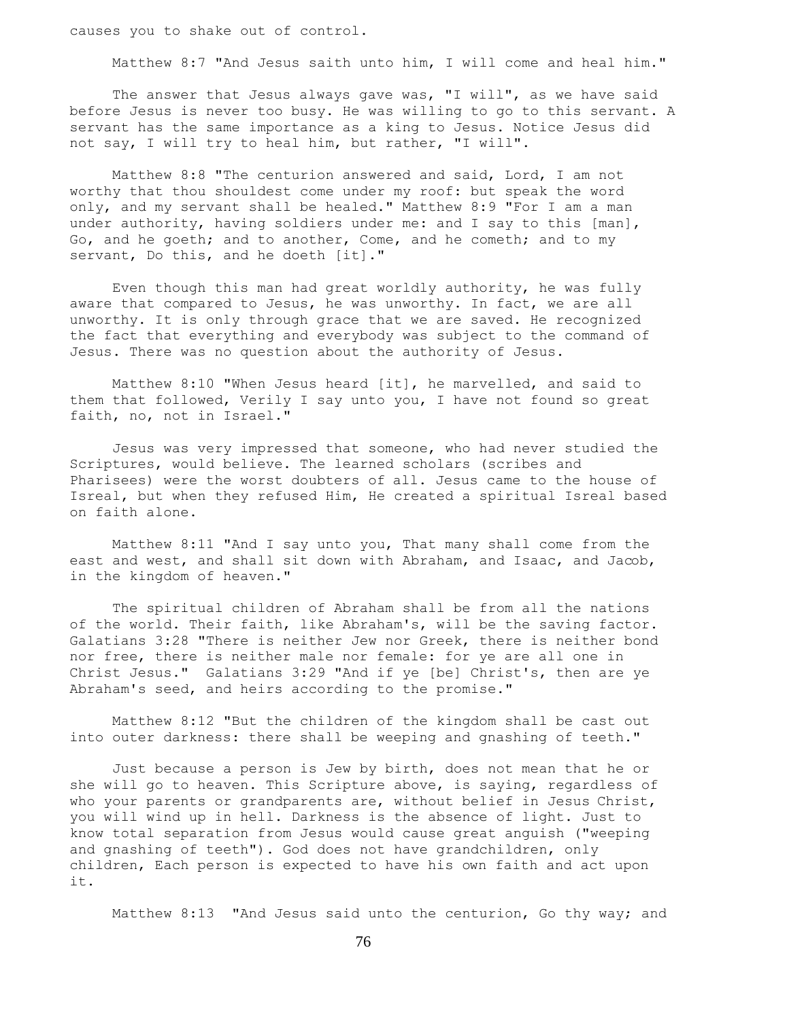causes you to shake out of control.

Matthew 8:7 "And Jesus saith unto him, I will come and heal him."

 The answer that Jesus always gave was, "I will", as we have said before Jesus is never too busy. He was willing to go to this servant. A servant has the same importance as a king to Jesus. Notice Jesus did not say, I will try to heal him, but rather, "I will".

 Matthew 8:8 "The centurion answered and said, Lord, I am not worthy that thou shouldest come under my roof: but speak the word only, and my servant shall be healed." Matthew 8:9 "For I am a man under authority, having soldiers under me: and I say to this [man], Go, and he goeth; and to another, Come, and he cometh; and to my servant, Do this, and he doeth [it]."

 Even though this man had great worldly authority, he was fully aware that compared to Jesus, he was unworthy. In fact, we are all unworthy. It is only through grace that we are saved. He recognized the fact that everything and everybody was subject to the command of Jesus. There was no question about the authority of Jesus.

 Matthew 8:10 "When Jesus heard [it], he marvelled, and said to them that followed, Verily I say unto you, I have not found so great faith, no, not in Israel."

 Jesus was very impressed that someone, who had never studied the Scriptures, would believe. The learned scholars (scribes and Pharisees) were the worst doubters of all. Jesus came to the house of Isreal, but when they refused Him, He created a spiritual Isreal based on faith alone.

 Matthew 8:11 "And I say unto you, That many shall come from the east and west, and shall sit down with Abraham, and Isaac, and Jacob, in the kingdom of heaven."

 The spiritual children of Abraham shall be from all the nations of the world. Their faith, like Abraham's, will be the saving factor. Galatians 3:28 "There is neither Jew nor Greek, there is neither bond nor free, there is neither male nor female: for ye are all one in Christ Jesus." Galatians 3:29 "And if ye [be] Christ's, then are ye Abraham's seed, and heirs according to the promise."

 Matthew 8:12 "But the children of the kingdom shall be cast out into outer darkness: there shall be weeping and gnashing of teeth."

 Just because a person is Jew by birth, does not mean that he or she will go to heaven. This Scripture above, is saying, regardless of who your parents or grandparents are, without belief in Jesus Christ, you will wind up in hell. Darkness is the absence of light. Just to know total separation from Jesus would cause great anguish ("weeping and gnashing of teeth"). God does not have grandchildren, only children, Each person is expected to have his own faith and act upon it.

Matthew 8:13 "And Jesus said unto the centurion, Go thy way; and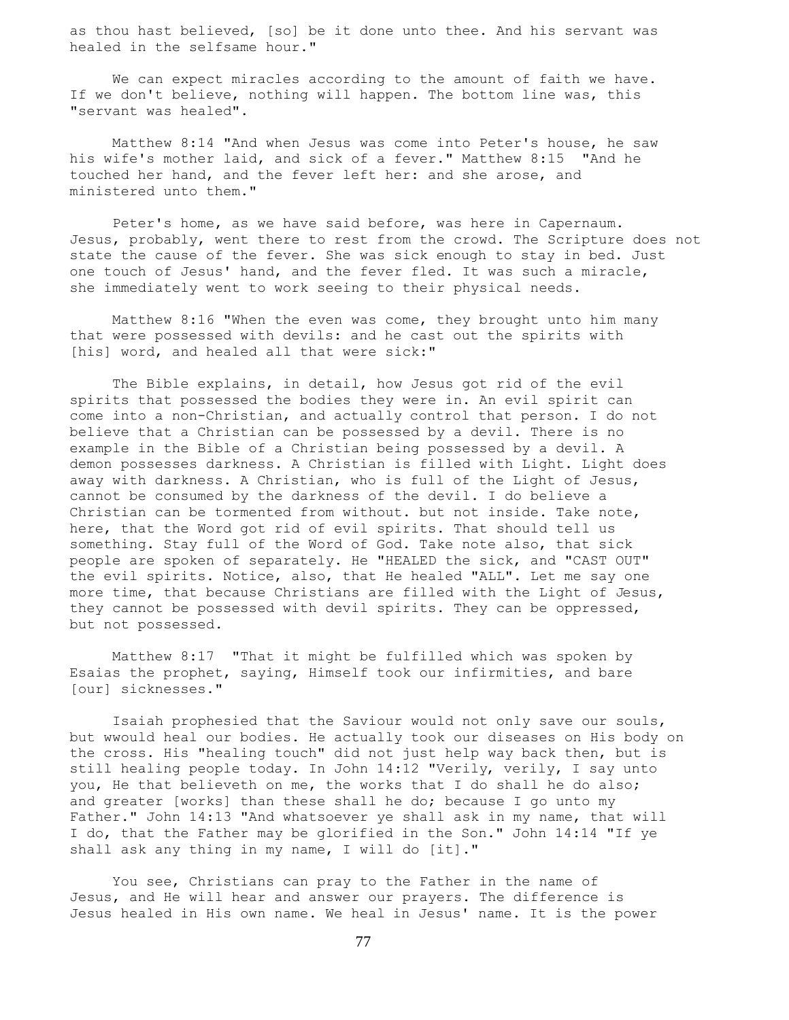as thou hast believed, [so] be it done unto thee. And his servant was healed in the selfsame hour."

 We can expect miracles according to the amount of faith we have. If we don't believe, nothing will happen. The bottom line was, this "servant was healed".

 Matthew 8:14 "And when Jesus was come into Peter's house, he saw his wife's mother laid, and sick of a fever." Matthew 8:15 "And he touched her hand, and the fever left her: and she arose, and ministered unto them."

 Peter's home, as we have said before, was here in Capernaum. Jesus, probably, went there to rest from the crowd. The Scripture does not state the cause of the fever. She was sick enough to stay in bed. Just one touch of Jesus' hand, and the fever fled. It was such a miracle, she immediately went to work seeing to their physical needs.

 Matthew 8:16 "When the even was come, they brought unto him many that were possessed with devils: and he cast out the spirits with [his] word, and healed all that were sick:"

 The Bible explains, in detail, how Jesus got rid of the evil spirits that possessed the bodies they were in. An evil spirit can come into a non-Christian, and actually control that person. I do not believe that a Christian can be possessed by a devil. There is no example in the Bible of a Christian being possessed by a devil. A demon possesses darkness. A Christian is filled with Light. Light does away with darkness. A Christian, who is full of the Light of Jesus, cannot be consumed by the darkness of the devil. I do believe a Christian can be tormented from without. but not inside. Take note, here, that the Word got rid of evil spirits. That should tell us something. Stay full of the Word of God. Take note also, that sick people are spoken of separately. He "HEALED the sick, and "CAST OUT" the evil spirits. Notice, also, that He healed "ALL". Let me say one more time, that because Christians are filled with the Light of Jesus, they cannot be possessed with devil spirits. They can be oppressed, but not possessed.

 Matthew 8:17 "That it might be fulfilled which was spoken by Esaias the prophet, saying, Himself took our infirmities, and bare [our] sicknesses."

 Isaiah prophesied that the Saviour would not only save our souls, but wwould heal our bodies. He actually took our diseases on His body on the cross. His "healing touch" did not just help way back then, but is still healing people today. In John 14:12 "Verily, verily, I say unto you, He that believeth on me, the works that I do shall he do also; and greater [works] than these shall he do; because I go unto my Father." John 14:13 "And whatsoever ye shall ask in my name, that will I do, that the Father may be glorified in the Son." John 14:14 "If ye shall ask any thing in my name, I will do [it]."

 You see, Christians can pray to the Father in the name of Jesus, and He will hear and answer our prayers. The difference is Jesus healed in His own name. We heal in Jesus' name. It is the power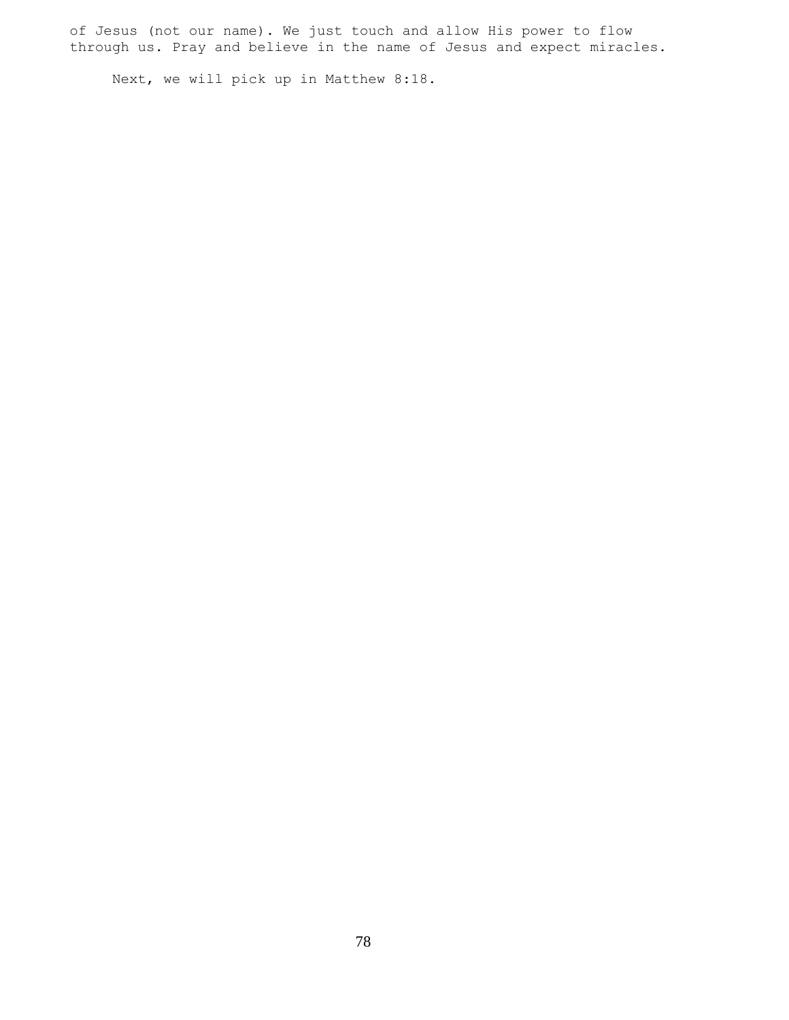of Jesus (not our name). We just touch and allow His power to flow through us. Pray and believe in the name of Jesus and expect miracles.

Next, we will pick up in Matthew 8:18.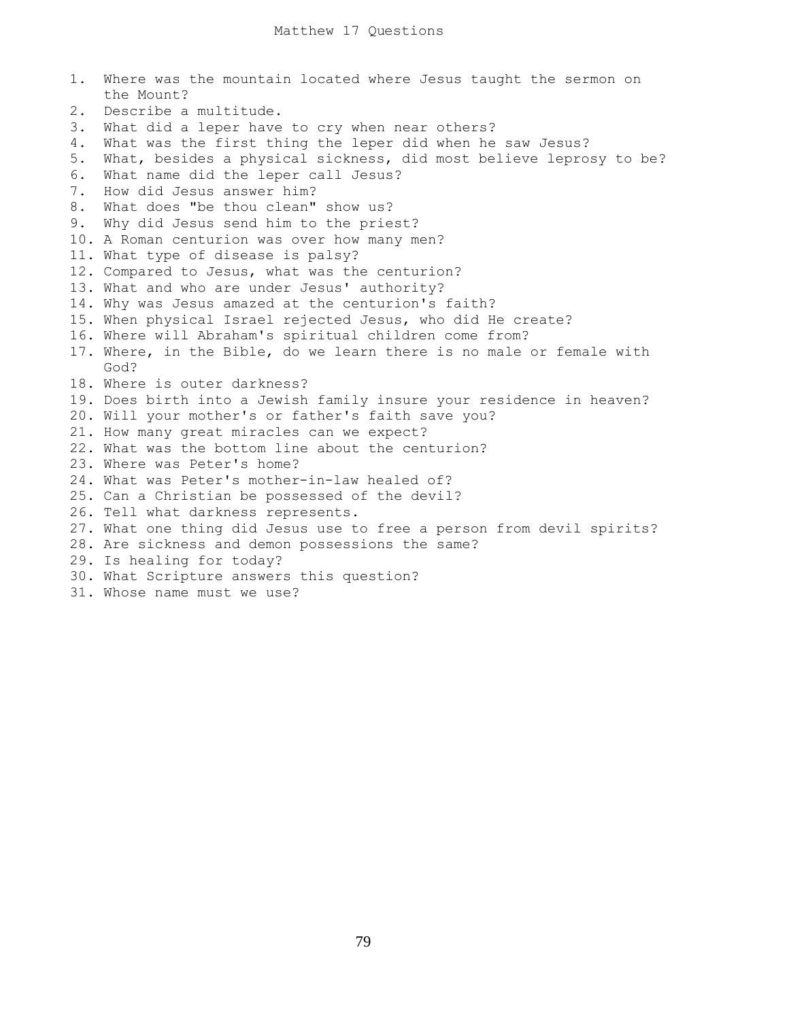1. Where was the mountain located where Jesus taught the sermon on the Mount? 2. Describe a multitude. 3. What did a leper have to cry when near others? 4. What was the first thing the leper did when he saw Jesus? 5. What, besides a physical sickness, did most believe leprosy to be? 6. What name did the leper call Jesus? 7. How did Jesus answer him? 8. What does "be thou clean" show us? 9. Why did Jesus send him to the priest? 10. A Roman centurion was over how many men? 11. What type of disease is palsy? 12. Compared to Jesus, what was the centurion? 13. What and who are under Jesus' authority? 14. Why was Jesus amazed at the centurion's faith? 15. When physical Israel rejected Jesus, who did He create? 16. Where will Abraham's spiritual children come from? 17. Where, in the Bible, do we learn there is no male or female with God? 18. Where is outer darkness? 19. Does birth into a Jewish family insure your residence in heaven? 20. Will your mother's or father's faith save you? 21. How many great miracles can we expect? 22. What was the bottom line about the centurion? 23. Where was Peter's home? 24. What was Peter's mother-in-law healed of? 25. Can a Christian be possessed of the devil? 26. Tell what darkness represents. 27. What one thing did Jesus use to free a person from devil spirits? 28. Are sickness and demon possessions the same? 29. Is healing for today? 30. What Scripture answers this question? 31. Whose name must we use?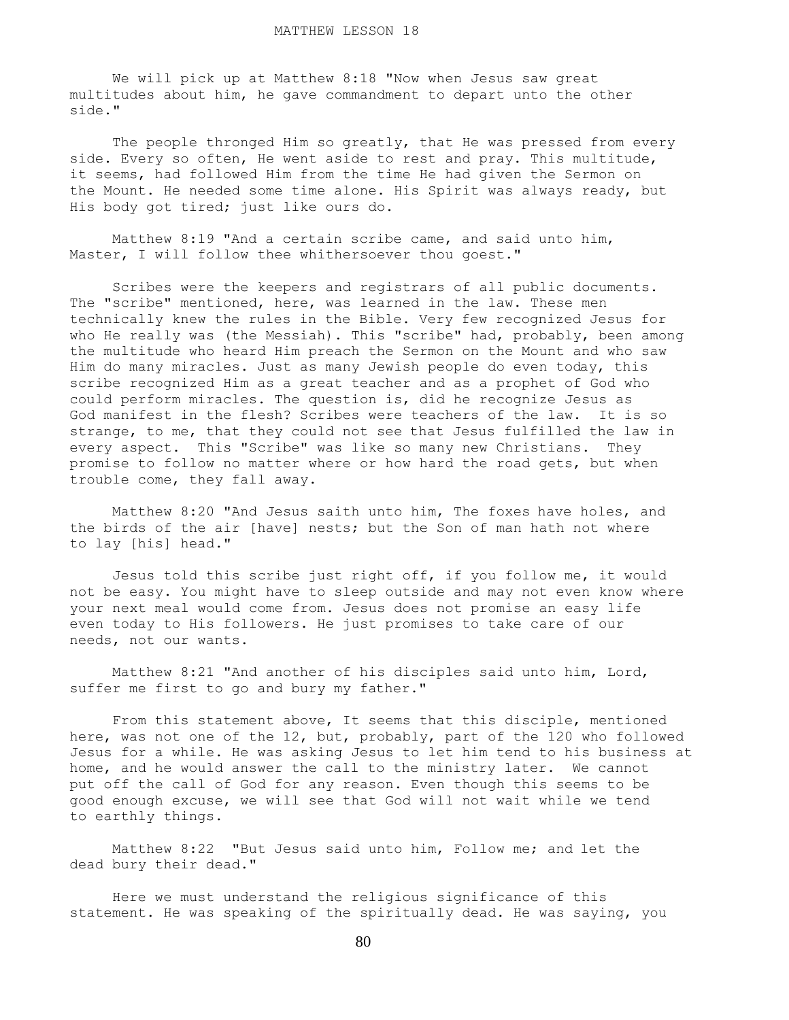We will pick up at Matthew 8:18 "Now when Jesus saw great multitudes about him, he gave commandment to depart unto the other side."

The people thronged Him so greatly, that He was pressed from every side. Every so often, He went aside to rest and pray. This multitude, it seems, had followed Him from the time He had given the Sermon on the Mount. He needed some time alone. His Spirit was always ready, but His body got tired; just like ours do.

 Matthew 8:19 "And a certain scribe came, and said unto him, Master, I will follow thee whithersoever thou goest."

 Scribes were the keepers and registrars of all public documents. The "scribe" mentioned, here, was learned in the law. These men technically knew the rules in the Bible. Very few recognized Jesus for who He really was (the Messiah). This "scribe" had, probably, been among the multitude who heard Him preach the Sermon on the Mount and who saw Him do many miracles. Just as many Jewish people do even today, this scribe recognized Him as a great teacher and as a prophet of God who could perform miracles. The question is, did he recognize Jesus as God manifest in the flesh? Scribes were teachers of the law. It is so strange, to me, that they could not see that Jesus fulfilled the law in every aspect. This "Scribe" was like so many new Christians. They promise to follow no matter where or how hard the road gets, but when trouble come, they fall away.

 Matthew 8:20 "And Jesus saith unto him, The foxes have holes, and the birds of the air [have] nests; but the Son of man hath not where to lay [his] head."

 Jesus told this scribe just right off, if you follow me, it would not be easy. You might have to sleep outside and may not even know where your next meal would come from. Jesus does not promise an easy life even today to His followers. He just promises to take care of our needs, not our wants.

 Matthew 8:21 "And another of his disciples said unto him, Lord, suffer me first to go and bury my father."

 From this statement above, It seems that this disciple, mentioned here, was not one of the 12, but, probably, part of the 120 who followed Jesus for a while. He was asking Jesus to let him tend to his business at home, and he would answer the call to the ministry later. We cannot put off the call of God for any reason. Even though this seems to be good enough excuse, we will see that God will not wait while we tend to earthly things.

 Matthew 8:22 "But Jesus said unto him, Follow me; and let the dead bury their dead."

 Here we must understand the religious significance of this statement. He was speaking of the spiritually dead. He was saying, you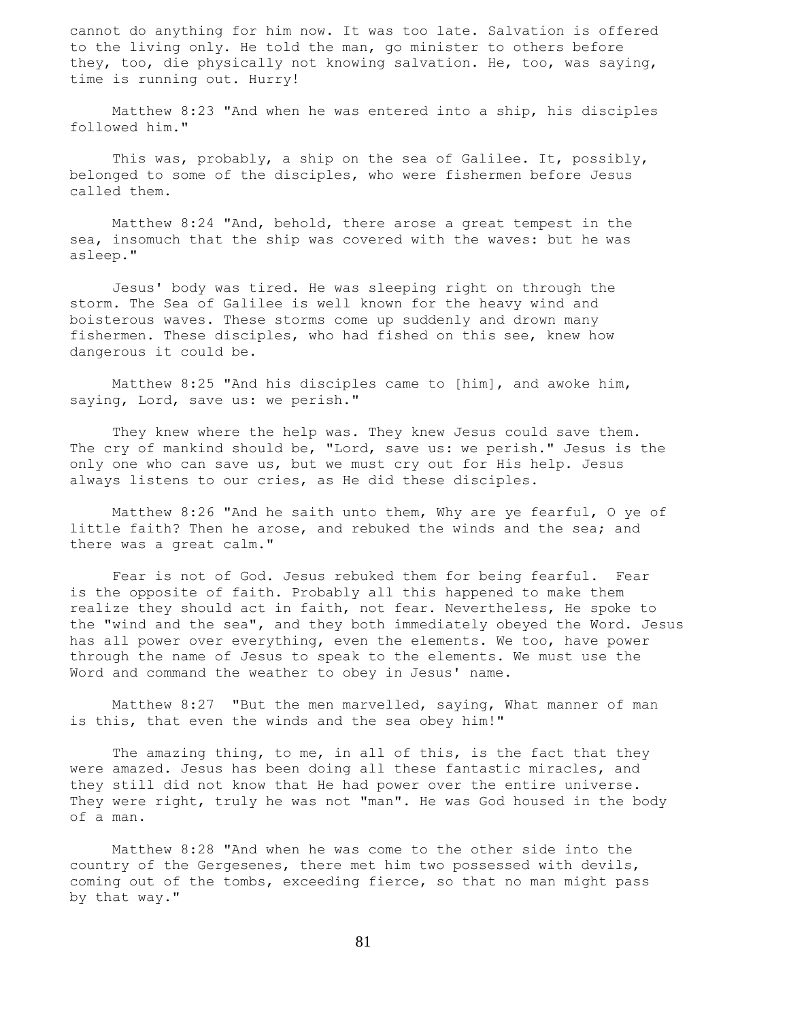cannot do anything for him now. It was too late. Salvation is offered to the living only. He told the man, go minister to others before they, too, die physically not knowing salvation. He, too, was saying, time is running out. Hurry!

 Matthew 8:23 "And when he was entered into a ship, his disciples followed him."

 This was, probably, a ship on the sea of Galilee. It, possibly, belonged to some of the disciples, who were fishermen before Jesus called them.

 Matthew 8:24 "And, behold, there arose a great tempest in the sea, insomuch that the ship was covered with the waves: but he was asleep."

 Jesus' body was tired. He was sleeping right on through the storm. The Sea of Galilee is well known for the heavy wind and boisterous waves. These storms come up suddenly and drown many fishermen. These disciples, who had fished on this see, knew how dangerous it could be.

 Matthew 8:25 "And his disciples came to [him], and awoke him, saying, Lord, save us: we perish."

 They knew where the help was. They knew Jesus could save them. The cry of mankind should be, "Lord, save us: we perish." Jesus is the only one who can save us, but we must cry out for His help. Jesus always listens to our cries, as He did these disciples.

 Matthew 8:26 "And he saith unto them, Why are ye fearful, O ye of little faith? Then he arose, and rebuked the winds and the sea; and there was a great calm."

 Fear is not of God. Jesus rebuked them for being fearful. Fear is the opposite of faith. Probably all this happened to make them realize they should act in faith, not fear. Nevertheless, He spoke to the "wind and the sea", and they both immediately obeyed the Word. Jesus has all power over everything, even the elements. We too, have power through the name of Jesus to speak to the elements. We must use the Word and command the weather to obey in Jesus' name.

 Matthew 8:27 "But the men marvelled, saying, What manner of man is this, that even the winds and the sea obey him!"

The amazing thing, to me, in all of this, is the fact that they were amazed. Jesus has been doing all these fantastic miracles, and they still did not know that He had power over the entire universe. They were right, truly he was not "man". He was God housed in the body of a man.

 Matthew 8:28 "And when he was come to the other side into the country of the Gergesenes, there met him two possessed with devils, coming out of the tombs, exceeding fierce, so that no man might pass by that way."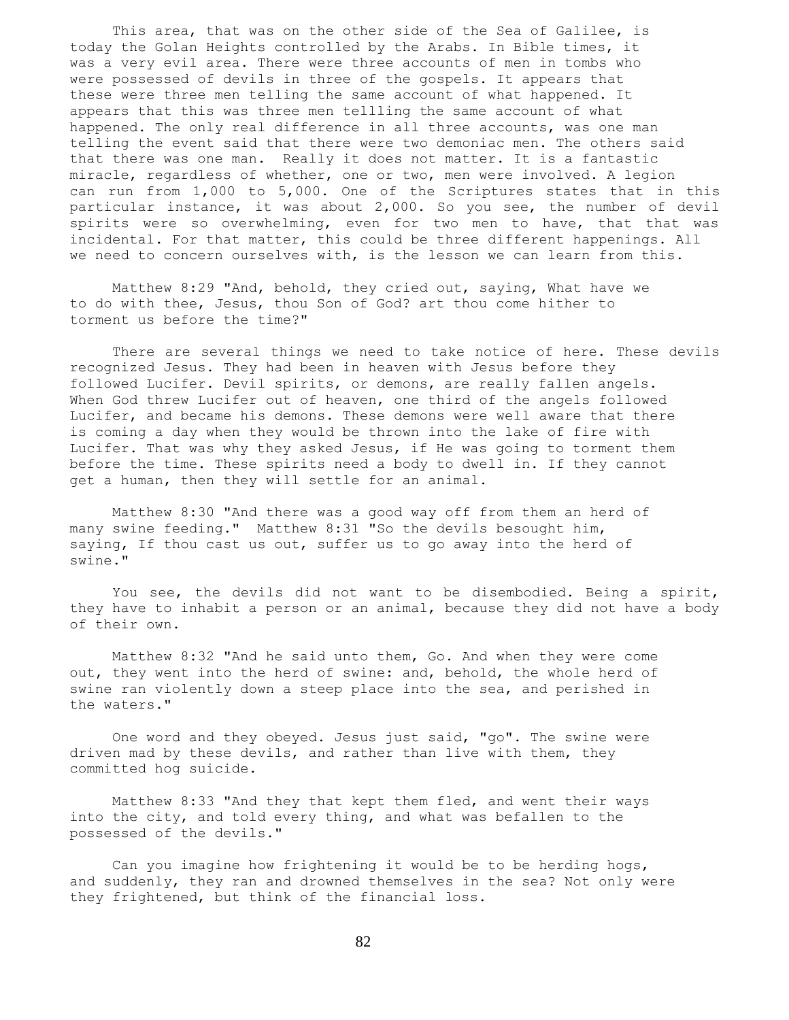This area, that was on the other side of the Sea of Galilee, is today the Golan Heights controlled by the Arabs. In Bible times, it was a very evil area. There were three accounts of men in tombs who were possessed of devils in three of the gospels. It appears that these were three men telling the same account of what happened. It appears that this was three men tellling the same account of what happened. The only real difference in all three accounts, was one man telling the event said that there were two demoniac men. The others said that there was one man. Really it does not matter. It is a fantastic miracle, regardless of whether, one or two, men were involved. A legion can run from 1,000 to 5,000. One of the Scriptures states that in this particular instance, it was about 2,000. So you see, the number of devil spirits were so overwhelming, even for two men to have, that that was incidental. For that matter, this could be three different happenings. All we need to concern ourselves with, is the lesson we can learn from this.

 Matthew 8:29 "And, behold, they cried out, saying, What have we to do with thee, Jesus, thou Son of God? art thou come hither to torment us before the time?"

 There are several things we need to take notice of here. These devils recognized Jesus. They had been in heaven with Jesus before they followed Lucifer. Devil spirits, or demons, are really fallen angels. When God threw Lucifer out of heaven, one third of the angels followed Lucifer, and became his demons. These demons were well aware that there is coming a day when they would be thrown into the lake of fire with Lucifer. That was why they asked Jesus, if He was going to torment them before the time. These spirits need a body to dwell in. If they cannot get a human, then they will settle for an animal.

 Matthew 8:30 "And there was a good way off from them an herd of many swine feeding." Matthew 8:31 "So the devils besought him, saying, If thou cast us out, suffer us to go away into the herd of swine."

 You see, the devils did not want to be disembodied. Being a spirit, they have to inhabit a person or an animal, because they did not have a body of their own.

 Matthew 8:32 "And he said unto them, Go. And when they were come out, they went into the herd of swine: and, behold, the whole herd of swine ran violently down a steep place into the sea, and perished in the waters."

 One word and they obeyed. Jesus just said, "go". The swine were driven mad by these devils, and rather than live with them, they committed hog suicide.

 Matthew 8:33 "And they that kept them fled, and went their ways into the city, and told every thing, and what was befallen to the possessed of the devils."

 Can you imagine how frightening it would be to be herding hogs, and suddenly, they ran and drowned themselves in the sea? Not only were they frightened, but think of the financial loss.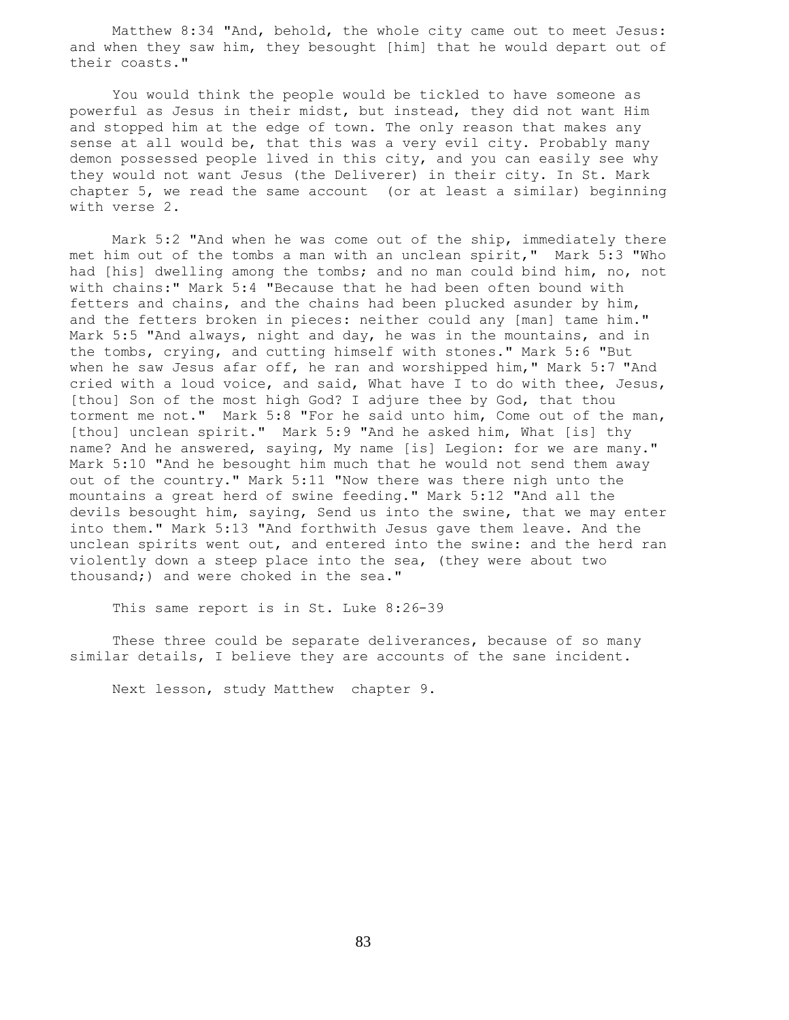Matthew 8:34 "And, behold, the whole city came out to meet Jesus: and when they saw him, they besought [him] that he would depart out of their coasts."

 You would think the people would be tickled to have someone as powerful as Jesus in their midst, but instead, they did not want Him and stopped him at the edge of town. The only reason that makes any sense at all would be, that this was a very evil city. Probably many demon possessed people lived in this city, and you can easily see why they would not want Jesus (the Deliverer) in their city. In St. Mark chapter 5, we read the same account (or at least a similar) beginning with verse 2.

 Mark 5:2 "And when he was come out of the ship, immediately there met him out of the tombs a man with an unclean spirit," Mark 5:3 "Who had [his] dwelling among the tombs; and no man could bind him, no, not with chains:" Mark 5:4 "Because that he had been often bound with fetters and chains, and the chains had been plucked asunder by him, and the fetters broken in pieces: neither could any [man] tame him." Mark 5:5 "And always, night and day, he was in the mountains, and in the tombs, crying, and cutting himself with stones." Mark 5:6 "But when he saw Jesus afar off, he ran and worshipped him," Mark 5:7 "And cried with a loud voice, and said, What have I to do with thee, Jesus, [thou] Son of the most high God? I adjure thee by God, that thou torment me not." Mark 5:8 "For he said unto him, Come out of the man, [thou] unclean spirit." Mark 5:9 "And he asked him, What [is] thy name? And he answered, saying, My name [is] Legion: for we are many." Mark 5:10 "And he besought him much that he would not send them away out of the country." Mark 5:11 "Now there was there nigh unto the mountains a great herd of swine feeding." Mark 5:12 "And all the devils besought him, saying, Send us into the swine, that we may enter into them." Mark 5:13 "And forthwith Jesus gave them leave. And the unclean spirits went out, and entered into the swine: and the herd ran violently down a steep place into the sea, (they were about two thousand;) and were choked in the sea."

This same report is in St. Luke 8:26-39

These three could be separate deliverances, because of so many similar details, I believe they are accounts of the sane incident.

Next lesson, study Matthew chapter 9.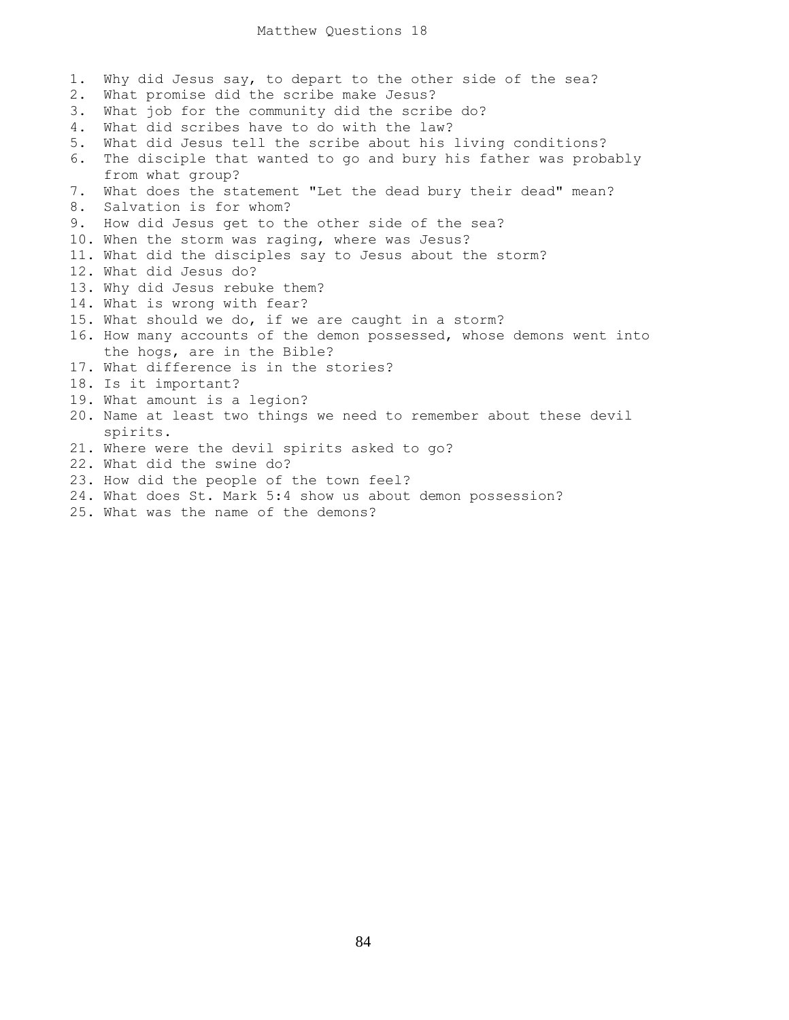1. Why did Jesus say, to depart to the other side of the sea? 2. What promise did the scribe make Jesus? 3. What job for the community did the scribe do? 4. What did scribes have to do with the law? 5. What did Jesus tell the scribe about his living conditions? 6. The disciple that wanted to go and bury his father was probably from what group? 7. What does the statement "Let the dead bury their dead" mean? 8. Salvation is for whom? 9. How did Jesus get to the other side of the sea? 10. When the storm was raging, where was Jesus? 11. What did the disciples say to Jesus about the storm? 12. What did Jesus do? 13. Why did Jesus rebuke them? 14. What is wrong with fear? 15. What should we do, if we are caught in a storm? 16. How many accounts of the demon possessed, whose demons went into the hogs, are in the Bible? 17. What difference is in the stories? 18. Is it important? 19. What amount is a legion? 20. Name at least two things we need to remember about these devil spirits. 21. Where were the devil spirits asked to go? 22. What did the swine do? 23. How did the people of the town feel? 24. What does St. Mark 5:4 show us about demon possession?

25. What was the name of the demons?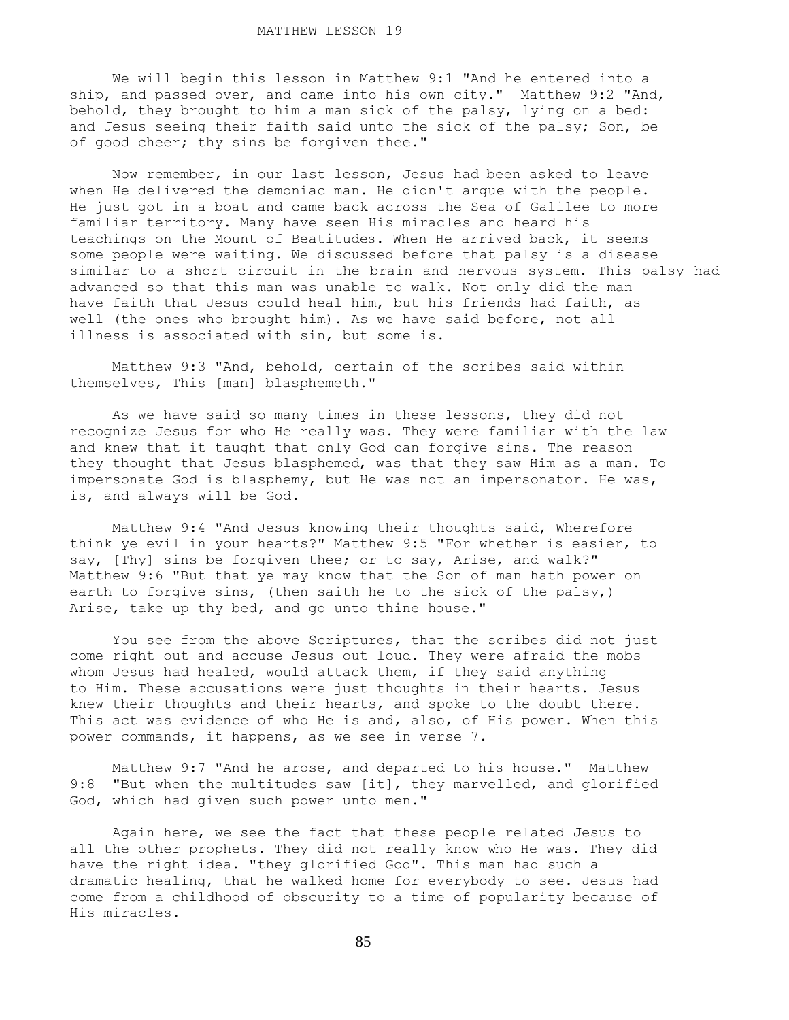We will begin this lesson in Matthew 9:1 "And he entered into a ship, and passed over, and came into his own city." Matthew 9:2 "And, behold, they brought to him a man sick of the palsy, lying on a bed: and Jesus seeing their faith said unto the sick of the palsy; Son, be of good cheer; thy sins be forgiven thee."

 Now remember, in our last lesson, Jesus had been asked to leave when He delivered the demoniac man. He didn't argue with the people. He just got in a boat and came back across the Sea of Galilee to more familiar territory. Many have seen His miracles and heard his teachings on the Mount of Beatitudes. When He arrived back, it seems some people were waiting. We discussed before that palsy is a disease similar to a short circuit in the brain and nervous system. This palsy had advanced so that this man was unable to walk. Not only did the man have faith that Jesus could heal him, but his friends had faith, as well (the ones who brought him). As we have said before, not all illness is associated with sin, but some is.

 Matthew 9:3 "And, behold, certain of the scribes said within themselves, This [man] blasphemeth."

 As we have said so many times in these lessons, they did not recognize Jesus for who He really was. They were familiar with the law and knew that it taught that only God can forgive sins. The reason they thought that Jesus blasphemed, was that they saw Him as a man. To impersonate God is blasphemy, but He was not an impersonator. He was, is, and always will be God.

 Matthew 9:4 "And Jesus knowing their thoughts said, Wherefore think ye evil in your hearts?" Matthew 9:5 "For whether is easier, to say, [Thy] sins be forgiven thee; or to say, Arise, and walk?" Matthew 9:6 "But that ye may know that the Son of man hath power on earth to forgive sins, (then saith he to the sick of the palsy,) Arise, take up thy bed, and go unto thine house."

 You see from the above Scriptures, that the scribes did not just come right out and accuse Jesus out loud. They were afraid the mobs whom Jesus had healed, would attack them, if they said anything to Him. These accusations were just thoughts in their hearts. Jesus knew their thoughts and their hearts, and spoke to the doubt there. This act was evidence of who He is and, also, of His power. When this power commands, it happens, as we see in verse 7.

 Matthew 9:7 "And he arose, and departed to his house." Matthew 9:8 "But when the multitudes saw [it], they marvelled, and glorified God, which had given such power unto men."

 Again here, we see the fact that these people related Jesus to all the other prophets. They did not really know who He was. They did have the right idea. "they glorified God". This man had such a dramatic healing, that he walked home for everybody to see. Jesus had come from a childhood of obscurity to a time of popularity because of His miracles.

85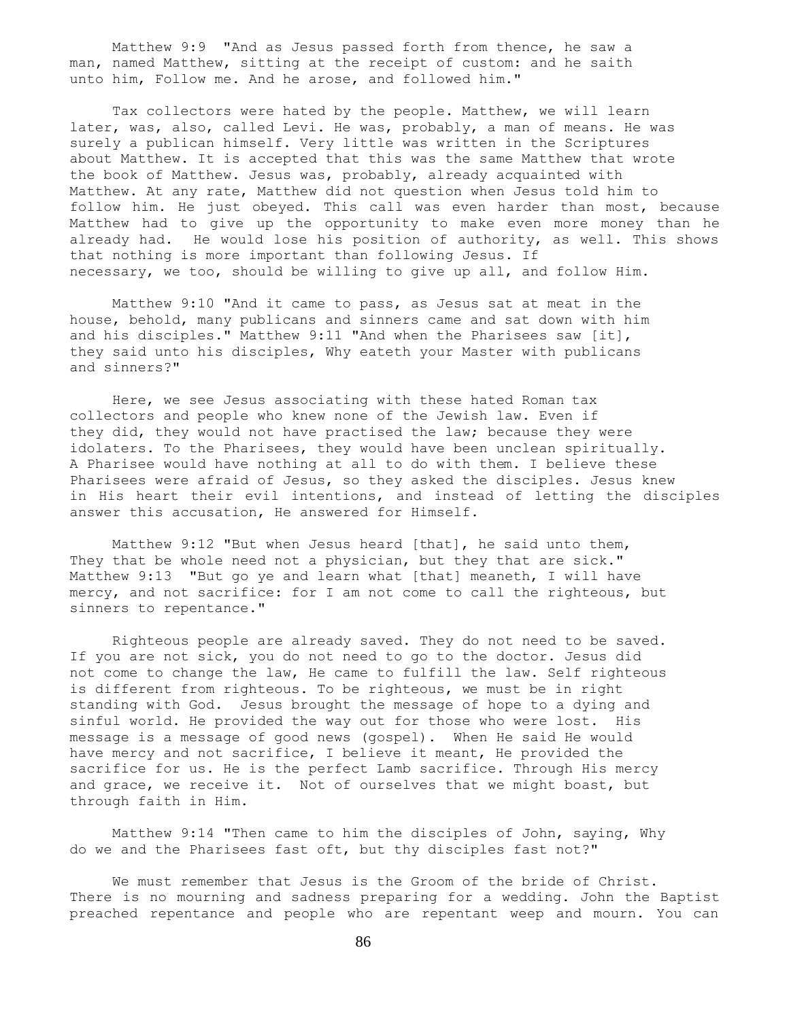Matthew 9:9 "And as Jesus passed forth from thence, he saw a man, named Matthew, sitting at the receipt of custom: and he saith unto him, Follow me. And he arose, and followed him."

 Tax collectors were hated by the people. Matthew, we will learn later, was, also, called Levi. He was, probably, a man of means. He was surely a publican himself. Very little was written in the Scriptures about Matthew. It is accepted that this was the same Matthew that wrote the book of Matthew. Jesus was, probably, already acquainted with Matthew. At any rate, Matthew did not question when Jesus told him to follow him. He just obeyed. This call was even harder than most, because Matthew had to give up the opportunity to make even more money than he already had. He would lose his position of authority, as well. This shows that nothing is more important than following Jesus. If necessary, we too, should be willing to give up all, and follow Him.

 Matthew 9:10 "And it came to pass, as Jesus sat at meat in the house, behold, many publicans and sinners came and sat down with him and his disciples." Matthew 9:11 "And when the Pharisees saw [it], they said unto his disciples, Why eateth your Master with publicans and sinners?"

 Here, we see Jesus associating with these hated Roman tax collectors and people who knew none of the Jewish law. Even if they did, they would not have practised the law; because they were idolaters. To the Pharisees, they would have been unclean spiritually. A Pharisee would have nothing at all to do with them. I believe these Pharisees were afraid of Jesus, so they asked the disciples. Jesus knew in His heart their evil intentions, and instead of letting the disciples answer this accusation, He answered for Himself.

 Matthew 9:12 "But when Jesus heard [that], he said unto them, They that be whole need not a physician, but they that are sick." Matthew 9:13 "But go ye and learn what [that] meaneth, I will have mercy, and not sacrifice: for I am not come to call the righteous, but sinners to repentance."

 Righteous people are already saved. They do not need to be saved. If you are not sick, you do not need to go to the doctor. Jesus did not come to change the law, He came to fulfill the law. Self righteous is different from righteous. To be righteous, we must be in right standing with God. Jesus brought the message of hope to a dying and sinful world. He provided the way out for those who were lost. His message is a message of good news (gospel). When He said He would have mercy and not sacrifice, I believe it meant, He provided the sacrifice for us. He is the perfect Lamb sacrifice. Through His mercy and grace, we receive it. Not of ourselves that we might boast, but through faith in Him.

 Matthew 9:14 "Then came to him the disciples of John, saying, Why do we and the Pharisees fast oft, but thy disciples fast not?"

 We must remember that Jesus is the Groom of the bride of Christ. There is no mourning and sadness preparing for a wedding. John the Baptist preached repentance and people who are repentant weep and mourn. You can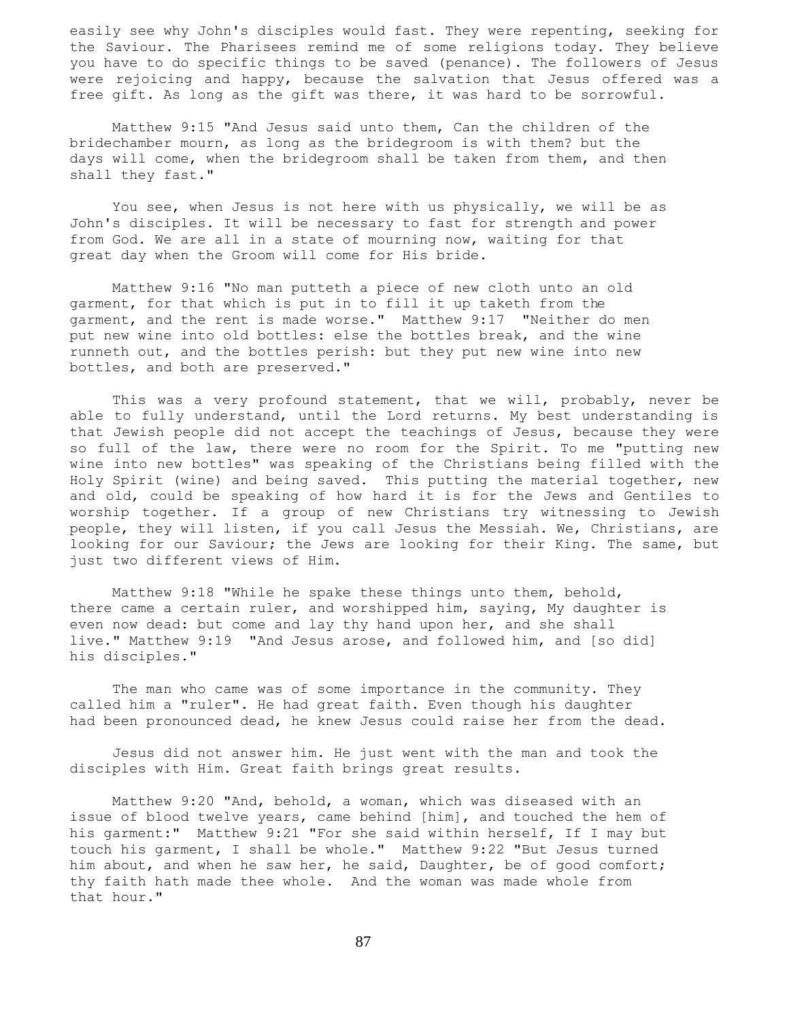easily see why John's disciples would fast. They were repenting, seeking for the Saviour. The Pharisees remind me of some religions today. They believe you have to do specific things to be saved (penance). The followers of Jesus were rejoicing and happy, because the salvation that Jesus offered was a free gift. As long as the gift was there, it was hard to be sorrowful.

 Matthew 9:15 "And Jesus said unto them, Can the children of the bridechamber mourn, as long as the bridegroom is with them? but the days will come, when the bridegroom shall be taken from them, and then shall they fast."

 You see, when Jesus is not here with us physically, we will be as John's disciples. It will be necessary to fast for strength and power from God. We are all in a state of mourning now, waiting for that great day when the Groom will come for His bride.

 Matthew 9:16 "No man putteth a piece of new cloth unto an old garment, for that which is put in to fill it up taketh from the garment, and the rent is made worse." Matthew 9:17 "Neither do men put new wine into old bottles: else the bottles break, and the wine runneth out, and the bottles perish: but they put new wine into new bottles, and both are preserved."

This was a very profound statement, that we will, probably, never be able to fully understand, until the Lord returns. My best understanding is that Jewish people did not accept the teachings of Jesus, because they were so full of the law, there were no room for the Spirit. To me "putting new wine into new bottles" was speaking of the Christians being filled with the Holy Spirit (wine) and being saved. This putting the material together, new and old, could be speaking of how hard it is for the Jews and Gentiles to worship together. If a group of new Christians try witnessing to Jewish people, they will listen, if you call Jesus the Messiah. We, Christians, are looking for our Saviour; the Jews are looking for their King. The same, but just two different views of Him.

 Matthew 9:18 "While he spake these things unto them, behold, there came a certain ruler, and worshipped him, saying, My daughter is even now dead: but come and lay thy hand upon her, and she shall live." Matthew 9:19 "And Jesus arose, and followed him, and [so did] his disciples."

The man who came was of some importance in the community. They called him a "ruler". He had great faith. Even though his daughter had been pronounced dead, he knew Jesus could raise her from the dead.

 Jesus did not answer him. He just went with the man and took the disciples with Him. Great faith brings great results.

 Matthew 9:20 "And, behold, a woman, which was diseased with an issue of blood twelve years, came behind [him], and touched the hem of his garment:" Matthew 9:21 "For she said within herself, If I may but touch his garment, I shall be whole." Matthew 9:22 "But Jesus turned him about, and when he saw her, he said, Daughter, be of good comfort; thy faith hath made thee whole. And the woman was made whole from that hour."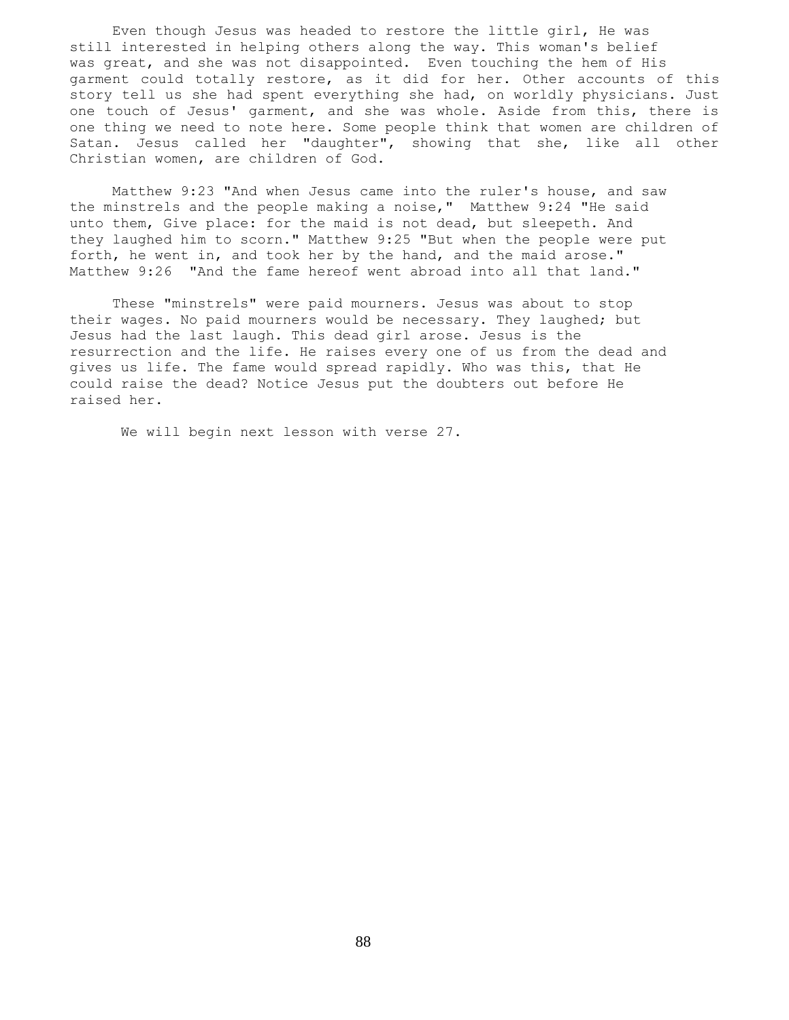Even though Jesus was headed to restore the little girl, He was still interested in helping others along the way. This woman's belief was great, and she was not disappointed. Even touching the hem of His garment could totally restore, as it did for her. Other accounts of this story tell us she had spent everything she had, on worldly physicians. Just one touch of Jesus' garment, and she was whole. Aside from this, there is one thing we need to note here. Some people think that women are children of Satan. Jesus called her "daughter", showing that she, like all other Christian women, are children of God.

 Matthew 9:23 "And when Jesus came into the ruler's house, and saw the minstrels and the people making a noise," Matthew 9:24 "He said unto them, Give place: for the maid is not dead, but sleepeth. And they laughed him to scorn." Matthew 9:25 "But when the people were put forth, he went in, and took her by the hand, and the maid arose." Matthew 9:26 "And the fame hereof went abroad into all that land."

 These "minstrels" were paid mourners. Jesus was about to stop their wages. No paid mourners would be necessary. They laughed; but Jesus had the last laugh. This dead girl arose. Jesus is the resurrection and the life. He raises every one of us from the dead and gives us life. The fame would spread rapidly. Who was this, that He could raise the dead? Notice Jesus put the doubters out before He raised her.

We will begin next lesson with verse 27.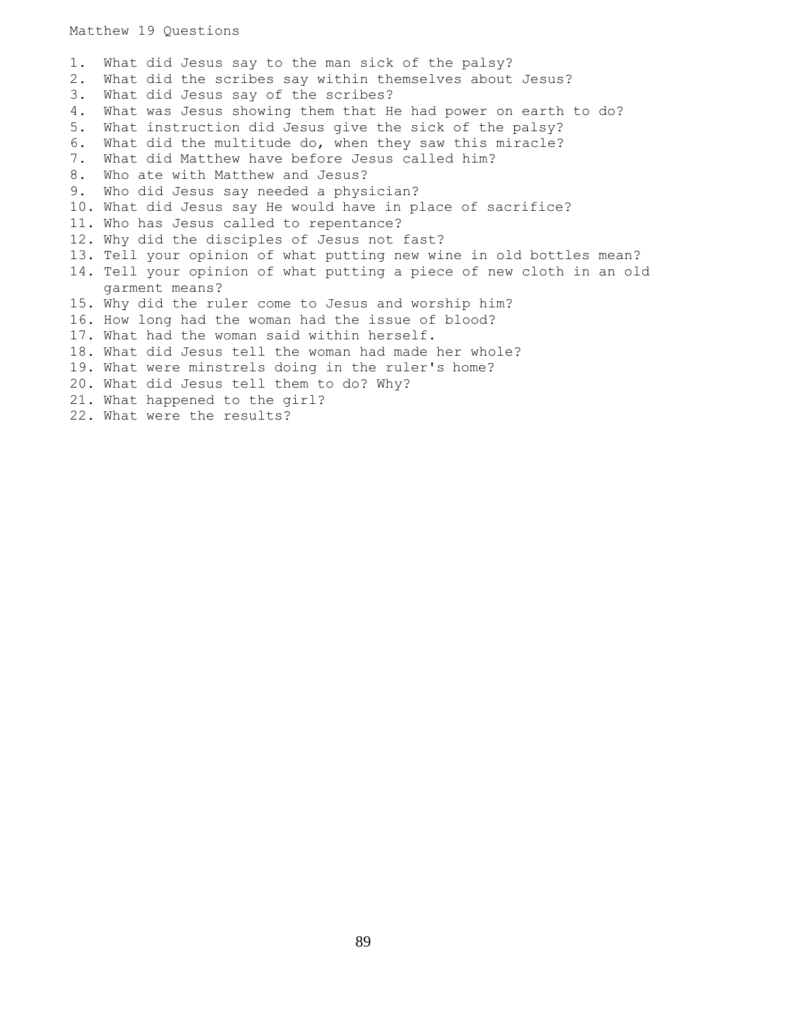1. What did Jesus say to the man sick of the palsy? 2. What did the scribes say within themselves about Jesus? 3. What did Jesus say of the scribes? 4. What was Jesus showing them that He had power on earth to do? 5. What instruction did Jesus give the sick of the palsy? 6. What did the multitude do, when they saw this miracle? 7. What did Matthew have before Jesus called him? 8. Who ate with Matthew and Jesus? 9. Who did Jesus say needed a physician? 10. What did Jesus say He would have in place of sacrifice? 11. Who has Jesus called to repentance? 12. Why did the disciples of Jesus not fast? 13. Tell your opinion of what putting new wine in old bottles mean? 14. Tell your opinion of what putting a piece of new cloth in an old garment means? 15. Why did the ruler come to Jesus and worship him? 16. How long had the woman had the issue of blood? 17. What had the woman said within herself. 18. What did Jesus tell the woman had made her whole? 19. What were minstrels doing in the ruler's home? 20. What did Jesus tell them to do? Why? 21. What happened to the girl? 22. What were the results?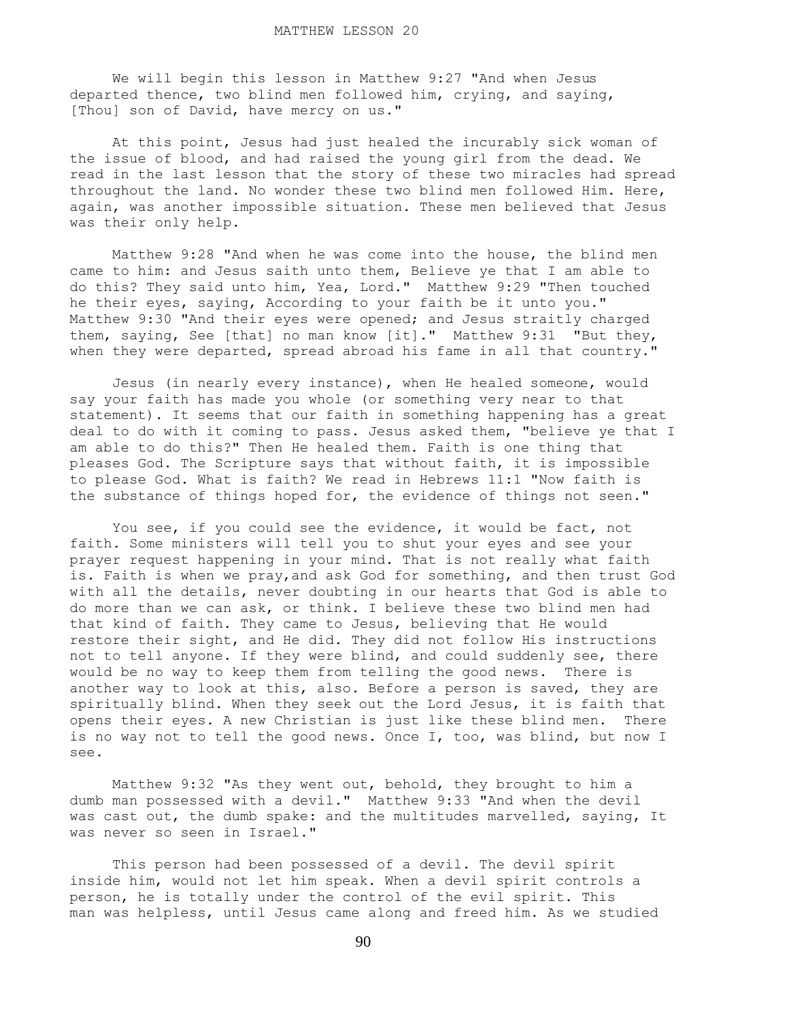We will begin this lesson in Matthew 9:27 "And when Jesus departed thence, two blind men followed him, crying, and saying, [Thou] son of David, have mercy on us."

 At this point, Jesus had just healed the incurably sick woman of the issue of blood, and had raised the young girl from the dead. We read in the last lesson that the story of these two miracles had spread throughout the land. No wonder these two blind men followed Him. Here, again, was another impossible situation. These men believed that Jesus was their only help.

 Matthew 9:28 "And when he was come into the house, the blind men came to him: and Jesus saith unto them, Believe ye that I am able to do this? They said unto him, Yea, Lord." Matthew 9:29 "Then touched he their eyes, saying, According to your faith be it unto you." Matthew 9:30 "And their eyes were opened; and Jesus straitly charged them, saying, See [that] no man know [it]." Matthew 9:31 "But they, when they were departed, spread abroad his fame in all that country."

 Jesus (in nearly every instance), when He healed someone, would say your faith has made you whole (or something very near to that statement). It seems that our faith in something happening has a great deal to do with it coming to pass. Jesus asked them, "believe ye that I am able to do this?" Then He healed them. Faith is one thing that pleases God. The Scripture says that without faith, it is impossible to please God. What is faith? We read in Hebrews 11:1 "Now faith is the substance of things hoped for, the evidence of things not seen."

 You see, if you could see the evidence, it would be fact, not faith. Some ministers will tell you to shut your eyes and see your prayer request happening in your mind. That is not really what faith is. Faith is when we pray,and ask God for something, and then trust God with all the details, never doubting in our hearts that God is able to do more than we can ask, or think. I believe these two blind men had that kind of faith. They came to Jesus, believing that He would restore their sight, and He did. They did not follow His instructions not to tell anyone. If they were blind, and could suddenly see, there would be no way to keep them from telling the good news. There is another way to look at this, also. Before a person is saved, they are spiritually blind. When they seek out the Lord Jesus, it is faith that opens their eyes. A new Christian is just like these blind men. There is no way not to tell the good news. Once I, too, was blind, but now I see.

 Matthew 9:32 "As they went out, behold, they brought to him a dumb man possessed with a devil." Matthew 9:33 "And when the devil was cast out, the dumb spake: and the multitudes marvelled, saying, It was never so seen in Israel."

 This person had been possessed of a devil. The devil spirit inside him, would not let him speak. When a devil spirit controls a person, he is totally under the control of the evil spirit. This man was helpless, until Jesus came along and freed him. As we studied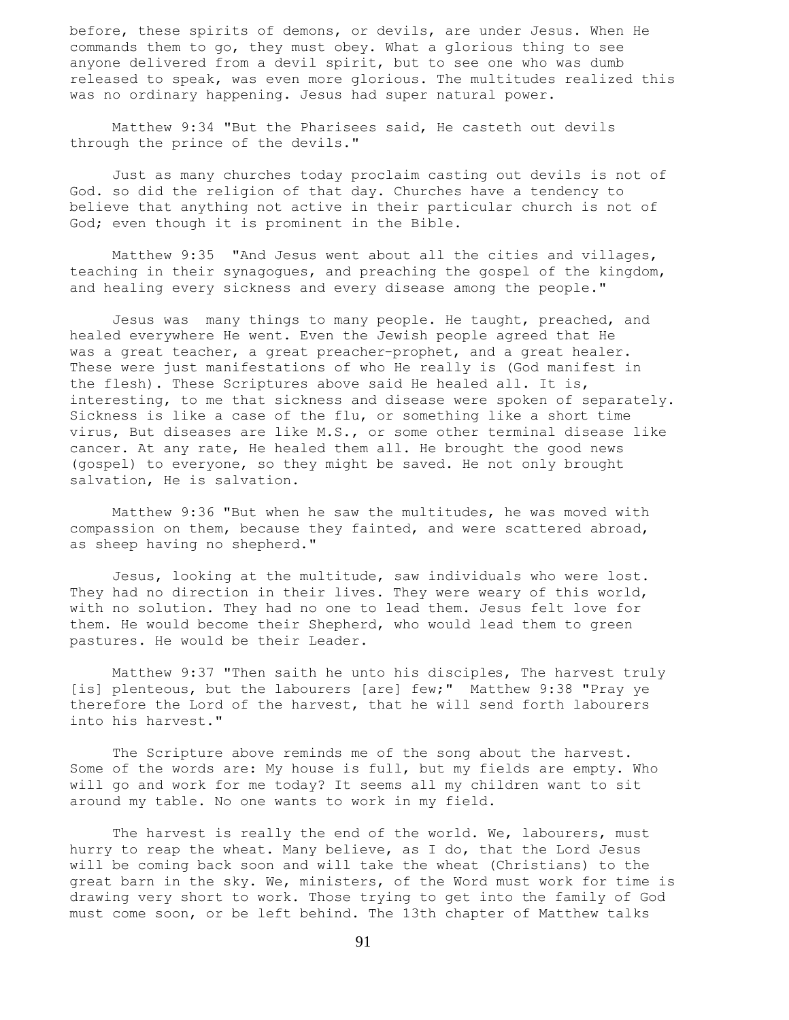before, these spirits of demons, or devils, are under Jesus. When He commands them to go, they must obey. What a glorious thing to see anyone delivered from a devil spirit, but to see one who was dumb released to speak, was even more glorious. The multitudes realized this was no ordinary happening. Jesus had super natural power.

 Matthew 9:34 "But the Pharisees said, He casteth out devils through the prince of the devils."

 Just as many churches today proclaim casting out devils is not of God. so did the religion of that day. Churches have a tendency to believe that anything not active in their particular church is not of God; even though it is prominent in the Bible.

 Matthew 9:35 "And Jesus went about all the cities and villages, teaching in their synagogues, and preaching the gospel of the kingdom, and healing every sickness and every disease among the people."

 Jesus was many things to many people. He taught, preached, and healed everywhere He went. Even the Jewish people agreed that He was a great teacher, a great preacher-prophet, and a great healer. These were just manifestations of who He really is (God manifest in the flesh). These Scriptures above said He healed all. It is, interesting, to me that sickness and disease were spoken of separately. Sickness is like a case of the flu, or something like a short time virus, But diseases are like M.S., or some other terminal disease like cancer. At any rate, He healed them all. He brought the good news (gospel) to everyone, so they might be saved. He not only brought salvation, He is salvation.

 Matthew 9:36 "But when he saw the multitudes, he was moved with compassion on them, because they fainted, and were scattered abroad, as sheep having no shepherd."

 Jesus, looking at the multitude, saw individuals who were lost. They had no direction in their lives. They were weary of this world, with no solution. They had no one to lead them. Jesus felt love for them. He would become their Shepherd, who would lead them to green pastures. He would be their Leader.

 Matthew 9:37 "Then saith he unto his disciples, The harvest truly [is] plenteous, but the labourers [are] few;" Matthew 9:38 "Pray ye therefore the Lord of the harvest, that he will send forth labourers into his harvest."

 The Scripture above reminds me of the song about the harvest. Some of the words are: My house is full, but my fields are empty. Who will go and work for me today? It seems all my children want to sit around my table. No one wants to work in my field.

The harvest is really the end of the world. We, labourers, must hurry to reap the wheat. Many believe, as I do, that the Lord Jesus will be coming back soon and will take the wheat (Christians) to the great barn in the sky. We, ministers, of the Word must work for time is drawing very short to work. Those trying to get into the family of God must come soon, or be left behind. The 13th chapter of Matthew talks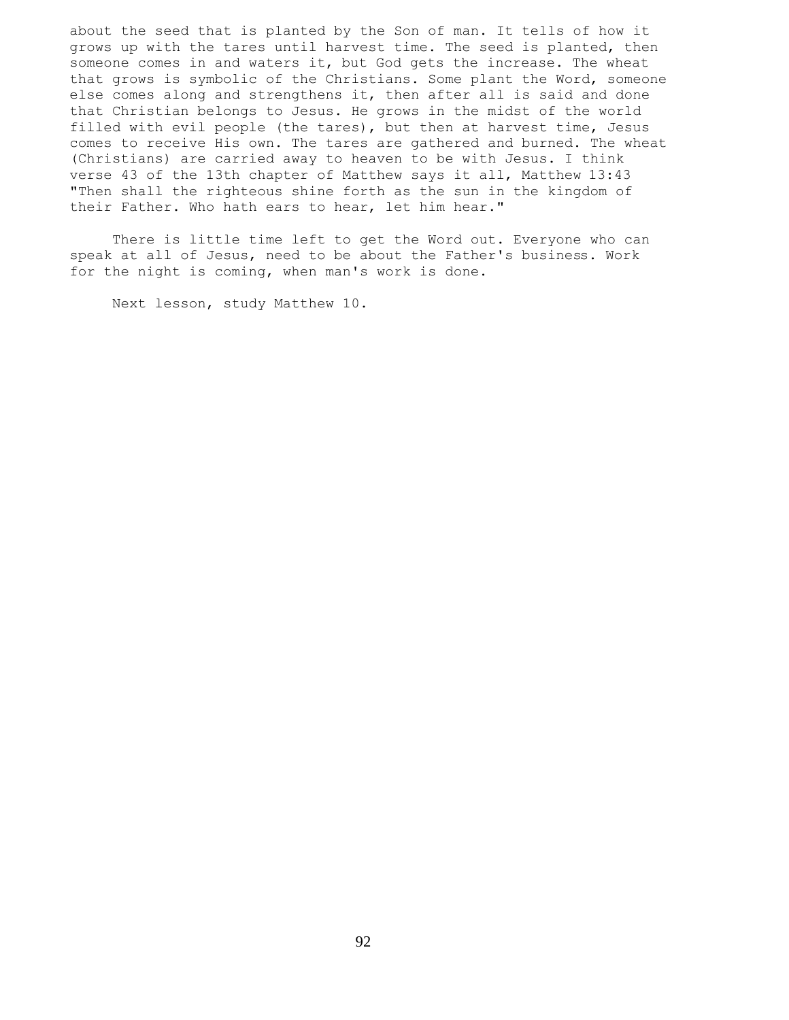about the seed that is planted by the Son of man. It tells of how it grows up with the tares until harvest time. The seed is planted, then someone comes in and waters it, but God gets the increase. The wheat that grows is symbolic of the Christians. Some plant the Word, someone else comes along and strengthens it, then after all is said and done that Christian belongs to Jesus. He grows in the midst of the world filled with evil people (the tares), but then at harvest time, Jesus comes to receive His own. The tares are gathered and burned. The wheat (Christians) are carried away to heaven to be with Jesus. I think verse 43 of the 13th chapter of Matthew says it all, Matthew 13:43 "Then shall the righteous shine forth as the sun in the kingdom of their Father. Who hath ears to hear, let him hear."

 There is little time left to get the Word out. Everyone who can speak at all of Jesus, need to be about the Father's business. Work for the night is coming, when man's work is done.

Next lesson, study Matthew 10.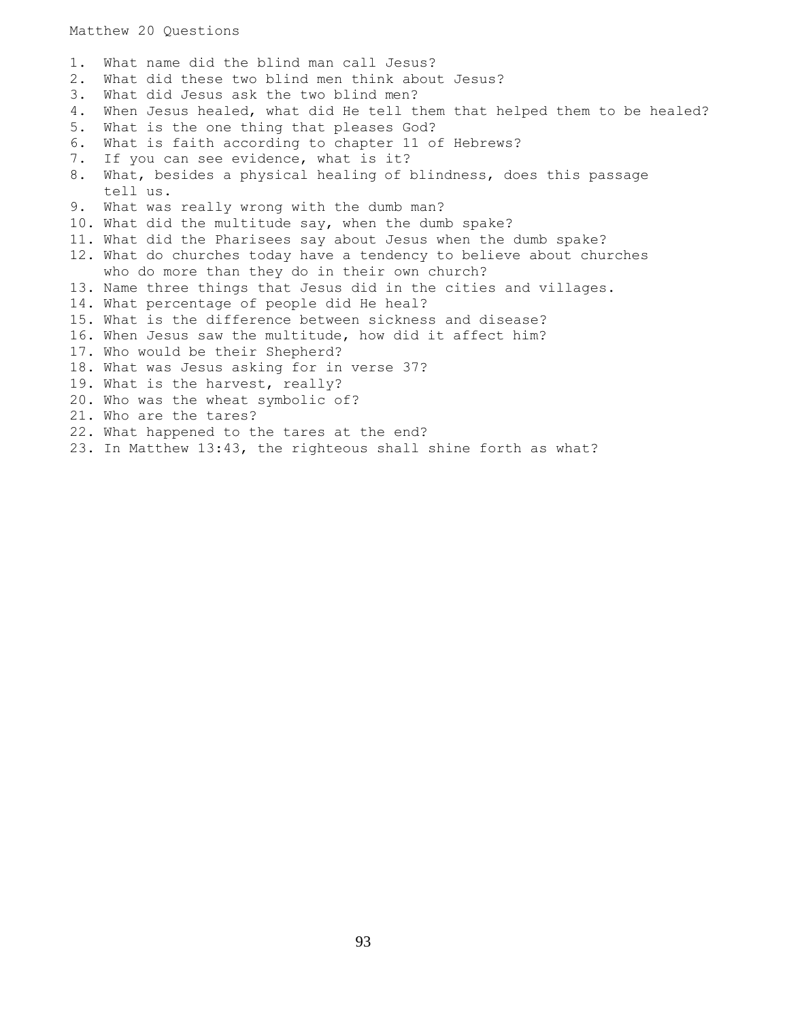1. What name did the blind man call Jesus? 2. What did these two blind men think about Jesus? 3. What did Jesus ask the two blind men? 4. When Jesus healed, what did He tell them that helped them to be healed? 5. What is the one thing that pleases God? 6. What is faith according to chapter 11 of Hebrews? 7. If you can see evidence, what is it? 8. What, besides a physical healing of blindness, does this passage tell us. 9. What was really wrong with the dumb man? 10. What did the multitude say, when the dumb spake? 11. What did the Pharisees say about Jesus when the dumb spake? 12. What do churches today have a tendency to believe about churches who do more than they do in their own church? 13. Name three things that Jesus did in the cities and villages. 14. What percentage of people did He heal? 15. What is the difference between sickness and disease? 16. When Jesus saw the multitude, how did it affect him? 17. Who would be their Shepherd? 18. What was Jesus asking for in verse 37? 19. What is the harvest, really? 20. Who was the wheat symbolic of? 21. Who are the tares? 22. What happened to the tares at the end? 23. In Matthew 13:43, the righteous shall shine forth as what?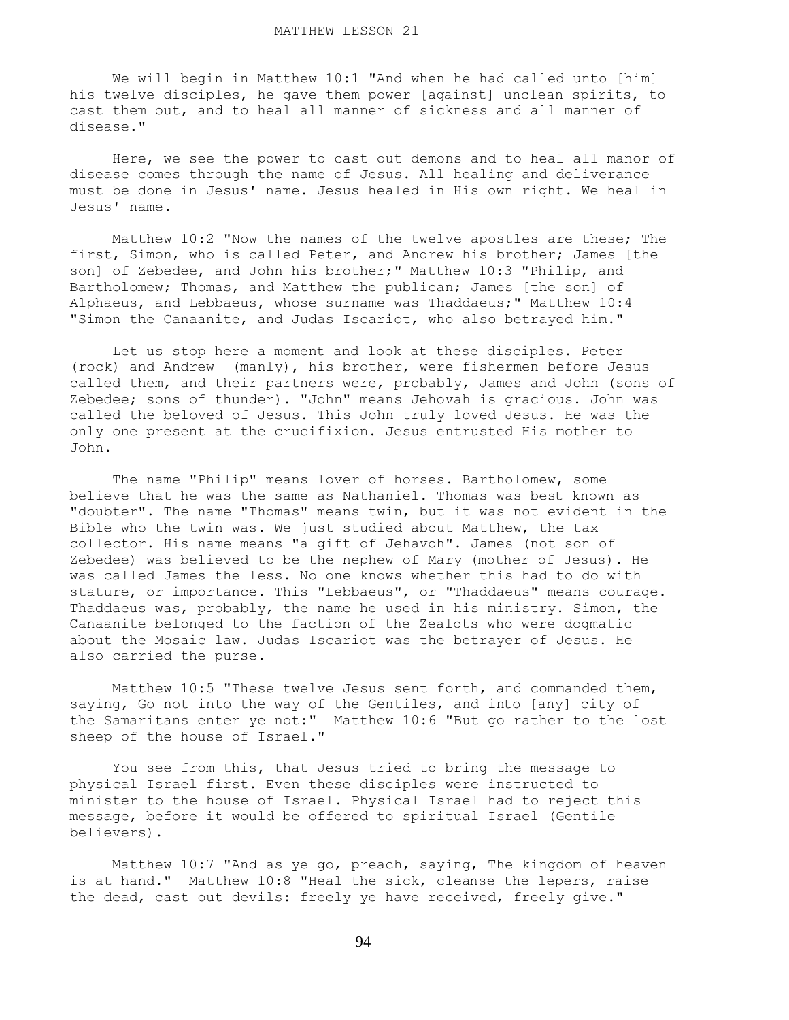We will begin in Matthew 10:1 "And when he had called unto [him] his twelve disciples, he gave them power [against] unclean spirits, to cast them out, and to heal all manner of sickness and all manner of disease."

 Here, we see the power to cast out demons and to heal all manor of disease comes through the name of Jesus. All healing and deliverance must be done in Jesus' name. Jesus healed in His own right. We heal in Jesus' name.

 Matthew 10:2 "Now the names of the twelve apostles are these; The first, Simon, who is called Peter, and Andrew his brother; James [the son] of Zebedee, and John his brother;" Matthew 10:3 "Philip, and Bartholomew; Thomas, and Matthew the publican; James [the son] of Alphaeus, and Lebbaeus, whose surname was Thaddaeus;" Matthew 10:4 "Simon the Canaanite, and Judas Iscariot, who also betrayed him."

 Let us stop here a moment and look at these disciples. Peter (rock) and Andrew (manly), his brother, were fishermen before Jesus called them, and their partners were, probably, James and John (sons of Zebedee; sons of thunder). "John" means Jehovah is gracious. John was called the beloved of Jesus. This John truly loved Jesus. He was the only one present at the crucifixion. Jesus entrusted His mother to John.

 The name "Philip" means lover of horses. Bartholomew, some believe that he was the same as Nathaniel. Thomas was best known as "doubter". The name "Thomas" means twin, but it was not evident in the Bible who the twin was. We just studied about Matthew, the tax collector. His name means "a gift of Jehavoh". James (not son of Zebedee) was believed to be the nephew of Mary (mother of Jesus). He was called James the less. No one knows whether this had to do with stature, or importance. This "Lebbaeus", or "Thaddaeus" means courage. Thaddaeus was, probably, the name he used in his ministry. Simon, the Canaanite belonged to the faction of the Zealots who were dogmatic about the Mosaic law. Judas Iscariot was the betrayer of Jesus. He also carried the purse.

 Matthew 10:5 "These twelve Jesus sent forth, and commanded them, saying, Go not into the way of the Gentiles, and into [any] city of the Samaritans enter ye not:" Matthew 10:6 "But go rather to the lost sheep of the house of Israel."

 You see from this, that Jesus tried to bring the message to physical Israel first. Even these disciples were instructed to minister to the house of Israel. Physical Israel had to reject this message, before it would be offered to spiritual Israel (Gentile believers).

 Matthew 10:7 "And as ye go, preach, saying, The kingdom of heaven is at hand." Matthew 10:8 "Heal the sick, cleanse the lepers, raise the dead, cast out devils: freely ye have received, freely give."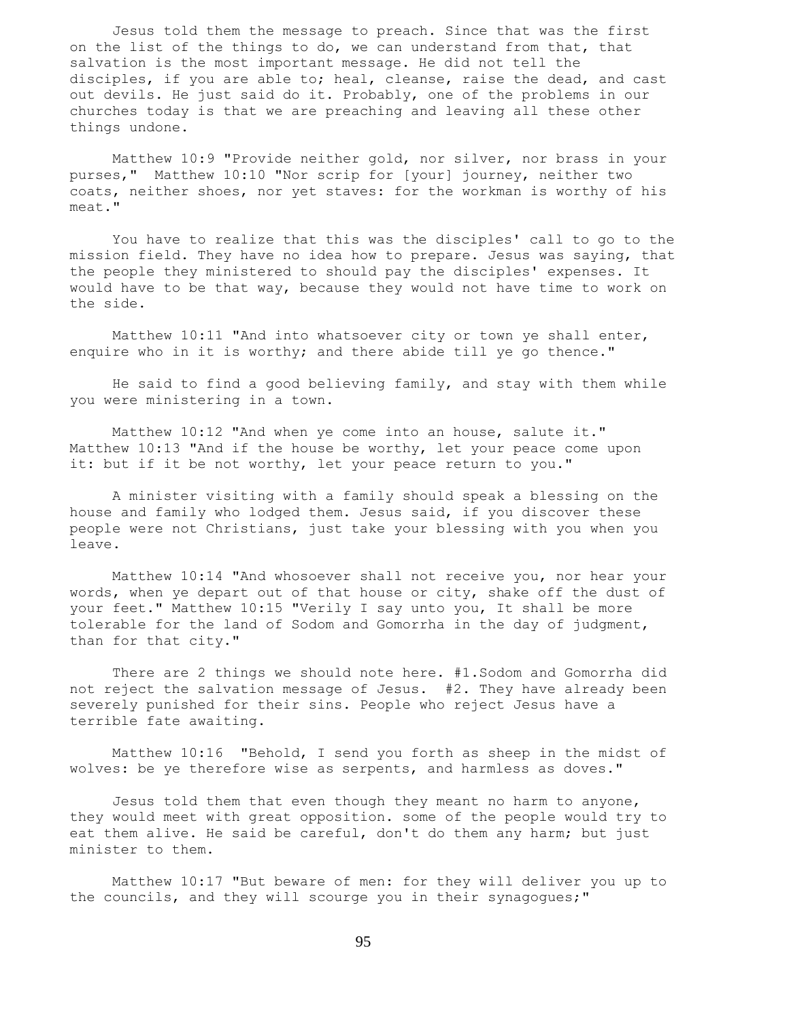Jesus told them the message to preach. Since that was the first on the list of the things to do, we can understand from that, that salvation is the most important message. He did not tell the disciples, if you are able to; heal, cleanse, raise the dead, and cast out devils. He just said do it. Probably, one of the problems in our churches today is that we are preaching and leaving all these other things undone.

 Matthew 10:9 "Provide neither gold, nor silver, nor brass in your purses," Matthew 10:10 "Nor scrip for [your] journey, neither two coats, neither shoes, nor yet staves: for the workman is worthy of his meat."

 You have to realize that this was the disciples' call to go to the mission field. They have no idea how to prepare. Jesus was saying, that the people they ministered to should pay the disciples' expenses. It would have to be that way, because they would not have time to work on the side.

 Matthew 10:11 "And into whatsoever city or town ye shall enter, enquire who in it is worthy; and there abide till ye go thence."

 He said to find a good believing family, and stay with them while you were ministering in a town.

 Matthew 10:12 "And when ye come into an house, salute it." Matthew 10:13 "And if the house be worthy, let your peace come upon it: but if it be not worthy, let your peace return to you."

 A minister visiting with a family should speak a blessing on the house and family who lodged them. Jesus said, if you discover these people were not Christians, just take your blessing with you when you leave.

 Matthew 10:14 "And whosoever shall not receive you, nor hear your words, when ye depart out of that house or city, shake off the dust of your feet." Matthew 10:15 "Verily I say unto you, It shall be more tolerable for the land of Sodom and Gomorrha in the day of judgment, than for that city."

 There are 2 things we should note here. #1.Sodom and Gomorrha did not reject the salvation message of Jesus. #2. They have already been severely punished for their sins. People who reject Jesus have a terrible fate awaiting.

 Matthew 10:16 "Behold, I send you forth as sheep in the midst of wolves: be ye therefore wise as serpents, and harmless as doves."

 Jesus told them that even though they meant no harm to anyone, they would meet with great opposition. some of the people would try to eat them alive. He said be careful, don't do them any harm; but just minister to them.

 Matthew 10:17 "But beware of men: for they will deliver you up to the councils, and they will scourge you in their synagogues;"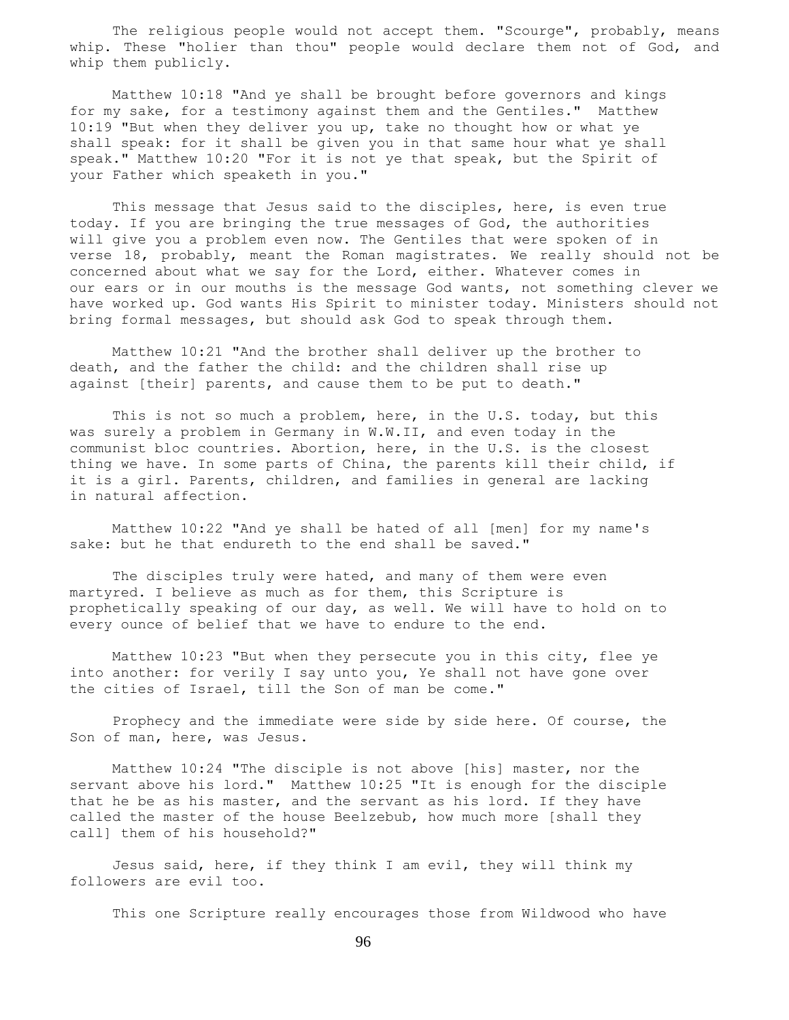The religious people would not accept them. "Scourge", probably, means whip. These "holier than thou" people would declare them not of God, and whip them publicly.

 Matthew 10:18 "And ye shall be brought before governors and kings for my sake, for a testimony against them and the Gentiles." Matthew 10:19 "But when they deliver you up, take no thought how or what ye shall speak: for it shall be given you in that same hour what ye shall speak." Matthew 10:20 "For it is not ye that speak, but the Spirit of your Father which speaketh in you."

 This message that Jesus said to the disciples, here, is even true today. If you are bringing the true messages of God, the authorities will give you a problem even now. The Gentiles that were spoken of in verse 18, probably, meant the Roman magistrates. We really should not be concerned about what we say for the Lord, either. Whatever comes in our ears or in our mouths is the message God wants, not something clever we have worked up. God wants His Spirit to minister today. Ministers should not bring formal messages, but should ask God to speak through them.

 Matthew 10:21 "And the brother shall deliver up the brother to death, and the father the child: and the children shall rise up against [their] parents, and cause them to be put to death."

 This is not so much a problem, here, in the U.S. today, but this was surely a problem in Germany in W.W.II, and even today in the communist bloc countries. Abortion, here, in the U.S. is the closest thing we have. In some parts of China, the parents kill their child, if it is a girl. Parents, children, and families in general are lacking in natural affection.

 Matthew 10:22 "And ye shall be hated of all [men] for my name's sake: but he that endureth to the end shall be saved."

 The disciples truly were hated, and many of them were even martyred. I believe as much as for them, this Scripture is prophetically speaking of our day, as well. We will have to hold on to every ounce of belief that we have to endure to the end.

 Matthew 10:23 "But when they persecute you in this city, flee ye into another: for verily I say unto you, Ye shall not have gone over the cities of Israel, till the Son of man be come."

 Prophecy and the immediate were side by side here. Of course, the Son of man, here, was Jesus.

 Matthew 10:24 "The disciple is not above [his] master, nor the servant above his lord." Matthew 10:25 "It is enough for the disciple that he be as his master, and the servant as his lord. If they have called the master of the house Beelzebub, how much more [shall they call] them of his household?"

 Jesus said, here, if they think I am evil, they will think my followers are evil too.

This one Scripture really encourages those from Wildwood who have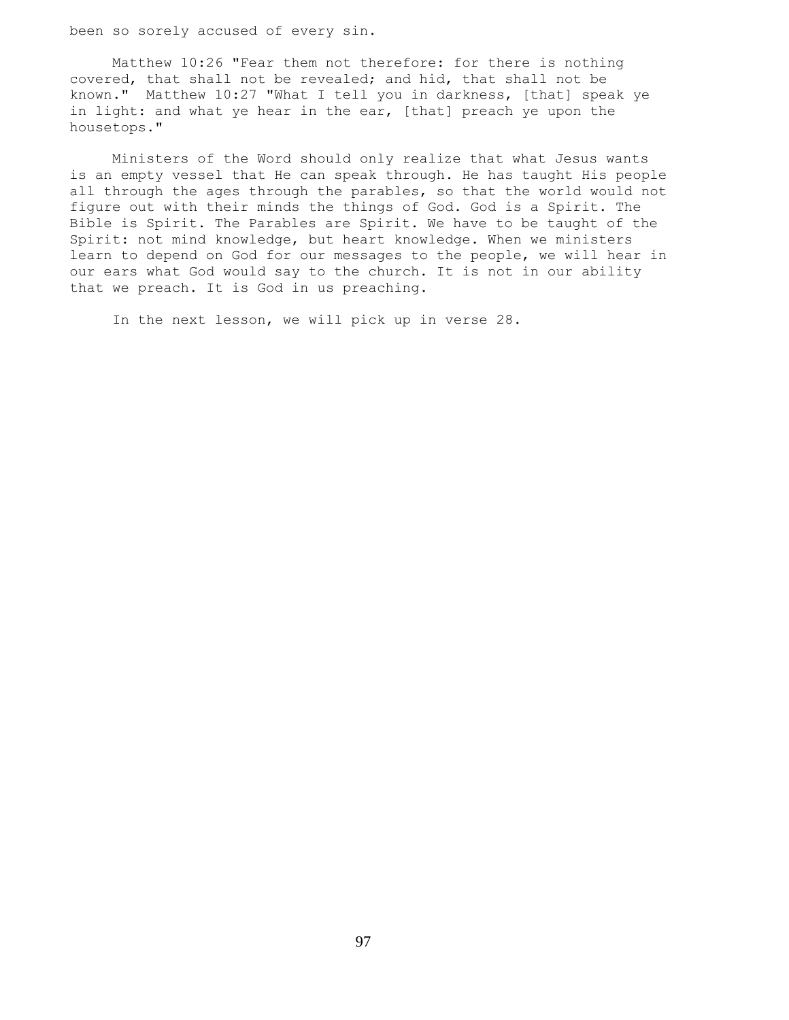been so sorely accused of every sin.

 Matthew 10:26 "Fear them not therefore: for there is nothing covered, that shall not be revealed; and hid, that shall not be known." Matthew 10:27 "What I tell you in darkness, [that] speak ye in light: and what ye hear in the ear, [that] preach ye upon the housetops."

 Ministers of the Word should only realize that what Jesus wants is an empty vessel that He can speak through. He has taught His people all through the ages through the parables, so that the world would not figure out with their minds the things of God. God is a Spirit. The Bible is Spirit. The Parables are Spirit. We have to be taught of the Spirit: not mind knowledge, but heart knowledge. When we ministers learn to depend on God for our messages to the people, we will hear in our ears what God would say to the church. It is not in our ability that we preach. It is God in us preaching.

In the next lesson, we will pick up in verse 28.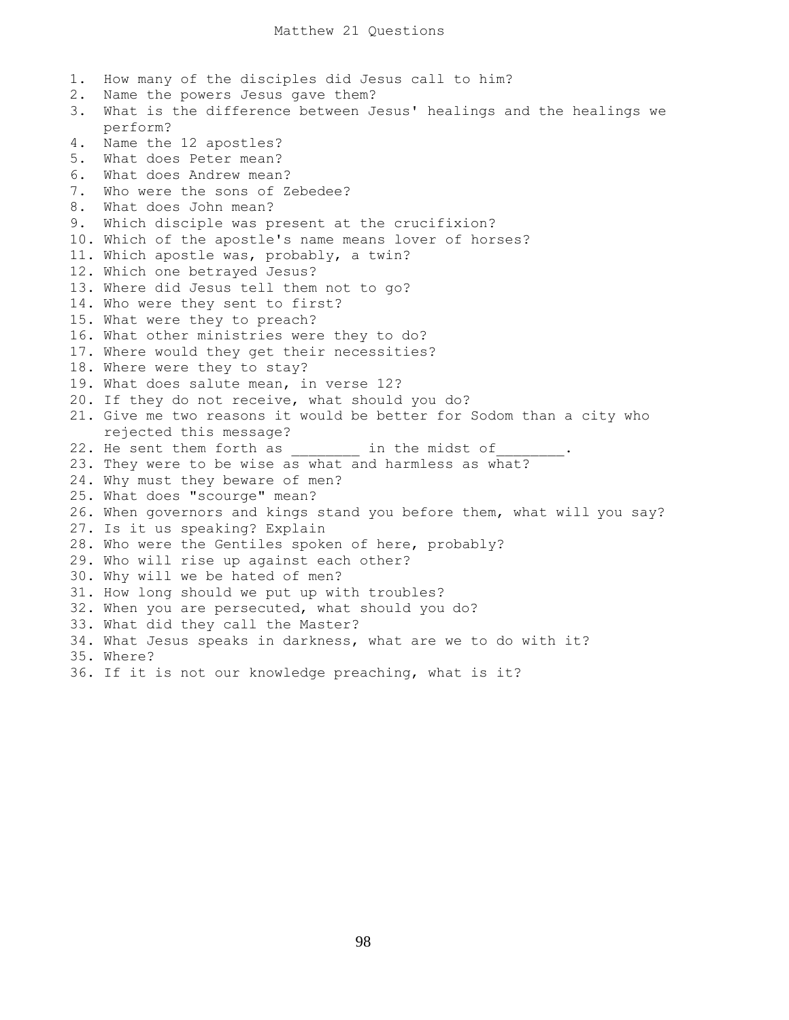1. How many of the disciples did Jesus call to him? 2. Name the powers Jesus gave them? 3. What is the difference between Jesus' healings and the healings we perform? 4. Name the 12 apostles? 5. What does Peter mean? 6. What does Andrew mean? 7. Who were the sons of Zebedee? 8. What does John mean? 9. Which disciple was present at the crucifixion? 10. Which of the apostle's name means lover of horses? 11. Which apostle was, probably, a twin? 12. Which one betrayed Jesus? 13. Where did Jesus tell them not to go? 14. Who were they sent to first? 15. What were they to preach? 16. What other ministries were they to do? 17. Where would they get their necessities? 18. Where were they to stay? 19. What does salute mean, in verse 12? 20. If they do not receive, what should you do? 21. Give me two reasons it would be better for Sodom than a city who rejected this message? 22. He sent them forth as \_\_\_\_\_\_\_\_\_\_ in the midst of 23. They were to be wise as what and harmless as what? 24. Why must they beware of men? 25. What does "scourge" mean? 26. When governors and kings stand you before them, what will you say? 27. Is it us speaking? Explain 28. Who were the Gentiles spoken of here, probably? 29. Who will rise up against each other? 30. Why will we be hated of men? 31. How long should we put up with troubles? 32. When you are persecuted, what should you do? 33. What did they call the Master? 34. What Jesus speaks in darkness, what are we to do with it? 35. Where? 36. If it is not our knowledge preaching, what is it?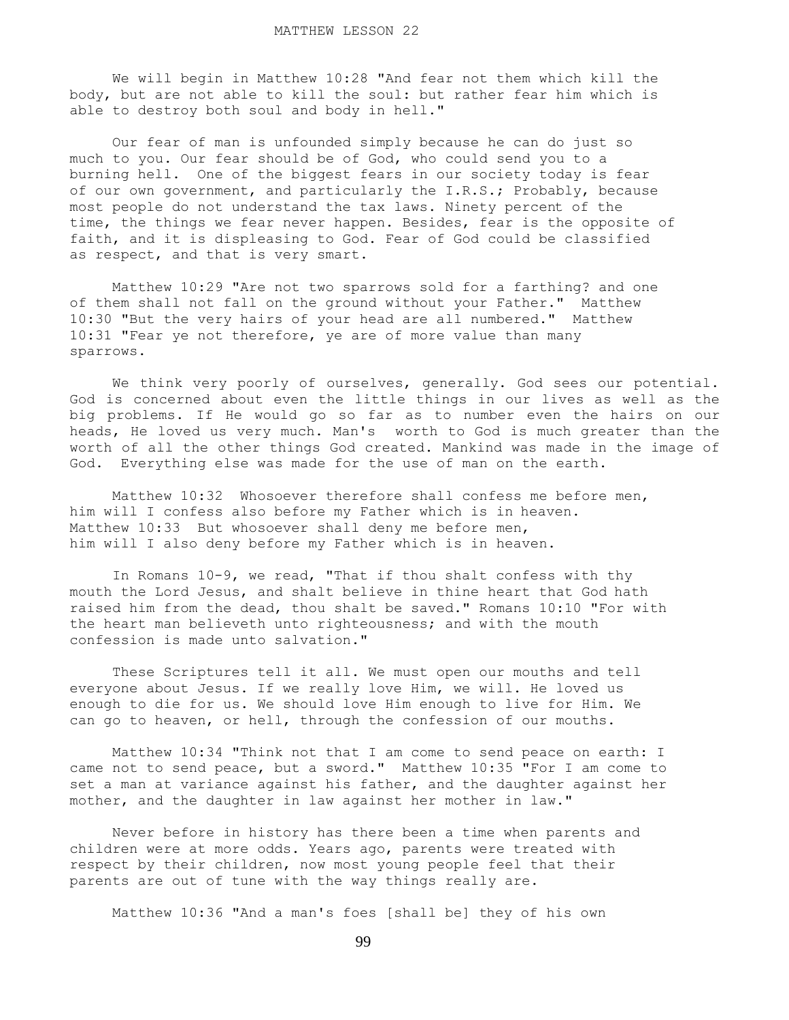We will begin in Matthew 10:28 "And fear not them which kill the body, but are not able to kill the soul: but rather fear him which is able to destroy both soul and body in hell."

 Our fear of man is unfounded simply because he can do just so much to you. Our fear should be of God, who could send you to a burning hell. One of the biggest fears in our society today is fear of our own government, and particularly the I.R.S.; Probably, because most people do not understand the tax laws. Ninety percent of the time, the things we fear never happen. Besides, fear is the opposite of faith, and it is displeasing to God. Fear of God could be classified as respect, and that is very smart.

 Matthew 10:29 "Are not two sparrows sold for a farthing? and one of them shall not fall on the ground without your Father." Matthew 10:30 "But the very hairs of your head are all numbered." Matthew 10:31 "Fear ye not therefore, ye are of more value than many sparrows.

 We think very poorly of ourselves, generally. God sees our potential. God is concerned about even the little things in our lives as well as the big problems. If He would go so far as to number even the hairs on our heads, He loved us very much. Man's worth to God is much greater than the worth of all the other things God created. Mankind was made in the image of God. Everything else was made for the use of man on the earth.

Matthew 10:32 Whosoever therefore shall confess me before men, him will I confess also before my Father which is in heaven. Matthew 10:33 But whosoever shall deny me before men, him will I also deny before my Father which is in heaven.

 In Romans 10-9, we read, "That if thou shalt confess with thy mouth the Lord Jesus, and shalt believe in thine heart that God hath raised him from the dead, thou shalt be saved." Romans 10:10 "For with the heart man believeth unto righteousness; and with the mouth confession is made unto salvation."

 These Scriptures tell it all. We must open our mouths and tell everyone about Jesus. If we really love Him, we will. He loved us enough to die for us. We should love Him enough to live for Him. We can go to heaven, or hell, through the confession of our mouths.

 Matthew 10:34 "Think not that I am come to send peace on earth: I came not to send peace, but a sword." Matthew 10:35 "For I am come to set a man at variance against his father, and the daughter against her mother, and the daughter in law against her mother in law."

 Never before in history has there been a time when parents and children were at more odds. Years ago, parents were treated with respect by their children, now most young people feel that their parents are out of tune with the way things really are.

Matthew 10:36 "And a man's foes [shall be] they of his own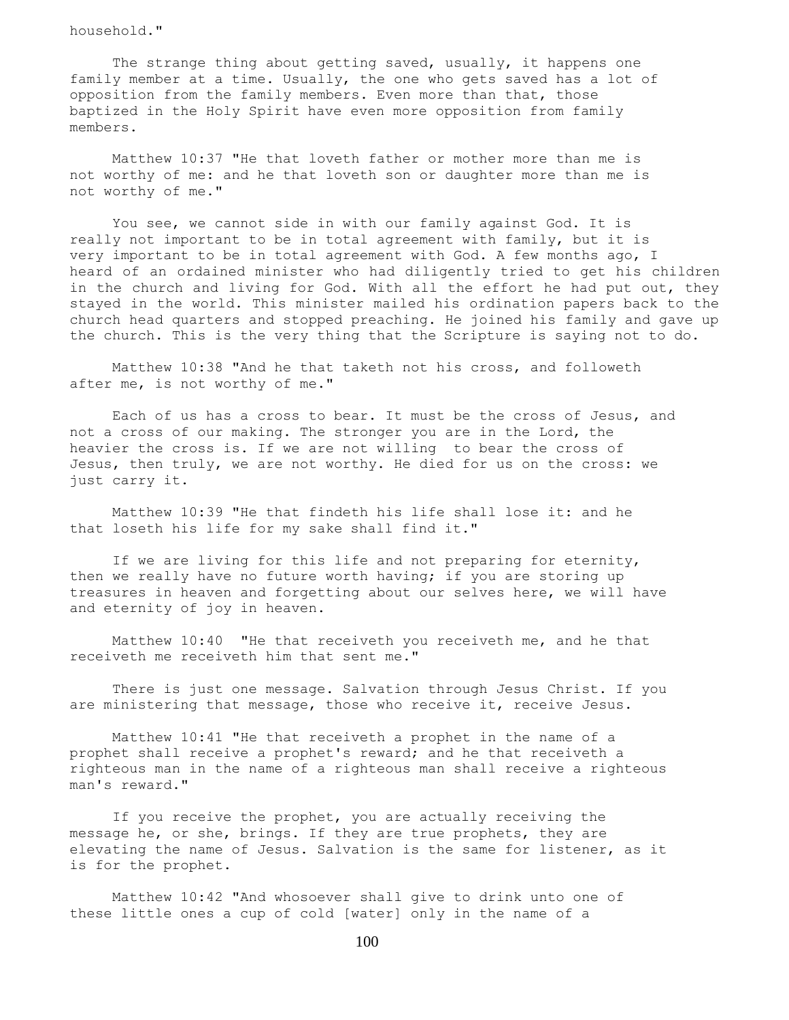household."

The strange thing about getting saved, usually, it happens one family member at a time. Usually, the one who gets saved has a lot of opposition from the family members. Even more than that, those baptized in the Holy Spirit have even more opposition from family members.

 Matthew 10:37 "He that loveth father or mother more than me is not worthy of me: and he that loveth son or daughter more than me is not worthy of me."

 You see, we cannot side in with our family against God. It is really not important to be in total agreement with family, but it is very important to be in total agreement with God. A few months ago, I heard of an ordained minister who had diligently tried to get his children in the church and living for God. With all the effort he had put out, they stayed in the world. This minister mailed his ordination papers back to the church head quarters and stopped preaching. He joined his family and gave up the church. This is the very thing that the Scripture is saying not to do.

 Matthew 10:38 "And he that taketh not his cross, and followeth after me, is not worthy of me."

 Each of us has a cross to bear. It must be the cross of Jesus, and not a cross of our making. The stronger you are in the Lord, the heavier the cross is. If we are not willing to bear the cross of Jesus, then truly, we are not worthy. He died for us on the cross: we just carry it.

 Matthew 10:39 "He that findeth his life shall lose it: and he that loseth his life for my sake shall find it."

 If we are living for this life and not preparing for eternity, then we really have no future worth having; if you are storing up treasures in heaven and forgetting about our selves here, we will have and eternity of joy in heaven.

 Matthew 10:40 "He that receiveth you receiveth me, and he that receiveth me receiveth him that sent me."

 There is just one message. Salvation through Jesus Christ. If you are ministering that message, those who receive it, receive Jesus.

 Matthew 10:41 "He that receiveth a prophet in the name of a prophet shall receive a prophet's reward; and he that receiveth a righteous man in the name of a righteous man shall receive a righteous man's reward."

 If you receive the prophet, you are actually receiving the message he, or she, brings. If they are true prophets, they are elevating the name of Jesus. Salvation is the same for listener, as it is for the prophet.

 Matthew 10:42 "And whosoever shall give to drink unto one of these little ones a cup of cold [water] only in the name of a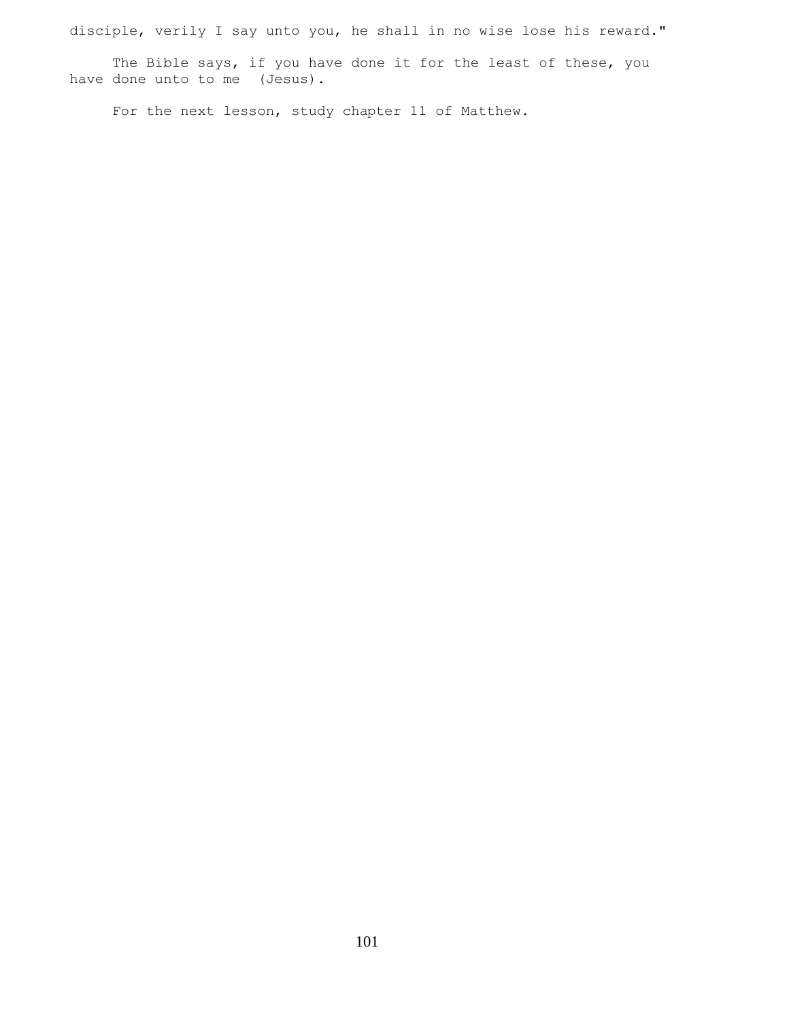disciple, verily I say unto you, he shall in no wise lose his reward."

The Bible says, if you have done it for the least of these, you have done unto to me (Jesus).

For the next lesson, study chapter 11 of Matthew.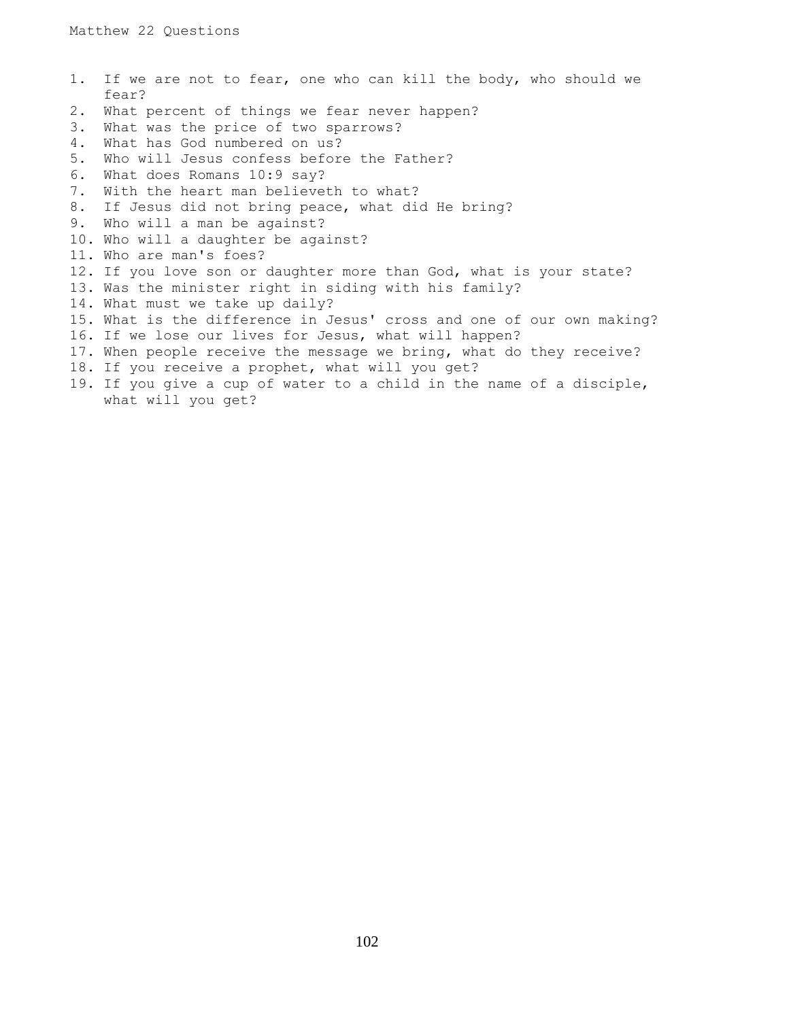|    | 1. If we are not to fear, one who can kill the body, who should we    |
|----|-----------------------------------------------------------------------|
|    | fear?                                                                 |
| 2. | What percent of things we fear never happen?                          |
| 3. | What was the price of two sparrows?                                   |
| 4. | What has God numbered on us?                                          |
| 5. | Who will Jesus confess before the Father?                             |
| 6. | What does Romans 10:9 say?                                            |
| 7. | With the heart man believeth to what?                                 |
| 8. | If Jesus did not bring peace, what did He bring?                      |
| 9. | Who will a man be against?                                            |
|    | 10. Who will a daughter be against?                                   |
|    | 11. Who are man's foes?                                               |
|    | 12. If you love son or daughter more than God, what is your state?    |
|    | 13. Was the minister right in siding with his family?                 |
|    | 14. What must we take up daily?                                       |
|    | 15. What is the difference in Jesus' cross and one of our own making? |
|    | 16. If we lose our lives for Jesus, what will happen?                 |
|    | 17. When people receive the message we bring, what do they receive?   |
|    | 18. If you receive a prophet, what will you get?                      |
|    | 19. If you give a cup of water to a child in the name of a disciple,  |
|    | what will you get?                                                    |
|    |                                                                       |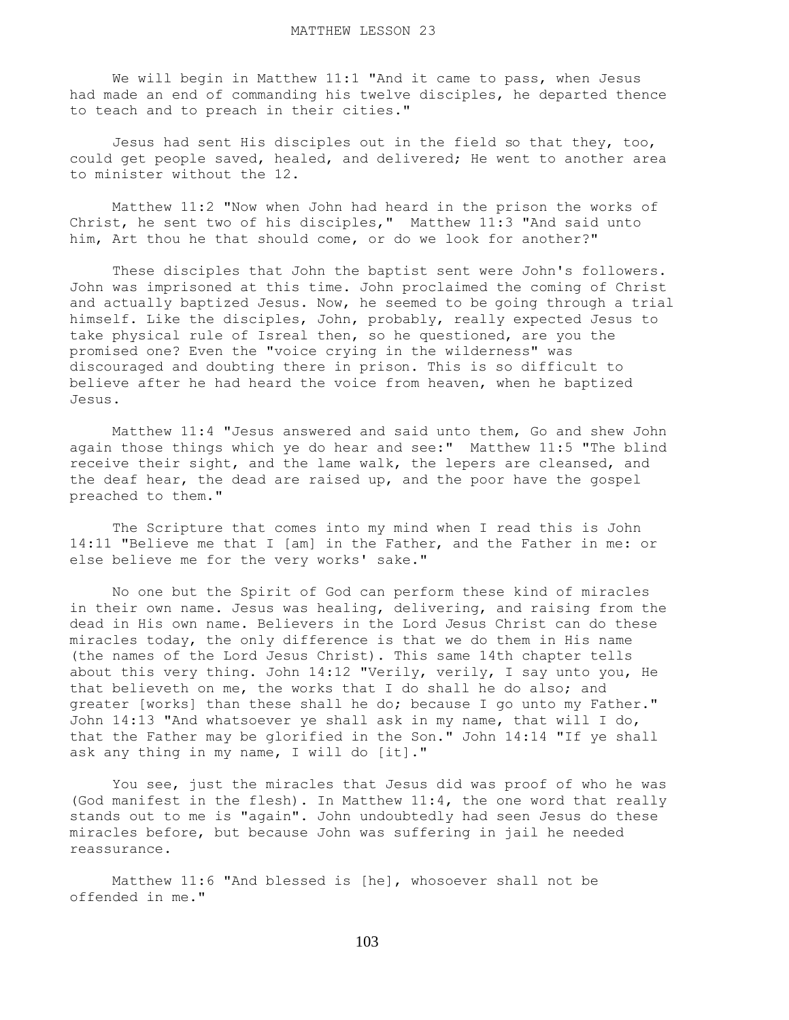We will begin in Matthew 11:1 "And it came to pass, when Jesus had made an end of commanding his twelve disciples, he departed thence to teach and to preach in their cities."

 Jesus had sent His disciples out in the field so that they, too, could get people saved, healed, and delivered; He went to another area to minister without the 12.

 Matthew 11:2 "Now when John had heard in the prison the works of Christ, he sent two of his disciples," Matthew 11:3 "And said unto him, Art thou he that should come, or do we look for another?"

 These disciples that John the baptist sent were John's followers. John was imprisoned at this time. John proclaimed the coming of Christ and actually baptized Jesus. Now, he seemed to be going through a trial himself. Like the disciples, John, probably, really expected Jesus to take physical rule of Isreal then, so he questioned, are you the promised one? Even the "voice crying in the wilderness" was discouraged and doubting there in prison. This is so difficult to believe after he had heard the voice from heaven, when he baptized Jesus.

 Matthew 11:4 "Jesus answered and said unto them, Go and shew John again those things which ye do hear and see:" Matthew 11:5 "The blind receive their sight, and the lame walk, the lepers are cleansed, and the deaf hear, the dead are raised up, and the poor have the gospel preached to them."

 The Scripture that comes into my mind when I read this is John 14:11 "Believe me that I [am] in the Father, and the Father in me: or else believe me for the very works' sake."

 No one but the Spirit of God can perform these kind of miracles in their own name. Jesus was healing, delivering, and raising from the dead in His own name. Believers in the Lord Jesus Christ can do these miracles today, the only difference is that we do them in His name (the names of the Lord Jesus Christ). This same 14th chapter tells about this very thing. John 14:12 "Verily, verily, I say unto you, He that believeth on me, the works that I do shall he do also; and greater [works] than these shall he do; because I go unto my Father." John 14:13 "And whatsoever ye shall ask in my name, that will I do, that the Father may be glorified in the Son." John 14:14 "If ye shall ask any thing in my name, I will do [it]."

 You see, just the miracles that Jesus did was proof of who he was (God manifest in the flesh). In Matthew 11:4, the one word that really stands out to me is "again". John undoubtedly had seen Jesus do these miracles before, but because John was suffering in jail he needed reassurance.

 Matthew 11:6 "And blessed is [he], whosoever shall not be offended in me."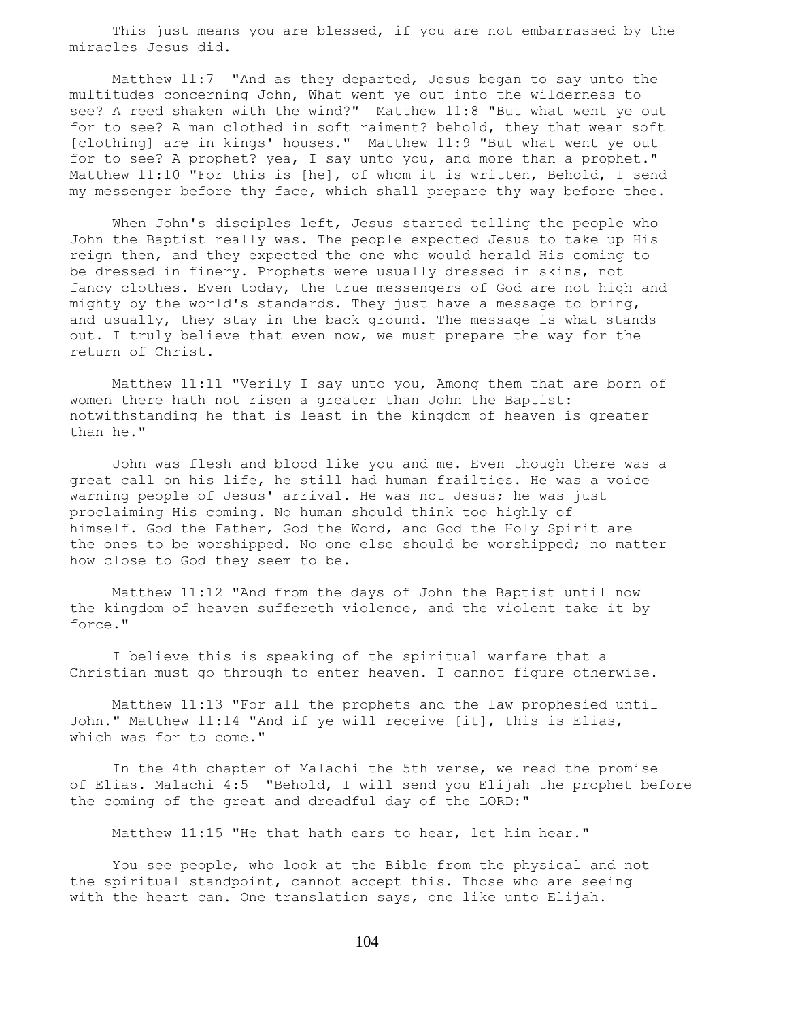This just means you are blessed, if you are not embarrassed by the miracles Jesus did.

 Matthew 11:7 "And as they departed, Jesus began to say unto the multitudes concerning John, What went ye out into the wilderness to see? A reed shaken with the wind?" Matthew 11:8 "But what went ye out for to see? A man clothed in soft raiment? behold, they that wear soft [clothing] are in kings' houses." Matthew 11:9 "But what went ye out for to see? A prophet? yea, I say unto you, and more than a prophet." Matthew 11:10 "For this is [he], of whom it is written, Behold, I send my messenger before thy face, which shall prepare thy way before thee.

When John's disciples left, Jesus started telling the people who John the Baptist really was. The people expected Jesus to take up His reign then, and they expected the one who would herald His coming to be dressed in finery. Prophets were usually dressed in skins, not fancy clothes. Even today, the true messengers of God are not high and mighty by the world's standards. They just have a message to bring, and usually, they stay in the back ground. The message is what stands out. I truly believe that even now, we must prepare the way for the return of Christ.

 Matthew 11:11 "Verily I say unto you, Among them that are born of women there hath not risen a greater than John the Baptist: notwithstanding he that is least in the kingdom of heaven is greater than he."

 John was flesh and blood like you and me. Even though there was a great call on his life, he still had human frailties. He was a voice warning people of Jesus' arrival. He was not Jesus; he was just proclaiming His coming. No human should think too highly of himself. God the Father, God the Word, and God the Holy Spirit are the ones to be worshipped. No one else should be worshipped; no matter how close to God they seem to be.

 Matthew 11:12 "And from the days of John the Baptist until now the kingdom of heaven suffereth violence, and the violent take it by force."

 I believe this is speaking of the spiritual warfare that a Christian must go through to enter heaven. I cannot figure otherwise.

 Matthew 11:13 "For all the prophets and the law prophesied until John." Matthew 11:14 "And if ye will receive [it], this is Elias, which was for to come."

 In the 4th chapter of Malachi the 5th verse, we read the promise of Elias. Malachi 4:5 "Behold, I will send you Elijah the prophet before the coming of the great and dreadful day of the LORD:"

Matthew 11:15 "He that hath ears to hear, let him hear."

 You see people, who look at the Bible from the physical and not the spiritual standpoint, cannot accept this. Those who are seeing with the heart can. One translation says, one like unto Elijah.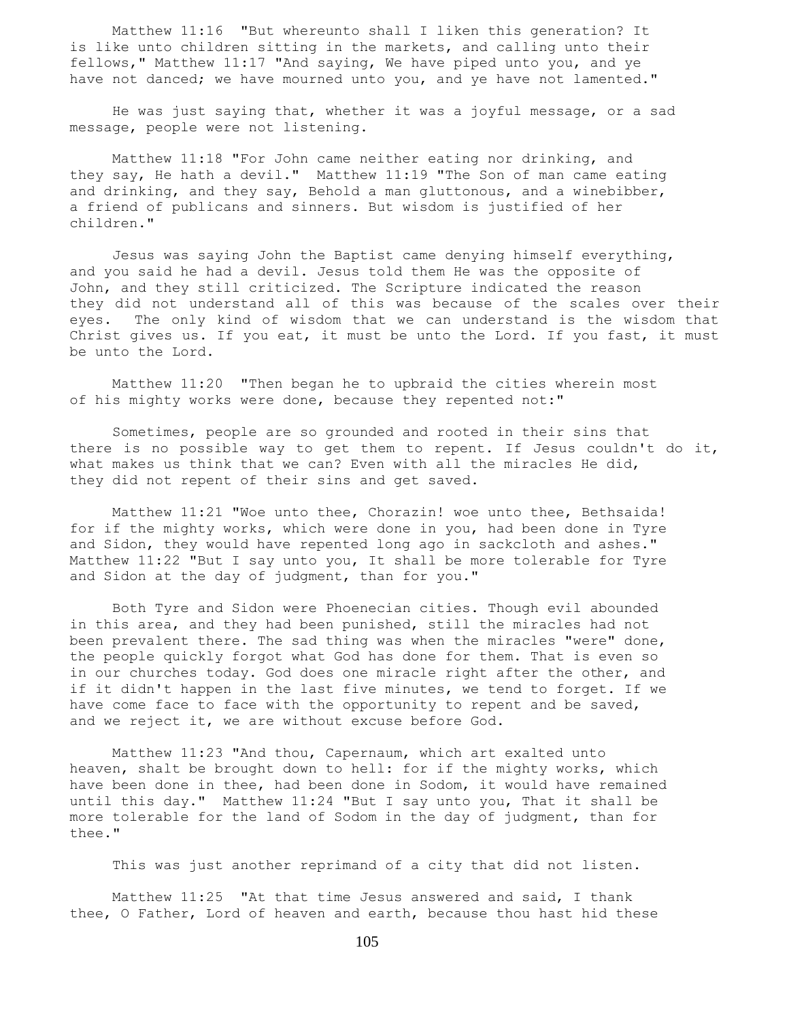Matthew 11:16 "But whereunto shall I liken this generation? It is like unto children sitting in the markets, and calling unto their fellows," Matthew 11:17 "And saying, We have piped unto you, and ye have not danced; we have mourned unto you, and ye have not lamented."

 He was just saying that, whether it was a joyful message, or a sad message, people were not listening.

 Matthew 11:18 "For John came neither eating nor drinking, and they say, He hath a devil." Matthew 11:19 "The Son of man came eating and drinking, and they say, Behold a man gluttonous, and a winebibber, a friend of publicans and sinners. But wisdom is justified of her children."

 Jesus was saying John the Baptist came denying himself everything, and you said he had a devil. Jesus told them He was the opposite of John, and they still criticized. The Scripture indicated the reason they did not understand all of this was because of the scales over their eyes. The only kind of wisdom that we can understand is the wisdom that Christ gives us. If you eat, it must be unto the Lord. If you fast, it must be unto the Lord.

 Matthew 11:20 "Then began he to upbraid the cities wherein most of his mighty works were done, because they repented not:"

 Sometimes, people are so grounded and rooted in their sins that there is no possible way to get them to repent. If Jesus couldn't do it, what makes us think that we can? Even with all the miracles He did, they did not repent of their sins and get saved.

 Matthew 11:21 "Woe unto thee, Chorazin! woe unto thee, Bethsaida! for if the mighty works, which were done in you, had been done in Tyre and Sidon, they would have repented long ago in sackcloth and ashes." Matthew 11:22 "But I say unto you, It shall be more tolerable for Tyre and Sidon at the day of judgment, than for you."

 Both Tyre and Sidon were Phoenecian cities. Though evil abounded in this area, and they had been punished, still the miracles had not been prevalent there. The sad thing was when the miracles "were" done, the people quickly forgot what God has done for them. That is even so in our churches today. God does one miracle right after the other, and if it didn't happen in the last five minutes, we tend to forget. If we have come face to face with the opportunity to repent and be saved, and we reject it, we are without excuse before God.

 Matthew 11:23 "And thou, Capernaum, which art exalted unto heaven, shalt be brought down to hell: for if the mighty works, which have been done in thee, had been done in Sodom, it would have remained until this day." Matthew 11:24 "But I say unto you, That it shall be more tolerable for the land of Sodom in the day of judgment, than for thee."

This was just another reprimand of a city that did not listen.

 Matthew 11:25 "At that time Jesus answered and said, I thank thee, O Father, Lord of heaven and earth, because thou hast hid these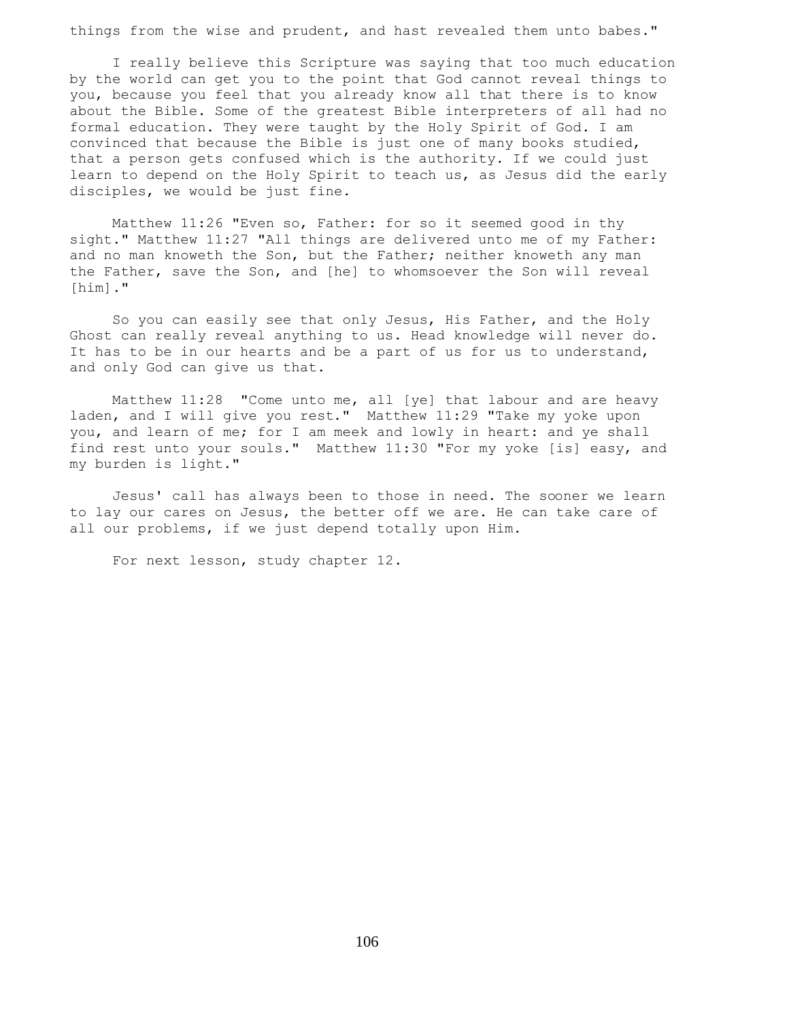things from the wise and prudent, and hast revealed them unto babes."

 I really believe this Scripture was saying that too much education by the world can get you to the point that God cannot reveal things to you, because you feel that you already know all that there is to know about the Bible. Some of the greatest Bible interpreters of all had no formal education. They were taught by the Holy Spirit of God. I am convinced that because the Bible is just one of many books studied, that a person gets confused which is the authority. If we could just learn to depend on the Holy Spirit to teach us, as Jesus did the early disciples, we would be just fine.

 Matthew 11:26 "Even so, Father: for so it seemed good in thy sight." Matthew 11:27 "All things are delivered unto me of my Father: and no man knoweth the Son, but the Father; neither knoweth any man the Father, save the Son, and [he] to whomsoever the Son will reveal [him]."

 So you can easily see that only Jesus, His Father, and the Holy Ghost can really reveal anything to us. Head knowledge will never do. It has to be in our hearts and be a part of us for us to understand, and only God can give us that.

 Matthew 11:28 "Come unto me, all [ye] that labour and are heavy laden, and I will give you rest." Matthew 11:29 "Take my yoke upon you, and learn of me; for I am meek and lowly in heart: and ye shall find rest unto your souls." Matthew 11:30 "For my yoke [is] easy, and my burden is light."

 Jesus' call has always been to those in need. The sooner we learn to lay our cares on Jesus, the better off we are. He can take care of all our problems, if we just depend totally upon Him.

For next lesson, study chapter 12.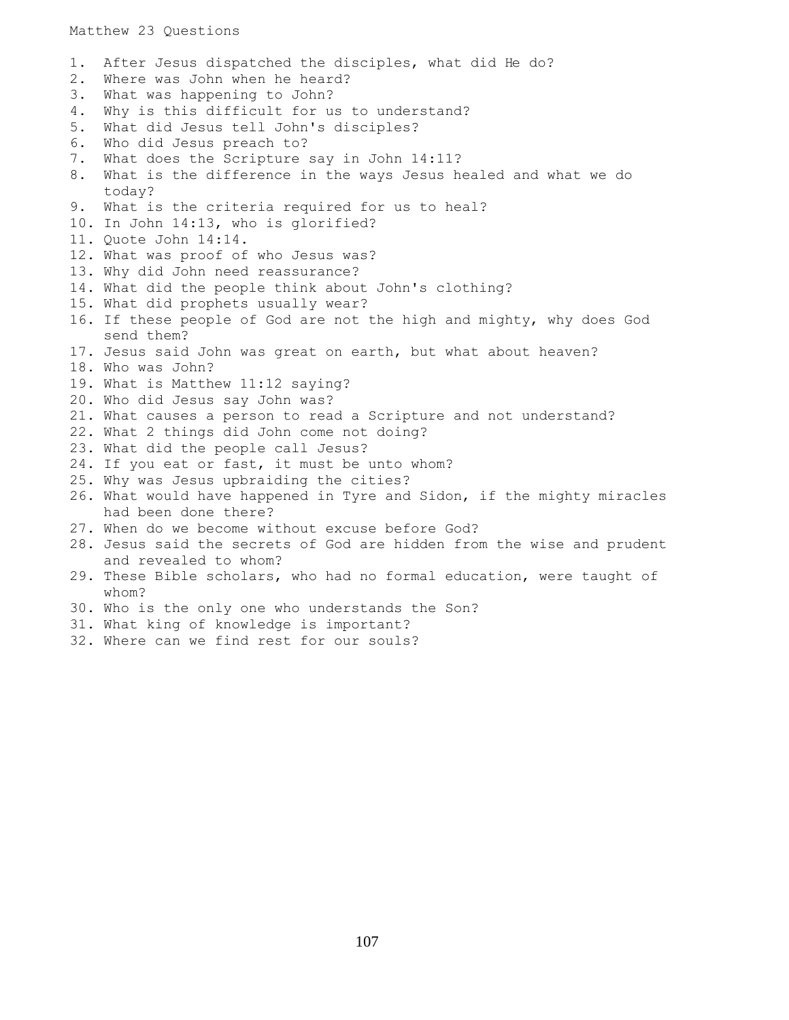## Matthew 23 Questions

1. After Jesus dispatched the disciples, what did He do? 2. Where was John when he heard? 3. What was happening to John? 4. Why is this difficult for us to understand? 5. What did Jesus tell John's disciples? 6. Who did Jesus preach to? 7. What does the Scripture say in John 14:11? 8. What is the difference in the ways Jesus healed and what we do today? 9. What is the criteria required for us to heal? 10. In John 14:13, who is glorified? 11. Quote John 14:14. 12. What was proof of who Jesus was? 13. Why did John need reassurance? 14. What did the people think about John's clothing? 15. What did prophets usually wear? 16. If these people of God are not the high and mighty, why does God send them? 17. Jesus said John was great on earth, but what about heaven? 18. Who was John? 19. What is Matthew 11:12 saying? 20. Who did Jesus say John was? 21. What causes a person to read a Scripture and not understand? 22. What 2 things did John come not doing? 23. What did the people call Jesus? 24. If you eat or fast, it must be unto whom? 25. Why was Jesus upbraiding the cities? 26. What would have happened in Tyre and Sidon, if the mighty miracles had been done there? 27. When do we become without excuse before God? 28. Jesus said the secrets of God are hidden from the wise and prudent and revealed to whom? 29. These Bible scholars, who had no formal education, were taught of whom? 30. Who is the only one who understands the Son? 31. What king of knowledge is important? 32. Where can we find rest for our souls?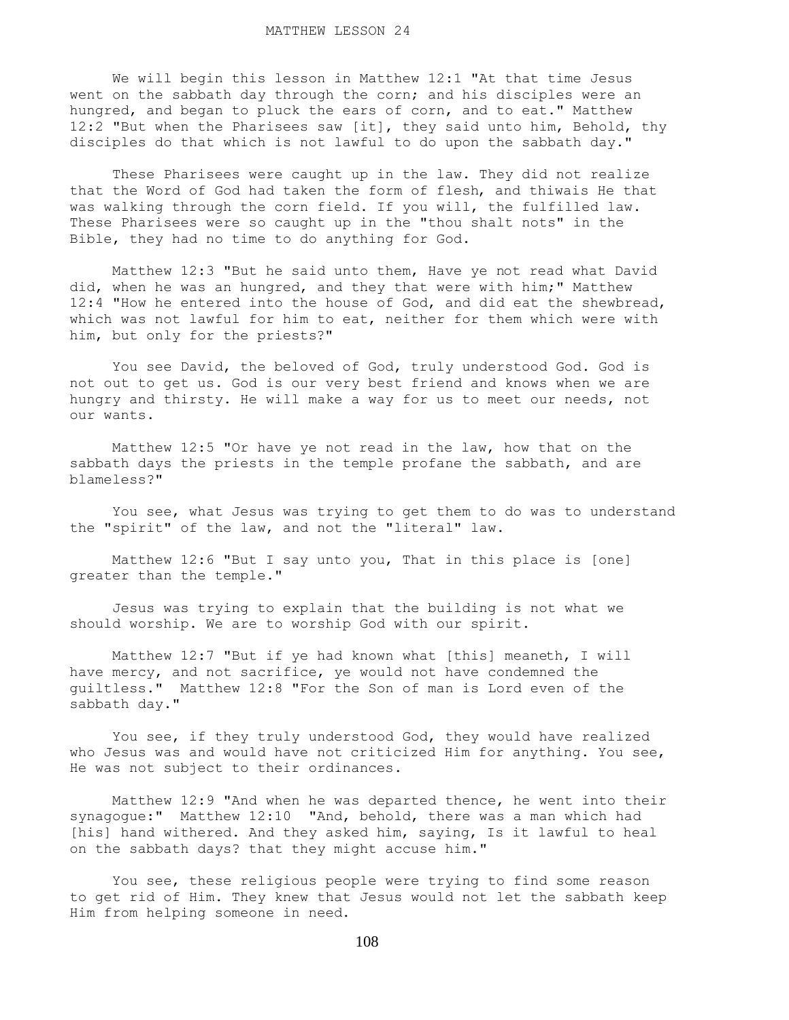We will begin this lesson in Matthew 12:1 "At that time Jesus went on the sabbath day through the corn; and his disciples were an hungred, and began to pluck the ears of corn, and to eat." Matthew 12:2 "But when the Pharisees saw [it], they said unto him, Behold, thy disciples do that which is not lawful to do upon the sabbath day."

 These Pharisees were caught up in the law. They did not realize that the Word of God had taken the form of flesh, and thiwais He that was walking through the corn field. If you will, the fulfilled law. These Pharisees were so caught up in the "thou shalt nots" in the Bible, they had no time to do anything for God.

 Matthew 12:3 "But he said unto them, Have ye not read what David did, when he was an hungred, and they that were with him;" Matthew 12:4 "How he entered into the house of God, and did eat the shewbread, which was not lawful for him to eat, neither for them which were with him, but only for the priests?"

 You see David, the beloved of God, truly understood God. God is not out to get us. God is our very best friend and knows when we are hungry and thirsty. He will make a way for us to meet our needs, not our wants.

 Matthew 12:5 "Or have ye not read in the law, how that on the sabbath days the priests in the temple profane the sabbath, and are blameless?"

 You see, what Jesus was trying to get them to do was to understand the "spirit" of the law, and not the "literal" law.

 Matthew 12:6 "But I say unto you, That in this place is [one] greater than the temple."

 Jesus was trying to explain that the building is not what we should worship. We are to worship God with our spirit.

 Matthew 12:7 "But if ye had known what [this] meaneth, I will have mercy, and not sacrifice, ye would not have condemned the guiltless." Matthew 12:8 "For the Son of man is Lord even of the sabbath day."

 You see, if they truly understood God, they would have realized who Jesus was and would have not criticized Him for anything. You see, He was not subject to their ordinances.

 Matthew 12:9 "And when he was departed thence, he went into their synagogue:" Matthew 12:10 "And, behold, there was a man which had [his] hand withered. And they asked him, saying, Is it lawful to heal on the sabbath days? that they might accuse him."

 You see, these religious people were trying to find some reason to get rid of Him. They knew that Jesus would not let the sabbath keep Him from helping someone in need.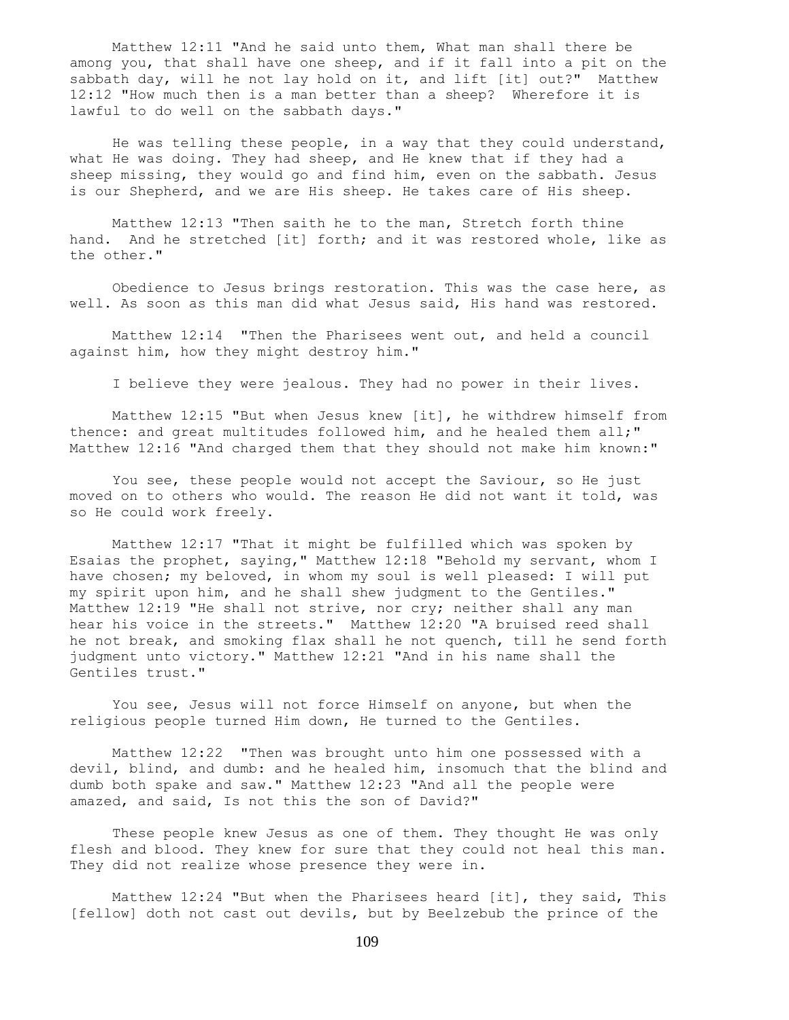Matthew 12:11 "And he said unto them, What man shall there be among you, that shall have one sheep, and if it fall into a pit on the sabbath day, will he not lay hold on it, and lift [it] out?" Matthew 12:12 "How much then is a man better than a sheep? Wherefore it is lawful to do well on the sabbath days."

 He was telling these people, in a way that they could understand, what He was doing. They had sheep, and He knew that if they had a sheep missing, they would go and find him, even on the sabbath. Jesus is our Shepherd, and we are His sheep. He takes care of His sheep.

 Matthew 12:13 "Then saith he to the man, Stretch forth thine hand. And he stretched [it] forth; and it was restored whole, like as the other."

 Obedience to Jesus brings restoration. This was the case here, as well. As soon as this man did what Jesus said, His hand was restored.

 Matthew 12:14 "Then the Pharisees went out, and held a council against him, how they might destroy him."

I believe they were jealous. They had no power in their lives.

 Matthew 12:15 "But when Jesus knew [it], he withdrew himself from thence: and great multitudes followed him, and he healed them all;" Matthew 12:16 "And charged them that they should not make him known:"

 You see, these people would not accept the Saviour, so He just moved on to others who would. The reason He did not want it told, was so He could work freely.

 Matthew 12:17 "That it might be fulfilled which was spoken by Esaias the prophet, saying," Matthew 12:18 "Behold my servant, whom I have chosen; my beloved, in whom my soul is well pleased: I will put my spirit upon him, and he shall shew judgment to the Gentiles." Matthew 12:19 "He shall not strive, nor cry; neither shall any man hear his voice in the streets." Matthew 12:20 "A bruised reed shall he not break, and smoking flax shall he not quench, till he send forth judgment unto victory." Matthew 12:21 "And in his name shall the Gentiles trust."

 You see, Jesus will not force Himself on anyone, but when the religious people turned Him down, He turned to the Gentiles.

 Matthew 12:22 "Then was brought unto him one possessed with a devil, blind, and dumb: and he healed him, insomuch that the blind and dumb both spake and saw." Matthew 12:23 "And all the people were amazed, and said, Is not this the son of David?"

 These people knew Jesus as one of them. They thought He was only flesh and blood. They knew for sure that they could not heal this man. They did not realize whose presence they were in.

 Matthew 12:24 "But when the Pharisees heard [it], they said, This [fellow] doth not cast out devils, but by Beelzebub the prince of the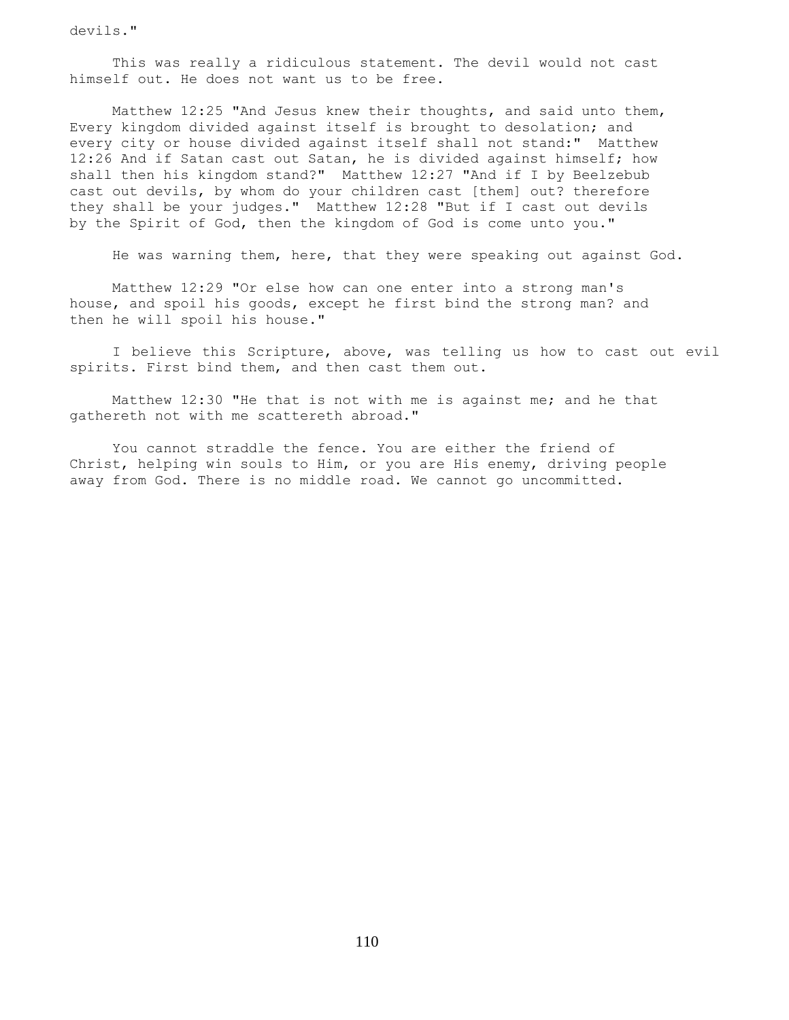devils."

 This was really a ridiculous statement. The devil would not cast himself out. He does not want us to be free.

 Matthew 12:25 "And Jesus knew their thoughts, and said unto them, Every kingdom divided against itself is brought to desolation; and every city or house divided against itself shall not stand:" Matthew 12:26 And if Satan cast out Satan, he is divided against himself; how shall then his kingdom stand?" Matthew 12:27 "And if I by Beelzebub cast out devils, by whom do your children cast [them] out? therefore they shall be your judges." Matthew 12:28 "But if I cast out devils by the Spirit of God, then the kingdom of God is come unto you."

He was warning them, here, that they were speaking out against God.

 Matthew 12:29 "Or else how can one enter into a strong man's house, and spoil his goods, except he first bind the strong man? and then he will spoil his house."

 I believe this Scripture, above, was telling us how to cast out evil spirits. First bind them, and then cast them out.

 Matthew 12:30 "He that is not with me is against me; and he that gathereth not with me scattereth abroad."

 You cannot straddle the fence. You are either the friend of Christ, helping win souls to Him, or you are His enemy, driving people away from God. There is no middle road. We cannot go uncommitted.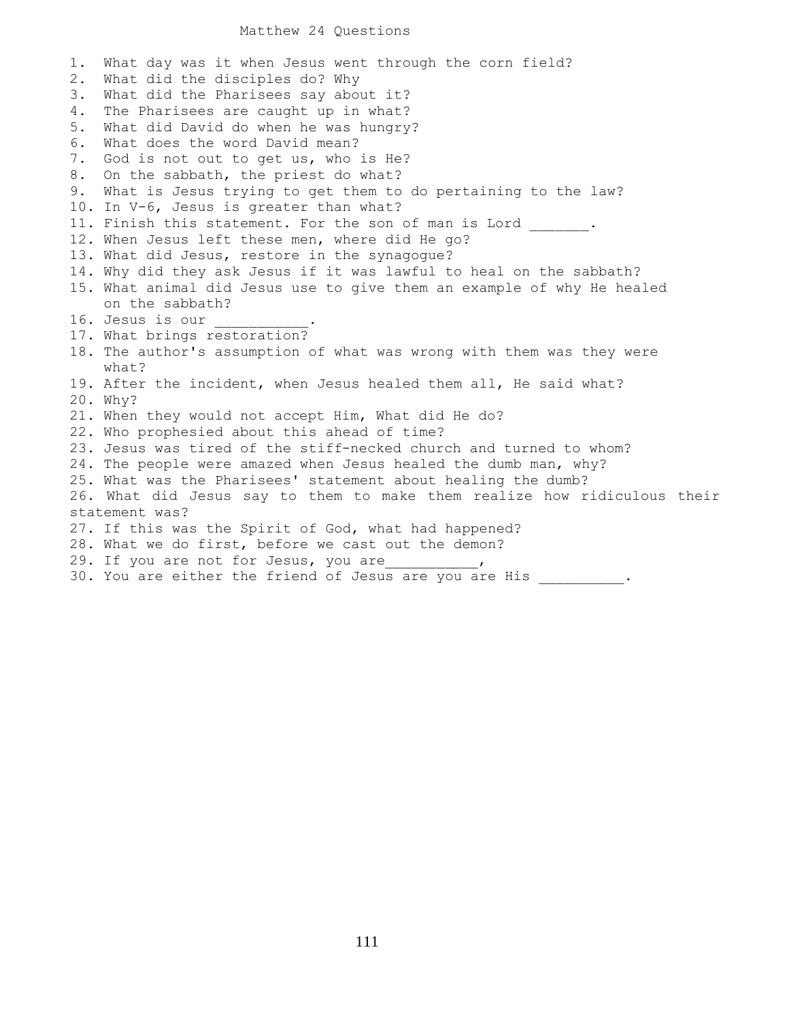## Matthew 24 Questions

1. What day was it when Jesus went through the corn field? 2. What did the disciples do? Why 3. What did the Pharisees say about it? 4. The Pharisees are caught up in what? 5. What did David do when he was hungry? 6. What does the word David mean? 7. God is not out to get us, who is He? 8. On the sabbath, the priest do what? 9. What is Jesus trying to get them to do pertaining to the law? 10. In V-6, Jesus is greater than what? 11. Finish this statement. For the son of man is Lord \_\_\_\_\_\_. 12. When Jesus left these men, where did He go? 13. What did Jesus, restore in the synagogue? 14. Why did they ask Jesus if it was lawful to heal on the sabbath? 15. What animal did Jesus use to give them an example of why He healed on the sabbath? 16. Jesus is our 17. What brings restoration? 18. The author's assumption of what was wrong with them was they were what? 19. After the incident, when Jesus healed them all, He said what? 20. Why? 21. When they would not accept Him, What did He do? 22. Who prophesied about this ahead of time? 23. Jesus was tired of the stiff-necked church and turned to whom? 24. The people were amazed when Jesus healed the dumb man, why? 25. What was the Pharisees' statement about healing the dumb? 26. What did Jesus say to them to make them realize how ridiculous their statement was? 27. If this was the Spirit of God, what had happened? 28. What we do first, before we cast out the demon? 29. If you are not for Jesus, you are  $\qquad \qquad$ 30. You are either the friend of Jesus are you are His  $\cdots$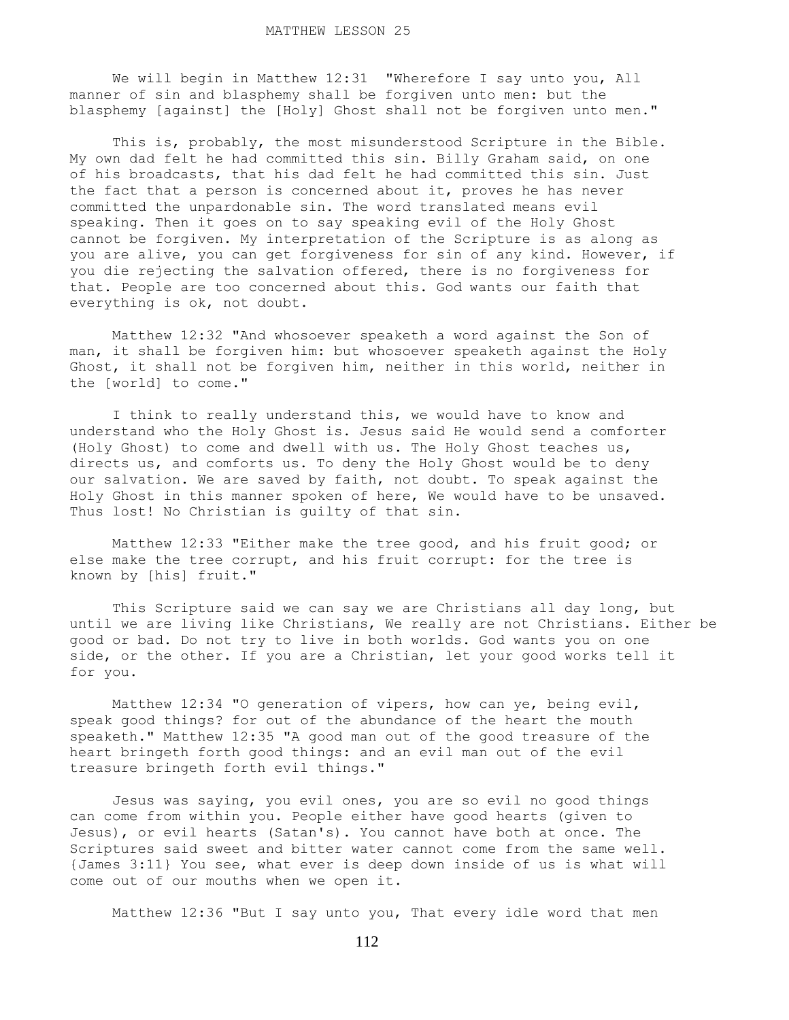We will begin in Matthew 12:31 "Wherefore I say unto you, All manner of sin and blasphemy shall be forgiven unto men: but the blasphemy [against] the [Holy] Ghost shall not be forgiven unto men."

 This is, probably, the most misunderstood Scripture in the Bible. My own dad felt he had committed this sin. Billy Graham said, on one of his broadcasts, that his dad felt he had committed this sin. Just the fact that a person is concerned about it, proves he has never committed the unpardonable sin. The word translated means evil speaking. Then it goes on to say speaking evil of the Holy Ghost cannot be forgiven. My interpretation of the Scripture is as along as you are alive, you can get forgiveness for sin of any kind. However, if you die rejecting the salvation offered, there is no forgiveness for that. People are too concerned about this. God wants our faith that everything is ok, not doubt.

 Matthew 12:32 "And whosoever speaketh a word against the Son of man, it shall be forgiven him: but whosoever speaketh against the Holy Ghost, it shall not be forgiven him, neither in this world, neither in the [world] to come."

 I think to really understand this, we would have to know and understand who the Holy Ghost is. Jesus said He would send a comforter (Holy Ghost) to come and dwell with us. The Holy Ghost teaches us, directs us, and comforts us. To deny the Holy Ghost would be to deny our salvation. We are saved by faith, not doubt. To speak against the Holy Ghost in this manner spoken of here, We would have to be unsaved. Thus lost! No Christian is guilty of that sin.

 Matthew 12:33 "Either make the tree good, and his fruit good; or else make the tree corrupt, and his fruit corrupt: for the tree is known by [his] fruit."

 This Scripture said we can say we are Christians all day long, but until we are living like Christians, We really are not Christians. Either be good or bad. Do not try to live in both worlds. God wants you on one side, or the other. If you are a Christian, let your good works tell it for you.

 Matthew 12:34 "O generation of vipers, how can ye, being evil, speak good things? for out of the abundance of the heart the mouth speaketh." Matthew 12:35 "A good man out of the good treasure of the heart bringeth forth good things: and an evil man out of the evil treasure bringeth forth evil things."

 Jesus was saying, you evil ones, you are so evil no good things can come from within you. People either have good hearts (given to Jesus), or evil hearts (Satan's). You cannot have both at once. The Scriptures said sweet and bitter water cannot come from the same well. {James 3:11} You see, what ever is deep down inside of us is what will come out of our mouths when we open it.

Matthew 12:36 "But I say unto you, That every idle word that men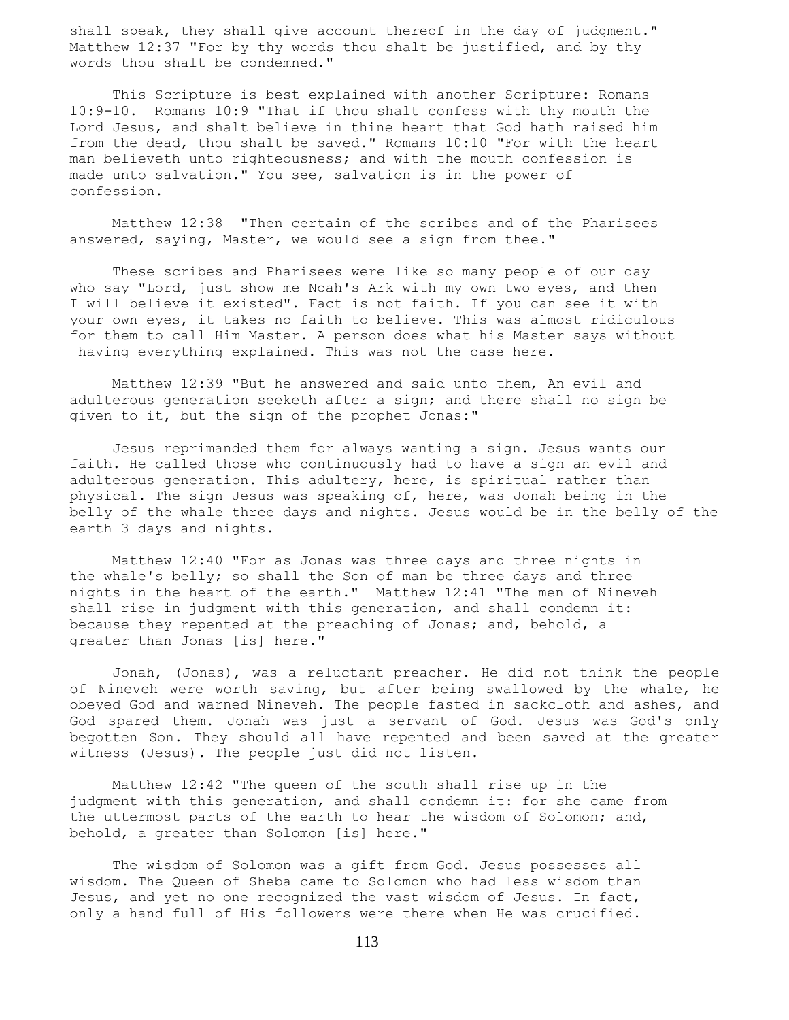shall speak, they shall give account thereof in the day of judgment." Matthew 12:37 "For by thy words thou shalt be justified, and by thy words thou shalt be condemned."

 This Scripture is best explained with another Scripture: Romans 10:9-10. Romans 10:9 "That if thou shalt confess with thy mouth the Lord Jesus, and shalt believe in thine heart that God hath raised him from the dead, thou shalt be saved." Romans 10:10 "For with the heart man believeth unto righteousness; and with the mouth confession is made unto salvation." You see, salvation is in the power of confession.

 Matthew 12:38 "Then certain of the scribes and of the Pharisees answered, saying, Master, we would see a sign from thee."

 These scribes and Pharisees were like so many people of our day who say "Lord, just show me Noah's Ark with my own two eyes, and then I will believe it existed". Fact is not faith. If you can see it with your own eyes, it takes no faith to believe. This was almost ridiculous for them to call Him Master. A person does what his Master says without having everything explained. This was not the case here.

 Matthew 12:39 "But he answered and said unto them, An evil and adulterous generation seeketh after a sign; and there shall no sign be given to it, but the sign of the prophet Jonas:"

 Jesus reprimanded them for always wanting a sign. Jesus wants our faith. He called those who continuously had to have a sign an evil and adulterous generation. This adultery, here, is spiritual rather than physical. The sign Jesus was speaking of, here, was Jonah being in the belly of the whale three days and nights. Jesus would be in the belly of the earth 3 days and nights.

 Matthew 12:40 "For as Jonas was three days and three nights in the whale's belly; so shall the Son of man be three days and three nights in the heart of the earth." Matthew 12:41 "The men of Nineveh shall rise in judgment with this generation, and shall condemn it: because they repented at the preaching of Jonas; and, behold, a greater than Jonas [is] here."

 Jonah, (Jonas), was a reluctant preacher. He did not think the people of Nineveh were worth saving, but after being swallowed by the whale, he obeyed God and warned Nineveh. The people fasted in sackcloth and ashes, and God spared them. Jonah was just a servant of God. Jesus was God's only begotten Son. They should all have repented and been saved at the greater witness (Jesus). The people just did not listen.

 Matthew 12:42 "The queen of the south shall rise up in the judgment with this generation, and shall condemn it: for she came from the uttermost parts of the earth to hear the wisdom of Solomon; and, behold, a greater than Solomon [is] here."

 The wisdom of Solomon was a gift from God. Jesus possesses all wisdom. The Queen of Sheba came to Solomon who had less wisdom than Jesus, and yet no one recognized the vast wisdom of Jesus. In fact, only a hand full of His followers were there when He was crucified.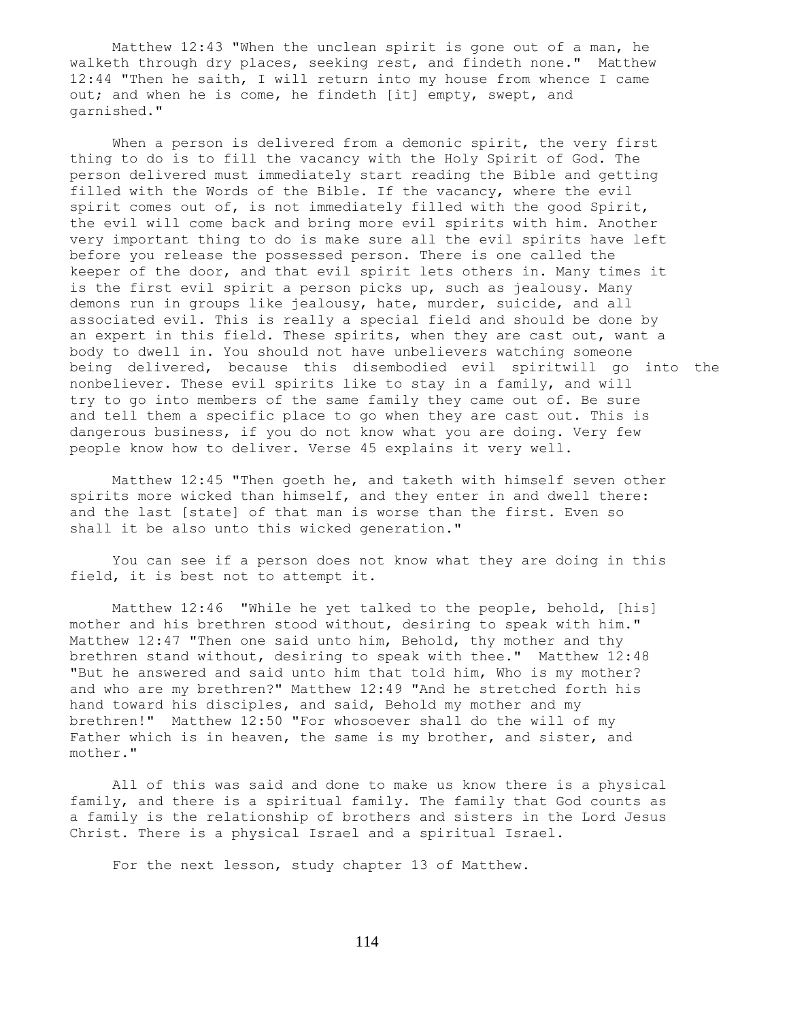Matthew 12:43 "When the unclean spirit is gone out of a man, he walketh through dry places, seeking rest, and findeth none." Matthew 12:44 "Then he saith, I will return into my house from whence I came out; and when he is come, he findeth [it] empty, swept, and garnished."

When a person is delivered from a demonic spirit, the very first thing to do is to fill the vacancy with the Holy Spirit of God. The person delivered must immediately start reading the Bible and getting filled with the Words of the Bible. If the vacancy, where the evil spirit comes out of, is not immediately filled with the good Spirit, the evil will come back and bring more evil spirits with him. Another very important thing to do is make sure all the evil spirits have left before you release the possessed person. There is one called the keeper of the door, and that evil spirit lets others in. Many times it is the first evil spirit a person picks up, such as jealousy. Many demons run in groups like jealousy, hate, murder, suicide, and all associated evil. This is really a special field and should be done by an expert in this field. These spirits, when they are cast out, want a body to dwell in. You should not have unbelievers watching someone being delivered, because this disembodied evil spiritwill go into the nonbeliever. These evil spirits like to stay in a family, and will try to go into members of the same family they came out of. Be sure and tell them a specific place to go when they are cast out. This is dangerous business, if you do not know what you are doing. Very few people know how to deliver. Verse 45 explains it very well.

 Matthew 12:45 "Then goeth he, and taketh with himself seven other spirits more wicked than himself, and they enter in and dwell there: and the last [state] of that man is worse than the first. Even so shall it be also unto this wicked generation."

 You can see if a person does not know what they are doing in this field, it is best not to attempt it.

 Matthew 12:46 "While he yet talked to the people, behold, [his] mother and his brethren stood without, desiring to speak with him." Matthew 12:47 "Then one said unto him, Behold, thy mother and thy brethren stand without, desiring to speak with thee." Matthew 12:48 "But he answered and said unto him that told him, Who is my mother? and who are my brethren?" Matthew 12:49 "And he stretched forth his hand toward his disciples, and said, Behold my mother and my brethren!" Matthew 12:50 "For whosoever shall do the will of my Father which is in heaven, the same is my brother, and sister, and mother."

 All of this was said and done to make us know there is a physical family, and there is a spiritual family. The family that God counts as a family is the relationship of brothers and sisters in the Lord Jesus Christ. There is a physical Israel and a spiritual Israel.

For the next lesson, study chapter 13 of Matthew.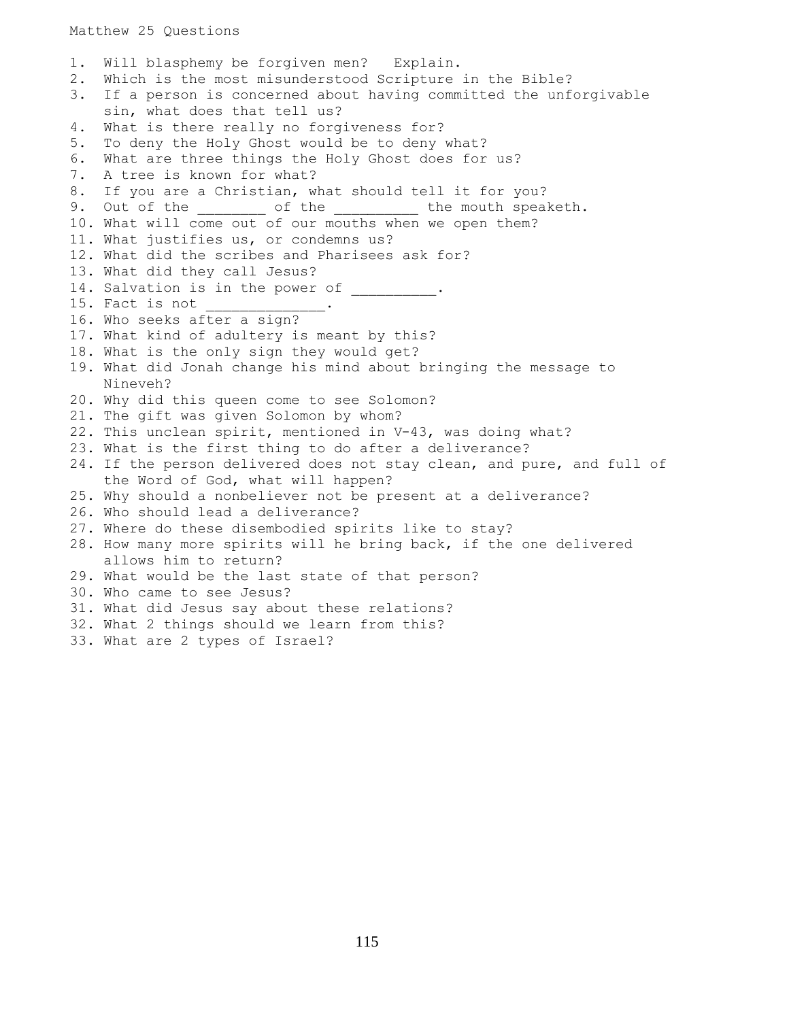## Matthew 25 Questions

1. Will blasphemy be forgiven men? Explain. 2. Which is the most misunderstood Scripture in the Bible? 3. If a person is concerned about having committed the unforgivable sin, what does that tell us? 4. What is there really no forgiveness for? 5. To deny the Holy Ghost would be to deny what? 6. What are three things the Holy Ghost does for us? 7. A tree is known for what? 8. If you are a Christian, what should tell it for you? 9. Out of the \_\_\_\_\_\_\_\_ of the \_\_\_\_\_\_\_\_\_ the mouth speaketh. 10. What will come out of our mouths when we open them? 11. What justifies us, or condemns us? 12. What did the scribes and Pharisees ask for? 13. What did they call Jesus? 14. Salvation is in the power of \_\_\_\_\_\_\_\_\_. 15. Fact is not 16. Who seeks after a sign? 17. What kind of adultery is meant by this? 18. What is the only sign they would get? 19. What did Jonah change his mind about bringing the message to Nineveh? 20. Why did this queen come to see Solomon? 21. The gift was given Solomon by whom? 22. This unclean spirit, mentioned in V-43, was doing what? 23. What is the first thing to do after a deliverance? 24. If the person delivered does not stay clean, and pure, and full of the Word of God, what will happen? 25. Why should a nonbeliever not be present at a deliverance? 26. Who should lead a deliverance? 27. Where do these disembodied spirits like to stay? 28. How many more spirits will he bring back, if the one delivered allows him to return? 29. What would be the last state of that person? 30. Who came to see Jesus? 31. What did Jesus say about these relations? 32. What 2 things should we learn from this? 33. What are 2 types of Israel?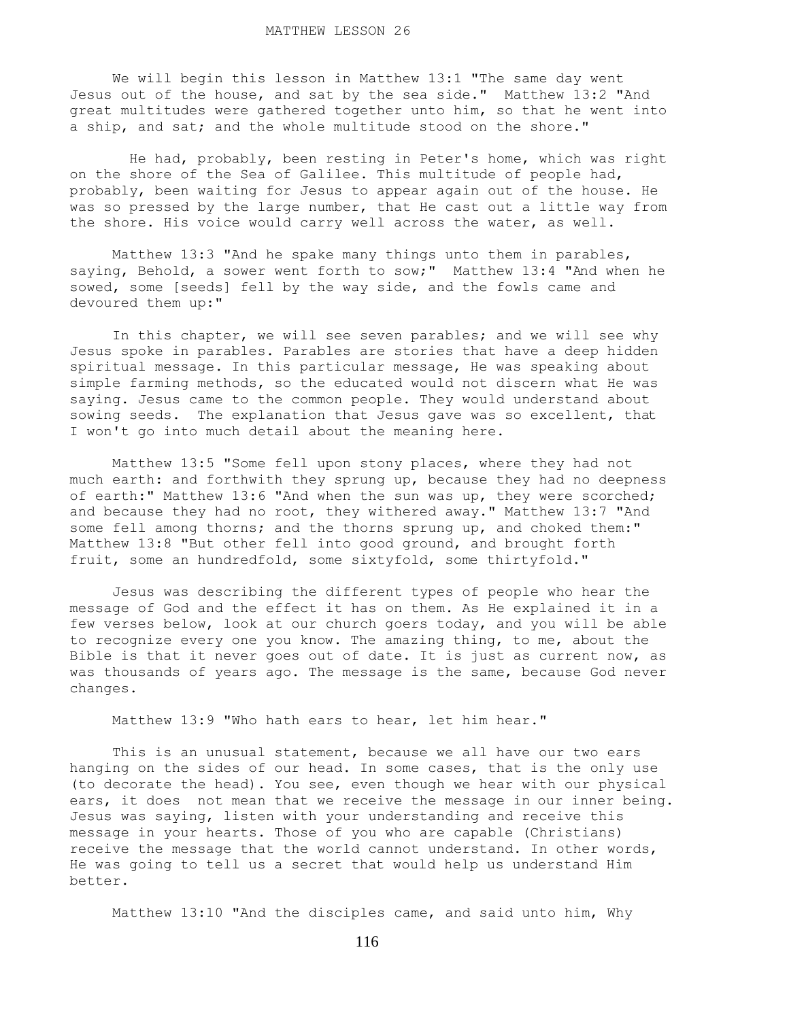We will begin this lesson in Matthew 13:1 "The same day went Jesus out of the house, and sat by the sea side." Matthew 13:2 "And great multitudes were gathered together unto him, so that he went into a ship, and sat; and the whole multitude stood on the shore."

 He had, probably, been resting in Peter's home, which was right on the shore of the Sea of Galilee. This multitude of people had, probably, been waiting for Jesus to appear again out of the house. He was so pressed by the large number, that He cast out a little way from the shore. His voice would carry well across the water, as well.

 Matthew 13:3 "And he spake many things unto them in parables, saying, Behold, a sower went forth to sow;" Matthew 13:4 "And when he sowed, some [seeds] fell by the way side, and the fowls came and devoured them up:"

 In this chapter, we will see seven parables; and we will see why Jesus spoke in parables. Parables are stories that have a deep hidden spiritual message. In this particular message, He was speaking about simple farming methods, so the educated would not discern what He was saying. Jesus came to the common people. They would understand about sowing seeds. The explanation that Jesus gave was so excellent, that I won't go into much detail about the meaning here.

 Matthew 13:5 "Some fell upon stony places, where they had not much earth: and forthwith they sprung up, because they had no deepness of earth:" Matthew 13:6 "And when the sun was up, they were scorched; and because they had no root, they withered away." Matthew 13:7 "And some fell among thorns; and the thorns sprung up, and choked them:" Matthew 13:8 "But other fell into good ground, and brought forth fruit, some an hundredfold, some sixtyfold, some thirtyfold."

 Jesus was describing the different types of people who hear the message of God and the effect it has on them. As He explained it in a few verses below, look at our church goers today, and you will be able to recognize every one you know. The amazing thing, to me, about the Bible is that it never goes out of date. It is just as current now, as was thousands of years ago. The message is the same, because God never changes.

Matthew 13:9 "Who hath ears to hear, let him hear."

 This is an unusual statement, because we all have our two ears hanging on the sides of our head. In some cases, that is the only use (to decorate the head). You see, even though we hear with our physical ears, it does not mean that we receive the message in our inner being. Jesus was saying, listen with your understanding and receive this message in your hearts. Those of you who are capable (Christians) receive the message that the world cannot understand. In other words, He was going to tell us a secret that would help us understand Him better.

Matthew 13:10 "And the disciples came, and said unto him, Why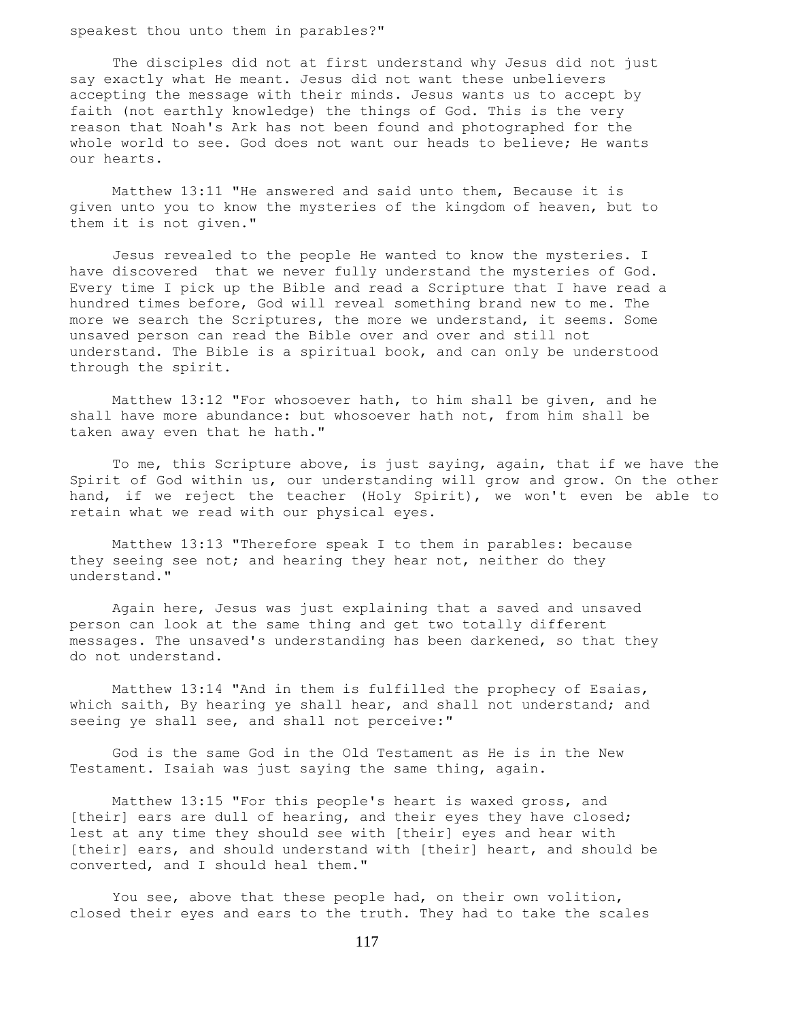speakest thou unto them in parables?"

 The disciples did not at first understand why Jesus did not just say exactly what He meant. Jesus did not want these unbelievers accepting the message with their minds. Jesus wants us to accept by faith (not earthly knowledge) the things of God. This is the very reason that Noah's Ark has not been found and photographed for the whole world to see. God does not want our heads to believe; He wants our hearts.

 Matthew 13:11 "He answered and said unto them, Because it is given unto you to know the mysteries of the kingdom of heaven, but to them it is not given."

 Jesus revealed to the people He wanted to know the mysteries. I have discovered that we never fully understand the mysteries of God. Every time I pick up the Bible and read a Scripture that I have read a hundred times before, God will reveal something brand new to me. The more we search the Scriptures, the more we understand, it seems. Some unsaved person can read the Bible over and over and still not understand. The Bible is a spiritual book, and can only be understood through the spirit.

 Matthew 13:12 "For whosoever hath, to him shall be given, and he shall have more abundance: but whosoever hath not, from him shall be taken away even that he hath."

 To me, this Scripture above, is just saying, again, that if we have the Spirit of God within us, our understanding will grow and grow. On the other hand, if we reject the teacher (Holy Spirit), we won't even be able to retain what we read with our physical eyes.

 Matthew 13:13 "Therefore speak I to them in parables: because they seeing see not; and hearing they hear not, neither do they understand."

 Again here, Jesus was just explaining that a saved and unsaved person can look at the same thing and get two totally different messages. The unsaved's understanding has been darkened, so that they do not understand.

 Matthew 13:14 "And in them is fulfilled the prophecy of Esaias, which saith, By hearing ye shall hear, and shall not understand; and seeing ye shall see, and shall not perceive:"

 God is the same God in the Old Testament as He is in the New Testament. Isaiah was just saying the same thing, again.

 Matthew 13:15 "For this people's heart is waxed gross, and [their] ears are dull of hearing, and their eyes they have closed; lest at any time they should see with [their] eyes and hear with [their] ears, and should understand with [their] heart, and should be converted, and I should heal them."

 You see, above that these people had, on their own volition, closed their eyes and ears to the truth. They had to take the scales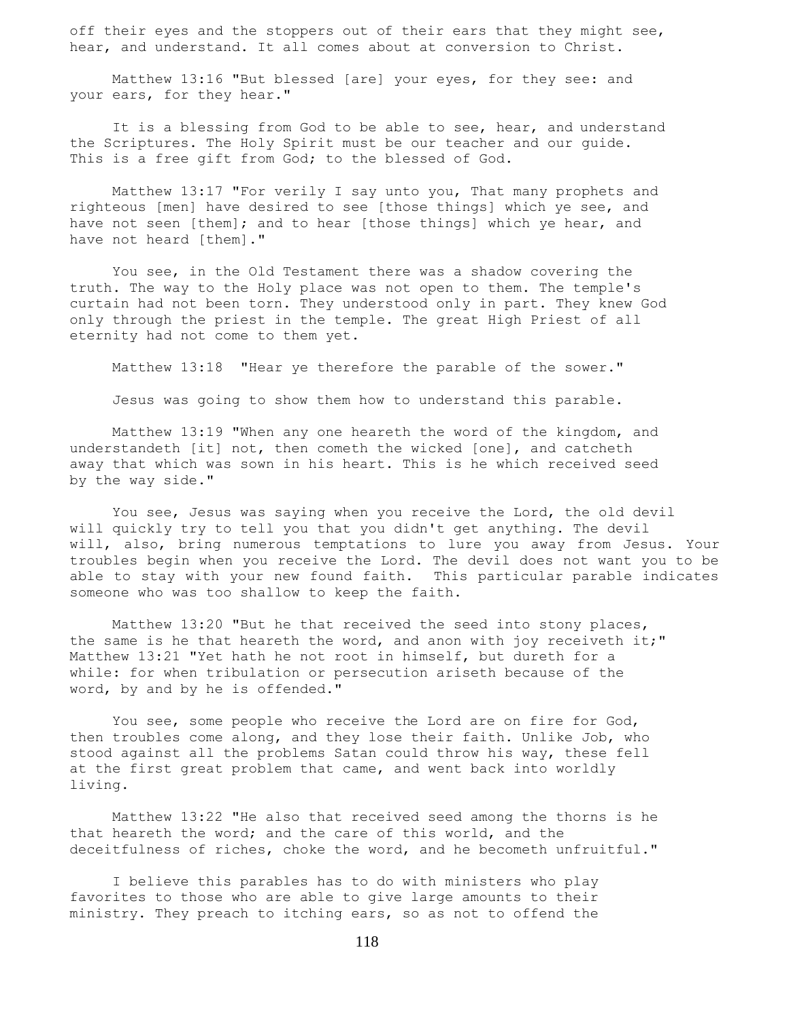off their eyes and the stoppers out of their ears that they might see, hear, and understand. It all comes about at conversion to Christ.

 Matthew 13:16 "But blessed [are] your eyes, for they see: and your ears, for they hear."

It is a blessing from God to be able to see, hear, and understand the Scriptures. The Holy Spirit must be our teacher and our guide. This is a free gift from God; to the blessed of God.

 Matthew 13:17 "For verily I say unto you, That many prophets and righteous [men] have desired to see [those things] which ye see, and have not seen [them]; and to hear [those things] which ye hear, and have not heard [them]."

 You see, in the Old Testament there was a shadow covering the truth. The way to the Holy place was not open to them. The temple's curtain had not been torn. They understood only in part. They knew God only through the priest in the temple. The great High Priest of all eternity had not come to them yet.

Matthew 13:18 "Hear ye therefore the parable of the sower."

Jesus was going to show them how to understand this parable.

 Matthew 13:19 "When any one heareth the word of the kingdom, and understandeth [it] not, then cometh the wicked [one], and catcheth away that which was sown in his heart. This is he which received seed by the way side."

 You see, Jesus was saying when you receive the Lord, the old devil will quickly try to tell you that you didn't get anything. The devil will, also, bring numerous temptations to lure you away from Jesus. Your troubles begin when you receive the Lord. The devil does not want you to be able to stay with your new found faith. This particular parable indicates someone who was too shallow to keep the faith.

 Matthew 13:20 "But he that received the seed into stony places, the same is he that heareth the word, and anon with joy receiveth it;" Matthew 13:21 "Yet hath he not root in himself, but dureth for a while: for when tribulation or persecution ariseth because of the word, by and by he is offended."

You see, some people who receive the Lord are on fire for God, then troubles come along, and they lose their faith. Unlike Job, who stood against all the problems Satan could throw his way, these fell at the first great problem that came, and went back into worldly living.

 Matthew 13:22 "He also that received seed among the thorns is he that heareth the word; and the care of this world, and the deceitfulness of riches, choke the word, and he becometh unfruitful."

 I believe this parables has to do with ministers who play favorites to those who are able to give large amounts to their ministry. They preach to itching ears, so as not to offend the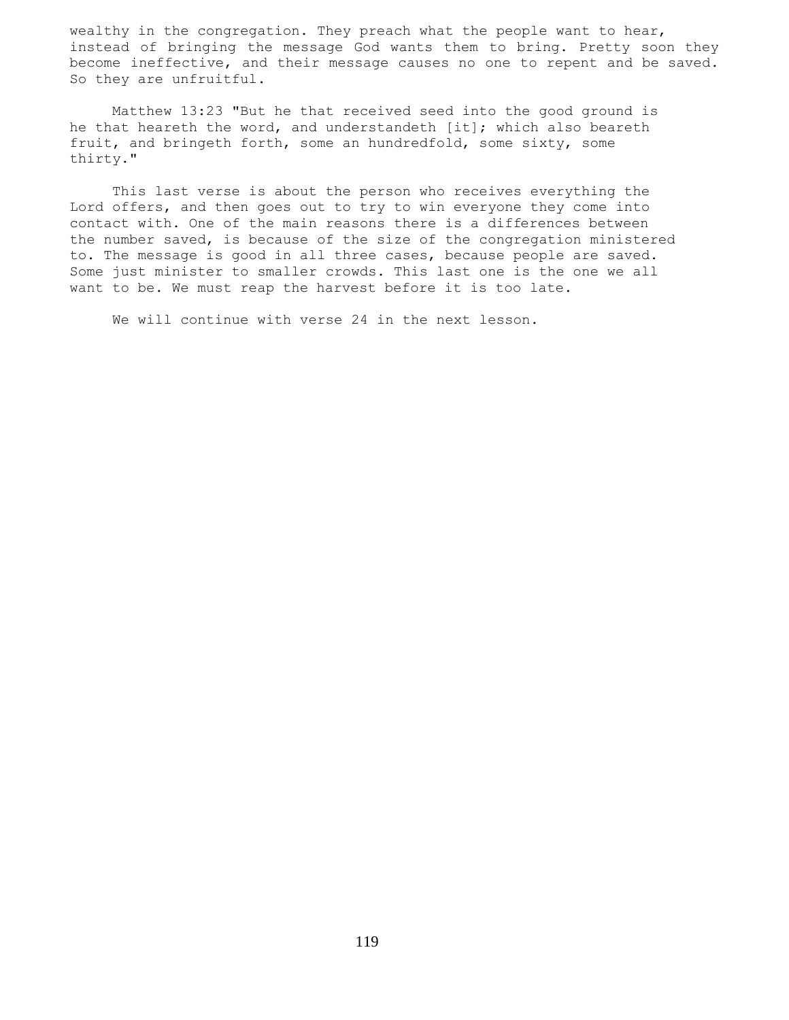wealthy in the congregation. They preach what the people want to hear, instead of bringing the message God wants them to bring. Pretty soon they become ineffective, and their message causes no one to repent and be saved. So they are unfruitful.

 Matthew 13:23 "But he that received seed into the good ground is he that heareth the word, and understandeth [it]; which also beareth fruit, and bringeth forth, some an hundredfold, some sixty, some thirty."

 This last verse is about the person who receives everything the Lord offers, and then goes out to try to win everyone they come into contact with. One of the main reasons there is a differences between the number saved, is because of the size of the congregation ministered to. The message is good in all three cases, because people are saved. Some just minister to smaller crowds. This last one is the one we all want to be. We must reap the harvest before it is too late.

We will continue with verse 24 in the next lesson.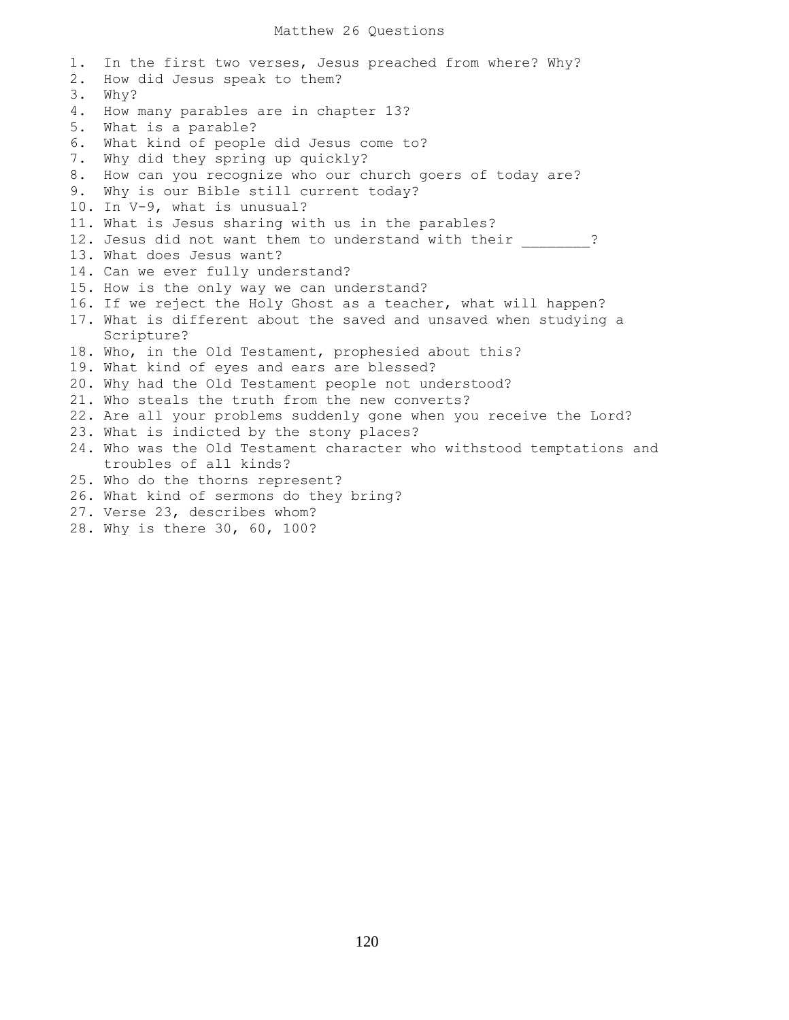1. In the first two verses, Jesus preached from where? Why? 2. How did Jesus speak to them? 3. Why? 4. How many parables are in chapter 13? 5. What is a parable? 6. What kind of people did Jesus come to? 7. Why did they spring up quickly? 8. How can you recognize who our church goers of today are? 9. Why is our Bible still current today? 10. In V-9, what is unusual? 11. What is Jesus sharing with us in the parables? 12. Jesus did not want them to understand with their  $\qquad$  ? 13. What does Jesus want? 14. Can we ever fully understand? 15. How is the only way we can understand? 16. If we reject the Holy Ghost as a teacher, what will happen? 17. What is different about the saved and unsaved when studying a Scripture? 18. Who, in the Old Testament, prophesied about this? 19. What kind of eyes and ears are blessed? 20. Why had the Old Testament people not understood? 21. Who steals the truth from the new converts? 22. Are all your problems suddenly gone when you receive the Lord? 23. What is indicted by the stony places? 24. Who was the Old Testament character who withstood temptations and troubles of all kinds? 25. Who do the thorns represent? 26. What kind of sermons do they bring? 27. Verse 23, describes whom? 28. Why is there 30, 60, 100?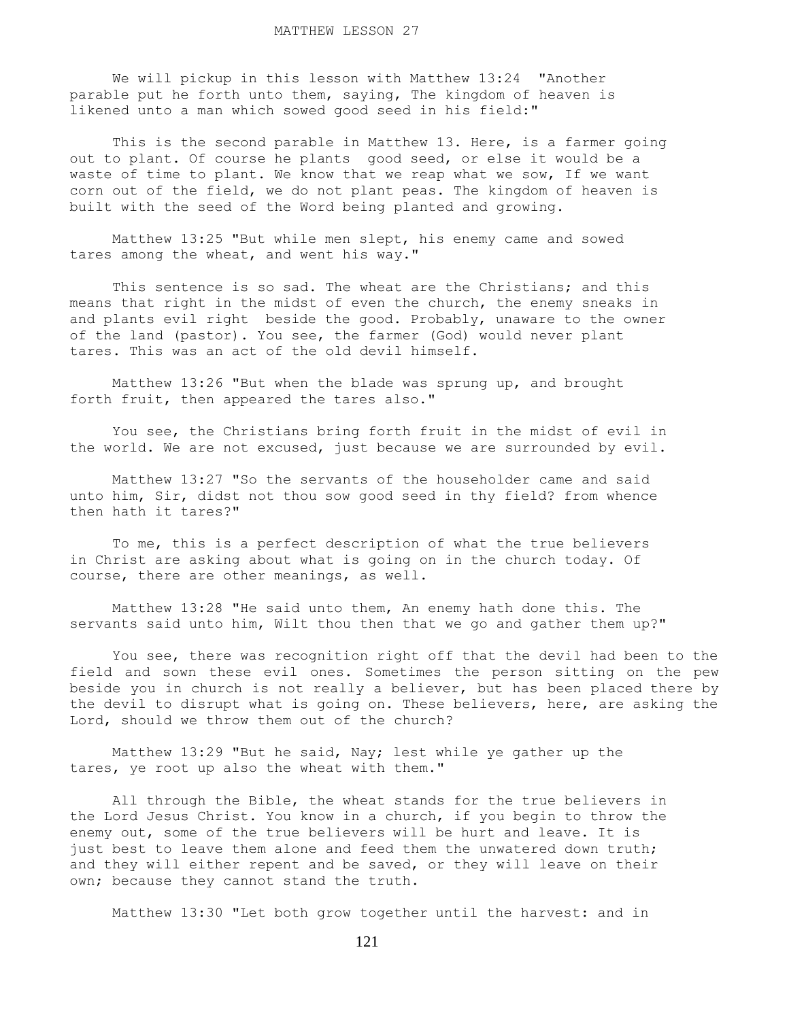We will pickup in this lesson with Matthew 13:24 "Another parable put he forth unto them, saying, The kingdom of heaven is likened unto a man which sowed good seed in his field:"

This is the second parable in Matthew 13. Here, is a farmer going out to plant. Of course he plants good seed, or else it would be a waste of time to plant. We know that we reap what we sow, If we want corn out of the field, we do not plant peas. The kingdom of heaven is built with the seed of the Word being planted and growing.

 Matthew 13:25 "But while men slept, his enemy came and sowed tares among the wheat, and went his way."

This sentence is so sad. The wheat are the Christians; and this means that right in the midst of even the church, the enemy sneaks in and plants evil right beside the good. Probably, unaware to the owner of the land (pastor). You see, the farmer (God) would never plant tares. This was an act of the old devil himself.

 Matthew 13:26 "But when the blade was sprung up, and brought forth fruit, then appeared the tares also."

 You see, the Christians bring forth fruit in the midst of evil in the world. We are not excused, just because we are surrounded by evil.

 Matthew 13:27 "So the servants of the householder came and said unto him, Sir, didst not thou sow good seed in thy field? from whence then hath it tares?"

 To me, this is a perfect description of what the true believers in Christ are asking about what is going on in the church today. Of course, there are other meanings, as well.

 Matthew 13:28 "He said unto them, An enemy hath done this. The servants said unto him, Wilt thou then that we go and gather them up?"

 You see, there was recognition right off that the devil had been to the field and sown these evil ones. Sometimes the person sitting on the pew beside you in church is not really a believer, but has been placed there by the devil to disrupt what is going on. These believers, here, are asking the Lord, should we throw them out of the church?

 Matthew 13:29 "But he said, Nay; lest while ye gather up the tares, ye root up also the wheat with them."

 All through the Bible, the wheat stands for the true believers in the Lord Jesus Christ. You know in a church, if you begin to throw the enemy out, some of the true believers will be hurt and leave. It is just best to leave them alone and feed them the unwatered down truth; and they will either repent and be saved, or they will leave on their own; because they cannot stand the truth.

Matthew 13:30 "Let both grow together until the harvest: and in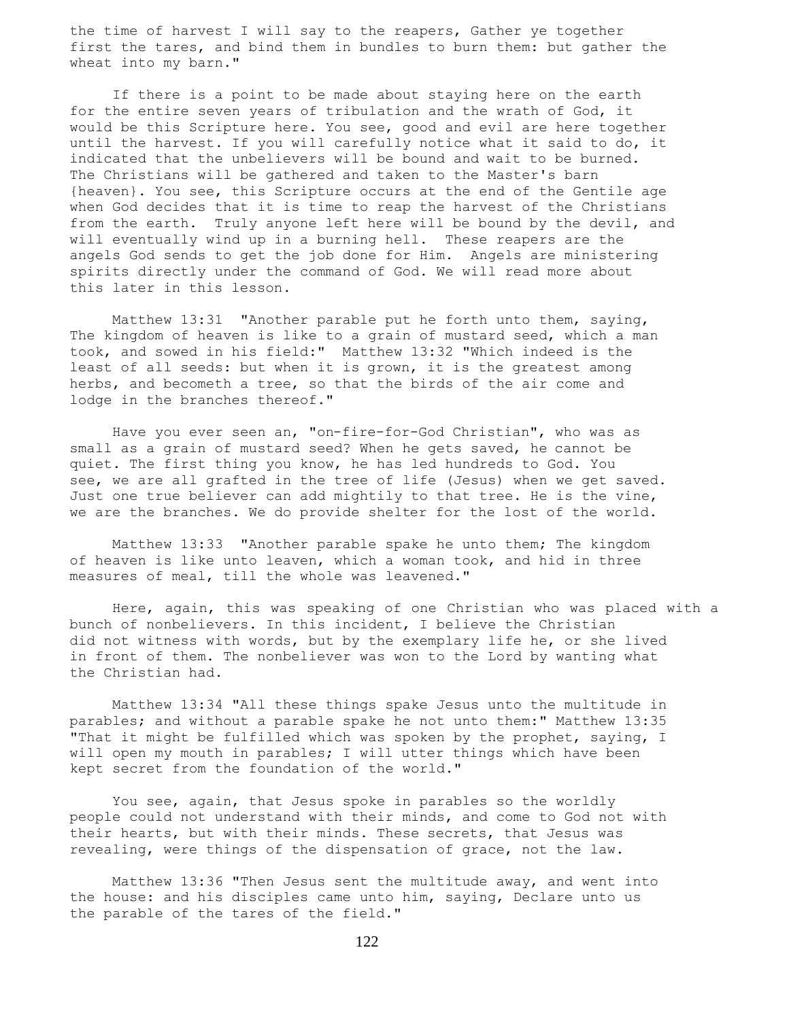the time of harvest I will say to the reapers, Gather ye together first the tares, and bind them in bundles to burn them: but gather the wheat into my barn."

 If there is a point to be made about staying here on the earth for the entire seven years of tribulation and the wrath of God, it would be this Scripture here. You see, good and evil are here together until the harvest. If you will carefully notice what it said to do, it indicated that the unbelievers will be bound and wait to be burned. The Christians will be gathered and taken to the Master's barn {heaven}. You see, this Scripture occurs at the end of the Gentile age when God decides that it is time to reap the harvest of the Christians from the earth. Truly anyone left here will be bound by the devil, and will eventually wind up in a burning hell. These reapers are the angels God sends to get the job done for Him. Angels are ministering spirits directly under the command of God. We will read more about this later in this lesson.

 Matthew 13:31 "Another parable put he forth unto them, saying, The kingdom of heaven is like to a grain of mustard seed, which a man took, and sowed in his field:" Matthew 13:32 "Which indeed is the least of all seeds: but when it is grown, it is the greatest among herbs, and becometh a tree, so that the birds of the air come and lodge in the branches thereof."

 Have you ever seen an, "on-fire-for-God Christian", who was as small as a grain of mustard seed? When he gets saved, he cannot be quiet. The first thing you know, he has led hundreds to God. You see, we are all grafted in the tree of life (Jesus) when we get saved. Just one true believer can add mightily to that tree. He is the vine, we are the branches. We do provide shelter for the lost of the world.

 Matthew 13:33 "Another parable spake he unto them; The kingdom of heaven is like unto leaven, which a woman took, and hid in three measures of meal, till the whole was leavened."

 Here, again, this was speaking of one Christian who was placed with a bunch of nonbelievers. In this incident, I believe the Christian did not witness with words, but by the exemplary life he, or she lived in front of them. The nonbeliever was won to the Lord by wanting what the Christian had.

 Matthew 13:34 "All these things spake Jesus unto the multitude in parables; and without a parable spake he not unto them:" Matthew 13:35 "That it might be fulfilled which was spoken by the prophet, saying, I will open my mouth in parables; I will utter things which have been kept secret from the foundation of the world."

 You see, again, that Jesus spoke in parables so the worldly people could not understand with their minds, and come to God not with their hearts, but with their minds. These secrets, that Jesus was revealing, were things of the dispensation of grace, not the law.

 Matthew 13:36 "Then Jesus sent the multitude away, and went into the house: and his disciples came unto him, saying, Declare unto us the parable of the tares of the field."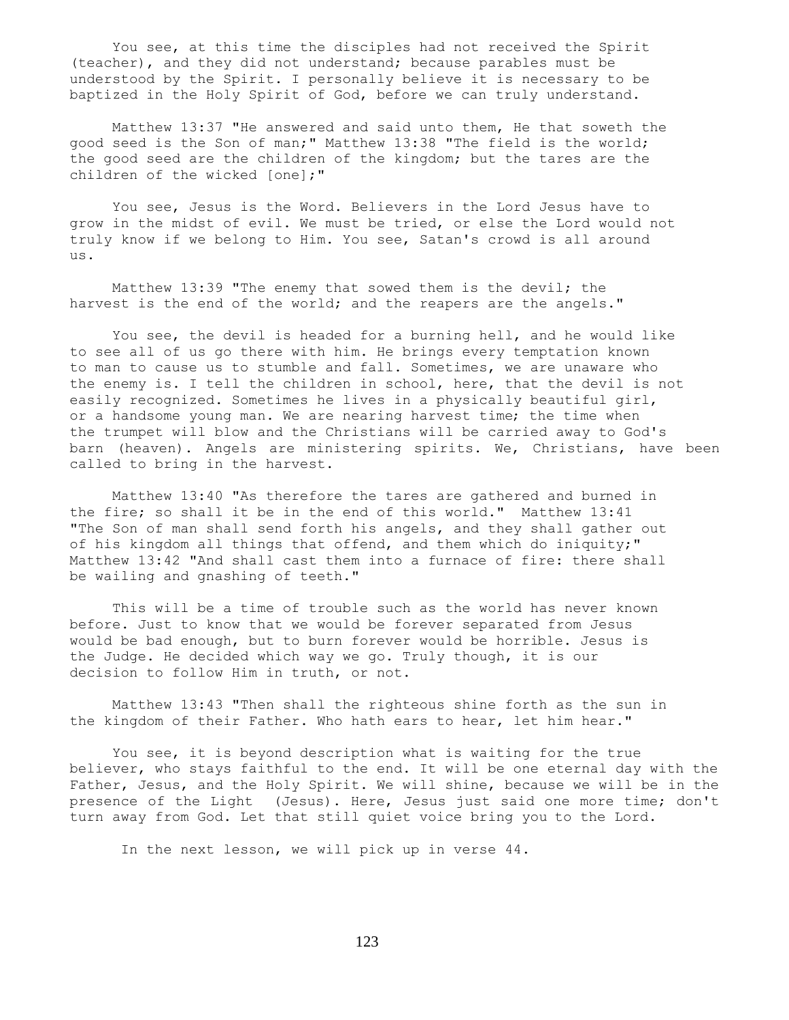You see, at this time the disciples had not received the Spirit (teacher), and they did not understand; because parables must be understood by the Spirit. I personally believe it is necessary to be baptized in the Holy Spirit of God, before we can truly understand.

 Matthew 13:37 "He answered and said unto them, He that soweth the good seed is the Son of man;" Matthew 13:38 "The field is the world; the good seed are the children of the kingdom; but the tares are the children of the wicked [one];"

 You see, Jesus is the Word. Believers in the Lord Jesus have to grow in the midst of evil. We must be tried, or else the Lord would not truly know if we belong to Him. You see, Satan's crowd is all around us.

 Matthew 13:39 "The enemy that sowed them is the devil; the harvest is the end of the world; and the reapers are the angels."

 You see, the devil is headed for a burning hell, and he would like to see all of us go there with him. He brings every temptation known to man to cause us to stumble and fall. Sometimes, we are unaware who the enemy is. I tell the children in school, here, that the devil is not easily recognized. Sometimes he lives in a physically beautiful girl, or a handsome young man. We are nearing harvest time; the time when the trumpet will blow and the Christians will be carried away to God's barn (heaven). Angels are ministering spirits. We, Christians, have been called to bring in the harvest.

 Matthew 13:40 "As therefore the tares are gathered and burned in the fire; so shall it be in the end of this world." Matthew 13:41 "The Son of man shall send forth his angels, and they shall gather out of his kingdom all things that offend, and them which do iniquity;" Matthew 13:42 "And shall cast them into a furnace of fire: there shall be wailing and gnashing of teeth."

 This will be a time of trouble such as the world has never known before. Just to know that we would be forever separated from Jesus would be bad enough, but to burn forever would be horrible. Jesus is the Judge. He decided which way we go. Truly though, it is our decision to follow Him in truth, or not.

 Matthew 13:43 "Then shall the righteous shine forth as the sun in the kingdom of their Father. Who hath ears to hear, let him hear."

 You see, it is beyond description what is waiting for the true believer, who stays faithful to the end. It will be one eternal day with the Father, Jesus, and the Holy Spirit. We will shine, because we will be in the presence of the Light (Jesus). Here, Jesus just said one more time; don't turn away from God. Let that still quiet voice bring you to the Lord.

In the next lesson, we will pick up in verse 44.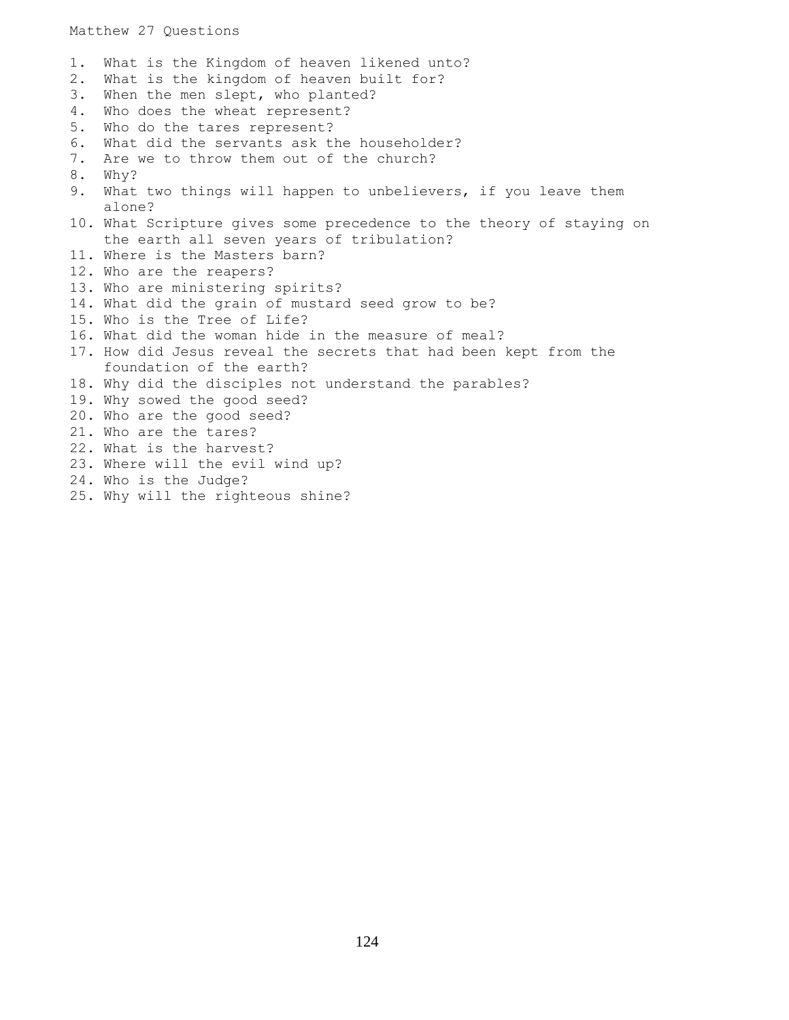1. What is the Kingdom of heaven likened unto? 2. What is the kingdom of heaven built for? 3. When the men slept, who planted? 4. Who does the wheat represent? 5. Who do the tares represent? 6. What did the servants ask the householder? 7. Are we to throw them out of the church? 8. Why? 9. What two things will happen to unbelievers, if you leave them alone? 10. What Scripture gives some precedence to the theory of staying on the earth all seven years of tribulation? 11. Where is the Masters barn? 12. Who are the reapers? 13. Who are ministering spirits? 14. What did the grain of mustard seed grow to be? 15. Who is the Tree of Life? 16. What did the woman hide in the measure of meal? 17. How did Jesus reveal the secrets that had been kept from the foundation of the earth? 18. Why did the disciples not understand the parables? 19. Why sowed the good seed? 20. Who are the good seed? 21. Who are the tares? 22. What is the harvest? 23. Where will the evil wind up? 24. Who is the Judge? 25. Why will the righteous shine?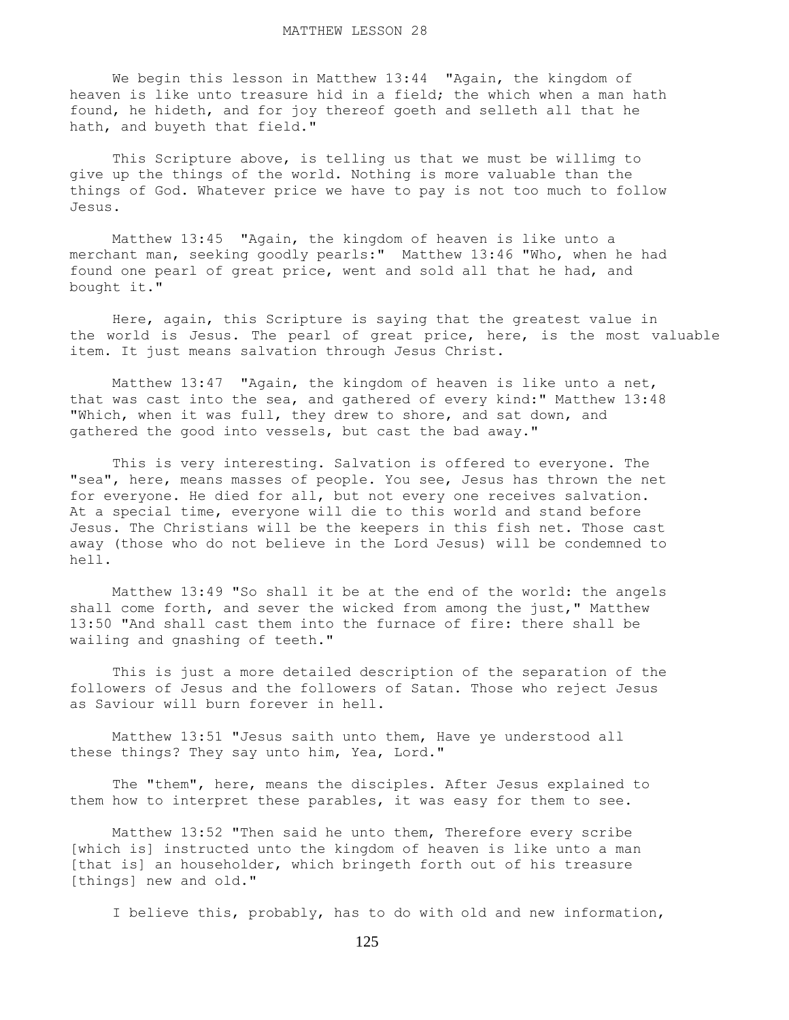We begin this lesson in Matthew 13:44 "Again, the kingdom of heaven is like unto treasure hid in a field; the which when a man hath found, he hideth, and for joy thereof goeth and selleth all that he hath, and buyeth that field."

 This Scripture above, is telling us that we must be willimg to give up the things of the world. Nothing is more valuable than the things of God. Whatever price we have to pay is not too much to follow Jesus.

 Matthew 13:45 "Again, the kingdom of heaven is like unto a merchant man, seeking goodly pearls:" Matthew 13:46 "Who, when he had found one pearl of great price, went and sold all that he had, and bought it."

 Here, again, this Scripture is saying that the greatest value in the world is Jesus. The pearl of great price, here, is the most valuable item. It just means salvation through Jesus Christ.

 Matthew 13:47 "Again, the kingdom of heaven is like unto a net, that was cast into the sea, and gathered of every kind:" Matthew 13:48 "Which, when it was full, they drew to shore, and sat down, and gathered the good into vessels, but cast the bad away."

 This is very interesting. Salvation is offered to everyone. The "sea", here, means masses of people. You see, Jesus has thrown the net for everyone. He died for all, but not every one receives salvation. At a special time, everyone will die to this world and stand before Jesus. The Christians will be the keepers in this fish net. Those cast away (those who do not believe in the Lord Jesus) will be condemned to hell.

 Matthew 13:49 "So shall it be at the end of the world: the angels shall come forth, and sever the wicked from among the just," Matthew 13:50 "And shall cast them into the furnace of fire: there shall be wailing and gnashing of teeth."

 This is just a more detailed description of the separation of the followers of Jesus and the followers of Satan. Those who reject Jesus as Saviour will burn forever in hell.

 Matthew 13:51 "Jesus saith unto them, Have ye understood all these things? They say unto him, Yea, Lord."

 The "them", here, means the disciples. After Jesus explained to them how to interpret these parables, it was easy for them to see.

 Matthew 13:52 "Then said he unto them, Therefore every scribe [which is] instructed unto the kingdom of heaven is like unto a man [that is] an householder, which bringeth forth out of his treasure [things] new and old."

I believe this, probably, has to do with old and new information,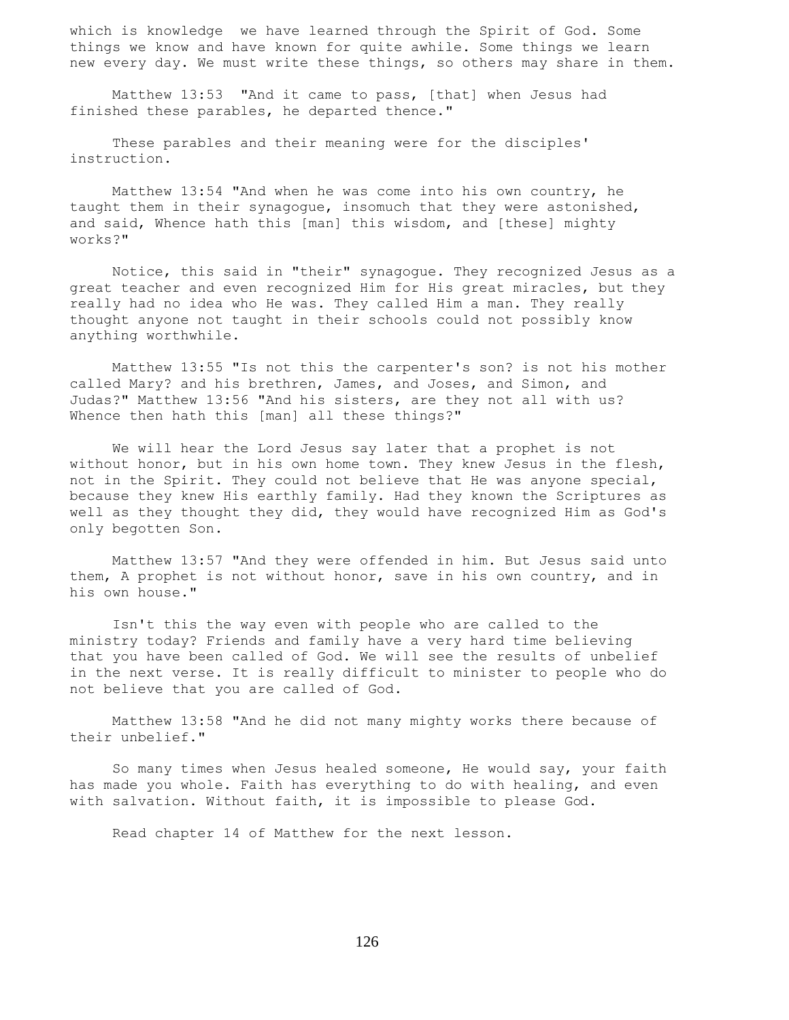which is knowledge we have learned through the Spirit of God. Some things we know and have known for quite awhile. Some things we learn new every day. We must write these things, so others may share in them.

 Matthew 13:53 "And it came to pass, [that] when Jesus had finished these parables, he departed thence."

 These parables and their meaning were for the disciples' instruction.

 Matthew 13:54 "And when he was come into his own country, he taught them in their synagogue, insomuch that they were astonished, and said, Whence hath this [man] this wisdom, and [these] mighty works?"

 Notice, this said in "their" synagogue. They recognized Jesus as a great teacher and even recognized Him for His great miracles, but they really had no idea who He was. They called Him a man. They really thought anyone not taught in their schools could not possibly know anything worthwhile.

 Matthew 13:55 "Is not this the carpenter's son? is not his mother called Mary? and his brethren, James, and Joses, and Simon, and Judas?" Matthew 13:56 "And his sisters, are they not all with us? Whence then hath this [man] all these things?"

 We will hear the Lord Jesus say later that a prophet is not without honor, but in his own home town. They knew Jesus in the flesh, not in the Spirit. They could not believe that He was anyone special, because they knew His earthly family. Had they known the Scriptures as well as they thought they did, they would have recognized Him as God's only begotten Son.

 Matthew 13:57 "And they were offended in him. But Jesus said unto them, A prophet is not without honor, save in his own country, and in his own house."

 Isn't this the way even with people who are called to the ministry today? Friends and family have a very hard time believing that you have been called of God. We will see the results of unbelief in the next verse. It is really difficult to minister to people who do not believe that you are called of God.

 Matthew 13:58 "And he did not many mighty works there because of their unbelief."

 So many times when Jesus healed someone, He would say, your faith has made you whole. Faith has everything to do with healing, and even with salvation. Without faith, it is impossible to please God.

Read chapter 14 of Matthew for the next lesson.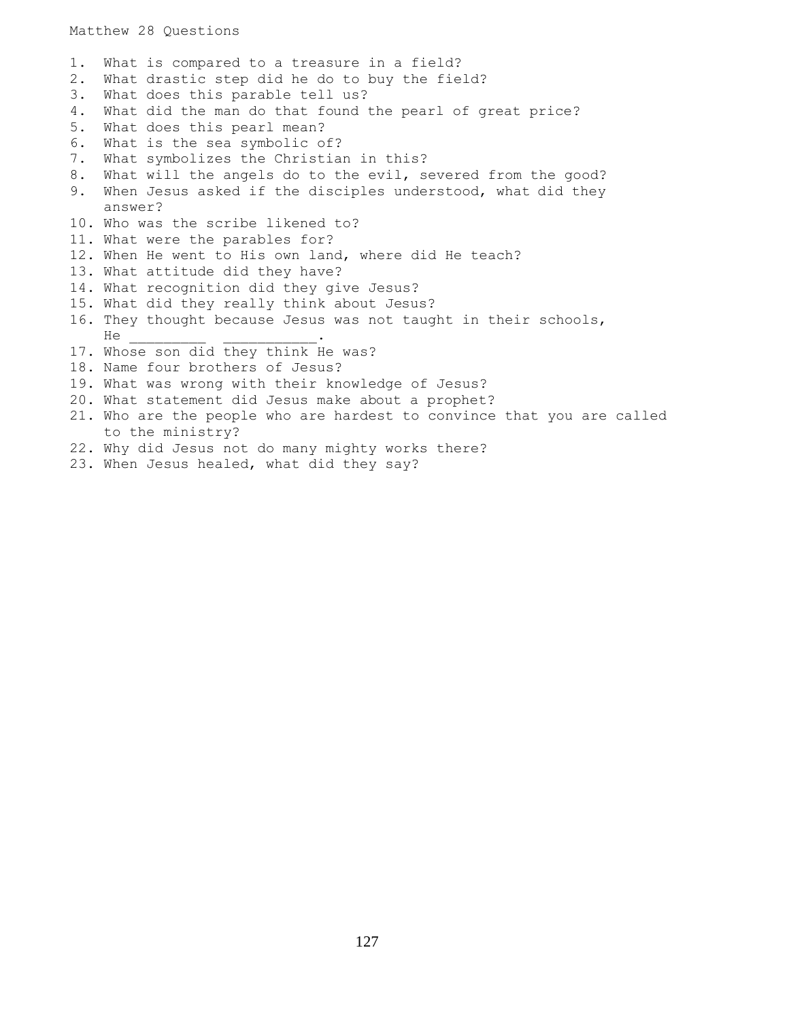1. What is compared to a treasure in a field? 2. What drastic step did he do to buy the field? 3. What does this parable tell us? 4. What did the man do that found the pearl of great price? 5. What does this pearl mean? 6. What is the sea symbolic of? 7. What symbolizes the Christian in this? 8. What will the angels do to the evil, severed from the good? 9. When Jesus asked if the disciples understood, what did they answer? 10. Who was the scribe likened to? 11. What were the parables for? 12. When He went to His own land, where did He teach? 13. What attitude did they have? 14. What recognition did they give Jesus? 15. What did they really think about Jesus? 16. They thought because Jesus was not taught in their schools, He \_\_\_\_\_\_\_\_\_ \_\_\_\_\_\_\_\_\_\_\_. 17. Whose son did they think He was? 18. Name four brothers of Jesus? 19. What was wrong with their knowledge of Jesus? 20. What statement did Jesus make about a prophet? 21. Who are the people who are hardest to convince that you are called to the ministry? 22. Why did Jesus not do many mighty works there? 23. When Jesus healed, what did they say?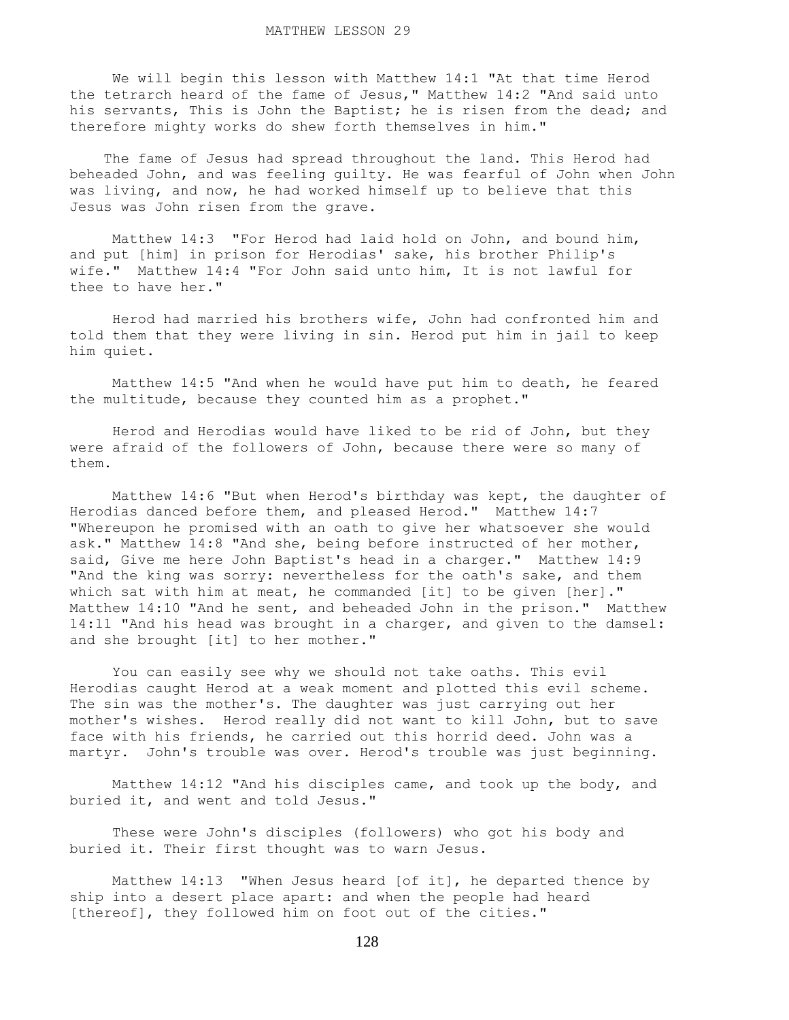We will begin this lesson with Matthew 14:1 "At that time Herod the tetrarch heard of the fame of Jesus," Matthew 14:2 "And said unto his servants, This is John the Baptist; he is risen from the dead; and therefore mighty works do shew forth themselves in him."

 The fame of Jesus had spread throughout the land. This Herod had beheaded John, and was feeling guilty. He was fearful of John when John was living, and now, he had worked himself up to believe that this Jesus was John risen from the grave.

 Matthew 14:3 "For Herod had laid hold on John, and bound him, and put [him] in prison for Herodias' sake, his brother Philip's wife." Matthew 14:4 "For John said unto him, It is not lawful for thee to have her."

 Herod had married his brothers wife, John had confronted him and told them that they were living in sin. Herod put him in jail to keep him quiet.

 Matthew 14:5 "And when he would have put him to death, he feared the multitude, because they counted him as a prophet."

 Herod and Herodias would have liked to be rid of John, but they were afraid of the followers of John, because there were so many of them.

 Matthew 14:6 "But when Herod's birthday was kept, the daughter of Herodias danced before them, and pleased Herod." Matthew 14:7 "Whereupon he promised with an oath to give her whatsoever she would ask." Matthew 14:8 "And she, being before instructed of her mother, said, Give me here John Baptist's head in a charger." Matthew 14:9 "And the king was sorry: nevertheless for the oath's sake, and them which sat with him at meat, he commanded [it] to be given [her]." Matthew 14:10 "And he sent, and beheaded John in the prison." Matthew 14:11 "And his head was brought in a charger, and given to the damsel: and she brought [it] to her mother."

 You can easily see why we should not take oaths. This evil Herodias caught Herod at a weak moment and plotted this evil scheme. The sin was the mother's. The daughter was just carrying out her mother's wishes. Herod really did not want to kill John, but to save face with his friends, he carried out this horrid deed. John was a martyr. John's trouble was over. Herod's trouble was just beginning.

 Matthew 14:12 "And his disciples came, and took up the body, and buried it, and went and told Jesus."

 These were John's disciples (followers) who got his body and buried it. Their first thought was to warn Jesus.

 Matthew 14:13 "When Jesus heard [of it], he departed thence by ship into a desert place apart: and when the people had heard [thereof], they followed him on foot out of the cities."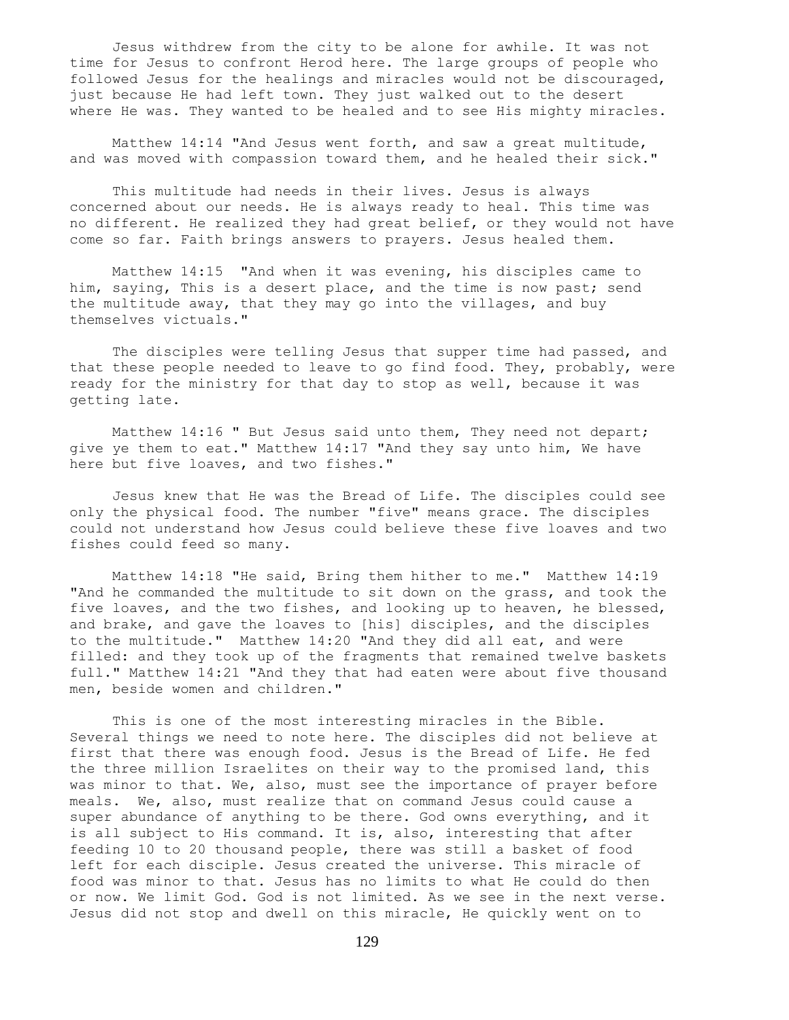Jesus withdrew from the city to be alone for awhile. It was not time for Jesus to confront Herod here. The large groups of people who followed Jesus for the healings and miracles would not be discouraged, just because He had left town. They just walked out to the desert where He was. They wanted to be healed and to see His mighty miracles.

 Matthew 14:14 "And Jesus went forth, and saw a great multitude, and was moved with compassion toward them, and he healed their sick."

 This multitude had needs in their lives. Jesus is always concerned about our needs. He is always ready to heal. This time was no different. He realized they had great belief, or they would not have come so far. Faith brings answers to prayers. Jesus healed them.

 Matthew 14:15 "And when it was evening, his disciples came to him, saying, This is a desert place, and the time is now past; send the multitude away, that they may go into the villages, and buy themselves victuals."

 The disciples were telling Jesus that supper time had passed, and that these people needed to leave to go find food. They, probably, were ready for the ministry for that day to stop as well, because it was getting late.

 Matthew 14:16 " But Jesus said unto them, They need not depart; give ye them to eat." Matthew 14:17 "And they say unto him, We have here but five loaves, and two fishes."

 Jesus knew that He was the Bread of Life. The disciples could see only the physical food. The number "five" means grace. The disciples could not understand how Jesus could believe these five loaves and two fishes could feed so many.

 Matthew 14:18 "He said, Bring them hither to me." Matthew 14:19 "And he commanded the multitude to sit down on the grass, and took the five loaves, and the two fishes, and looking up to heaven, he blessed, and brake, and gave the loaves to [his] disciples, and the disciples to the multitude." Matthew 14:20 "And they did all eat, and were filled: and they took up of the fragments that remained twelve baskets full." Matthew 14:21 "And they that had eaten were about five thousand men, beside women and children."

 This is one of the most interesting miracles in the Bible. Several things we need to note here. The disciples did not believe at first that there was enough food. Jesus is the Bread of Life. He fed the three million Israelites on their way to the promised land, this was minor to that. We, also, must see the importance of prayer before meals. We, also, must realize that on command Jesus could cause a super abundance of anything to be there. God owns everything, and it is all subject to His command. It is, also, interesting that after feeding 10 to 20 thousand people, there was still a basket of food left for each disciple. Jesus created the universe. This miracle of food was minor to that. Jesus has no limits to what He could do then or now. We limit God. God is not limited. As we see in the next verse. Jesus did not stop and dwell on this miracle, He quickly went on to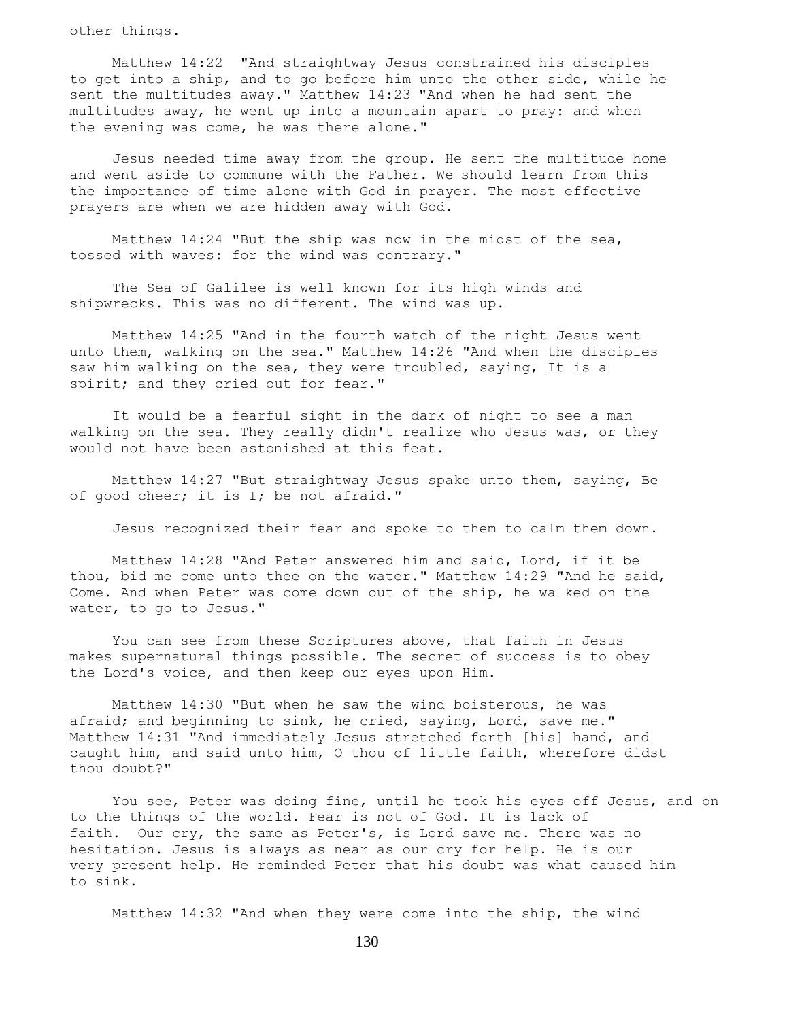other things.

 Matthew 14:22 "And straightway Jesus constrained his disciples to get into a ship, and to go before him unto the other side, while he sent the multitudes away." Matthew 14:23 "And when he had sent the multitudes away, he went up into a mountain apart to pray: and when the evening was come, he was there alone."

 Jesus needed time away from the group. He sent the multitude home and went aside to commune with the Father. We should learn from this the importance of time alone with God in prayer. The most effective prayers are when we are hidden away with God.

 Matthew 14:24 "But the ship was now in the midst of the sea, tossed with waves: for the wind was contrary."

 The Sea of Galilee is well known for its high winds and shipwrecks. This was no different. The wind was up.

 Matthew 14:25 "And in the fourth watch of the night Jesus went unto them, walking on the sea." Matthew 14:26 "And when the disciples saw him walking on the sea, they were troubled, saying, It is a spirit; and they cried out for fear."

 It would be a fearful sight in the dark of night to see a man walking on the sea. They really didn't realize who Jesus was, or they would not have been astonished at this feat.

 Matthew 14:27 "But straightway Jesus spake unto them, saying, Be of good cheer; it is I; be not afraid."

Jesus recognized their fear and spoke to them to calm them down.

 Matthew 14:28 "And Peter answered him and said, Lord, if it be thou, bid me come unto thee on the water." Matthew 14:29 "And he said, Come. And when Peter was come down out of the ship, he walked on the water, to go to Jesus."

 You can see from these Scriptures above, that faith in Jesus makes supernatural things possible. The secret of success is to obey the Lord's voice, and then keep our eyes upon Him.

 Matthew 14:30 "But when he saw the wind boisterous, he was afraid; and beginning to sink, he cried, saying, Lord, save me." Matthew 14:31 "And immediately Jesus stretched forth [his] hand, and caught him, and said unto him, O thou of little faith, wherefore didst thou doubt?"

 You see, Peter was doing fine, until he took his eyes off Jesus, and on to the things of the world. Fear is not of God. It is lack of faith. Our cry, the same as Peter's, is Lord save me. There was no hesitation. Jesus is always as near as our cry for help. He is our very present help. He reminded Peter that his doubt was what caused him to sink.

Matthew 14:32 "And when they were come into the ship, the wind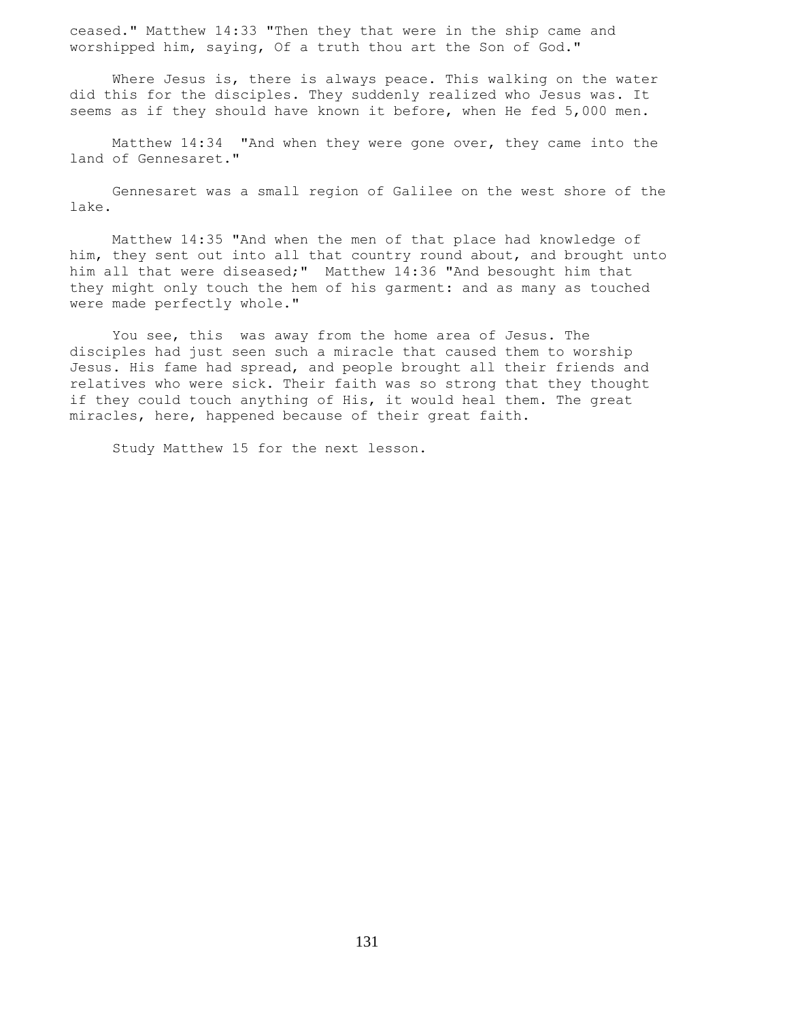ceased." Matthew 14:33 "Then they that were in the ship came and worshipped him, saying, Of a truth thou art the Son of God."

 Where Jesus is, there is always peace. This walking on the water did this for the disciples. They suddenly realized who Jesus was. It seems as if they should have known it before, when He fed 5,000 men.

 Matthew 14:34 "And when they were gone over, they came into the land of Gennesaret."

 Gennesaret was a small region of Galilee on the west shore of the lake.

 Matthew 14:35 "And when the men of that place had knowledge of him, they sent out into all that country round about, and brought unto him all that were diseased;" Matthew 14:36 "And besought him that they might only touch the hem of his garment: and as many as touched were made perfectly whole."

 You see, this was away from the home area of Jesus. The disciples had just seen such a miracle that caused them to worship Jesus. His fame had spread, and people brought all their friends and relatives who were sick. Their faith was so strong that they thought if they could touch anything of His, it would heal them. The great miracles, here, happened because of their great faith.

Study Matthew 15 for the next lesson.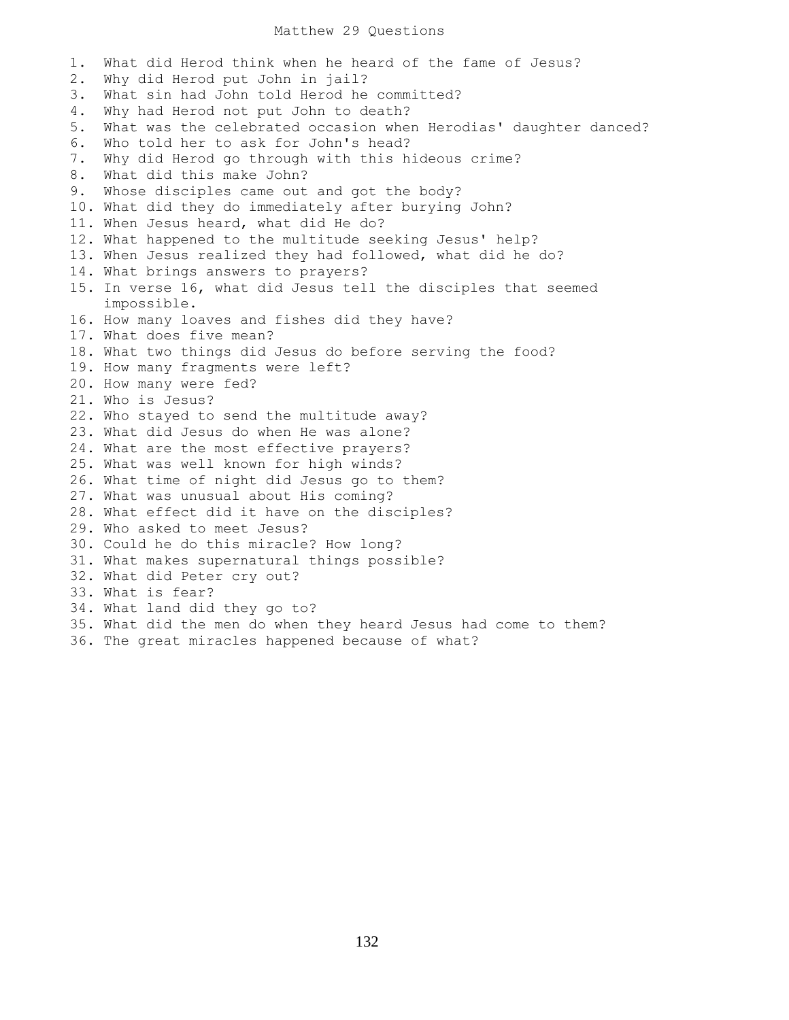## Matthew 29 Questions

1. What did Herod think when he heard of the fame of Jesus? 2. Why did Herod put John in jail? 3. What sin had John told Herod he committed? 4. Why had Herod not put John to death? 5. What was the celebrated occasion when Herodias' daughter danced? 6. Who told her to ask for John's head? 7. Why did Herod go through with this hideous crime? 8. What did this make John? 9. Whose disciples came out and got the body? 10. What did they do immediately after burying John? 11. When Jesus heard, what did He do? 12. What happened to the multitude seeking Jesus' help? 13. When Jesus realized they had followed, what did he do? 14. What brings answers to prayers? 15. In verse 16, what did Jesus tell the disciples that seemed impossible. 16. How many loaves and fishes did they have? 17. What does five mean? 18. What two things did Jesus do before serving the food? 19. How many fragments were left? 20. How many were fed? 21. Who is Jesus? 22. Who stayed to send the multitude away? 23. What did Jesus do when He was alone? 24. What are the most effective prayers? 25. What was well known for high winds? 26. What time of night did Jesus go to them? 27. What was unusual about His coming? 28. What effect did it have on the disciples? 29. Who asked to meet Jesus? 30. Could he do this miracle? How long? 31. What makes supernatural things possible? 32. What did Peter cry out? 33. What is fear? 34. What land did they go to? 35. What did the men do when they heard Jesus had come to them? 36. The great miracles happened because of what?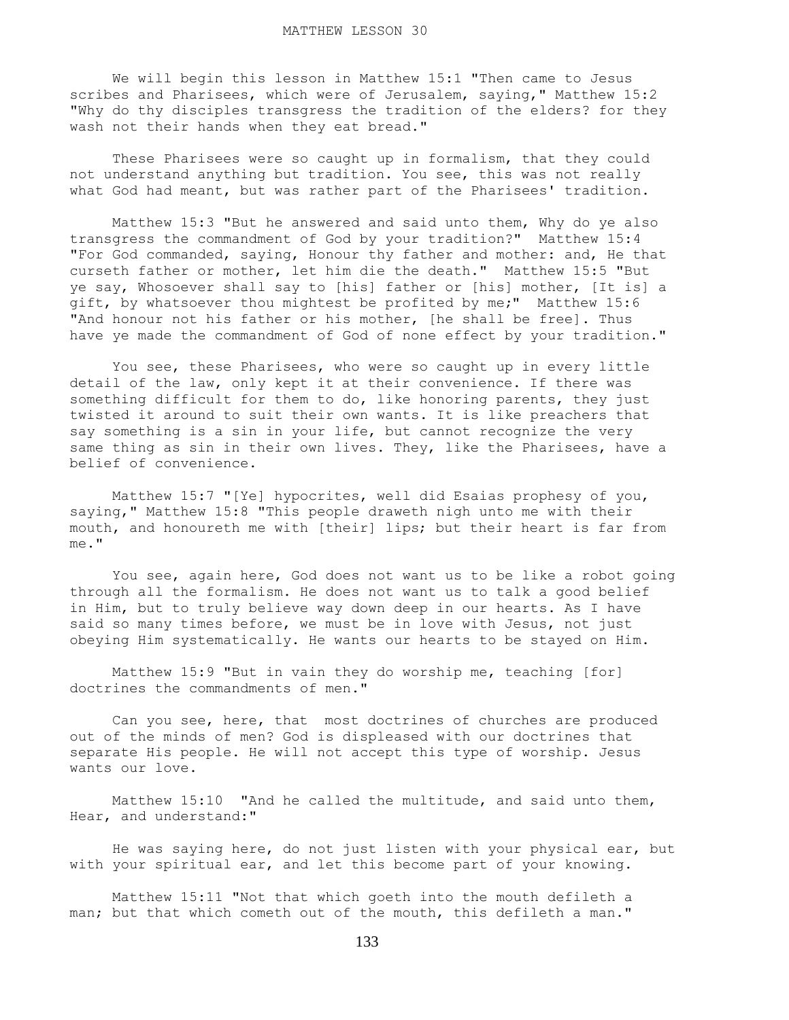We will begin this lesson in Matthew 15:1 "Then came to Jesus scribes and Pharisees, which were of Jerusalem, saying," Matthew 15:2 "Why do thy disciples transgress the tradition of the elders? for they wash not their hands when they eat bread."

 These Pharisees were so caught up in formalism, that they could not understand anything but tradition. You see, this was not really what God had meant, but was rather part of the Pharisees' tradition.

 Matthew 15:3 "But he answered and said unto them, Why do ye also transgress the commandment of God by your tradition?" Matthew 15:4 "For God commanded, saying, Honour thy father and mother: and, He that curseth father or mother, let him die the death." Matthew 15:5 "But ye say, Whosoever shall say to [his] father or [his] mother, [It is] a gift, by whatsoever thou mightest be profited by me;" Matthew 15:6 "And honour not his father or his mother, [he shall be free]. Thus have ye made the commandment of God of none effect by your tradition."

 You see, these Pharisees, who were so caught up in every little detail of the law, only kept it at their convenience. If there was something difficult for them to do, like honoring parents, they just twisted it around to suit their own wants. It is like preachers that say something is a sin in your life, but cannot recognize the very same thing as sin in their own lives. They, like the Pharisees, have a belief of convenience.

 Matthew 15:7 "[Ye] hypocrites, well did Esaias prophesy of you, saying," Matthew 15:8 "This people draweth nigh unto me with their mouth, and honoureth me with [their] lips; but their heart is far from me."

 You see, again here, God does not want us to be like a robot going through all the formalism. He does not want us to talk a good belief in Him, but to truly believe way down deep in our hearts. As I have said so many times before, we must be in love with Jesus, not just obeying Him systematically. He wants our hearts to be stayed on Him.

 Matthew 15:9 "But in vain they do worship me, teaching [for] doctrines the commandments of men."

 Can you see, here, that most doctrines of churches are produced out of the minds of men? God is displeased with our doctrines that separate His people. He will not accept this type of worship. Jesus wants our love.

 Matthew 15:10 "And he called the multitude, and said unto them, Hear, and understand:"

 He was saying here, do not just listen with your physical ear, but with your spiritual ear, and let this become part of your knowing.

 Matthew 15:11 "Not that which goeth into the mouth defileth a man; but that which cometh out of the mouth, this defileth a man."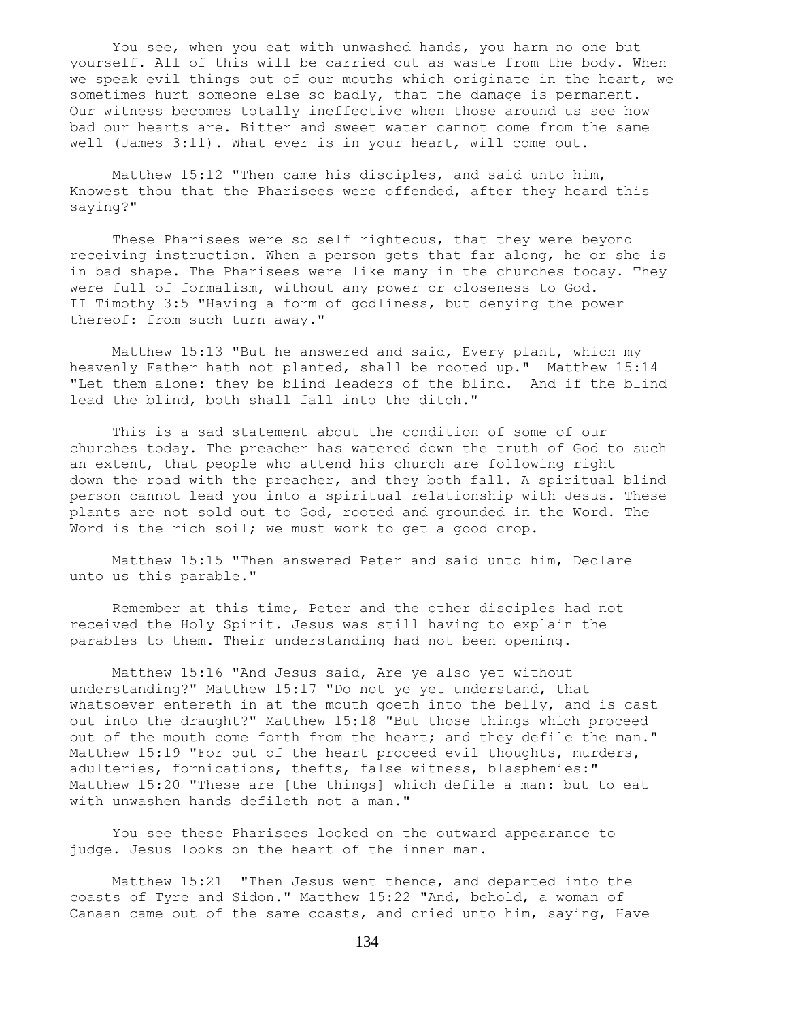You see, when you eat with unwashed hands, you harm no one but yourself. All of this will be carried out as waste from the body. When we speak evil things out of our mouths which originate in the heart, we sometimes hurt someone else so badly, that the damage is permanent. Our witness becomes totally ineffective when those around us see how bad our hearts are. Bitter and sweet water cannot come from the same well (James 3:11). What ever is in your heart, will come out.

 Matthew 15:12 "Then came his disciples, and said unto him, Knowest thou that the Pharisees were offended, after they heard this saying?"

 These Pharisees were so self righteous, that they were beyond receiving instruction. When a person gets that far along, he or she is in bad shape. The Pharisees were like many in the churches today. They were full of formalism, without any power or closeness to God. II Timothy 3:5 "Having a form of godliness, but denying the power thereof: from such turn away."

 Matthew 15:13 "But he answered and said, Every plant, which my heavenly Father hath not planted, shall be rooted up." Matthew 15:14 "Let them alone: they be blind leaders of the blind. And if the blind lead the blind, both shall fall into the ditch."

 This is a sad statement about the condition of some of our churches today. The preacher has watered down the truth of God to such an extent, that people who attend his church are following right down the road with the preacher, and they both fall. A spiritual blind person cannot lead you into a spiritual relationship with Jesus. These plants are not sold out to God, rooted and grounded in the Word. The Word is the rich soil; we must work to get a good crop.

 Matthew 15:15 "Then answered Peter and said unto him, Declare unto us this parable."

 Remember at this time, Peter and the other disciples had not received the Holy Spirit. Jesus was still having to explain the parables to them. Their understanding had not been opening.

 Matthew 15:16 "And Jesus said, Are ye also yet without understanding?" Matthew 15:17 "Do not ye yet understand, that whatsoever entereth in at the mouth goeth into the belly, and is cast out into the draught?" Matthew 15:18 "But those things which proceed out of the mouth come forth from the heart; and they defile the man." Matthew 15:19 "For out of the heart proceed evil thoughts, murders, adulteries, fornications, thefts, false witness, blasphemies:" Matthew 15:20 "These are [the things] which defile a man: but to eat with unwashen hands defileth not a man."

 You see these Pharisees looked on the outward appearance to judge. Jesus looks on the heart of the inner man.

 Matthew 15:21 "Then Jesus went thence, and departed into the coasts of Tyre and Sidon." Matthew 15:22 "And, behold, a woman of Canaan came out of the same coasts, and cried unto him, saying, Have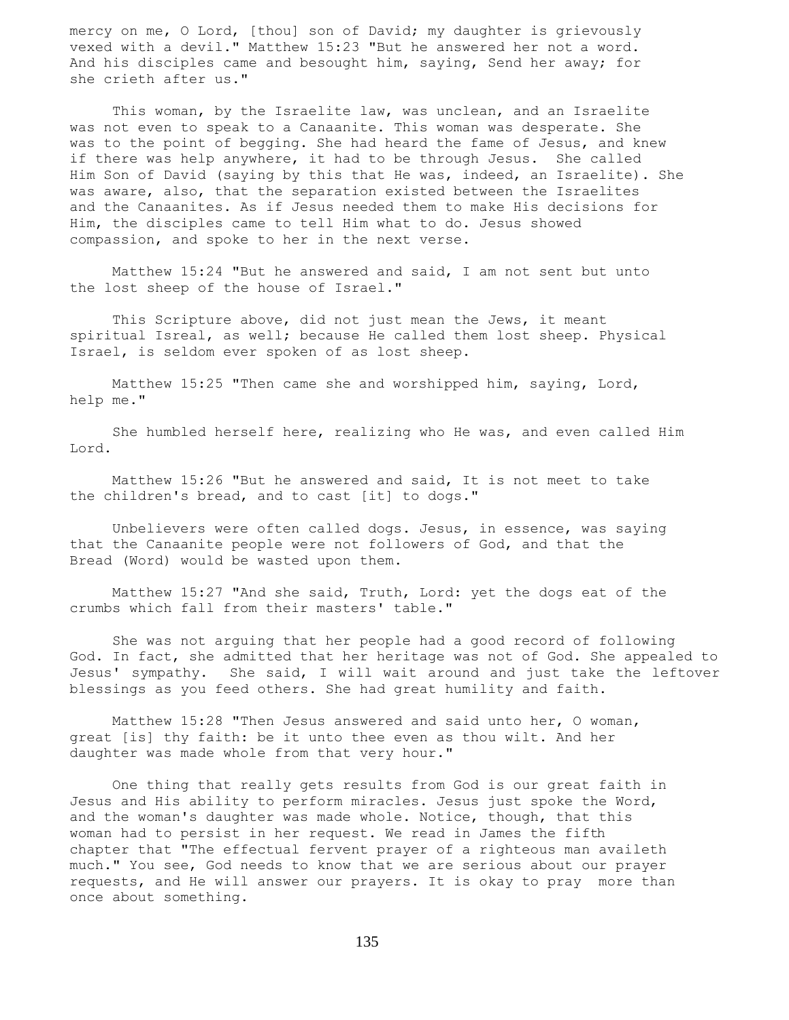mercy on me, O Lord, [thou] son of David; my daughter is grievously vexed with a devil." Matthew 15:23 "But he answered her not a word. And his disciples came and besought him, saying, Send her away; for she crieth after us."

 This woman, by the Israelite law, was unclean, and an Israelite was not even to speak to a Canaanite. This woman was desperate. She was to the point of begging. She had heard the fame of Jesus, and knew if there was help anywhere, it had to be through Jesus. She called Him Son of David (saying by this that He was, indeed, an Israelite). She was aware, also, that the separation existed between the Israelites and the Canaanites. As if Jesus needed them to make His decisions for Him, the disciples came to tell Him what to do. Jesus showed compassion, and spoke to her in the next verse.

 Matthew 15:24 "But he answered and said, I am not sent but unto the lost sheep of the house of Israel."

 This Scripture above, did not just mean the Jews, it meant spiritual Isreal, as well; because He called them lost sheep. Physical Israel, is seldom ever spoken of as lost sheep.

 Matthew 15:25 "Then came she and worshipped him, saying, Lord, help me."

 She humbled herself here, realizing who He was, and even called Him Lord.

 Matthew 15:26 "But he answered and said, It is not meet to take the children's bread, and to cast [it] to dogs."

 Unbelievers were often called dogs. Jesus, in essence, was saying that the Canaanite people were not followers of God, and that the Bread (Word) would be wasted upon them.

 Matthew 15:27 "And she said, Truth, Lord: yet the dogs eat of the crumbs which fall from their masters' table."

 She was not arguing that her people had a good record of following God. In fact, she admitted that her heritage was not of God. She appealed to Jesus' sympathy. She said, I will wait around and just take the leftover blessings as you feed others. She had great humility and faith.

 Matthew 15:28 "Then Jesus answered and said unto her, O woman, great [is] thy faith: be it unto thee even as thou wilt. And her daughter was made whole from that very hour."

 One thing that really gets results from God is our great faith in Jesus and His ability to perform miracles. Jesus just spoke the Word, and the woman's daughter was made whole. Notice, though, that this woman had to persist in her request. We read in James the fifth chapter that "The effectual fervent prayer of a righteous man availeth much." You see, God needs to know that we are serious about our prayer requests, and He will answer our prayers. It is okay to pray more than once about something.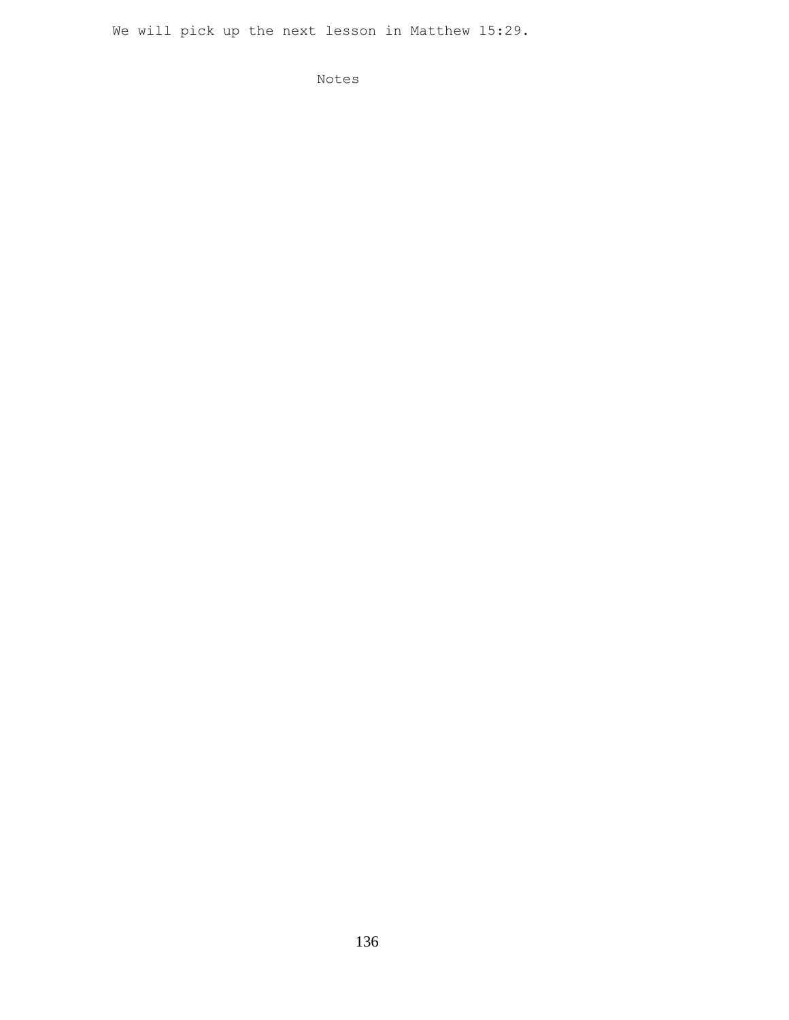We will pick up the next lesson in Matthew 15:29.

Notes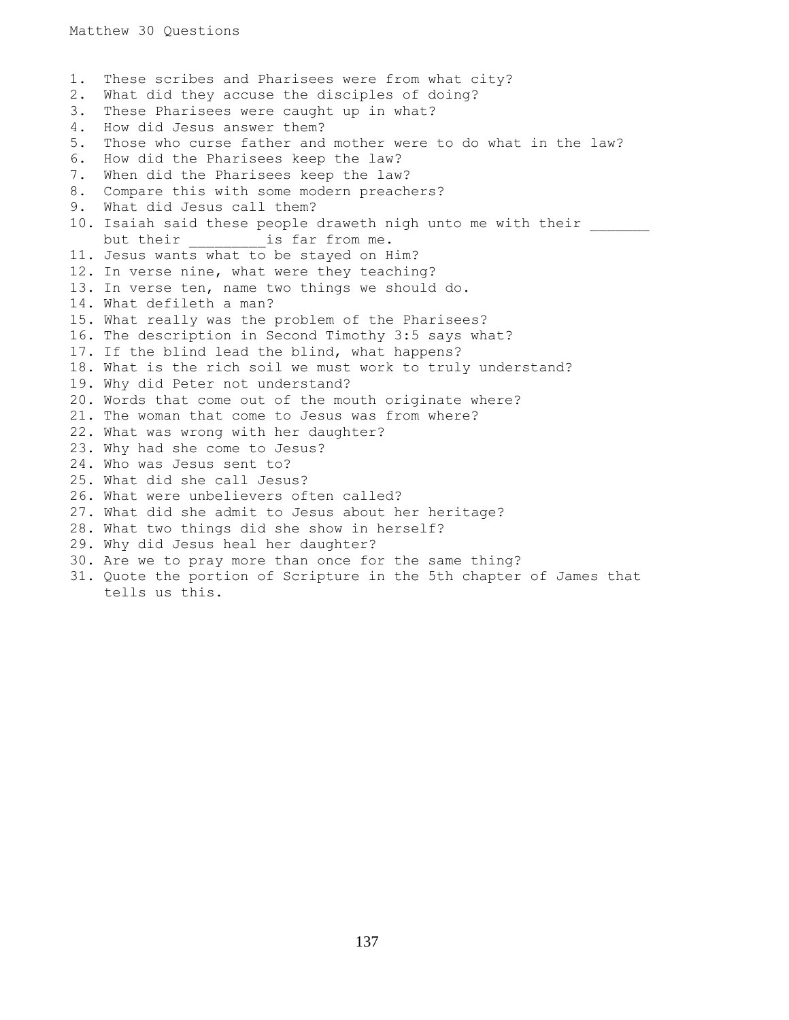1. These scribes and Pharisees were from what city? 2. What did they accuse the disciples of doing? 3. These Pharisees were caught up in what? 4. How did Jesus answer them? 5. Those who curse father and mother were to do what in the law? 6. How did the Pharisees keep the law? 7. When did the Pharisees keep the law? 8. Compare this with some modern preachers? 9. What did Jesus call them? 10. Isaiah said these people draweth nigh unto me with their but their **is** far from me. 11. Jesus wants what to be stayed on Him? 12. In verse nine, what were they teaching? 13. In verse ten, name two things we should do. 14. What defileth a man? 15. What really was the problem of the Pharisees? 16. The description in Second Timothy 3:5 says what? 17. If the blind lead the blind, what happens? 18. What is the rich soil we must work to truly understand? 19. Why did Peter not understand? 20. Words that come out of the mouth originate where? 21. The woman that come to Jesus was from where? 22. What was wrong with her daughter? 23. Why had she come to Jesus? 24. Who was Jesus sent to? 25. What did she call Jesus? 26. What were unbelievers often called? 27. What did she admit to Jesus about her heritage? 28. What two things did she show in herself? 29. Why did Jesus heal her daughter? 30. Are we to pray more than once for the same thing? 31. Quote the portion of Scripture in the 5th chapter of James that tells us this.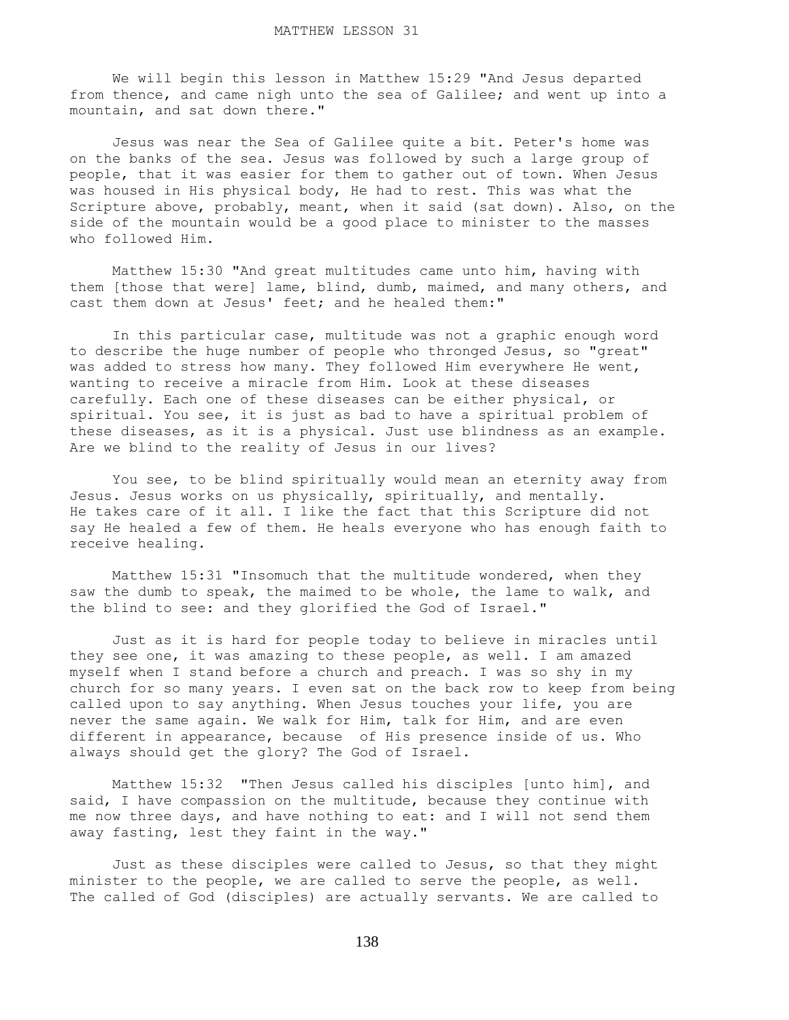We will begin this lesson in Matthew 15:29 "And Jesus departed from thence, and came nigh unto the sea of Galilee; and went up into a mountain, and sat down there."

 Jesus was near the Sea of Galilee quite a bit. Peter's home was on the banks of the sea. Jesus was followed by such a large group of people, that it was easier for them to gather out of town. When Jesus was housed in His physical body, He had to rest. This was what the Scripture above, probably, meant, when it said (sat down). Also, on the side of the mountain would be a good place to minister to the masses who followed Him.

 Matthew 15:30 "And great multitudes came unto him, having with them [those that were] lame, blind, dumb, maimed, and many others, and cast them down at Jesus' feet; and he healed them:"

 In this particular case, multitude was not a graphic enough word to describe the huge number of people who thronged Jesus, so "great" was added to stress how many. They followed Him everywhere He went, wanting to receive a miracle from Him. Look at these diseases carefully. Each one of these diseases can be either physical, or spiritual. You see, it is just as bad to have a spiritual problem of these diseases, as it is a physical. Just use blindness as an example. Are we blind to the reality of Jesus in our lives?

 You see, to be blind spiritually would mean an eternity away from Jesus. Jesus works on us physically, spiritually, and mentally. He takes care of it all. I like the fact that this Scripture did not say He healed a few of them. He heals everyone who has enough faith to receive healing.

 Matthew 15:31 "Insomuch that the multitude wondered, when they saw the dumb to speak, the maimed to be whole, the lame to walk, and the blind to see: and they glorified the God of Israel."

 Just as it is hard for people today to believe in miracles until they see one, it was amazing to these people, as well. I am amazed myself when I stand before a church and preach. I was so shy in my church for so many years. I even sat on the back row to keep from being called upon to say anything. When Jesus touches your life, you are never the same again. We walk for Him, talk for Him, and are even different in appearance, because of His presence inside of us. Who always should get the glory? The God of Israel.

 Matthew 15:32 "Then Jesus called his disciples [unto him], and said, I have compassion on the multitude, because they continue with me now three days, and have nothing to eat: and I will not send them away fasting, lest they faint in the way."

 Just as these disciples were called to Jesus, so that they might minister to the people, we are called to serve the people, as well. The called of God (disciples) are actually servants. We are called to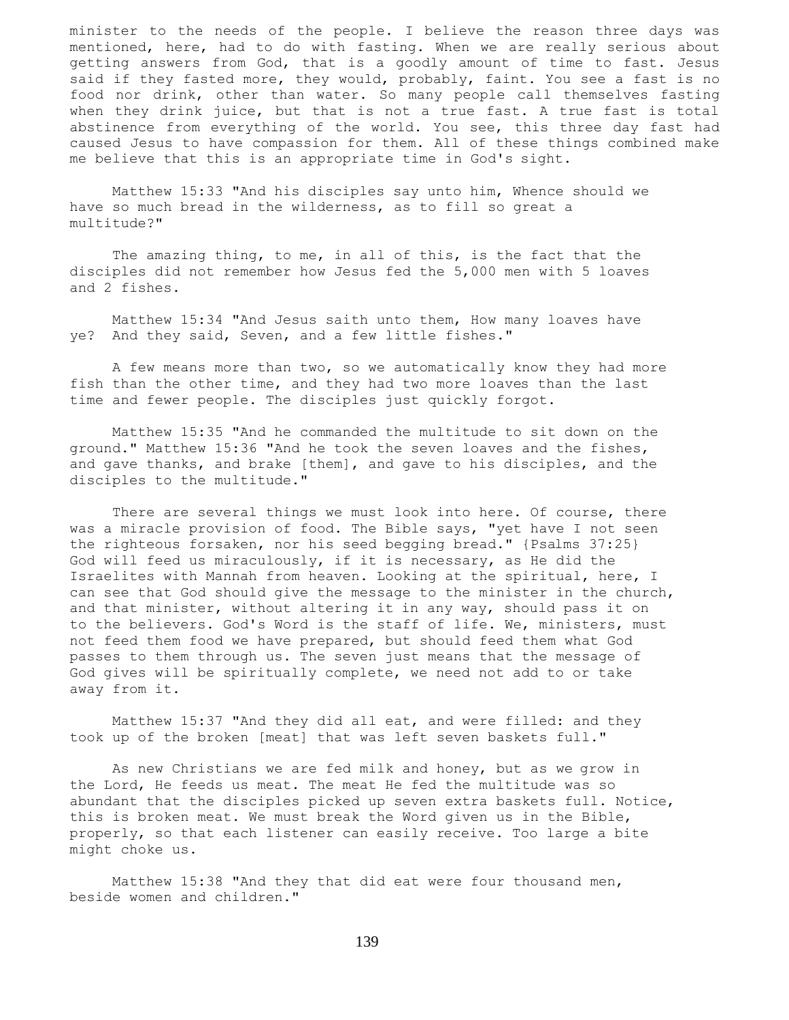minister to the needs of the people. I believe the reason three days was mentioned, here, had to do with fasting. When we are really serious about getting answers from God, that is a goodly amount of time to fast. Jesus said if they fasted more, they would, probably, faint. You see a fast is no food nor drink, other than water. So many people call themselves fasting when they drink juice, but that is not a true fast. A true fast is total abstinence from everything of the world. You see, this three day fast had caused Jesus to have compassion for them. All of these things combined make me believe that this is an appropriate time in God's sight.

 Matthew 15:33 "And his disciples say unto him, Whence should we have so much bread in the wilderness, as to fill so great a multitude?"

 The amazing thing, to me, in all of this, is the fact that the disciples did not remember how Jesus fed the 5,000 men with 5 loaves and 2 fishes.

 Matthew 15:34 "And Jesus saith unto them, How many loaves have ye? And they said, Seven, and a few little fishes."

 A few means more than two, so we automatically know they had more fish than the other time, and they had two more loaves than the last time and fewer people. The disciples just quickly forgot.

 Matthew 15:35 "And he commanded the multitude to sit down on the ground." Matthew 15:36 "And he took the seven loaves and the fishes, and gave thanks, and brake [them], and gave to his disciples, and the disciples to the multitude."

There are several things we must look into here. Of course, there was a miracle provision of food. The Bible says, "yet have I not seen the righteous forsaken, nor his seed begging bread." {Psalms 37:25} God will feed us miraculously, if it is necessary, as He did the Israelites with Mannah from heaven. Looking at the spiritual, here, I can see that God should give the message to the minister in the church, and that minister, without altering it in any way, should pass it on to the believers. God's Word is the staff of life. We, ministers, must not feed them food we have prepared, but should feed them what God passes to them through us. The seven just means that the message of God gives will be spiritually complete, we need not add to or take away from it.

 Matthew 15:37 "And they did all eat, and were filled: and they took up of the broken [meat] that was left seven baskets full."

 As new Christians we are fed milk and honey, but as we grow in the Lord, He feeds us meat. The meat He fed the multitude was so abundant that the disciples picked up seven extra baskets full. Notice, this is broken meat. We must break the Word given us in the Bible, properly, so that each listener can easily receive. Too large a bite might choke us.

 Matthew 15:38 "And they that did eat were four thousand men, beside women and children."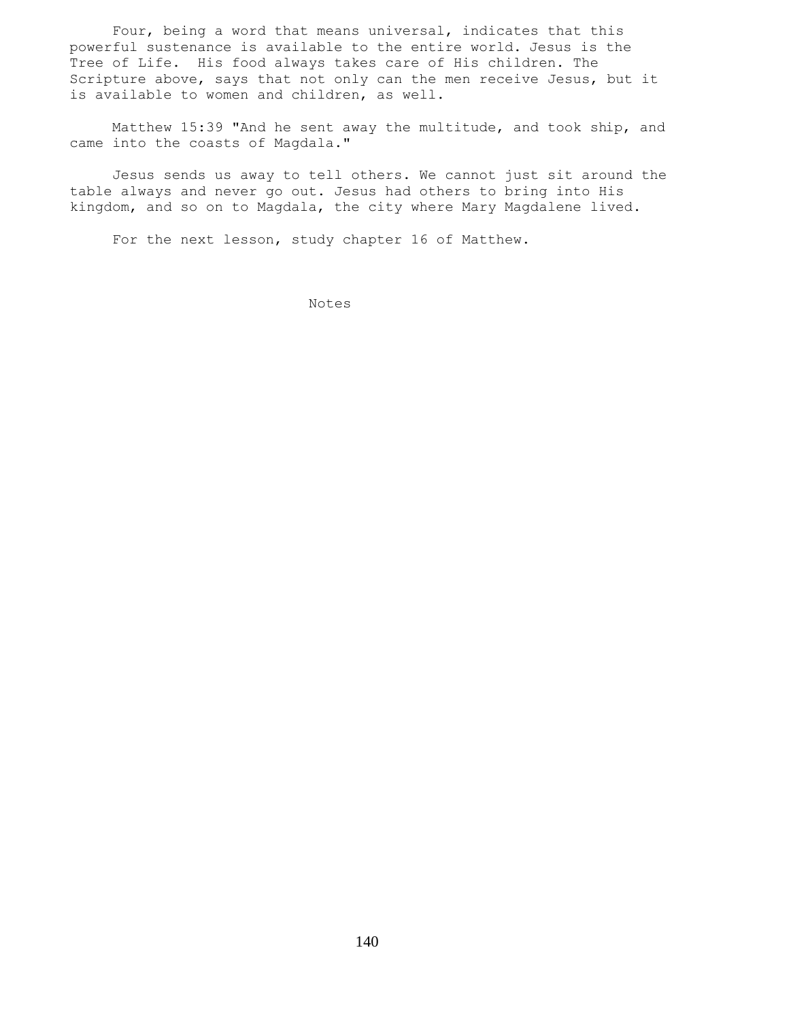Four, being a word that means universal, indicates that this powerful sustenance is available to the entire world. Jesus is the Tree of Life. His food always takes care of His children. The Scripture above, says that not only can the men receive Jesus, but it is available to women and children, as well.

 Matthew 15:39 "And he sent away the multitude, and took ship, and came into the coasts of Magdala."

 Jesus sends us away to tell others. We cannot just sit around the table always and never go out. Jesus had others to bring into His kingdom, and so on to Magdala, the city where Mary Magdalene lived.

For the next lesson, study chapter 16 of Matthew.

Notes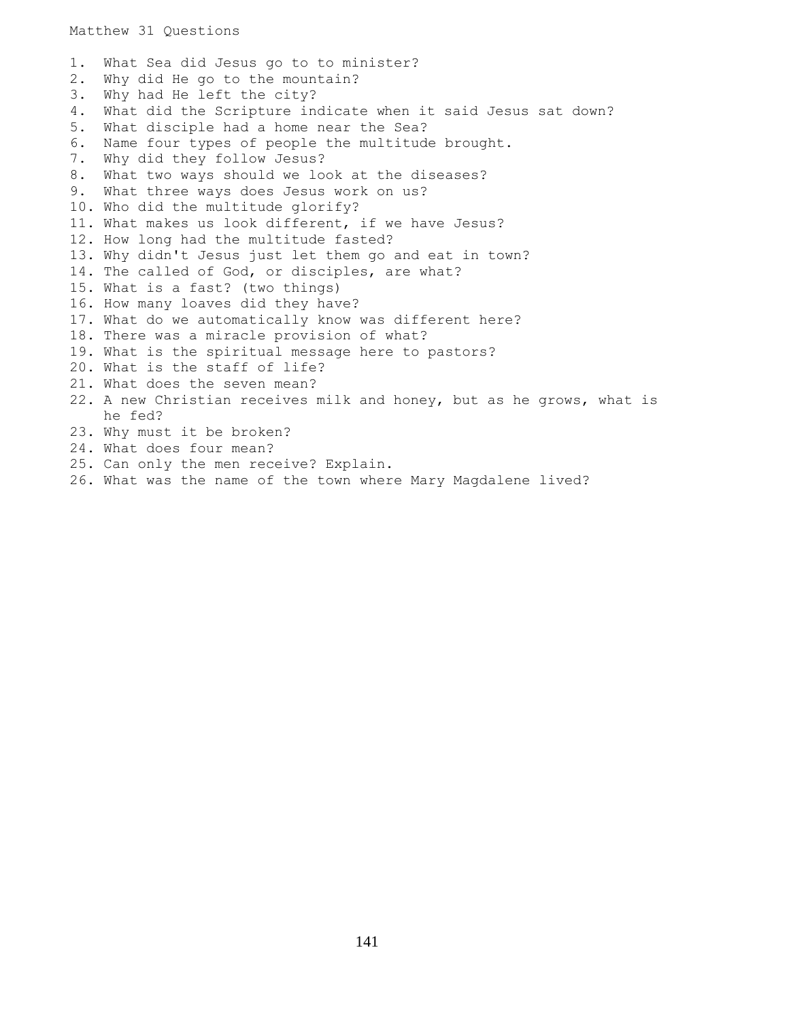1. What Sea did Jesus go to to minister? 2. Why did He go to the mountain? 3. Why had He left the city? 4. What did the Scripture indicate when it said Jesus sat down? 5. What disciple had a home near the Sea? 6. Name four types of people the multitude brought. 7. Why did they follow Jesus? 8. What two ways should we look at the diseases? 9. What three ways does Jesus work on us? 10. Who did the multitude glorify? 11. What makes us look different, if we have Jesus? 12. How long had the multitude fasted? 13. Why didn't Jesus just let them go and eat in town? 14. The called of God, or disciples, are what? 15. What is a fast? (two things) 16. How many loaves did they have? 17. What do we automatically know was different here? 18. There was a miracle provision of what? 19. What is the spiritual message here to pastors? 20. What is the staff of life? 21. What does the seven mean? 22. A new Christian receives milk and honey, but as he grows, what is he fed? 23. Why must it be broken? 24. What does four mean? 25. Can only the men receive? Explain. 26. What was the name of the town where Mary Magdalene lived?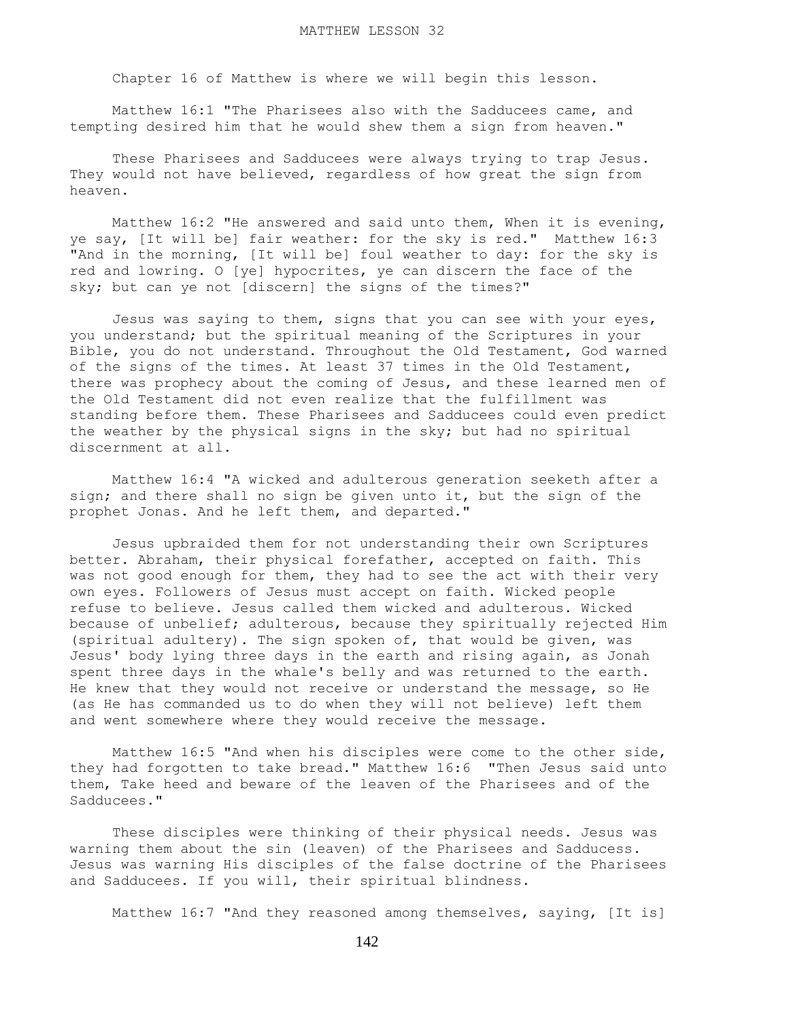Chapter 16 of Matthew is where we will begin this lesson.

 Matthew 16:1 "The Pharisees also with the Sadducees came, and tempting desired him that he would shew them a sign from heaven."

 These Pharisees and Sadducees were always trying to trap Jesus. They would not have believed, regardless of how great the sign from heaven.

 Matthew 16:2 "He answered and said unto them, When it is evening, ye say, [It will be] fair weather: for the sky is red." Matthew 16:3 "And in the morning, [It will be] foul weather to day: for the sky is red and lowring. O [ye] hypocrites, ye can discern the face of the sky; but can ye not [discern] the signs of the times?"

 Jesus was saying to them, signs that you can see with your eyes, you understand; but the spiritual meaning of the Scriptures in your Bible, you do not understand. Throughout the Old Testament, God warned of the signs of the times. At least 37 times in the Old Testament, there was prophecy about the coming of Jesus, and these learned men of the Old Testament did not even realize that the fulfillment was standing before them. These Pharisees and Sadducees could even predict the weather by the physical signs in the sky; but had no spiritual discernment at all.

 Matthew 16:4 "A wicked and adulterous generation seeketh after a sign; and there shall no sign be given unto it, but the sign of the prophet Jonas. And he left them, and departed."

 Jesus upbraided them for not understanding their own Scriptures better. Abraham, their physical forefather, accepted on faith. This was not good enough for them, they had to see the act with their very own eyes. Followers of Jesus must accept on faith. Wicked people refuse to believe. Jesus called them wicked and adulterous. Wicked because of unbelief; adulterous, because they spiritually rejected Him (spiritual adultery). The sign spoken of, that would be given, was Jesus' body lying three days in the earth and rising again, as Jonah spent three days in the whale's belly and was returned to the earth. He knew that they would not receive or understand the message, so He (as He has commanded us to do when they will not believe) left them and went somewhere where they would receive the message.

 Matthew 16:5 "And when his disciples were come to the other side, they had forgotten to take bread." Matthew 16:6 "Then Jesus said unto them, Take heed and beware of the leaven of the Pharisees and of the Sadducees."

 These disciples were thinking of their physical needs. Jesus was warning them about the sin (leaven) of the Pharisees and Sadducess. Jesus was warning His disciples of the false doctrine of the Pharisees and Sadducees. If you will, their spiritual blindness.

Matthew 16:7 "And they reasoned among themselves, saying, [It is]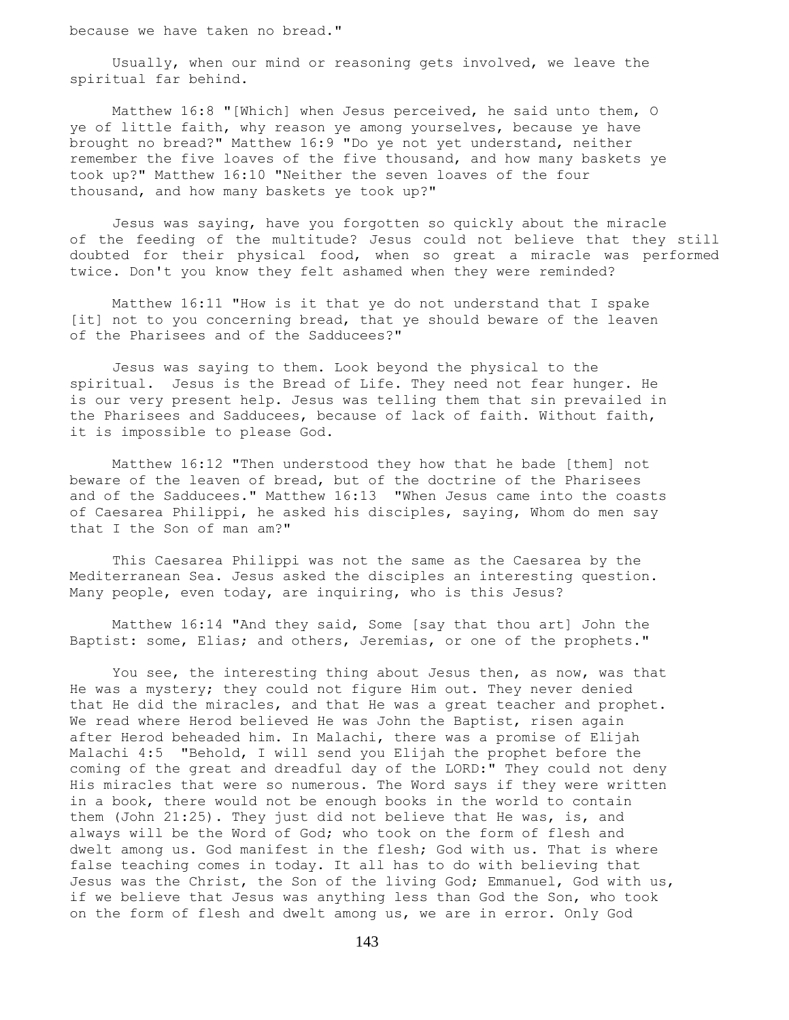because we have taken no bread."

 Usually, when our mind or reasoning gets involved, we leave the spiritual far behind.

 Matthew 16:8 "[Which] when Jesus perceived, he said unto them, O ye of little faith, why reason ye among yourselves, because ye have brought no bread?" Matthew 16:9 "Do ye not yet understand, neither remember the five loaves of the five thousand, and how many baskets ye took up?" Matthew 16:10 "Neither the seven loaves of the four thousand, and how many baskets ye took up?"

 Jesus was saying, have you forgotten so quickly about the miracle of the feeding of the multitude? Jesus could not believe that they still doubted for their physical food, when so great a miracle was performed twice. Don't you know they felt ashamed when they were reminded?

 Matthew 16:11 "How is it that ye do not understand that I spake [it] not to you concerning bread, that ye should beware of the leaven of the Pharisees and of the Sadducees?"

 Jesus was saying to them. Look beyond the physical to the spiritual. Jesus is the Bread of Life. They need not fear hunger. He is our very present help. Jesus was telling them that sin prevailed in the Pharisees and Sadducees, because of lack of faith. Without faith, it is impossible to please God.

 Matthew 16:12 "Then understood they how that he bade [them] not beware of the leaven of bread, but of the doctrine of the Pharisees and of the Sadducees." Matthew 16:13 "When Jesus came into the coasts of Caesarea Philippi, he asked his disciples, saying, Whom do men say that I the Son of man am?"

 This Caesarea Philippi was not the same as the Caesarea by the Mediterranean Sea. Jesus asked the disciples an interesting question. Many people, even today, are inquiring, who is this Jesus?

 Matthew 16:14 "And they said, Some [say that thou art] John the Baptist: some, Elias; and others, Jeremias, or one of the prophets."

You see, the interesting thing about Jesus then, as now, was that He was a mystery; they could not figure Him out. They never denied that He did the miracles, and that He was a great teacher and prophet. We read where Herod believed He was John the Baptist, risen again after Herod beheaded him. In Malachi, there was a promise of Elijah Malachi 4:5 "Behold, I will send you Elijah the prophet before the coming of the great and dreadful day of the LORD:" They could not deny His miracles that were so numerous. The Word says if they were written in a book, there would not be enough books in the world to contain them (John 21:25). They just did not believe that He was, is, and always will be the Word of God; who took on the form of flesh and dwelt among us. God manifest in the flesh; God with us. That is where false teaching comes in today. It all has to do with believing that Jesus was the Christ, the Son of the living God; Emmanuel, God with us, if we believe that Jesus was anything less than God the Son, who took on the form of flesh and dwelt among us, we are in error. Only God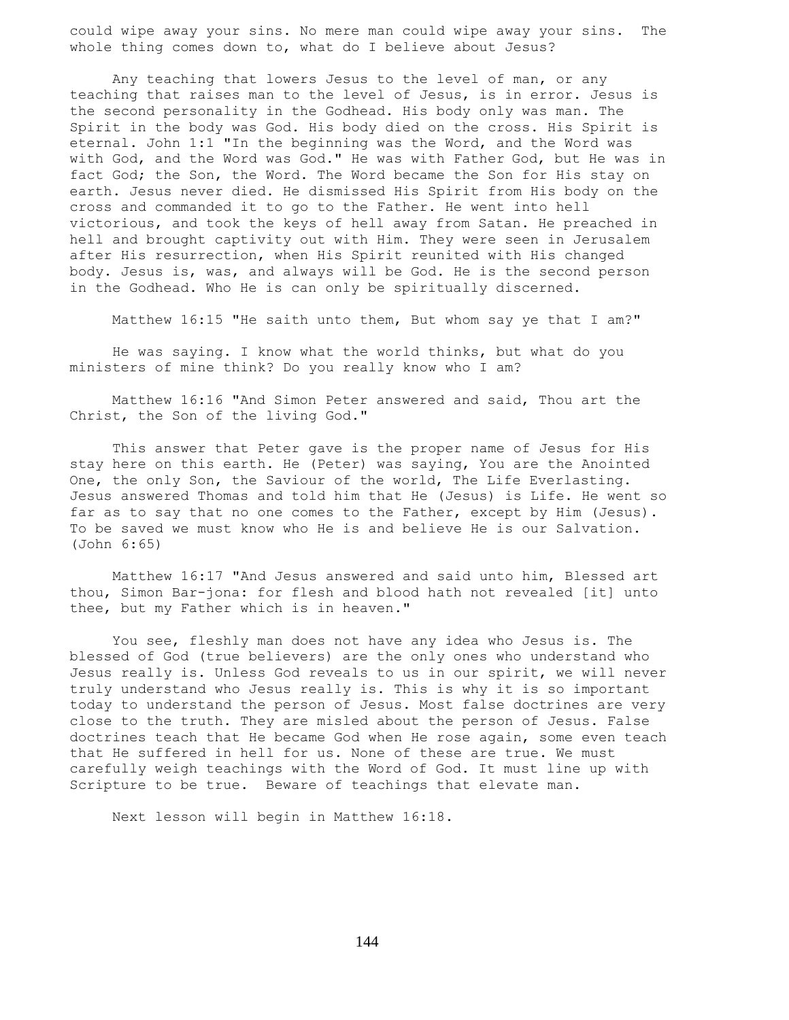could wipe away your sins. No mere man could wipe away your sins. The whole thing comes down to, what do I believe about Jesus?

 Any teaching that lowers Jesus to the level of man, or any teaching that raises man to the level of Jesus, is in error. Jesus is the second personality in the Godhead. His body only was man. The Spirit in the body was God. His body died on the cross. His Spirit is eternal. John 1:1 "In the beginning was the Word, and the Word was with God, and the Word was God." He was with Father God, but He was in fact God; the Son, the Word. The Word became the Son for His stay on earth. Jesus never died. He dismissed His Spirit from His body on the cross and commanded it to go to the Father. He went into hell victorious, and took the keys of hell away from Satan. He preached in hell and brought captivity out with Him. They were seen in Jerusalem after His resurrection, when His Spirit reunited with His changed body. Jesus is, was, and always will be God. He is the second person in the Godhead. Who He is can only be spiritually discerned.

Matthew 16:15 "He saith unto them, But whom say ye that I am?"

 He was saying. I know what the world thinks, but what do you ministers of mine think? Do you really know who I am?

 Matthew 16:16 "And Simon Peter answered and said, Thou art the Christ, the Son of the living God."

 This answer that Peter gave is the proper name of Jesus for His stay here on this earth. He (Peter) was saying, You are the Anointed One, the only Son, the Saviour of the world, The Life Everlasting. Jesus answered Thomas and told him that He (Jesus) is Life. He went so far as to say that no one comes to the Father, except by Him (Jesus). To be saved we must know who He is and believe He is our Salvation. (John 6:65)

 Matthew 16:17 "And Jesus answered and said unto him, Blessed art thou, Simon Bar-jona: for flesh and blood hath not revealed [it] unto thee, but my Father which is in heaven."

 You see, fleshly man does not have any idea who Jesus is. The blessed of God (true believers) are the only ones who understand who Jesus really is. Unless God reveals to us in our spirit, we will never truly understand who Jesus really is. This is why it is so important today to understand the person of Jesus. Most false doctrines are very close to the truth. They are misled about the person of Jesus. False doctrines teach that He became God when He rose again, some even teach that He suffered in hell for us. None of these are true. We must carefully weigh teachings with the Word of God. It must line up with Scripture to be true. Beware of teachings that elevate man.

Next lesson will begin in Matthew 16:18.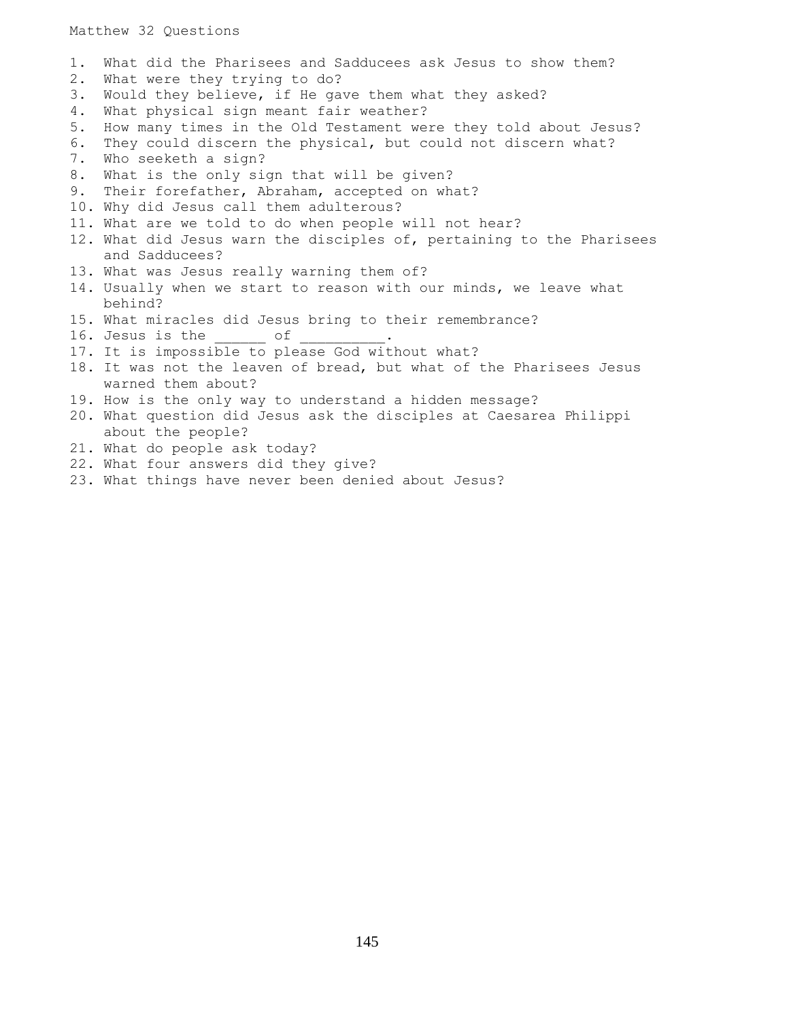Matthew 32 Questions

1. What did the Pharisees and Sadducees ask Jesus to show them? 2. What were they trying to do? 3. Would they believe, if He gave them what they asked? 4. What physical sign meant fair weather? 5. How many times in the Old Testament were they told about Jesus? 6. They could discern the physical, but could not discern what? 7. Who seeketh a sign? 8. What is the only sign that will be given? 9. Their forefather, Abraham, accepted on what? 10. Why did Jesus call them adulterous? 11. What are we told to do when people will not hear? 12. What did Jesus warn the disciples of, pertaining to the Pharisees and Sadducees? 13. What was Jesus really warning them of? 14. Usually when we start to reason with our minds, we leave what behind? 15. What miracles did Jesus bring to their remembrance? 16. Jesus is the  $\rule{1em}{0.15mm}$  of 17. It is impossible to please God without what? 18. It was not the leaven of bread, but what of the Pharisees Jesus warned them about? 19. How is the only way to understand a hidden message? 20. What question did Jesus ask the disciples at Caesarea Philippi about the people? 21. What do people ask today? 22. What four answers did they give? 23. What things have never been denied about Jesus?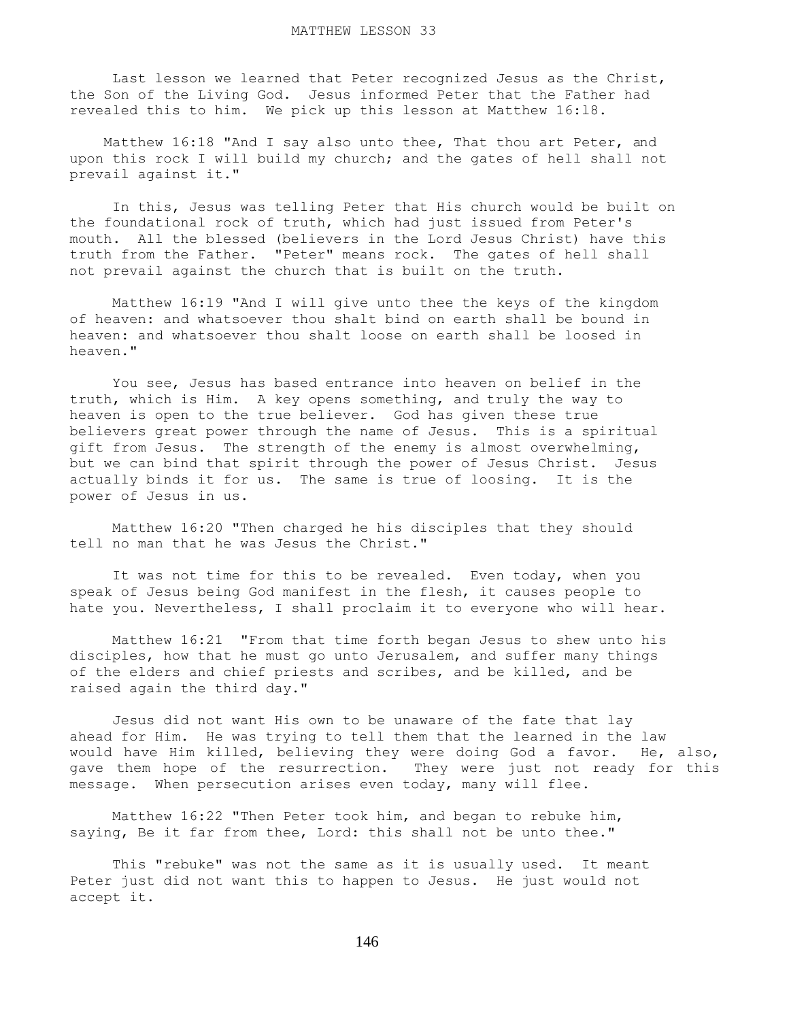Last lesson we learned that Peter recognized Jesus as the Christ, the Son of the Living God. Jesus informed Peter that the Father had revealed this to him. We pick up this lesson at Matthew 16:l8.

 Matthew 16:18 "And I say also unto thee, That thou art Peter, and upon this rock I will build my church; and the gates of hell shall not prevail against it."

 In this, Jesus was telling Peter that His church would be built on the foundational rock of truth, which had just issued from Peter's mouth. All the blessed (believers in the Lord Jesus Christ) have this truth from the Father. "Peter" means rock. The gates of hell shall not prevail against the church that is built on the truth.

 Matthew 16:19 "And I will give unto thee the keys of the kingdom of heaven: and whatsoever thou shalt bind on earth shall be bound in heaven: and whatsoever thou shalt loose on earth shall be loosed in heaven."

 You see, Jesus has based entrance into heaven on belief in the truth, which is Him. A key opens something, and truly the way to heaven is open to the true believer. God has given these true believers great power through the name of Jesus. This is a spiritual gift from Jesus. The strength of the enemy is almost overwhelming, but we can bind that spirit through the power of Jesus Christ. Jesus actually binds it for us. The same is true of loosing. It is the power of Jesus in us.

 Matthew 16:20 "Then charged he his disciples that they should tell no man that he was Jesus the Christ."

 It was not time for this to be revealed. Even today, when you speak of Jesus being God manifest in the flesh, it causes people to hate you. Nevertheless, I shall proclaim it to everyone who will hear.

 Matthew 16:21 "From that time forth began Jesus to shew unto his disciples, how that he must go unto Jerusalem, and suffer many things of the elders and chief priests and scribes, and be killed, and be raised again the third day."

 Jesus did not want His own to be unaware of the fate that lay ahead for Him. He was trying to tell them that the learned in the law would have Him killed, believing they were doing God a favor. He, also, gave them hope of the resurrection. They were just not ready for this message. When persecution arises even today, many will flee.

 Matthew 16:22 "Then Peter took him, and began to rebuke him, saying, Be it far from thee, Lord: this shall not be unto thee."

 This "rebuke" was not the same as it is usually used. It meant Peter just did not want this to happen to Jesus. He just would not accept it.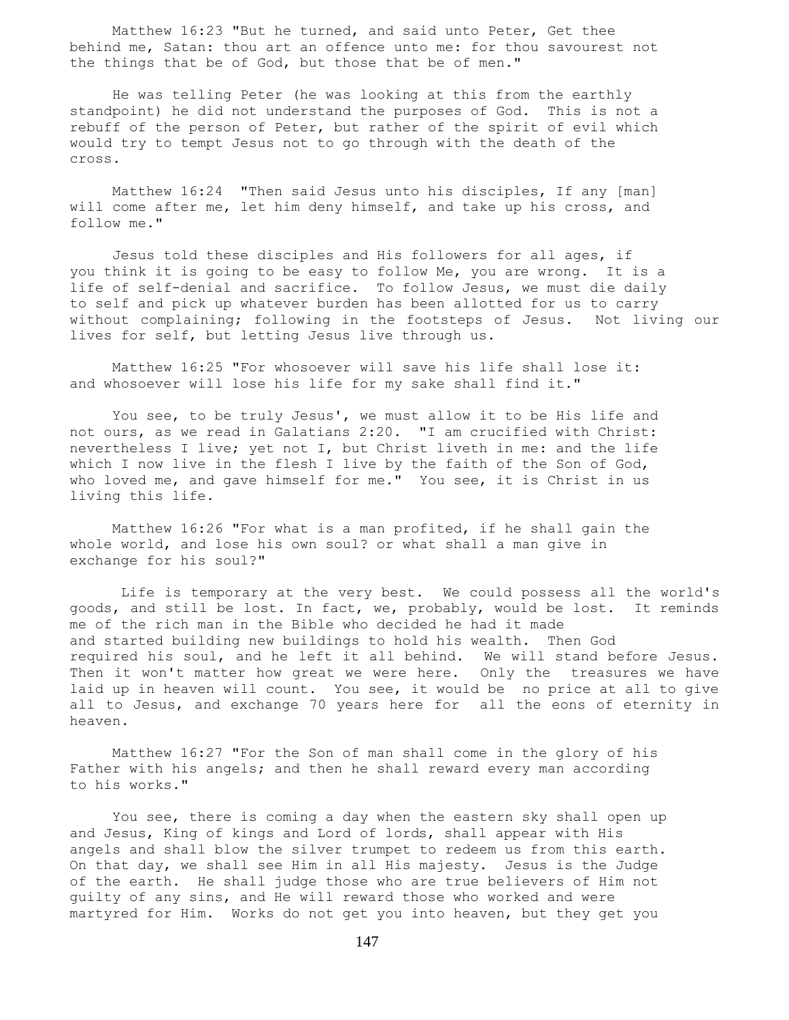Matthew 16:23 "But he turned, and said unto Peter, Get thee behind me, Satan: thou art an offence unto me: for thou savourest not the things that be of God, but those that be of men."

 He was telling Peter (he was looking at this from the earthly standpoint) he did not understand the purposes of God. This is not a rebuff of the person of Peter, but rather of the spirit of evil which would try to tempt Jesus not to go through with the death of the cross.

 Matthew 16:24 "Then said Jesus unto his disciples, If any [man] will come after me, let him deny himself, and take up his cross, and follow me."

 Jesus told these disciples and His followers for all ages, if you think it is going to be easy to follow Me, you are wrong. It is a life of self-denial and sacrifice. To follow Jesus, we must die daily to self and pick up whatever burden has been allotted for us to carry without complaining; following in the footsteps of Jesus. Not living our lives for self, but letting Jesus live through us.

 Matthew 16:25 "For whosoever will save his life shall lose it: and whosoever will lose his life for my sake shall find it."

 You see, to be truly Jesus', we must allow it to be His life and not ours, as we read in Galatians 2:20. "I am crucified with Christ: nevertheless I live; yet not I, but Christ liveth in me: and the life which I now live in the flesh I live by the faith of the Son of God, who loved me, and gave himself for me." You see, it is Christ in us living this life.

 Matthew 16:26 "For what is a man profited, if he shall gain the whole world, and lose his own soul? or what shall a man give in exchange for his soul?"

 Life is temporary at the very best. We could possess all the world's goods, and still be lost. In fact, we, probably, would be lost. It reminds me of the rich man in the Bible who decided he had it made and started building new buildings to hold his wealth. Then God required his soul, and he left it all behind. We will stand before Jesus. Then it won't matter how great we were here. Only the treasures we have laid up in heaven will count. You see, it would be no price at all to give all to Jesus, and exchange 70 years here for all the eons of eternity in heaven.

 Matthew 16:27 "For the Son of man shall come in the glory of his Father with his angels; and then he shall reward every man according to his works."

 You see, there is coming a day when the eastern sky shall open up and Jesus, King of kings and Lord of lords, shall appear with His angels and shall blow the silver trumpet to redeem us from this earth. On that day, we shall see Him in all His majesty. Jesus is the Judge of the earth. He shall judge those who are true believers of Him not guilty of any sins, and He will reward those who worked and were martyred for Him. Works do not get you into heaven, but they get you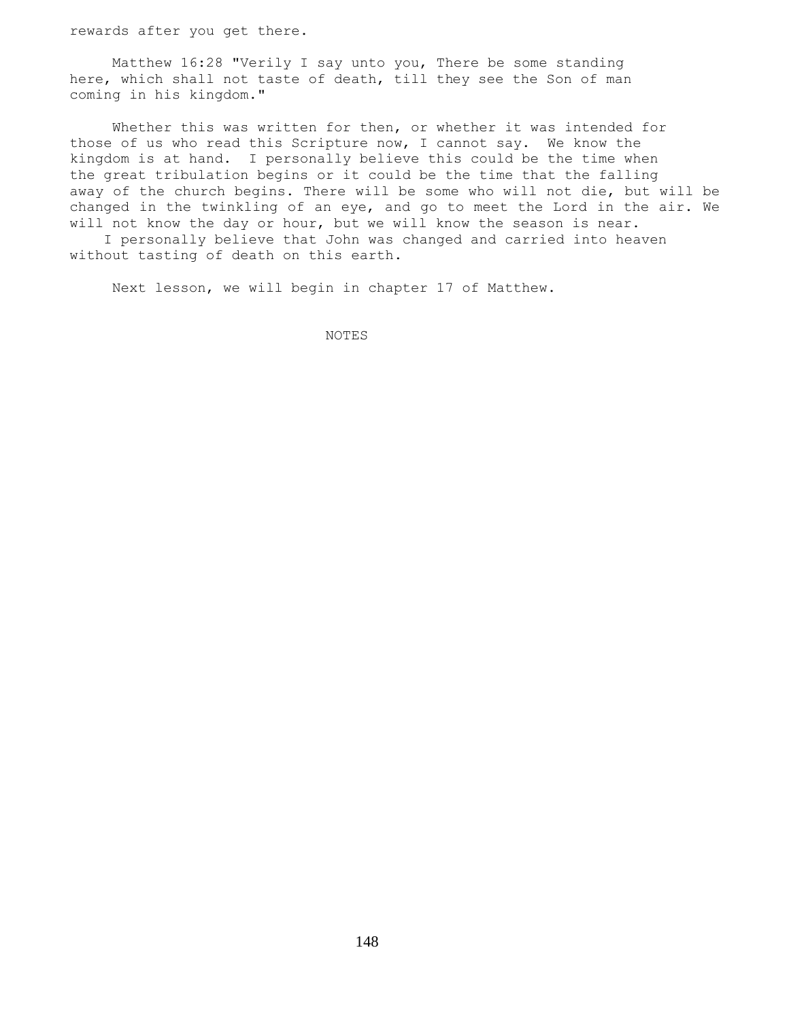rewards after you get there.

 Matthew 16:28 "Verily I say unto you, There be some standing here, which shall not taste of death, till they see the Son of man coming in his kingdom."

 Whether this was written for then, or whether it was intended for those of us who read this Scripture now, I cannot say. We know the kingdom is at hand. I personally believe this could be the time when the great tribulation begins or it could be the time that the falling away of the church begins. There will be some who will not die, but will be changed in the twinkling of an eye, and go to meet the Lord in the air. We will not know the day or hour, but we will know the season is near.

 I personally believe that John was changed and carried into heaven without tasting of death on this earth.

Next lesson, we will begin in chapter 17 of Matthew.

NOTES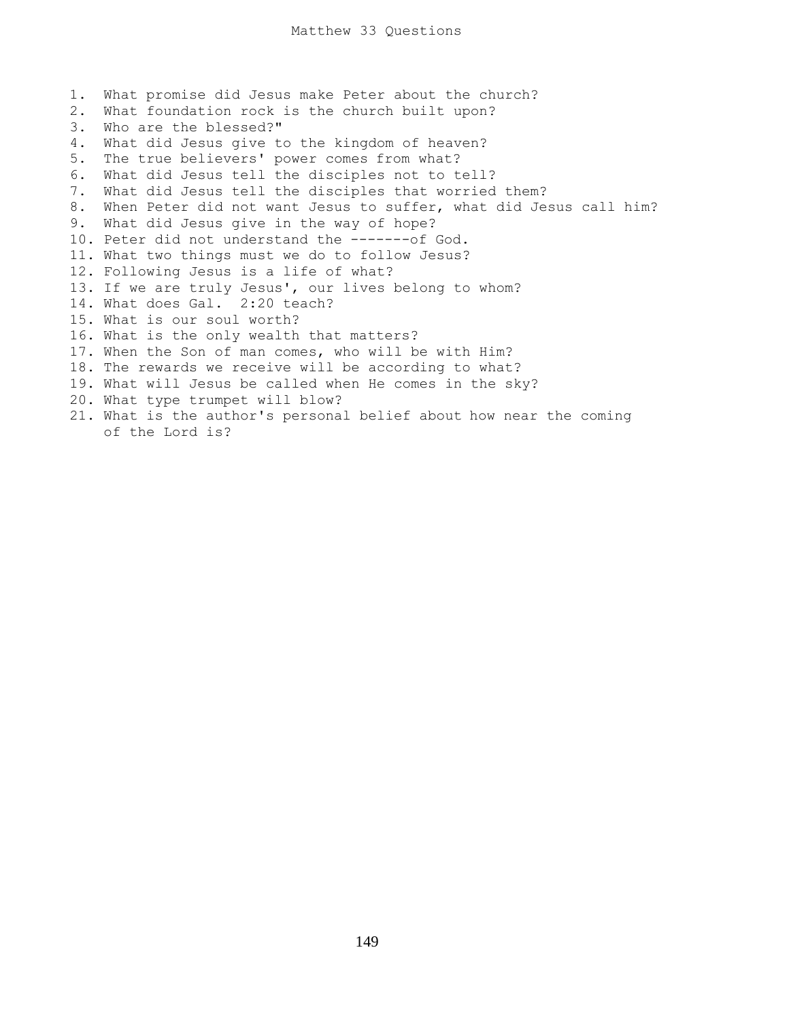1. What promise did Jesus make Peter about the church? 2. What foundation rock is the church built upon? 3. Who are the blessed?" 4. What did Jesus give to the kingdom of heaven? 5. The true believers' power comes from what? 6. What did Jesus tell the disciples not to tell? 7. What did Jesus tell the disciples that worried them? 8. When Peter did not want Jesus to suffer, what did Jesus call him? 9. What did Jesus give in the way of hope? 10. Peter did not understand the -------of God. 11. What two things must we do to follow Jesus? 12. Following Jesus is a life of what? 13. If we are truly Jesus', our lives belong to whom? 14. What does Gal. 2:20 teach? 15. What is our soul worth? 16. What is the only wealth that matters? 17. When the Son of man comes, who will be with Him? 18. The rewards we receive will be according to what? 19. What will Jesus be called when He comes in the sky? 20. What type trumpet will blow? 21. What is the author's personal belief about how near the coming of the Lord is?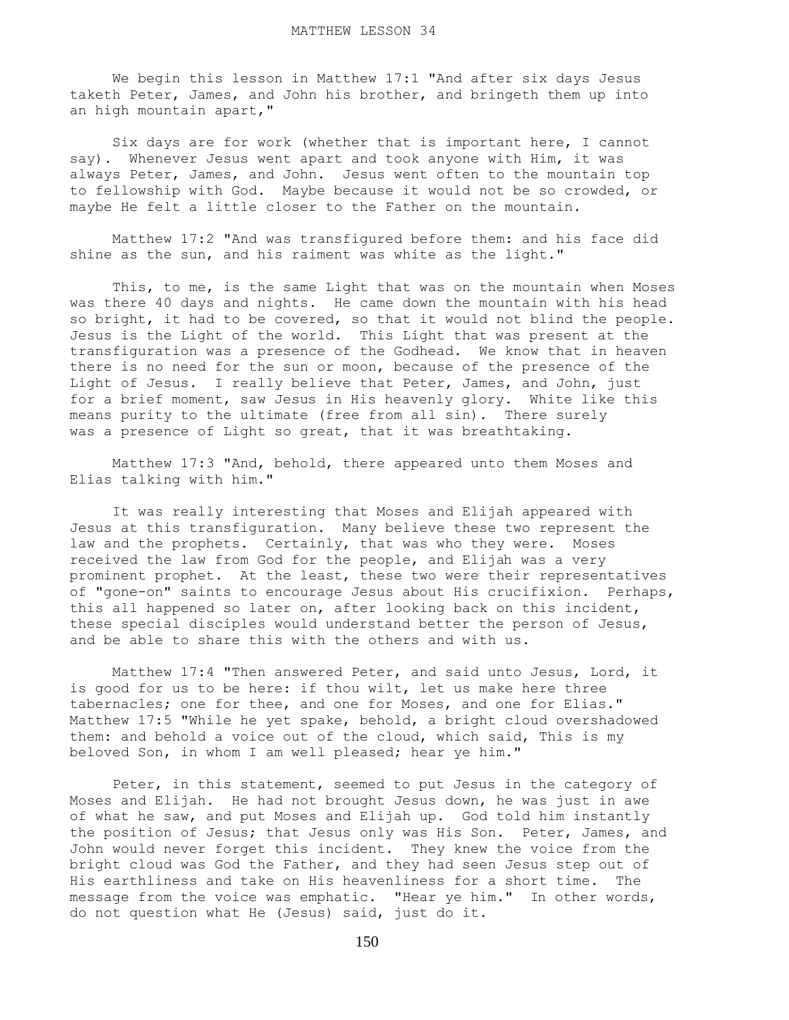We begin this lesson in Matthew 17:1 "And after six days Jesus taketh Peter, James, and John his brother, and bringeth them up into an high mountain apart,"

 Six days are for work (whether that is important here, I cannot say). Whenever Jesus went apart and took anyone with Him, it was always Peter, James, and John. Jesus went often to the mountain top to fellowship with God. Maybe because it would not be so crowded, or maybe He felt a little closer to the Father on the mountain.

 Matthew 17:2 "And was transfigured before them: and his face did shine as the sun, and his raiment was white as the light."

 This, to me, is the same Light that was on the mountain when Moses was there 40 days and nights. He came down the mountain with his head so bright, it had to be covered, so that it would not blind the people. Jesus is the Light of the world. This Light that was present at the transfiguration was a presence of the Godhead. We know that in heaven there is no need for the sun or moon, because of the presence of the Light of Jesus. I really believe that Peter, James, and John, just for a brief moment, saw Jesus in His heavenly glory. White like this means purity to the ultimate (free from all sin). There surely was a presence of Light so great, that it was breathtaking.

 Matthew 17:3 "And, behold, there appeared unto them Moses and Elias talking with him."

 It was really interesting that Moses and Elijah appeared with Jesus at this transfiguration. Many believe these two represent the law and the prophets. Certainly, that was who they were. Moses received the law from God for the people, and Elijah was a very prominent prophet. At the least, these two were their representatives of "gone-on" saints to encourage Jesus about His crucifixion. Perhaps, this all happened so later on, after looking back on this incident, these special disciples would understand better the person of Jesus, and be able to share this with the others and with us.

 Matthew 17:4 "Then answered Peter, and said unto Jesus, Lord, it is good for us to be here: if thou wilt, let us make here three tabernacles; one for thee, and one for Moses, and one for Elias." Matthew 17:5 "While he yet spake, behold, a bright cloud overshadowed them: and behold a voice out of the cloud, which said, This is my beloved Son, in whom I am well pleased; hear ye him."

 Peter, in this statement, seemed to put Jesus in the category of Moses and Elijah. He had not brought Jesus down, he was just in awe of what he saw, and put Moses and Elijah up. God told him instantly the position of Jesus; that Jesus only was His Son. Peter, James, and John would never forget this incident. They knew the voice from the bright cloud was God the Father, and they had seen Jesus step out of His earthliness and take on His heavenliness for a short time. The message from the voice was emphatic. "Hear ye him." In other words, do not question what He (Jesus) said, just do it.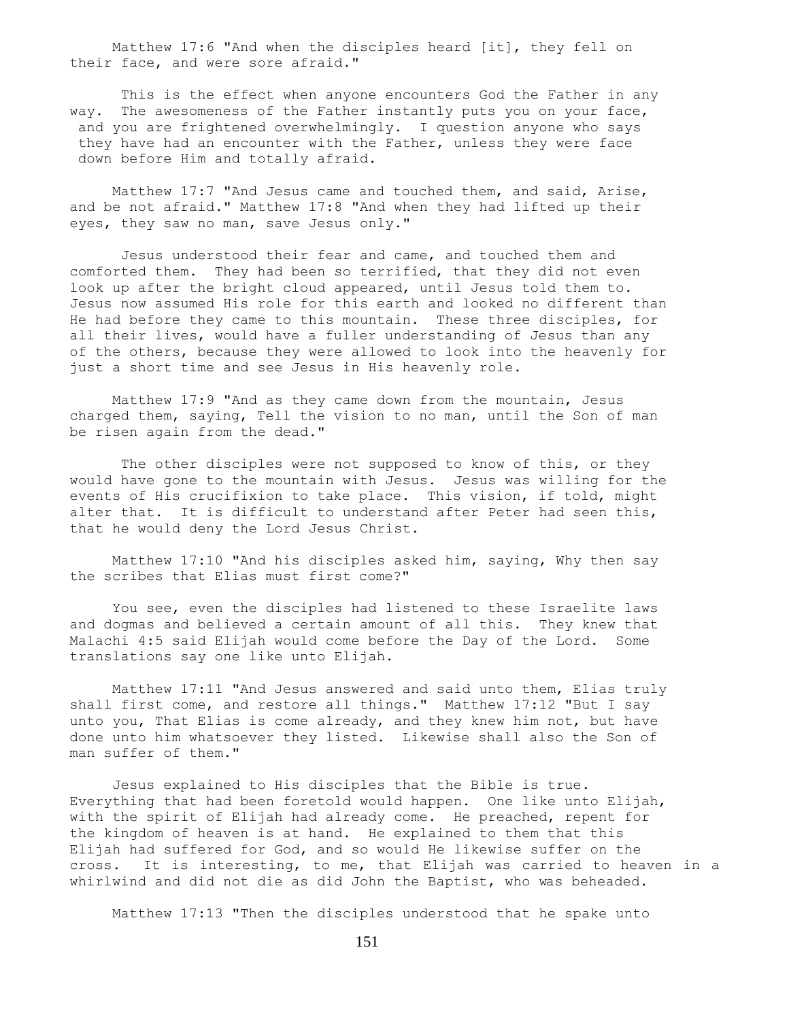Matthew 17:6 "And when the disciples heard [it], they fell on their face, and were sore afraid."

 This is the effect when anyone encounters God the Father in any way. The awesomeness of the Father instantly puts you on your face, and you are frightened overwhelmingly. I question anyone who says they have had an encounter with the Father, unless they were face down before Him and totally afraid.

 Matthew 17:7 "And Jesus came and touched them, and said, Arise, and be not afraid." Matthew 17:8 "And when they had lifted up their eyes, they saw no man, save Jesus only."

 Jesus understood their fear and came, and touched them and comforted them. They had been so terrified, that they did not even look up after the bright cloud appeared, until Jesus told them to. Jesus now assumed His role for this earth and looked no different than He had before they came to this mountain. These three disciples, for all their lives, would have a fuller understanding of Jesus than any of the others, because they were allowed to look into the heavenly for just a short time and see Jesus in His heavenly role.

 Matthew 17:9 "And as they came down from the mountain, Jesus charged them, saying, Tell the vision to no man, until the Son of man be risen again from the dead."

The other disciples were not supposed to know of this, or they would have gone to the mountain with Jesus. Jesus was willing for the events of His crucifixion to take place. This vision, if told, might alter that. It is difficult to understand after Peter had seen this, that he would deny the Lord Jesus Christ.

 Matthew 17:10 "And his disciples asked him, saying, Why then say the scribes that Elias must first come?"

 You see, even the disciples had listened to these Israelite laws and dogmas and believed a certain amount of all this. They knew that Malachi 4:5 said Elijah would come before the Day of the Lord. Some translations say one like unto Elijah.

 Matthew 17:11 "And Jesus answered and said unto them, Elias truly shall first come, and restore all things." Matthew 17:12 "But I say unto you, That Elias is come already, and they knew him not, but have done unto him whatsoever they listed. Likewise shall also the Son of man suffer of them."

 Jesus explained to His disciples that the Bible is true. Everything that had been foretold would happen. One like unto Elijah, with the spirit of Elijah had already come. He preached, repent for the kingdom of heaven is at hand. He explained to them that this Elijah had suffered for God, and so would He likewise suffer on the cross. It is interesting, to me, that Elijah was carried to heaven in a whirlwind and did not die as did John the Baptist, who was beheaded.

Matthew 17:13 "Then the disciples understood that he spake unto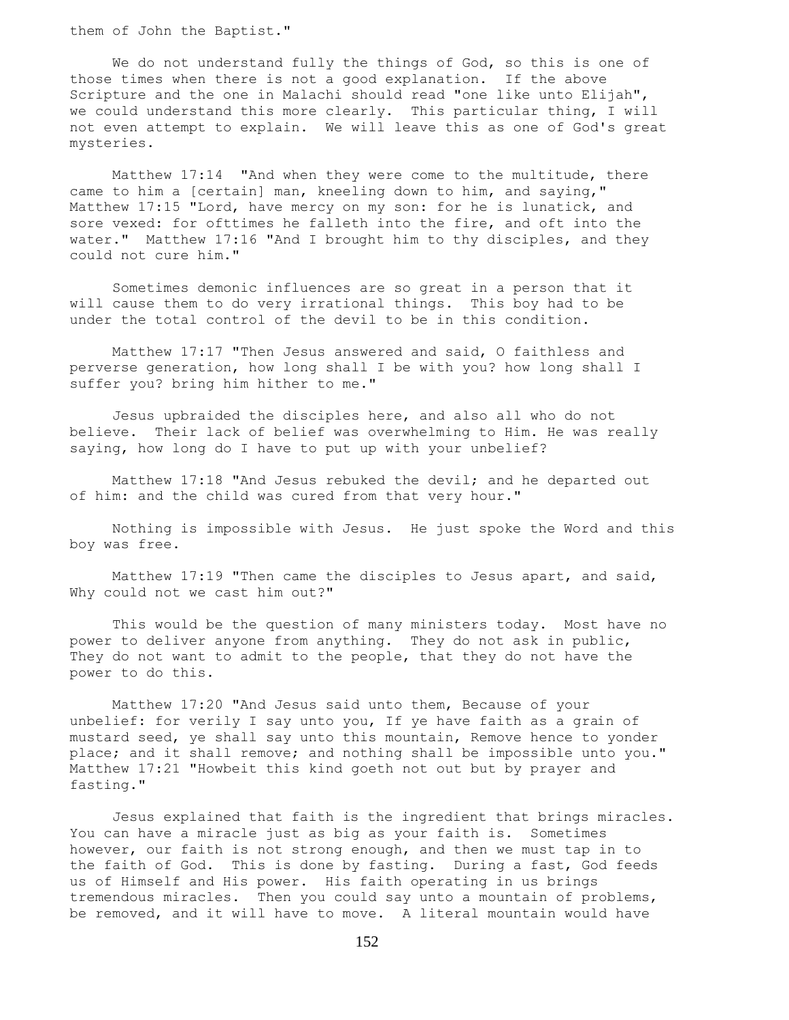them of John the Baptist."

We do not understand fully the things of God, so this is one of those times when there is not a good explanation. If the above Scripture and the one in Malachi should read "one like unto Elijah", we could understand this more clearly. This particular thing, I will not even attempt to explain. We will leave this as one of God's great mysteries.

 Matthew 17:14 "And when they were come to the multitude, there came to him a [certain] man, kneeling down to him, and saying," Matthew 17:15 "Lord, have mercy on my son: for he is lunatick, and sore vexed: for ofttimes he falleth into the fire, and oft into the water." Matthew 17:16 "And I brought him to thy disciples, and they could not cure him."

 Sometimes demonic influences are so great in a person that it will cause them to do very irrational things. This boy had to be under the total control of the devil to be in this condition.

 Matthew 17:17 "Then Jesus answered and said, O faithless and perverse generation, how long shall I be with you? how long shall I suffer you? bring him hither to me."

 Jesus upbraided the disciples here, and also all who do not believe. Their lack of belief was overwhelming to Him. He was really saying, how long do I have to put up with your unbelief?

 Matthew 17:18 "And Jesus rebuked the devil; and he departed out of him: and the child was cured from that very hour."

 Nothing is impossible with Jesus. He just spoke the Word and this boy was free.

 Matthew 17:19 "Then came the disciples to Jesus apart, and said, Why could not we cast him out?"

 This would be the question of many ministers today. Most have no power to deliver anyone from anything. They do not ask in public, They do not want to admit to the people, that they do not have the power to do this.

 Matthew 17:20 "And Jesus said unto them, Because of your unbelief: for verily I say unto you, If ye have faith as a grain of mustard seed, ye shall say unto this mountain, Remove hence to yonder place; and it shall remove; and nothing shall be impossible unto you." Matthew 17:21 "Howbeit this kind goeth not out but by prayer and fasting."

 Jesus explained that faith is the ingredient that brings miracles. You can have a miracle just as big as your faith is. Sometimes however, our faith is not strong enough, and then we must tap in to the faith of God. This is done by fasting. During a fast, God feeds us of Himself and His power. His faith operating in us brings tremendous miracles. Then you could say unto a mountain of problems, be removed, and it will have to move. A literal mountain would have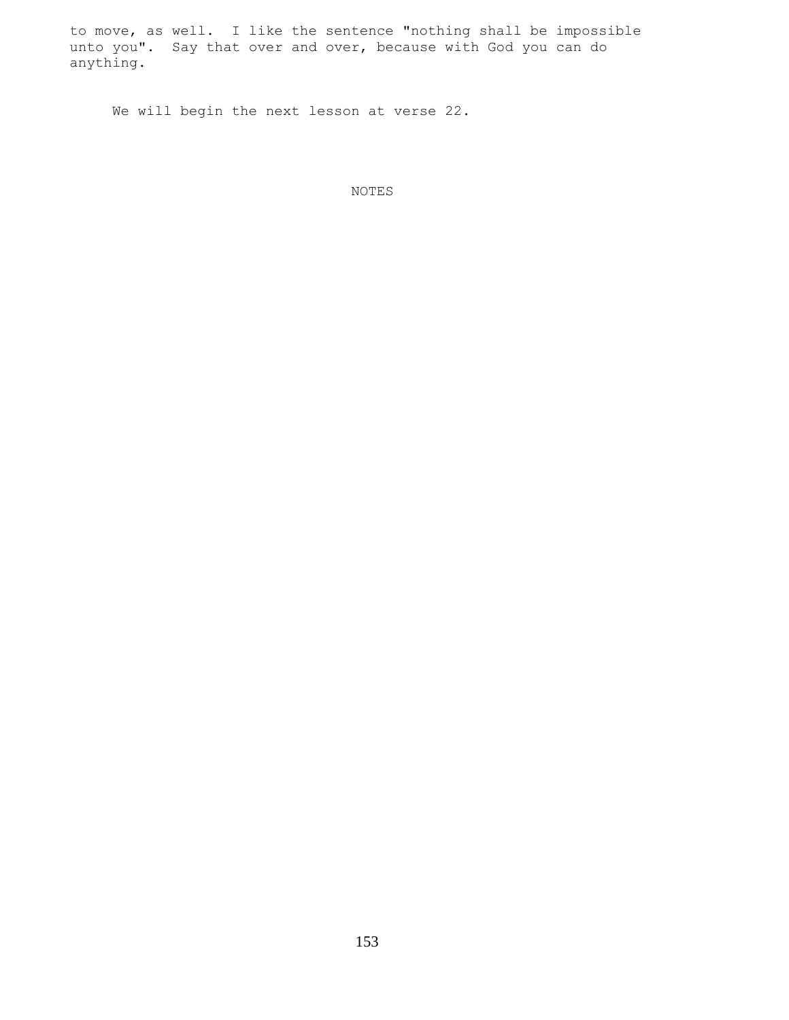to move, as well. I like the sentence "nothing shall be impossible unto you". Say that over and over, because with God you can do anything.

We will begin the next lesson at verse 22.

NOTES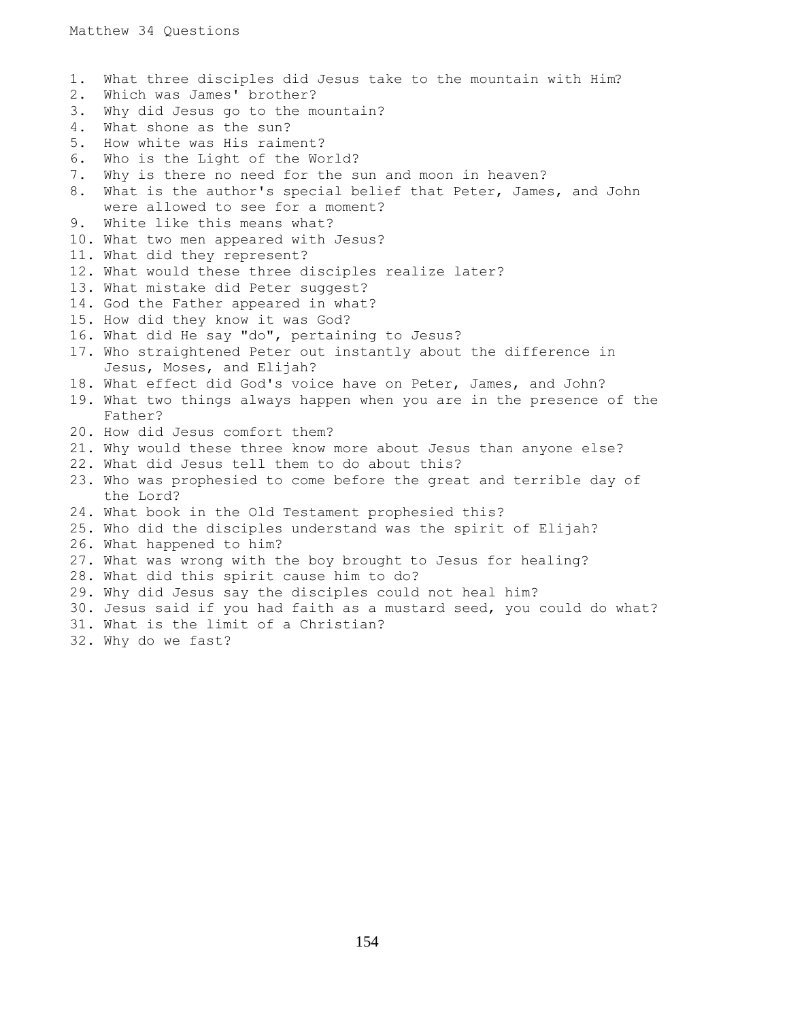1. What three disciples did Jesus take to the mountain with Him? 2. Which was James' brother? 3. Why did Jesus go to the mountain? 4. What shone as the sun? 5. How white was His raiment? 6. Who is the Light of the World? 7. Why is there no need for the sun and moon in heaven? 8. What is the author's special belief that Peter, James, and John were allowed to see for a moment? 9. White like this means what? 10. What two men appeared with Jesus? 11. What did they represent? 12. What would these three disciples realize later? 13. What mistake did Peter suggest? 14. God the Father appeared in what? 15. How did they know it was God? 16. What did He say "do", pertaining to Jesus? 17. Who straightened Peter out instantly about the difference in Jesus, Moses, and Elijah? 18. What effect did God's voice have on Peter, James, and John? 19. What two things always happen when you are in the presence of the Father? 20. How did Jesus comfort them? 21. Why would these three know more about Jesus than anyone else? 22. What did Jesus tell them to do about this? 23. Who was prophesied to come before the great and terrible day of the Lord? 24. What book in the Old Testament prophesied this? 25. Who did the disciples understand was the spirit of Elijah? 26. What happened to him? 27. What was wrong with the boy brought to Jesus for healing? 28. What did this spirit cause him to do? 29. Why did Jesus say the disciples could not heal him? 30. Jesus said if you had faith as a mustard seed, you could do what? 31. What is the limit of a Christian? 32. Why do we fast?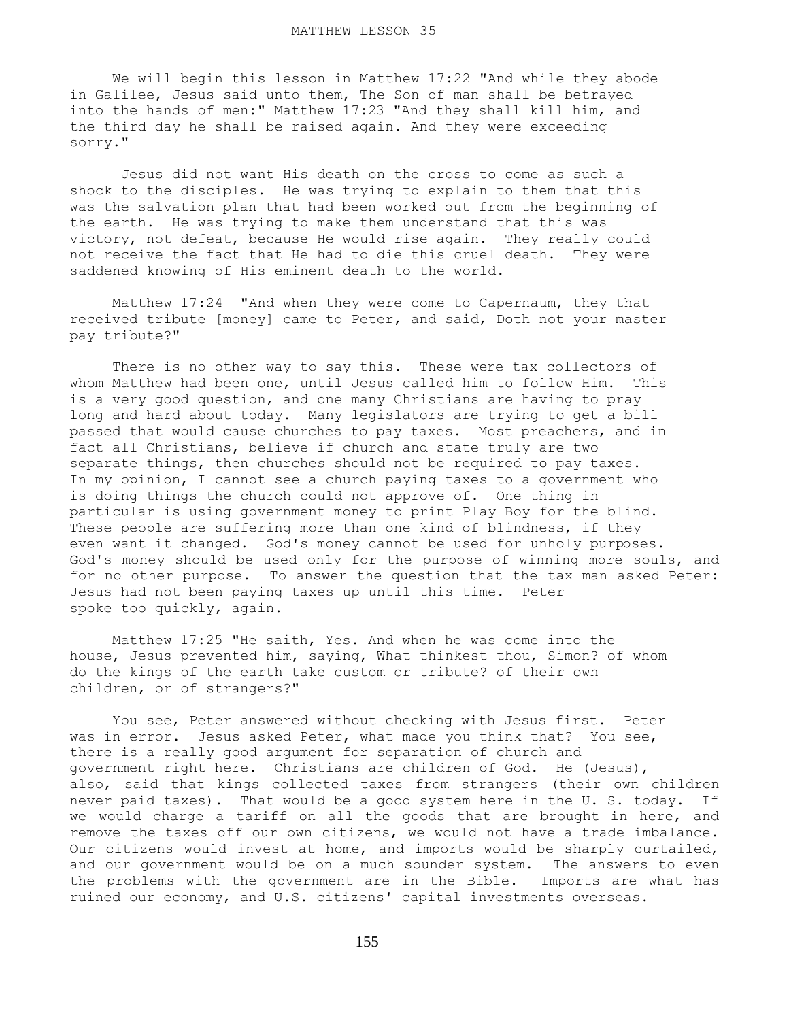We will begin this lesson in Matthew 17:22 "And while they abode in Galilee, Jesus said unto them, The Son of man shall be betrayed into the hands of men:" Matthew 17:23 "And they shall kill him, and the third day he shall be raised again. And they were exceeding sorry."

 Jesus did not want His death on the cross to come as such a shock to the disciples. He was trying to explain to them that this was the salvation plan that had been worked out from the beginning of the earth. He was trying to make them understand that this was victory, not defeat, because He would rise again. They really could not receive the fact that He had to die this cruel death. They were saddened knowing of His eminent death to the world.

 Matthew 17:24 "And when they were come to Capernaum, they that received tribute [money] came to Peter, and said, Doth not your master pay tribute?"

There is no other way to say this. These were tax collectors of whom Matthew had been one, until Jesus called him to follow Him. This is a very good question, and one many Christians are having to pray long and hard about today. Many legislators are trying to get a bill passed that would cause churches to pay taxes. Most preachers, and in fact all Christians, believe if church and state truly are two separate things, then churches should not be required to pay taxes. In my opinion, I cannot see a church paying taxes to a government who is doing things the church could not approve of. One thing in particular is using government money to print Play Boy for the blind. These people are suffering more than one kind of blindness, if they even want it changed. God's money cannot be used for unholy purposes. God's money should be used only for the purpose of winning more souls, and for no other purpose. To answer the question that the tax man asked Peter: Jesus had not been paying taxes up until this time. Peter spoke too quickly, again.

 Matthew 17:25 "He saith, Yes. And when he was come into the house, Jesus prevented him, saying, What thinkest thou, Simon? of whom do the kings of the earth take custom or tribute? of their own children, or of strangers?"

 You see, Peter answered without checking with Jesus first. Peter was in error. Jesus asked Peter, what made you think that? You see, there is a really good argument for separation of church and government right here. Christians are children of God. He (Jesus), also, said that kings collected taxes from strangers (their own children never paid taxes). That would be a good system here in the U. S. today. If we would charge a tariff on all the goods that are brought in here, and remove the taxes off our own citizens, we would not have a trade imbalance. Our citizens would invest at home, and imports would be sharply curtailed, and our government would be on a much sounder system. The answers to even the problems with the government are in the Bible. Imports are what has ruined our economy, and U.S. citizens' capital investments overseas.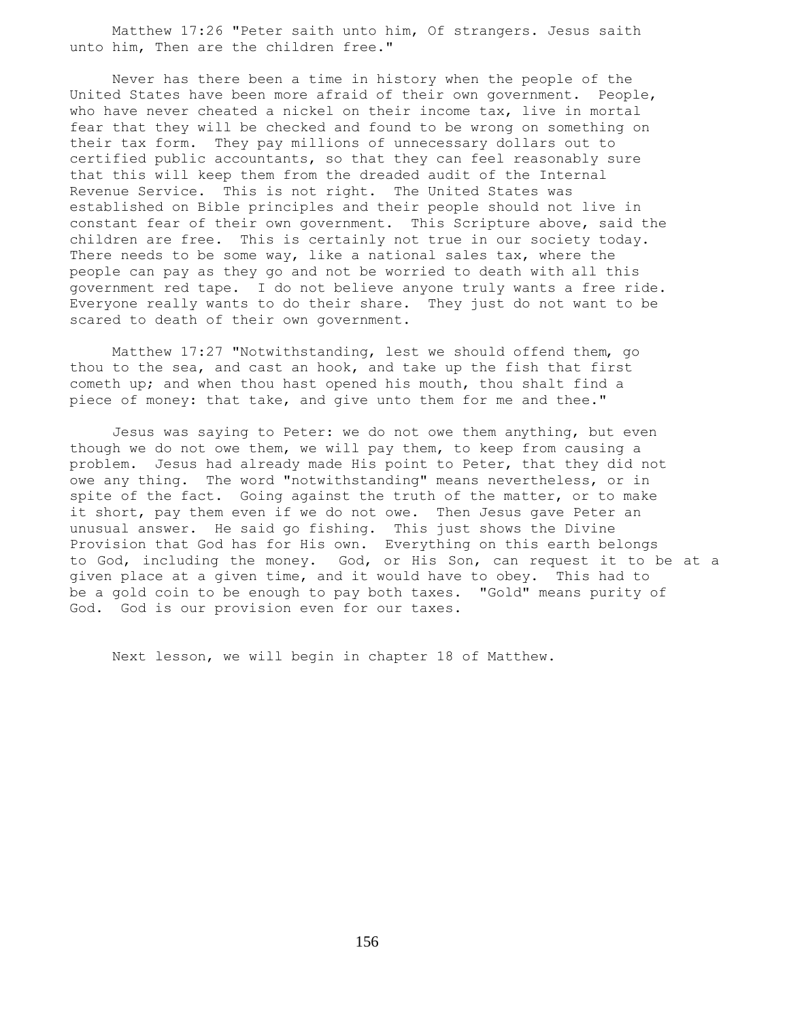Matthew 17:26 "Peter saith unto him, Of strangers. Jesus saith unto him, Then are the children free."

 Never has there been a time in history when the people of the United States have been more afraid of their own government. People, who have never cheated a nickel on their income tax, live in mortal fear that they will be checked and found to be wrong on something on their tax form. They pay millions of unnecessary dollars out to certified public accountants, so that they can feel reasonably sure that this will keep them from the dreaded audit of the Internal Revenue Service. This is not right. The United States was established on Bible principles and their people should not live in constant fear of their own government. This Scripture above, said the children are free. This is certainly not true in our society today. There needs to be some way, like a national sales tax, where the people can pay as they go and not be worried to death with all this government red tape. I do not believe anyone truly wants a free ride. Everyone really wants to do their share. They just do not want to be scared to death of their own government.

 Matthew 17:27 "Notwithstanding, lest we should offend them, go thou to the sea, and cast an hook, and take up the fish that first cometh up; and when thou hast opened his mouth, thou shalt find a piece of money: that take, and give unto them for me and thee."

 Jesus was saying to Peter: we do not owe them anything, but even though we do not owe them, we will pay them, to keep from causing a problem. Jesus had already made His point to Peter, that they did not owe any thing. The word "notwithstanding" means nevertheless, or in spite of the fact. Going against the truth of the matter, or to make it short, pay them even if we do not owe. Then Jesus gave Peter an unusual answer. He said go fishing. This just shows the Divine Provision that God has for His own. Everything on this earth belongs to God, including the money. God, or His Son, can request it to be at a given place at a given time, and it would have to obey. This had to be a gold coin to be enough to pay both taxes. "Gold" means purity of God. God is our provision even for our taxes.

Next lesson, we will begin in chapter 18 of Matthew.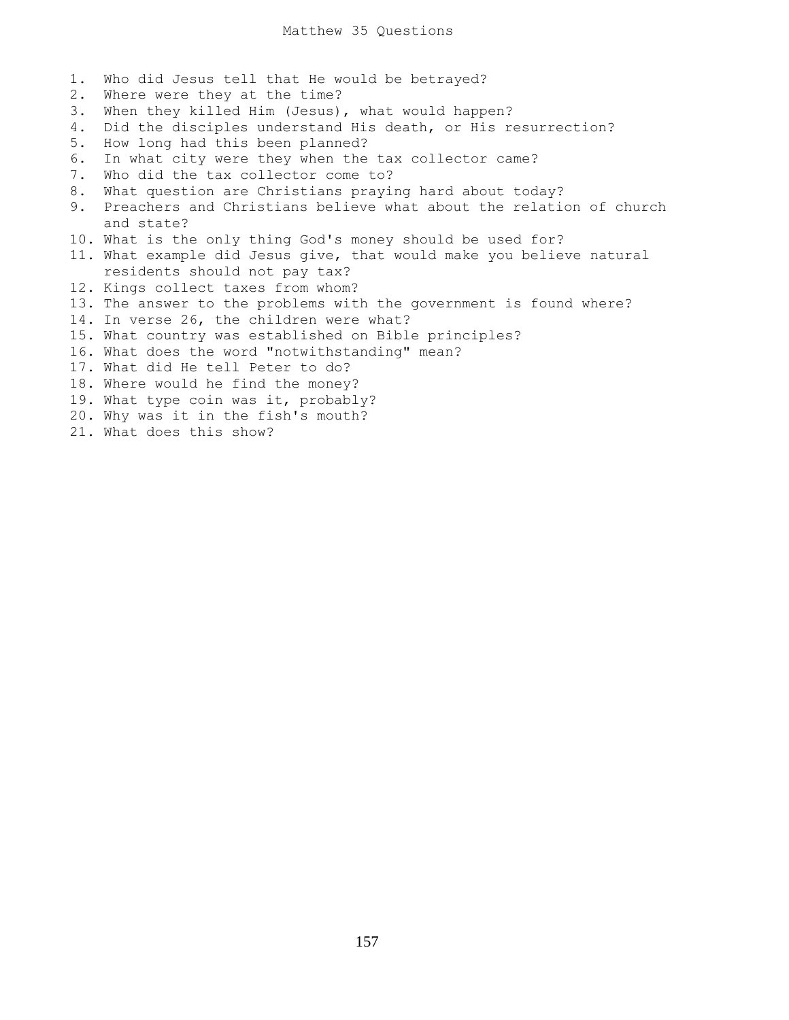1. Who did Jesus tell that He would be betrayed? 2. Where were they at the time? 3. When they killed Him (Jesus), what would happen? 4. Did the disciples understand His death, or His resurrection? 5. How long had this been planned? 6. In what city were they when the tax collector came? 7. Who did the tax collector come to? 8. What question are Christians praying hard about today? 9. Preachers and Christians believe what about the relation of church and state? 10. What is the only thing God's money should be used for? 11. What example did Jesus give, that would make you believe natural residents should not pay tax? 12. Kings collect taxes from whom? 13. The answer to the problems with the government is found where? 14. In verse 26, the children were what? 15. What country was established on Bible principles? 16. What does the word "notwithstanding" mean? 17. What did He tell Peter to do? 18. Where would he find the money? 19. What type coin was it, probably? 20. Why was it in the fish's mouth? 21. What does this show?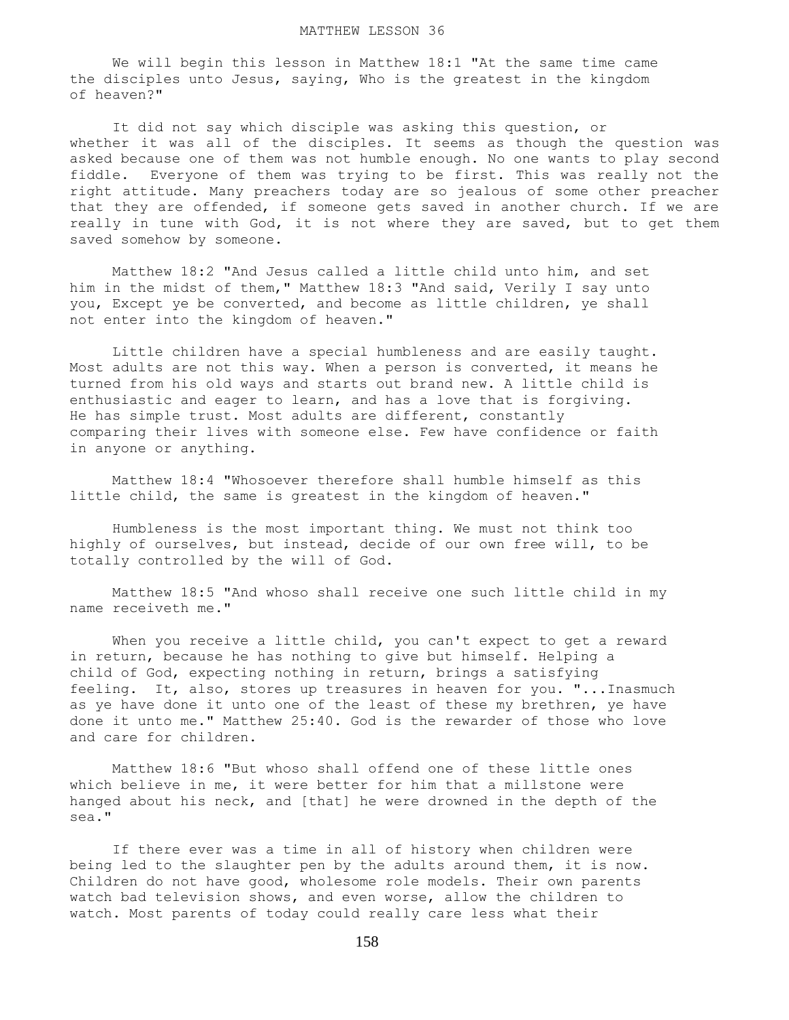We will begin this lesson in Matthew 18:1 "At the same time came the disciples unto Jesus, saying, Who is the greatest in the kingdom of heaven?"

 It did not say which disciple was asking this question, or whether it was all of the disciples. It seems as though the question was asked because one of them was not humble enough. No one wants to play second fiddle. Everyone of them was trying to be first. This was really not the right attitude. Many preachers today are so jealous of some other preacher that they are offended, if someone gets saved in another church. If we are really in tune with God, it is not where they are saved, but to get them saved somehow by someone.

 Matthew 18:2 "And Jesus called a little child unto him, and set him in the midst of them," Matthew 18:3 "And said, Verily I say unto you, Except ye be converted, and become as little children, ye shall not enter into the kingdom of heaven."

 Little children have a special humbleness and are easily taught. Most adults are not this way. When a person is converted, it means he turned from his old ways and starts out brand new. A little child is enthusiastic and eager to learn, and has a love that is forgiving. He has simple trust. Most adults are different, constantly comparing their lives with someone else. Few have confidence or faith in anyone or anything.

 Matthew 18:4 "Whosoever therefore shall humble himself as this little child, the same is greatest in the kingdom of heaven."

 Humbleness is the most important thing. We must not think too highly of ourselves, but instead, decide of our own free will, to be totally controlled by the will of God.

 Matthew 18:5 "And whoso shall receive one such little child in my name receiveth me."

When you receive a little child, you can't expect to get a reward in return, because he has nothing to give but himself. Helping a child of God, expecting nothing in return, brings a satisfying feeling. It, also, stores up treasures in heaven for you. "...Inasmuch as ye have done it unto one of the least of these my brethren, ye have done it unto me." Matthew 25:40. God is the rewarder of those who love and care for children.

 Matthew 18:6 "But whoso shall offend one of these little ones which believe in me, it were better for him that a millstone were hanged about his neck, and [that] he were drowned in the depth of the sea."

 If there ever was a time in all of history when children were being led to the slaughter pen by the adults around them, it is now. Children do not have good, wholesome role models. Their own parents watch bad television shows, and even worse, allow the children to watch. Most parents of today could really care less what their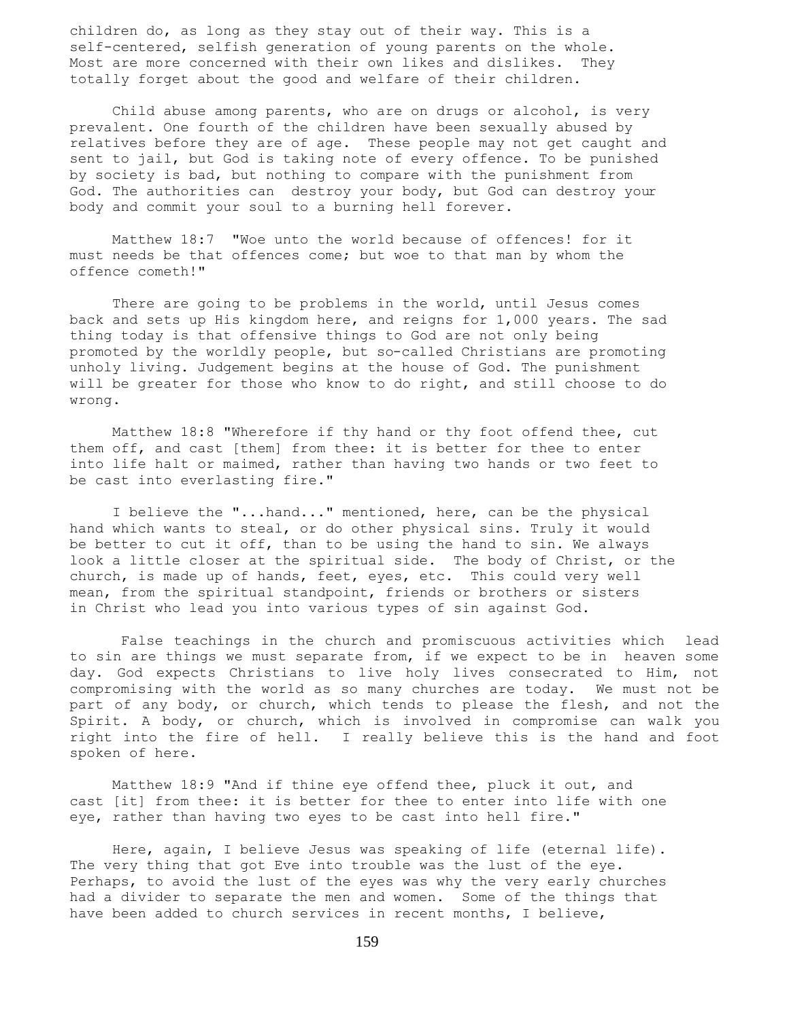children do, as long as they stay out of their way. This is a self-centered, selfish generation of young parents on the whole. Most are more concerned with their own likes and dislikes. They totally forget about the good and welfare of their children.

 Child abuse among parents, who are on drugs or alcohol, is very prevalent. One fourth of the children have been sexually abused by relatives before they are of age. These people may not get caught and sent to jail, but God is taking note of every offence. To be punished by society is bad, but nothing to compare with the punishment from God. The authorities can destroy your body, but God can destroy your body and commit your soul to a burning hell forever.

 Matthew 18:7 "Woe unto the world because of offences! for it must needs be that offences come; but woe to that man by whom the offence cometh!"

There are going to be problems in the world, until Jesus comes back and sets up His kingdom here, and reigns for 1,000 years. The sad thing today is that offensive things to God are not only being promoted by the worldly people, but so-called Christians are promoting unholy living. Judgement begins at the house of God. The punishment will be greater for those who know to do right, and still choose to do wrong.

 Matthew 18:8 "Wherefore if thy hand or thy foot offend thee, cut them off, and cast [them] from thee: it is better for thee to enter into life halt or maimed, rather than having two hands or two feet to be cast into everlasting fire."

 I believe the "...hand..." mentioned, here, can be the physical hand which wants to steal, or do other physical sins. Truly it would be better to cut it off, than to be using the hand to sin. We always look a little closer at the spiritual side. The body of Christ, or the church, is made up of hands, feet, eyes, etc. This could very well mean, from the spiritual standpoint, friends or brothers or sisters in Christ who lead you into various types of sin against God.

 False teachings in the church and promiscuous activities which lead to sin are things we must separate from, if we expect to be in heaven some day. God expects Christians to live holy lives consecrated to Him, not compromising with the world as so many churches are today. We must not be part of any body, or church, which tends to please the flesh, and not the Spirit. A body, or church, which is involved in compromise can walk you right into the fire of hell. I really believe this is the hand and foot spoken of here.

 Matthew 18:9 "And if thine eye offend thee, pluck it out, and cast [it] from thee: it is better for thee to enter into life with one eye, rather than having two eyes to be cast into hell fire."

 Here, again, I believe Jesus was speaking of life (eternal life). The very thing that got Eve into trouble was the lust of the eye. Perhaps, to avoid the lust of the eyes was why the very early churches had a divider to separate the men and women. Some of the things that have been added to church services in recent months, I believe,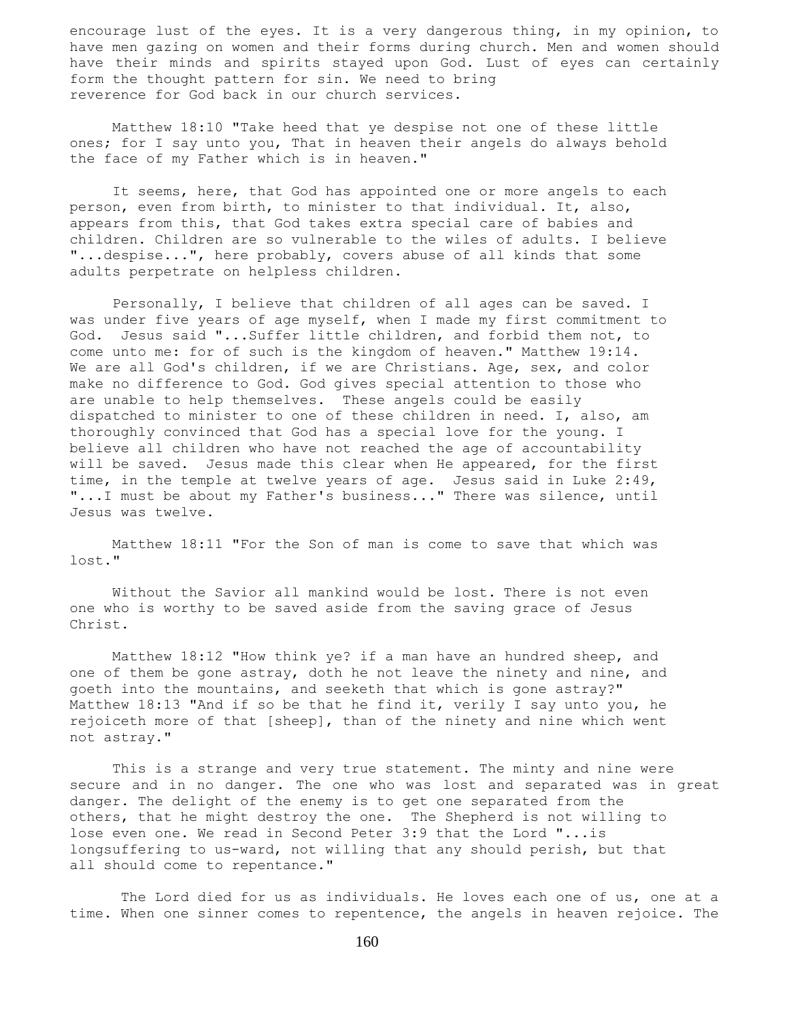encourage lust of the eyes. It is a very dangerous thing, in my opinion, to have men gazing on women and their forms during church. Men and women should have their minds and spirits stayed upon God. Lust of eyes can certainly form the thought pattern for sin. We need to bring reverence for God back in our church services.

 Matthew 18:10 "Take heed that ye despise not one of these little ones; for I say unto you, That in heaven their angels do always behold the face of my Father which is in heaven."

It seems, here, that God has appointed one or more angels to each person, even from birth, to minister to that individual. It, also, appears from this, that God takes extra special care of babies and children. Children are so vulnerable to the wiles of adults. I believe "...despise...", here probably, covers abuse of all kinds that some adults perpetrate on helpless children.

 Personally, I believe that children of all ages can be saved. I was under five years of age myself, when I made my first commitment to God. Jesus said "...Suffer little children, and forbid them not, to come unto me: for of such is the kingdom of heaven." Matthew 19:14. We are all God's children, if we are Christians. Age, sex, and color make no difference to God. God gives special attention to those who are unable to help themselves. These angels could be easily dispatched to minister to one of these children in need. I, also, am thoroughly convinced that God has a special love for the young. I believe all children who have not reached the age of accountability will be saved. Jesus made this clear when He appeared, for the first time, in the temple at twelve years of age. Jesus said in Luke 2:49, "...I must be about my Father's business..." There was silence, until Jesus was twelve.

 Matthew 18:11 "For the Son of man is come to save that which was lost."

 Without the Savior all mankind would be lost. There is not even one who is worthy to be saved aside from the saving grace of Jesus Christ.

 Matthew 18:12 "How think ye? if a man have an hundred sheep, and one of them be gone astray, doth he not leave the ninety and nine, and goeth into the mountains, and seeketh that which is gone astray?" Matthew 18:13 "And if so be that he find it, verily I say unto you, he rejoiceth more of that [sheep], than of the ninety and nine which went not astray."

 This is a strange and very true statement. The minty and nine were secure and in no danger. The one who was lost and separated was in great danger. The delight of the enemy is to get one separated from the others, that he might destroy the one. The Shepherd is not willing to lose even one. We read in Second Peter 3:9 that the Lord "...is longsuffering to us-ward, not willing that any should perish, but that all should come to repentance."

 The Lord died for us as individuals. He loves each one of us, one at a time. When one sinner comes to repentence, the angels in heaven rejoice. The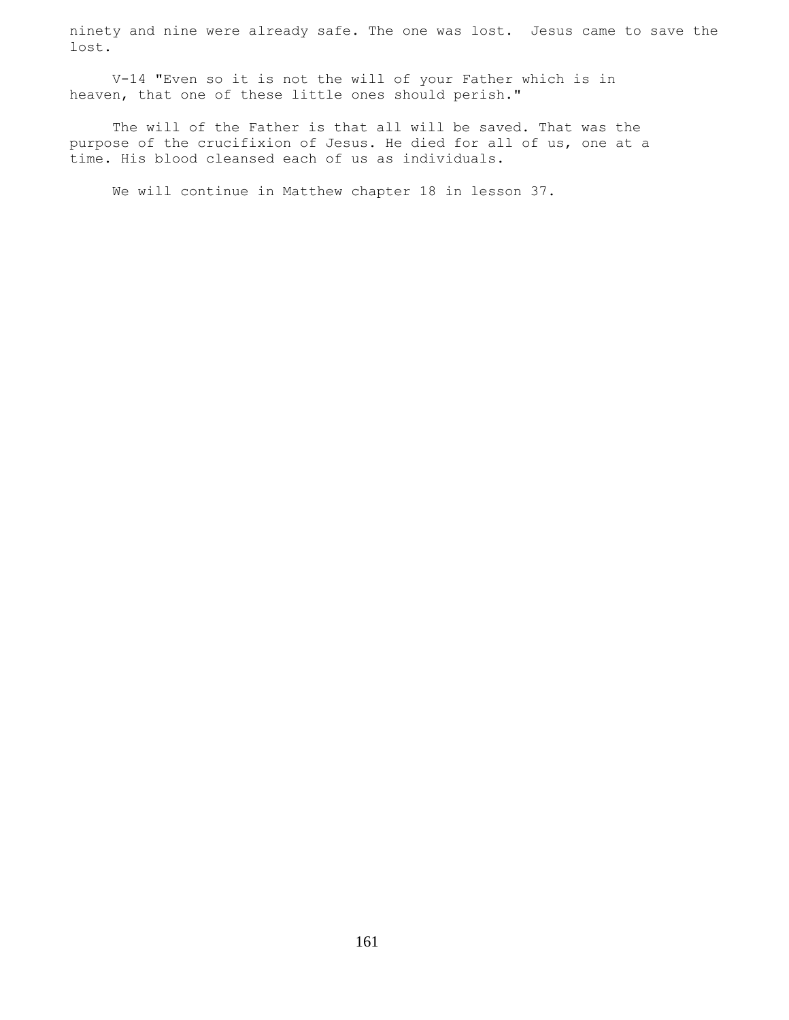ninety and nine were already safe. The one was lost. Jesus came to save the lost.

 V-14 "Even so it is not the will of your Father which is in heaven, that one of these little ones should perish."

 The will of the Father is that all will be saved. That was the purpose of the crucifixion of Jesus. He died for all of us, one at a time. His blood cleansed each of us as individuals.

We will continue in Matthew chapter 18 in lesson 37.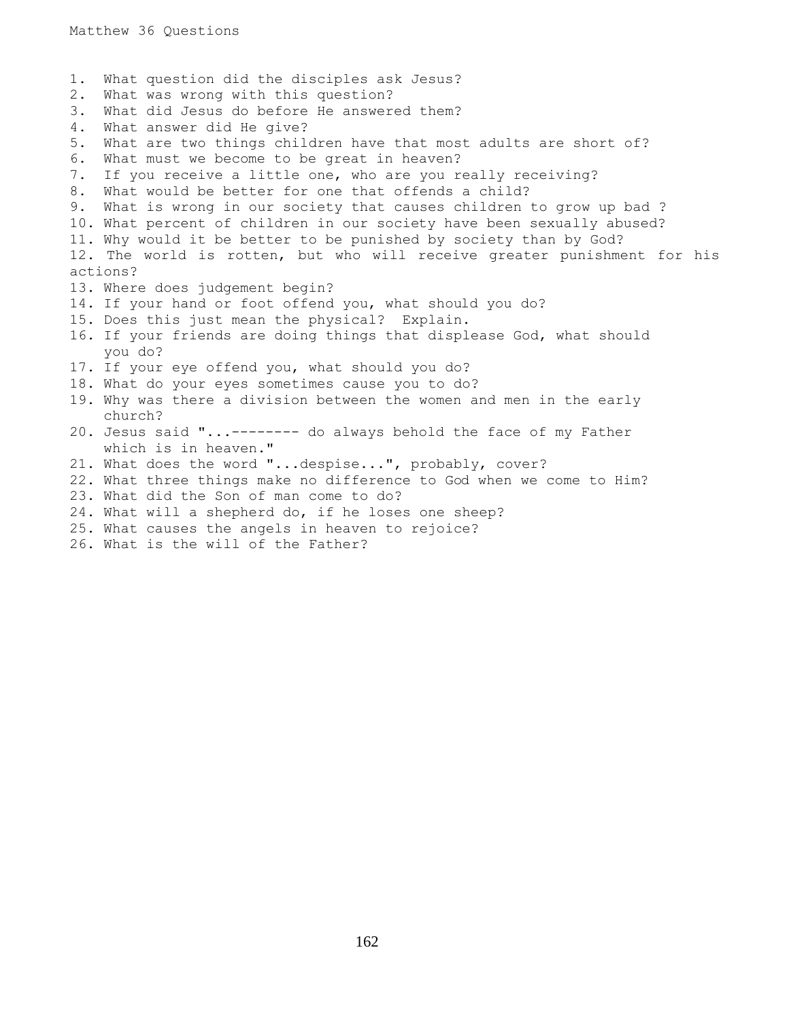1. What question did the disciples ask Jesus? 2. What was wrong with this question? 3. What did Jesus do before He answered them? 4. What answer did He give? 5. What are two things children have that most adults are short of? 6. What must we become to be great in heaven? 7. If you receive a little one, who are you really receiving? 8. What would be better for one that offends a child? 9. What is wrong in our society that causes children to grow up bad ? 10. What percent of children in our society have been sexually abused? 11. Why would it be better to be punished by society than by God? 12. The world is rotten, but who will receive greater punishment for his actions? 13. Where does judgement begin? 14. If your hand or foot offend you, what should you do? 15. Does this just mean the physical? Explain. 16. If your friends are doing things that displease God, what should you do? 17. If your eye offend you, what should you do? 18. What do your eyes sometimes cause you to do? 19. Why was there a division between the women and men in the early church? 20. Jesus said "...-------- do always behold the face of my Father which is in heaven." 21. What does the word "...despise...", probably, cover? 22. What three things make no difference to God when we come to Him? 23. What did the Son of man come to do? 24. What will a shepherd do, if he loses one sheep? 25. What causes the angels in heaven to rejoice?

- 
- 26. What is the will of the Father?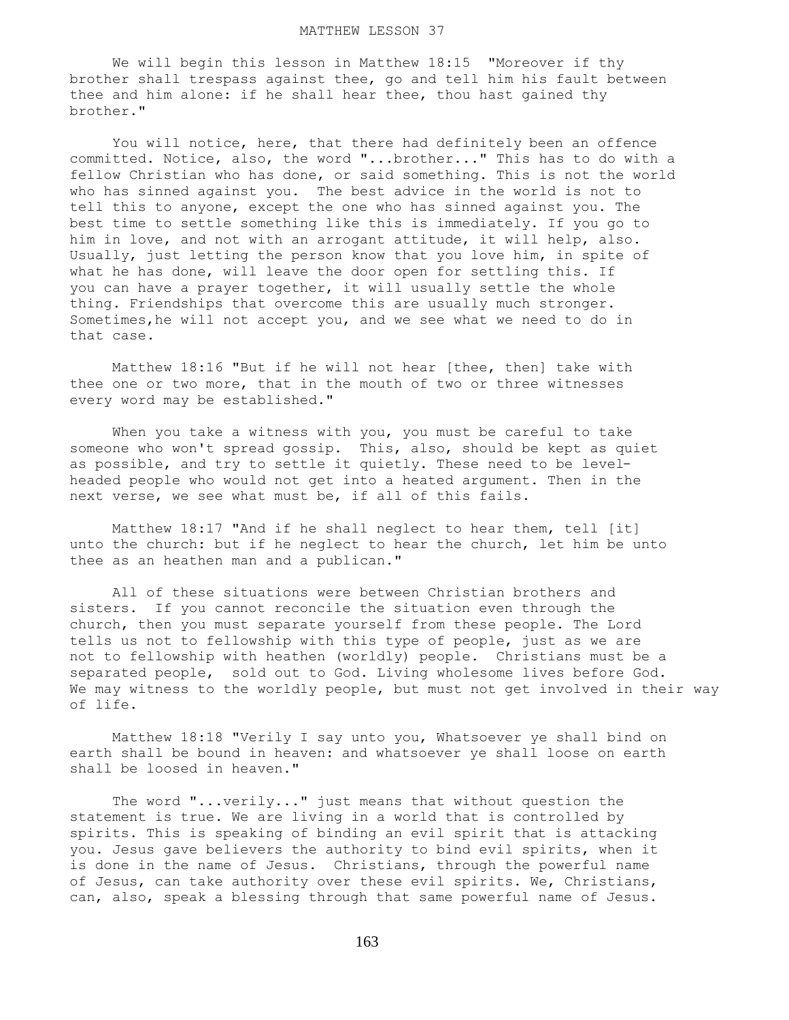We will begin this lesson in Matthew 18:15 "Moreover if thy brother shall trespass against thee, go and tell him his fault between thee and him alone: if he shall hear thee, thou hast gained thy brother."

 You will notice, here, that there had definitely been an offence committed. Notice, also, the word "...brother..." This has to do with a fellow Christian who has done, or said something. This is not the world who has sinned against you. The best advice in the world is not to tell this to anyone, except the one who has sinned against you. The best time to settle something like this is immediately. If you go to him in love, and not with an arrogant attitude, it will help, also. Usually, just letting the person know that you love him, in spite of what he has done, will leave the door open for settling this. If you can have a prayer together, it will usually settle the whole thing. Friendships that overcome this are usually much stronger. Sometimes,he will not accept you, and we see what we need to do in that case.

 Matthew 18:16 "But if he will not hear [thee, then] take with thee one or two more, that in the mouth of two or three witnesses every word may be established."

 When you take a witness with you, you must be careful to take someone who won't spread gossip. This, also, should be kept as quiet as possible, and try to settle it quietly. These need to be levelheaded people who would not get into a heated argument. Then in the next verse, we see what must be, if all of this fails.

 Matthew 18:17 "And if he shall neglect to hear them, tell [it] unto the church: but if he neglect to hear the church, let him be unto thee as an heathen man and a publican."

 All of these situations were between Christian brothers and sisters. If you cannot reconcile the situation even through the church, then you must separate yourself from these people. The Lord tells us not to fellowship with this type of people, just as we are not to fellowship with heathen (worldly) people. Christians must be a separated people, sold out to God. Living wholesome lives before God. We may witness to the worldly people, but must not get involved in their way of life.

 Matthew 18:18 "Verily I say unto you, Whatsoever ye shall bind on earth shall be bound in heaven: and whatsoever ye shall loose on earth shall be loosed in heaven."

 The word "...verily..." just means that without question the statement is true. We are living in a world that is controlled by spirits. This is speaking of binding an evil spirit that is attacking you. Jesus gave believers the authority to bind evil spirits, when it is done in the name of Jesus. Christians, through the powerful name of Jesus, can take authority over these evil spirits. We, Christians, can, also, speak a blessing through that same powerful name of Jesus.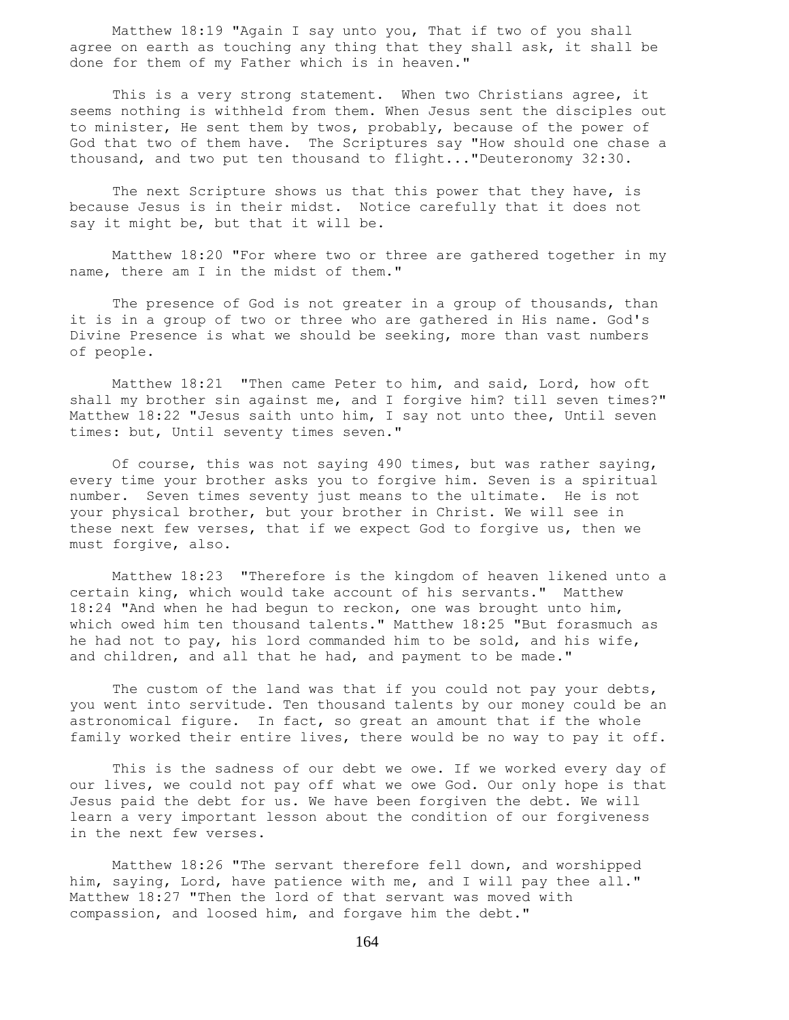Matthew 18:19 "Again I say unto you, That if two of you shall agree on earth as touching any thing that they shall ask, it shall be done for them of my Father which is in heaven."

 This is a very strong statement. When two Christians agree, it seems nothing is withheld from them. When Jesus sent the disciples out to minister, He sent them by twos, probably, because of the power of God that two of them have. The Scriptures say "How should one chase a thousand, and two put ten thousand to flight..."Deuteronomy 32:30.

The next Scripture shows us that this power that they have, is because Jesus is in their midst. Notice carefully that it does not say it might be, but that it will be.

 Matthew 18:20 "For where two or three are gathered together in my name, there am I in the midst of them."

The presence of God is not greater in a group of thousands, than it is in a group of two or three who are gathered in His name. God's Divine Presence is what we should be seeking, more than vast numbers of people.

 Matthew 18:21 "Then came Peter to him, and said, Lord, how oft shall my brother sin against me, and I forgive him? till seven times?" Matthew 18:22 "Jesus saith unto him, I say not unto thee, Until seven times: but, Until seventy times seven."

 Of course, this was not saying 490 times, but was rather saying, every time your brother asks you to forgive him. Seven is a spiritual number. Seven times seventy just means to the ultimate. He is not your physical brother, but your brother in Christ. We will see in these next few verses, that if we expect God to forgive us, then we must forgive, also.

 Matthew 18:23 "Therefore is the kingdom of heaven likened unto a certain king, which would take account of his servants." Matthew 18:24 "And when he had begun to reckon, one was brought unto him, which owed him ten thousand talents." Matthew 18:25 "But forasmuch as he had not to pay, his lord commanded him to be sold, and his wife, and children, and all that he had, and payment to be made."

The custom of the land was that if you could not pay your debts, you went into servitude. Ten thousand talents by our money could be an astronomical figure. In fact, so great an amount that if the whole family worked their entire lives, there would be no way to pay it off.

 This is the sadness of our debt we owe. If we worked every day of our lives, we could not pay off what we owe God. Our only hope is that Jesus paid the debt for us. We have been forgiven the debt. We will learn a very important lesson about the condition of our forgiveness in the next few verses.

 Matthew 18:26 "The servant therefore fell down, and worshipped him, saying, Lord, have patience with me, and I will pay thee all." Matthew 18:27 "Then the lord of that servant was moved with compassion, and loosed him, and forgave him the debt."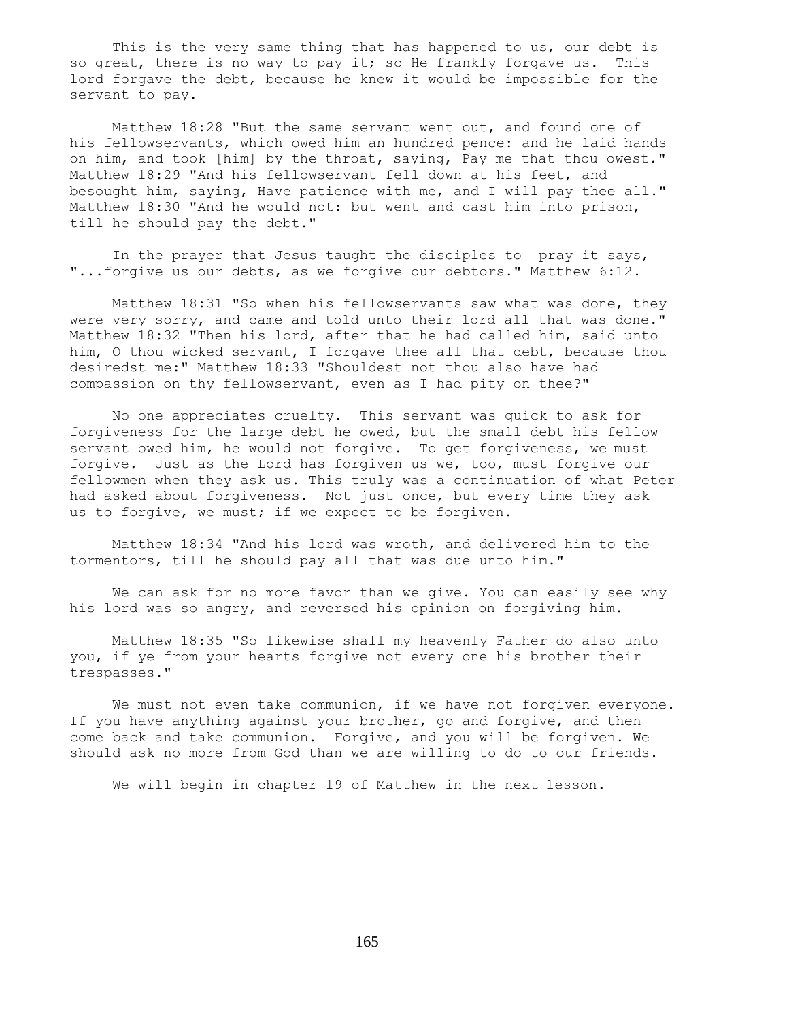This is the very same thing that has happened to us, our debt is so great, there is no way to pay it; so He frankly forgave us. This lord forgave the debt, because he knew it would be impossible for the servant to pay.

 Matthew 18:28 "But the same servant went out, and found one of his fellowservants, which owed him an hundred pence: and he laid hands on him, and took [him] by the throat, saying, Pay me that thou owest." Matthew 18:29 "And his fellowservant fell down at his feet, and besought him, saying, Have patience with me, and I will pay thee all." Matthew 18:30 "And he would not: but went and cast him into prison, till he should pay the debt."

 In the prayer that Jesus taught the disciples to pray it says, "...forgive us our debts, as we forgive our debtors." Matthew 6:12.

 Matthew 18:31 "So when his fellowservants saw what was done, they were very sorry, and came and told unto their lord all that was done." Matthew 18:32 "Then his lord, after that he had called him, said unto him, O thou wicked servant, I forgave thee all that debt, because thou desiredst me:" Matthew 18:33 "Shouldest not thou also have had compassion on thy fellowservant, even as I had pity on thee?"

 No one appreciates cruelty. This servant was quick to ask for forgiveness for the large debt he owed, but the small debt his fellow servant owed him, he would not forgive. To get forgiveness, we must forgive. Just as the Lord has forgiven us we, too, must forgive our fellowmen when they ask us. This truly was a continuation of what Peter had asked about forgiveness. Not just once, but every time they ask us to forgive, we must; if we expect to be forgiven.

 Matthew 18:34 "And his lord was wroth, and delivered him to the tormentors, till he should pay all that was due unto him."

 We can ask for no more favor than we give. You can easily see why his lord was so angry, and reversed his opinion on forgiving him.

 Matthew 18:35 "So likewise shall my heavenly Father do also unto you, if ye from your hearts forgive not every one his brother their trespasses."

 We must not even take communion, if we have not forgiven everyone. If you have anything against your brother, go and forgive, and then come back and take communion. Forgive, and you will be forgiven. We should ask no more from God than we are willing to do to our friends.

We will begin in chapter 19 of Matthew in the next lesson.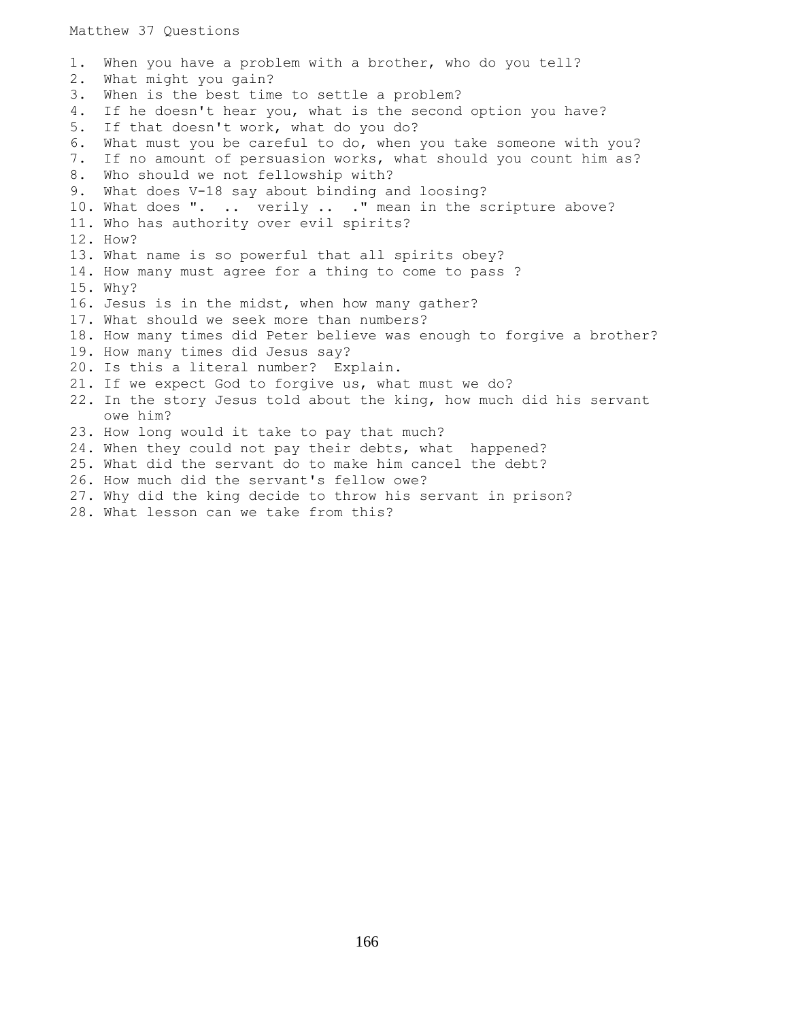Matthew 37 Questions

1. When you have a problem with a brother, who do you tell? 2. What might you gain? 3. When is the best time to settle a problem? 4. If he doesn't hear you, what is the second option you have? 5. If that doesn't work, what do you do? 6. What must you be careful to do, when you take someone with you? 7. If no amount of persuasion works, what should you count him as? 8. Who should we not fellowship with? 9. What does V-18 say about binding and loosing? 10. What does ". .. verily .. ." mean in the scripture above? 11. Who has authority over evil spirits? 12. How? 13. What name is so powerful that all spirits obey? 14. How many must agree for a thing to come to pass ? 15. Why? 16. Jesus is in the midst, when how many gather? 17. What should we seek more than numbers? 18. How many times did Peter believe was enough to forgive a brother? 19. How many times did Jesus say? 20. Is this a literal number? Explain. 21. If we expect God to forgive us, what must we do? 22. In the story Jesus told about the king, how much did his servant owe him? 23. How long would it take to pay that much? 24. When they could not pay their debts, what happened? 25. What did the servant do to make him cancel the debt? 26. How much did the servant's fellow owe? 27. Why did the king decide to throw his servant in prison?

28. What lesson can we take from this?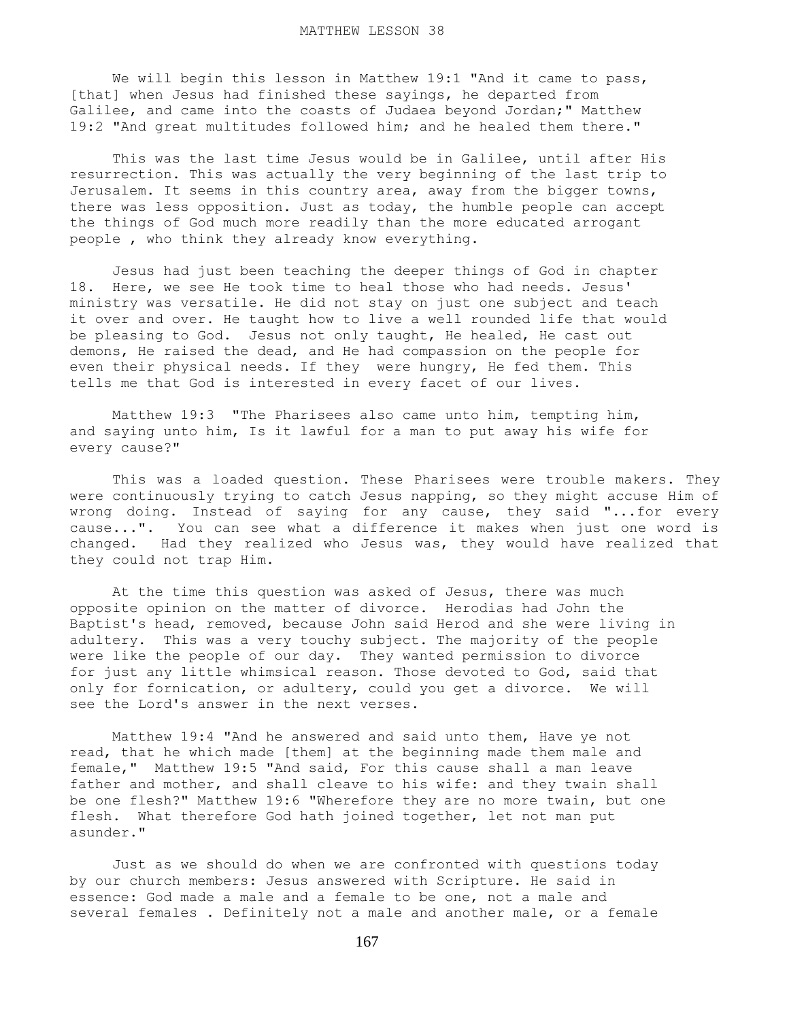We will begin this lesson in Matthew 19:1 "And it came to pass, [that] when Jesus had finished these sayings, he departed from Galilee, and came into the coasts of Judaea beyond Jordan;" Matthew 19:2 "And great multitudes followed him; and he healed them there."

 This was the last time Jesus would be in Galilee, until after His resurrection. This was actually the very beginning of the last trip to Jerusalem. It seems in this country area, away from the bigger towns, there was less opposition. Just as today, the humble people can accept the things of God much more readily than the more educated arrogant people , who think they already know everything.

 Jesus had just been teaching the deeper things of God in chapter 18. Here, we see He took time to heal those who had needs. Jesus' ministry was versatile. He did not stay on just one subject and teach it over and over. He taught how to live a well rounded life that would be pleasing to God. Jesus not only taught, He healed, He cast out demons, He raised the dead, and He had compassion on the people for even their physical needs. If they were hungry, He fed them. This tells me that God is interested in every facet of our lives.

 Matthew 19:3 "The Pharisees also came unto him, tempting him, and saying unto him, Is it lawful for a man to put away his wife for every cause?"

 This was a loaded question. These Pharisees were trouble makers. They were continuously trying to catch Jesus napping, so they might accuse Him of wrong doing. Instead of saying for any cause, they said "...for every cause...". You can see what a difference it makes when just one word is changed. Had they realized who Jesus was, they would have realized that they could not trap Him.

 At the time this question was asked of Jesus, there was much opposite opinion on the matter of divorce. Herodias had John the Baptist's head, removed, because John said Herod and she were living in adultery. This was a very touchy subject. The majority of the people were like the people of our day. They wanted permission to divorce for just any little whimsical reason. Those devoted to God, said that only for fornication, or adultery, could you get a divorce. We will see the Lord's answer in the next verses.

 Matthew 19:4 "And he answered and said unto them, Have ye not read, that he which made [them] at the beginning made them male and female," Matthew 19:5 "And said, For this cause shall a man leave father and mother, and shall cleave to his wife: and they twain shall be one flesh?" Matthew 19:6 "Wherefore they are no more twain, but one flesh. What therefore God hath joined together, let not man put asunder."

 Just as we should do when we are confronted with questions today by our church members: Jesus answered with Scripture. He said in essence: God made a male and a female to be one, not a male and several females . Definitely not a male and another male, or a female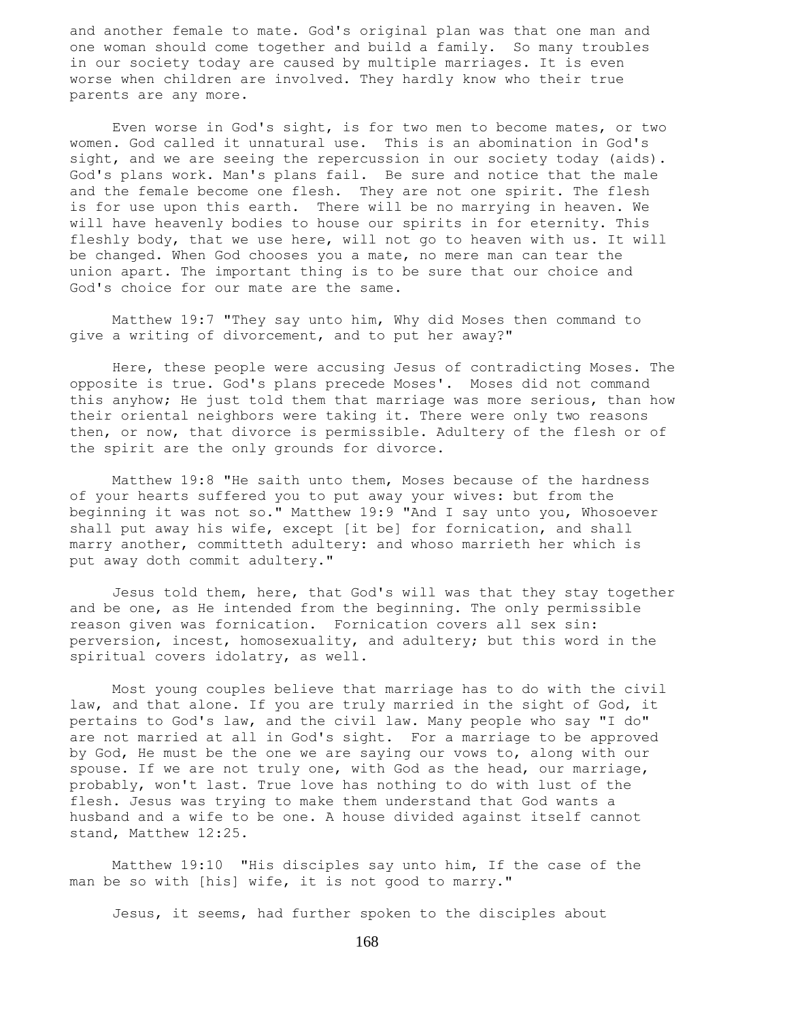and another female to mate. God's original plan was that one man and one woman should come together and build a family. So many troubles in our society today are caused by multiple marriages. It is even worse when children are involved. They hardly know who their true parents are any more.

 Even worse in God's sight, is for two men to become mates, or two women. God called it unnatural use. This is an abomination in God's sight, and we are seeing the repercussion in our society today (aids). God's plans work. Man's plans fail. Be sure and notice that the male and the female become one flesh. They are not one spirit. The flesh is for use upon this earth. There will be no marrying in heaven. We will have heavenly bodies to house our spirits in for eternity. This fleshly body, that we use here, will not go to heaven with us. It will be changed. When God chooses you a mate, no mere man can tear the union apart. The important thing is to be sure that our choice and God's choice for our mate are the same.

 Matthew 19:7 "They say unto him, Why did Moses then command to give a writing of divorcement, and to put her away?"

 Here, these people were accusing Jesus of contradicting Moses. The opposite is true. God's plans precede Moses'. Moses did not command this anyhow; He just told them that marriage was more serious, than how their oriental neighbors were taking it. There were only two reasons then, or now, that divorce is permissible. Adultery of the flesh or of the spirit are the only grounds for divorce.

 Matthew 19:8 "He saith unto them, Moses because of the hardness of your hearts suffered you to put away your wives: but from the beginning it was not so." Matthew 19:9 "And I say unto you, Whosoever shall put away his wife, except [it be] for fornication, and shall marry another, committeth adultery: and whoso marrieth her which is put away doth commit adultery."

 Jesus told them, here, that God's will was that they stay together and be one, as He intended from the beginning. The only permissible reason given was fornication. Fornication covers all sex sin: perversion, incest, homosexuality, and adultery; but this word in the spiritual covers idolatry, as well.

 Most young couples believe that marriage has to do with the civil law, and that alone. If you are truly married in the sight of God, it pertains to God's law, and the civil law. Many people who say "I do" are not married at all in God's sight. For a marriage to be approved by God, He must be the one we are saying our vows to, along with our spouse. If we are not truly one, with God as the head, our marriage, probably, won't last. True love has nothing to do with lust of the flesh. Jesus was trying to make them understand that God wants a husband and a wife to be one. A house divided against itself cannot stand, Matthew 12:25.

 Matthew 19:10 "His disciples say unto him, If the case of the man be so with [his] wife, it is not good to marry."

Jesus, it seems, had further spoken to the disciples about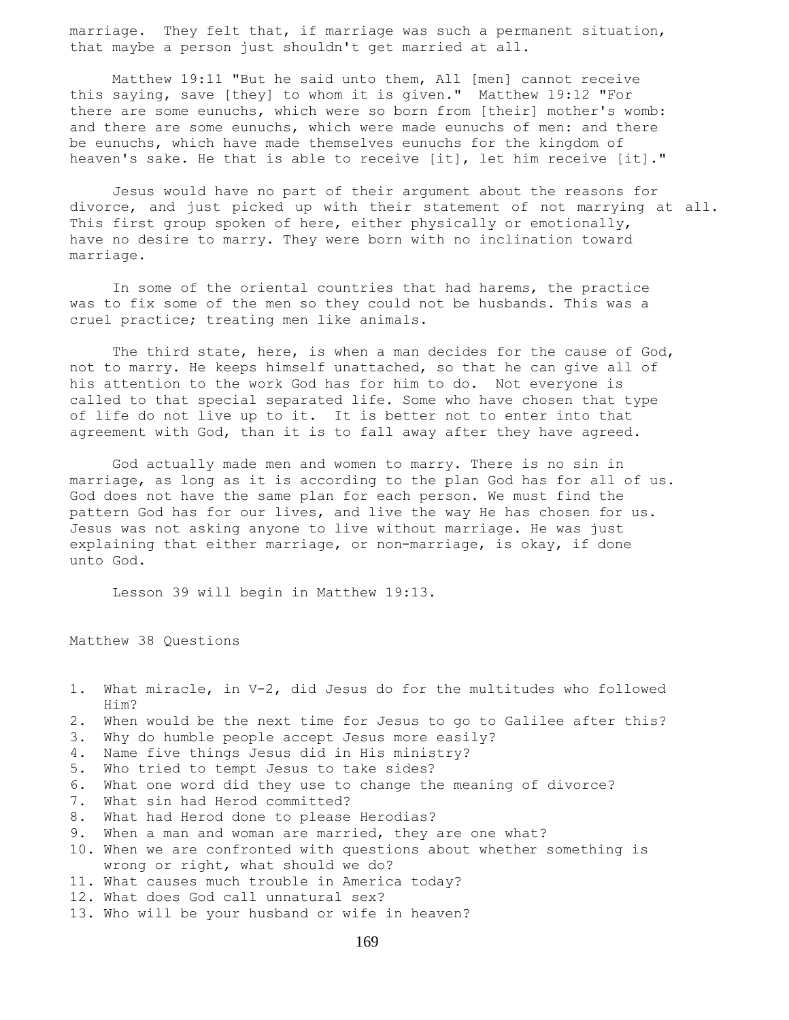marriage. They felt that, if marriage was such a permanent situation, that maybe a person just shouldn't get married at all.

 Matthew 19:11 "But he said unto them, All [men] cannot receive this saying, save [they] to whom it is given." Matthew 19:12 "For there are some eunuchs, which were so born from [their] mother's womb: and there are some eunuchs, which were made eunuchs of men: and there be eunuchs, which have made themselves eunuchs for the kingdom of heaven's sake. He that is able to receive [it], let him receive [it]."

 Jesus would have no part of their argument about the reasons for divorce, and just picked up with their statement of not marrying at all. This first group spoken of here, either physically or emotionally, have no desire to marry. They were born with no inclination toward marriage.

 In some of the oriental countries that had harems, the practice was to fix some of the men so they could not be husbands. This was a cruel practice; treating men like animals.

 The third state, here, is when a man decides for the cause of God, not to marry. He keeps himself unattached, so that he can give all of his attention to the work God has for him to do. Not everyone is called to that special separated life. Some who have chosen that type of life do not live up to it. It is better not to enter into that agreement with God, than it is to fall away after they have agreed.

 God actually made men and women to marry. There is no sin in marriage, as long as it is according to the plan God has for all of us. God does not have the same plan for each person. We must find the pattern God has for our lives, and live the way He has chosen for us. Jesus was not asking anyone to live without marriage. He was just explaining that either marriage, or non-marriage, is okay, if done unto God.

Lesson 39 will begin in Matthew 19:13.

Matthew 38 Questions

- 1. What miracle, in V-2, did Jesus do for the multitudes who followed Him?
- 2. When would be the next time for Jesus to go to Galilee after this?
- 3. Why do humble people accept Jesus more easily?
- 4. Name five things Jesus did in His ministry?
- 5. Who tried to tempt Jesus to take sides?
- 6. What one word did they use to change the meaning of divorce?
- 7. What sin had Herod committed?
- 8. What had Herod done to please Herodias?
- 9. When a man and woman are married, they are one what?
- 10. When we are confronted with questions about whether something is wrong or right, what should we do?
- 11. What causes much trouble in America today?
- 12. What does God call unnatural sex?
- 13. Who will be your husband or wife in heaven?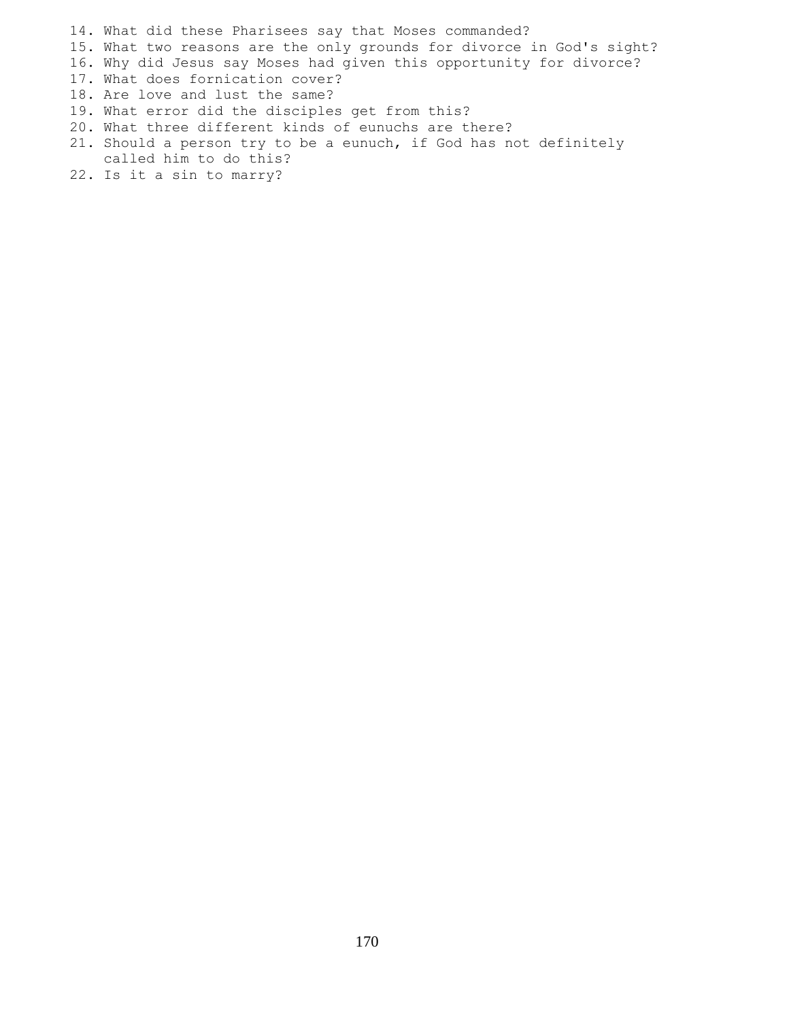14. What did these Pharisees say that Moses commanded?

15. What two reasons are the only grounds for divorce in God's sight?

- 16. Why did Jesus say Moses had given this opportunity for divorce?
- 17. What does fornication cover?
- 18. Are love and lust the same?
- 19. What error did the disciples get from this?
- 20. What three different kinds of eunuchs are there?
- 21. Should a person try to be a eunuch, if God has not definitely called him to do this?
- 22. Is it a sin to marry?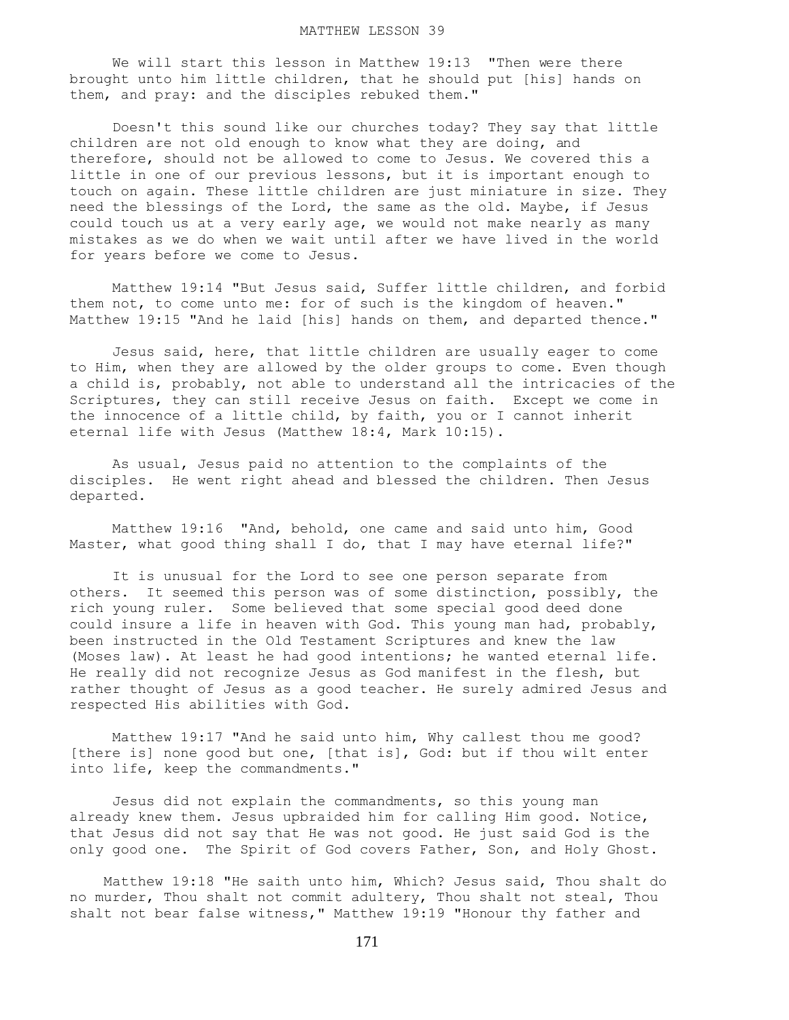We will start this lesson in Matthew 19:13 "Then were there brought unto him little children, that he should put [his] hands on them, and pray: and the disciples rebuked them."

 Doesn't this sound like our churches today? They say that little children are not old enough to know what they are doing, and therefore, should not be allowed to come to Jesus. We covered this a little in one of our previous lessons, but it is important enough to touch on again. These little children are just miniature in size. They need the blessings of the Lord, the same as the old. Maybe, if Jesus could touch us at a very early age, we would not make nearly as many mistakes as we do when we wait until after we have lived in the world for years before we come to Jesus.

 Matthew 19:14 "But Jesus said, Suffer little children, and forbid them not, to come unto me: for of such is the kingdom of heaven." Matthew 19:15 "And he laid [his] hands on them, and departed thence."

 Jesus said, here, that little children are usually eager to come to Him, when they are allowed by the older groups to come. Even though a child is, probably, not able to understand all the intricacies of the Scriptures, they can still receive Jesus on faith. Except we come in the innocence of a little child, by faith, you or I cannot inherit eternal life with Jesus (Matthew 18:4, Mark 10:15).

 As usual, Jesus paid no attention to the complaints of the disciples. He went right ahead and blessed the children. Then Jesus departed.

 Matthew 19:16 "And, behold, one came and said unto him, Good Master, what good thing shall I do, that I may have eternal life?"

 It is unusual for the Lord to see one person separate from others. It seemed this person was of some distinction, possibly, the rich young ruler. Some believed that some special good deed done could insure a life in heaven with God. This young man had, probably, been instructed in the Old Testament Scriptures and knew the law (Moses law). At least he had good intentions; he wanted eternal life. He really did not recognize Jesus as God manifest in the flesh, but rather thought of Jesus as a good teacher. He surely admired Jesus and respected His abilities with God.

 Matthew 19:17 "And he said unto him, Why callest thou me good? [there is] none good but one, [that is], God: but if thou wilt enter into life, keep the commandments."

 Jesus did not explain the commandments, so this young man already knew them. Jesus upbraided him for calling Him good. Notice, that Jesus did not say that He was not good. He just said God is the only good one. The Spirit of God covers Father, Son, and Holy Ghost.

 Matthew 19:18 "He saith unto him, Which? Jesus said, Thou shalt do no murder, Thou shalt not commit adultery, Thou shalt not steal, Thou shalt not bear false witness," Matthew 19:19 "Honour thy father and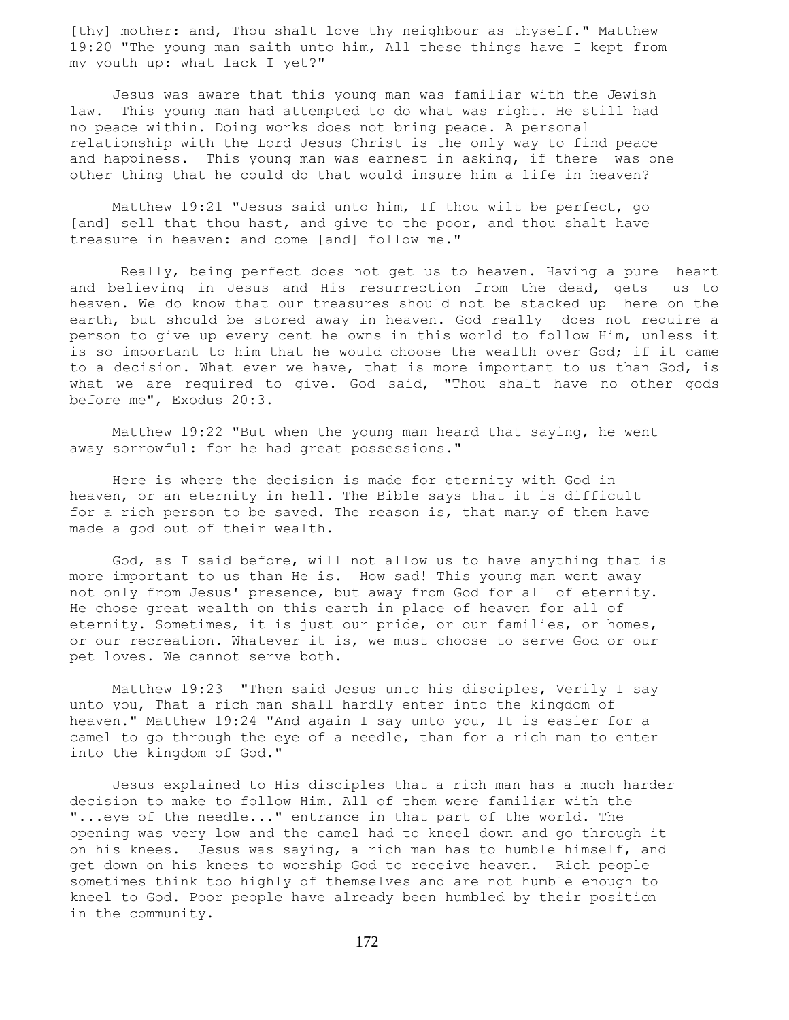[thy] mother: and, Thou shalt love thy neighbour as thyself." Matthew 19:20 "The young man saith unto him, All these things have I kept from my youth up: what lack I yet?"

 Jesus was aware that this young man was familiar with the Jewish law. This young man had attempted to do what was right. He still had no peace within. Doing works does not bring peace. A personal relationship with the Lord Jesus Christ is the only way to find peace and happiness. This young man was earnest in asking, if there was one other thing that he could do that would insure him a life in heaven?

 Matthew 19:21 "Jesus said unto him, If thou wilt be perfect, go [and] sell that thou hast, and give to the poor, and thou shalt have treasure in heaven: and come [and] follow me."

 Really, being perfect does not get us to heaven. Having a pure heart and believing in Jesus and His resurrection from the dead, gets us to heaven. We do know that our treasures should not be stacked up here on the earth, but should be stored away in heaven. God really does not require a person to give up every cent he owns in this world to follow Him, unless it is so important to him that he would choose the wealth over God; if it came to a decision. What ever we have, that is more important to us than God, is what we are required to give. God said, "Thou shalt have no other gods before me", Exodus 20:3.

 Matthew 19:22 "But when the young man heard that saying, he went away sorrowful: for he had great possessions."

 Here is where the decision is made for eternity with God in heaven, or an eternity in hell. The Bible says that it is difficult for a rich person to be saved. The reason is, that many of them have made a god out of their wealth.

 God, as I said before, will not allow us to have anything that is more important to us than He is. How sad! This young man went away not only from Jesus' presence, but away from God for all of eternity. He chose great wealth on this earth in place of heaven for all of eternity. Sometimes, it is just our pride, or our families, or homes, or our recreation. Whatever it is, we must choose to serve God or our pet loves. We cannot serve both.

 Matthew 19:23 "Then said Jesus unto his disciples, Verily I say unto you, That a rich man shall hardly enter into the kingdom of heaven." Matthew 19:24 "And again I say unto you, It is easier for a camel to go through the eye of a needle, than for a rich man to enter into the kingdom of God."

 Jesus explained to His disciples that a rich man has a much harder decision to make to follow Him. All of them were familiar with the "...eye of the needle..." entrance in that part of the world. The opening was very low and the camel had to kneel down and go through it on his knees. Jesus was saying, a rich man has to humble himself, and get down on his knees to worship God to receive heaven. Rich people sometimes think too highly of themselves and are not humble enough to kneel to God. Poor people have already been humbled by their position in the community.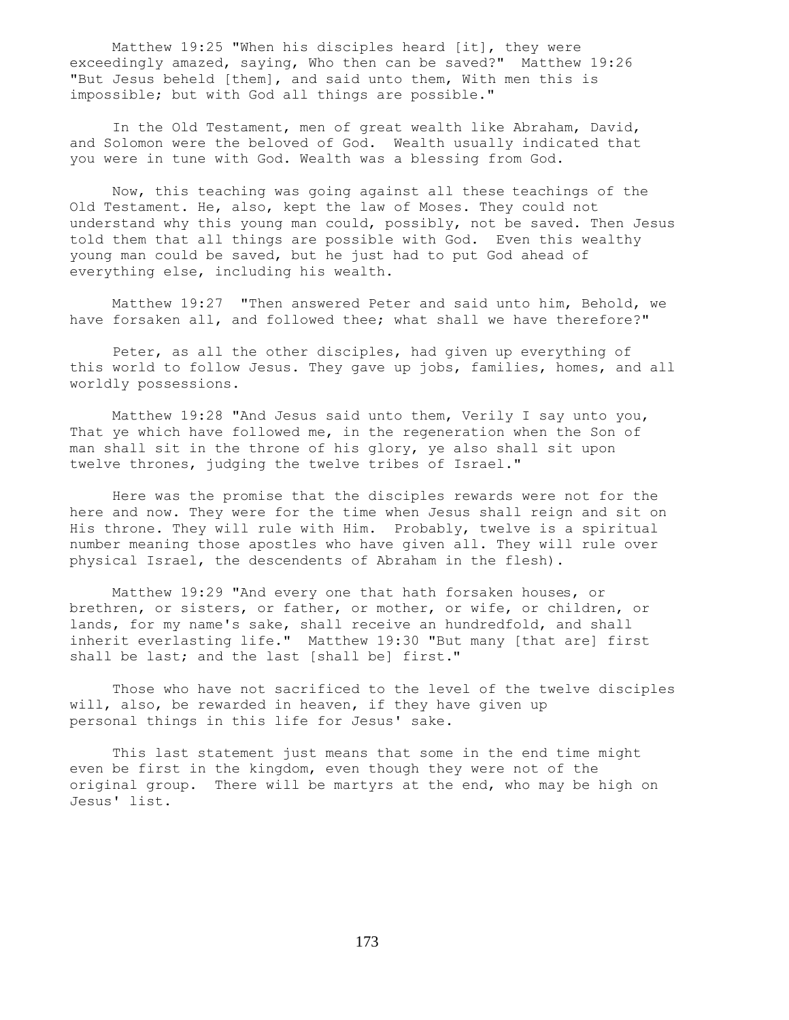Matthew 19:25 "When his disciples heard [it], they were exceedingly amazed, saying, Who then can be saved?" Matthew 19:26 "But Jesus beheld [them], and said unto them, With men this is impossible; but with God all things are possible."

 In the Old Testament, men of great wealth like Abraham, David, and Solomon were the beloved of God. Wealth usually indicated that you were in tune with God. Wealth was a blessing from God.

 Now, this teaching was going against all these teachings of the Old Testament. He, also, kept the law of Moses. They could not understand why this young man could, possibly, not be saved. Then Jesus told them that all things are possible with God. Even this wealthy young man could be saved, but he just had to put God ahead of everything else, including his wealth.

 Matthew 19:27 "Then answered Peter and said unto him, Behold, we have forsaken all, and followed thee; what shall we have therefore?"

 Peter, as all the other disciples, had given up everything of this world to follow Jesus. They gave up jobs, families, homes, and all worldly possessions.

 Matthew 19:28 "And Jesus said unto them, Verily I say unto you, That ye which have followed me, in the regeneration when the Son of man shall sit in the throne of his glory, ye also shall sit upon twelve thrones, judging the twelve tribes of Israel."

 Here was the promise that the disciples rewards were not for the here and now. They were for the time when Jesus shall reign and sit on His throne. They will rule with Him. Probably, twelve is a spiritual number meaning those apostles who have given all. They will rule over physical Israel, the descendents of Abraham in the flesh).

 Matthew 19:29 "And every one that hath forsaken houses, or brethren, or sisters, or father, or mother, or wife, or children, or lands, for my name's sake, shall receive an hundredfold, and shall inherit everlasting life." Matthew 19:30 "But many [that are] first shall be last; and the last [shall be] first."

 Those who have not sacrificed to the level of the twelve disciples will, also, be rewarded in heaven, if they have given up personal things in this life for Jesus' sake.

 This last statement just means that some in the end time might even be first in the kingdom, even though they were not of the original group. There will be martyrs at the end, who may be high on Jesus' list.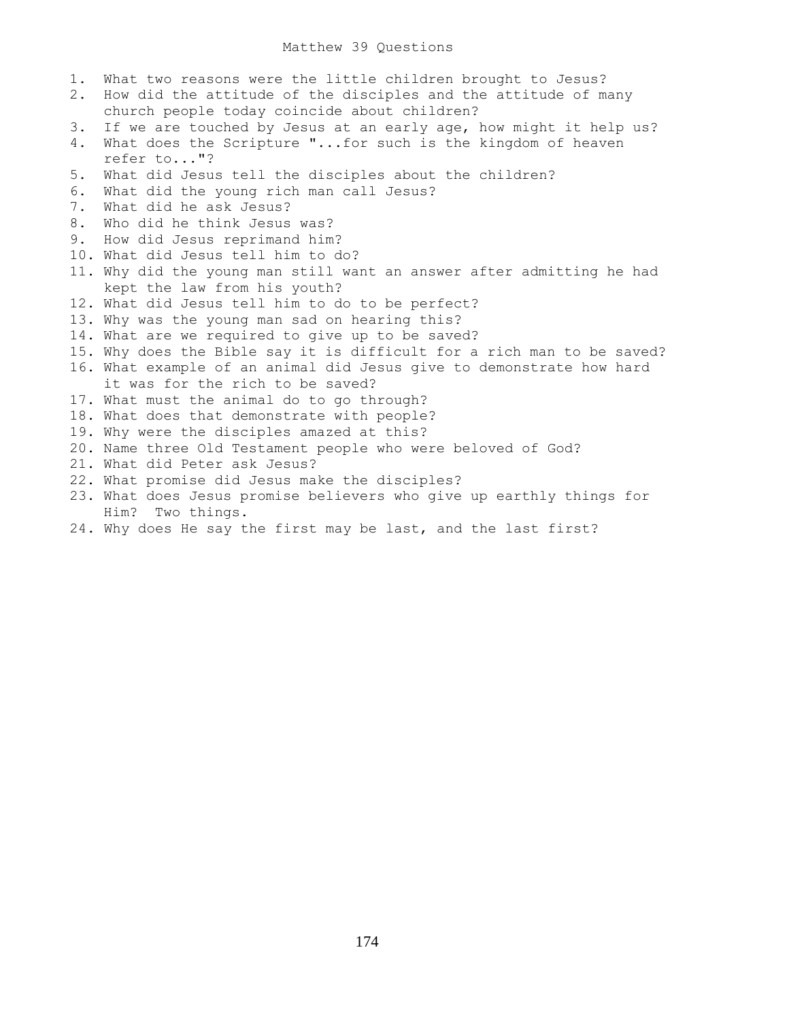## Matthew 39 Questions

- 1. What two reasons were the little children brought to Jesus? 2. How did the attitude of the disciples and the attitude of many church people today coincide about children? 3. If we are touched by Jesus at an early age, how might it help us? 4. What does the Scripture "...for such is the kingdom of heaven refer to..."? 5. What did Jesus tell the disciples about the children? 6. What did the young rich man call Jesus? 7. What did he ask Jesus? 8. Who did he think Jesus was? 9. How did Jesus reprimand him? 10. What did Jesus tell him to do? 11. Why did the young man still want an answer after admitting he had kept the law from his youth? 12. What did Jesus tell him to do to be perfect? 13. Why was the young man sad on hearing this? 14. What are we required to give up to be saved? 15. Why does the Bible say it is difficult for a rich man to be saved? 16. What example of an animal did Jesus give to demonstrate how hard it was for the rich to be saved? 17. What must the animal do to go through? 18. What does that demonstrate with people? 19. Why were the disciples amazed at this? 20. Name three Old Testament people who were beloved of God? 21. What did Peter ask Jesus? 22. What promise did Jesus make the disciples? 23. What does Jesus promise believers who give up earthly things for Him? Two things.
- 24. Why does He say the first may be last, and the last first?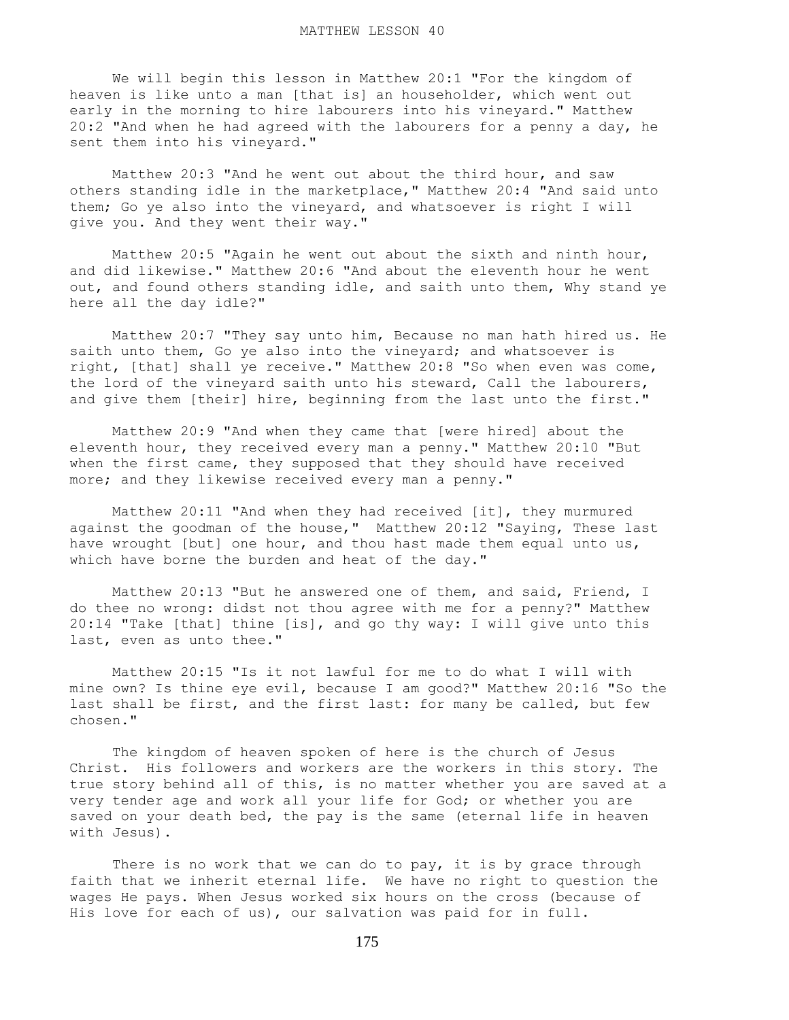We will begin this lesson in Matthew 20:1 "For the kingdom of heaven is like unto a man [that is] an householder, which went out early in the morning to hire labourers into his vineyard." Matthew 20:2 "And when he had agreed with the labourers for a penny a day, he sent them into his vineyard."

 Matthew 20:3 "And he went out about the third hour, and saw others standing idle in the marketplace," Matthew 20:4 "And said unto them; Go ye also into the vineyard, and whatsoever is right I will give you. And they went their way."

 Matthew 20:5 "Again he went out about the sixth and ninth hour, and did likewise." Matthew 20:6 "And about the eleventh hour he went out, and found others standing idle, and saith unto them, Why stand ye here all the day idle?"

 Matthew 20:7 "They say unto him, Because no man hath hired us. He saith unto them, Go ye also into the vineyard; and whatsoever is right, [that] shall ye receive." Matthew 20:8 "So when even was come, the lord of the vineyard saith unto his steward, Call the labourers, and give them [their] hire, beginning from the last unto the first."

 Matthew 20:9 "And when they came that [were hired] about the eleventh hour, they received every man a penny." Matthew 20:10 "But when the first came, they supposed that they should have received more; and they likewise received every man a penny."

 Matthew 20:11 "And when they had received [it], they murmured against the goodman of the house," Matthew 20:12 "Saying, These last have wrought [but] one hour, and thou hast made them equal unto us, which have borne the burden and heat of the day."

 Matthew 20:13 "But he answered one of them, and said, Friend, I do thee no wrong: didst not thou agree with me for a penny?" Matthew 20:14 "Take [that] thine [is], and go thy way: I will give unto this last, even as unto thee."

 Matthew 20:15 "Is it not lawful for me to do what I will with mine own? Is thine eye evil, because I am good?" Matthew 20:16 "So the last shall be first, and the first last: for many be called, but few chosen."

 The kingdom of heaven spoken of here is the church of Jesus Christ. His followers and workers are the workers in this story. The true story behind all of this, is no matter whether you are saved at a very tender age and work all your life for God; or whether you are saved on your death bed, the pay is the same (eternal life in heaven with Jesus).

There is no work that we can do to pay, it is by grace through faith that we inherit eternal life. We have no right to question the wages He pays. When Jesus worked six hours on the cross (because of His love for each of us), our salvation was paid for in full.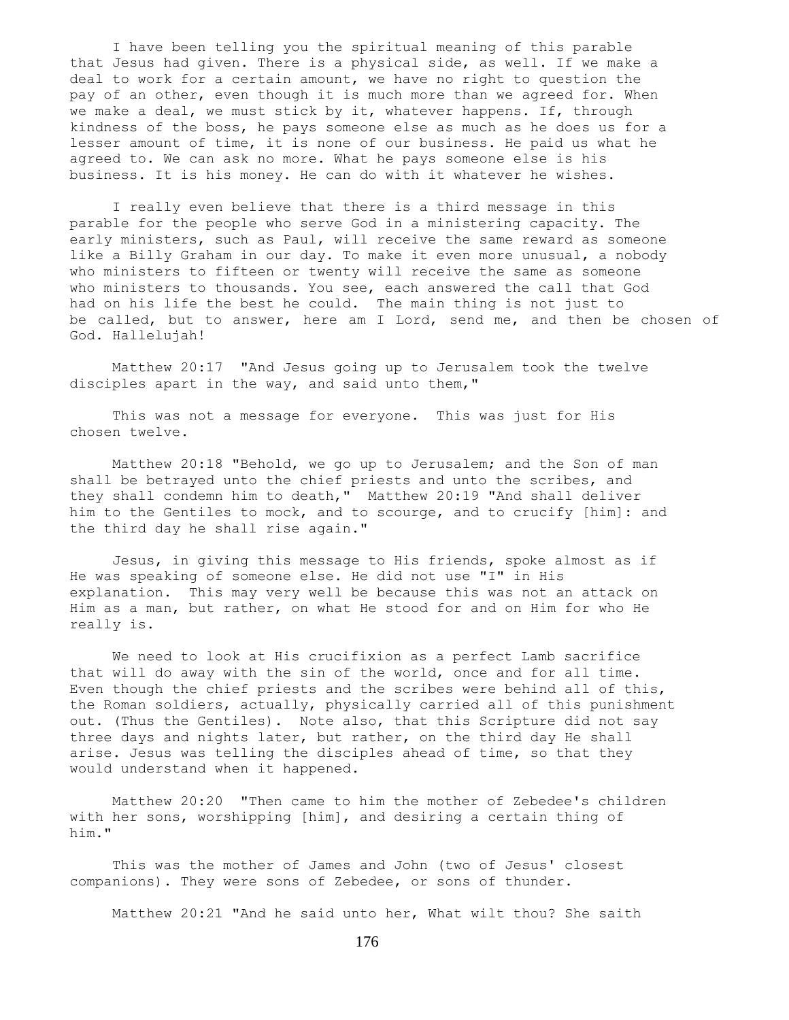I have been telling you the spiritual meaning of this parable that Jesus had given. There is a physical side, as well. If we make a deal to work for a certain amount, we have no right to question the pay of an other, even though it is much more than we agreed for. When we make a deal, we must stick by it, whatever happens. If, through kindness of the boss, he pays someone else as much as he does us for a lesser amount of time, it is none of our business. He paid us what he agreed to. We can ask no more. What he pays someone else is his business. It is his money. He can do with it whatever he wishes.

 I really even believe that there is a third message in this parable for the people who serve God in a ministering capacity. The early ministers, such as Paul, will receive the same reward as someone like a Billy Graham in our day. To make it even more unusual, a nobody who ministers to fifteen or twenty will receive the same as someone who ministers to thousands. You see, each answered the call that God had on his life the best he could. The main thing is not just to be called, but to answer, here am I Lord, send me, and then be chosen of God. Hallelujah!

 Matthew 20:17 "And Jesus going up to Jerusalem took the twelve disciples apart in the way, and said unto them,"

 This was not a message for everyone. This was just for His chosen twelve.

 Matthew 20:18 "Behold, we go up to Jerusalem; and the Son of man shall be betrayed unto the chief priests and unto the scribes, and they shall condemn him to death," Matthew 20:19 "And shall deliver him to the Gentiles to mock, and to scourge, and to crucify [him]: and the third day he shall rise again."

 Jesus, in giving this message to His friends, spoke almost as if He was speaking of someone else. He did not use "I" in His explanation. This may very well be because this was not an attack on Him as a man, but rather, on what He stood for and on Him for who He really is.

 We need to look at His crucifixion as a perfect Lamb sacrifice that will do away with the sin of the world, once and for all time. Even though the chief priests and the scribes were behind all of this, the Roman soldiers, actually, physically carried all of this punishment out. (Thus the Gentiles). Note also, that this Scripture did not say three days and nights later, but rather, on the third day He shall arise. Jesus was telling the disciples ahead of time, so that they would understand when it happened.

 Matthew 20:20 "Then came to him the mother of Zebedee's children with her sons, worshipping [him], and desiring a certain thing of him."

 This was the mother of James and John (two of Jesus' closest companions). They were sons of Zebedee, or sons of thunder.

Matthew 20:21 "And he said unto her, What wilt thou? She saith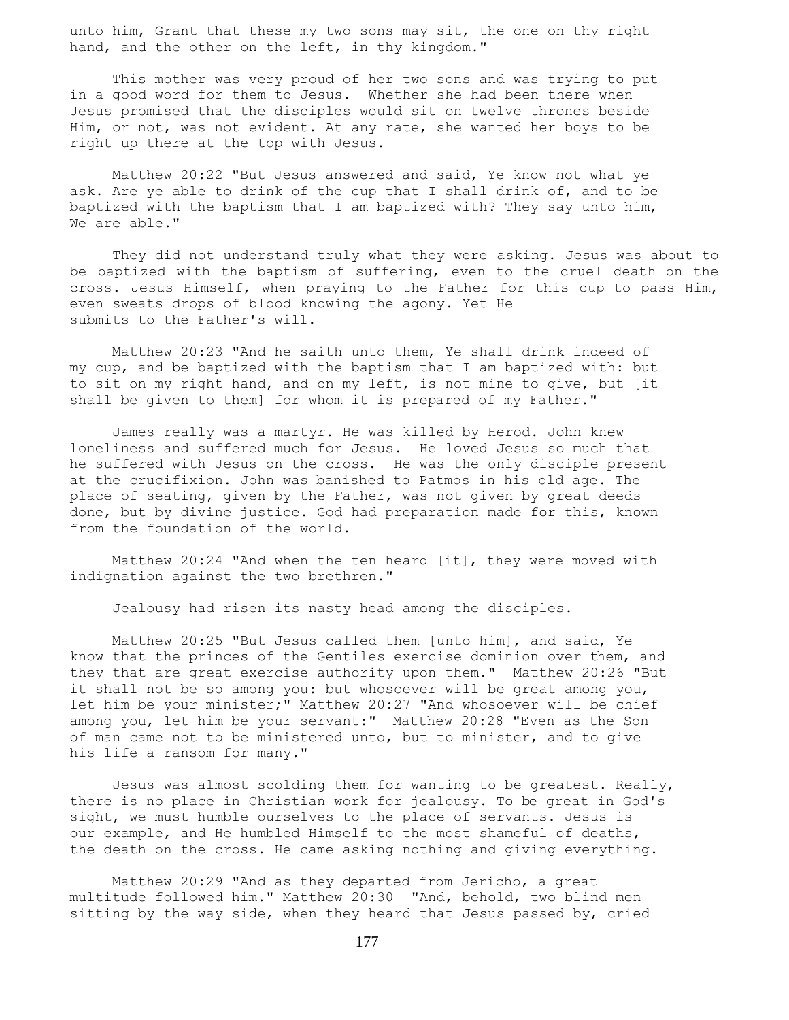unto him, Grant that these my two sons may sit, the one on thy right hand, and the other on the left, in thy kingdom."

 This mother was very proud of her two sons and was trying to put in a good word for them to Jesus. Whether she had been there when Jesus promised that the disciples would sit on twelve thrones beside Him, or not, was not evident. At any rate, she wanted her boys to be right up there at the top with Jesus.

 Matthew 20:22 "But Jesus answered and said, Ye know not what ye ask. Are ye able to drink of the cup that I shall drink of, and to be baptized with the baptism that I am baptized with? They say unto him, We are able."

 They did not understand truly what they were asking. Jesus was about to be baptized with the baptism of suffering, even to the cruel death on the cross. Jesus Himself, when praying to the Father for this cup to pass Him, even sweats drops of blood knowing the agony. Yet He submits to the Father's will.

 Matthew 20:23 "And he saith unto them, Ye shall drink indeed of my cup, and be baptized with the baptism that I am baptized with: but to sit on my right hand, and on my left, is not mine to give, but [it shall be given to them] for whom it is prepared of my Father."

 James really was a martyr. He was killed by Herod. John knew loneliness and suffered much for Jesus. He loved Jesus so much that he suffered with Jesus on the cross. He was the only disciple present at the crucifixion. John was banished to Patmos in his old age. The place of seating, given by the Father, was not given by great deeds done, but by divine justice. God had preparation made for this, known from the foundation of the world.

 Matthew 20:24 "And when the ten heard [it], they were moved with indignation against the two brethren."

Jealousy had risen its nasty head among the disciples.

 Matthew 20:25 "But Jesus called them [unto him], and said, Ye know that the princes of the Gentiles exercise dominion over them, and they that are great exercise authority upon them." Matthew 20:26 "But it shall not be so among you: but whosoever will be great among you, let him be your minister;" Matthew 20:27 "And whosoever will be chief among you, let him be your servant:" Matthew 20:28 "Even as the Son of man came not to be ministered unto, but to minister, and to give his life a ransom for many."

 Jesus was almost scolding them for wanting to be greatest. Really, there is no place in Christian work for jealousy. To be great in God's sight, we must humble ourselves to the place of servants. Jesus is our example, and He humbled Himself to the most shameful of deaths, the death on the cross. He came asking nothing and giving everything.

 Matthew 20:29 "And as they departed from Jericho, a great multitude followed him." Matthew 20:30 "And, behold, two blind men sitting by the way side, when they heard that Jesus passed by, cried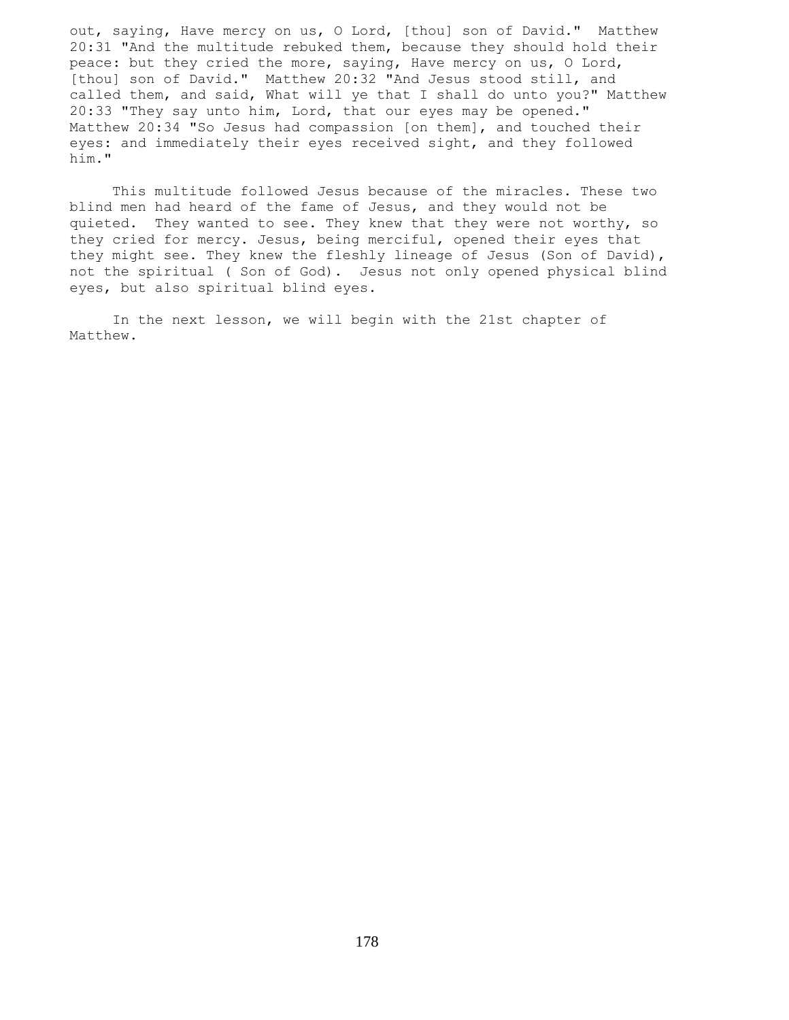out, saying, Have mercy on us, O Lord, [thou] son of David." Matthew 20:31 "And the multitude rebuked them, because they should hold their peace: but they cried the more, saying, Have mercy on us, O Lord, [thou] son of David." Matthew 20:32 "And Jesus stood still, and called them, and said, What will ye that I shall do unto you?" Matthew 20:33 "They say unto him, Lord, that our eyes may be opened." Matthew 20:34 "So Jesus had compassion [on them], and touched their eyes: and immediately their eyes received sight, and they followed him."

 This multitude followed Jesus because of the miracles. These two blind men had heard of the fame of Jesus, and they would not be quieted. They wanted to see. They knew that they were not worthy, so they cried for mercy. Jesus, being merciful, opened their eyes that they might see. They knew the fleshly lineage of Jesus (Son of David), not the spiritual ( Son of God). Jesus not only opened physical blind eyes, but also spiritual blind eyes.

 In the next lesson, we will begin with the 21st chapter of Matthew.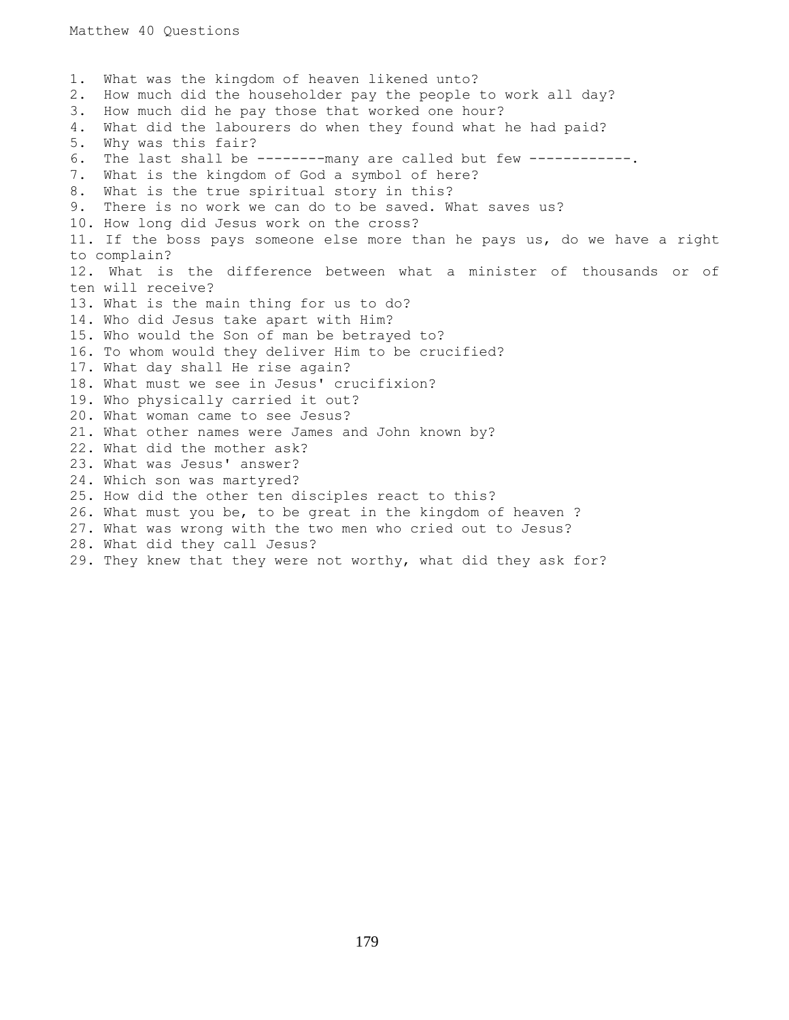1. What was the kingdom of heaven likened unto? 2. How much did the householder pay the people to work all day? 3. How much did he pay those that worked one hour? 4. What did the labourers do when they found what he had paid? 5. Why was this fair? 6. The last shall be --------many are called but few ------------. 7. What is the kingdom of God a symbol of here? 8. What is the true spiritual story in this? 9. There is no work we can do to be saved. What saves us? 10. How long did Jesus work on the cross? 11. If the boss pays someone else more than he pays us, do we have a right to complain? 12. What is the difference between what a minister of thousands or of ten will receive? 13. What is the main thing for us to do? 14. Who did Jesus take apart with Him? 15. Who would the Son of man be betrayed to? 16. To whom would they deliver Him to be crucified? 17. What day shall He rise again? 18. What must we see in Jesus' crucifixion? 19. Who physically carried it out? 20. What woman came to see Jesus? 21. What other names were James and John known by? 22. What did the mother ask? 23. What was Jesus' answer? 24. Which son was martyred? 25. How did the other ten disciples react to this? 26. What must you be, to be great in the kingdom of heaven ? 27. What was wrong with the two men who cried out to Jesus? 28. What did they call Jesus? 29. They knew that they were not worthy, what did they ask for?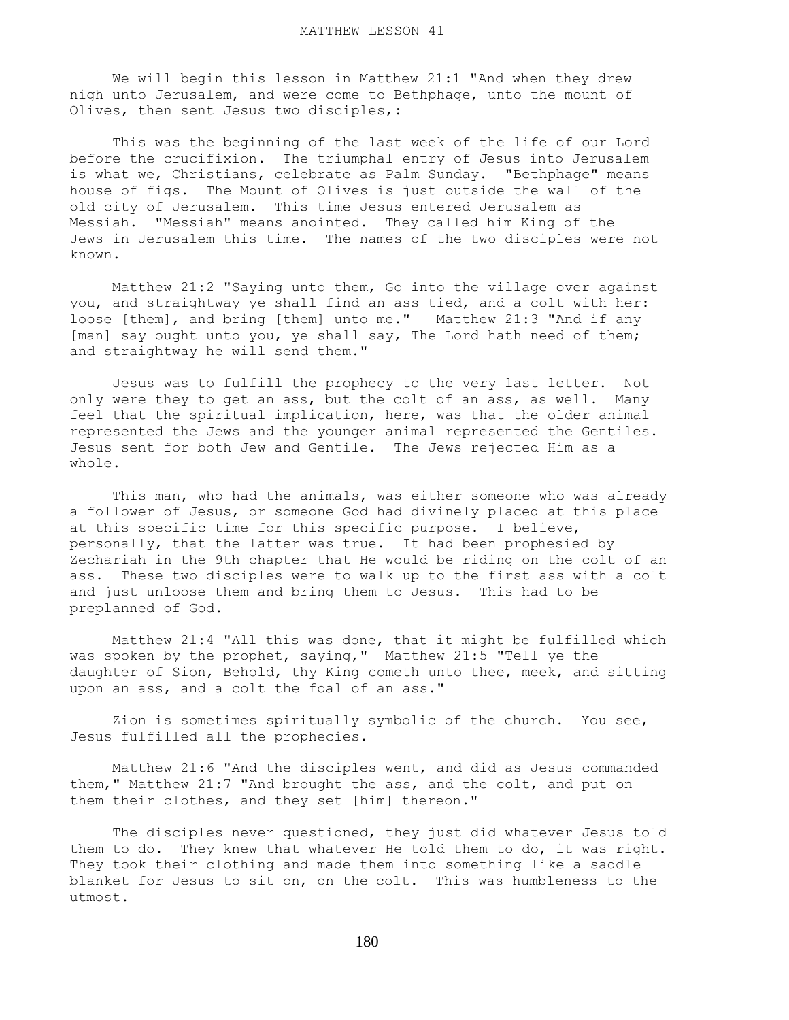We will begin this lesson in Matthew 21:1 "And when they drew nigh unto Jerusalem, and were come to Bethphage, unto the mount of Olives, then sent Jesus two disciples,:

 This was the beginning of the last week of the life of our Lord before the crucifixion. The triumphal entry of Jesus into Jerusalem is what we, Christians, celebrate as Palm Sunday. "Bethphage" means house of figs. The Mount of Olives is just outside the wall of the old city of Jerusalem. This time Jesus entered Jerusalem as Messiah. "Messiah" means anointed. They called him King of the Jews in Jerusalem this time. The names of the two disciples were not known.

 Matthew 21:2 "Saying unto them, Go into the village over against you, and straightway ye shall find an ass tied, and a colt with her: loose [them], and bring [them] unto me." Matthew 21:3 "And if any [man] say ought unto you, ye shall say, The Lord hath need of them; and straightway he will send them."

 Jesus was to fulfill the prophecy to the very last letter. Not only were they to get an ass, but the colt of an ass, as well. Many feel that the spiritual implication, here, was that the older animal represented the Jews and the younger animal represented the Gentiles. Jesus sent for both Jew and Gentile. The Jews rejected Him as a whole.

 This man, who had the animals, was either someone who was already a follower of Jesus, or someone God had divinely placed at this place at this specific time for this specific purpose. I believe, personally, that the latter was true. It had been prophesied by Zechariah in the 9th chapter that He would be riding on the colt of an ass. These two disciples were to walk up to the first ass with a colt and just unloose them and bring them to Jesus. This had to be preplanned of God.

 Matthew 21:4 "All this was done, that it might be fulfilled which was spoken by the prophet, saying," Matthew 21:5 "Tell ye the daughter of Sion, Behold, thy King cometh unto thee, meek, and sitting upon an ass, and a colt the foal of an ass."

 Zion is sometimes spiritually symbolic of the church. You see, Jesus fulfilled all the prophecies.

 Matthew 21:6 "And the disciples went, and did as Jesus commanded them," Matthew 21:7 "And brought the ass, and the colt, and put on them their clothes, and they set [him] thereon."

 The disciples never questioned, they just did whatever Jesus told them to do. They knew that whatever He told them to do, it was right. They took their clothing and made them into something like a saddle blanket for Jesus to sit on, on the colt. This was humbleness to the utmost.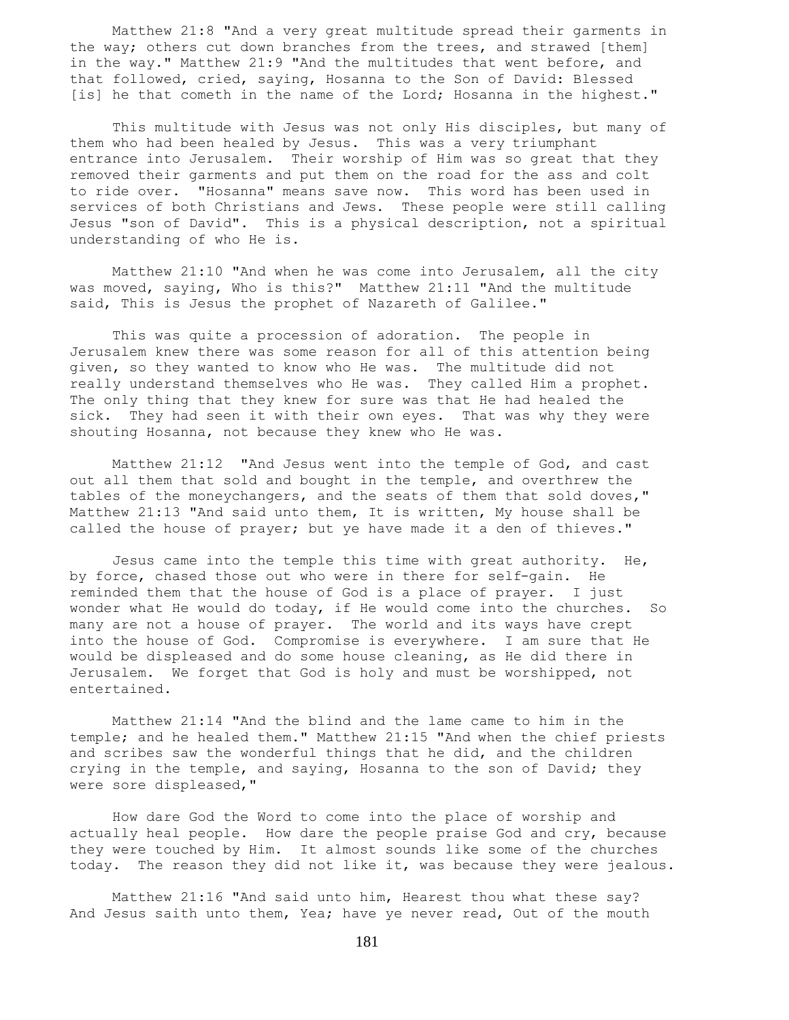Matthew 21:8 "And a very great multitude spread their garments in the way; others cut down branches from the trees, and strawed [them] in the way." Matthew 21:9 "And the multitudes that went before, and that followed, cried, saying, Hosanna to the Son of David: Blessed [is] he that cometh in the name of the Lord; Hosanna in the highest."

 This multitude with Jesus was not only His disciples, but many of them who had been healed by Jesus. This was a very triumphant entrance into Jerusalem. Their worship of Him was so great that they removed their garments and put them on the road for the ass and colt to ride over. "Hosanna" means save now. This word has been used in services of both Christians and Jews. These people were still calling Jesus "son of David". This is a physical description, not a spiritual understanding of who He is.

 Matthew 21:10 "And when he was come into Jerusalem, all the city was moved, saying, Who is this?" Matthew 21:11 "And the multitude said, This is Jesus the prophet of Nazareth of Galilee."

 This was quite a procession of adoration. The people in Jerusalem knew there was some reason for all of this attention being given, so they wanted to know who He was. The multitude did not really understand themselves who He was. They called Him a prophet. The only thing that they knew for sure was that He had healed the sick. They had seen it with their own eyes. That was why they were shouting Hosanna, not because they knew who He was.

 Matthew 21:12 "And Jesus went into the temple of God, and cast out all them that sold and bought in the temple, and overthrew the tables of the moneychangers, and the seats of them that sold doves," Matthew 21:13 "And said unto them, It is written, My house shall be called the house of prayer; but ye have made it a den of thieves."

Jesus came into the temple this time with great authority. He, by force, chased those out who were in there for self-gain. He reminded them that the house of God is a place of prayer. I just wonder what He would do today, if He would come into the churches. So many are not a house of prayer. The world and its ways have crept into the house of God. Compromise is everywhere. I am sure that He would be displeased and do some house cleaning, as He did there in Jerusalem. We forget that God is holy and must be worshipped, not entertained.

 Matthew 21:14 "And the blind and the lame came to him in the temple; and he healed them." Matthew 21:15 "And when the chief priests and scribes saw the wonderful things that he did, and the children crying in the temple, and saying, Hosanna to the son of David; they were sore displeased,"

 How dare God the Word to come into the place of worship and actually heal people. How dare the people praise God and cry, because they were touched by Him. It almost sounds like some of the churches today. The reason they did not like it, was because they were jealous.

 Matthew 21:16 "And said unto him, Hearest thou what these say? And Jesus saith unto them, Yea; have ye never read, Out of the mouth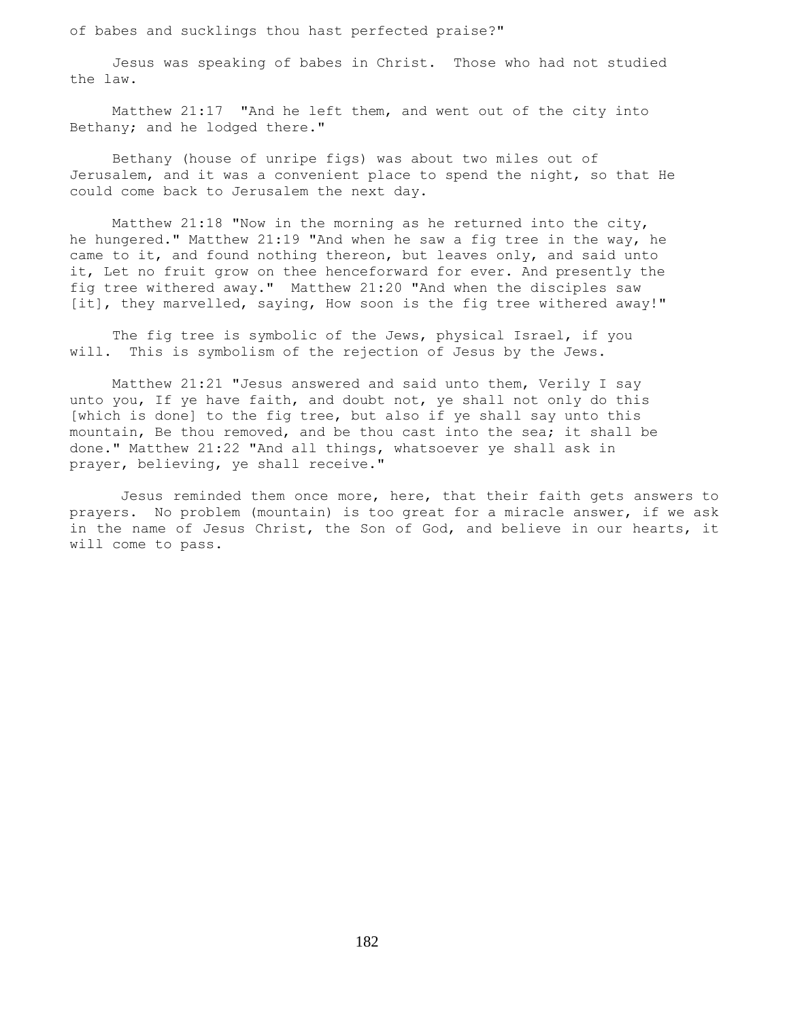of babes and sucklings thou hast perfected praise?"

 Jesus was speaking of babes in Christ. Those who had not studied the law.

 Matthew 21:17 "And he left them, and went out of the city into Bethany; and he lodged there."

 Bethany (house of unripe figs) was about two miles out of Jerusalem, and it was a convenient place to spend the night, so that He could come back to Jerusalem the next day.

 Matthew 21:18 "Now in the morning as he returned into the city, he hungered." Matthew 21:19 "And when he saw a fig tree in the way, he came to it, and found nothing thereon, but leaves only, and said unto it, Let no fruit grow on thee henceforward for ever. And presently the fig tree withered away." Matthew 21:20 "And when the disciples saw [it], they marvelled, saying, How soon is the fig tree withered away!"

 The fig tree is symbolic of the Jews, physical Israel, if you will. This is symbolism of the rejection of Jesus by the Jews.

 Matthew 21:21 "Jesus answered and said unto them, Verily I say unto you, If ye have faith, and doubt not, ye shall not only do this [which is done] to the fig tree, but also if ye shall say unto this mountain, Be thou removed, and be thou cast into the sea; it shall be done." Matthew 21:22 "And all things, whatsoever ye shall ask in prayer, believing, ye shall receive."

 Jesus reminded them once more, here, that their faith gets answers to prayers. No problem (mountain) is too great for a miracle answer, if we ask in the name of Jesus Christ, the Son of God, and believe in our hearts, it will come to pass.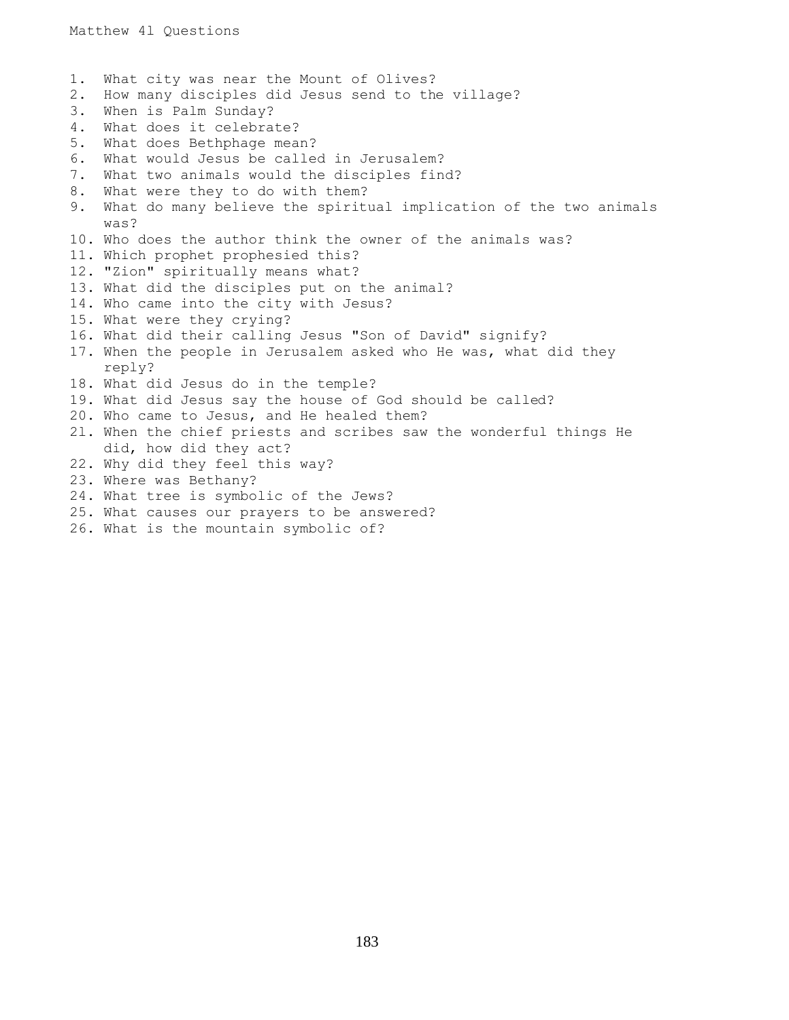1. What city was near the Mount of Olives? 2. How many disciples did Jesus send to the village? 3. When is Palm Sunday? 4. What does it celebrate? 5. What does Bethphage mean? 6. What would Jesus be called in Jerusalem? 7. What two animals would the disciples find? 8. What were they to do with them? 9. What do many believe the spiritual implication of the two animals was? 10. Who does the author think the owner of the animals was? 11. Which prophet prophesied this? 12. "Zion" spiritually means what? 13. What did the disciples put on the animal? 14. Who came into the city with Jesus? 15. What were they crying? 16. What did their calling Jesus "Son of David" signify? 17. When the people in Jerusalem asked who He was, what did they reply? 18. What did Jesus do in the temple? 19. What did Jesus say the house of God should be called? 20. Who came to Jesus, and He healed them? 2l. When the chief priests and scribes saw the wonderful things He did, how did they act? 22. Why did they feel this way? 23. Where was Bethany? 24. What tree is symbolic of the Jews? 25. What causes our prayers to be answered? 26. What is the mountain symbolic of?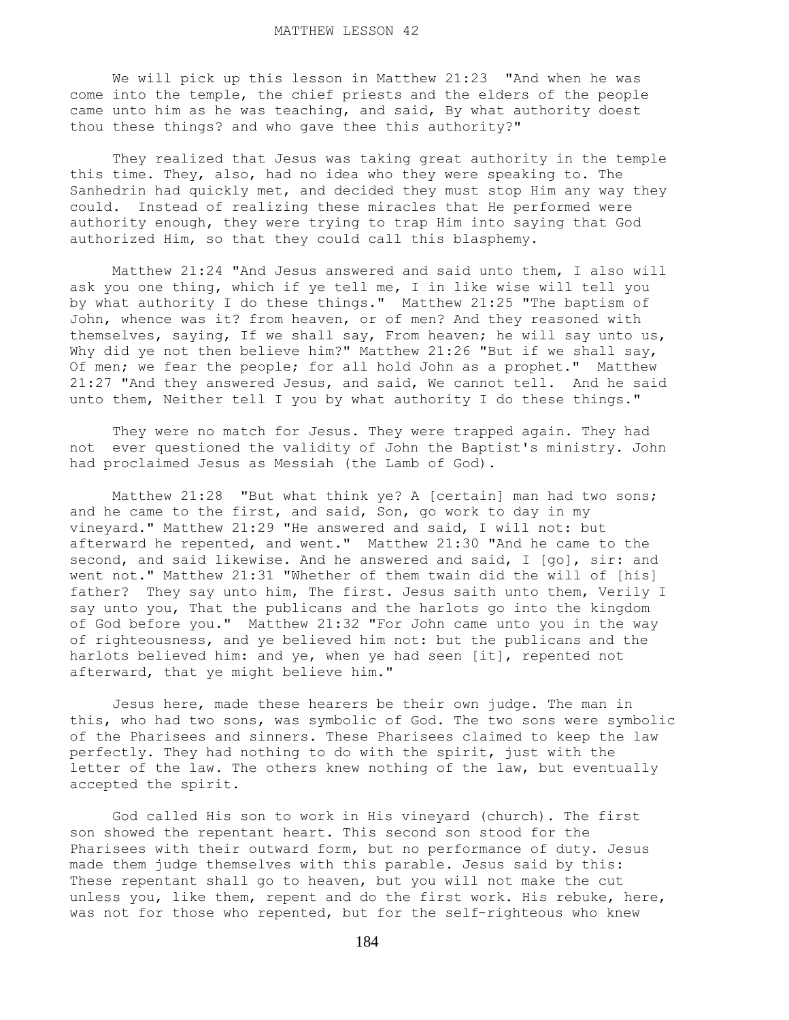We will pick up this lesson in Matthew 21:23 "And when he was come into the temple, the chief priests and the elders of the people came unto him as he was teaching, and said, By what authority doest thou these things? and who gave thee this authority?"

 They realized that Jesus was taking great authority in the temple this time. They, also, had no idea who they were speaking to. The Sanhedrin had quickly met, and decided they must stop Him any way they could. Instead of realizing these miracles that He performed were authority enough, they were trying to trap Him into saying that God authorized Him, so that they could call this blasphemy.

 Matthew 21:24 "And Jesus answered and said unto them, I also will ask you one thing, which if ye tell me, I in like wise will tell you by what authority I do these things." Matthew 21:25 "The baptism of John, whence was it? from heaven, or of men? And they reasoned with themselves, saying, If we shall say, From heaven; he will say unto us, Why did ye not then believe him?" Matthew 21:26 "But if we shall say, Of men; we fear the people; for all hold John as a prophet." Matthew 21:27 "And they answered Jesus, and said, We cannot tell. And he said unto them, Neither tell I you by what authority I do these things."

 They were no match for Jesus. They were trapped again. They had not ever questioned the validity of John the Baptist's ministry. John had proclaimed Jesus as Messiah (the Lamb of God).

Matthew 21:28 "But what think ye? A [certain] man had two sons; and he came to the first, and said, Son, go work to day in my vineyard." Matthew 21:29 "He answered and said, I will not: but afterward he repented, and went." Matthew 21:30 "And he came to the second, and said likewise. And he answered and said, I [go], sir: and went not." Matthew 21:31 "Whether of them twain did the will of [his] father? They say unto him, The first. Jesus saith unto them, Verily I say unto you, That the publicans and the harlots go into the kingdom of God before you." Matthew 21:32 "For John came unto you in the way of righteousness, and ye believed him not: but the publicans and the harlots believed him: and ye, when ye had seen [it], repented not afterward, that ye might believe him."

 Jesus here, made these hearers be their own judge. The man in this, who had two sons, was symbolic of God. The two sons were symbolic of the Pharisees and sinners. These Pharisees claimed to keep the law perfectly. They had nothing to do with the spirit, just with the letter of the law. The others knew nothing of the law, but eventually accepted the spirit.

 God called His son to work in His vineyard (church). The first son showed the repentant heart. This second son stood for the Pharisees with their outward form, but no performance of duty. Jesus made them judge themselves with this parable. Jesus said by this: These repentant shall go to heaven, but you will not make the cut unless you, like them, repent and do the first work. His rebuke, here, was not for those who repented, but for the self-righteous who knew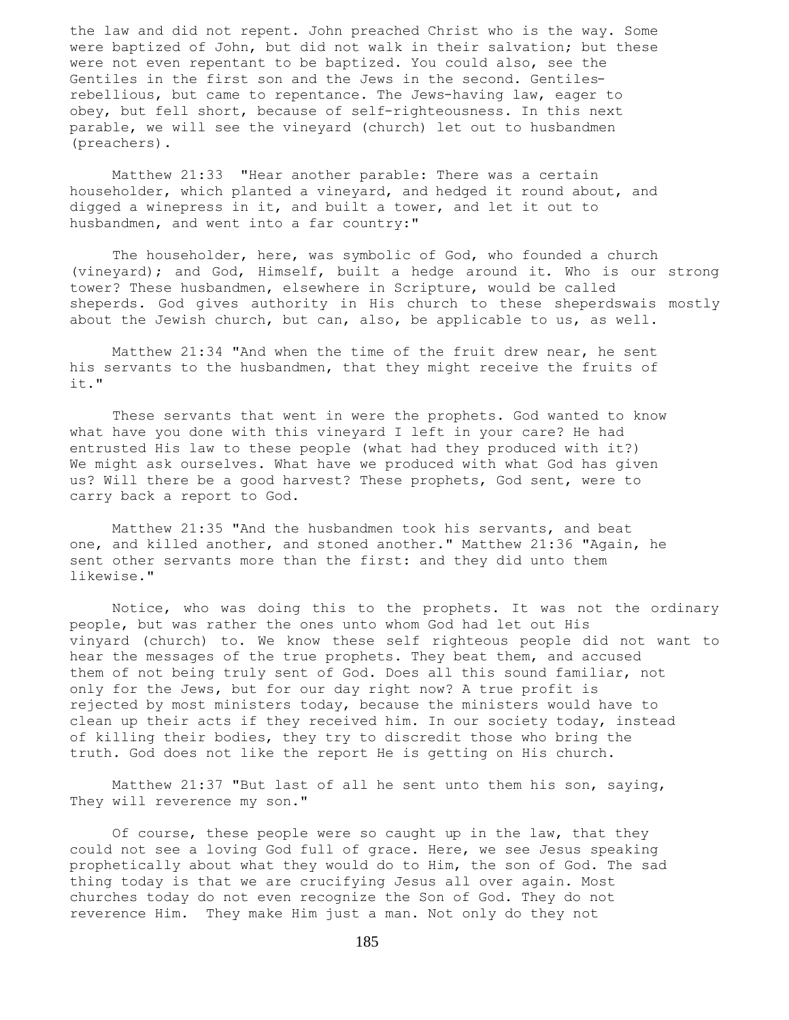the law and did not repent. John preached Christ who is the way. Some were baptized of John, but did not walk in their salvation; but these were not even repentant to be baptized. You could also, see the Gentiles in the first son and the Jews in the second. Gentilesrebellious, but came to repentance. The Jews-having law, eager to obey, but fell short, because of self-righteousness. In this next parable, we will see the vineyard (church) let out to husbandmen (preachers).

 Matthew 21:33 "Hear another parable: There was a certain householder, which planted a vineyard, and hedged it round about, and digged a winepress in it, and built a tower, and let it out to husbandmen, and went into a far country:"

 The householder, here, was symbolic of God, who founded a church (vineyard); and God, Himself, built a hedge around it. Who is our strong tower? These husbandmen, elsewhere in Scripture, would be called sheperds. God gives authority in His church to these sheperdswais mostly about the Jewish church, but can, also, be applicable to us, as well.

 Matthew 21:34 "And when the time of the fruit drew near, he sent his servants to the husbandmen, that they might receive the fruits of it."

 These servants that went in were the prophets. God wanted to know what have you done with this vineyard I left in your care? He had entrusted His law to these people (what had they produced with it?) We might ask ourselves. What have we produced with what God has given us? Will there be a good harvest? These prophets, God sent, were to carry back a report to God.

 Matthew 21:35 "And the husbandmen took his servants, and beat one, and killed another, and stoned another." Matthew 21:36 "Again, he sent other servants more than the first: and they did unto them likewise."

 Notice, who was doing this to the prophets. It was not the ordinary people, but was rather the ones unto whom God had let out His vinyard (church) to. We know these self righteous people did not want to hear the messages of the true prophets. They beat them, and accused them of not being truly sent of God. Does all this sound familiar, not only for the Jews, but for our day right now? A true profit is rejected by most ministers today, because the ministers would have to clean up their acts if they received him. In our society today, instead of killing their bodies, they try to discredit those who bring the truth. God does not like the report He is getting on His church.

 Matthew 21:37 "But last of all he sent unto them his son, saying, They will reverence my son."

 Of course, these people were so caught up in the law, that they could not see a loving God full of grace. Here, we see Jesus speaking prophetically about what they would do to Him, the son of God. The sad thing today is that we are crucifying Jesus all over again. Most churches today do not even recognize the Son of God. They do not reverence Him. They make Him just a man. Not only do they not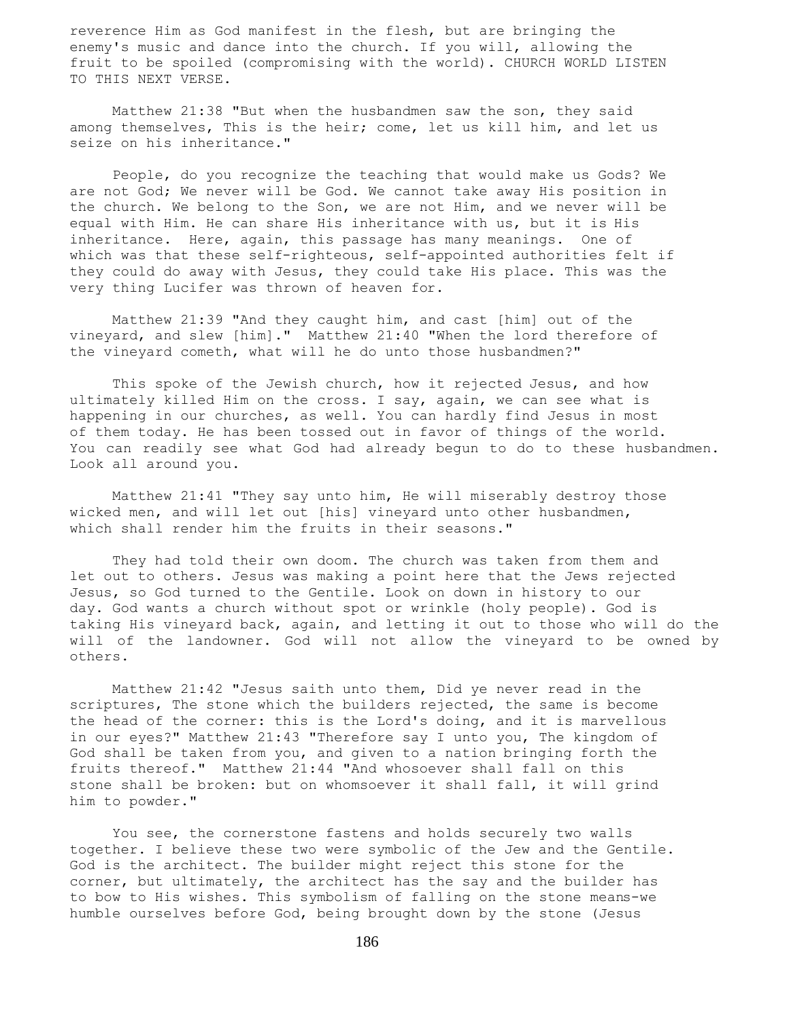reverence Him as God manifest in the flesh, but are bringing the enemy's music and dance into the church. If you will, allowing the fruit to be spoiled (compromising with the world). CHURCH WORLD LISTEN TO THIS NEXT VERSE.

 Matthew 21:38 "But when the husbandmen saw the son, they said among themselves, This is the heir; come, let us kill him, and let us seize on his inheritance."

 People, do you recognize the teaching that would make us Gods? We are not God; We never will be God. We cannot take away His position in the church. We belong to the Son, we are not Him, and we never will be equal with Him. He can share His inheritance with us, but it is His inheritance. Here, again, this passage has many meanings. One of which was that these self-righteous, self-appointed authorities felt if they could do away with Jesus, they could take His place. This was the very thing Lucifer was thrown of heaven for.

 Matthew 21:39 "And they caught him, and cast [him] out of the vineyard, and slew [him]." Matthew 21:40 "When the lord therefore of the vineyard cometh, what will he do unto those husbandmen?"

 This spoke of the Jewish church, how it rejected Jesus, and how ultimately killed Him on the cross. I say, again, we can see what is happening in our churches, as well. You can hardly find Jesus in most of them today. He has been tossed out in favor of things of the world. You can readily see what God had already begun to do to these husbandmen. Look all around you.

 Matthew 21:41 "They say unto him, He will miserably destroy those wicked men, and will let out [his] vineyard unto other husbandmen, which shall render him the fruits in their seasons."

 They had told their own doom. The church was taken from them and let out to others. Jesus was making a point here that the Jews rejected Jesus, so God turned to the Gentile. Look on down in history to our day. God wants a church without spot or wrinkle (holy people). God is taking His vineyard back, again, and letting it out to those who will do the will of the landowner. God will not allow the vineyard to be owned by others.

 Matthew 21:42 "Jesus saith unto them, Did ye never read in the scriptures, The stone which the builders rejected, the same is become the head of the corner: this is the Lord's doing, and it is marvellous in our eyes?" Matthew 21:43 "Therefore say I unto you, The kingdom of God shall be taken from you, and given to a nation bringing forth the fruits thereof." Matthew 21:44 "And whosoever shall fall on this stone shall be broken: but on whomsoever it shall fall, it will grind him to powder."

 You see, the cornerstone fastens and holds securely two walls together. I believe these two were symbolic of the Jew and the Gentile. God is the architect. The builder might reject this stone for the corner, but ultimately, the architect has the say and the builder has to bow to His wishes. This symbolism of falling on the stone means-we humble ourselves before God, being brought down by the stone (Jesus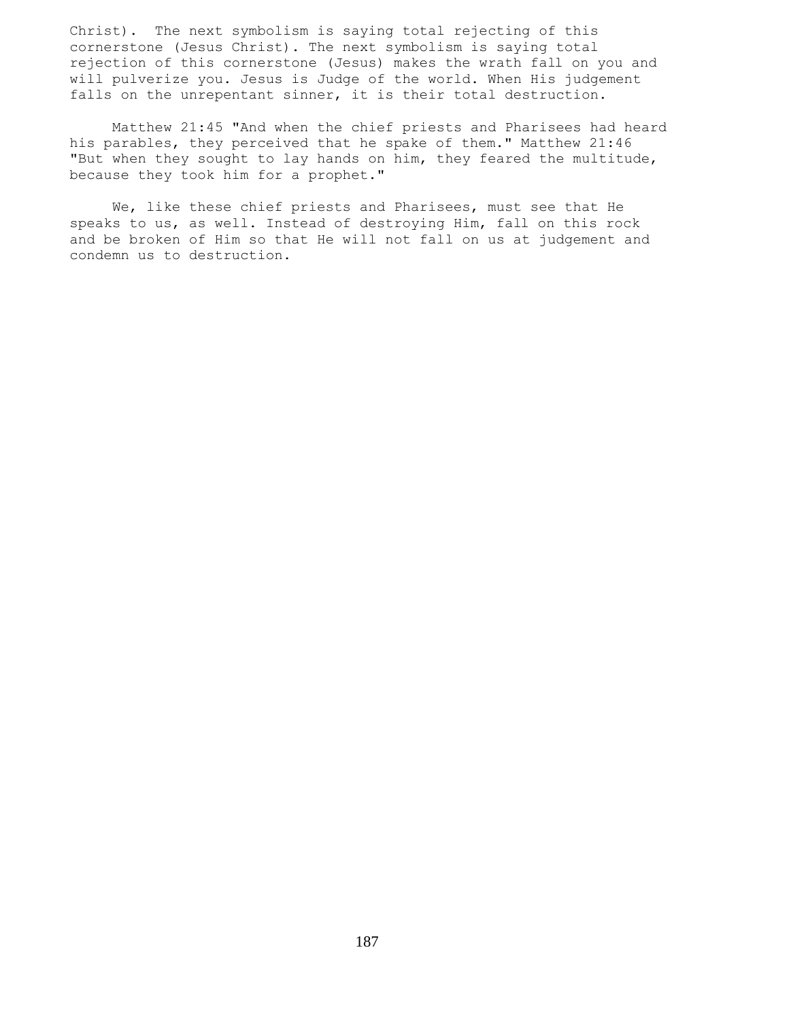Christ). The next symbolism is saying total rejecting of this cornerstone (Jesus Christ). The next symbolism is saying total rejection of this cornerstone (Jesus) makes the wrath fall on you and will pulverize you. Jesus is Judge of the world. When His judgement falls on the unrepentant sinner, it is their total destruction.

 Matthew 21:45 "And when the chief priests and Pharisees had heard his parables, they perceived that he spake of them." Matthew 21:46 "But when they sought to lay hands on him, they feared the multitude, because they took him for a prophet."

 We, like these chief priests and Pharisees, must see that He speaks to us, as well. Instead of destroying Him, fall on this rock and be broken of Him so that He will not fall on us at judgement and condemn us to destruction.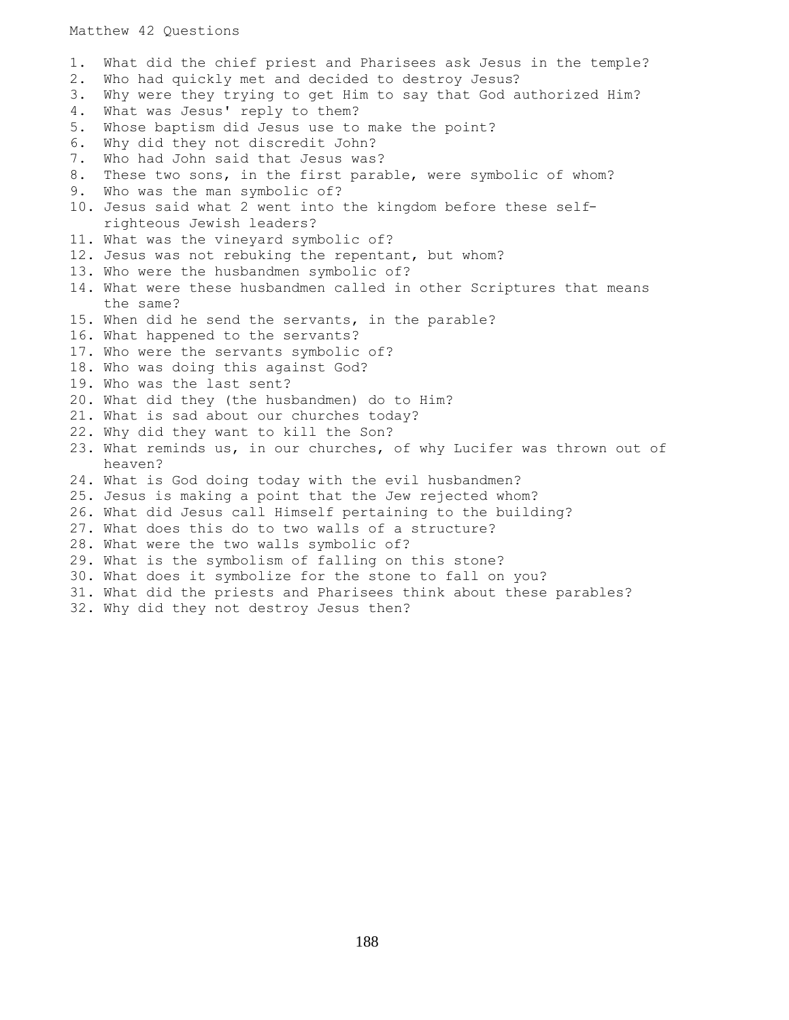## Matthew 42 Questions

1. What did the chief priest and Pharisees ask Jesus in the temple? 2. Who had quickly met and decided to destroy Jesus? 3. Why were they trying to get Him to say that God authorized Him? 4. What was Jesus' reply to them? 5. Whose baptism did Jesus use to make the point? 6. Why did they not discredit John? 7. Who had John said that Jesus was? 8. These two sons, in the first parable, were symbolic of whom? 9. Who was the man symbolic of? 10. Jesus said what 2 went into the kingdom before these self righteous Jewish leaders? 11. What was the vineyard symbolic of? 12. Jesus was not rebuking the repentant, but whom? 13. Who were the husbandmen symbolic of? 14. What were these husbandmen called in other Scriptures that means the same? 15. When did he send the servants, in the parable? 16. What happened to the servants? 17. Who were the servants symbolic of? 18. Who was doing this against God? 19. Who was the last sent? 20. What did they (the husbandmen) do to Him? 21. What is sad about our churches today? 22. Why did they want to kill the Son? 23. What reminds us, in our churches, of why Lucifer was thrown out of heaven? 24. What is God doing today with the evil husbandmen? 25. Jesus is making a point that the Jew rejected whom? 26. What did Jesus call Himself pertaining to the building? 27. What does this do to two walls of a structure? 28. What were the two walls symbolic of? 29. What is the symbolism of falling on this stone? 30. What does it symbolize for the stone to fall on you? 31. What did the priests and Pharisees think about these parables? 32. Why did they not destroy Jesus then?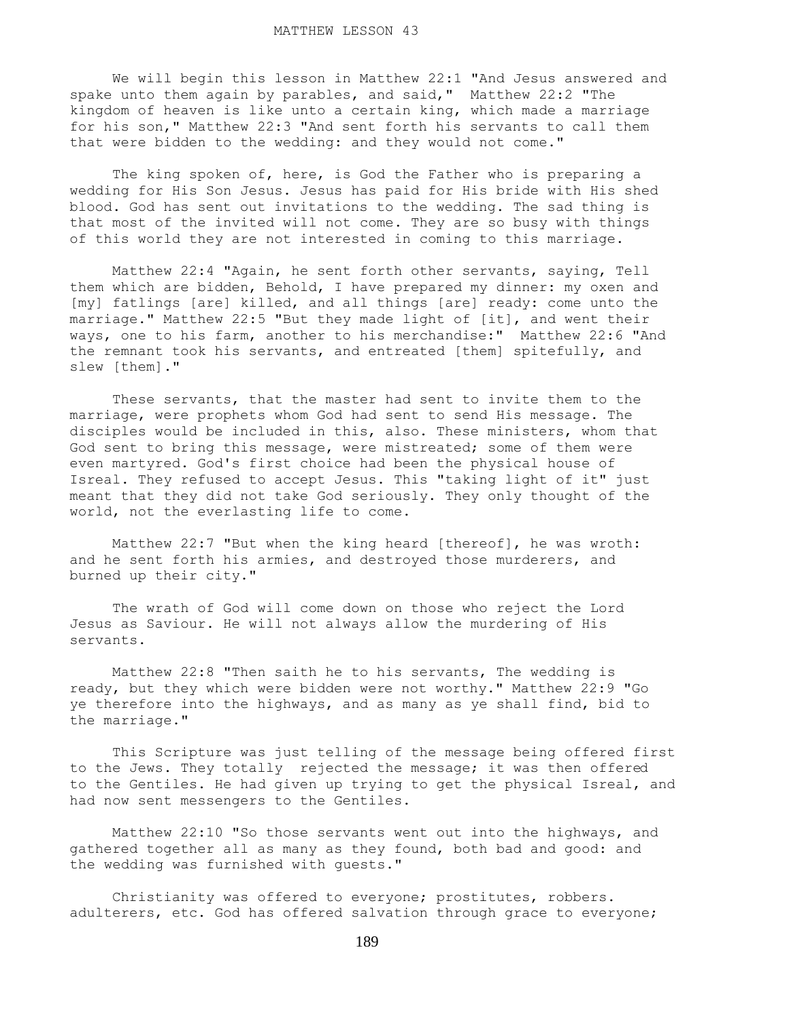We will begin this lesson in Matthew 22:1 "And Jesus answered and spake unto them again by parables, and said," Matthew 22:2 "The kingdom of heaven is like unto a certain king, which made a marriage for his son," Matthew 22:3 "And sent forth his servants to call them that were bidden to the wedding: and they would not come."

 The king spoken of, here, is God the Father who is preparing a wedding for His Son Jesus. Jesus has paid for His bride with His shed blood. God has sent out invitations to the wedding. The sad thing is that most of the invited will not come. They are so busy with things of this world they are not interested in coming to this marriage.

 Matthew 22:4 "Again, he sent forth other servants, saying, Tell them which are bidden, Behold, I have prepared my dinner: my oxen and [my] fatlings [are] killed, and all things [are] ready: come unto the marriage." Matthew 22:5 "But they made light of [it], and went their ways, one to his farm, another to his merchandise:" Matthew 22:6 "And the remnant took his servants, and entreated [them] spitefully, and slew [them]."

 These servants, that the master had sent to invite them to the marriage, were prophets whom God had sent to send His message. The disciples would be included in this, also. These ministers, whom that God sent to bring this message, were mistreated; some of them were even martyred. God's first choice had been the physical house of Isreal. They refused to accept Jesus. This "taking light of it" just meant that they did not take God seriously. They only thought of the world, not the everlasting life to come.

 Matthew 22:7 "But when the king heard [thereof], he was wroth: and he sent forth his armies, and destroyed those murderers, and burned up their city."

 The wrath of God will come down on those who reject the Lord Jesus as Saviour. He will not always allow the murdering of His servants.

 Matthew 22:8 "Then saith he to his servants, The wedding is ready, but they which were bidden were not worthy." Matthew 22:9 "Go ye therefore into the highways, and as many as ye shall find, bid to the marriage."

 This Scripture was just telling of the message being offered first to the Jews. They totally rejected the message; it was then offered to the Gentiles. He had given up trying to get the physical Isreal, and had now sent messengers to the Gentiles.

 Matthew 22:10 "So those servants went out into the highways, and gathered together all as many as they found, both bad and good: and the wedding was furnished with guests."

 Christianity was offered to everyone; prostitutes, robbers. adulterers, etc. God has offered salvation through grace to everyone;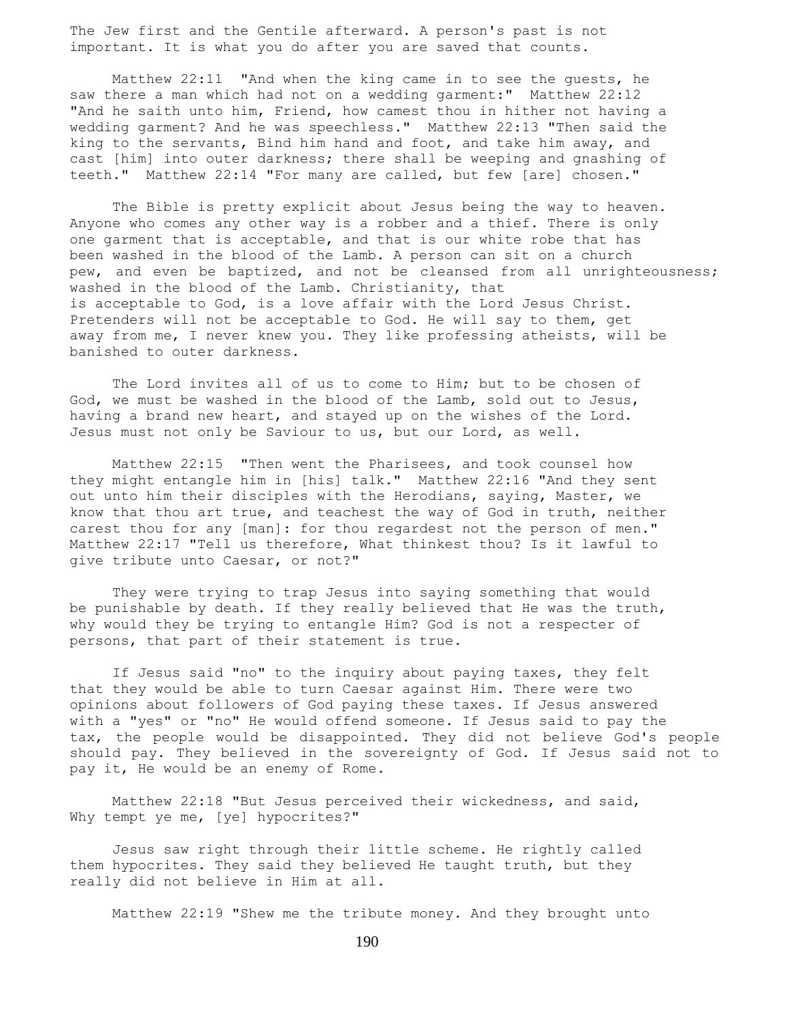The Jew first and the Gentile afterward. A person's past is not important. It is what you do after you are saved that counts.

 Matthew 22:11 "And when the king came in to see the guests, he saw there a man which had not on a wedding garment:" Matthew 22:12 "And he saith unto him, Friend, how camest thou in hither not having a wedding garment? And he was speechless." Matthew 22:13 "Then said the king to the servants, Bind him hand and foot, and take him away, and cast [him] into outer darkness; there shall be weeping and gnashing of teeth." Matthew 22:14 "For many are called, but few [are] chosen."

 The Bible is pretty explicit about Jesus being the way to heaven. Anyone who comes any other way is a robber and a thief. There is only one garment that is acceptable, and that is our white robe that has been washed in the blood of the Lamb. A person can sit on a church pew, and even be baptized, and not be cleansed from all unrighteousness; washed in the blood of the Lamb. Christianity, that is acceptable to God, is a love affair with the Lord Jesus Christ. Pretenders will not be acceptable to God. He will say to them, get away from me, I never knew you. They like professing atheists, will be banished to outer darkness.

 The Lord invites all of us to come to Him; but to be chosen of God, we must be washed in the blood of the Lamb, sold out to Jesus, having a brand new heart, and stayed up on the wishes of the Lord. Jesus must not only be Saviour to us, but our Lord, as well.

 Matthew 22:15 "Then went the Pharisees, and took counsel how they might entangle him in [his] talk." Matthew 22:16 "And they sent out unto him their disciples with the Herodians, saying, Master, we know that thou art true, and teachest the way of God in truth, neither carest thou for any [man]: for thou regardest not the person of men." Matthew 22:17 "Tell us therefore, What thinkest thou? Is it lawful to give tribute unto Caesar, or not?"

 They were trying to trap Jesus into saying something that would be punishable by death. If they really believed that He was the truth, why would they be trying to entangle Him? God is not a respecter of persons, that part of their statement is true.

 If Jesus said "no" to the inquiry about paying taxes, they felt that they would be able to turn Caesar against Him. There were two opinions about followers of God paying these taxes. If Jesus answered with a "yes" or "no" He would offend someone. If Jesus said to pay the tax, the people would be disappointed. They did not believe God's people should pay. They believed in the sovereignty of God. If Jesus said not to pay it, He would be an enemy of Rome.

 Matthew 22:18 "But Jesus perceived their wickedness, and said, Why tempt ye me, [ye] hypocrites?"

 Jesus saw right through their little scheme. He rightly called them hypocrites. They said they believed He taught truth, but they really did not believe in Him at all.

Matthew 22:19 "Shew me the tribute money. And they brought unto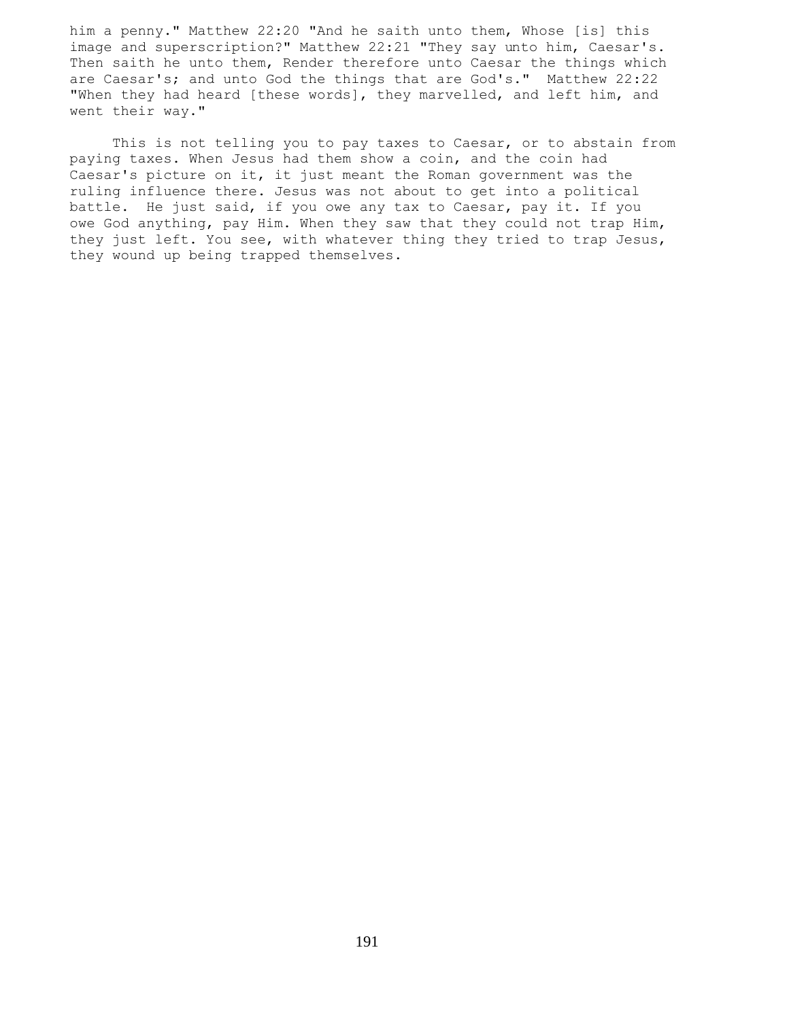him a penny." Matthew 22:20 "And he saith unto them, Whose [is] this image and superscription?" Matthew 22:21 "They say unto him, Caesar's. Then saith he unto them, Render therefore unto Caesar the things which are Caesar's; and unto God the things that are God's." Matthew 22:22 "When they had heard [these words], they marvelled, and left him, and went their way."

 This is not telling you to pay taxes to Caesar, or to abstain from paying taxes. When Jesus had them show a coin, and the coin had Caesar's picture on it, it just meant the Roman government was the ruling influence there. Jesus was not about to get into a political battle. He just said, if you owe any tax to Caesar, pay it. If you owe God anything, pay Him. When they saw that they could not trap Him, they just left. You see, with whatever thing they tried to trap Jesus, they wound up being trapped themselves.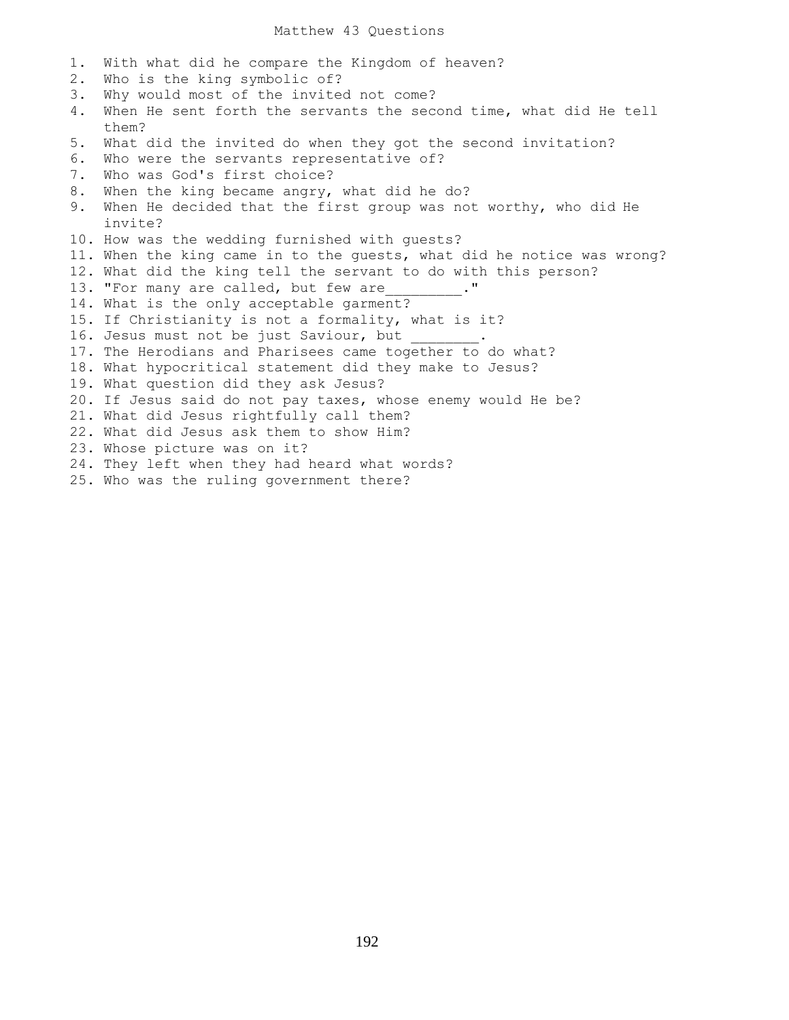1. With what did he compare the Kingdom of heaven?

2. Who is the king symbolic of?

- 3. Why would most of the invited not come?
- 4. When He sent forth the servants the second time, what did He tell them?
- 5. What did the invited do when they got the second invitation?
- 6. Who were the servants representative of?
- 7. Who was God's first choice?
- 8. When the king became angry, what did he do?
- 9. When He decided that the first group was not worthy, who did He invite?
- 10. How was the wedding furnished with guests?
- 11. When the king came in to the guests, what did he notice was wrong?
- 12. What did the king tell the servant to do with this person?
- 13. "For many are called, but few are
- 14. What is the only acceptable garment?
- 15. If Christianity is not a formality, what is it?
- 16. Jesus must not be just Saviour, but
- 17. The Herodians and Pharisees came together to do what?
- 18. What hypocritical statement did they make to Jesus?
- 19. What question did they ask Jesus?
- 20. If Jesus said do not pay taxes, whose enemy would He be?
- 21. What did Jesus rightfully call them?
- 22. What did Jesus ask them to show Him?
- 23. Whose picture was on it?
- 24. They left when they had heard what words?
- 25. Who was the ruling government there?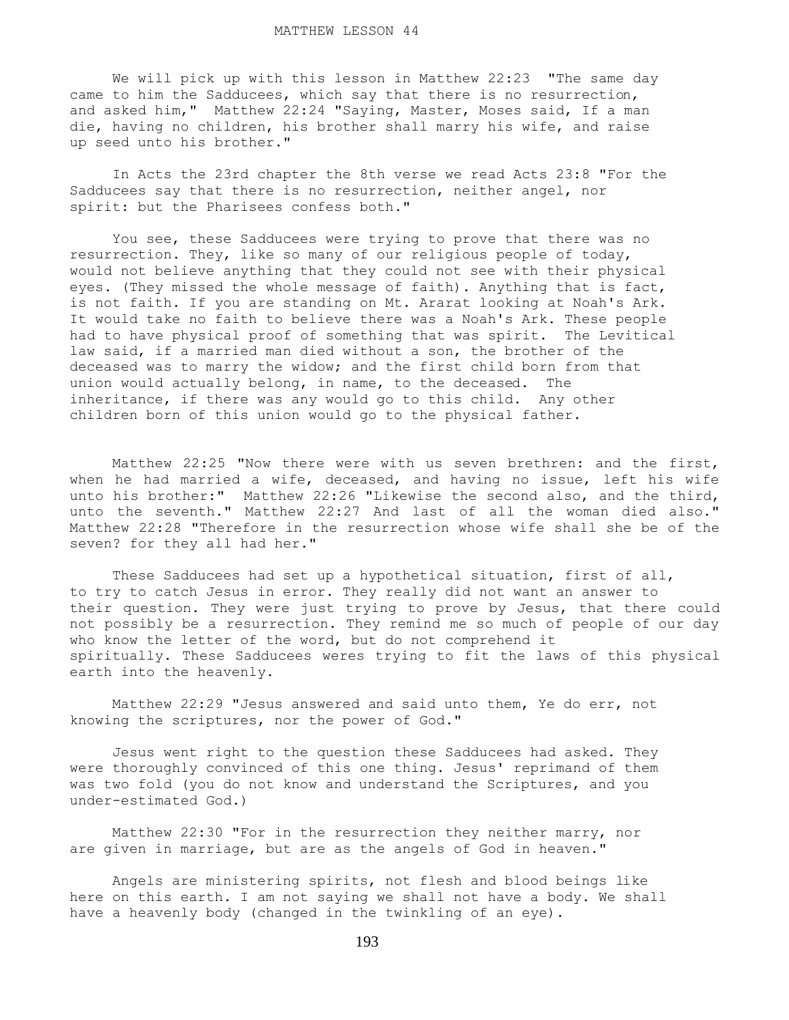We will pick up with this lesson in Matthew 22:23 "The same day came to him the Sadducees, which say that there is no resurrection, and asked him," Matthew 22:24 "Saying, Master, Moses said, If a man die, having no children, his brother shall marry his wife, and raise up seed unto his brother."

 In Acts the 23rd chapter the 8th verse we read Acts 23:8 "For the Sadducees say that there is no resurrection, neither angel, nor spirit: but the Pharisees confess both."

 You see, these Sadducees were trying to prove that there was no resurrection. They, like so many of our religious people of today, would not believe anything that they could not see with their physical eyes. (They missed the whole message of faith). Anything that is fact, is not faith. If you are standing on Mt. Ararat looking at Noah's Ark. It would take no faith to believe there was a Noah's Ark. These people had to have physical proof of something that was spirit. The Levitical law said, if a married man died without a son, the brother of the deceased was to marry the widow; and the first child born from that union would actually belong, in name, to the deceased. The inheritance, if there was any would go to this child. Any other children born of this union would go to the physical father.

 Matthew 22:25 "Now there were with us seven brethren: and the first, when he had married a wife, deceased, and having no issue, left his wife unto his brother:" Matthew 22:26 "Likewise the second also, and the third, unto the seventh." Matthew 22:27 And last of all the woman died also." Matthew 22:28 "Therefore in the resurrection whose wife shall she be of the seven? for they all had her."

 These Sadducees had set up a hypothetical situation, first of all, to try to catch Jesus in error. They really did not want an answer to their question. They were just trying to prove by Jesus, that there could not possibly be a resurrection. They remind me so much of people of our day who know the letter of the word, but do not comprehend it spiritually. These Sadducees weres trying to fit the laws of this physical earth into the heavenly.

 Matthew 22:29 "Jesus answered and said unto them, Ye do err, not knowing the scriptures, nor the power of God."

 Jesus went right to the question these Sadducees had asked. They were thoroughly convinced of this one thing. Jesus' reprimand of them was two fold (you do not know and understand the Scriptures, and you under-estimated God.)

 Matthew 22:30 "For in the resurrection they neither marry, nor are given in marriage, but are as the angels of God in heaven."

 Angels are ministering spirits, not flesh and blood beings like here on this earth. I am not saying we shall not have a body. We shall have a heavenly body (changed in the twinkling of an eye).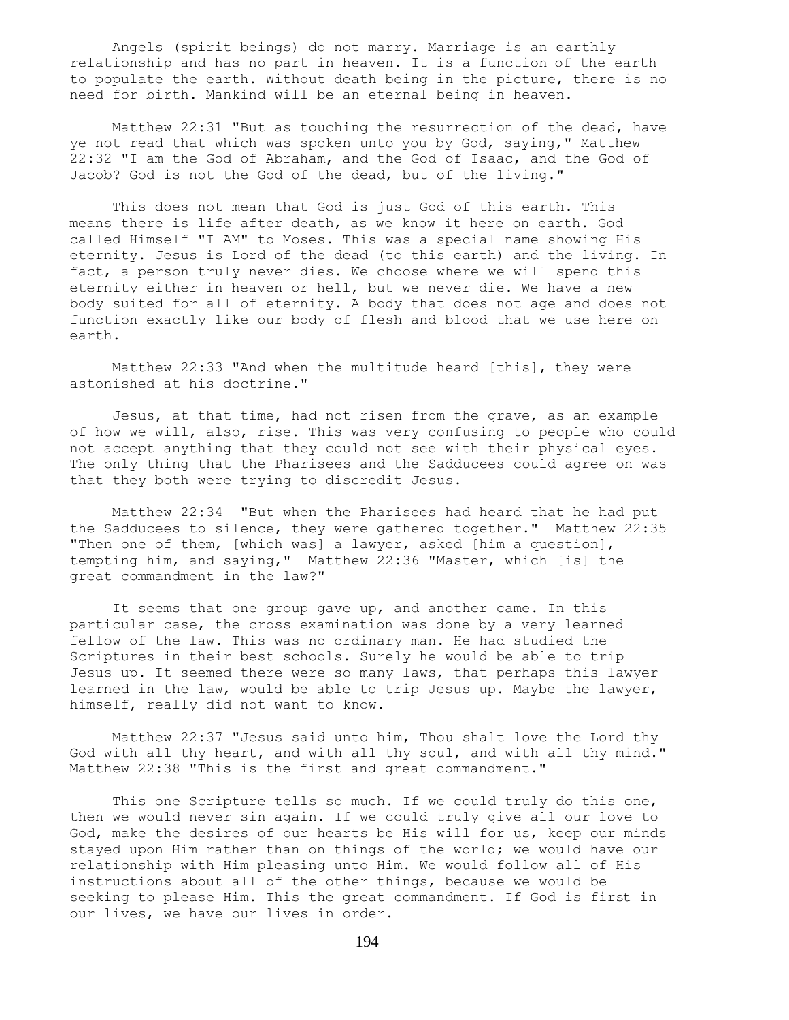Angels (spirit beings) do not marry. Marriage is an earthly relationship and has no part in heaven. It is a function of the earth to populate the earth. Without death being in the picture, there is no need for birth. Mankind will be an eternal being in heaven.

 Matthew 22:31 "But as touching the resurrection of the dead, have ye not read that which was spoken unto you by God, saying," Matthew 22:32 "I am the God of Abraham, and the God of Isaac, and the God of Jacob? God is not the God of the dead, but of the living."

 This does not mean that God is just God of this earth. This means there is life after death, as we know it here on earth. God called Himself "I AM" to Moses. This was a special name showing His eternity. Jesus is Lord of the dead (to this earth) and the living. In fact, a person truly never dies. We choose where we will spend this eternity either in heaven or hell, but we never die. We have a new body suited for all of eternity. A body that does not age and does not function exactly like our body of flesh and blood that we use here on earth.

 Matthew 22:33 "And when the multitude heard [this], they were astonished at his doctrine."

 Jesus, at that time, had not risen from the grave, as an example of how we will, also, rise. This was very confusing to people who could not accept anything that they could not see with their physical eyes. The only thing that the Pharisees and the Sadducees could agree on was that they both were trying to discredit Jesus.

 Matthew 22:34 "But when the Pharisees had heard that he had put the Sadducees to silence, they were gathered together." Matthew 22:35 "Then one of them, [which was] a lawyer, asked [him a question], tempting him, and saying," Matthew 22:36 "Master, which [is] the great commandment in the law?"

 It seems that one group gave up, and another came. In this particular case, the cross examination was done by a very learned fellow of the law. This was no ordinary man. He had studied the Scriptures in their best schools. Surely he would be able to trip Jesus up. It seemed there were so many laws, that perhaps this lawyer learned in the law, would be able to trip Jesus up. Maybe the lawyer, himself, really did not want to know.

 Matthew 22:37 "Jesus said unto him, Thou shalt love the Lord thy God with all thy heart, and with all thy soul, and with all thy mind." Matthew 22:38 "This is the first and great commandment."

This one Scripture tells so much. If we could truly do this one, then we would never sin again. If we could truly give all our love to God, make the desires of our hearts be His will for us, keep our minds stayed upon Him rather than on things of the world; we would have our relationship with Him pleasing unto Him. We would follow all of His instructions about all of the other things, because we would be seeking to please Him. This the great commandment. If God is first in our lives, we have our lives in order.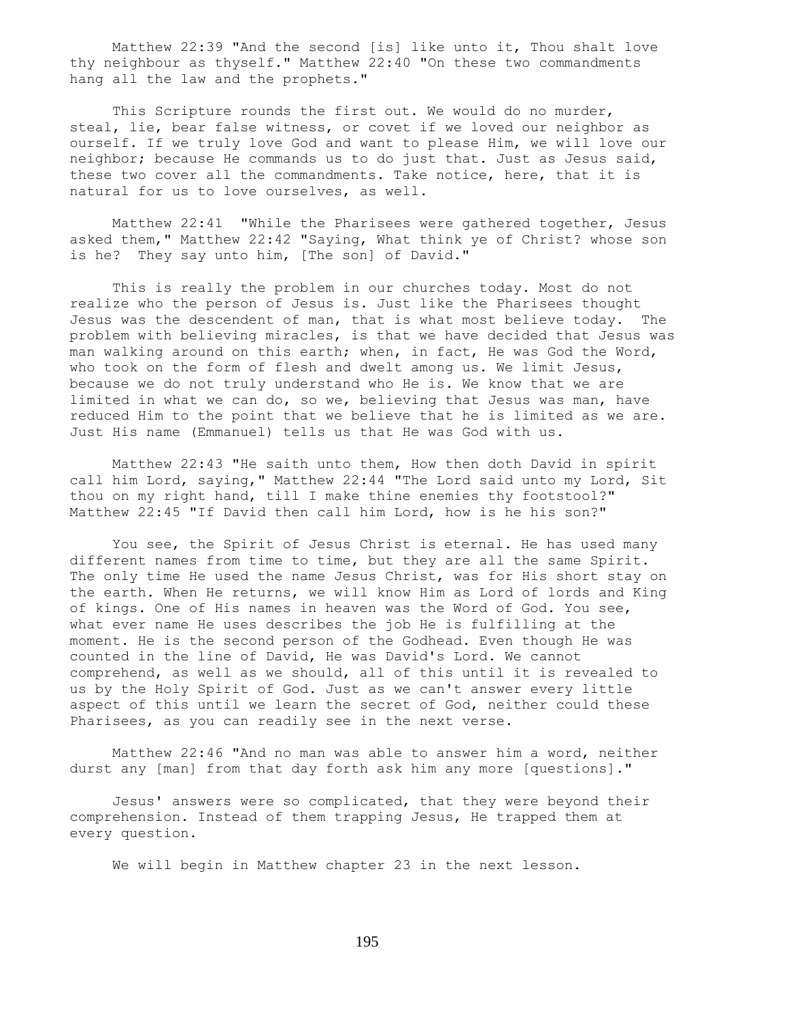Matthew 22:39 "And the second [is] like unto it, Thou shalt love thy neighbour as thyself." Matthew 22:40 "On these two commandments hang all the law and the prophets."

 This Scripture rounds the first out. We would do no murder, steal, lie, bear false witness, or covet if we loved our neighbor as ourself. If we truly love God and want to please Him, we will love our neighbor; because He commands us to do just that. Just as Jesus said, these two cover all the commandments. Take notice, here, that it is natural for us to love ourselves, as well.

 Matthew 22:41 "While the Pharisees were gathered together, Jesus asked them," Matthew 22:42 "Saying, What think ye of Christ? whose son is he? They say unto him, [The son] of David."

 This is really the problem in our churches today. Most do not realize who the person of Jesus is. Just like the Pharisees thought Jesus was the descendent of man, that is what most believe today. The problem with believing miracles, is that we have decided that Jesus was man walking around on this earth; when, in fact, He was God the Word, who took on the form of flesh and dwelt among us. We limit Jesus, because we do not truly understand who He is. We know that we are limited in what we can do, so we, believing that Jesus was man, have reduced Him to the point that we believe that he is limited as we are. Just His name (Emmanuel) tells us that He was God with us.

 Matthew 22:43 "He saith unto them, How then doth David in spirit call him Lord, saying," Matthew 22:44 "The Lord said unto my Lord, Sit thou on my right hand, till I make thine enemies thy footstool?" Matthew 22:45 "If David then call him Lord, how is he his son?"

 You see, the Spirit of Jesus Christ is eternal. He has used many different names from time to time, but they are all the same Spirit. The only time He used the name Jesus Christ, was for His short stay on the earth. When He returns, we will know Him as Lord of lords and King of kings. One of His names in heaven was the Word of God. You see, what ever name He uses describes the job He is fulfilling at the moment. He is the second person of the Godhead. Even though He was counted in the line of David, He was David's Lord. We cannot comprehend, as well as we should, all of this until it is revealed to us by the Holy Spirit of God. Just as we can't answer every little aspect of this until we learn the secret of God, neither could these Pharisees, as you can readily see in the next verse.

 Matthew 22:46 "And no man was able to answer him a word, neither durst any [man] from that day forth ask him any more [questions]."

 Jesus' answers were so complicated, that they were beyond their comprehension. Instead of them trapping Jesus, He trapped them at every question.

We will begin in Matthew chapter 23 in the next lesson.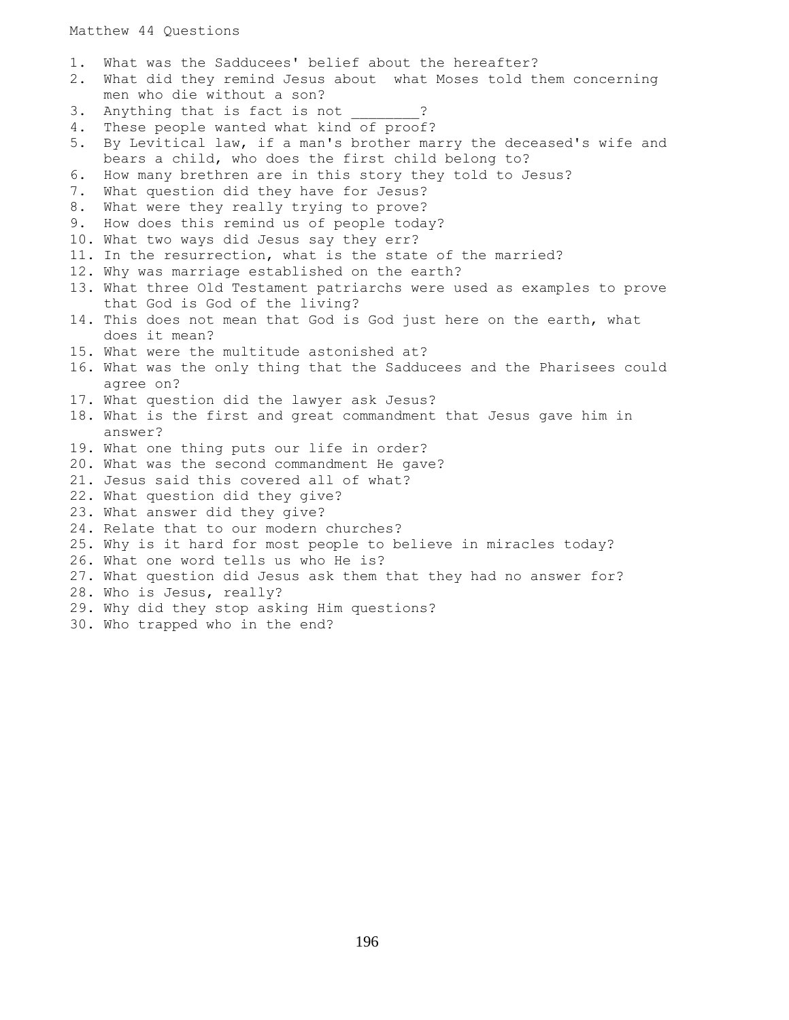1. What was the Sadducees' belief about the hereafter? 2. What did they remind Jesus about what Moses told them concerning men who die without a son? 3. Anything that is fact is not ? 4. These people wanted what kind of proof? 5. By Levitical law, if a man's brother marry the deceased's wife and bears a child, who does the first child belong to? 6. How many brethren are in this story they told to Jesus? 7. What question did they have for Jesus? 8. What were they really trying to prove? 9. How does this remind us of people today? 10. What two ways did Jesus say they err? 11. In the resurrection, what is the state of the married? 12. Why was marriage established on the earth? 13. What three Old Testament patriarchs were used as examples to prove that God is God of the living? 14. This does not mean that God is God just here on the earth, what does it mean? 15. What were the multitude astonished at? 16. What was the only thing that the Sadducees and the Pharisees could agree on? 17. What question did the lawyer ask Jesus? 18. What is the first and great commandment that Jesus gave him in answer? 19. What one thing puts our life in order? 20. What was the second commandment He gave? 21. Jesus said this covered all of what? 22. What question did they give? 23. What answer did they give? 24. Relate that to our modern churches? 25. Why is it hard for most people to believe in miracles today? 26. What one word tells us who He is? 27. What question did Jesus ask them that they had no answer for? 28. Who is Jesus, really? 29. Why did they stop asking Him questions? 30. Who trapped who in the end?

196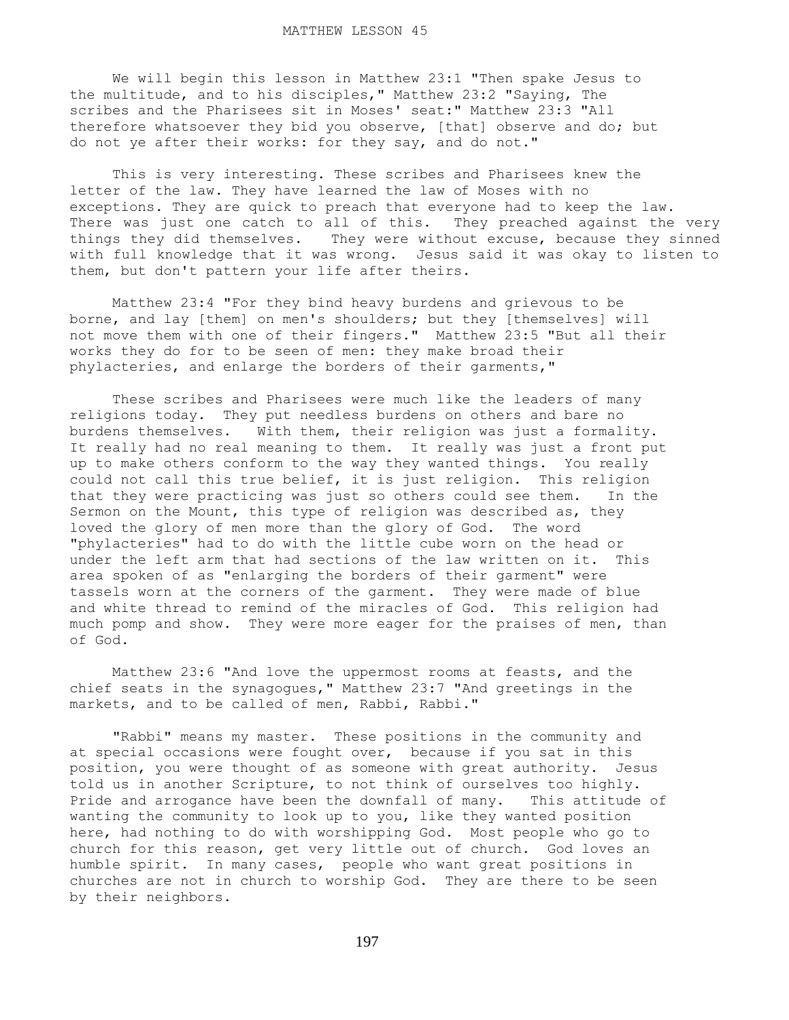We will begin this lesson in Matthew 23:1 "Then spake Jesus to the multitude, and to his disciples," Matthew 23:2 "Saying, The scribes and the Pharisees sit in Moses' seat:" Matthew 23:3 "All therefore whatsoever they bid you observe, [that] observe and do; but do not ye after their works: for they say, and do not."

 This is very interesting. These scribes and Pharisees knew the letter of the law. They have learned the law of Moses with no exceptions. They are quick to preach that everyone had to keep the law. There was just one catch to all of this. They preached against the very things they did themselves. They were without excuse, because they sinned with full knowledge that it was wrong. Jesus said it was okay to listen to them, but don't pattern your life after theirs.

 Matthew 23:4 "For they bind heavy burdens and grievous to be borne, and lay [them] on men's shoulders; but they [themselves] will not move them with one of their fingers." Matthew 23:5 "But all their works they do for to be seen of men: they make broad their phylacteries, and enlarge the borders of their garments,"

 These scribes and Pharisees were much like the leaders of many religions today. They put needless burdens on others and bare no burdens themselves. With them, their religion was just a formality. It really had no real meaning to them. It really was just a front put up to make others conform to the way they wanted things. You really could not call this true belief, it is just religion. This religion that they were practicing was just so others could see them. In the Sermon on the Mount, this type of religion was described as, they loved the glory of men more than the glory of God. The word "phylacteries" had to do with the little cube worn on the head or under the left arm that had sections of the law written on it. This area spoken of as "enlarging the borders of their garment" were tassels worn at the corners of the garment. They were made of blue and white thread to remind of the miracles of God. This religion had much pomp and show. They were more eager for the praises of men, than of God.

 Matthew 23:6 "And love the uppermost rooms at feasts, and the chief seats in the synagogues," Matthew 23:7 "And greetings in the markets, and to be called of men, Rabbi, Rabbi."

 "Rabbi" means my master. These positions in the community and at special occasions were fought over, because if you sat in this position, you were thought of as someone with great authority. Jesus told us in another Scripture, to not think of ourselves too highly. Pride and arrogance have been the downfall of many. This attitude of wanting the community to look up to you, like they wanted position here, had nothing to do with worshipping God. Most people who go to church for this reason, get very little out of church. God loves an humble spirit. In many cases, people who want great positions in churches are not in church to worship God. They are there to be seen by their neighbors.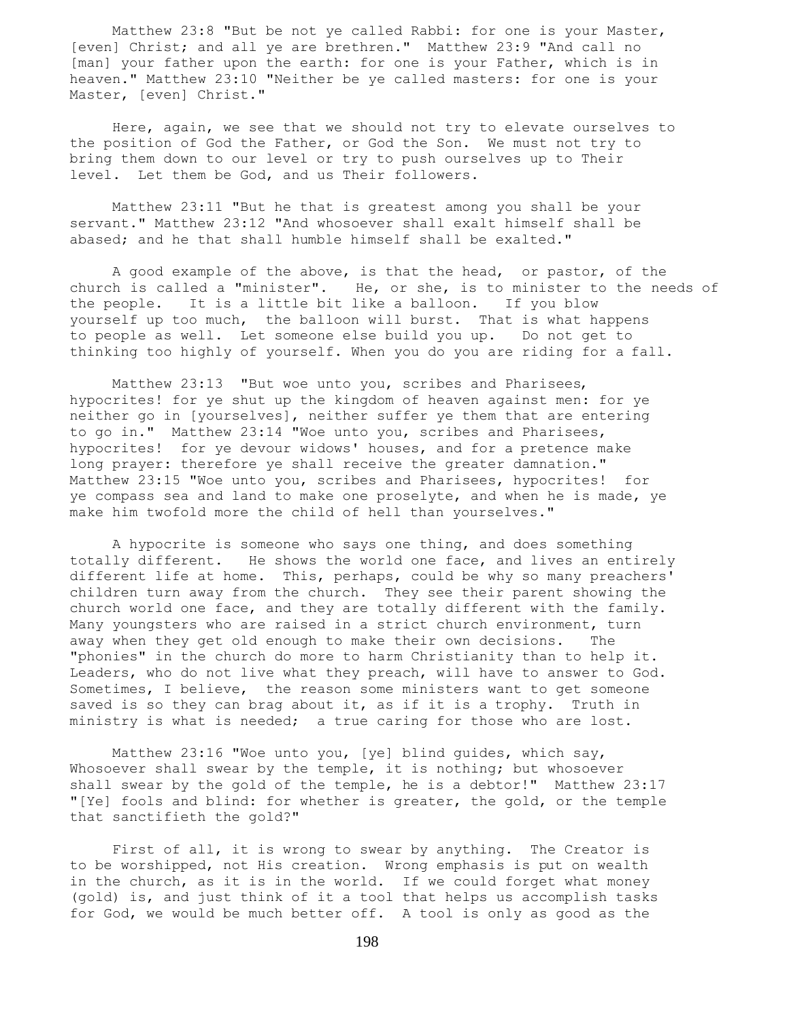Matthew 23:8 "But be not ye called Rabbi: for one is your Master, [even] Christ; and all ye are brethren." Matthew 23:9 "And call no [man] your father upon the earth: for one is your Father, which is in heaven." Matthew 23:10 "Neither be ye called masters: for one is your Master, [even] Christ."

 Here, again, we see that we should not try to elevate ourselves to the position of God the Father, or God the Son. We must not try to bring them down to our level or try to push ourselves up to Their level. Let them be God, and us Their followers.

 Matthew 23:11 "But he that is greatest among you shall be your servant." Matthew 23:12 "And whosoever shall exalt himself shall be abased; and he that shall humble himself shall be exalted."

 A good example of the above, is that the head, or pastor, of the church is called a "minister". He, or she, is to minister to the needs of the people. It is a little bit like a balloon. If you blow yourself up too much, the balloon will burst. That is what happens to people as well. Let someone else build you up. Do not get to thinking too highly of yourself. When you do you are riding for a fall.

 Matthew 23:13 "But woe unto you, scribes and Pharisees, hypocrites! for ye shut up the kingdom of heaven against men: for ye neither go in [yourselves], neither suffer ye them that are entering to go in." Matthew 23:14 "Woe unto you, scribes and Pharisees, hypocrites! for ye devour widows' houses, and for a pretence make long prayer: therefore ye shall receive the greater damnation." Matthew 23:15 "Woe unto you, scribes and Pharisees, hypocrites! for ye compass sea and land to make one proselyte, and when he is made, ye make him twofold more the child of hell than yourselves."

 A hypocrite is someone who says one thing, and does something totally different. He shows the world one face, and lives an entirely different life at home. This, perhaps, could be why so many preachers' children turn away from the church. They see their parent showing the church world one face, and they are totally different with the family. Many youngsters who are raised in a strict church environment, turn away when they get old enough to make their own decisions. The "phonies" in the church do more to harm Christianity than to help it. Leaders, who do not live what they preach, will have to answer to God. Sometimes, I believe, the reason some ministers want to get someone saved is so they can brag about it, as if it is a trophy. Truth in ministry is what is needed; a true caring for those who are lost.

 Matthew 23:16 "Woe unto you, [ye] blind guides, which say, Whosoever shall swear by the temple, it is nothing; but whosoever shall swear by the gold of the temple, he is a debtor!" Matthew 23:17 "[Ye] fools and blind: for whether is greater, the gold, or the temple that sanctifieth the gold?"

First of all, it is wrong to swear by anything. The Creator is to be worshipped, not His creation. Wrong emphasis is put on wealth in the church, as it is in the world. If we could forget what money (gold) is, and just think of it a tool that helps us accomplish tasks for God, we would be much better off. A tool is only as good as the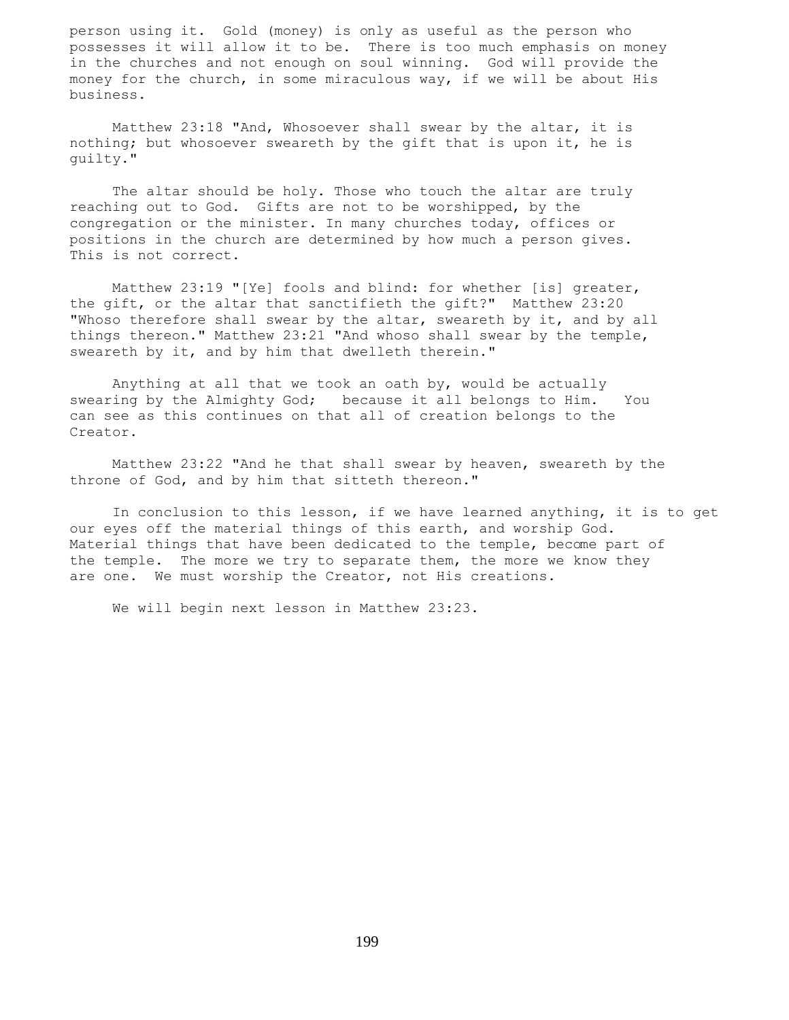person using it. Gold (money) is only as useful as the person who possesses it will allow it to be. There is too much emphasis on money in the churches and not enough on soul winning. God will provide the money for the church, in some miraculous way, if we will be about His business.

 Matthew 23:18 "And, Whosoever shall swear by the altar, it is nothing; but whosoever sweareth by the gift that is upon it, he is guilty."

The altar should be holy. Those who touch the altar are truly reaching out to God. Gifts are not to be worshipped, by the congregation or the minister. In many churches today, offices or positions in the church are determined by how much a person gives. This is not correct.

 Matthew 23:19 "[Ye] fools and blind: for whether [is] greater, the gift, or the altar that sanctifieth the gift?" Matthew 23:20 "Whoso therefore shall swear by the altar, sweareth by it, and by all things thereon." Matthew 23:21 "And whoso shall swear by the temple, sweareth by it, and by him that dwelleth therein."

 Anything at all that we took an oath by, would be actually swearing by the Almighty God; because it all belongs to Him. You can see as this continues on that all of creation belongs to the Creator.

 Matthew 23:22 "And he that shall swear by heaven, sweareth by the throne of God, and by him that sitteth thereon."

 In conclusion to this lesson, if we have learned anything, it is to get our eyes off the material things of this earth, and worship God. Material things that have been dedicated to the temple, become part of the temple. The more we try to separate them, the more we know they are one. We must worship the Creator, not His creations.

We will begin next lesson in Matthew 23:23.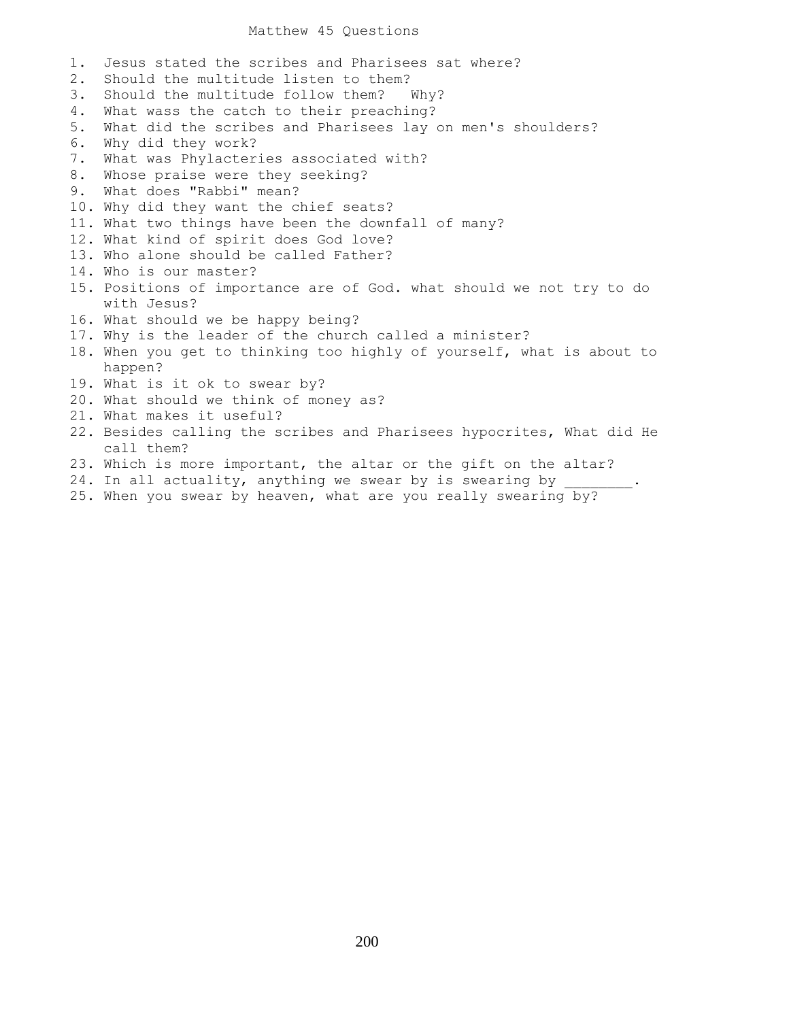## Matthew 45 Questions

1. Jesus stated the scribes and Pharisees sat where?

- 2. Should the multitude listen to them?
- 3. Should the multitude follow them? Why?
- 4. What wass the catch to their preaching?
- 5. What did the scribes and Pharisees lay on men's shoulders?
- 6. Why did they work?
- 7. What was Phylacteries associated with?
- 8. Whose praise were they seeking?
- 9. What does "Rabbi" mean?
- 10. Why did they want the chief seats?
- 11. What two things have been the downfall of many?
- 12. What kind of spirit does God love?
- 13. Who alone should be called Father?
- 14. Who is our master?
- 15. Positions of importance are of God. what should we not try to do with Jesus?
- 16. What should we be happy being?
- 17. Why is the leader of the church called a minister?
- 18. When you get to thinking too highly of yourself, what is about to happen?
- 19. What is it ok to swear by?
- 20. What should we think of money as?
- 21. What makes it useful?
- 22. Besides calling the scribes and Pharisees hypocrites, What did He call them?
- 23. Which is more important, the altar or the gift on the altar?
- 24. In all actuality, anything we swear by is swearing by
- 25. When you swear by heaven, what are you really swearing by?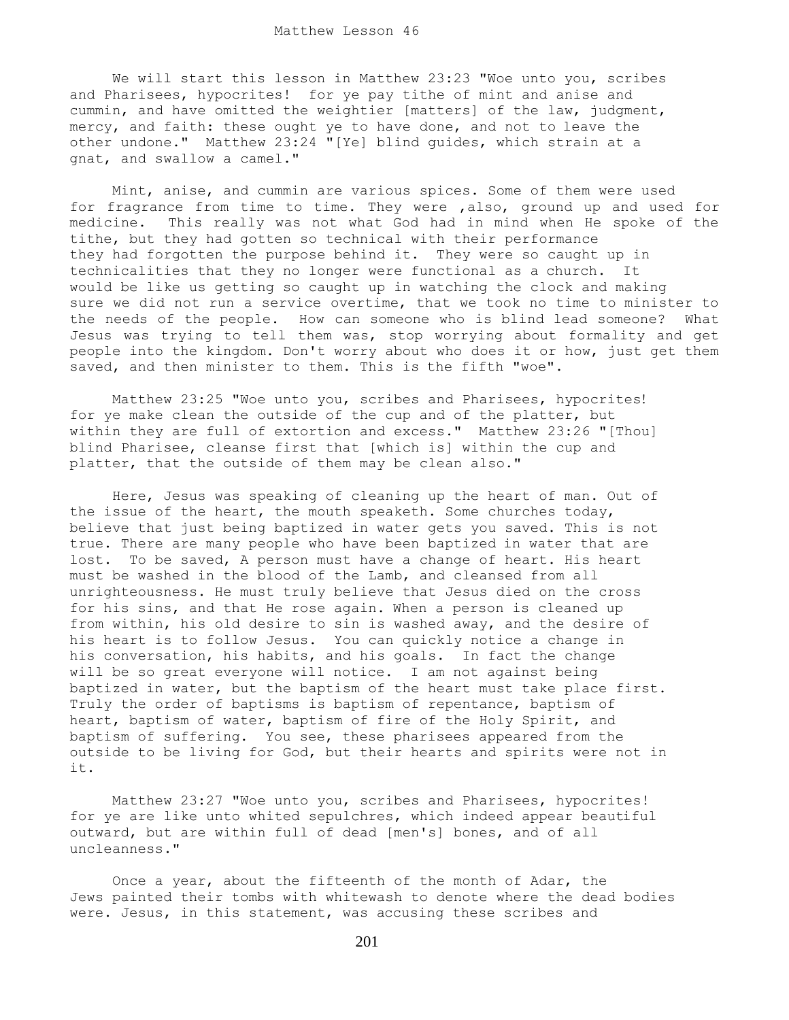We will start this lesson in Matthew 23:23 "Woe unto you, scribes and Pharisees, hypocrites! for ye pay tithe of mint and anise and cummin, and have omitted the weightier [matters] of the law, judgment, mercy, and faith: these ought ye to have done, and not to leave the other undone." Matthew 23:24 "[Ye] blind guides, which strain at a gnat, and swallow a camel."

 Mint, anise, and cummin are various spices. Some of them were used for fragrance from time to time. They were ,also, ground up and used for medicine. This really was not what God had in mind when He spoke of the tithe, but they had gotten so technical with their performance they had forgotten the purpose behind it. They were so caught up in technicalities that they no longer were functional as a church. It would be like us getting so caught up in watching the clock and making sure we did not run a service overtime, that we took no time to minister to the needs of the people. How can someone who is blind lead someone? What Jesus was trying to tell them was, stop worrying about formality and get people into the kingdom. Don't worry about who does it or how, just get them saved, and then minister to them. This is the fifth "woe".

 Matthew 23:25 "Woe unto you, scribes and Pharisees, hypocrites! for ye make clean the outside of the cup and of the platter, but within they are full of extortion and excess." Matthew 23:26 "[Thou] blind Pharisee, cleanse first that [which is] within the cup and platter, that the outside of them may be clean also."

 Here, Jesus was speaking of cleaning up the heart of man. Out of the issue of the heart, the mouth speaketh. Some churches today, believe that just being baptized in water gets you saved. This is not true. There are many people who have been baptized in water that are lost. To be saved, A person must have a change of heart. His heart must be washed in the blood of the Lamb, and cleansed from all unrighteousness. He must truly believe that Jesus died on the cross for his sins, and that He rose again. When a person is cleaned up from within, his old desire to sin is washed away, and the desire of his heart is to follow Jesus. You can quickly notice a change in his conversation, his habits, and his goals. In fact the change will be so great everyone will notice. I am not against being baptized in water, but the baptism of the heart must take place first. Truly the order of baptisms is baptism of repentance, baptism of heart, baptism of water, baptism of fire of the Holy Spirit, and baptism of suffering. You see, these pharisees appeared from the outside to be living for God, but their hearts and spirits were not in it.

 Matthew 23:27 "Woe unto you, scribes and Pharisees, hypocrites! for ye are like unto whited sepulchres, which indeed appear beautiful outward, but are within full of dead [men's] bones, and of all uncleanness."

 Once a year, about the fifteenth of the month of Adar, the Jews painted their tombs with whitewash to denote where the dead bodies were. Jesus, in this statement, was accusing these scribes and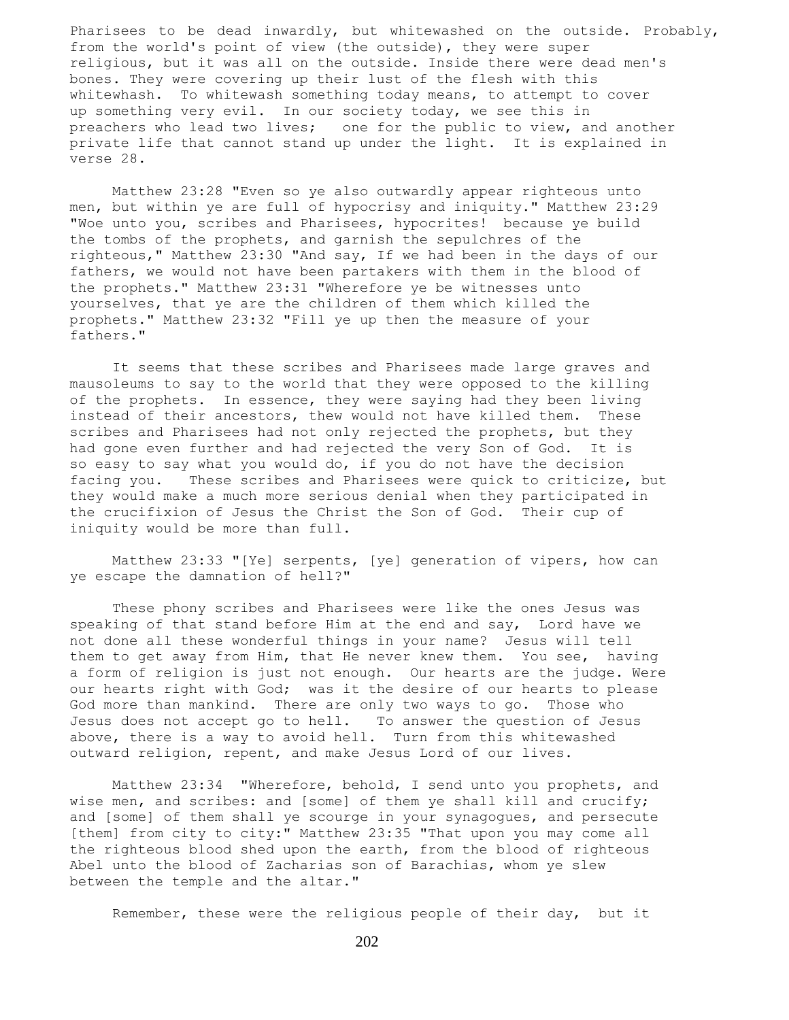Pharisees to be dead inwardly, but whitewashed on the outside. Probably, from the world's point of view (the outside), they were super religious, but it was all on the outside. Inside there were dead men's bones. They were covering up their lust of the flesh with this whitewhash. To whitewash something today means, to attempt to cover up something very evil. In our society today, we see this in preachers who lead two lives; one for the public to view, and another private life that cannot stand up under the light. It is explained in verse 28.

 Matthew 23:28 "Even so ye also outwardly appear righteous unto men, but within ye are full of hypocrisy and iniquity." Matthew 23:29 "Woe unto you, scribes and Pharisees, hypocrites! because ye build the tombs of the prophets, and garnish the sepulchres of the righteous," Matthew 23:30 "And say, If we had been in the days of our fathers, we would not have been partakers with them in the blood of the prophets." Matthew 23:31 "Wherefore ye be witnesses unto yourselves, that ye are the children of them which killed the prophets." Matthew 23:32 "Fill ye up then the measure of your fathers."

 It seems that these scribes and Pharisees made large graves and mausoleums to say to the world that they were opposed to the killing of the prophets. In essence, they were saying had they been living instead of their ancestors, thew would not have killed them. These scribes and Pharisees had not only rejected the prophets, but they had gone even further and had rejected the very Son of God. It is so easy to say what you would do, if you do not have the decision facing you. These scribes and Pharisees were quick to criticize, but they would make a much more serious denial when they participated in the crucifixion of Jesus the Christ the Son of God. Their cup of iniquity would be more than full.

 Matthew 23:33 "[Ye] serpents, [ye] generation of vipers, how can ye escape the damnation of hell?"

 These phony scribes and Pharisees were like the ones Jesus was speaking of that stand before Him at the end and say, Lord have we not done all these wonderful things in your name? Jesus will tell them to get away from Him, that He never knew them. You see, having a form of religion is just not enough. Our hearts are the judge. Were our hearts right with God; was it the desire of our hearts to please God more than mankind. There are only two ways to go. Those who Jesus does not accept go to hell. To answer the question of Jesus above, there is a way to avoid hell. Turn from this whitewashed outward religion, repent, and make Jesus Lord of our lives.

 Matthew 23:34 "Wherefore, behold, I send unto you prophets, and wise men, and scribes: and [some] of them ye shall kill and crucify; and [some] of them shall ye scourge in your synagogues, and persecute [them] from city to city:" Matthew 23:35 "That upon you may come all the righteous blood shed upon the earth, from the blood of righteous Abel unto the blood of Zacharias son of Barachias, whom ye slew between the temple and the altar."

Remember, these were the religious people of their day, but it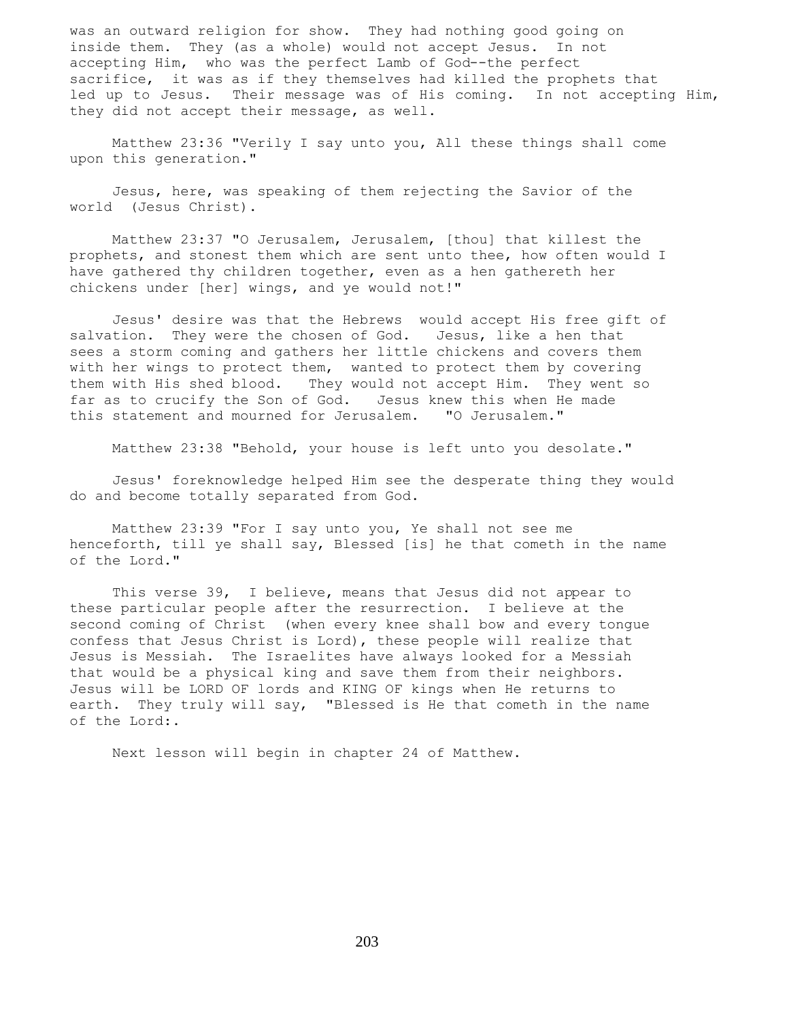was an outward religion for show. They had nothing good going on inside them. They (as a whole) would not accept Jesus. In not accepting Him, who was the perfect Lamb of God--the perfect sacrifice, it was as if they themselves had killed the prophets that led up to Jesus. Their message was of His coming. In not accepting Him, they did not accept their message, as well.

 Matthew 23:36 "Verily I say unto you, All these things shall come upon this generation."

 Jesus, here, was speaking of them rejecting the Savior of the world (Jesus Christ).

 Matthew 23:37 "O Jerusalem, Jerusalem, [thou] that killest the prophets, and stonest them which are sent unto thee, how often would I have gathered thy children together, even as a hen gathereth her chickens under [her] wings, and ye would not!"

 Jesus' desire was that the Hebrews would accept His free gift of salvation. They were the chosen of God. Jesus, like a hen that sees a storm coming and gathers her little chickens and covers them with her wings to protect them, wanted to protect them by covering them with His shed blood. They would not accept Him. They went so far as to crucify the Son of God. Jesus knew this when He made this statement and mourned for Jerusalem. "O Jerusalem."

Matthew 23:38 "Behold, your house is left unto you desolate."

 Jesus' foreknowledge helped Him see the desperate thing they would do and become totally separated from God.

 Matthew 23:39 "For I say unto you, Ye shall not see me henceforth, till ye shall say, Blessed [is] he that cometh in the name of the Lord."

 This verse 39, I believe, means that Jesus did not appear to these particular people after the resurrection. I believe at the second coming of Christ (when every knee shall bow and every tongue confess that Jesus Christ is Lord), these people will realize that Jesus is Messiah. The Israelites have always looked for a Messiah that would be a physical king and save them from their neighbors. Jesus will be LORD OF lords and KING OF kings when He returns to earth. They truly will say, "Blessed is He that cometh in the name of the Lord:.

Next lesson will begin in chapter 24 of Matthew.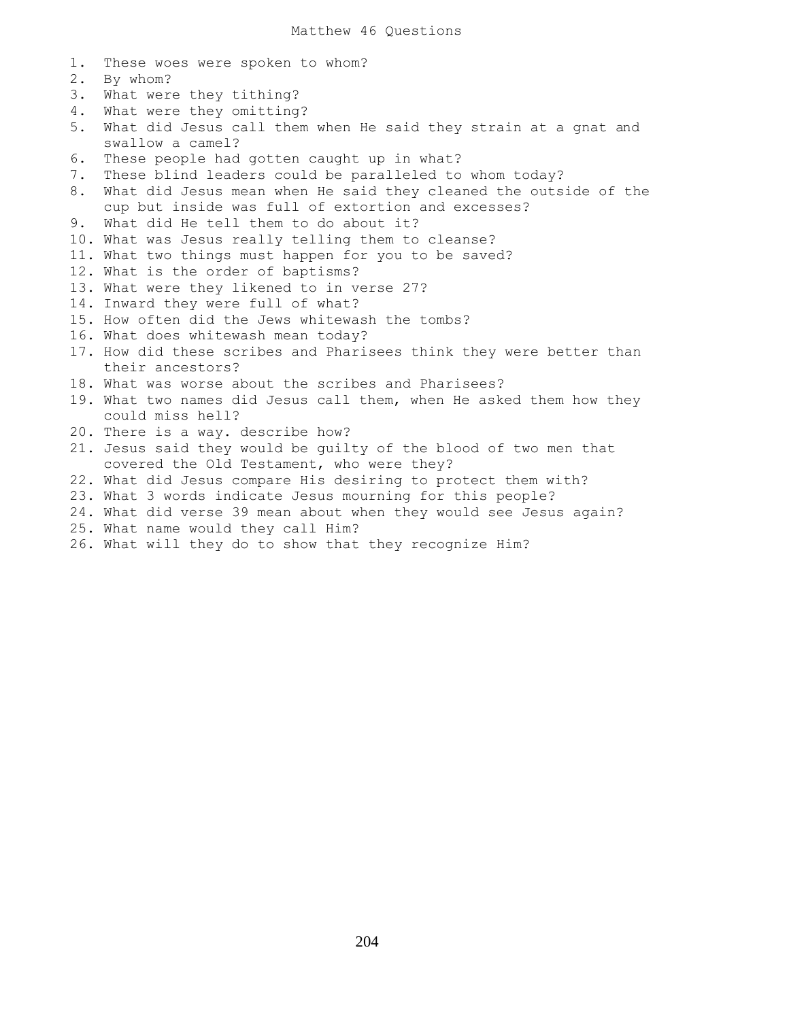1. These woes were spoken to whom? 2. By whom? 3. What were they tithing? 4. What were they omitting? 5. What did Jesus call them when He said they strain at a gnat and swallow a camel? 6. These people had gotten caught up in what? 7. These blind leaders could be paralleled to whom today? 8. What did Jesus mean when He said they cleaned the outside of the cup but inside was full of extortion and excesses? 9. What did He tell them to do about it? 10. What was Jesus really telling them to cleanse? 11. What two things must happen for you to be saved? 12. What is the order of baptisms? 13. What were they likened to in verse 27? 14. Inward they were full of what? 15. How often did the Jews whitewash the tombs? 16. What does whitewash mean today? 17. How did these scribes and Pharisees think they were better than their ancestors? 18. What was worse about the scribes and Pharisees? 19. What two names did Jesus call them, when He asked them how they could miss hell? 20. There is a way. describe how? 21. Jesus said they would be guilty of the blood of two men that covered the Old Testament, who were they? 22. What did Jesus compare His desiring to protect them with? 23. What 3 words indicate Jesus mourning for this people? 24. What did verse 39 mean about when they would see Jesus again? 25. What name would they call Him? 26. What will they do to show that they recognize Him?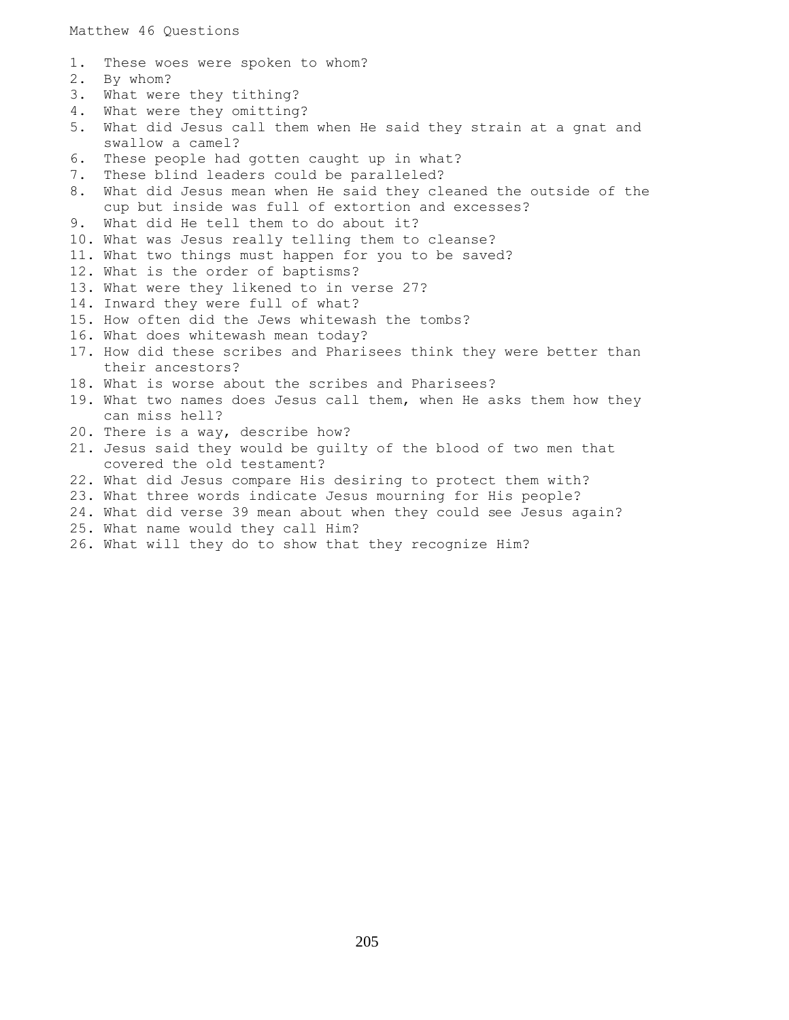Matthew 46 Questions

- 1. These woes were spoken to whom?
- 2. By whom?
- 3. What were they tithing?
- 4. What were they omitting?
- 5. What did Jesus call them when He said they strain at a gnat and swallow a camel?
- 6. These people had gotten caught up in what?
- 7. These blind leaders could be paralleled?
- 8. What did Jesus mean when He said they cleaned the outside of the cup but inside was full of extortion and excesses?
- 9. What did He tell them to do about it?
- 10. What was Jesus really telling them to cleanse?
- 11. What two things must happen for you to be saved?
- 12. What is the order of baptisms?
- 13. What were they likened to in verse 27?
- 14. Inward they were full of what?
- 15. How often did the Jews whitewash the tombs?
- 16. What does whitewash mean today?
- 17. How did these scribes and Pharisees think they were better than their ancestors?
- 18. What is worse about the scribes and Pharisees?
- 19. What two names does Jesus call them, when He asks them how they can miss hell?
- 20. There is a way, describe how?
- 21. Jesus said they would be guilty of the blood of two men that covered the old testament?
- 22. What did Jesus compare His desiring to protect them with?
- 23. What three words indicate Jesus mourning for His people?
- 24. What did verse 39 mean about when they could see Jesus again?
- 25. What name would they call Him?
- 26. What will they do to show that they recognize Him?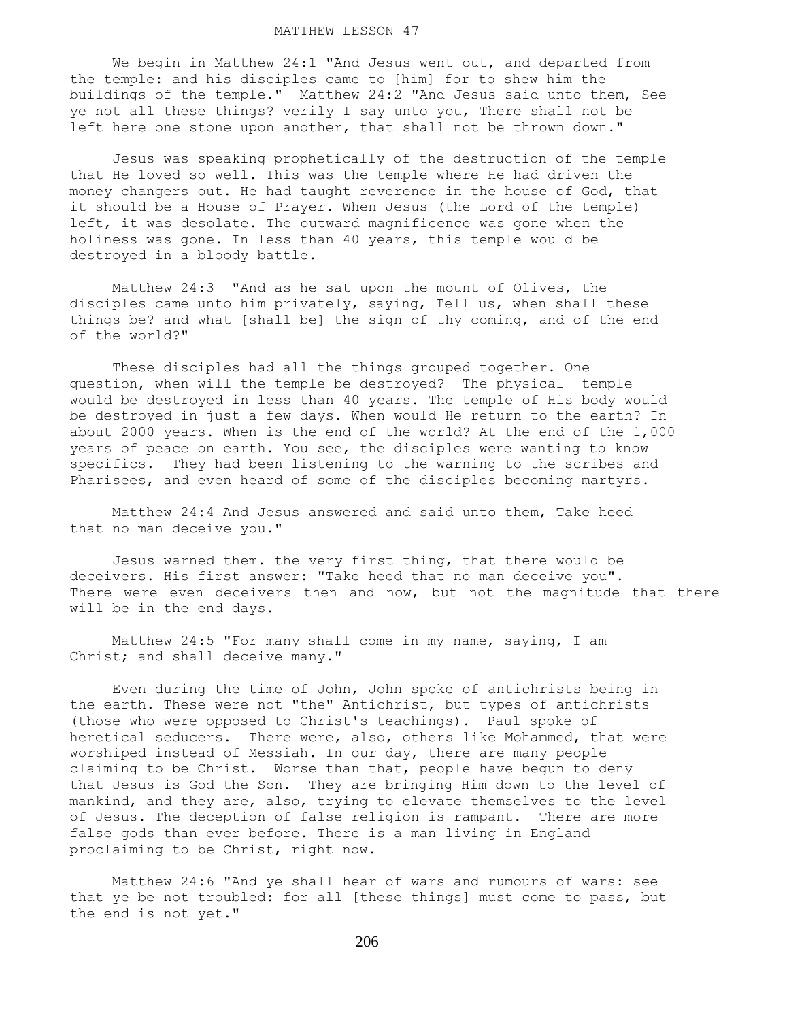## MATTHEW LESSON 47

 We begin in Matthew 24:1 "And Jesus went out, and departed from the temple: and his disciples came to [him] for to shew him the buildings of the temple." Matthew 24:2 "And Jesus said unto them, See ye not all these things? verily I say unto you, There shall not be left here one stone upon another, that shall not be thrown down."

 Jesus was speaking prophetically of the destruction of the temple that He loved so well. This was the temple where He had driven the money changers out. He had taught reverence in the house of God, that it should be a House of Prayer. When Jesus (the Lord of the temple) left, it was desolate. The outward magnificence was gone when the holiness was gone. In less than 40 years, this temple would be destroyed in a bloody battle.

 Matthew 24:3 "And as he sat upon the mount of Olives, the disciples came unto him privately, saying, Tell us, when shall these things be? and what [shall be] the sign of thy coming, and of the end of the world?"

 These disciples had all the things grouped together. One question, when will the temple be destroyed? The physical temple would be destroyed in less than 40 years. The temple of His body would be destroyed in just a few days. When would He return to the earth? In about 2000 years. When is the end of the world? At the end of the 1,000 years of peace on earth. You see, the disciples were wanting to know specifics. They had been listening to the warning to the scribes and Pharisees, and even heard of some of the disciples becoming martyrs.

 Matthew 24:4 And Jesus answered and said unto them, Take heed that no man deceive you."

 Jesus warned them. the very first thing, that there would be deceivers. His first answer: "Take heed that no man deceive you". There were even deceivers then and now, but not the magnitude that there will be in the end days.

 Matthew 24:5 "For many shall come in my name, saying, I am Christ; and shall deceive many."

 Even during the time of John, John spoke of antichrists being in the earth. These were not "the" Antichrist, but types of antichrists (those who were opposed to Christ's teachings). Paul spoke of heretical seducers. There were, also, others like Mohammed, that were worshiped instead of Messiah. In our day, there are many people claiming to be Christ. Worse than that, people have begun to deny that Jesus is God the Son. They are bringing Him down to the level of mankind, and they are, also, trying to elevate themselves to the level of Jesus. The deception of false religion is rampant. There are more false gods than ever before. There is a man living in England proclaiming to be Christ, right now.

 Matthew 24:6 "And ye shall hear of wars and rumours of wars: see that ye be not troubled: for all [these things] must come to pass, but the end is not yet."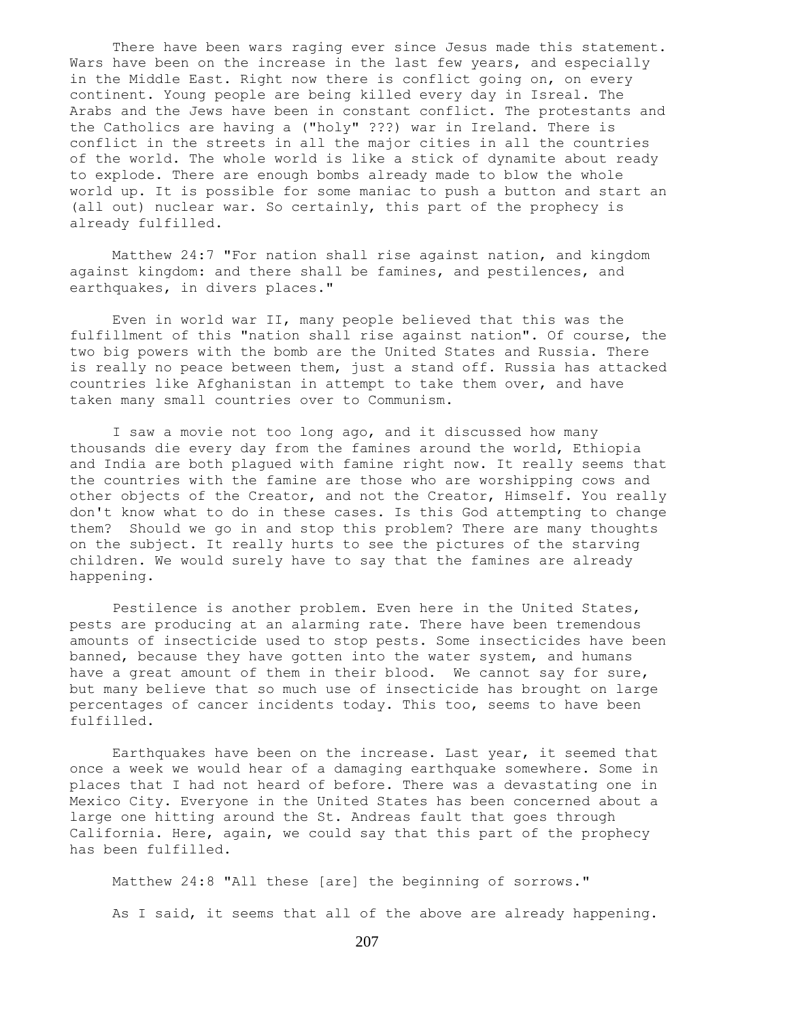There have been wars raging ever since Jesus made this statement. Wars have been on the increase in the last few years, and especially in the Middle East. Right now there is conflict going on, on every continent. Young people are being killed every day in Isreal. The Arabs and the Jews have been in constant conflict. The protestants and the Catholics are having a ("holy" ???) war in Ireland. There is conflict in the streets in all the major cities in all the countries of the world. The whole world is like a stick of dynamite about ready to explode. There are enough bombs already made to blow the whole world up. It is possible for some maniac to push a button and start an (all out) nuclear war. So certainly, this part of the prophecy is already fulfilled.

 Matthew 24:7 "For nation shall rise against nation, and kingdom against kingdom: and there shall be famines, and pestilences, and earthquakes, in divers places."

 Even in world war II, many people believed that this was the fulfillment of this "nation shall rise against nation". Of course, the two big powers with the bomb are the United States and Russia. There is really no peace between them, just a stand off. Russia has attacked countries like Afghanistan in attempt to take them over, and have taken many small countries over to Communism.

 I saw a movie not too long ago, and it discussed how many thousands die every day from the famines around the world, Ethiopia and India are both plagued with famine right now. It really seems that the countries with the famine are those who are worshipping cows and other objects of the Creator, and not the Creator, Himself. You really don't know what to do in these cases. Is this God attempting to change them? Should we go in and stop this problem? There are many thoughts on the subject. It really hurts to see the pictures of the starving children. We would surely have to say that the famines are already happening.

 Pestilence is another problem. Even here in the United States, pests are producing at an alarming rate. There have been tremendous amounts of insecticide used to stop pests. Some insecticides have been banned, because they have gotten into the water system, and humans have a great amount of them in their blood. We cannot say for sure, but many believe that so much use of insecticide has brought on large percentages of cancer incidents today. This too, seems to have been fulfilled.

 Earthquakes have been on the increase. Last year, it seemed that once a week we would hear of a damaging earthquake somewhere. Some in places that I had not heard of before. There was a devastating one in Mexico City. Everyone in the United States has been concerned about a large one hitting around the St. Andreas fault that goes through California. Here, again, we could say that this part of the prophecy has been fulfilled.

 Matthew 24:8 "All these [are] the beginning of sorrows." As I said, it seems that all of the above are already happening.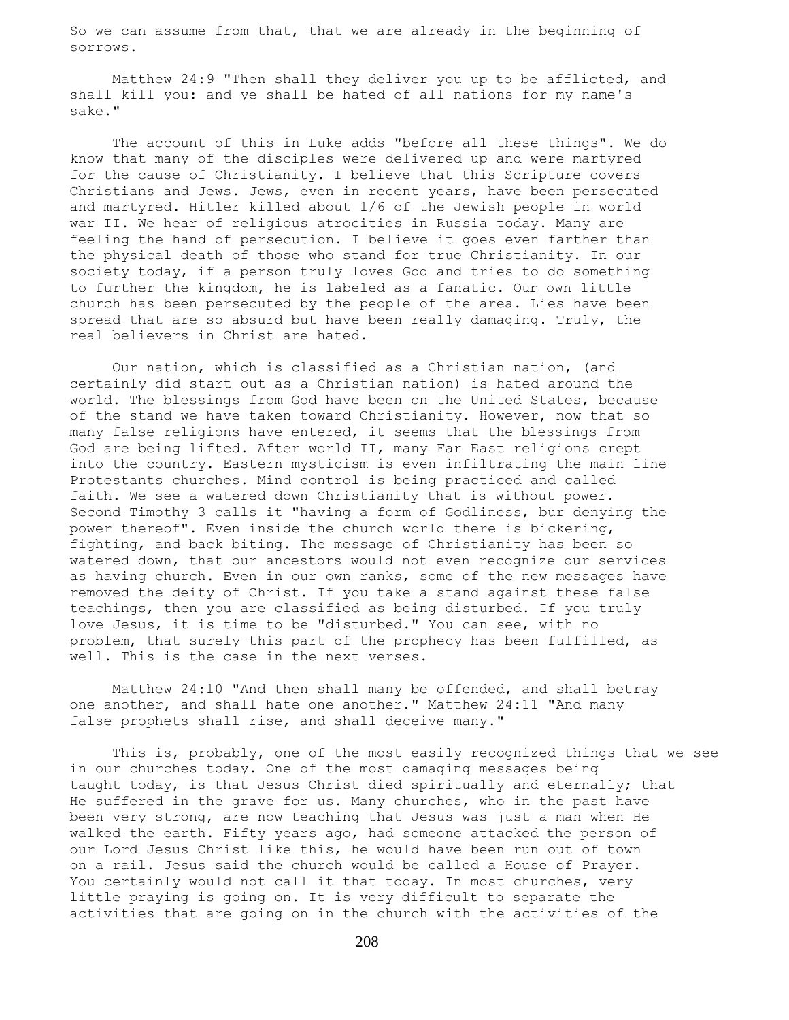So we can assume from that, that we are already in the beginning of sorrows.

 Matthew 24:9 "Then shall they deliver you up to be afflicted, and shall kill you: and ye shall be hated of all nations for my name's sake."

 The account of this in Luke adds "before all these things". We do know that many of the disciples were delivered up and were martyred for the cause of Christianity. I believe that this Scripture covers Christians and Jews. Jews, even in recent years, have been persecuted and martyred. Hitler killed about 1/6 of the Jewish people in world war II. We hear of religious atrocities in Russia today. Many are feeling the hand of persecution. I believe it goes even farther than the physical death of those who stand for true Christianity. In our society today, if a person truly loves God and tries to do something to further the kingdom, he is labeled as a fanatic. Our own little church has been persecuted by the people of the area. Lies have been spread that are so absurd but have been really damaging. Truly, the real believers in Christ are hated.

 Our nation, which is classified as a Christian nation, (and certainly did start out as a Christian nation) is hated around the world. The blessings from God have been on the United States, because of the stand we have taken toward Christianity. However, now that so many false religions have entered, it seems that the blessings from God are being lifted. After world II, many Far East religions crept into the country. Eastern mysticism is even infiltrating the main line Protestants churches. Mind control is being practiced and called faith. We see a watered down Christianity that is without power. Second Timothy 3 calls it "having a form of Godliness, bur denying the power thereof". Even inside the church world there is bickering, fighting, and back biting. The message of Christianity has been so watered down, that our ancestors would not even recognize our services as having church. Even in our own ranks, some of the new messages have removed the deity of Christ. If you take a stand against these false teachings, then you are classified as being disturbed. If you truly love Jesus, it is time to be "disturbed." You can see, with no problem, that surely this part of the prophecy has been fulfilled, as well. This is the case in the next verses.

 Matthew 24:10 "And then shall many be offended, and shall betray one another, and shall hate one another." Matthew 24:11 "And many false prophets shall rise, and shall deceive many."

 This is, probably, one of the most easily recognized things that we see in our churches today. One of the most damaging messages being taught today, is that Jesus Christ died spiritually and eternally; that He suffered in the grave for us. Many churches, who in the past have been very strong, are now teaching that Jesus was just a man when He walked the earth. Fifty years ago, had someone attacked the person of our Lord Jesus Christ like this, he would have been run out of town on a rail. Jesus said the church would be called a House of Prayer. You certainly would not call it that today. In most churches, very little praying is going on. It is very difficult to separate the activities that are going on in the church with the activities of the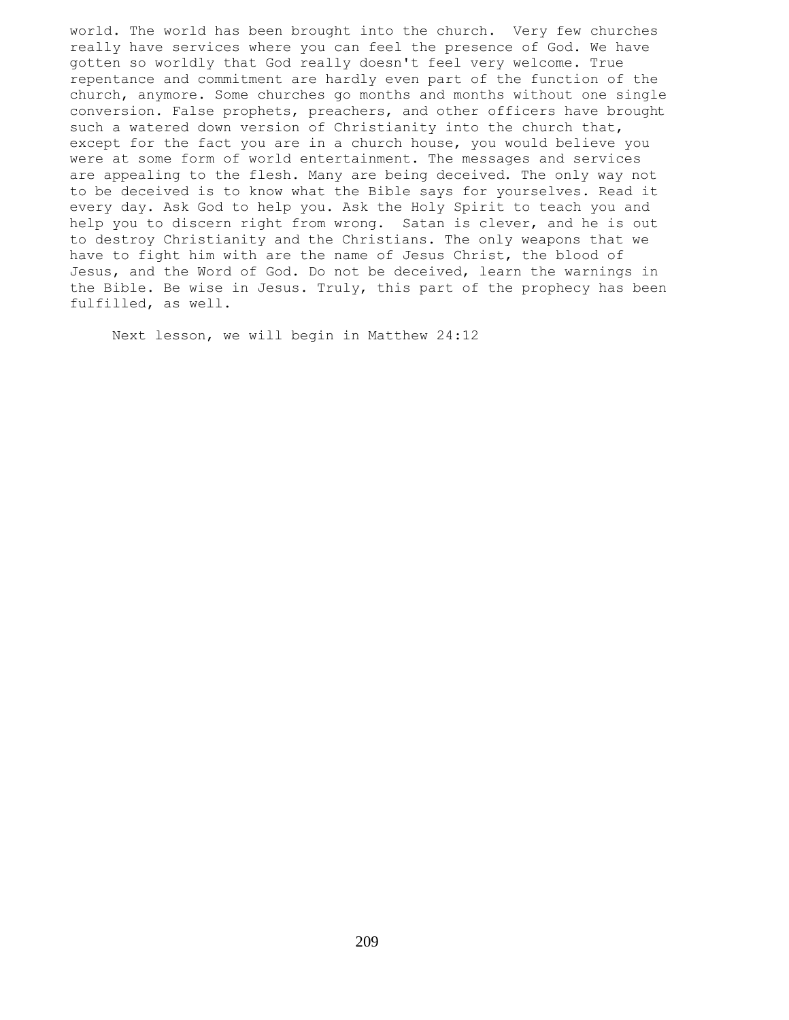world. The world has been brought into the church. Very few churches really have services where you can feel the presence of God. We have gotten so worldly that God really doesn't feel very welcome. True repentance and commitment are hardly even part of the function of the church, anymore. Some churches go months and months without one single conversion. False prophets, preachers, and other officers have brought such a watered down version of Christianity into the church that, except for the fact you are in a church house, you would believe you were at some form of world entertainment. The messages and services are appealing to the flesh. Many are being deceived. The only way not to be deceived is to know what the Bible says for yourselves. Read it every day. Ask God to help you. Ask the Holy Spirit to teach you and help you to discern right from wrong. Satan is clever, and he is out to destroy Christianity and the Christians. The only weapons that we have to fight him with are the name of Jesus Christ, the blood of Jesus, and the Word of God. Do not be deceived, learn the warnings in the Bible. Be wise in Jesus. Truly, this part of the prophecy has been fulfilled, as well.

Next lesson, we will begin in Matthew 24:12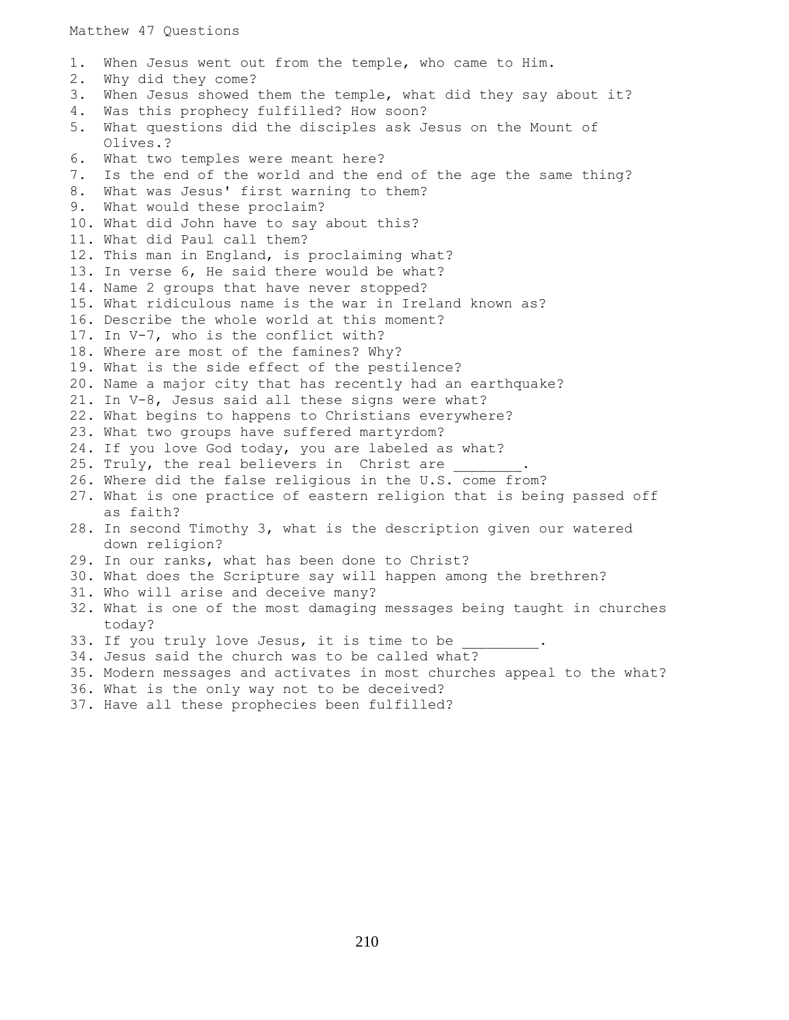Matthew 47 Questions

1. When Jesus went out from the temple, who came to Him. 2. Why did they come? 3. When Jesus showed them the temple, what did they say about it? 4. Was this prophecy fulfilled? How soon? 5. What questions did the disciples ask Jesus on the Mount of Olives.? 6. What two temples were meant here? 7. Is the end of the world and the end of the age the same thing? 8. What was Jesus' first warning to them? 9. What would these proclaim? 10. What did John have to say about this? 11. What did Paul call them? 12. This man in England, is proclaiming what? 13. In verse 6, He said there would be what? 14. Name 2 groups that have never stopped? 15. What ridiculous name is the war in Ireland known as? 16. Describe the whole world at this moment? 17. In V-7, who is the conflict with? 18. Where are most of the famines? Why? 19. What is the side effect of the pestilence? 20. Name a major city that has recently had an earthquake? 21. In V-8, Jesus said all these signs were what? 22. What begins to happens to Christians everywhere? 23. What two groups have suffered martyrdom? 24. If you love God today, you are labeled as what? 25. Truly, the real believers in Christ are 26. Where did the false religious in the U.S. come from? 27. What is one practice of eastern religion that is being passed off as faith? 28. In second Timothy 3, what is the description given our watered down religion? 29. In our ranks, what has been done to Christ? 30. What does the Scripture say will happen among the brethren? 31. Who will arise and deceive many? 32. What is one of the most damaging messages being taught in churches today? 33. If you truly love Jesus, it is time to be 34. Jesus said the church was to be called what? 35. Modern messages and activates in most churches appeal to the what? 36. What is the only way not to be deceived? 37. Have all these prophecies been fulfilled?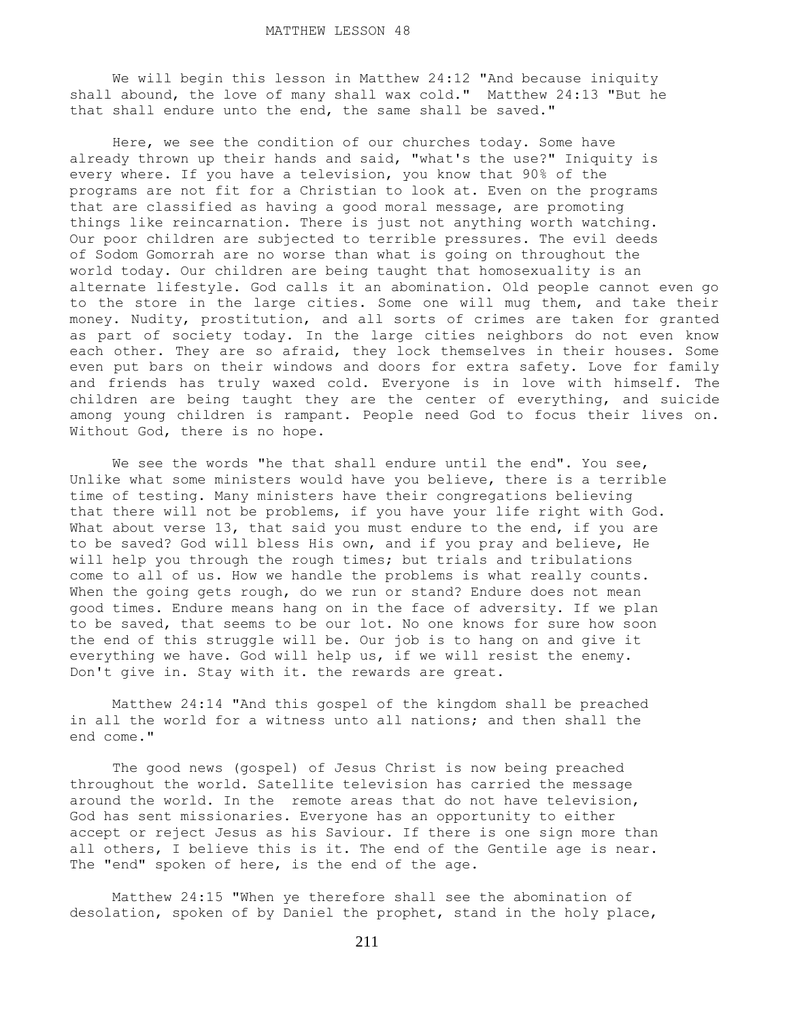We will begin this lesson in Matthew 24:12 "And because iniquity shall abound, the love of many shall wax cold." Matthew 24:13 "But he that shall endure unto the end, the same shall be saved."

 Here, we see the condition of our churches today. Some have already thrown up their hands and said, "what's the use?" Iniquity is every where. If you have a television, you know that 90% of the programs are not fit for a Christian to look at. Even on the programs that are classified as having a good moral message, are promoting things like reincarnation. There is just not anything worth watching. Our poor children are subjected to terrible pressures. The evil deeds of Sodom Gomorrah are no worse than what is going on throughout the world today. Our children are being taught that homosexuality is an alternate lifestyle. God calls it an abomination. Old people cannot even go to the store in the large cities. Some one will mug them, and take their money. Nudity, prostitution, and all sorts of crimes are taken for granted as part of society today. In the large cities neighbors do not even know each other. They are so afraid, they lock themselves in their houses. Some even put bars on their windows and doors for extra safety. Love for family and friends has truly waxed cold. Everyone is in love with himself. The children are being taught they are the center of everything, and suicide among young children is rampant. People need God to focus their lives on. Without God, there is no hope.

We see the words "he that shall endure until the end". You see, Unlike what some ministers would have you believe, there is a terrible time of testing. Many ministers have their congregations believing that there will not be problems, if you have your life right with God. What about verse 13, that said you must endure to the end, if you are to be saved? God will bless His own, and if you pray and believe, He will help you through the rough times; but trials and tribulations come to all of us. How we handle the problems is what really counts. When the going gets rough, do we run or stand? Endure does not mean good times. Endure means hang on in the face of adversity. If we plan to be saved, that seems to be our lot. No one knows for sure how soon the end of this struggle will be. Our job is to hang on and give it everything we have. God will help us, if we will resist the enemy. Don't give in. Stay with it. the rewards are great.

 Matthew 24:14 "And this gospel of the kingdom shall be preached in all the world for a witness unto all nations; and then shall the end come."

 The good news (gospel) of Jesus Christ is now being preached throughout the world. Satellite television has carried the message around the world. In the remote areas that do not have television, God has sent missionaries. Everyone has an opportunity to either accept or reject Jesus as his Saviour. If there is one sign more than all others, I believe this is it. The end of the Gentile age is near. The "end" spoken of here, is the end of the age.

 Matthew 24:15 "When ye therefore shall see the abomination of desolation, spoken of by Daniel the prophet, stand in the holy place,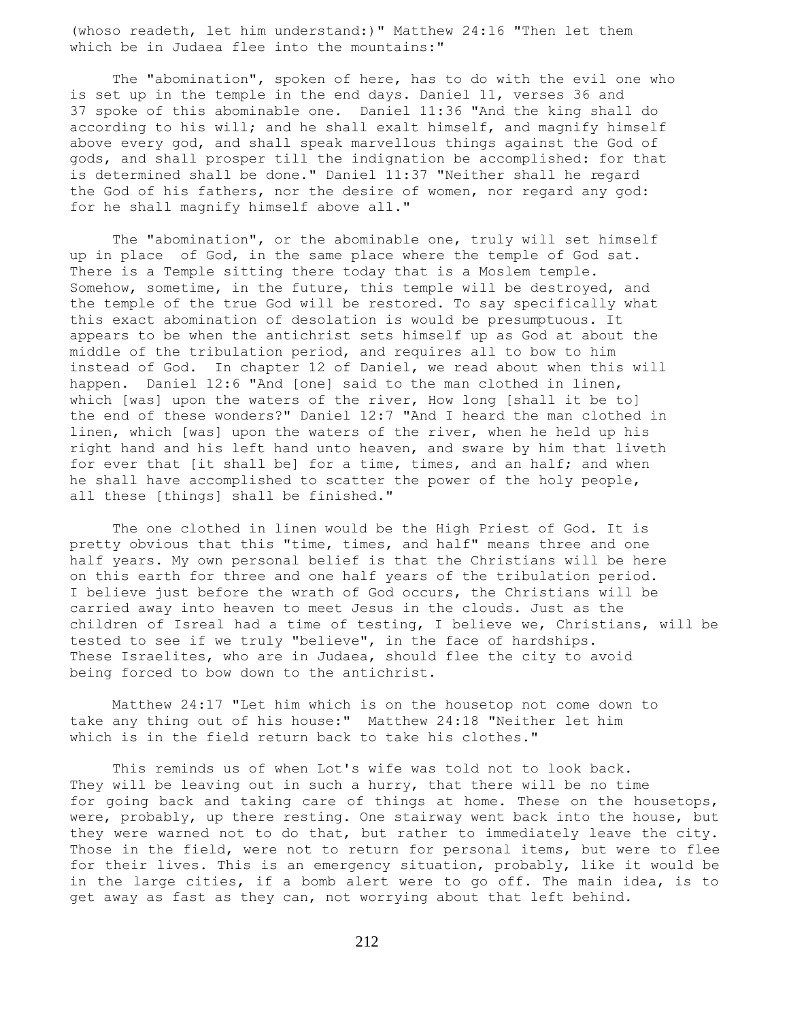(whoso readeth, let him understand:)" Matthew 24:16 "Then let them which be in Judaea flee into the mountains:"

 The "abomination", spoken of here, has to do with the evil one who is set up in the temple in the end days. Daniel 11, verses 36 and 37 spoke of this abominable one. Daniel 11:36 "And the king shall do according to his will; and he shall exalt himself, and magnify himself above every god, and shall speak marvellous things against the God of gods, and shall prosper till the indignation be accomplished: for that is determined shall be done." Daniel 11:37 "Neither shall he regard the God of his fathers, nor the desire of women, nor regard any god: for he shall magnify himself above all."

 The "abomination", or the abominable one, truly will set himself up in place of God, in the same place where the temple of God sat. There is a Temple sitting there today that is a Moslem temple. Somehow, sometime, in the future, this temple will be destroyed, and the temple of the true God will be restored. To say specifically what this exact abomination of desolation is would be presumptuous. It appears to be when the antichrist sets himself up as God at about the middle of the tribulation period, and requires all to bow to him instead of God. In chapter 12 of Daniel, we read about when this will happen. Daniel 12:6 "And [one] said to the man clothed in linen, which [was] upon the waters of the river, How long [shall it be to] the end of these wonders?" Daniel 12:7 "And I heard the man clothed in linen, which [was] upon the waters of the river, when he held up his right hand and his left hand unto heaven, and sware by him that liveth for ever that [it shall be] for a time, times, and an half; and when he shall have accomplished to scatter the power of the holy people, all these [things] shall be finished."

 The one clothed in linen would be the High Priest of God. It is pretty obvious that this "time, times, and half" means three and one half years. My own personal belief is that the Christians will be here on this earth for three and one half years of the tribulation period. I believe just before the wrath of God occurs, the Christians will be carried away into heaven to meet Jesus in the clouds. Just as the children of Isreal had a time of testing, I believe we, Christians, will be tested to see if we truly "believe", in the face of hardships. These Israelites, who are in Judaea, should flee the city to avoid being forced to bow down to the antichrist.

 Matthew 24:17 "Let him which is on the housetop not come down to take any thing out of his house:" Matthew 24:18 "Neither let him which is in the field return back to take his clothes."

 This reminds us of when Lot's wife was told not to look back. They will be leaving out in such a hurry, that there will be no time for going back and taking care of things at home. These on the housetops, were, probably, up there resting. One stairway went back into the house, but they were warned not to do that, but rather to immediately leave the city. Those in the field, were not to return for personal items, but were to flee for their lives. This is an emergency situation, probably, like it would be in the large cities, if a bomb alert were to go off. The main idea, is to get away as fast as they can, not worrying about that left behind.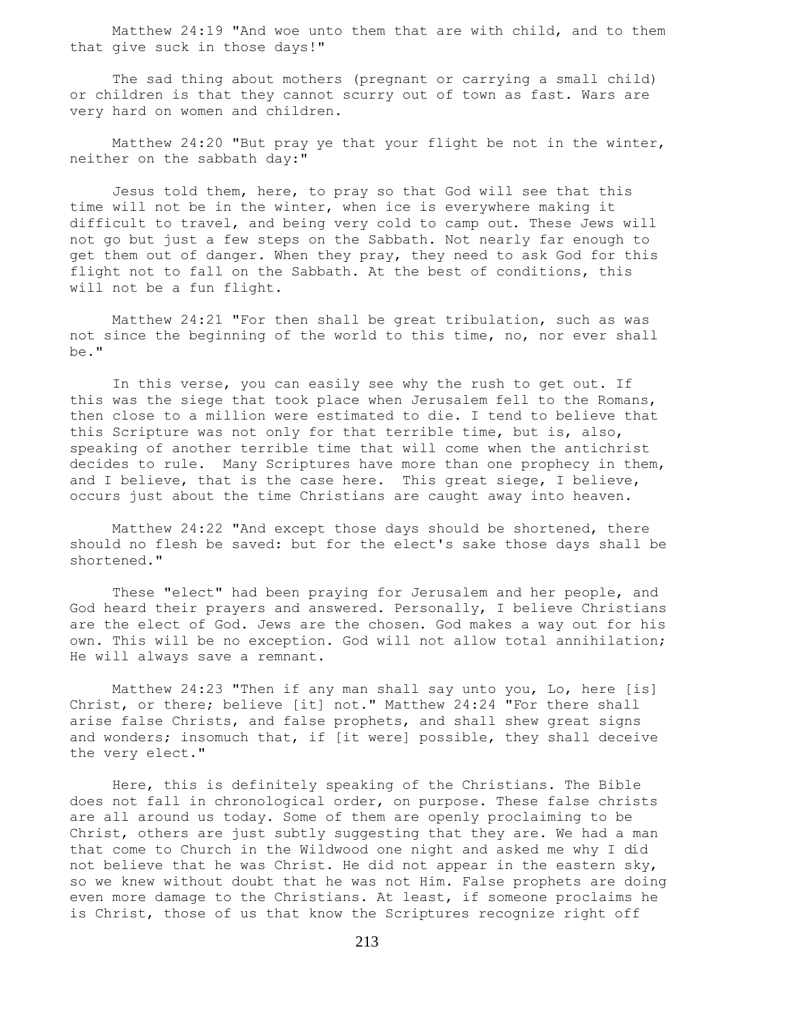Matthew 24:19 "And woe unto them that are with child, and to them that give suck in those days!"

 The sad thing about mothers (pregnant or carrying a small child) or children is that they cannot scurry out of town as fast. Wars are very hard on women and children.

 Matthew 24:20 "But pray ye that your flight be not in the winter, neither on the sabbath day:"

 Jesus told them, here, to pray so that God will see that this time will not be in the winter, when ice is everywhere making it difficult to travel, and being very cold to camp out. These Jews will not go but just a few steps on the Sabbath. Not nearly far enough to get them out of danger. When they pray, they need to ask God for this flight not to fall on the Sabbath. At the best of conditions, this will not be a fun flight.

 Matthew 24:21 "For then shall be great tribulation, such as was not since the beginning of the world to this time, no, nor ever shall be."

 In this verse, you can easily see why the rush to get out. If this was the siege that took place when Jerusalem fell to the Romans, then close to a million were estimated to die. I tend to believe that this Scripture was not only for that terrible time, but is, also, speaking of another terrible time that will come when the antichrist decides to rule. Many Scriptures have more than one prophecy in them, and I believe, that is the case here. This great siege, I believe, occurs just about the time Christians are caught away into heaven.

 Matthew 24:22 "And except those days should be shortened, there should no flesh be saved: but for the elect's sake those days shall be shortened."

 These "elect" had been praying for Jerusalem and her people, and God heard their prayers and answered. Personally, I believe Christians are the elect of God. Jews are the chosen. God makes a way out for his own. This will be no exception. God will not allow total annihilation; He will always save a remnant.

 Matthew 24:23 "Then if any man shall say unto you, Lo, here [is] Christ, or there; believe [it] not." Matthew 24:24 "For there shall arise false Christs, and false prophets, and shall shew great signs and wonders; insomuch that, if [it were] possible, they shall deceive the very elect."

 Here, this is definitely speaking of the Christians. The Bible does not fall in chronological order, on purpose. These false christs are all around us today. Some of them are openly proclaiming to be Christ, others are just subtly suggesting that they are. We had a man that come to Church in the Wildwood one night and asked me why I did not believe that he was Christ. He did not appear in the eastern sky, so we knew without doubt that he was not Him. False prophets are doing even more damage to the Christians. At least, if someone proclaims he is Christ, those of us that know the Scriptures recognize right off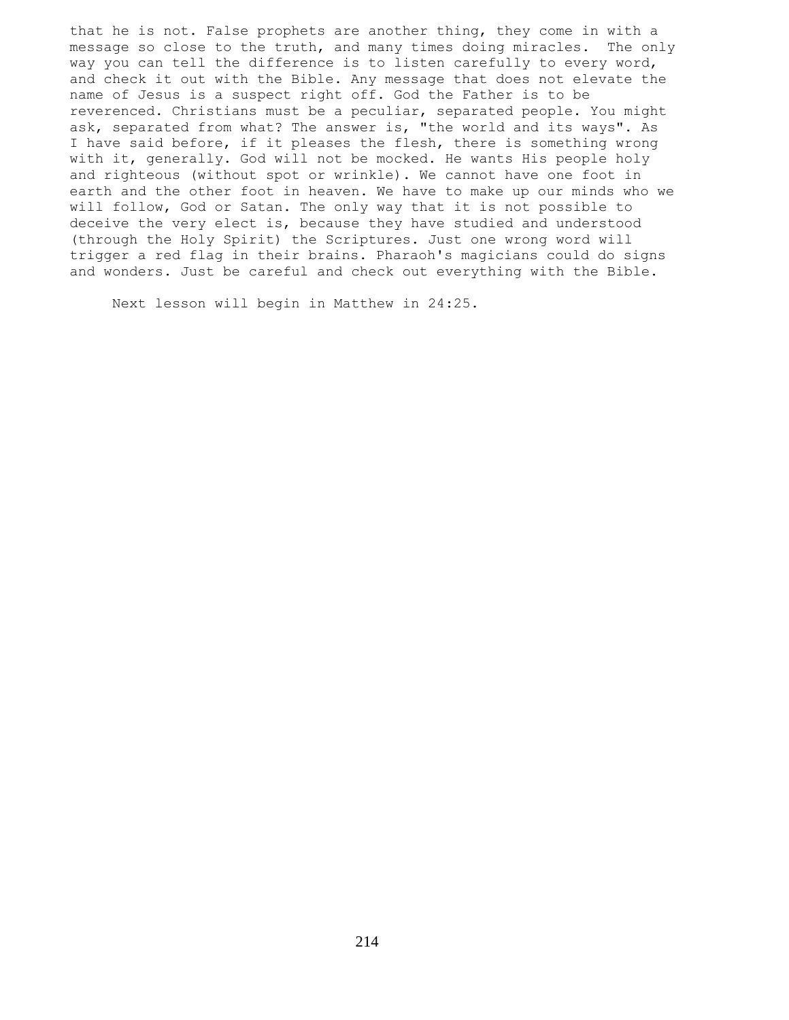that he is not. False prophets are another thing, they come in with a message so close to the truth, and many times doing miracles. The only way you can tell the difference is to listen carefully to every word, and check it out with the Bible. Any message that does not elevate the name of Jesus is a suspect right off. God the Father is to be reverenced. Christians must be a peculiar, separated people. You might ask, separated from what? The answer is, "the world and its ways". As I have said before, if it pleases the flesh, there is something wrong with it, generally. God will not be mocked. He wants His people holy and righteous (without spot or wrinkle). We cannot have one foot in earth and the other foot in heaven. We have to make up our minds who we will follow, God or Satan. The only way that it is not possible to deceive the very elect is, because they have studied and understood (through the Holy Spirit) the Scriptures. Just one wrong word will trigger a red flag in their brains. Pharaoh's magicians could do signs and wonders. Just be careful and check out everything with the Bible.

Next lesson will begin in Matthew in 24:25.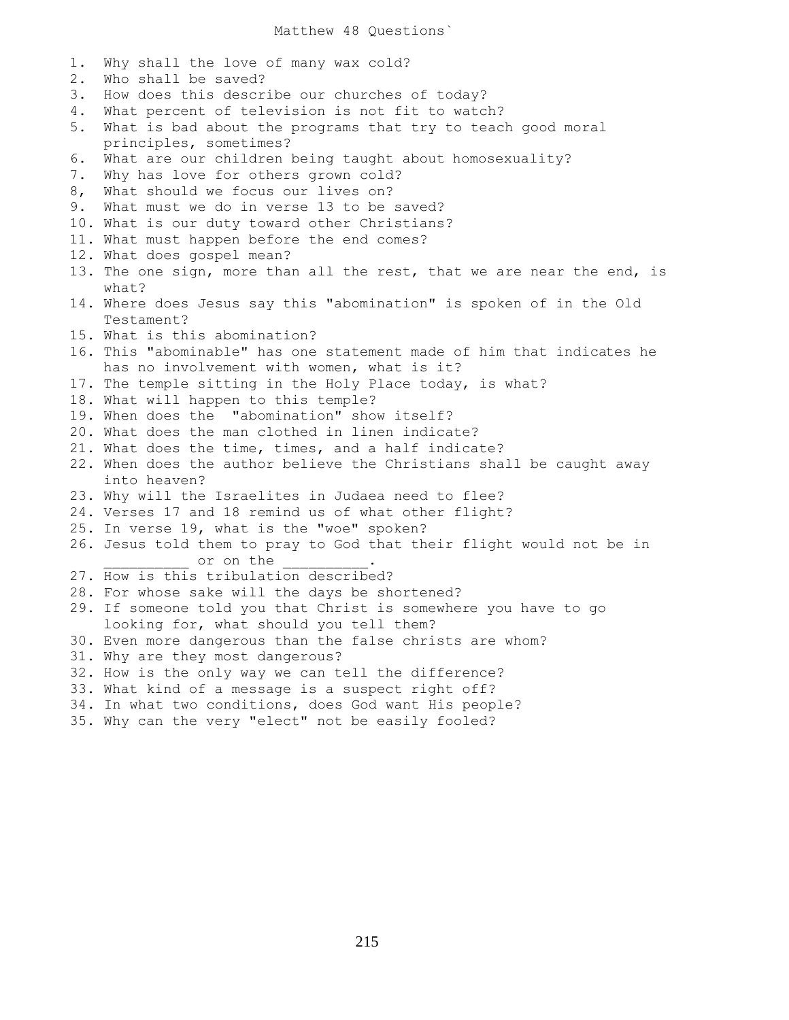Matthew 48 Questions`

1. Why shall the love of many wax cold? 2. Who shall be saved? 3. How does this describe our churches of today? 4. What percent of television is not fit to watch? 5. What is bad about the programs that try to teach good moral principles, sometimes? 6. What are our children being taught about homosexuality? 7. Why has love for others grown cold? 8, What should we focus our lives on? 9. What must we do in verse 13 to be saved? 10. What is our duty toward other Christians? 11. What must happen before the end comes? 12. What does gospel mean? 13. The one sign, more than all the rest, that we are near the end, is what? 14. Where does Jesus say this "abomination" is spoken of in the Old Testament? 15. What is this abomination? 16. This "abominable" has one statement made of him that indicates he has no involvement with women, what is it? 17. The temple sitting in the Holy Place today, is what? 18. What will happen to this temple? 19. When does the "abomination" show itself? 20. What does the man clothed in linen indicate? 21. What does the time, times, and a half indicate? 22. When does the author believe the Christians shall be caught away into heaven? 23. Why will the Israelites in Judaea need to flee? 24. Verses 17 and 18 remind us of what other flight? 25. In verse 19, what is the "woe" spoken? 26. Jesus told them to pray to God that their flight would not be in or on the 27. How is this tribulation described? 28. For whose sake will the days be shortened? 29. If someone told you that Christ is somewhere you have to go looking for, what should you tell them? 30. Even more dangerous than the false christs are whom? 31. Why are they most dangerous? 32. How is the only way we can tell the difference? 33. What kind of a message is a suspect right off? 34. In what two conditions, does God want His people? 35. Why can the very "elect" not be easily fooled?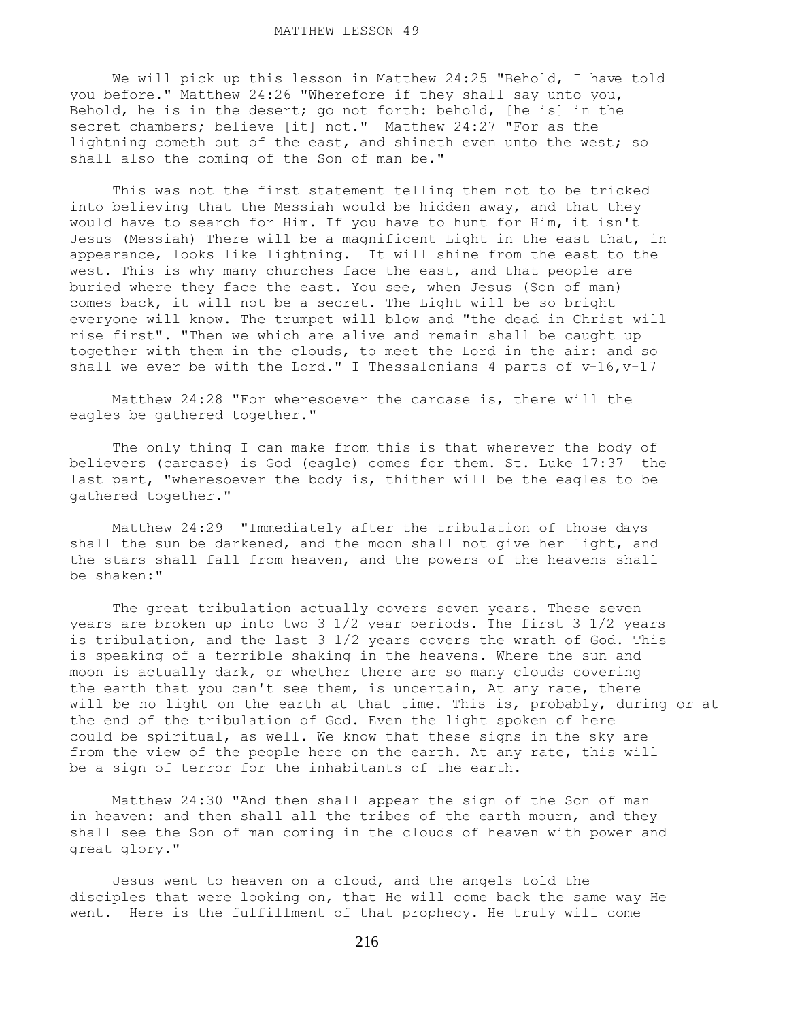We will pick up this lesson in Matthew 24:25 "Behold, I have told you before." Matthew 24:26 "Wherefore if they shall say unto you, Behold, he is in the desert; go not forth: behold, [he is] in the secret chambers; believe [it] not." Matthew 24:27 "For as the lightning cometh out of the east, and shineth even unto the west; so shall also the coming of the Son of man be."

 This was not the first statement telling them not to be tricked into believing that the Messiah would be hidden away, and that they would have to search for Him. If you have to hunt for Him, it isn't Jesus (Messiah) There will be a magnificent Light in the east that, in appearance, looks like lightning. It will shine from the east to the west. This is why many churches face the east, and that people are buried where they face the east. You see, when Jesus (Son of man) comes back, it will not be a secret. The Light will be so bright everyone will know. The trumpet will blow and "the dead in Christ will rise first". "Then we which are alive and remain shall be caught up together with them in the clouds, to meet the Lord in the air: and so shall we ever be with the Lord." I Thessalonians 4 parts of v-16, v-17

 Matthew 24:28 "For wheresoever the carcase is, there will the eagles be gathered together."

 The only thing I can make from this is that wherever the body of believers (carcase) is God (eagle) comes for them. St. Luke 17:37 the last part, "wheresoever the body is, thither will be the eagles to be gathered together."

 Matthew 24:29 "Immediately after the tribulation of those days shall the sun be darkened, and the moon shall not give her light, and the stars shall fall from heaven, and the powers of the heavens shall be shaken:"

 The great tribulation actually covers seven years. These seven years are broken up into two 3 1/2 year periods. The first 3 1/2 years is tribulation, and the last 3 1/2 years covers the wrath of God. This is speaking of a terrible shaking in the heavens. Where the sun and moon is actually dark, or whether there are so many clouds covering the earth that you can't see them, is uncertain, At any rate, there will be no light on the earth at that time. This is, probably, during or at the end of the tribulation of God. Even the light spoken of here could be spiritual, as well. We know that these signs in the sky are from the view of the people here on the earth. At any rate, this will be a sign of terror for the inhabitants of the earth.

 Matthew 24:30 "And then shall appear the sign of the Son of man in heaven: and then shall all the tribes of the earth mourn, and they shall see the Son of man coming in the clouds of heaven with power and great glory."

 Jesus went to heaven on a cloud, and the angels told the disciples that were looking on, that He will come back the same way He went. Here is the fulfillment of that prophecy. He truly will come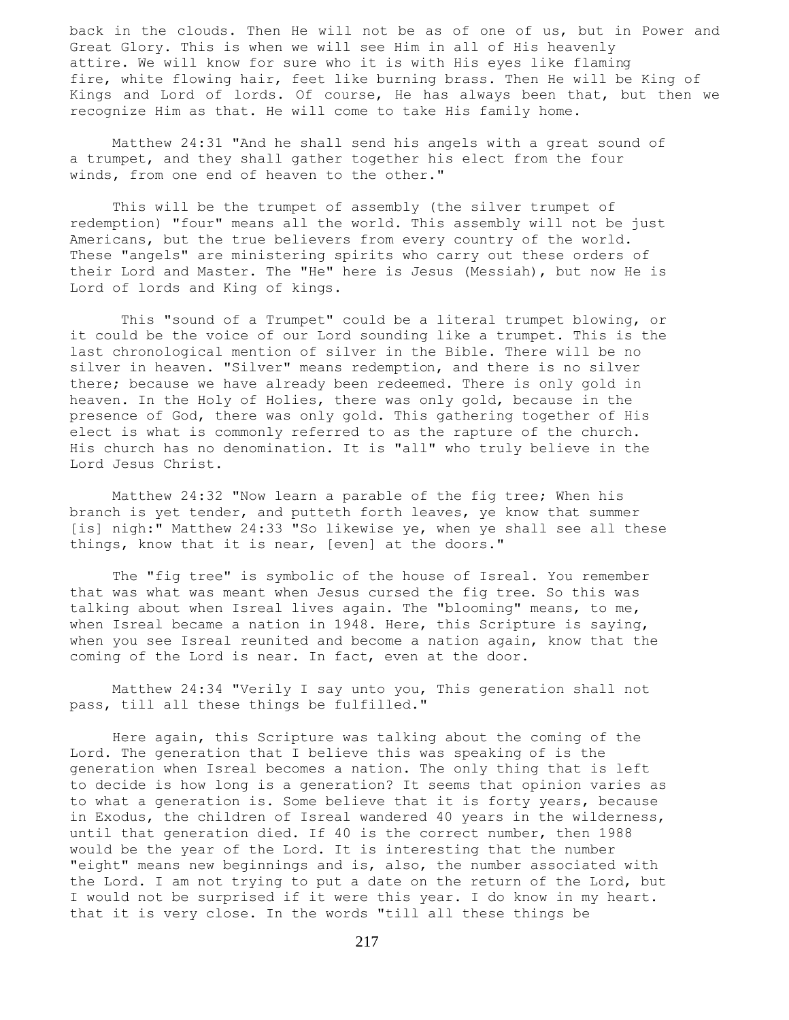back in the clouds. Then He will not be as of one of us, but in Power and Great Glory. This is when we will see Him in all of His heavenly attire. We will know for sure who it is with His eyes like flaming fire, white flowing hair, feet like burning brass. Then He will be King of Kings and Lord of lords. Of course, He has always been that, but then we recognize Him as that. He will come to take His family home.

 Matthew 24:31 "And he shall send his angels with a great sound of a trumpet, and they shall gather together his elect from the four winds, from one end of heaven to the other."

 This will be the trumpet of assembly (the silver trumpet of redemption) "four" means all the world. This assembly will not be just Americans, but the true believers from every country of the world. These "angels" are ministering spirits who carry out these orders of their Lord and Master. The "He" here is Jesus (Messiah), but now He is Lord of lords and King of kings.

 This "sound of a Trumpet" could be a literal trumpet blowing, or it could be the voice of our Lord sounding like a trumpet. This is the last chronological mention of silver in the Bible. There will be no silver in heaven. "Silver" means redemption, and there is no silver there; because we have already been redeemed. There is only gold in heaven. In the Holy of Holies, there was only gold, because in the presence of God, there was only gold. This gathering together of His elect is what is commonly referred to as the rapture of the church. His church has no denomination. It is "all" who truly believe in the Lord Jesus Christ.

 Matthew 24:32 "Now learn a parable of the fig tree; When his branch is yet tender, and putteth forth leaves, ye know that summer [is] nigh:" Matthew 24:33 "So likewise ye, when ye shall see all these things, know that it is near, [even] at the doors."

 The "fig tree" is symbolic of the house of Isreal. You remember that was what was meant when Jesus cursed the fig tree. So this was talking about when Isreal lives again. The "blooming" means, to me, when Isreal became a nation in 1948. Here, this Scripture is saying, when you see Isreal reunited and become a nation again, know that the coming of the Lord is near. In fact, even at the door.

 Matthew 24:34 "Verily I say unto you, This generation shall not pass, till all these things be fulfilled."

 Here again, this Scripture was talking about the coming of the Lord. The generation that I believe this was speaking of is the generation when Isreal becomes a nation. The only thing that is left to decide is how long is a generation? It seems that opinion varies as to what a generation is. Some believe that it is forty years, because in Exodus, the children of Isreal wandered 40 years in the wilderness, until that generation died. If 40 is the correct number, then 1988 would be the year of the Lord. It is interesting that the number "eight" means new beginnings and is, also, the number associated with the Lord. I am not trying to put a date on the return of the Lord, but I would not be surprised if it were this year. I do know in my heart. that it is very close. In the words "till all these things be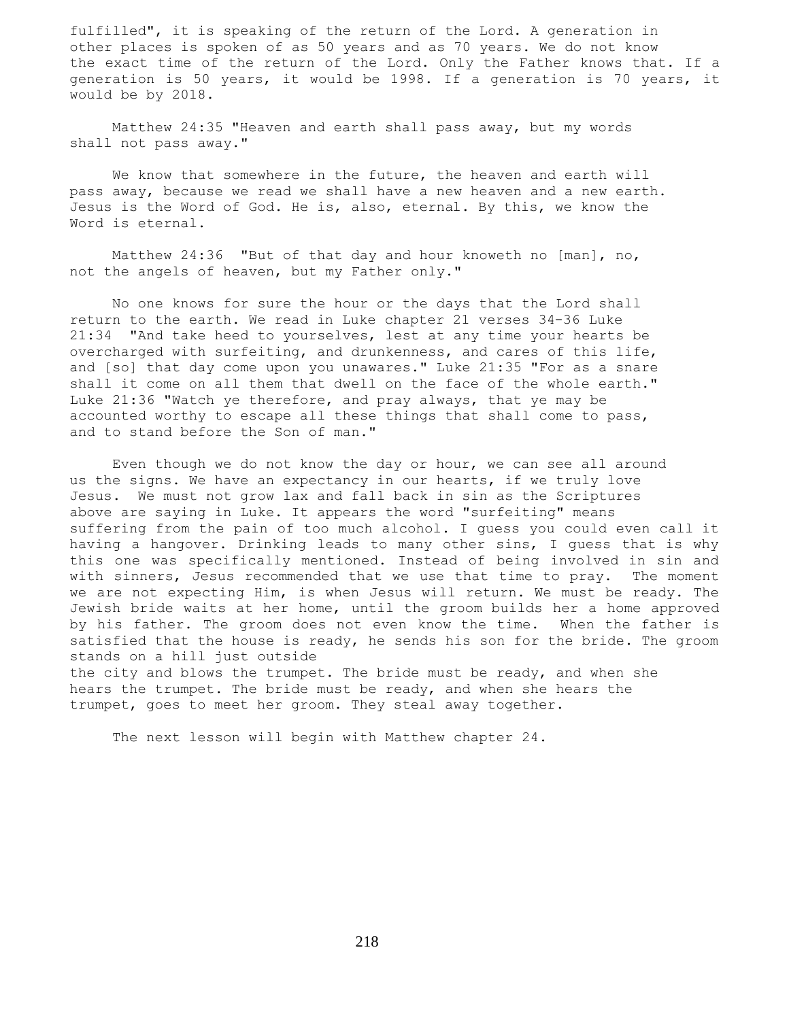fulfilled", it is speaking of the return of the Lord. A generation in other places is spoken of as 50 years and as 70 years. We do not know the exact time of the return of the Lord. Only the Father knows that. If a generation is 50 years, it would be 1998. If a generation is 70 years, it would be by 2018.

 Matthew 24:35 "Heaven and earth shall pass away, but my words shall not pass away."

 We know that somewhere in the future, the heaven and earth will pass away, because we read we shall have a new heaven and a new earth. Jesus is the Word of God. He is, also, eternal. By this, we know the Word is eternal.

 Matthew 24:36 "But of that day and hour knoweth no [man], no, not the angels of heaven, but my Father only."

 No one knows for sure the hour or the days that the Lord shall return to the earth. We read in Luke chapter 21 verses 34-36 Luke 21:34 "And take heed to yourselves, lest at any time your hearts be overcharged with surfeiting, and drunkenness, and cares of this life, and [so] that day come upon you unawares." Luke 21:35 "For as a snare shall it come on all them that dwell on the face of the whole earth." Luke 21:36 "Watch ye therefore, and pray always, that ye may be accounted worthy to escape all these things that shall come to pass, and to stand before the Son of man."

 Even though we do not know the day or hour, we can see all around us the signs. We have an expectancy in our hearts, if we truly love Jesus. We must not grow lax and fall back in sin as the Scriptures above are saying in Luke. It appears the word "surfeiting" means suffering from the pain of too much alcohol. I guess you could even call it having a hangover. Drinking leads to many other sins, I guess that is why this one was specifically mentioned. Instead of being involved in sin and with sinners, Jesus recommended that we use that time to pray. The moment we are not expecting Him, is when Jesus will return. We must be ready. The Jewish bride waits at her home, until the groom builds her a home approved by his father. The groom does not even know the time. When the father is satisfied that the house is ready, he sends his son for the bride. The groom stands on a hill just outside

the city and blows the trumpet. The bride must be ready, and when she hears the trumpet. The bride must be ready, and when she hears the trumpet, goes to meet her groom. They steal away together.

The next lesson will begin with Matthew chapter 24.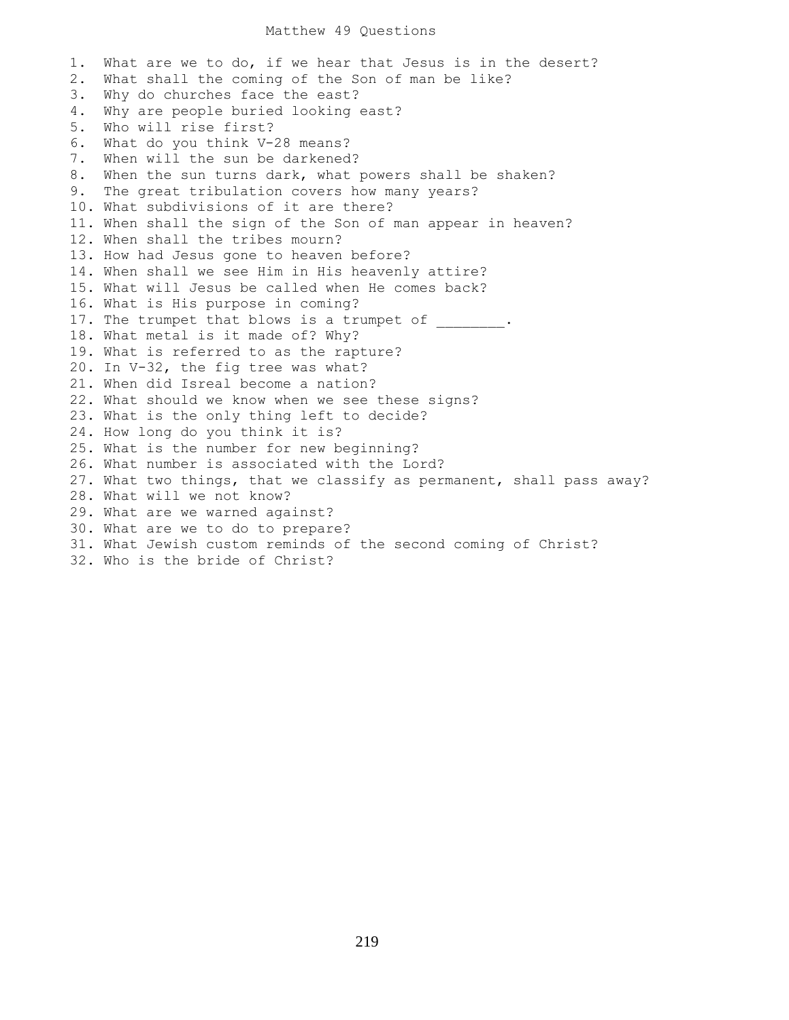### Matthew 49 Questions

1. What are we to do, if we hear that Jesus is in the desert? 2. What shall the coming of the Son of man be like? 3. Why do churches face the east? 4. Why are people buried looking east? 5. Who will rise first? 6. What do you think V-28 means? 7. When will the sun be darkened? 8. When the sun turns dark, what powers shall be shaken? 9. The great tribulation covers how many years? 10. What subdivisions of it are there? 11. When shall the sign of the Son of man appear in heaven? 12. When shall the tribes mourn? 13. How had Jesus gone to heaven before? 14. When shall we see Him in His heavenly attire? 15. What will Jesus be called when He comes back? 16. What is His purpose in coming? 17. The trumpet that blows is a trumpet of 18. What metal is it made of? Why? 19. What is referred to as the rapture? 20. In V-32, the fig tree was what? 21. When did Isreal become a nation? 22. What should we know when we see these signs? 23. What is the only thing left to decide? 24. How long do you think it is? 25. What is the number for new beginning? 26. What number is associated with the Lord? 27. What two things, that we classify as permanent, shall pass away? 28. What will we not know? 29. What are we warned against? 30. What are we to do to prepare? 31. What Jewish custom reminds of the second coming of Christ? 32. Who is the bride of Christ?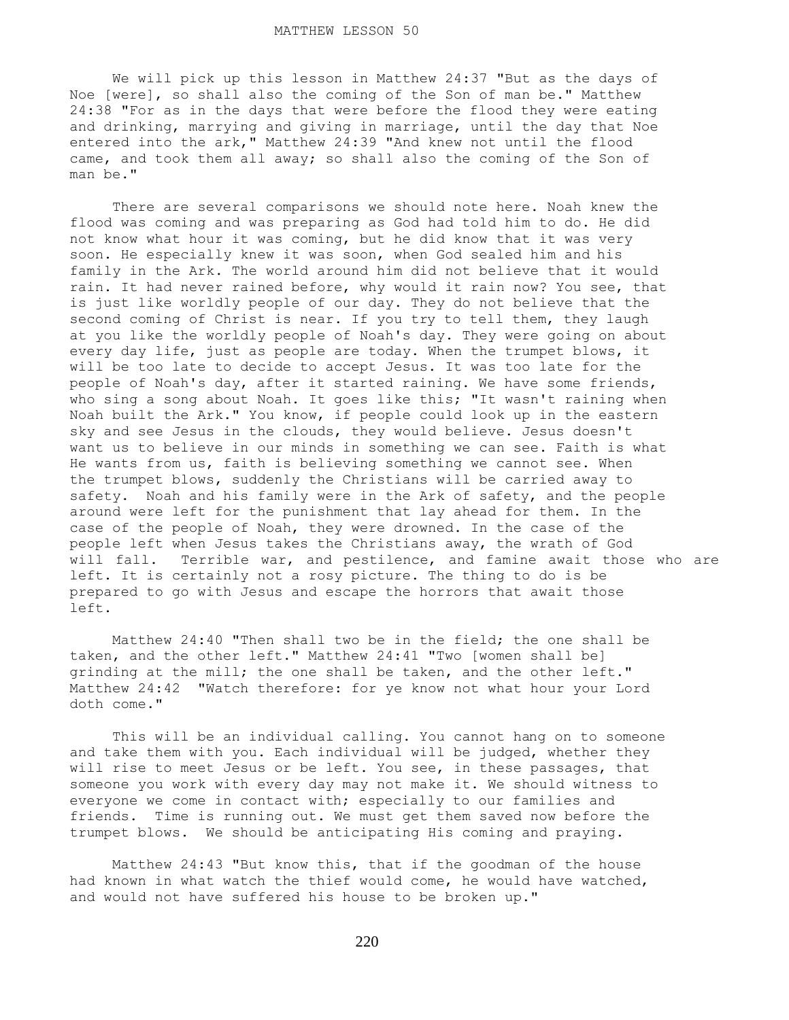We will pick up this lesson in Matthew 24:37 "But as the days of Noe [were], so shall also the coming of the Son of man be." Matthew 24:38 "For as in the days that were before the flood they were eating and drinking, marrying and giving in marriage, until the day that Noe entered into the ark," Matthew 24:39 "And knew not until the flood came, and took them all away; so shall also the coming of the Son of man be."

 There are several comparisons we should note here. Noah knew the flood was coming and was preparing as God had told him to do. He did not know what hour it was coming, but he did know that it was very soon. He especially knew it was soon, when God sealed him and his family in the Ark. The world around him did not believe that it would rain. It had never rained before, why would it rain now? You see, that is just like worldly people of our day. They do not believe that the second coming of Christ is near. If you try to tell them, they laugh at you like the worldly people of Noah's day. They were going on about every day life, just as people are today. When the trumpet blows, it will be too late to decide to accept Jesus. It was too late for the people of Noah's day, after it started raining. We have some friends, who sing a song about Noah. It goes like this; "It wasn't raining when Noah built the Ark." You know, if people could look up in the eastern sky and see Jesus in the clouds, they would believe. Jesus doesn't want us to believe in our minds in something we can see. Faith is what He wants from us, faith is believing something we cannot see. When the trumpet blows, suddenly the Christians will be carried away to safety. Noah and his family were in the Ark of safety, and the people around were left for the punishment that lay ahead for them. In the case of the people of Noah, they were drowned. In the case of the people left when Jesus takes the Christians away, the wrath of God will fall. Terrible war, and pestilence, and famine await those who are left. It is certainly not a rosy picture. The thing to do is be prepared to go with Jesus and escape the horrors that await those left.

 Matthew 24:40 "Then shall two be in the field; the one shall be taken, and the other left." Matthew 24:41 "Two [women shall be] grinding at the mill; the one shall be taken, and the other left." Matthew 24:42 "Watch therefore: for ye know not what hour your Lord doth come."

 This will be an individual calling. You cannot hang on to someone and take them with you. Each individual will be judged, whether they will rise to meet Jesus or be left. You see, in these passages, that someone you work with every day may not make it. We should witness to everyone we come in contact with; especially to our families and friends. Time is running out. We must get them saved now before the trumpet blows. We should be anticipating His coming and praying.

 Matthew 24:43 "But know this, that if the goodman of the house had known in what watch the thief would come, he would have watched, and would not have suffered his house to be broken up."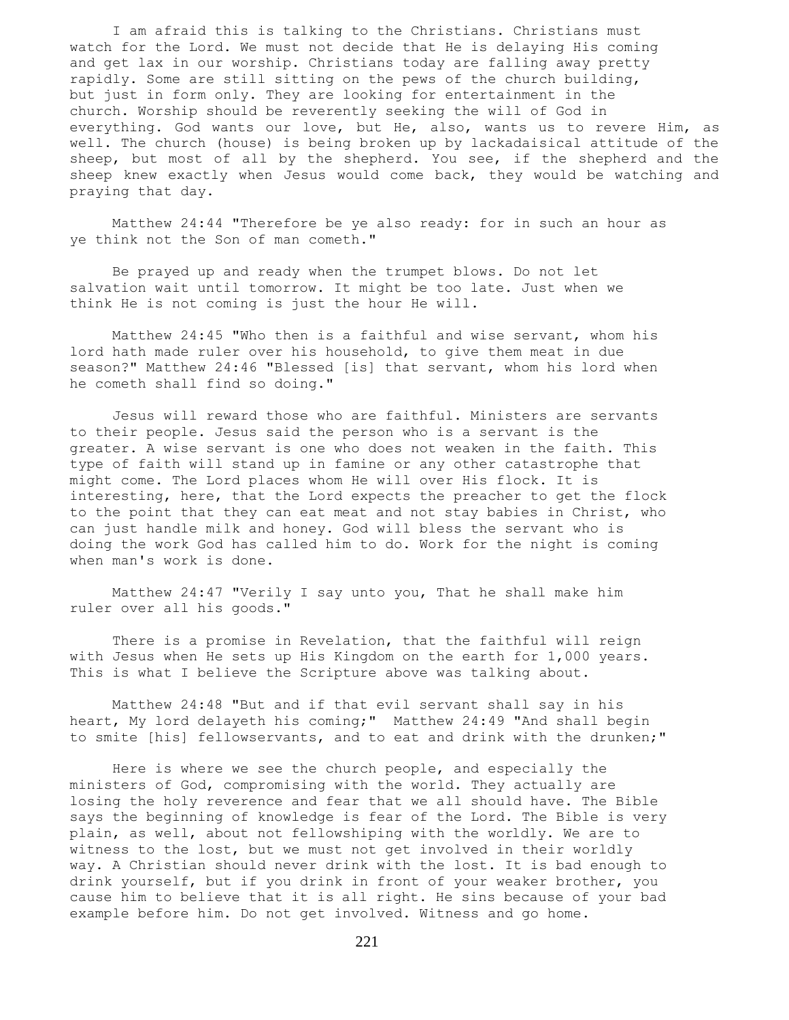I am afraid this is talking to the Christians. Christians must watch for the Lord. We must not decide that He is delaying His coming and get lax in our worship. Christians today are falling away pretty rapidly. Some are still sitting on the pews of the church building, but just in form only. They are looking for entertainment in the church. Worship should be reverently seeking the will of God in everything. God wants our love, but He, also, wants us to revere Him, as well. The church (house) is being broken up by lackadaisical attitude of the sheep, but most of all by the shepherd. You see, if the shepherd and the sheep knew exactly when Jesus would come back, they would be watching and praying that day.

 Matthew 24:44 "Therefore be ye also ready: for in such an hour as ye think not the Son of man cometh."

 Be prayed up and ready when the trumpet blows. Do not let salvation wait until tomorrow. It might be too late. Just when we think He is not coming is just the hour He will.

 Matthew 24:45 "Who then is a faithful and wise servant, whom his lord hath made ruler over his household, to give them meat in due season?" Matthew 24:46 "Blessed [is] that servant, whom his lord when he cometh shall find so doing."

 Jesus will reward those who are faithful. Ministers are servants to their people. Jesus said the person who is a servant is the greater. A wise servant is one who does not weaken in the faith. This type of faith will stand up in famine or any other catastrophe that might come. The Lord places whom He will over His flock. It is interesting, here, that the Lord expects the preacher to get the flock to the point that they can eat meat and not stay babies in Christ, who can just handle milk and honey. God will bless the servant who is doing the work God has called him to do. Work for the night is coming when man's work is done.

 Matthew 24:47 "Verily I say unto you, That he shall make him ruler over all his goods."

 There is a promise in Revelation, that the faithful will reign with Jesus when He sets up His Kingdom on the earth for 1,000 years. This is what I believe the Scripture above was talking about.

 Matthew 24:48 "But and if that evil servant shall say in his heart, My lord delayeth his coming;" Matthew 24:49 "And shall begin to smite [his] fellowservants, and to eat and drink with the drunken;"

 Here is where we see the church people, and especially the ministers of God, compromising with the world. They actually are losing the holy reverence and fear that we all should have. The Bible says the beginning of knowledge is fear of the Lord. The Bible is very plain, as well, about not fellowshiping with the worldly. We are to witness to the lost, but we must not get involved in their worldly way. A Christian should never drink with the lost. It is bad enough to drink yourself, but if you drink in front of your weaker brother, you cause him to believe that it is all right. He sins because of your bad example before him. Do not get involved. Witness and go home.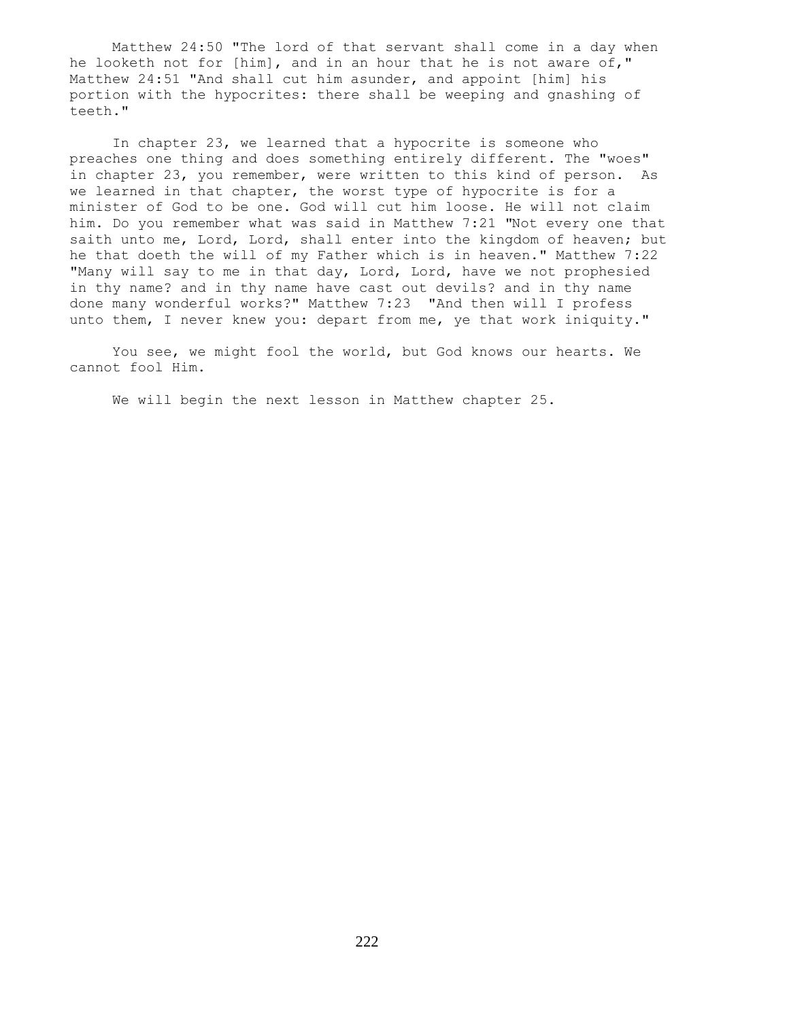Matthew 24:50 "The lord of that servant shall come in a day when he looketh not for [him], and in an hour that he is not aware of," Matthew 24:51 "And shall cut him asunder, and appoint [him] his portion with the hypocrites: there shall be weeping and gnashing of teeth."

 In chapter 23, we learned that a hypocrite is someone who preaches one thing and does something entirely different. The "woes" in chapter 23, you remember, were written to this kind of person. As we learned in that chapter, the worst type of hypocrite is for a minister of God to be one. God will cut him loose. He will not claim him. Do you remember what was said in Matthew 7:21 "Not every one that saith unto me, Lord, Lord, shall enter into the kingdom of heaven; but he that doeth the will of my Father which is in heaven." Matthew 7:22 "Many will say to me in that day, Lord, Lord, have we not prophesied in thy name? and in thy name have cast out devils? and in thy name done many wonderful works?" Matthew 7:23 "And then will I profess unto them, I never knew you: depart from me, ye that work iniquity."

 You see, we might fool the world, but God knows our hearts. We cannot fool Him.

We will begin the next lesson in Matthew chapter 25.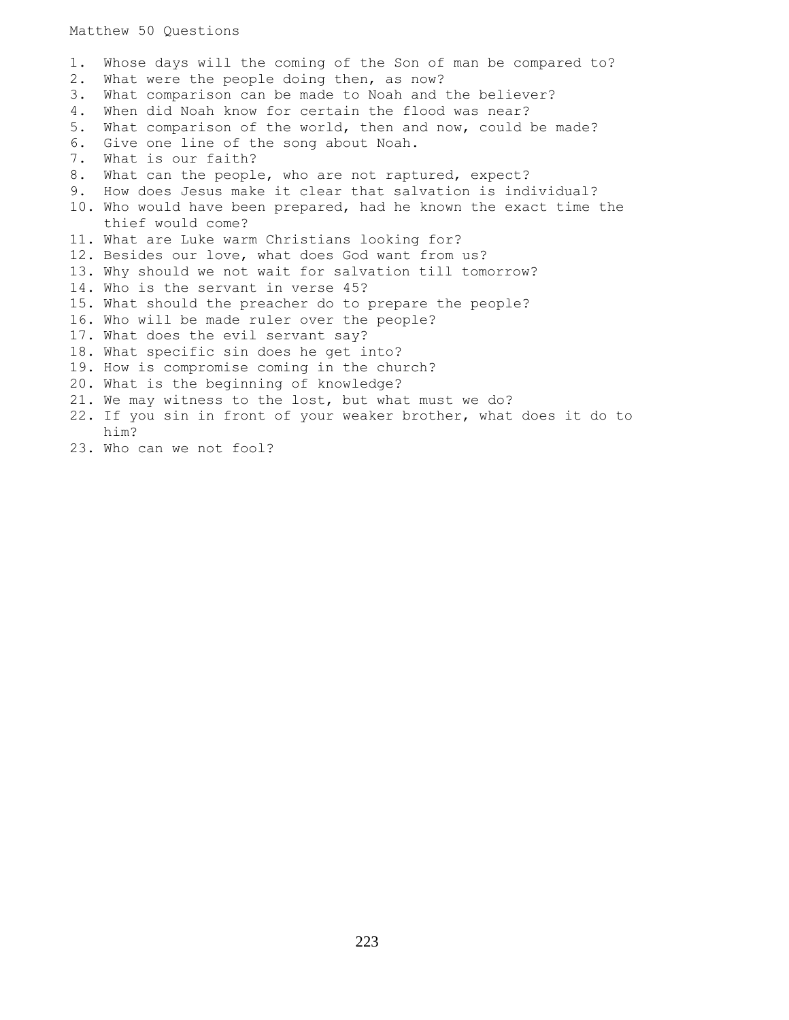Matthew 50 Questions

1. Whose days will the coming of the Son of man be compared to? 2. What were the people doing then, as now? 3. What comparison can be made to Noah and the believer? 4. When did Noah know for certain the flood was near? 5. What comparison of the world, then and now, could be made? 6. Give one line of the song about Noah. 7. What is our faith? 8. What can the people, who are not raptured, expect? 9. How does Jesus make it clear that salvation is individual? 10. Who would have been prepared, had he known the exact time the thief would come? 11. What are Luke warm Christians looking for? 12. Besides our love, what does God want from us? 13. Why should we not wait for salvation till tomorrow? 14. Who is the servant in verse 45? 15. What should the preacher do to prepare the people? 16. Who will be made ruler over the people? 17. What does the evil servant say? 18. What specific sin does he get into? 19. How is compromise coming in the church? 20. What is the beginning of knowledge? 21. We may witness to the lost, but what must we do? 22. If you sin in front of your weaker brother, what does it do to him?

23. Who can we not fool?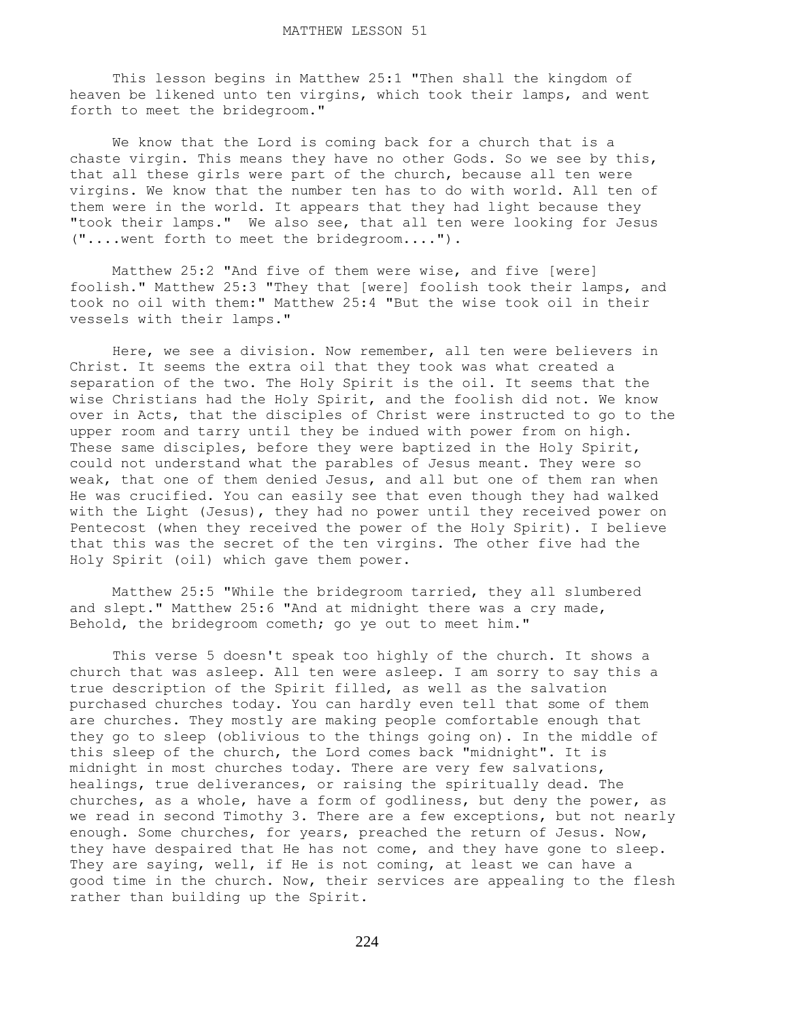This lesson begins in Matthew 25:1 "Then shall the kingdom of heaven be likened unto ten virgins, which took their lamps, and went forth to meet the bridegroom."

 We know that the Lord is coming back for a church that is a chaste virgin. This means they have no other Gods. So we see by this, that all these girls were part of the church, because all ten were virgins. We know that the number ten has to do with world. All ten of them were in the world. It appears that they had light because they "took their lamps." We also see, that all ten were looking for Jesus ("....went forth to meet the bridegroom....").

 Matthew 25:2 "And five of them were wise, and five [were] foolish." Matthew 25:3 "They that [were] foolish took their lamps, and took no oil with them:" Matthew 25:4 "But the wise took oil in their vessels with their lamps."

 Here, we see a division. Now remember, all ten were believers in Christ. It seems the extra oil that they took was what created a separation of the two. The Holy Spirit is the oil. It seems that the wise Christians had the Holy Spirit, and the foolish did not. We know over in Acts, that the disciples of Christ were instructed to go to the upper room and tarry until they be indued with power from on high. These same disciples, before they were baptized in the Holy Spirit, could not understand what the parables of Jesus meant. They were so weak, that one of them denied Jesus, and all but one of them ran when He was crucified. You can easily see that even though they had walked with the Light (Jesus), they had no power until they received power on Pentecost (when they received the power of the Holy Spirit). I believe that this was the secret of the ten virgins. The other five had the Holy Spirit (oil) which gave them power.

 Matthew 25:5 "While the bridegroom tarried, they all slumbered and slept." Matthew 25:6 "And at midnight there was a cry made, Behold, the bridegroom cometh; go ye out to meet him."

 This verse 5 doesn't speak too highly of the church. It shows a church that was asleep. All ten were asleep. I am sorry to say this a true description of the Spirit filled, as well as the salvation purchased churches today. You can hardly even tell that some of them are churches. They mostly are making people comfortable enough that they go to sleep (oblivious to the things going on). In the middle of this sleep of the church, the Lord comes back "midnight". It is midnight in most churches today. There are very few salvations, healings, true deliverances, or raising the spiritually dead. The churches, as a whole, have a form of godliness, but deny the power, as we read in second Timothy 3. There are a few exceptions, but not nearly enough. Some churches, for years, preached the return of Jesus. Now, they have despaired that He has not come, and they have gone to sleep. They are saying, well, if He is not coming, at least we can have a good time in the church. Now, their services are appealing to the flesh rather than building up the Spirit.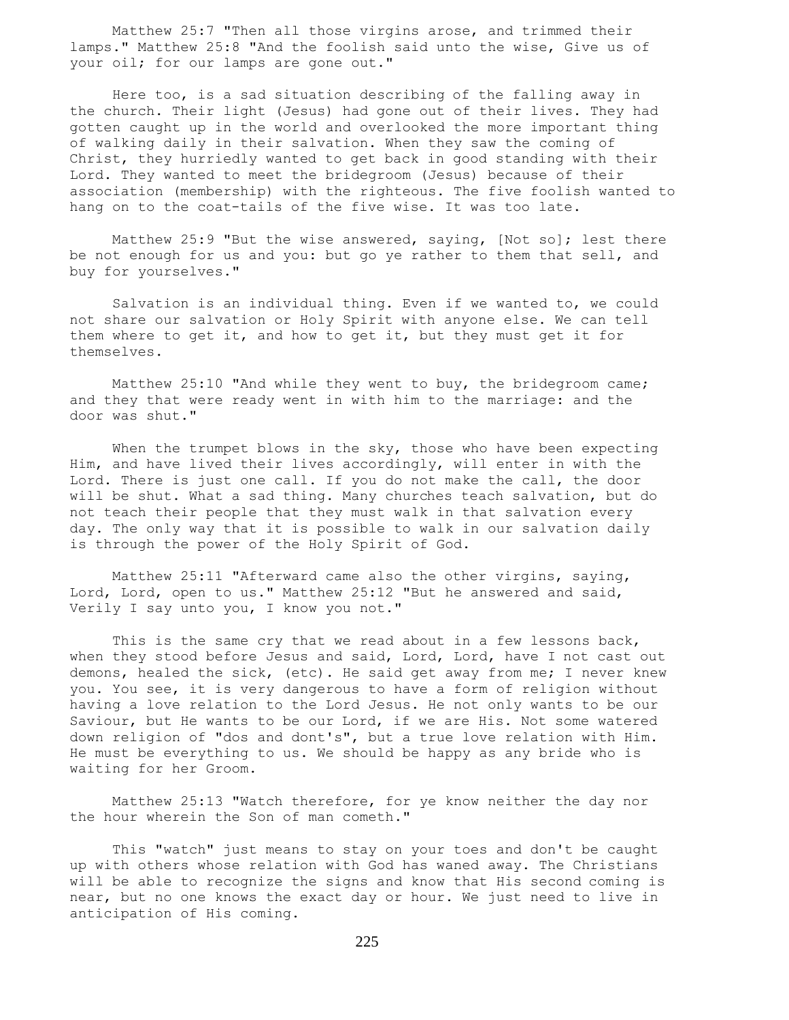Matthew 25:7 "Then all those virgins arose, and trimmed their lamps." Matthew 25:8 "And the foolish said unto the wise, Give us of your oil; for our lamps are gone out."

 Here too, is a sad situation describing of the falling away in the church. Their light (Jesus) had gone out of their lives. They had gotten caught up in the world and overlooked the more important thing of walking daily in their salvation. When they saw the coming of Christ, they hurriedly wanted to get back in good standing with their Lord. They wanted to meet the bridegroom (Jesus) because of their association (membership) with the righteous. The five foolish wanted to hang on to the coat-tails of the five wise. It was too late.

 Matthew 25:9 "But the wise answered, saying, [Not so]; lest there be not enough for us and you: but go ye rather to them that sell, and buy for yourselves."

 Salvation is an individual thing. Even if we wanted to, we could not share our salvation or Holy Spirit with anyone else. We can tell them where to get it, and how to get it, but they must get it for themselves.

Matthew 25:10 "And while they went to buy, the bridegroom came; and they that were ready went in with him to the marriage: and the door was shut."

When the trumpet blows in the sky, those who have been expecting Him, and have lived their lives accordingly, will enter in with the Lord. There is just one call. If you do not make the call, the door will be shut. What a sad thing. Many churches teach salvation, but do not teach their people that they must walk in that salvation every day. The only way that it is possible to walk in our salvation daily is through the power of the Holy Spirit of God.

 Matthew 25:11 "Afterward came also the other virgins, saying, Lord, Lord, open to us." Matthew 25:12 "But he answered and said, Verily I say unto you, I know you not."

This is the same cry that we read about in a few lessons back, when they stood before Jesus and said, Lord, Lord, have I not cast out demons, healed the sick, (etc). He said get away from me; I never knew you. You see, it is very dangerous to have a form of religion without having a love relation to the Lord Jesus. He not only wants to be our Saviour, but He wants to be our Lord, if we are His. Not some watered down religion of "dos and dont's", but a true love relation with Him. He must be everything to us. We should be happy as any bride who is waiting for her Groom.

 Matthew 25:13 "Watch therefore, for ye know neither the day nor the hour wherein the Son of man cometh."

 This "watch" just means to stay on your toes and don't be caught up with others whose relation with God has waned away. The Christians will be able to recognize the signs and know that His second coming is near, but no one knows the exact day or hour. We just need to live in anticipation of His coming.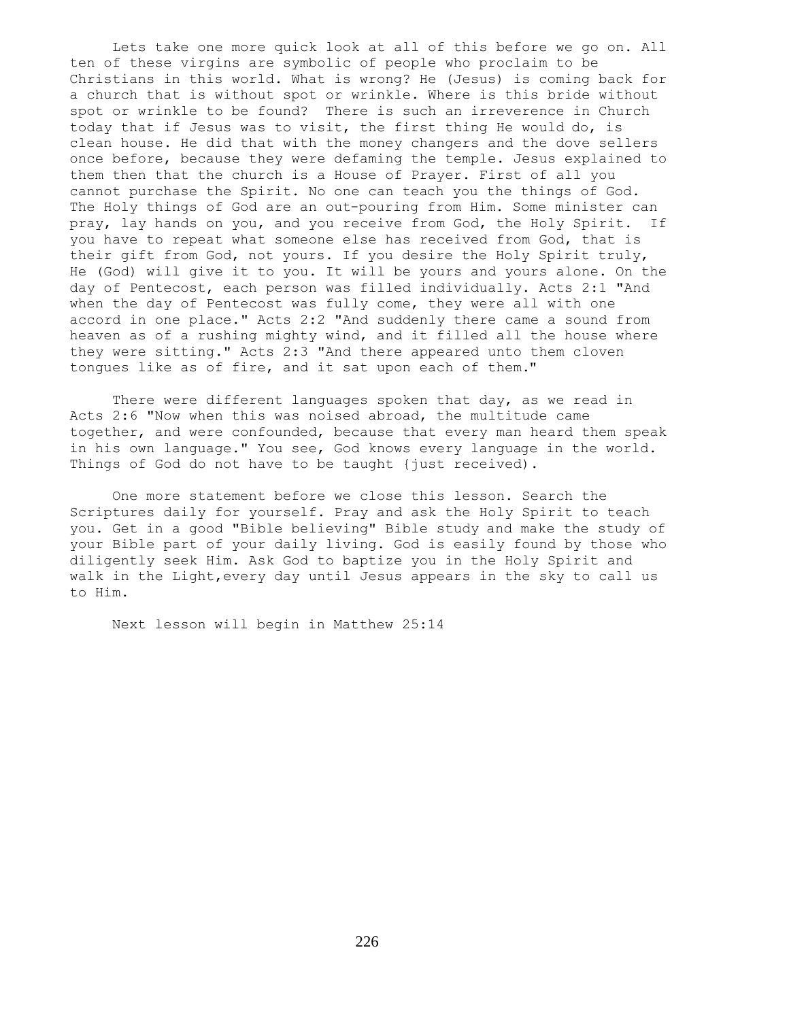Lets take one more quick look at all of this before we go on. All ten of these virgins are symbolic of people who proclaim to be Christians in this world. What is wrong? He (Jesus) is coming back for a church that is without spot or wrinkle. Where is this bride without spot or wrinkle to be found? There is such an irreverence in Church today that if Jesus was to visit, the first thing He would do, is clean house. He did that with the money changers and the dove sellers once before, because they were defaming the temple. Jesus explained to them then that the church is a House of Prayer. First of all you cannot purchase the Spirit. No one can teach you the things of God. The Holy things of God are an out-pouring from Him. Some minister can pray, lay hands on you, and you receive from God, the Holy Spirit. If you have to repeat what someone else has received from God, that is their gift from God, not yours. If you desire the Holy Spirit truly, He (God) will give it to you. It will be yours and yours alone. On the day of Pentecost, each person was filled individually. Acts 2:1 "And when the day of Pentecost was fully come, they were all with one accord in one place." Acts 2:2 "And suddenly there came a sound from heaven as of a rushing mighty wind, and it filled all the house where they were sitting." Acts 2:3 "And there appeared unto them cloven tongues like as of fire, and it sat upon each of them."

There were different languages spoken that day, as we read in Acts 2:6 "Now when this was noised abroad, the multitude came together, and were confounded, because that every man heard them speak in his own language." You see, God knows every language in the world. Things of God do not have to be taught {just received).

 One more statement before we close this lesson. Search the Scriptures daily for yourself. Pray and ask the Holy Spirit to teach you. Get in a good "Bible believing" Bible study and make the study of your Bible part of your daily living. God is easily found by those who diligently seek Him. Ask God to baptize you in the Holy Spirit and walk in the Light,every day until Jesus appears in the sky to call us to Him.

Next lesson will begin in Matthew 25:14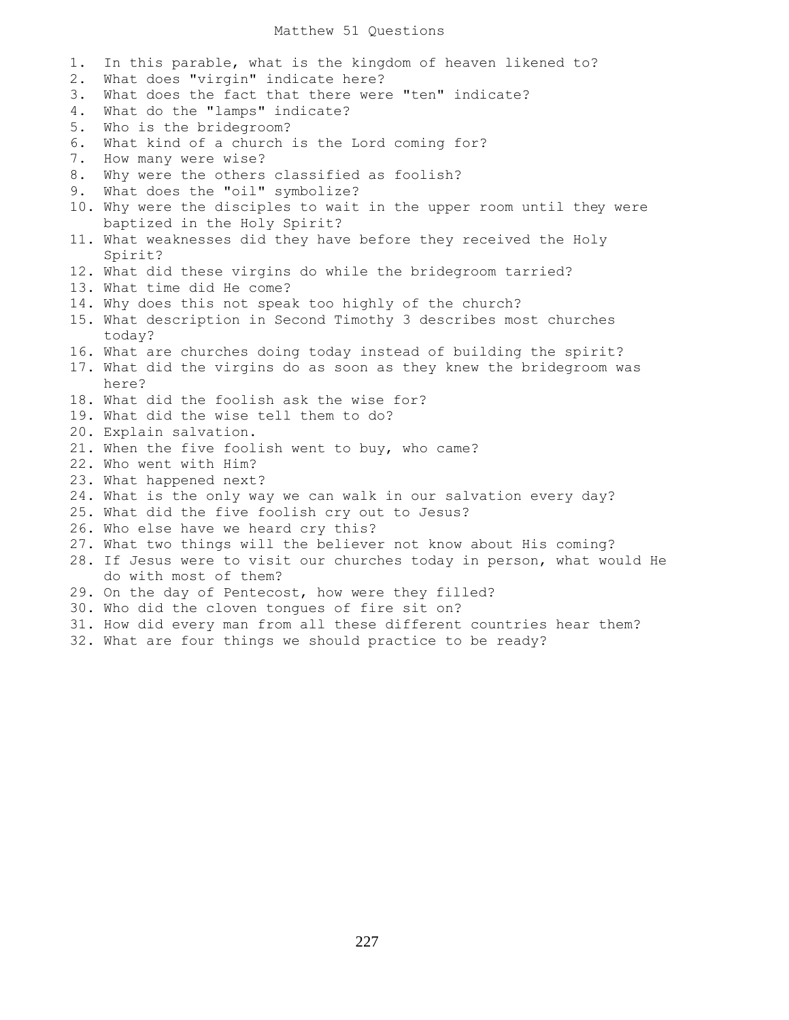#### Matthew 51 Questions

1. In this parable, what is the kingdom of heaven likened to? 2. What does "virgin" indicate here? 3. What does the fact that there were "ten" indicate? 4. What do the "lamps" indicate? 5. Who is the bridegroom? 6. What kind of a church is the Lord coming for? 7. How many were wise? 8. Why were the others classified as foolish? 9. What does the "oil" symbolize? 10. Why were the disciples to wait in the upper room until they were baptized in the Holy Spirit? 11. What weaknesses did they have before they received the Holy Spirit? 12. What did these virgins do while the bridegroom tarried? 13. What time did He come? 14. Why does this not speak too highly of the church? 15. What description in Second Timothy 3 describes most churches today? 16. What are churches doing today instead of building the spirit? 17. What did the virgins do as soon as they knew the bridegroom was here? 18. What did the foolish ask the wise for? 19. What did the wise tell them to do? 20. Explain salvation. 21. When the five foolish went to buy, who came? 22. Who went with Him? 23. What happened next? 24. What is the only way we can walk in our salvation every day? 25. What did the five foolish cry out to Jesus? 26. Who else have we heard cry this? 27. What two things will the believer not know about His coming? 28. If Jesus were to visit our churches today in person, what would He do with most of them? 29. On the day of Pentecost, how were they filled? 30. Who did the cloven tongues of fire sit on? 31. How did every man from all these different countries hear them?

32. What are four things we should practice to be ready?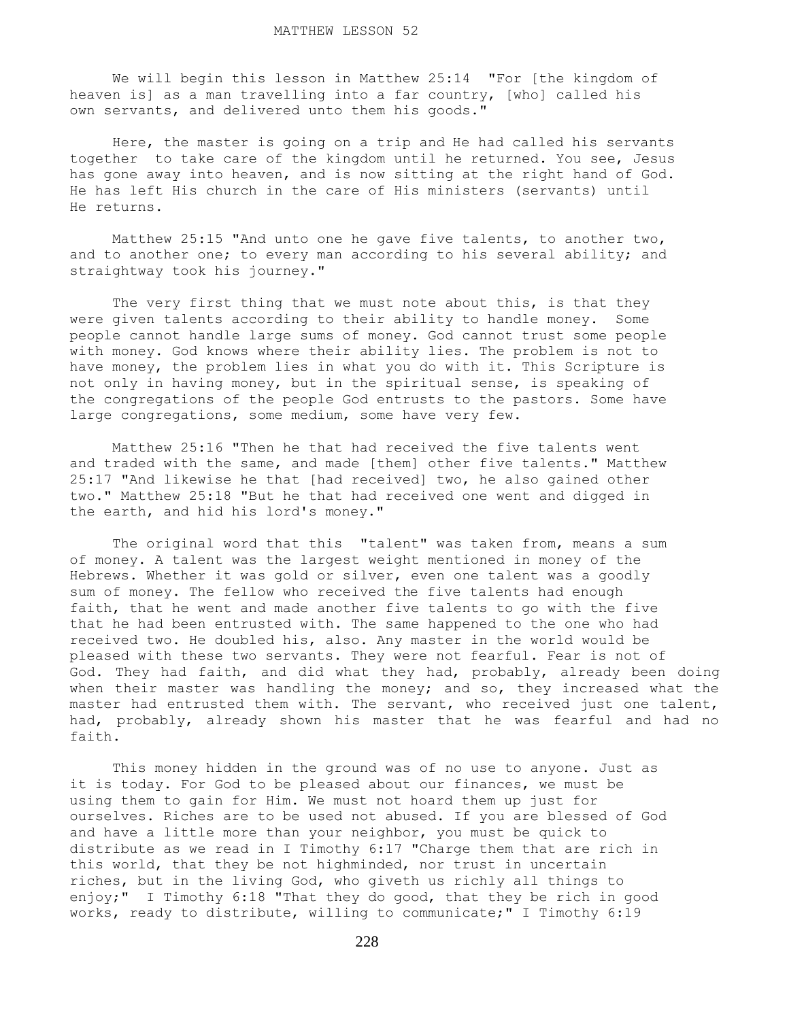We will begin this lesson in Matthew 25:14 "For [the kingdom of heaven is] as a man travelling into a far country, [who] called his own servants, and delivered unto them his goods."

 Here, the master is going on a trip and He had called his servants together to take care of the kingdom until he returned. You see, Jesus has gone away into heaven, and is now sitting at the right hand of God. He has left His church in the care of His ministers (servants) until He returns.

 Matthew 25:15 "And unto one he gave five talents, to another two, and to another one; to every man according to his several ability; and straightway took his journey."

The very first thing that we must note about this, is that they were given talents according to their ability to handle money. Some people cannot handle large sums of money. God cannot trust some people with money. God knows where their ability lies. The problem is not to have money, the problem lies in what you do with it. This Scripture is not only in having money, but in the spiritual sense, is speaking of the congregations of the people God entrusts to the pastors. Some have large congregations, some medium, some have very few.

 Matthew 25:16 "Then he that had received the five talents went and traded with the same, and made [them] other five talents." Matthew 25:17 "And likewise he that [had received] two, he also gained other two." Matthew 25:18 "But he that had received one went and digged in the earth, and hid his lord's money."

The original word that this "talent" was taken from, means a sum of money. A talent was the largest weight mentioned in money of the Hebrews. Whether it was gold or silver, even one talent was a goodly sum of money. The fellow who received the five talents had enough faith, that he went and made another five talents to go with the five that he had been entrusted with. The same happened to the one who had received two. He doubled his, also. Any master in the world would be pleased with these two servants. They were not fearful. Fear is not of God. They had faith, and did what they had, probably, already been doing when their master was handling the money; and so, they increased what the master had entrusted them with. The servant, who received just one talent, had, probably, already shown his master that he was fearful and had no faith.

 This money hidden in the ground was of no use to anyone. Just as it is today. For God to be pleased about our finances, we must be using them to gain for Him. We must not hoard them up just for ourselves. Riches are to be used not abused. If you are blessed of God and have a little more than your neighbor, you must be quick to distribute as we read in I Timothy 6:17 "Charge them that are rich in this world, that they be not highminded, nor trust in uncertain riches, but in the living God, who giveth us richly all things to enjoy;" I Timothy 6:18 "That they do good, that they be rich in good works, ready to distribute, willing to communicate;" I Timothy 6:19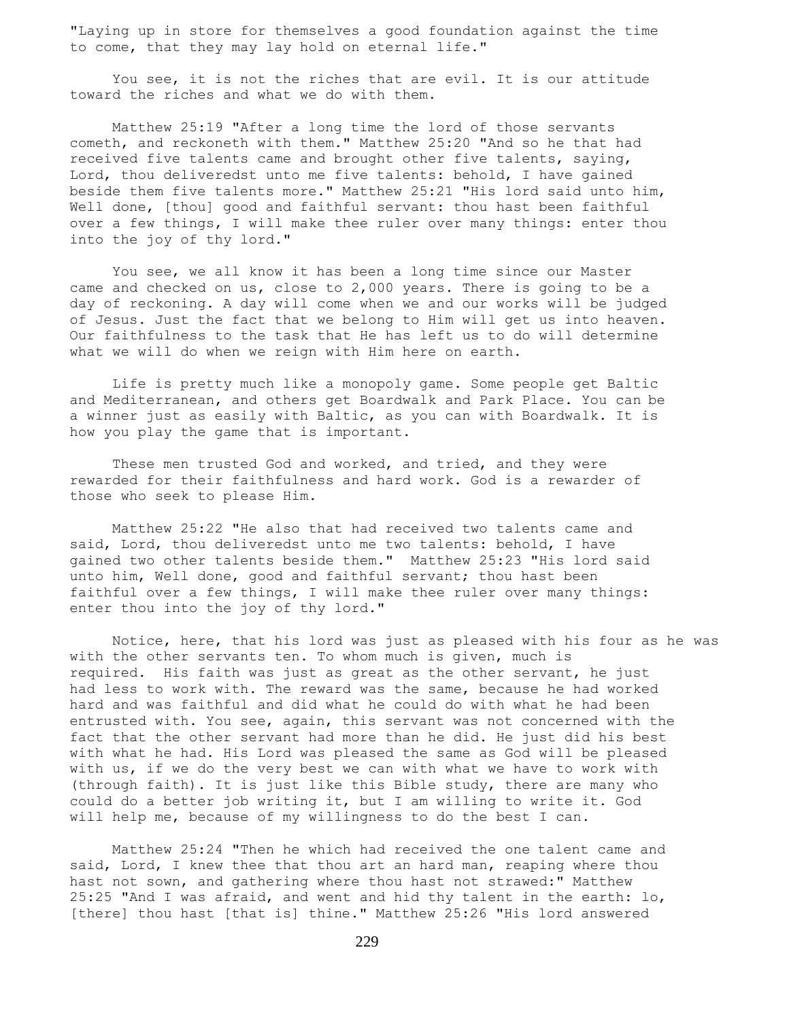"Laying up in store for themselves a good foundation against the time to come, that they may lay hold on eternal life."

 You see, it is not the riches that are evil. It is our attitude toward the riches and what we do with them.

 Matthew 25:19 "After a long time the lord of those servants cometh, and reckoneth with them." Matthew 25:20 "And so he that had received five talents came and brought other five talents, saying, Lord, thou deliveredst unto me five talents: behold, I have gained beside them five talents more." Matthew 25:21 "His lord said unto him, Well done, [thou] good and faithful servant: thou hast been faithful over a few things, I will make thee ruler over many things: enter thou into the joy of thy lord."

 You see, we all know it has been a long time since our Master came and checked on us, close to 2,000 years. There is going to be a day of reckoning. A day will come when we and our works will be judged of Jesus. Just the fact that we belong to Him will get us into heaven. Our faithfulness to the task that He has left us to do will determine what we will do when we reign with Him here on earth.

 Life is pretty much like a monopoly game. Some people get Baltic and Mediterranean, and others get Boardwalk and Park Place. You can be a winner just as easily with Baltic, as you can with Boardwalk. It is how you play the game that is important.

 These men trusted God and worked, and tried, and they were rewarded for their faithfulness and hard work. God is a rewarder of those who seek to please Him.

 Matthew 25:22 "He also that had received two talents came and said, Lord, thou deliveredst unto me two talents: behold, I have gained two other talents beside them." Matthew 25:23 "His lord said unto him, Well done, good and faithful servant; thou hast been faithful over a few things, I will make thee ruler over many things: enter thou into the joy of thy lord."

 Notice, here, that his lord was just as pleased with his four as he was with the other servants ten. To whom much is given, much is required. His faith was just as great as the other servant, he just had less to work with. The reward was the same, because he had worked hard and was faithful and did what he could do with what he had been entrusted with. You see, again, this servant was not concerned with the fact that the other servant had more than he did. He just did his best with what he had. His Lord was pleased the same as God will be pleased with us, if we do the very best we can with what we have to work with (through faith). It is just like this Bible study, there are many who could do a better job writing it, but I am willing to write it. God will help me, because of my willingness to do the best I can.

 Matthew 25:24 "Then he which had received the one talent came and said, Lord, I knew thee that thou art an hard man, reaping where thou hast not sown, and gathering where thou hast not strawed:" Matthew 25:25 "And I was afraid, and went and hid thy talent in the earth: lo, [there] thou hast [that is] thine." Matthew 25:26 "His lord answered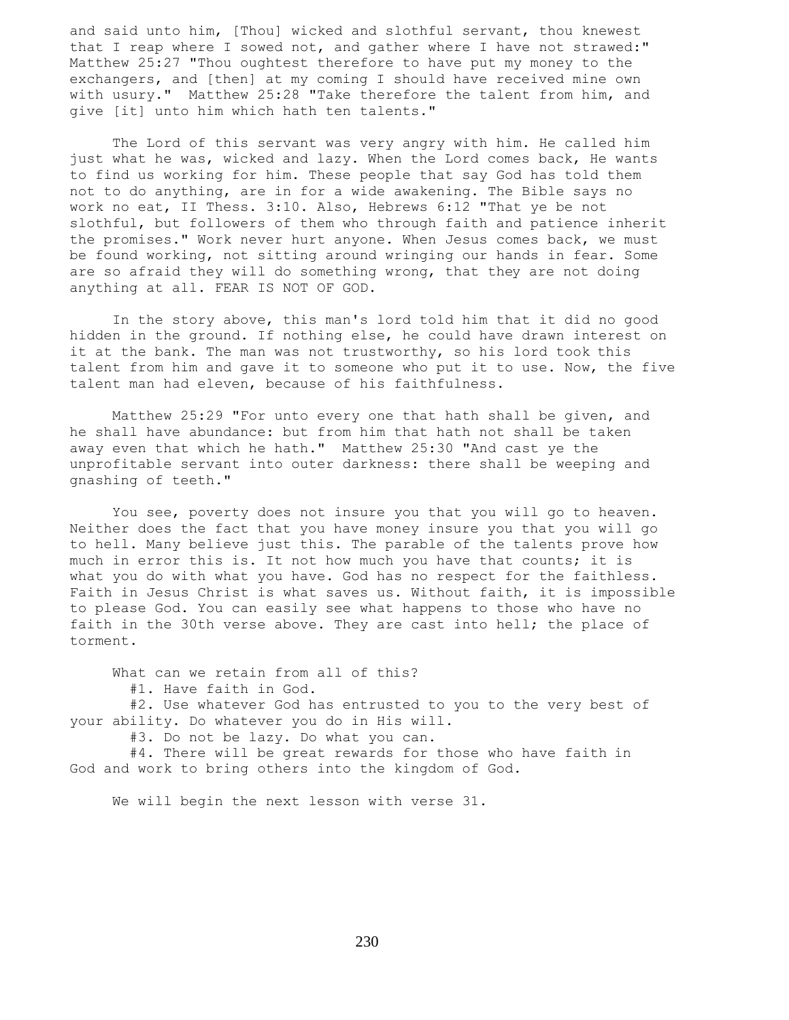and said unto him, [Thou] wicked and slothful servant, thou knewest that I reap where I sowed not, and gather where I have not strawed:" Matthew 25:27 "Thou oughtest therefore to have put my money to the exchangers, and [then] at my coming I should have received mine own with usury." Matthew 25:28 "Take therefore the talent from him, and give [it] unto him which hath ten talents."

 The Lord of this servant was very angry with him. He called him just what he was, wicked and lazy. When the Lord comes back, He wants to find us working for him. These people that say God has told them not to do anything, are in for a wide awakening. The Bible says no work no eat, II Thess. 3:10. Also, Hebrews 6:12 "That ye be not slothful, but followers of them who through faith and patience inherit the promises." Work never hurt anyone. When Jesus comes back, we must be found working, not sitting around wringing our hands in fear. Some are so afraid they will do something wrong, that they are not doing anything at all. FEAR IS NOT OF GOD.

 In the story above, this man's lord told him that it did no good hidden in the ground. If nothing else, he could have drawn interest on it at the bank. The man was not trustworthy, so his lord took this talent from him and gave it to someone who put it to use. Now, the five talent man had eleven, because of his faithfulness.

 Matthew 25:29 "For unto every one that hath shall be given, and he shall have abundance: but from him that hath not shall be taken away even that which he hath." Matthew 25:30 "And cast ye the unprofitable servant into outer darkness: there shall be weeping and gnashing of teeth."

 You see, poverty does not insure you that you will go to heaven. Neither does the fact that you have money insure you that you will go to hell. Many believe just this. The parable of the talents prove how much in error this is. It not how much you have that counts; it is what you do with what you have. God has no respect for the faithless. Faith in Jesus Christ is what saves us. Without faith, it is impossible to please God. You can easily see what happens to those who have no faith in the 30th verse above. They are cast into hell; the place of torment.

 What can we retain from all of this? #1. Have faith in God. #2. Use whatever God has entrusted to you to the very best of your ability. Do whatever you do in His will. #3. Do not be lazy. Do what you can.

 #4. There will be great rewards for those who have faith in God and work to bring others into the kingdom of God.

We will begin the next lesson with verse 31.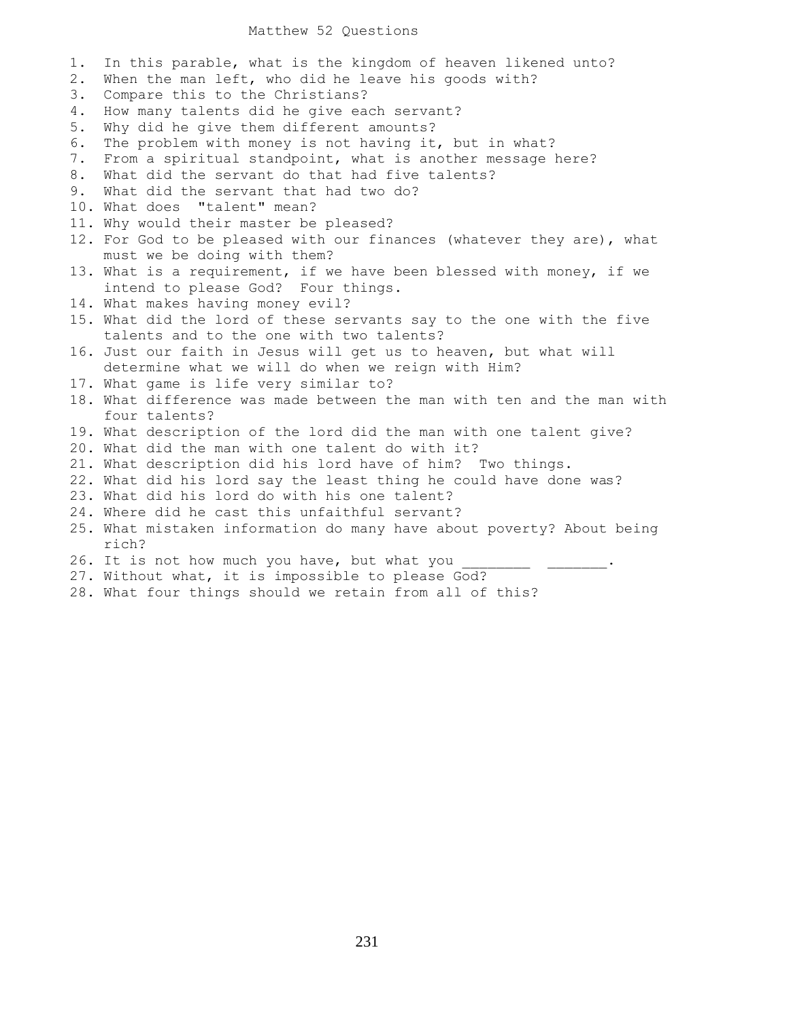### Matthew 52 Questions

1. In this parable, what is the kingdom of heaven likened unto? 2. When the man left, who did he leave his goods with? 3. Compare this to the Christians? 4. How many talents did he give each servant? 5. Why did he give them different amounts? 6. The problem with money is not having it, but in what? 7. From a spiritual standpoint, what is another message here? 8. What did the servant do that had five talents? 9. What did the servant that had two do? 10. What does "talent" mean? 11. Why would their master be pleased? 12. For God to be pleased with our finances (whatever they are), what must we be doing with them? 13. What is a requirement, if we have been blessed with money, if we intend to please God? Four things. 14. What makes having money evil? 15. What did the lord of these servants say to the one with the five talents and to the one with two talents? 16. Just our faith in Jesus will get us to heaven, but what will determine what we will do when we reign with Him? 17. What game is life very similar to? 18. What difference was made between the man with ten and the man with four talents? 19. What description of the lord did the man with one talent give? 20. What did the man with one talent do with it? 21. What description did his lord have of him? Two things. 22. What did his lord say the least thing he could have done was? 23. What did his lord do with his one talent? 24. Where did he cast this unfaithful servant? 25. What mistaken information do many have about poverty? About being rich? 26. It is not how much you have, but what you 27. Without what, it is impossible to please God?

28. What four things should we retain from all of this?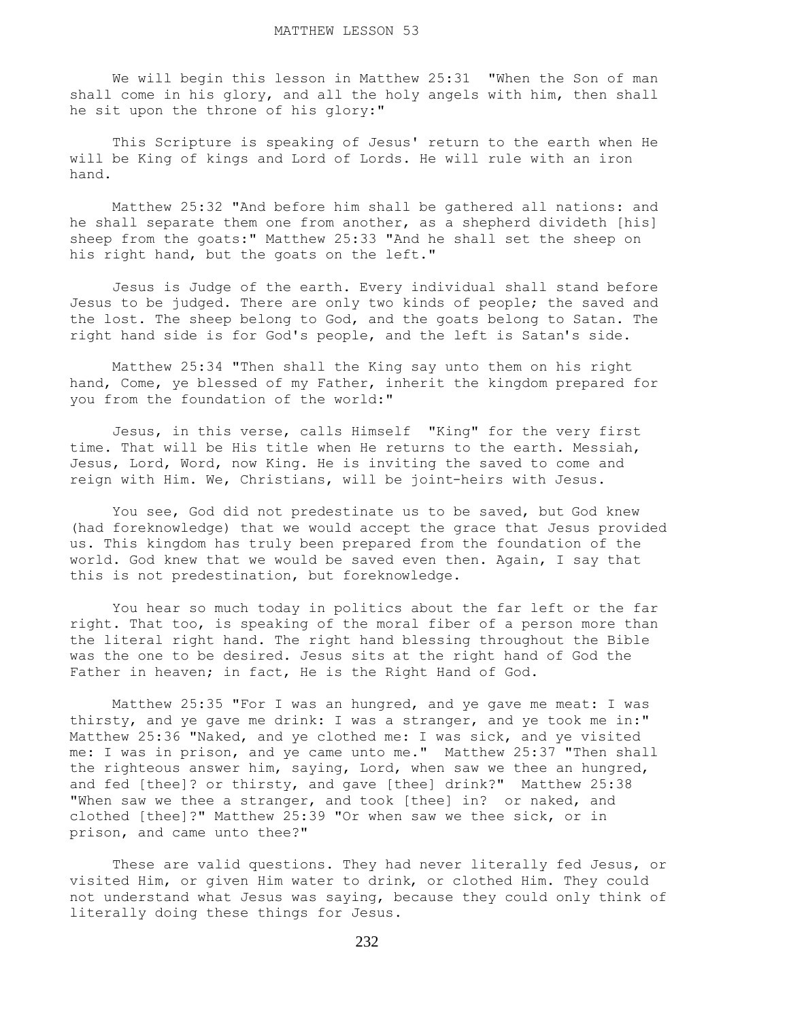We will begin this lesson in Matthew 25:31 "When the Son of man shall come in his glory, and all the holy angels with him, then shall he sit upon the throne of his glory:"

 This Scripture is speaking of Jesus' return to the earth when He will be King of kings and Lord of Lords. He will rule with an iron hand.

 Matthew 25:32 "And before him shall be gathered all nations: and he shall separate them one from another, as a shepherd divideth [his] sheep from the goats:" Matthew 25:33 "And he shall set the sheep on his right hand, but the goats on the left."

 Jesus is Judge of the earth. Every individual shall stand before Jesus to be judged. There are only two kinds of people; the saved and the lost. The sheep belong to God, and the goats belong to Satan. The right hand side is for God's people, and the left is Satan's side.

 Matthew 25:34 "Then shall the King say unto them on his right hand, Come, ye blessed of my Father, inherit the kingdom prepared for you from the foundation of the world:"

 Jesus, in this verse, calls Himself "King" for the very first time. That will be His title when He returns to the earth. Messiah, Jesus, Lord, Word, now King. He is inviting the saved to come and reign with Him. We, Christians, will be joint-heirs with Jesus.

 You see, God did not predestinate us to be saved, but God knew (had foreknowledge) that we would accept the grace that Jesus provided us. This kingdom has truly been prepared from the foundation of the world. God knew that we would be saved even then. Again, I say that this is not predestination, but foreknowledge.

 You hear so much today in politics about the far left or the far right. That too, is speaking of the moral fiber of a person more than the literal right hand. The right hand blessing throughout the Bible was the one to be desired. Jesus sits at the right hand of God the Father in heaven; in fact, He is the Right Hand of God.

 Matthew 25:35 "For I was an hungred, and ye gave me meat: I was thirsty, and ye gave me drink: I was a stranger, and ye took me in:" Matthew 25:36 "Naked, and ye clothed me: I was sick, and ye visited me: I was in prison, and ye came unto me." Matthew 25:37 "Then shall the righteous answer him, saying, Lord, when saw we thee an hungred, and fed [thee]? or thirsty, and gave [thee] drink?" Matthew 25:38 "When saw we thee a stranger, and took [thee] in? or naked, and clothed [thee]?" Matthew 25:39 "Or when saw we thee sick, or in prison, and came unto thee?"

 These are valid questions. They had never literally fed Jesus, or visited Him, or given Him water to drink, or clothed Him. They could not understand what Jesus was saying, because they could only think of literally doing these things for Jesus.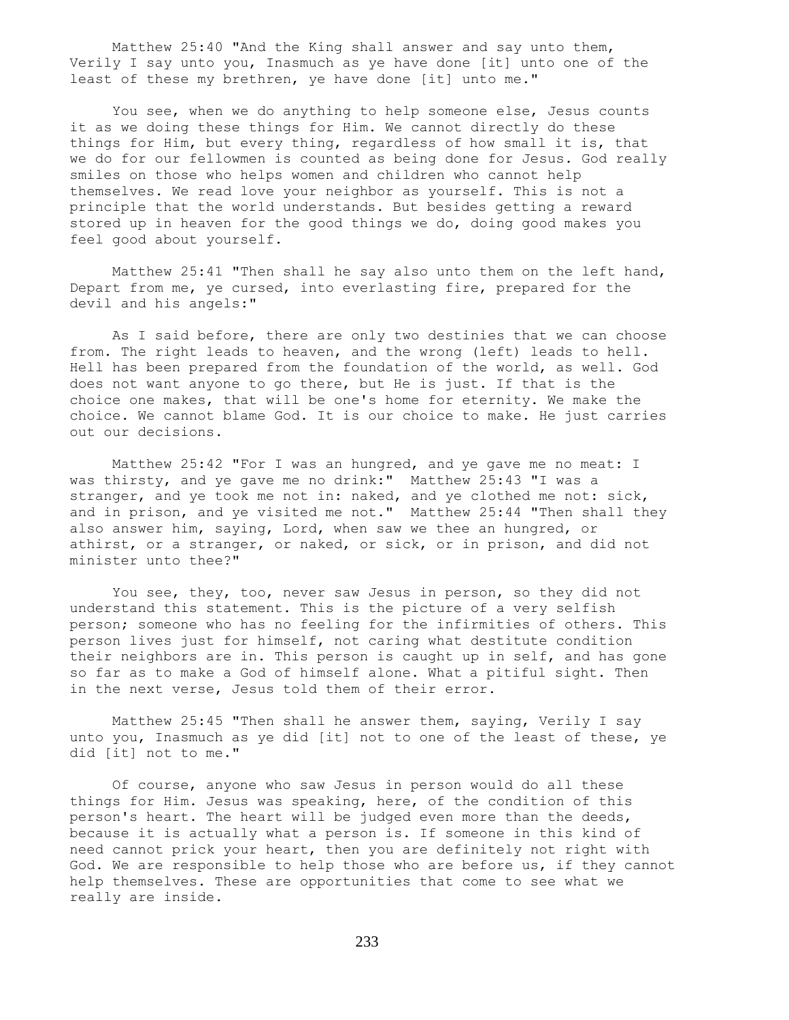Matthew 25:40 "And the King shall answer and say unto them, Verily I say unto you, Inasmuch as ye have done [it] unto one of the least of these my brethren, ye have done [it] unto me."

You see, when we do anything to help someone else, Jesus counts it as we doing these things for Him. We cannot directly do these things for Him, but every thing, regardless of how small it is, that we do for our fellowmen is counted as being done for Jesus. God really smiles on those who helps women and children who cannot help themselves. We read love your neighbor as yourself. This is not a principle that the world understands. But besides getting a reward stored up in heaven for the good things we do, doing good makes you feel good about yourself.

 Matthew 25:41 "Then shall he say also unto them on the left hand, Depart from me, ye cursed, into everlasting fire, prepared for the devil and his angels:"

 As I said before, there are only two destinies that we can choose from. The right leads to heaven, and the wrong (left) leads to hell. Hell has been prepared from the foundation of the world, as well. God does not want anyone to go there, but He is just. If that is the choice one makes, that will be one's home for eternity. We make the choice. We cannot blame God. It is our choice to make. He just carries out our decisions.

 Matthew 25:42 "For I was an hungred, and ye gave me no meat: I was thirsty, and ye gave me no drink:" Matthew 25:43 "I was a stranger, and ye took me not in: naked, and ye clothed me not: sick, and in prison, and ye visited me not." Matthew 25:44 "Then shall they also answer him, saying, Lord, when saw we thee an hungred, or athirst, or a stranger, or naked, or sick, or in prison, and did not minister unto thee?"

 You see, they, too, never saw Jesus in person, so they did not understand this statement. This is the picture of a very selfish person; someone who has no feeling for the infirmities of others. This person lives just for himself, not caring what destitute condition their neighbors are in. This person is caught up in self, and has gone so far as to make a God of himself alone. What a pitiful sight. Then in the next verse, Jesus told them of their error.

 Matthew 25:45 "Then shall he answer them, saying, Verily I say unto you, Inasmuch as ye did [it] not to one of the least of these, ye did [it] not to me."

 Of course, anyone who saw Jesus in person would do all these things for Him. Jesus was speaking, here, of the condition of this person's heart. The heart will be judged even more than the deeds, because it is actually what a person is. If someone in this kind of need cannot prick your heart, then you are definitely not right with God. We are responsible to help those who are before us, if they cannot help themselves. These are opportunities that come to see what we really are inside.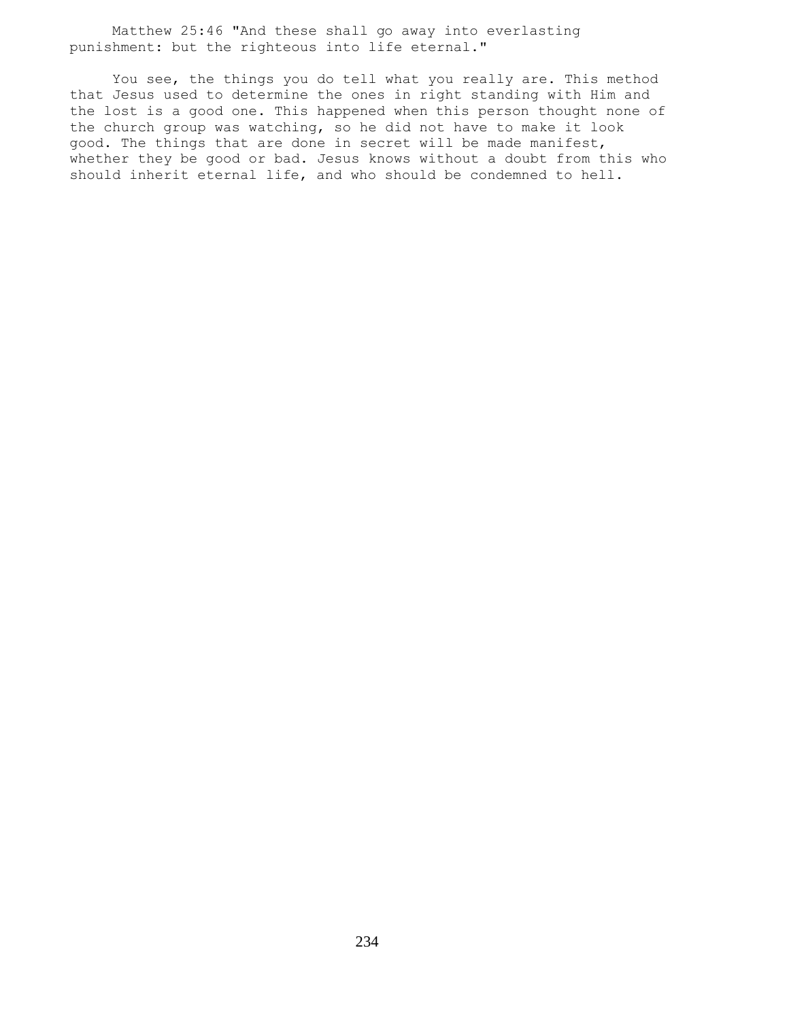Matthew 25:46 "And these shall go away into everlasting punishment: but the righteous into life eternal."

 You see, the things you do tell what you really are. This method that Jesus used to determine the ones in right standing with Him and the lost is a good one. This happened when this person thought none of the church group was watching, so he did not have to make it look good. The things that are done in secret will be made manifest, whether they be good or bad. Jesus knows without a doubt from this who should inherit eternal life, and who should be condemned to hell.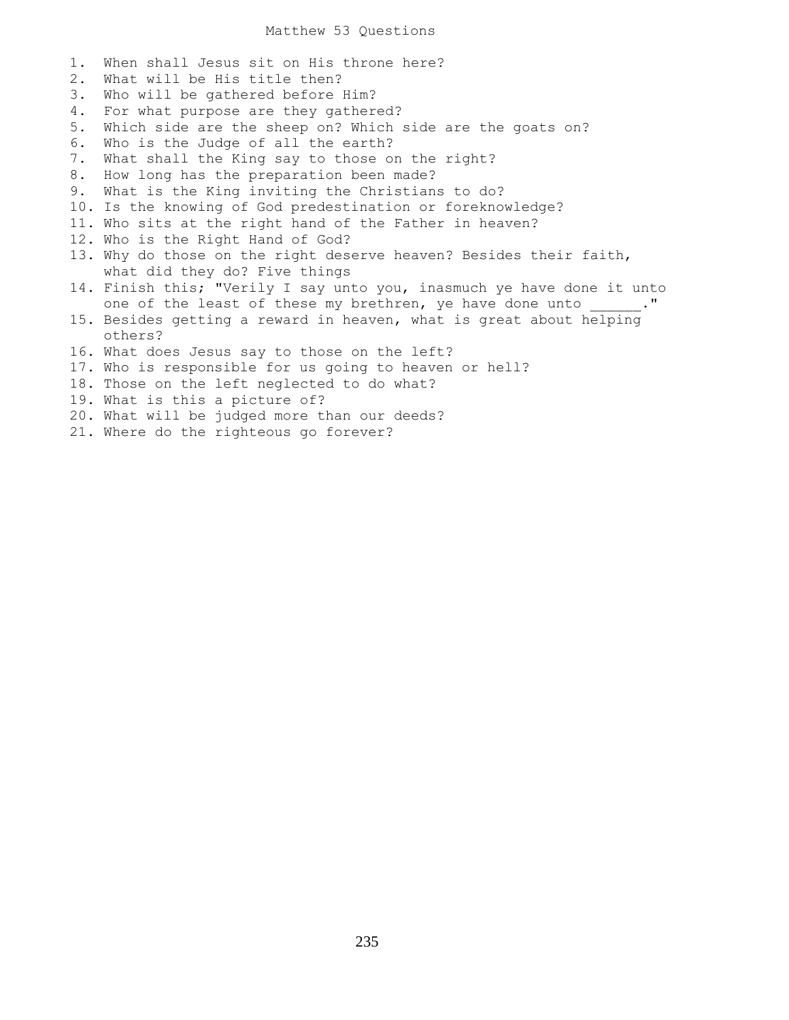# Matthew 53 Questions

1. When shall Jesus sit on His throne here? 2. What will be His title then? 3. Who will be gathered before Him? 4. For what purpose are they gathered? 5. Which side are the sheep on? Which side are the goats on? 6. Who is the Judge of all the earth? 7. What shall the King say to those on the right? 8. How long has the preparation been made? 9. What is the King inviting the Christians to do? 10. Is the knowing of God predestination or foreknowledge? 11. Who sits at the right hand of the Father in heaven? 12. Who is the Right Hand of God? 13. Why do those on the right deserve heaven? Besides their faith, what did they do? Five things 14. Finish this; "Verily I say unto you, inasmuch ye have done it unto one of the least of these my brethren, ye have done unto \_\_\_\_\_\_." 15. Besides getting a reward in heaven, what is great about helping others? 16. What does Jesus say to those on the left? 17. Who is responsible for us going to heaven or hell? 18. Those on the left neglected to do what? 19. What is this a picture of? 20. What will be judged more than our deeds? 21. Where do the righteous go forever?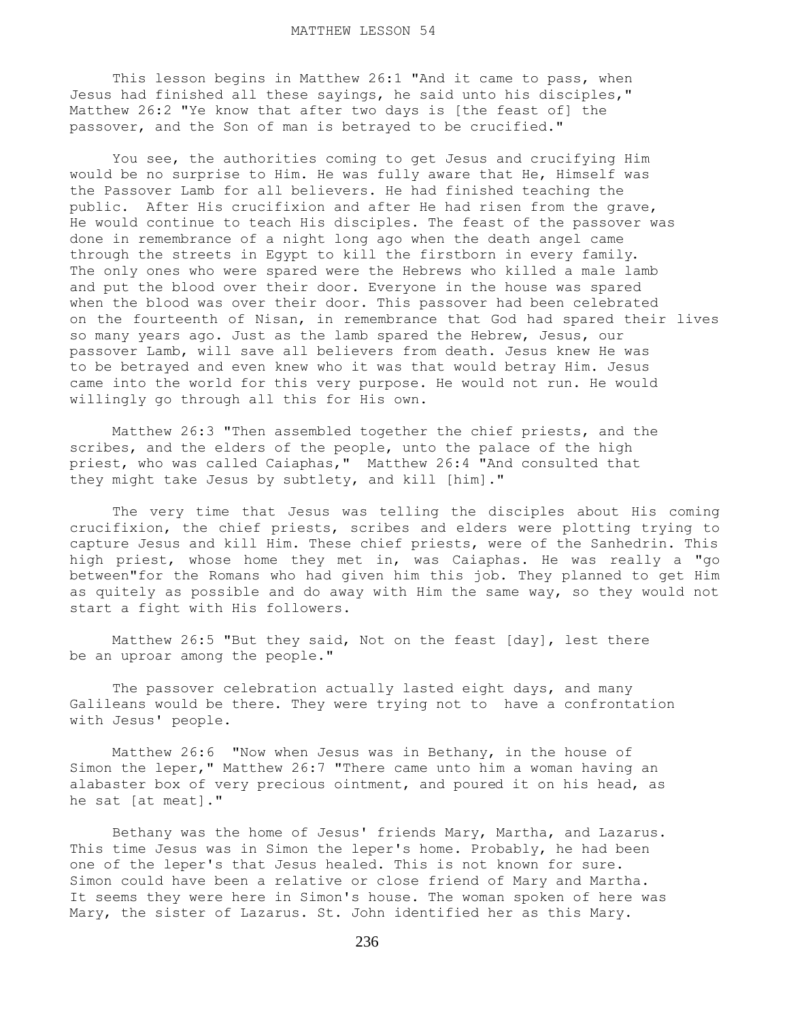This lesson begins in Matthew 26:1 "And it came to pass, when Jesus had finished all these sayings, he said unto his disciples," Matthew 26:2 "Ye know that after two days is [the feast of] the passover, and the Son of man is betrayed to be crucified."

 You see, the authorities coming to get Jesus and crucifying Him would be no surprise to Him. He was fully aware that He, Himself was the Passover Lamb for all believers. He had finished teaching the public. After His crucifixion and after He had risen from the grave, He would continue to teach His disciples. The feast of the passover was done in remembrance of a night long ago when the death angel came through the streets in Egypt to kill the firstborn in every family. The only ones who were spared were the Hebrews who killed a male lamb and put the blood over their door. Everyone in the house was spared when the blood was over their door. This passover had been celebrated on the fourteenth of Nisan, in remembrance that God had spared their lives so many years ago. Just as the lamb spared the Hebrew, Jesus, our passover Lamb, will save all believers from death. Jesus knew He was to be betrayed and even knew who it was that would betray Him. Jesus came into the world for this very purpose. He would not run. He would willingly go through all this for His own.

 Matthew 26:3 "Then assembled together the chief priests, and the scribes, and the elders of the people, unto the palace of the high priest, who was called Caiaphas," Matthew 26:4 "And consulted that they might take Jesus by subtlety, and kill [him]."

 The very time that Jesus was telling the disciples about His coming crucifixion, the chief priests, scribes and elders were plotting trying to capture Jesus and kill Him. These chief priests, were of the Sanhedrin. This high priest, whose home they met in, was Caiaphas. He was really a "go between"for the Romans who had given him this job. They planned to get Him as quitely as possible and do away with Him the same way, so they would not start a fight with His followers.

 Matthew 26:5 "But they said, Not on the feast [day], lest there be an uproar among the people."

 The passover celebration actually lasted eight days, and many Galileans would be there. They were trying not to have a confrontation with Jesus' people.

 Matthew 26:6 "Now when Jesus was in Bethany, in the house of Simon the leper," Matthew 26:7 "There came unto him a woman having an alabaster box of very precious ointment, and poured it on his head, as he sat [at meat]."

 Bethany was the home of Jesus' friends Mary, Martha, and Lazarus. This time Jesus was in Simon the leper's home. Probably, he had been one of the leper's that Jesus healed. This is not known for sure. Simon could have been a relative or close friend of Mary and Martha. It seems they were here in Simon's house. The woman spoken of here was Mary, the sister of Lazarus. St. John identified her as this Mary.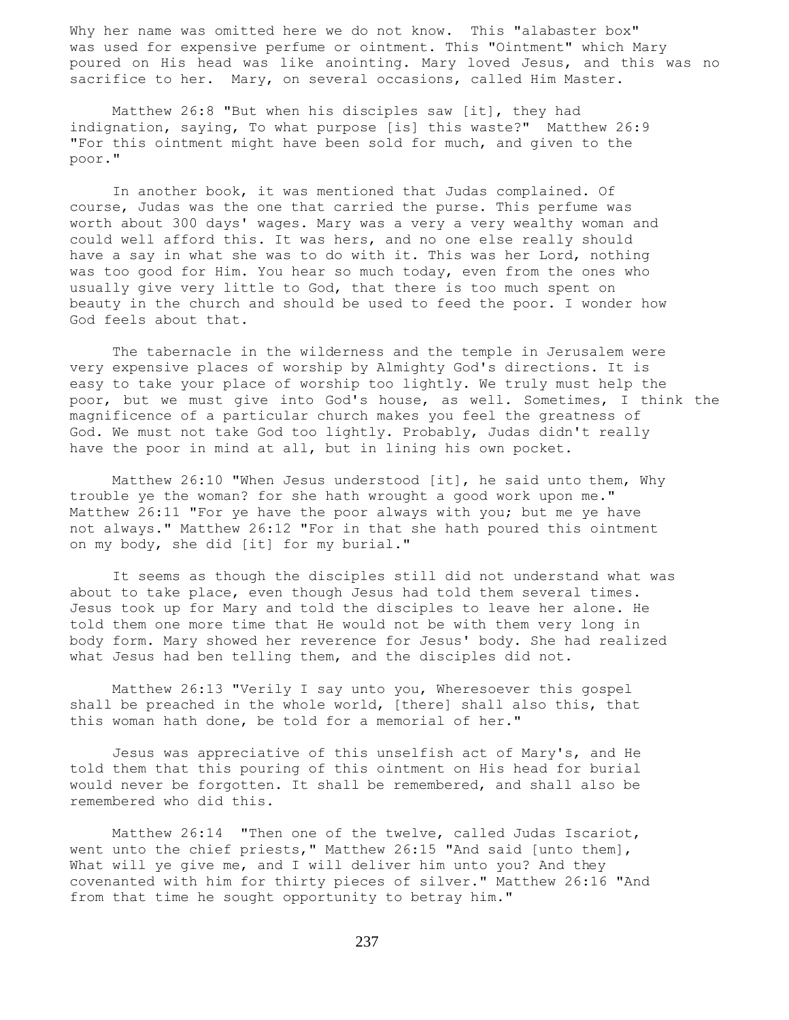Why her name was omitted here we do not know. This "alabaster box" was used for expensive perfume or ointment. This "Ointment" which Mary poured on His head was like anointing. Mary loved Jesus, and this was no sacrifice to her. Mary, on several occasions, called Him Master.

 Matthew 26:8 "But when his disciples saw [it], they had indignation, saying, To what purpose [is] this waste?" Matthew 26:9 "For this ointment might have been sold for much, and given to the poor."

 In another book, it was mentioned that Judas complained. Of course, Judas was the one that carried the purse. This perfume was worth about 300 days' wages. Mary was a very a very wealthy woman and could well afford this. It was hers, and no one else really should have a say in what she was to do with it. This was her Lord, nothing was too good for Him. You hear so much today, even from the ones who usually give very little to God, that there is too much spent on beauty in the church and should be used to feed the poor. I wonder how God feels about that.

 The tabernacle in the wilderness and the temple in Jerusalem were very expensive places of worship by Almighty God's directions. It is easy to take your place of worship too lightly. We truly must help the poor, but we must give into God's house, as well. Sometimes, I think the magnificence of a particular church makes you feel the greatness of God. We must not take God too lightly. Probably, Judas didn't really have the poor in mind at all, but in lining his own pocket.

 Matthew 26:10 "When Jesus understood [it], he said unto them, Why trouble ye the woman? for she hath wrought a good work upon me." Matthew 26:11 "For ye have the poor always with you; but me ye have not always." Matthew 26:12 "For in that she hath poured this ointment on my body, she did [it] for my burial."

 It seems as though the disciples still did not understand what was about to take place, even though Jesus had told them several times. Jesus took up for Mary and told the disciples to leave her alone. He told them one more time that He would not be with them very long in body form. Mary showed her reverence for Jesus' body. She had realized what Jesus had ben telling them, and the disciples did not.

 Matthew 26:13 "Verily I say unto you, Wheresoever this gospel shall be preached in the whole world, [there] shall also this, that this woman hath done, be told for a memorial of her."

 Jesus was appreciative of this unselfish act of Mary's, and He told them that this pouring of this ointment on His head for burial would never be forgotten. It shall be remembered, and shall also be remembered who did this.

 Matthew 26:14 "Then one of the twelve, called Judas Iscariot, went unto the chief priests," Matthew 26:15 "And said [unto them], What will ye give me, and I will deliver him unto you? And they covenanted with him for thirty pieces of silver." Matthew 26:16 "And from that time he sought opportunity to betray him."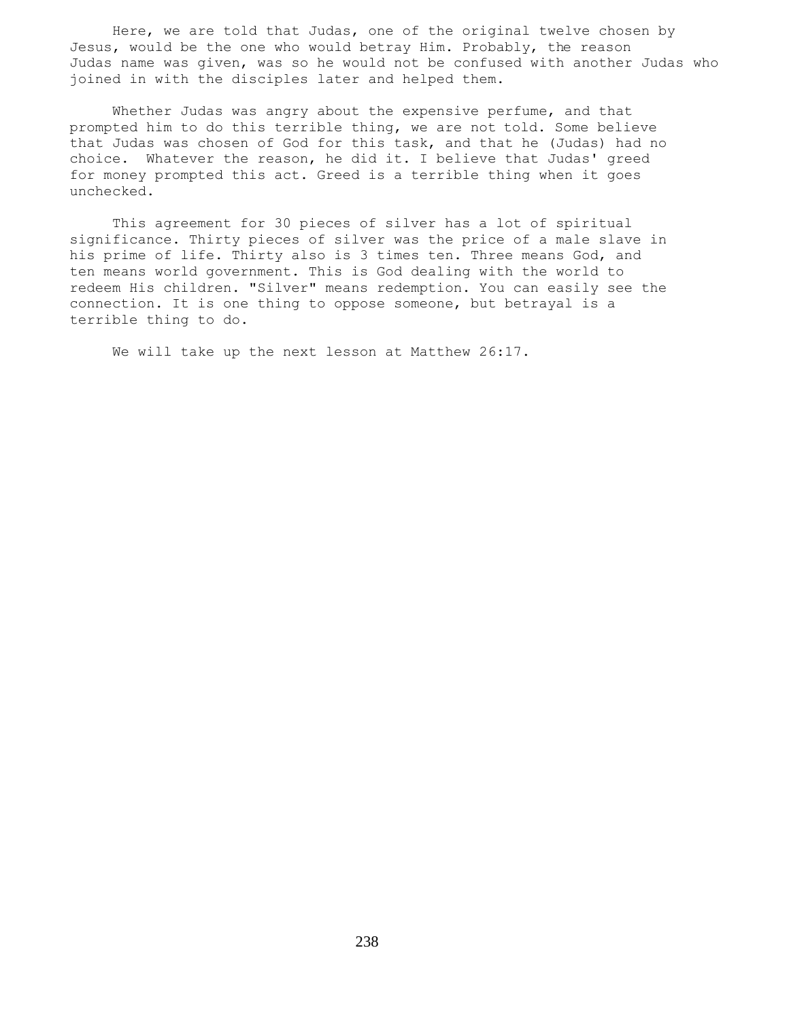Here, we are told that Judas, one of the original twelve chosen by Jesus, would be the one who would betray Him. Probably, the reason Judas name was given, was so he would not be confused with another Judas who joined in with the disciples later and helped them.

 Whether Judas was angry about the expensive perfume, and that prompted him to do this terrible thing, we are not told. Some believe that Judas was chosen of God for this task, and that he (Judas) had no choice. Whatever the reason, he did it. I believe that Judas' greed for money prompted this act. Greed is a terrible thing when it goes unchecked.

 This agreement for 30 pieces of silver has a lot of spiritual significance. Thirty pieces of silver was the price of a male slave in his prime of life. Thirty also is 3 times ten. Three means God, and ten means world government. This is God dealing with the world to redeem His children. "Silver" means redemption. You can easily see the connection. It is one thing to oppose someone, but betrayal is a terrible thing to do.

We will take up the next lesson at Matthew 26:17.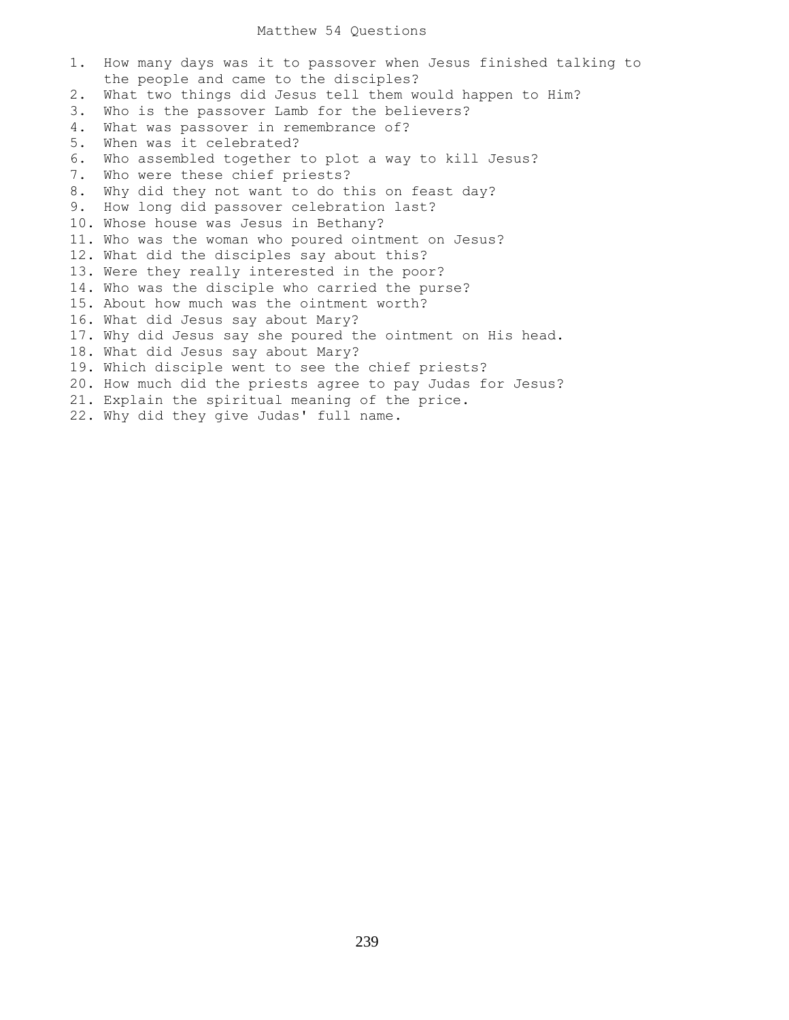## Matthew 54 Questions

1. How many days was it to passover when Jesus finished talking to the people and came to the disciples? 2. What two things did Jesus tell them would happen to Him? 3. Who is the passover Lamb for the believers? 4. What was passover in remembrance of? 5. When was it celebrated? 6. Who assembled together to plot a way to kill Jesus? 7. Who were these chief priests? 8. Why did they not want to do this on feast day? 9. How long did passover celebration last? 10. Whose house was Jesus in Bethany? 11. Who was the woman who poured ointment on Jesus? 12. What did the disciples say about this? 13. Were they really interested in the poor? 14. Who was the disciple who carried the purse? 15. About how much was the ointment worth? 16. What did Jesus say about Mary? 17. Why did Jesus say she poured the ointment on His head. 18. What did Jesus say about Mary? 19. Which disciple went to see the chief priests? 20. How much did the priests agree to pay Judas for Jesus? 21. Explain the spiritual meaning of the price. 22. Why did they give Judas' full name.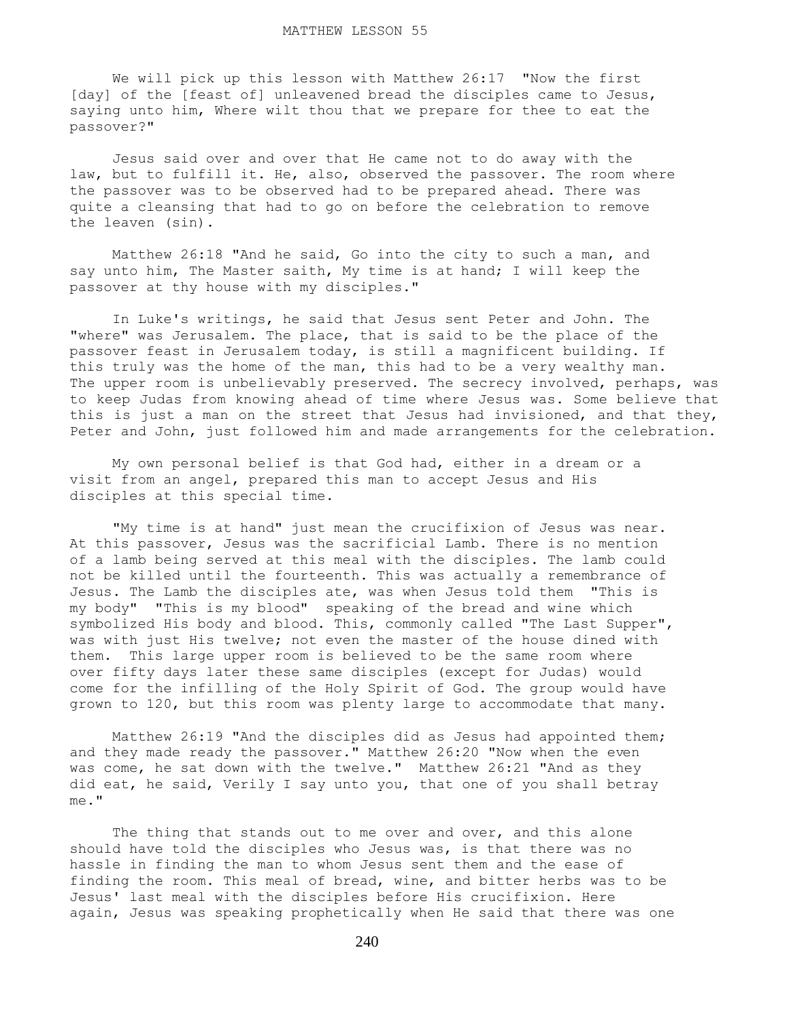We will pick up this lesson with Matthew 26:17 "Now the first [day] of the [feast of] unleavened bread the disciples came to Jesus, saying unto him, Where wilt thou that we prepare for thee to eat the passover?"

 Jesus said over and over that He came not to do away with the law, but to fulfill it. He, also, observed the passover. The room where the passover was to be observed had to be prepared ahead. There was quite a cleansing that had to go on before the celebration to remove the leaven (sin).

 Matthew 26:18 "And he said, Go into the city to such a man, and say unto him, The Master saith, My time is at hand; I will keep the passover at thy house with my disciples."

 In Luke's writings, he said that Jesus sent Peter and John. The "where" was Jerusalem. The place, that is said to be the place of the passover feast in Jerusalem today, is still a magnificent building. If this truly was the home of the man, this had to be a very wealthy man. The upper room is unbelievably preserved. The secrecy involved, perhaps, was to keep Judas from knowing ahead of time where Jesus was. Some believe that this is just a man on the street that Jesus had invisioned, and that they, Peter and John, just followed him and made arrangements for the celebration.

 My own personal belief is that God had, either in a dream or a visit from an angel, prepared this man to accept Jesus and His disciples at this special time.

 "My time is at hand" just mean the crucifixion of Jesus was near. At this passover, Jesus was the sacrificial Lamb. There is no mention of a lamb being served at this meal with the disciples. The lamb could not be killed until the fourteenth. This was actually a remembrance of Jesus. The Lamb the disciples ate, was when Jesus told them "This is my body" "This is my blood" speaking of the bread and wine which symbolized His body and blood. This, commonly called "The Last Supper", was with just His twelve; not even the master of the house dined with them. This large upper room is believed to be the same room where over fifty days later these same disciples (except for Judas) would come for the infilling of the Holy Spirit of God. The group would have grown to 120, but this room was plenty large to accommodate that many.

 Matthew 26:19 "And the disciples did as Jesus had appointed them; and they made ready the passover." Matthew 26:20 "Now when the even was come, he sat down with the twelve." Matthew 26:21 "And as they did eat, he said, Verily I say unto you, that one of you shall betray me."

The thing that stands out to me over and over, and this alone should have told the disciples who Jesus was, is that there was no hassle in finding the man to whom Jesus sent them and the ease of finding the room. This meal of bread, wine, and bitter herbs was to be Jesus' last meal with the disciples before His crucifixion. Here again, Jesus was speaking prophetically when He said that there was one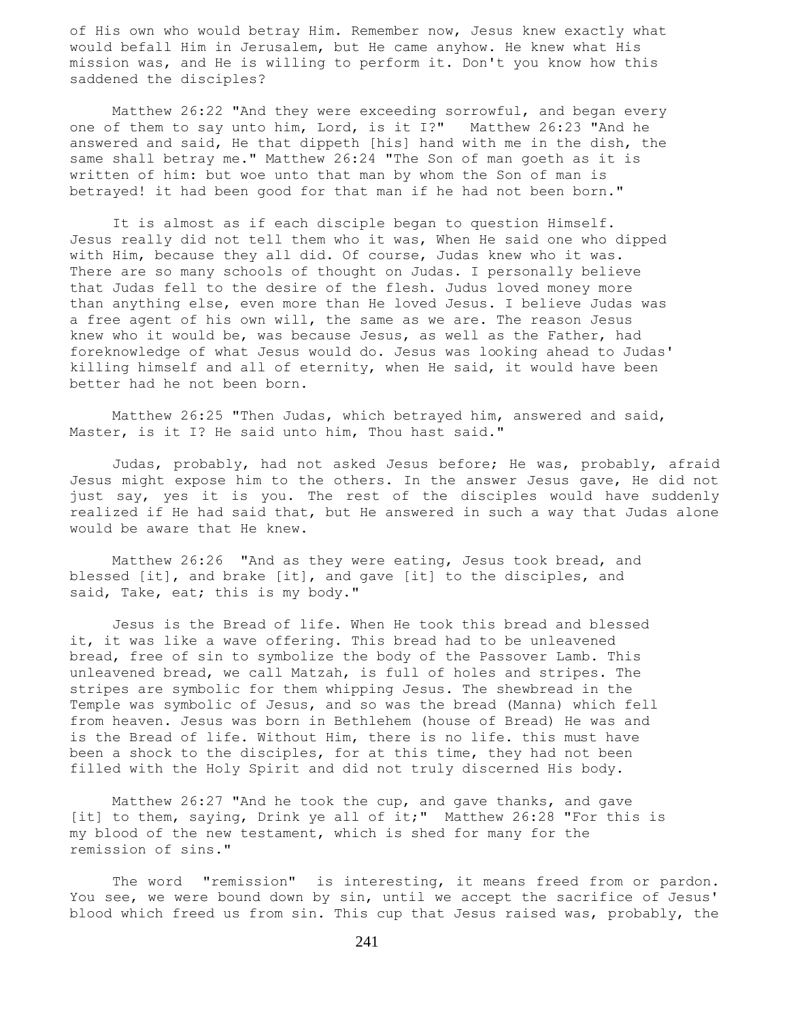of His own who would betray Him. Remember now, Jesus knew exactly what would befall Him in Jerusalem, but He came anyhow. He knew what His mission was, and He is willing to perform it. Don't you know how this saddened the disciples?

 Matthew 26:22 "And they were exceeding sorrowful, and began every one of them to say unto him, Lord, is it I?" Matthew 26:23 "And he answered and said, He that dippeth [his] hand with me in the dish, the same shall betray me." Matthew 26:24 "The Son of man goeth as it is written of him: but woe unto that man by whom the Son of man is betrayed! it had been good for that man if he had not been born."

 It is almost as if each disciple began to question Himself. Jesus really did not tell them who it was, When He said one who dipped with Him, because they all did. Of course, Judas knew who it was. There are so many schools of thought on Judas. I personally believe that Judas fell to the desire of the flesh. Judus loved money more than anything else, even more than He loved Jesus. I believe Judas was a free agent of his own will, the same as we are. The reason Jesus knew who it would be, was because Jesus, as well as the Father, had foreknowledge of what Jesus would do. Jesus was looking ahead to Judas' killing himself and all of eternity, when He said, it would have been better had he not been born.

 Matthew 26:25 "Then Judas, which betrayed him, answered and said, Master, is it I? He said unto him, Thou hast said."

 Judas, probably, had not asked Jesus before; He was, probably, afraid Jesus might expose him to the others. In the answer Jesus gave, He did not just say, yes it is you. The rest of the disciples would have suddenly realized if He had said that, but He answered in such a way that Judas alone would be aware that He knew.

 Matthew 26:26 "And as they were eating, Jesus took bread, and blessed [it], and brake [it], and gave [it] to the disciples, and said, Take, eat; this is my body."

 Jesus is the Bread of life. When He took this bread and blessed it, it was like a wave offering. This bread had to be unleavened bread, free of sin to symbolize the body of the Passover Lamb. This unleavened bread, we call Matzah, is full of holes and stripes. The stripes are symbolic for them whipping Jesus. The shewbread in the Temple was symbolic of Jesus, and so was the bread (Manna) which fell from heaven. Jesus was born in Bethlehem (house of Bread) He was and is the Bread of life. Without Him, there is no life. this must have been a shock to the disciples, for at this time, they had not been filled with the Holy Spirit and did not truly discerned His body.

 Matthew 26:27 "And he took the cup, and gave thanks, and gave [it] to them, saying, Drink ye all of it;" Matthew 26:28 "For this is my blood of the new testament, which is shed for many for the remission of sins."

 The word "remission" is interesting, it means freed from or pardon. You see, we were bound down by sin, until we accept the sacrifice of Jesus' blood which freed us from sin. This cup that Jesus raised was, probably, the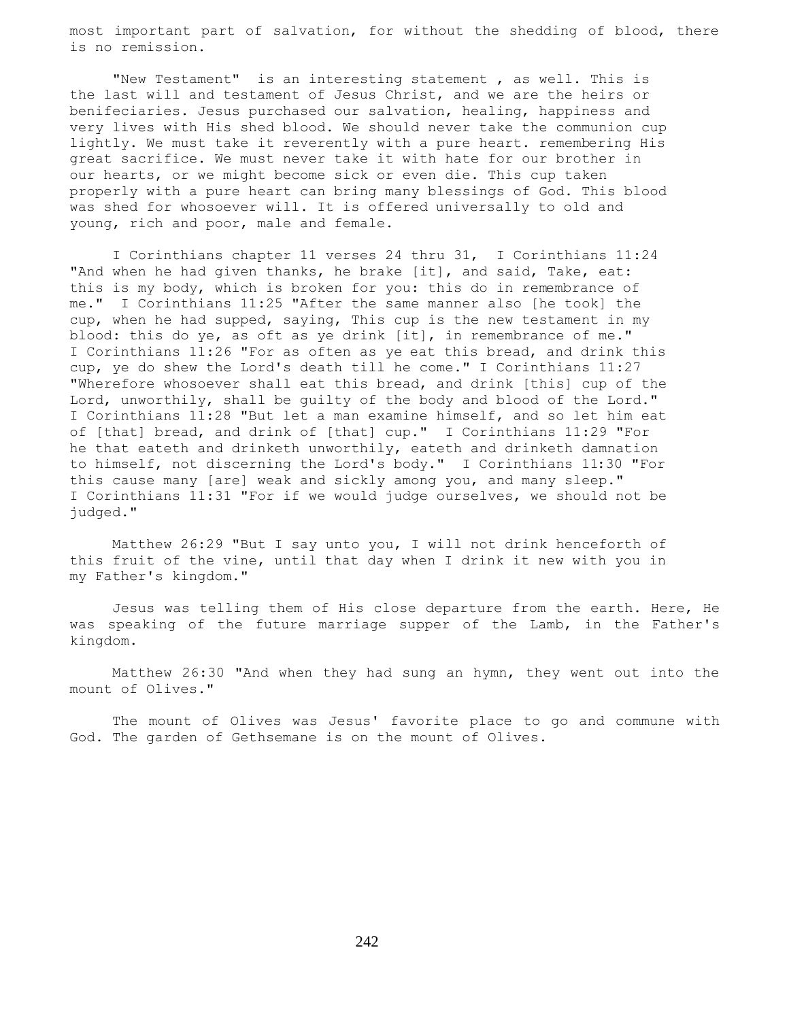most important part of salvation, for without the shedding of blood, there is no remission.

 "New Testament" is an interesting statement , as well. This is the last will and testament of Jesus Christ, and we are the heirs or benifeciaries. Jesus purchased our salvation, healing, happiness and very lives with His shed blood. We should never take the communion cup lightly. We must take it reverently with a pure heart. remembering His great sacrifice. We must never take it with hate for our brother in our hearts, or we might become sick or even die. This cup taken properly with a pure heart can bring many blessings of God. This blood was shed for whosoever will. It is offered universally to old and young, rich and poor, male and female.

 I Corinthians chapter 11 verses 24 thru 31, I Corinthians 11:24 "And when he had given thanks, he brake [it], and said, Take, eat: this is my body, which is broken for you: this do in remembrance of me." I Corinthians 11:25 "After the same manner also [he took] the cup, when he had supped, saying, This cup is the new testament in my blood: this do ye, as oft as ye drink [it], in remembrance of me." I Corinthians 11:26 "For as often as ye eat this bread, and drink this cup, ye do shew the Lord's death till he come." I Corinthians 11:27 "Wherefore whosoever shall eat this bread, and drink [this] cup of the Lord, unworthily, shall be guilty of the body and blood of the Lord." I Corinthians 11:28 "But let a man examine himself, and so let him eat of [that] bread, and drink of [that] cup." I Corinthians 11:29 "For he that eateth and drinketh unworthily, eateth and drinketh damnation to himself, not discerning the Lord's body." I Corinthians 11:30 "For this cause many [are] weak and sickly among you, and many sleep." I Corinthians 11:31 "For if we would judge ourselves, we should not be judged."

 Matthew 26:29 "But I say unto you, I will not drink henceforth of this fruit of the vine, until that day when I drink it new with you in my Father's kingdom."

 Jesus was telling them of His close departure from the earth. Here, He was speaking of the future marriage supper of the Lamb, in the Father's kingdom.

 Matthew 26:30 "And when they had sung an hymn, they went out into the mount of Olives."

 The mount of Olives was Jesus' favorite place to go and commune with God. The garden of Gethsemane is on the mount of Olives.

242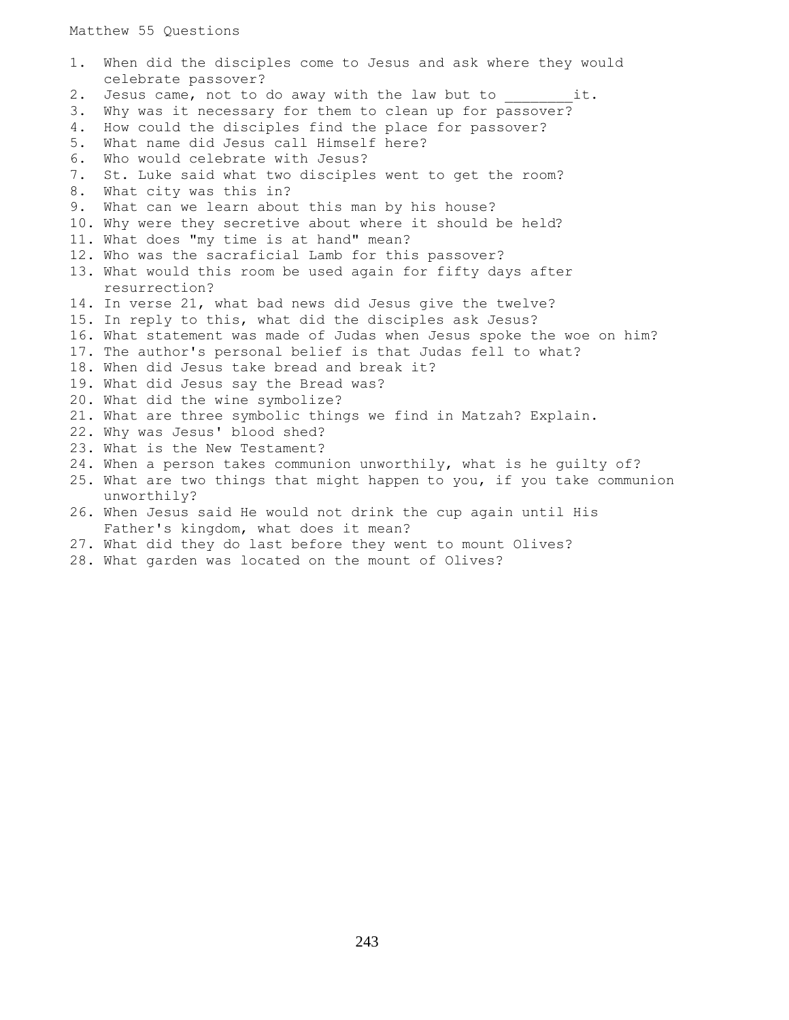Matthew 55 Questions

1. When did the disciples come to Jesus and ask where they would celebrate passover? 2. Jesus came, not to do away with the law but to \_\_\_\_\_\_\_\_\_it. 3. Why was it necessary for them to clean up for passover? 4. How could the disciples find the place for passover? 5. What name did Jesus call Himself here? 6. Who would celebrate with Jesus? 7. St. Luke said what two disciples went to get the room? 8. What city was this in? 9. What can we learn about this man by his house? 10. Why were they secretive about where it should be held? 11. What does "my time is at hand" mean? 12. Who was the sacraficial Lamb for this passover? 13. What would this room be used again for fifty days after resurrection? 14. In verse 21, what bad news did Jesus give the twelve? 15. In reply to this, what did the disciples ask Jesus? 16. What statement was made of Judas when Jesus spoke the woe on him? 17. The author's personal belief is that Judas fell to what? 18. When did Jesus take bread and break it? 19. What did Jesus say the Bread was? 20. What did the wine symbolize? 21. What are three symbolic things we find in Matzah? Explain. 22. Why was Jesus' blood shed? 23. What is the New Testament? 24. When a person takes communion unworthily, what is he guilty of? 25. What are two things that might happen to you, if you take communion unworthily? 26. When Jesus said He would not drink the cup again until His Father's kingdom, what does it mean? 27. What did they do last before they went to mount Olives?

28. What garden was located on the mount of Olives?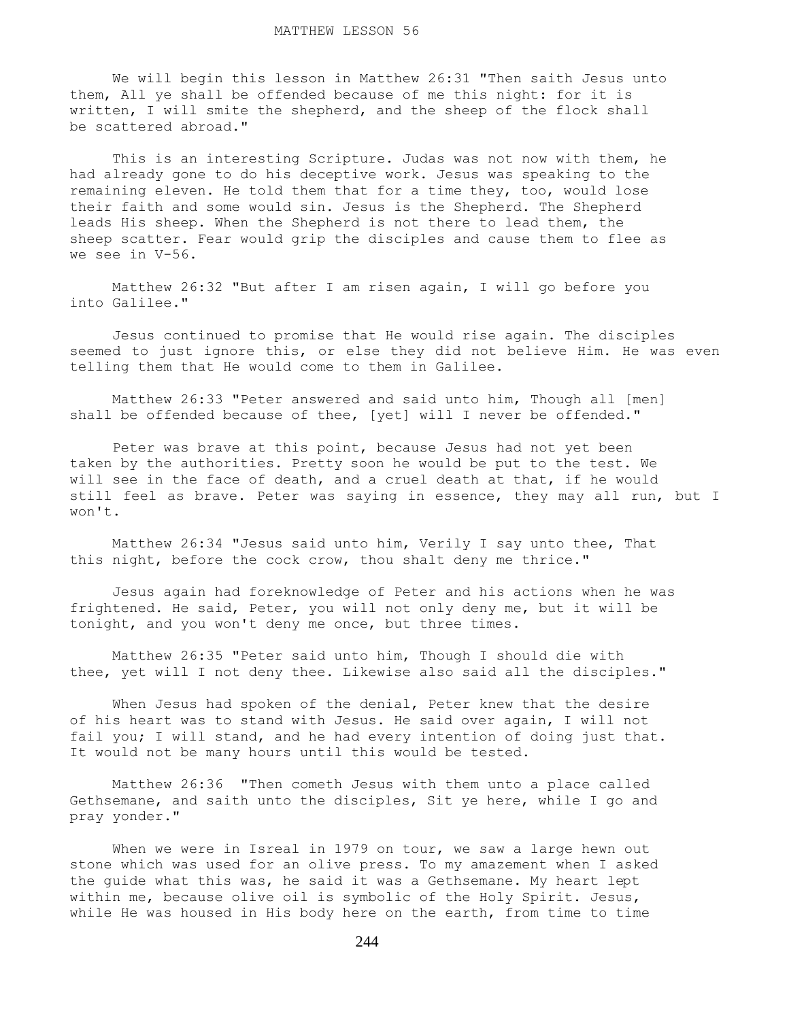We will begin this lesson in Matthew 26:31 "Then saith Jesus unto them, All ye shall be offended because of me this night: for it is written, I will smite the shepherd, and the sheep of the flock shall be scattered abroad."

 This is an interesting Scripture. Judas was not now with them, he had already gone to do his deceptive work. Jesus was speaking to the remaining eleven. He told them that for a time they, too, would lose their faith and some would sin. Jesus is the Shepherd. The Shepherd leads His sheep. When the Shepherd is not there to lead them, the sheep scatter. Fear would grip the disciples and cause them to flee as we see in V-56.

 Matthew 26:32 "But after I am risen again, I will go before you into Galilee."

 Jesus continued to promise that He would rise again. The disciples seemed to just ignore this, or else they did not believe Him. He was even telling them that He would come to them in Galilee.

 Matthew 26:33 "Peter answered and said unto him, Though all [men] shall be offended because of thee, [yet] will I never be offended."

 Peter was brave at this point, because Jesus had not yet been taken by the authorities. Pretty soon he would be put to the test. We will see in the face of death, and a cruel death at that, if he would still feel as brave. Peter was saying in essence, they may all run, but I won't.

 Matthew 26:34 "Jesus said unto him, Verily I say unto thee, That this night, before the cock crow, thou shalt deny me thrice."

 Jesus again had foreknowledge of Peter and his actions when he was frightened. He said, Peter, you will not only deny me, but it will be tonight, and you won't deny me once, but three times.

 Matthew 26:35 "Peter said unto him, Though I should die with thee, yet will I not deny thee. Likewise also said all the disciples."

When Jesus had spoken of the denial, Peter knew that the desire of his heart was to stand with Jesus. He said over again, I will not fail you; I will stand, and he had every intention of doing just that. It would not be many hours until this would be tested.

 Matthew 26:36 "Then cometh Jesus with them unto a place called Gethsemane, and saith unto the disciples, Sit ye here, while I go and pray yonder."

When we were in Isreal in 1979 on tour, we saw a large hewn out stone which was used for an olive press. To my amazement when I asked the guide what this was, he said it was a Gethsemane. My heart lept within me, because olive oil is symbolic of the Holy Spirit. Jesus, while He was housed in His body here on the earth, from time to time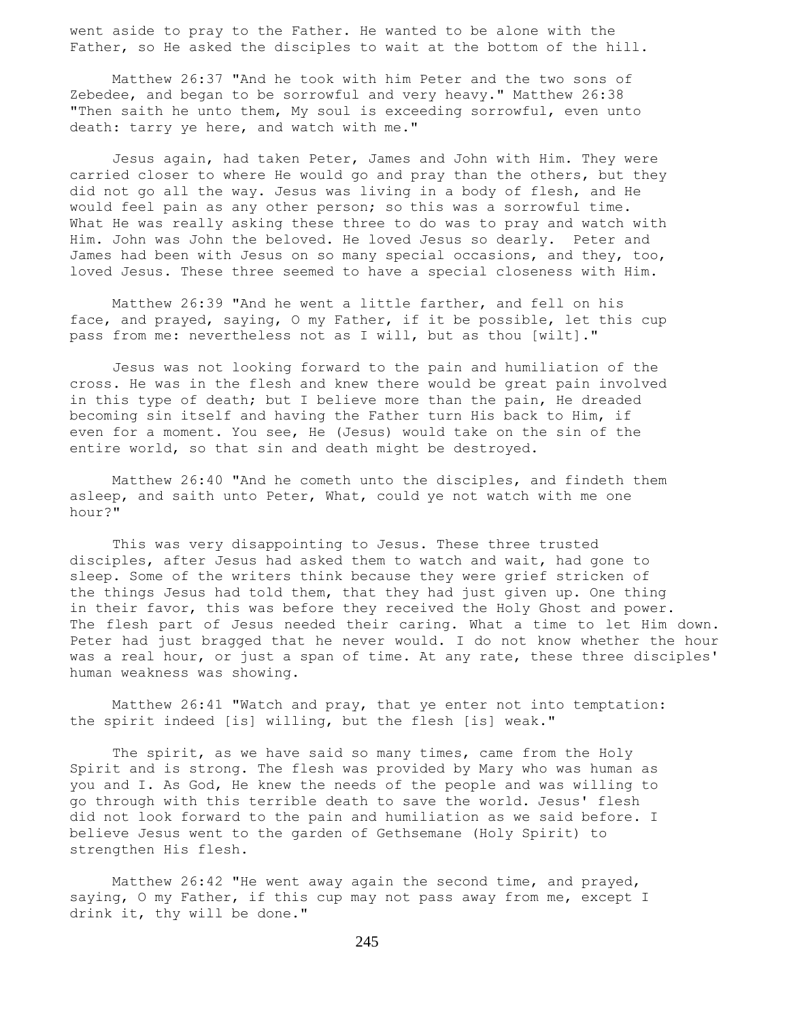went aside to pray to the Father. He wanted to be alone with the Father, so He asked the disciples to wait at the bottom of the hill.

 Matthew 26:37 "And he took with him Peter and the two sons of Zebedee, and began to be sorrowful and very heavy." Matthew 26:38 "Then saith he unto them, My soul is exceeding sorrowful, even unto death: tarry ye here, and watch with me."

 Jesus again, had taken Peter, James and John with Him. They were carried closer to where He would go and pray than the others, but they did not go all the way. Jesus was living in a body of flesh, and He would feel pain as any other person; so this was a sorrowful time. What He was really asking these three to do was to pray and watch with Him. John was John the beloved. He loved Jesus so dearly. Peter and James had been with Jesus on so many special occasions, and they, too, loved Jesus. These three seemed to have a special closeness with Him.

 Matthew 26:39 "And he went a little farther, and fell on his face, and prayed, saying, O my Father, if it be possible, let this cup pass from me: nevertheless not as I will, but as thou [wilt]."

 Jesus was not looking forward to the pain and humiliation of the cross. He was in the flesh and knew there would be great pain involved in this type of death; but I believe more than the pain, He dreaded becoming sin itself and having the Father turn His back to Him, if even for a moment. You see, He (Jesus) would take on the sin of the entire world, so that sin and death might be destroyed.

 Matthew 26:40 "And he cometh unto the disciples, and findeth them asleep, and saith unto Peter, What, could ye not watch with me one hour?"

 This was very disappointing to Jesus. These three trusted disciples, after Jesus had asked them to watch and wait, had gone to sleep. Some of the writers think because they were grief stricken of the things Jesus had told them, that they had just given up. One thing in their favor, this was before they received the Holy Ghost and power. The flesh part of Jesus needed their caring. What a time to let Him down. Peter had just bragged that he never would. I do not know whether the hour was a real hour, or just a span of time. At any rate, these three disciples' human weakness was showing.

 Matthew 26:41 "Watch and pray, that ye enter not into temptation: the spirit indeed [is] willing, but the flesh [is] weak."

The spirit, as we have said so many times, came from the Holy Spirit and is strong. The flesh was provided by Mary who was human as you and I. As God, He knew the needs of the people and was willing to go through with this terrible death to save the world. Jesus' flesh did not look forward to the pain and humiliation as we said before. I believe Jesus went to the garden of Gethsemane (Holy Spirit) to strengthen His flesh.

 Matthew 26:42 "He went away again the second time, and prayed, saying, O my Father, if this cup may not pass away from me, except I drink it, thy will be done."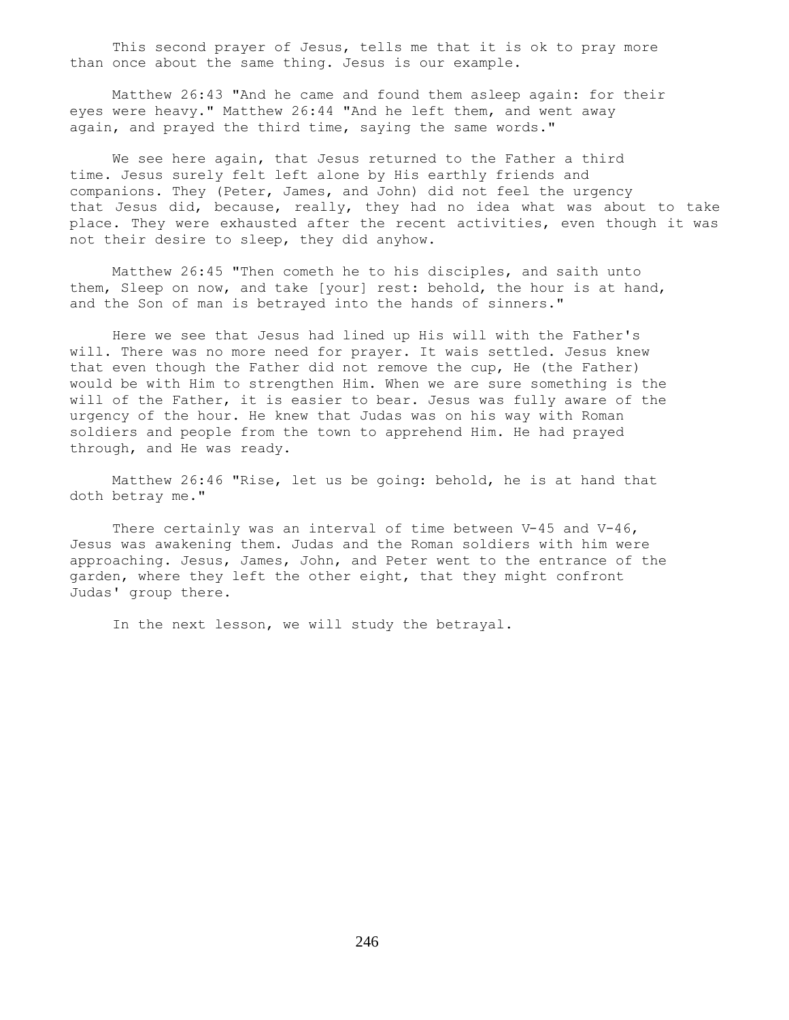This second prayer of Jesus, tells me that it is ok to pray more than once about the same thing. Jesus is our example.

 Matthew 26:43 "And he came and found them asleep again: for their eyes were heavy." Matthew 26:44 "And he left them, and went away again, and prayed the third time, saying the same words."

 We see here again, that Jesus returned to the Father a third time. Jesus surely felt left alone by His earthly friends and companions. They (Peter, James, and John) did not feel the urgency that Jesus did, because, really, they had no idea what was about to take place. They were exhausted after the recent activities, even though it was not their desire to sleep, they did anyhow.

 Matthew 26:45 "Then cometh he to his disciples, and saith unto them, Sleep on now, and take [your] rest: behold, the hour is at hand, and the Son of man is betrayed into the hands of sinners."

 Here we see that Jesus had lined up His will with the Father's will. There was no more need for prayer. It wais settled. Jesus knew that even though the Father did not remove the cup, He (the Father) would be with Him to strengthen Him. When we are sure something is the will of the Father, it is easier to bear. Jesus was fully aware of the urgency of the hour. He knew that Judas was on his way with Roman soldiers and people from the town to apprehend Him. He had prayed through, and He was ready.

 Matthew 26:46 "Rise, let us be going: behold, he is at hand that doth betray me."

There certainly was an interval of time between  $V-45$  and  $V-46$ , Jesus was awakening them. Judas and the Roman soldiers with him were approaching. Jesus, James, John, and Peter went to the entrance of the garden, where they left the other eight, that they might confront Judas' group there.

In the next lesson, we will study the betrayal.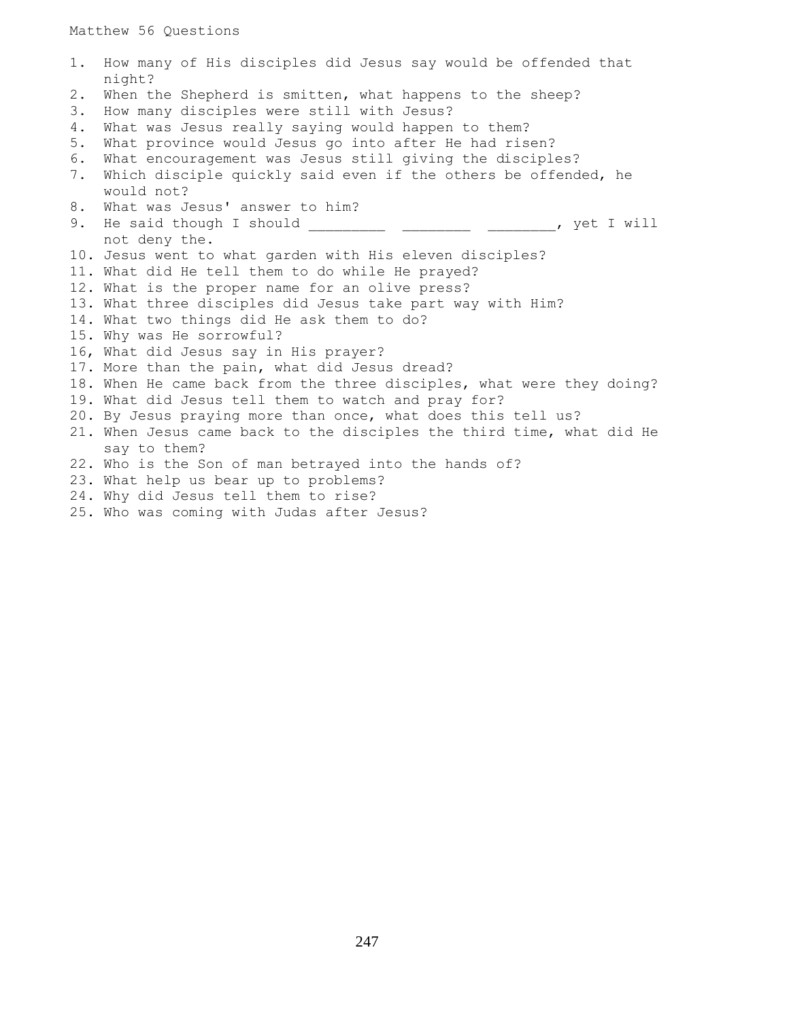Matthew 56 Questions

```
1. How many of His disciples did Jesus say would be offended that
    night?
2. When the Shepherd is smitten, what happens to the sheep?
3. How many disciples were still with Jesus?
4. What was Jesus really saying would happen to them?
5. What province would Jesus go into after He had risen?
6. What encouragement was Jesus still giving the disciples?
7. Which disciple quickly said even if the others be offended, he
    would not?
8. What was Jesus' answer to him?
9. He said though I should _____________ ________________, yet I will
    not deny the.
10. Jesus went to what garden with His eleven disciples?
11. What did He tell them to do while He prayed?
12. What is the proper name for an olive press?
13. What three disciples did Jesus take part way with Him?
14. What two things did He ask them to do?
15. Why was He sorrowful?
16, What did Jesus say in His prayer?
17. More than the pain, what did Jesus dread?
18. When He came back from the three disciples, what were they doing?
19. What did Jesus tell them to watch and pray for?
20. By Jesus praying more than once, what does this tell us?
21. When Jesus came back to the disciples the third time, what did He
    say to them?
22. Who is the Son of man betrayed into the hands of?
23. What help us bear up to problems?
24. Why did Jesus tell them to rise?
25. Who was coming with Judas after Jesus?
```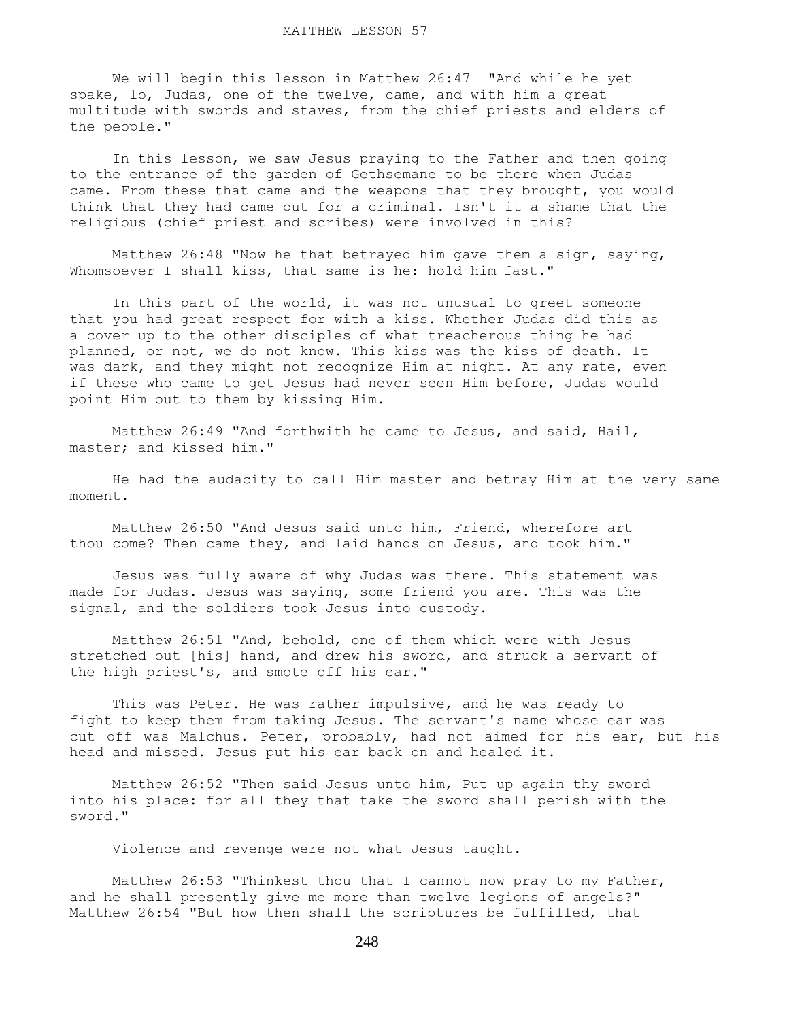We will begin this lesson in Matthew 26:47 "And while he yet spake, lo, Judas, one of the twelve, came, and with him a great multitude with swords and staves, from the chief priests and elders of the people."

 In this lesson, we saw Jesus praying to the Father and then going to the entrance of the garden of Gethsemane to be there when Judas came. From these that came and the weapons that they brought, you would think that they had came out for a criminal. Isn't it a shame that the religious (chief priest and scribes) were involved in this?

 Matthew 26:48 "Now he that betrayed him gave them a sign, saying, Whomsoever I shall kiss, that same is he: hold him fast."

 In this part of the world, it was not unusual to greet someone that you had great respect for with a kiss. Whether Judas did this as a cover up to the other disciples of what treacherous thing he had planned, or not, we do not know. This kiss was the kiss of death. It was dark, and they might not recognize Him at night. At any rate, even if these who came to get Jesus had never seen Him before, Judas would point Him out to them by kissing Him.

 Matthew 26:49 "And forthwith he came to Jesus, and said, Hail, master; and kissed him."

 He had the audacity to call Him master and betray Him at the very same moment.

 Matthew 26:50 "And Jesus said unto him, Friend, wherefore art thou come? Then came they, and laid hands on Jesus, and took him."

 Jesus was fully aware of why Judas was there. This statement was made for Judas. Jesus was saying, some friend you are. This was the signal, and the soldiers took Jesus into custody.

 Matthew 26:51 "And, behold, one of them which were with Jesus stretched out [his] hand, and drew his sword, and struck a servant of the high priest's, and smote off his ear."

 This was Peter. He was rather impulsive, and he was ready to fight to keep them from taking Jesus. The servant's name whose ear was cut off was Malchus. Peter, probably, had not aimed for his ear, but his head and missed. Jesus put his ear back on and healed it.

 Matthew 26:52 "Then said Jesus unto him, Put up again thy sword into his place: for all they that take the sword shall perish with the sword."

Violence and revenge were not what Jesus taught.

Matthew 26:53 "Thinkest thou that I cannot now pray to my Father, and he shall presently give me more than twelve legions of angels?" Matthew 26:54 "But how then shall the scriptures be fulfilled, that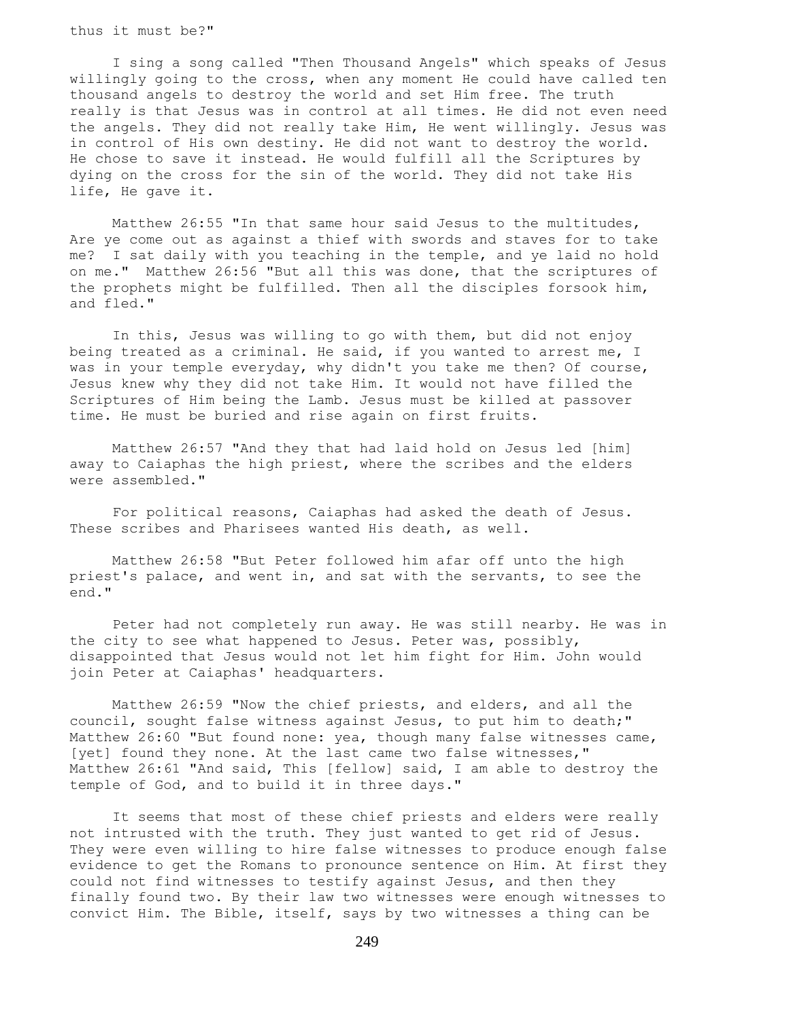thus it must be?"

 I sing a song called "Then Thousand Angels" which speaks of Jesus willingly going to the cross, when any moment He could have called ten thousand angels to destroy the world and set Him free. The truth really is that Jesus was in control at all times. He did not even need the angels. They did not really take Him, He went willingly. Jesus was in control of His own destiny. He did not want to destroy the world. He chose to save it instead. He would fulfill all the Scriptures by dying on the cross for the sin of the world. They did not take His life, He gave it.

 Matthew 26:55 "In that same hour said Jesus to the multitudes, Are ye come out as against a thief with swords and staves for to take me? I sat daily with you teaching in the temple, and ye laid no hold on me." Matthew 26:56 "But all this was done, that the scriptures of the prophets might be fulfilled. Then all the disciples forsook him, and fled."

 In this, Jesus was willing to go with them, but did not enjoy being treated as a criminal. He said, if you wanted to arrest me, I was in your temple everyday, why didn't you take me then? Of course, Jesus knew why they did not take Him. It would not have filled the Scriptures of Him being the Lamb. Jesus must be killed at passover time. He must be buried and rise again on first fruits.

 Matthew 26:57 "And they that had laid hold on Jesus led [him] away to Caiaphas the high priest, where the scribes and the elders were assembled."

 For political reasons, Caiaphas had asked the death of Jesus. These scribes and Pharisees wanted His death, as well.

 Matthew 26:58 "But Peter followed him afar off unto the high priest's palace, and went in, and sat with the servants, to see the end."

 Peter had not completely run away. He was still nearby. He was in the city to see what happened to Jesus. Peter was, possibly, disappointed that Jesus would not let him fight for Him. John would join Peter at Caiaphas' headquarters.

 Matthew 26:59 "Now the chief priests, and elders, and all the council, sought false witness against Jesus, to put him to death;" Matthew 26:60 "But found none: yea, though many false witnesses came, [yet] found they none. At the last came two false witnesses," Matthew 26:61 "And said, This [fellow] said, I am able to destroy the temple of God, and to build it in three days."

 It seems that most of these chief priests and elders were really not intrusted with the truth. They just wanted to get rid of Jesus. They were even willing to hire false witnesses to produce enough false evidence to get the Romans to pronounce sentence on Him. At first they could not find witnesses to testify against Jesus, and then they finally found two. By their law two witnesses were enough witnesses to convict Him. The Bible, itself, says by two witnesses a thing can be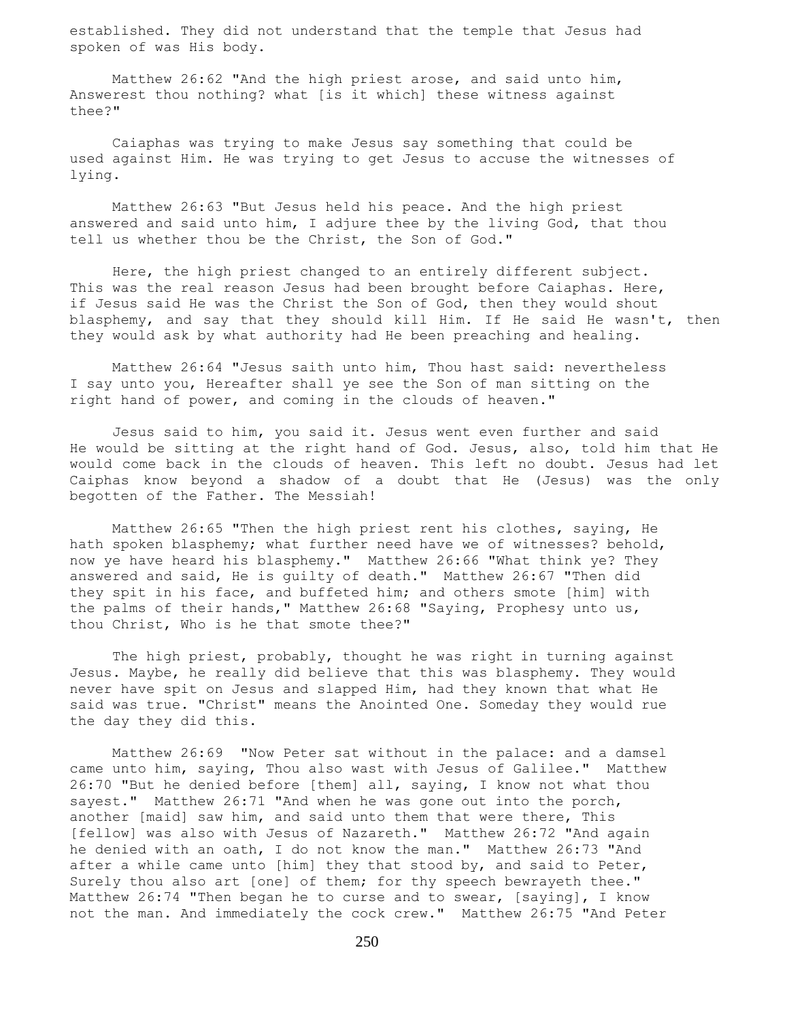established. They did not understand that the temple that Jesus had spoken of was His body.

 Matthew 26:62 "And the high priest arose, and said unto him, Answerest thou nothing? what [is it which] these witness against thee?"

 Caiaphas was trying to make Jesus say something that could be used against Him. He was trying to get Jesus to accuse the witnesses of lying.

 Matthew 26:63 "But Jesus held his peace. And the high priest answered and said unto him, I adjure thee by the living God, that thou tell us whether thou be the Christ, the Son of God."

 Here, the high priest changed to an entirely different subject. This was the real reason Jesus had been brought before Caiaphas. Here, if Jesus said He was the Christ the Son of God, then they would shout blasphemy, and say that they should kill Him. If He said He wasn't, then they would ask by what authority had He been preaching and healing.

 Matthew 26:64 "Jesus saith unto him, Thou hast said: nevertheless I say unto you, Hereafter shall ye see the Son of man sitting on the right hand of power, and coming in the clouds of heaven."

 Jesus said to him, you said it. Jesus went even further and said He would be sitting at the right hand of God. Jesus, also, told him that He would come back in the clouds of heaven. This left no doubt. Jesus had let Caiphas know beyond a shadow of a doubt that He (Jesus) was the only begotten of the Father. The Messiah!

 Matthew 26:65 "Then the high priest rent his clothes, saying, He hath spoken blasphemy; what further need have we of witnesses? behold, now ye have heard his blasphemy." Matthew 26:66 "What think ye? They answered and said, He is guilty of death." Matthew 26:67 "Then did they spit in his face, and buffeted him; and others smote [him] with the palms of their hands," Matthew 26:68 "Saying, Prophesy unto us, thou Christ, Who is he that smote thee?"

 The high priest, probably, thought he was right in turning against Jesus. Maybe, he really did believe that this was blasphemy. They would never have spit on Jesus and slapped Him, had they known that what He said was true. "Christ" means the Anointed One. Someday they would rue the day they did this.

 Matthew 26:69 "Now Peter sat without in the palace: and a damsel came unto him, saying, Thou also wast with Jesus of Galilee." Matthew 26:70 "But he denied before [them] all, saying, I know not what thou sayest." Matthew 26:71 "And when he was gone out into the porch, another [maid] saw him, and said unto them that were there, This [fellow] was also with Jesus of Nazareth." Matthew 26:72 "And again he denied with an oath, I do not know the man." Matthew 26:73 "And after a while came unto [him] they that stood by, and said to Peter, Surely thou also art [one] of them; for thy speech bewrayeth thee." Matthew 26:74 "Then began he to curse and to swear, [saying], I know not the man. And immediately the cock crew." Matthew 26:75 "And Peter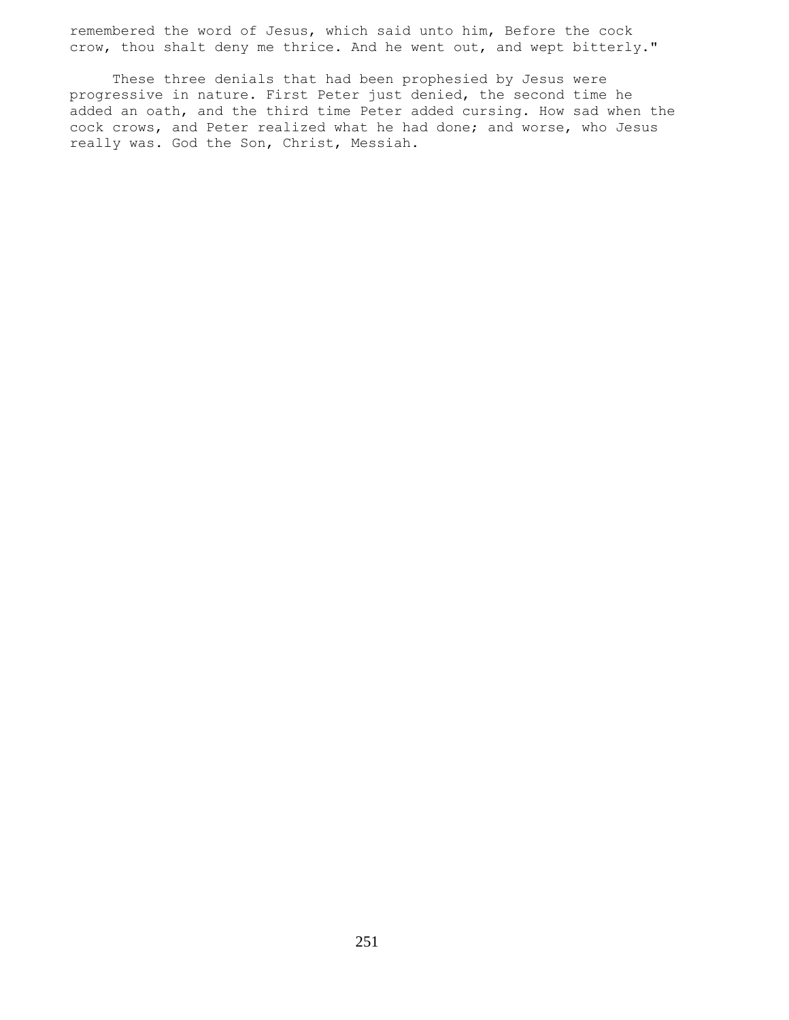remembered the word of Jesus, which said unto him, Before the cock crow, thou shalt deny me thrice. And he went out, and wept bitterly."

 These three denials that had been prophesied by Jesus were progressive in nature. First Peter just denied, the second time he added an oath, and the third time Peter added cursing. How sad when the cock crows, and Peter realized what he had done; and worse, who Jesus really was. God the Son, Christ, Messiah.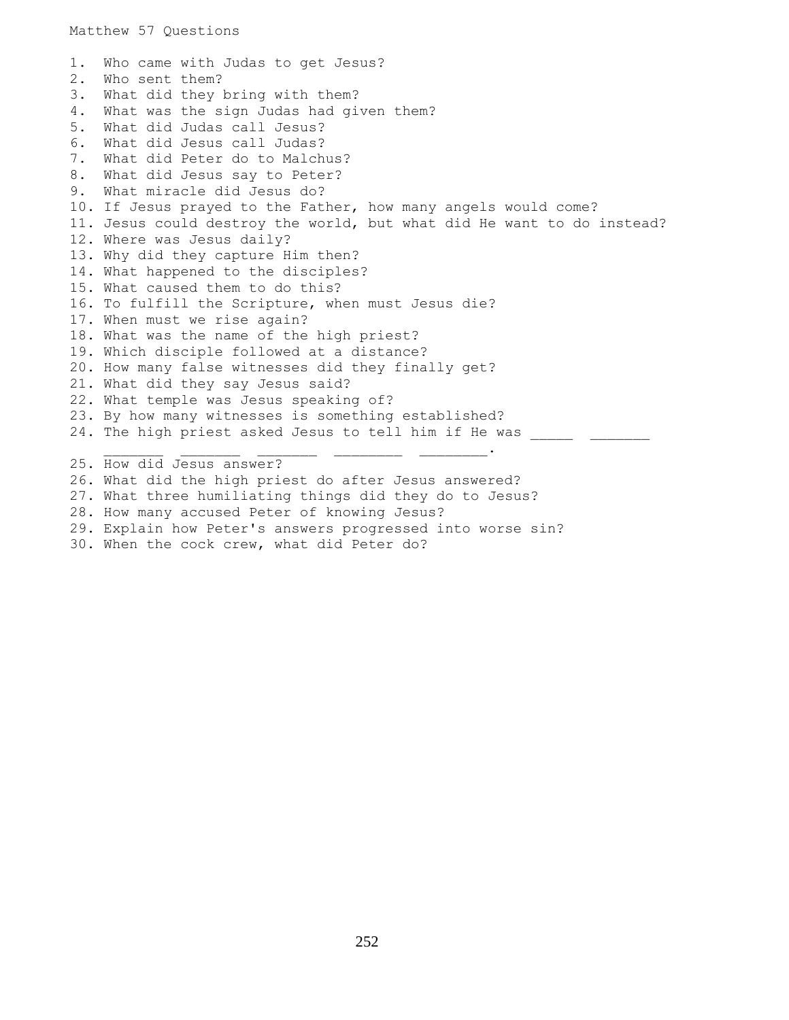1. Who came with Judas to get Jesus? 2. Who sent them? 3. What did they bring with them? 4. What was the sign Judas had given them? 5. What did Judas call Jesus? 6. What did Jesus call Judas? 7. What did Peter do to Malchus? 8. What did Jesus say to Peter? 9. What miracle did Jesus do? 10. If Jesus prayed to the Father, how many angels would come? 11. Jesus could destroy the world, but what did He want to do instead? 12. Where was Jesus daily? 13. Why did they capture Him then? 14. What happened to the disciples? 15. What caused them to do this? 16. To fulfill the Scripture, when must Jesus die? 17. When must we rise again? 18. What was the name of the high priest? 19. Which disciple followed at a distance? 20. How many false witnesses did they finally get? 21. What did they say Jesus said? 22. What temple was Jesus speaking of? 23. By how many witnesses is something established? 24. The high priest asked Jesus to tell him if He was  $\frac{1}{2}$  ,  $\frac{1}{2}$  ,  $\frac{1}{2}$  ,  $\frac{1}{2}$  ,  $\frac{1}{2}$  ,  $\frac{1}{2}$  ,  $\frac{1}{2}$  ,  $\frac{1}{2}$  ,  $\frac{1}{2}$  ,  $\frac{1}{2}$  ,  $\frac{1}{2}$  ,  $\frac{1}{2}$ 25. How did Jesus answer? 26. What did the high priest do after Jesus answered? 27. What three humiliating things did they do to Jesus? 28. How many accused Peter of knowing Jesus? 29. Explain how Peter's answers progressed into worse sin?

30. When the cock crew, what did Peter do?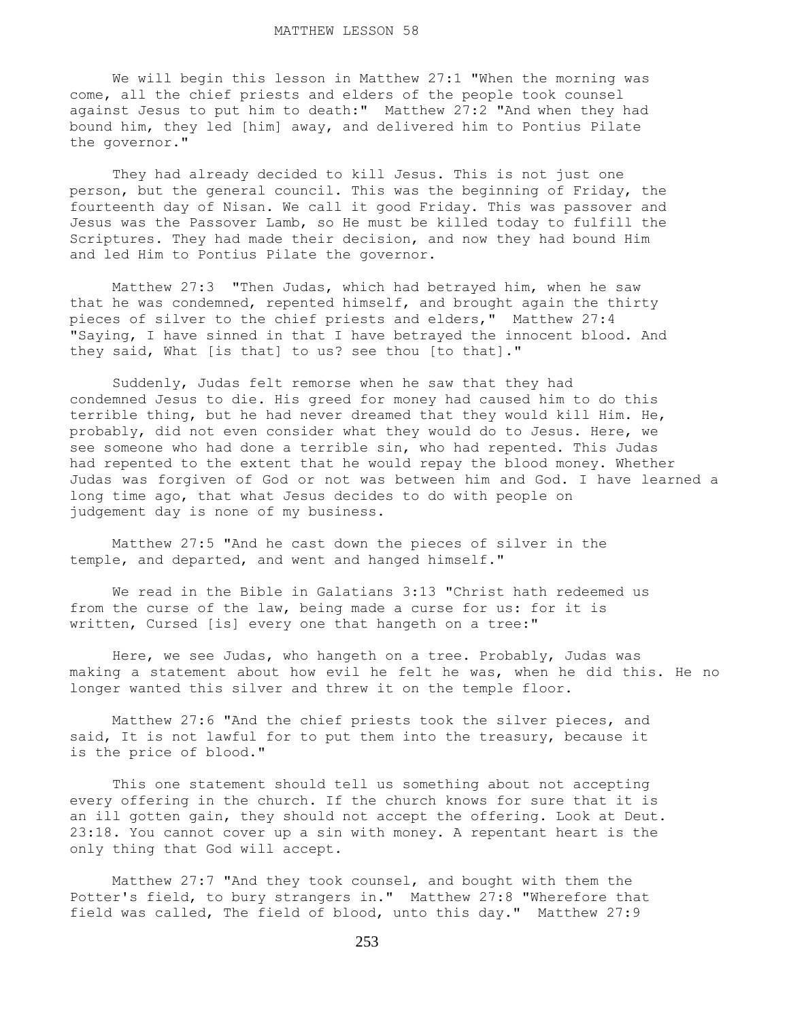We will begin this lesson in Matthew 27:1 "When the morning was come, all the chief priests and elders of the people took counsel against Jesus to put him to death:" Matthew 27:2 "And when they had bound him, they led [him] away, and delivered him to Pontius Pilate the governor."

 They had already decided to kill Jesus. This is not just one person, but the general council. This was the beginning of Friday, the fourteenth day of Nisan. We call it good Friday. This was passover and Jesus was the Passover Lamb, so He must be killed today to fulfill the Scriptures. They had made their decision, and now they had bound Him and led Him to Pontius Pilate the governor.

 Matthew 27:3 "Then Judas, which had betrayed him, when he saw that he was condemned, repented himself, and brought again the thirty pieces of silver to the chief priests and elders," Matthew 27:4 "Saying, I have sinned in that I have betrayed the innocent blood. And they said, What [is that] to us? see thou [to that]."

 Suddenly, Judas felt remorse when he saw that they had condemned Jesus to die. His greed for money had caused him to do this terrible thing, but he had never dreamed that they would kill Him. He, probably, did not even consider what they would do to Jesus. Here, we see someone who had done a terrible sin, who had repented. This Judas had repented to the extent that he would repay the blood money. Whether Judas was forgiven of God or not was between him and God. I have learned a long time ago, that what Jesus decides to do with people on judgement day is none of my business.

 Matthew 27:5 "And he cast down the pieces of silver in the temple, and departed, and went and hanged himself."

 We read in the Bible in Galatians 3:13 "Christ hath redeemed us from the curse of the law, being made a curse for us: for it is written, Cursed [is] every one that hangeth on a tree:"

 Here, we see Judas, who hangeth on a tree. Probably, Judas was making a statement about how evil he felt he was, when he did this. He no longer wanted this silver and threw it on the temple floor.

 Matthew 27:6 "And the chief priests took the silver pieces, and said, It is not lawful for to put them into the treasury, because it is the price of blood."

 This one statement should tell us something about not accepting every offering in the church. If the church knows for sure that it is an ill gotten gain, they should not accept the offering. Look at Deut. 23:18. You cannot cover up a sin with money. A repentant heart is the only thing that God will accept.

 Matthew 27:7 "And they took counsel, and bought with them the Potter's field, to bury strangers in." Matthew 27:8 "Wherefore that field was called, The field of blood, unto this day." Matthew 27:9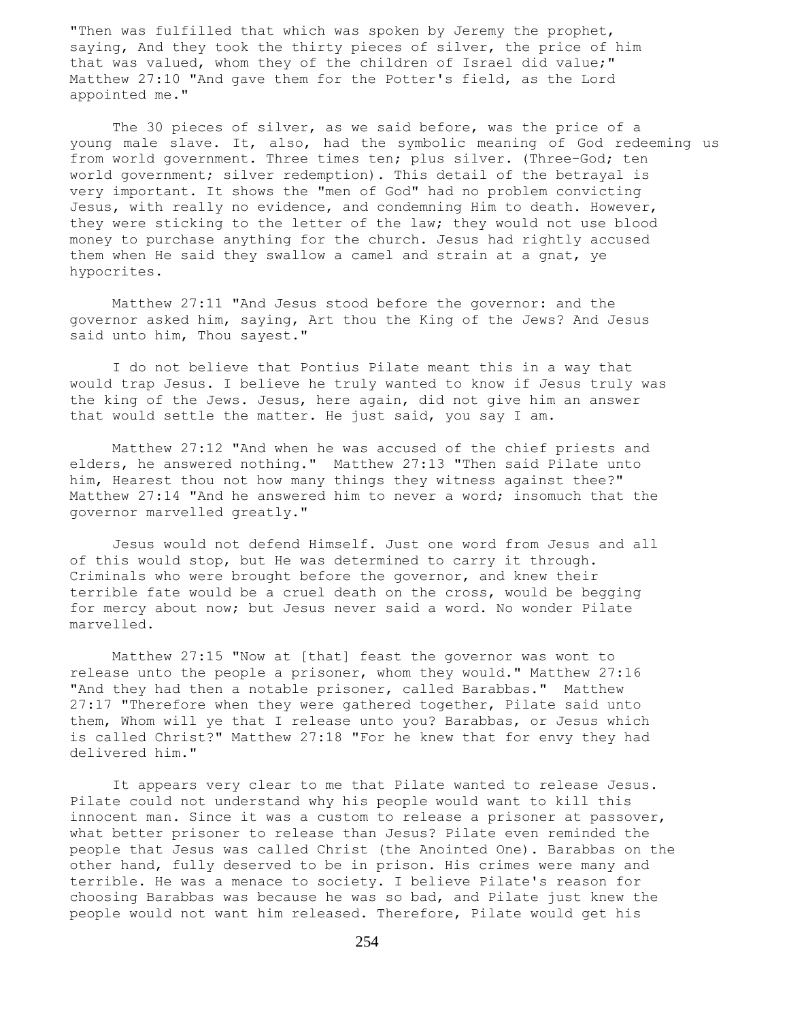"Then was fulfilled that which was spoken by Jeremy the prophet, saying, And they took the thirty pieces of silver, the price of him that was valued, whom they of the children of Israel did value;" Matthew 27:10 "And gave them for the Potter's field, as the Lord appointed me."

The 30 pieces of silver, as we said before, was the price of a young male slave. It, also, had the symbolic meaning of God redeeming us from world government. Three times ten; plus silver. (Three-God; ten world government; silver redemption). This detail of the betrayal is very important. It shows the "men of God" had no problem convicting Jesus, with really no evidence, and condemning Him to death. However, they were sticking to the letter of the law; they would not use blood money to purchase anything for the church. Jesus had rightly accused them when He said they swallow a camel and strain at a gnat, ye hypocrites.

 Matthew 27:11 "And Jesus stood before the governor: and the governor asked him, saying, Art thou the King of the Jews? And Jesus said unto him, Thou sayest."

 I do not believe that Pontius Pilate meant this in a way that would trap Jesus. I believe he truly wanted to know if Jesus truly was the king of the Jews. Jesus, here again, did not give him an answer that would settle the matter. He just said, you say I am.

 Matthew 27:12 "And when he was accused of the chief priests and elders, he answered nothing." Matthew 27:13 "Then said Pilate unto him, Hearest thou not how many things they witness against thee?" Matthew 27:14 "And he answered him to never a word; insomuch that the governor marvelled greatly."

 Jesus would not defend Himself. Just one word from Jesus and all of this would stop, but He was determined to carry it through. Criminals who were brought before the governor, and knew their terrible fate would be a cruel death on the cross, would be begging for mercy about now; but Jesus never said a word. No wonder Pilate marvelled.

 Matthew 27:15 "Now at [that] feast the governor was wont to release unto the people a prisoner, whom they would." Matthew 27:16 "And they had then a notable prisoner, called Barabbas." Matthew 27:17 "Therefore when they were gathered together, Pilate said unto them, Whom will ye that I release unto you? Barabbas, or Jesus which is called Christ?" Matthew 27:18 "For he knew that for envy they had delivered him."

 It appears very clear to me that Pilate wanted to release Jesus. Pilate could not understand why his people would want to kill this innocent man. Since it was a custom to release a prisoner at passover, what better prisoner to release than Jesus? Pilate even reminded the people that Jesus was called Christ (the Anointed One). Barabbas on the other hand, fully deserved to be in prison. His crimes were many and terrible. He was a menace to society. I believe Pilate's reason for choosing Barabbas was because he was so bad, and Pilate just knew the people would not want him released. Therefore, Pilate would get his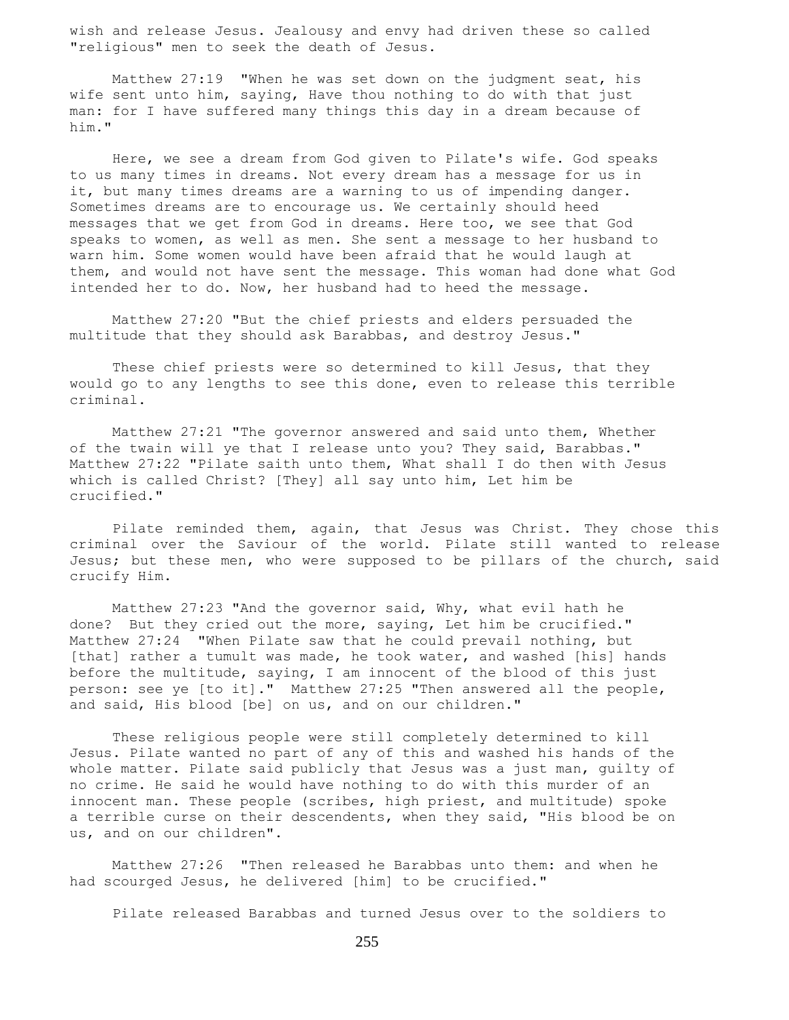wish and release Jesus. Jealousy and envy had driven these so called "religious" men to seek the death of Jesus.

 Matthew 27:19 "When he was set down on the judgment seat, his wife sent unto him, saying, Have thou nothing to do with that just man: for I have suffered many things this day in a dream because of him."

 Here, we see a dream from God given to Pilate's wife. God speaks to us many times in dreams. Not every dream has a message for us in it, but many times dreams are a warning to us of impending danger. Sometimes dreams are to encourage us. We certainly should heed messages that we get from God in dreams. Here too, we see that God speaks to women, as well as men. She sent a message to her husband to warn him. Some women would have been afraid that he would laugh at them, and would not have sent the message. This woman had done what God intended her to do. Now, her husband had to heed the message.

 Matthew 27:20 "But the chief priests and elders persuaded the multitude that they should ask Barabbas, and destroy Jesus."

These chief priests were so determined to kill Jesus, that they would go to any lengths to see this done, even to release this terrible criminal.

 Matthew 27:21 "The governor answered and said unto them, Whether of the twain will ye that I release unto you? They said, Barabbas." Matthew 27:22 "Pilate saith unto them, What shall I do then with Jesus which is called Christ? [They] all say unto him, Let him be crucified."

 Pilate reminded them, again, that Jesus was Christ. They chose this criminal over the Saviour of the world. Pilate still wanted to release Jesus; but these men, who were supposed to be pillars of the church, said crucify Him.

 Matthew 27:23 "And the governor said, Why, what evil hath he done? But they cried out the more, saying, Let him be crucified." Matthew 27:24 "When Pilate saw that he could prevail nothing, but [that] rather a tumult was made, he took water, and washed [his] hands before the multitude, saying, I am innocent of the blood of this just person: see ye [to it]." Matthew 27:25 "Then answered all the people, and said, His blood [be] on us, and on our children."

 These religious people were still completely determined to kill Jesus. Pilate wanted no part of any of this and washed his hands of the whole matter. Pilate said publicly that Jesus was a just man, guilty of no crime. He said he would have nothing to do with this murder of an innocent man. These people (scribes, high priest, and multitude) spoke a terrible curse on their descendents, when they said, "His blood be on us, and on our children".

 Matthew 27:26 "Then released he Barabbas unto them: and when he had scourged Jesus, he delivered [him] to be crucified."

Pilate released Barabbas and turned Jesus over to the soldiers to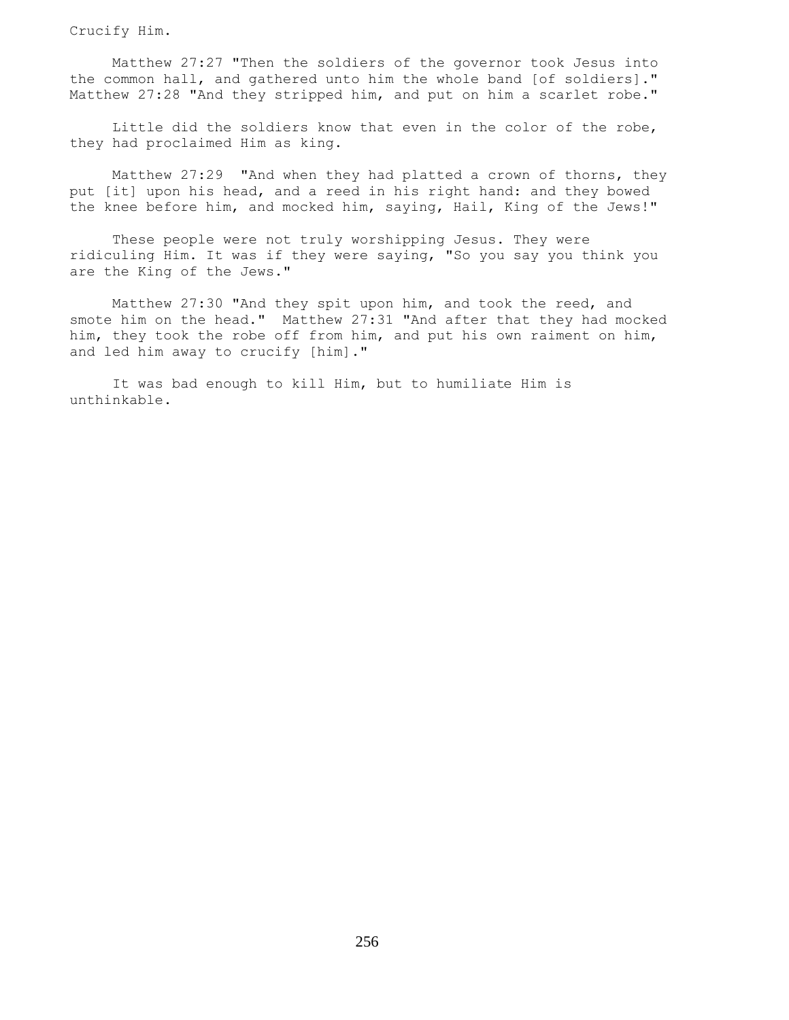Crucify Him.

 Matthew 27:27 "Then the soldiers of the governor took Jesus into the common hall, and gathered unto him the whole band [of soldiers]." Matthew 27:28 "And they stripped him, and put on him a scarlet robe."

 Little did the soldiers know that even in the color of the robe, they had proclaimed Him as king.

 Matthew 27:29 "And when they had platted a crown of thorns, they put [it] upon his head, and a reed in his right hand: and they bowed the knee before him, and mocked him, saying, Hail, King of the Jews!"

 These people were not truly worshipping Jesus. They were ridiculing Him. It was if they were saying, "So you say you think you are the King of the Jews."

 Matthew 27:30 "And they spit upon him, and took the reed, and smote him on the head." Matthew 27:31 "And after that they had mocked him, they took the robe off from him, and put his own raiment on him, and led him away to crucify [him]."

 It was bad enough to kill Him, but to humiliate Him is unthinkable.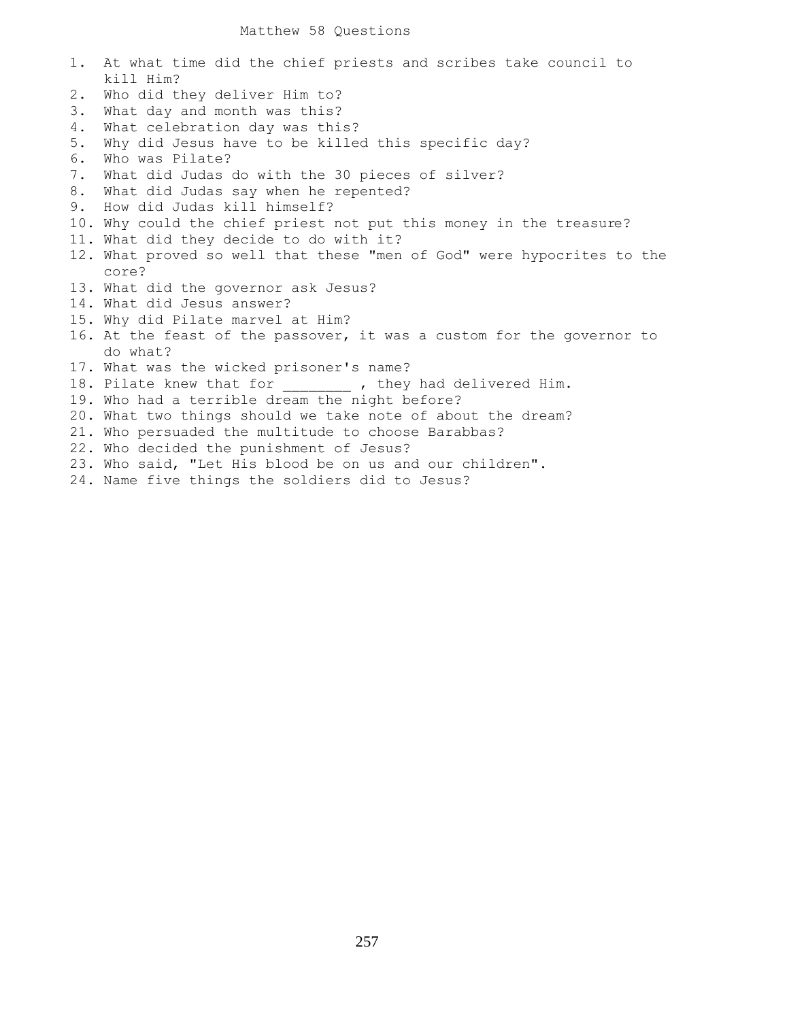| 1. | At what time did the chief priests and scribes take council to         |
|----|------------------------------------------------------------------------|
|    | kill Him?                                                              |
| 2. | Who did they deliver Him to?                                           |
| 3. | What day and month was this?                                           |
| 4. | What celebration day was this?                                         |
| 5. | Why did Jesus have to be killed this specific day?                     |
| 6. | Who was Pilate?                                                        |
| 7. | What did Judas do with the 30 pieces of silver?                        |
| 8. | What did Judas say when he repented?                                   |
| 9. | How did Judas kill himself?                                            |
|    | 10. Why could the chief priest not put this money in the treasure?     |
|    | 11. What did they decide to do with it?                                |
|    | 12. What proved so well that these "men of God" were hypocrites to the |
|    | core?                                                                  |
|    | 13. What did the governor ask Jesus?                                   |
|    | 14. What did Jesus answer?                                             |
|    | 15. Why did Pilate marvel at Him?                                      |
|    | 16. At the feast of the passover, it was a custom for the governor to  |
|    | do what?                                                               |
|    | 17. What was the wicked prisoner's name?                               |
|    | 18. Pilate knew that for _______ , they had delivered Him.             |
|    | 19. Who had a terrible dream the night before?                         |
|    | 20. What two things should we take note of about the dream?            |
|    | 21. Who persuaded the multitude to choose Barabbas?                    |
|    | 22. Who decided the punishment of Jesus?                               |
|    | 23. Who said, "Let His blood be on us and our children".               |
|    | 24. Name five things the soldiers did to Jesus?                        |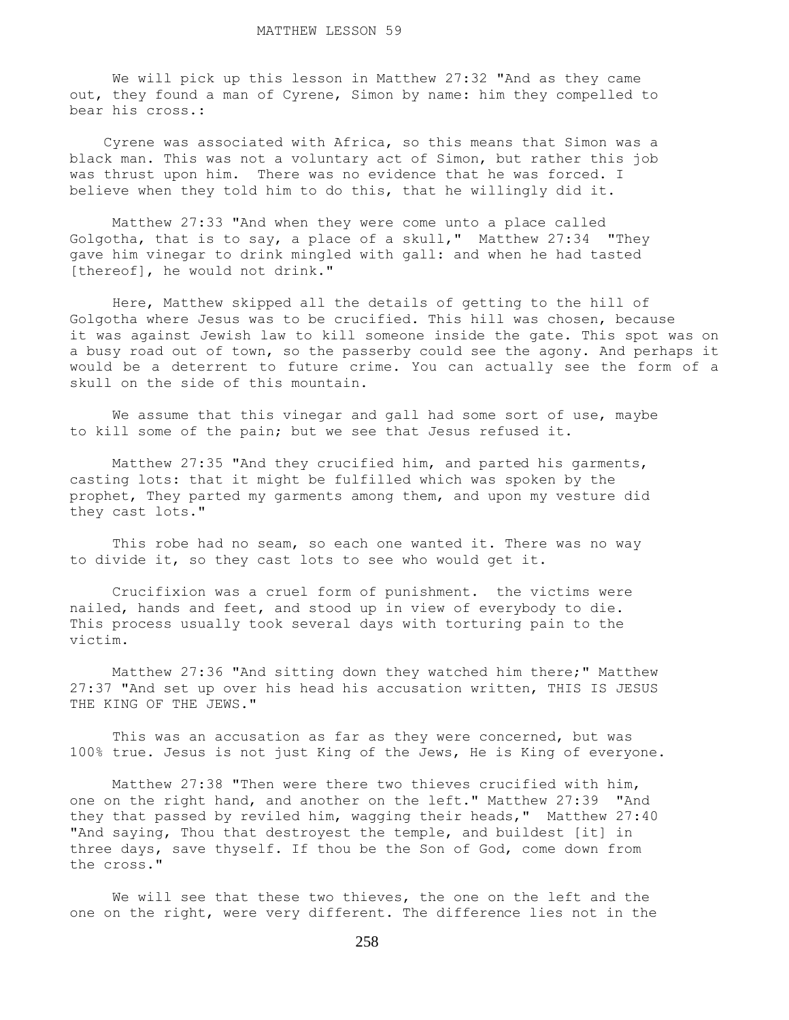We will pick up this lesson in Matthew 27:32 "And as they came out, they found a man of Cyrene, Simon by name: him they compelled to bear his cross.:

 Cyrene was associated with Africa, so this means that Simon was a black man. This was not a voluntary act of Simon, but rather this job was thrust upon him. There was no evidence that he was forced. I believe when they told him to do this, that he willingly did it.

 Matthew 27:33 "And when they were come unto a place called Golgotha, that is to say, a place of a skull," Matthew 27:34 "They gave him vinegar to drink mingled with gall: and when he had tasted [thereof], he would not drink."

 Here, Matthew skipped all the details of getting to the hill of Golgotha where Jesus was to be crucified. This hill was chosen, because it was against Jewish law to kill someone inside the gate. This spot was on a busy road out of town, so the passerby could see the agony. And perhaps it would be a deterrent to future crime. You can actually see the form of a skull on the side of this mountain.

We assume that this vinegar and gall had some sort of use, maybe to kill some of the pain; but we see that Jesus refused it.

 Matthew 27:35 "And they crucified him, and parted his garments, casting lots: that it might be fulfilled which was spoken by the prophet, They parted my garments among them, and upon my vesture did they cast lots."

This robe had no seam, so each one wanted it. There was no way to divide it, so they cast lots to see who would get it.

 Crucifixion was a cruel form of punishment. the victims were nailed, hands and feet, and stood up in view of everybody to die. This process usually took several days with torturing pain to the victim.

 Matthew 27:36 "And sitting down they watched him there;" Matthew 27:37 "And set up over his head his accusation written, THIS IS JESUS THE KING OF THE JEWS."

 This was an accusation as far as they were concerned, but was 100% true. Jesus is not just King of the Jews, He is King of everyone.

 Matthew 27:38 "Then were there two thieves crucified with him, one on the right hand, and another on the left." Matthew 27:39 "And they that passed by reviled him, wagging their heads," Matthew 27:40 "And saying, Thou that destroyest the temple, and buildest [it] in three days, save thyself. If thou be the Son of God, come down from the cross."

 We will see that these two thieves, the one on the left and the one on the right, were very different. The difference lies not in the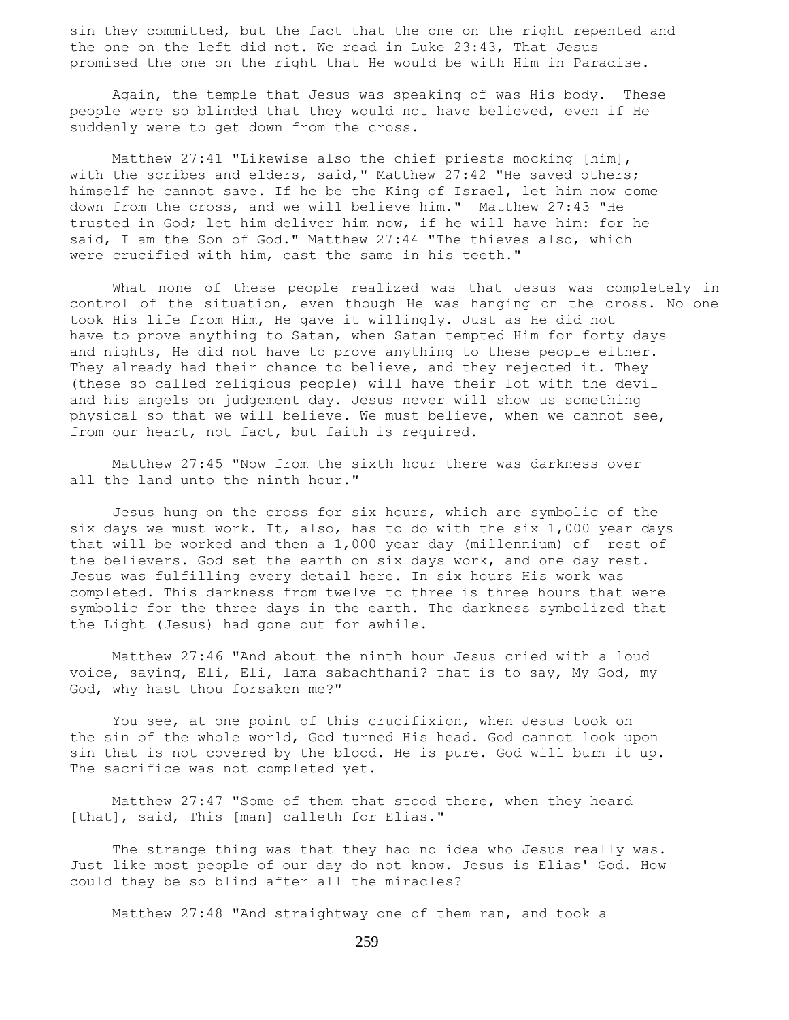sin they committed, but the fact that the one on the right repented and the one on the left did not. We read in Luke 23:43, That Jesus promised the one on the right that He would be with Him in Paradise.

 Again, the temple that Jesus was speaking of was His body. These people were so blinded that they would not have believed, even if He suddenly were to get down from the cross.

 Matthew 27:41 "Likewise also the chief priests mocking [him], with the scribes and elders, said," Matthew 27:42 "He saved others; himself he cannot save. If he be the King of Israel, let him now come down from the cross, and we will believe him." Matthew 27:43 "He trusted in God; let him deliver him now, if he will have him: for he said, I am the Son of God." Matthew 27:44 "The thieves also, which were crucified with him, cast the same in his teeth."

 What none of these people realized was that Jesus was completely in control of the situation, even though He was hanging on the cross. No one took His life from Him, He gave it willingly. Just as He did not have to prove anything to Satan, when Satan tempted Him for forty days and nights, He did not have to prove anything to these people either. They already had their chance to believe, and they rejected it. They (these so called religious people) will have their lot with the devil and his angels on judgement day. Jesus never will show us something physical so that we will believe. We must believe, when we cannot see, from our heart, not fact, but faith is required.

 Matthew 27:45 "Now from the sixth hour there was darkness over all the land unto the ninth hour."

 Jesus hung on the cross for six hours, which are symbolic of the six days we must work. It, also, has to do with the six 1,000 year days that will be worked and then a 1,000 year day (millennium) of rest of the believers. God set the earth on six days work, and one day rest. Jesus was fulfilling every detail here. In six hours His work was completed. This darkness from twelve to three is three hours that were symbolic for the three days in the earth. The darkness symbolized that the Light (Jesus) had gone out for awhile.

 Matthew 27:46 "And about the ninth hour Jesus cried with a loud voice, saying, Eli, Eli, lama sabachthani? that is to say, My God, my God, why hast thou forsaken me?"

 You see, at one point of this crucifixion, when Jesus took on the sin of the whole world, God turned His head. God cannot look upon sin that is not covered by the blood. He is pure. God will burn it up. The sacrifice was not completed yet.

 Matthew 27:47 "Some of them that stood there, when they heard [that], said, This [man] calleth for Elias."

The strange thing was that they had no idea who Jesus really was. Just like most people of our day do not know. Jesus is Elias' God. How could they be so blind after all the miracles?

Matthew 27:48 "And straightway one of them ran, and took a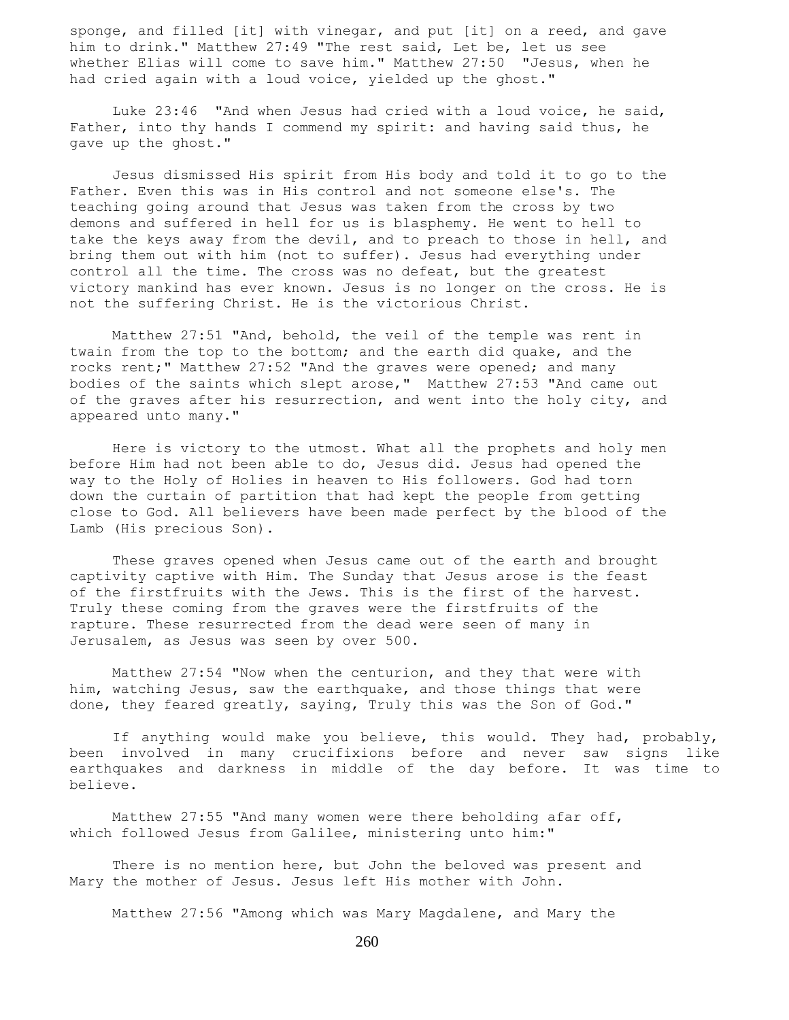sponge, and filled [it] with vinegar, and put [it] on a reed, and gave him to drink." Matthew 27:49 "The rest said, Let be, let us see whether Elias will come to save him." Matthew 27:50 "Jesus, when he had cried again with a loud voice, yielded up the ghost."

 Luke 23:46 "And when Jesus had cried with a loud voice, he said, Father, into thy hands I commend my spirit: and having said thus, he gave up the ghost."

 Jesus dismissed His spirit from His body and told it to go to the Father. Even this was in His control and not someone else's. The teaching going around that Jesus was taken from the cross by two demons and suffered in hell for us is blasphemy. He went to hell to take the keys away from the devil, and to preach to those in hell, and bring them out with him (not to suffer). Jesus had everything under control all the time. The cross was no defeat, but the greatest victory mankind has ever known. Jesus is no longer on the cross. He is not the suffering Christ. He is the victorious Christ.

 Matthew 27:51 "And, behold, the veil of the temple was rent in twain from the top to the bottom; and the earth did quake, and the rocks rent;" Matthew 27:52 "And the graves were opened; and many bodies of the saints which slept arose," Matthew 27:53 "And came out of the graves after his resurrection, and went into the holy city, and appeared unto many."

 Here is victory to the utmost. What all the prophets and holy men before Him had not been able to do, Jesus did. Jesus had opened the way to the Holy of Holies in heaven to His followers. God had torn down the curtain of partition that had kept the people from getting close to God. All believers have been made perfect by the blood of the Lamb (His precious Son).

 These graves opened when Jesus came out of the earth and brought captivity captive with Him. The Sunday that Jesus arose is the feast of the firstfruits with the Jews. This is the first of the harvest. Truly these coming from the graves were the firstfruits of the rapture. These resurrected from the dead were seen of many in Jerusalem, as Jesus was seen by over 500.

 Matthew 27:54 "Now when the centurion, and they that were with him, watching Jesus, saw the earthquake, and those things that were done, they feared greatly, saying, Truly this was the Son of God."

 If anything would make you believe, this would. They had, probably, been involved in many crucifixions before and never saw signs like earthquakes and darkness in middle of the day before. It was time to believe.

 Matthew 27:55 "And many women were there beholding afar off, which followed Jesus from Galilee, ministering unto him:"

 There is no mention here, but John the beloved was present and Mary the mother of Jesus. Jesus left His mother with John.

Matthew 27:56 "Among which was Mary Magdalene, and Mary the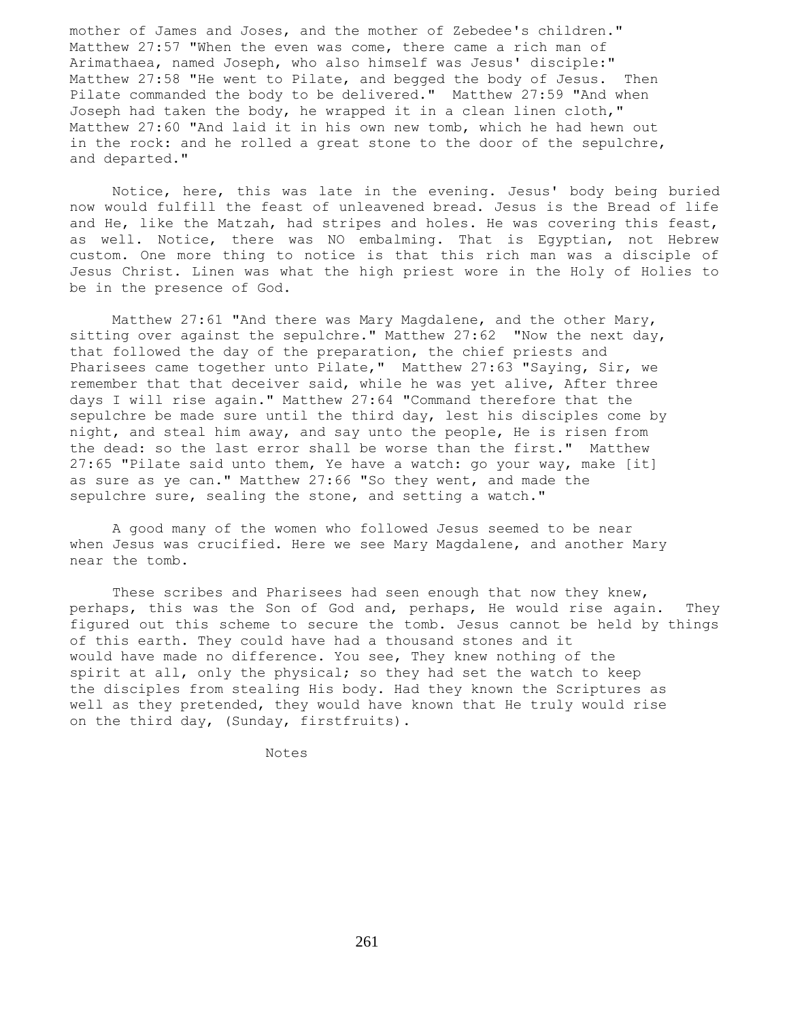mother of James and Joses, and the mother of Zebedee's children." Matthew 27:57 "When the even was come, there came a rich man of Arimathaea, named Joseph, who also himself was Jesus' disciple:" Matthew 27:58 "He went to Pilate, and begged the body of Jesus. Then Pilate commanded the body to be delivered." Matthew 27:59 "And when Joseph had taken the body, he wrapped it in a clean linen cloth," Matthew 27:60 "And laid it in his own new tomb, which he had hewn out in the rock: and he rolled a great stone to the door of the sepulchre, and departed."

 Notice, here, this was late in the evening. Jesus' body being buried now would fulfill the feast of unleavened bread. Jesus is the Bread of life and He, like the Matzah, had stripes and holes. He was covering this feast, as well. Notice, there was NO embalming. That is Egyptian, not Hebrew custom. One more thing to notice is that this rich man was a disciple of Jesus Christ. Linen was what the high priest wore in the Holy of Holies to be in the presence of God.

 Matthew 27:61 "And there was Mary Magdalene, and the other Mary, sitting over against the sepulchre." Matthew  $27:62$  "Now the next day, that followed the day of the preparation, the chief priests and Pharisees came together unto Pilate," Matthew 27:63 "Saying, Sir, we remember that that deceiver said, while he was yet alive, After three days I will rise again." Matthew 27:64 "Command therefore that the sepulchre be made sure until the third day, lest his disciples come by night, and steal him away, and say unto the people, He is risen from the dead: so the last error shall be worse than the first." Matthew 27:65 "Pilate said unto them, Ye have a watch: go your way, make [it] as sure as ye can." Matthew 27:66 "So they went, and made the sepulchre sure, sealing the stone, and setting a watch."

 A good many of the women who followed Jesus seemed to be near when Jesus was crucified. Here we see Mary Magdalene, and another Mary near the tomb.

These scribes and Pharisees had seen enough that now they knew, perhaps, this was the Son of God and, perhaps, He would rise again. They figured out this scheme to secure the tomb. Jesus cannot be held by things of this earth. They could have had a thousand stones and it would have made no difference. You see, They knew nothing of the spirit at all, only the physical; so they had set the watch to keep the disciples from stealing His body. Had they known the Scriptures as well as they pretended, they would have known that He truly would rise on the third day, (Sunday, firstfruits).

Notes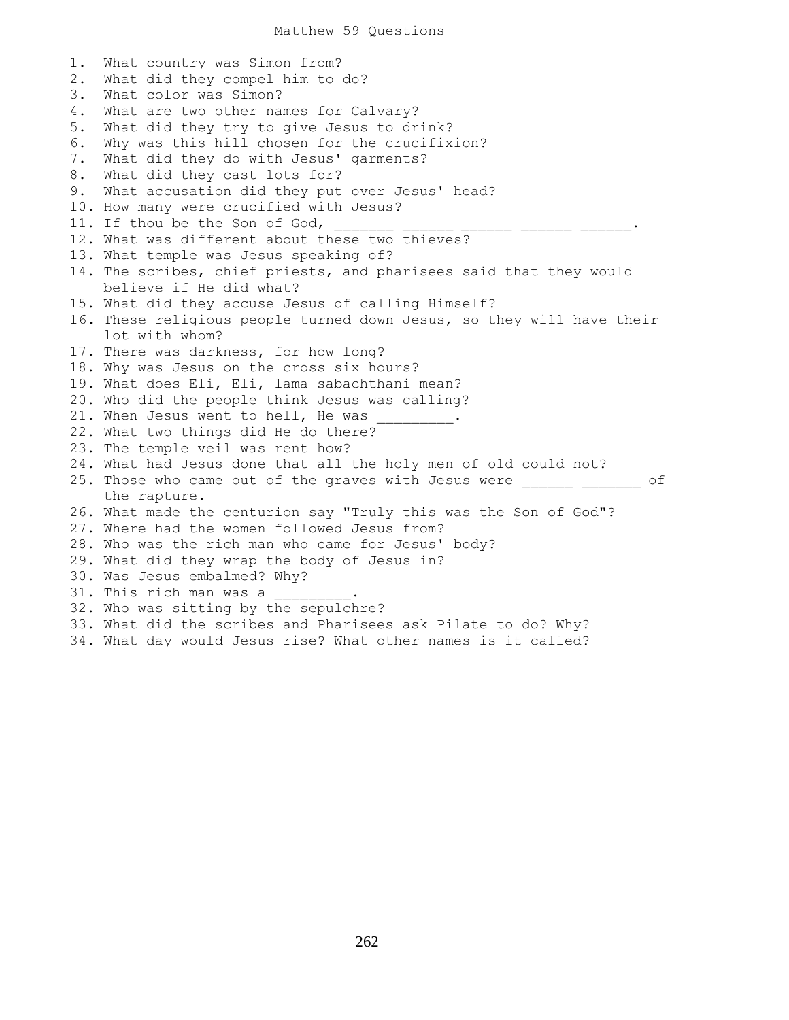1. What country was Simon from? 2. What did they compel him to do? 3. What color was Simon? 4. What are two other names for Calvary? 5. What did they try to give Jesus to drink? 6. Why was this hill chosen for the crucifixion? 7. What did they do with Jesus' garments? 8. What did they cast lots for? 9. What accusation did they put over Jesus' head? 10. How many were crucified with Jesus? 11. If thou be the Son of God, 12. What was different about these two thieves? 13. What temple was Jesus speaking of? 14. The scribes, chief priests, and pharisees said that they would believe if He did what? 15. What did they accuse Jesus of calling Himself? 16. These religious people turned down Jesus, so they will have their lot with whom? 17. There was darkness, for how long? 18. Why was Jesus on the cross six hours? 19. What does Eli, Eli, lama sabachthani mean? 20. Who did the people think Jesus was calling? 21. When Jesus went to hell, He was 22. What two things did He do there? 23. The temple veil was rent how? 24. What had Jesus done that all the holy men of old could not? 25. Those who came out of the graves with Jesus were \_\_\_\_\_\_\_\_\_\_\_\_\_ of the rapture. 26. What made the centurion say "Truly this was the Son of God"? 27. Where had the women followed Jesus from? 28. Who was the rich man who came for Jesus' body? 29. What did they wrap the body of Jesus in? 30. Was Jesus embalmed? Why? 31. This rich man was a 32. Who was sitting by the sepulchre? 33. What did the scribes and Pharisees ask Pilate to do? Why? 34. What day would Jesus rise? What other names is it called?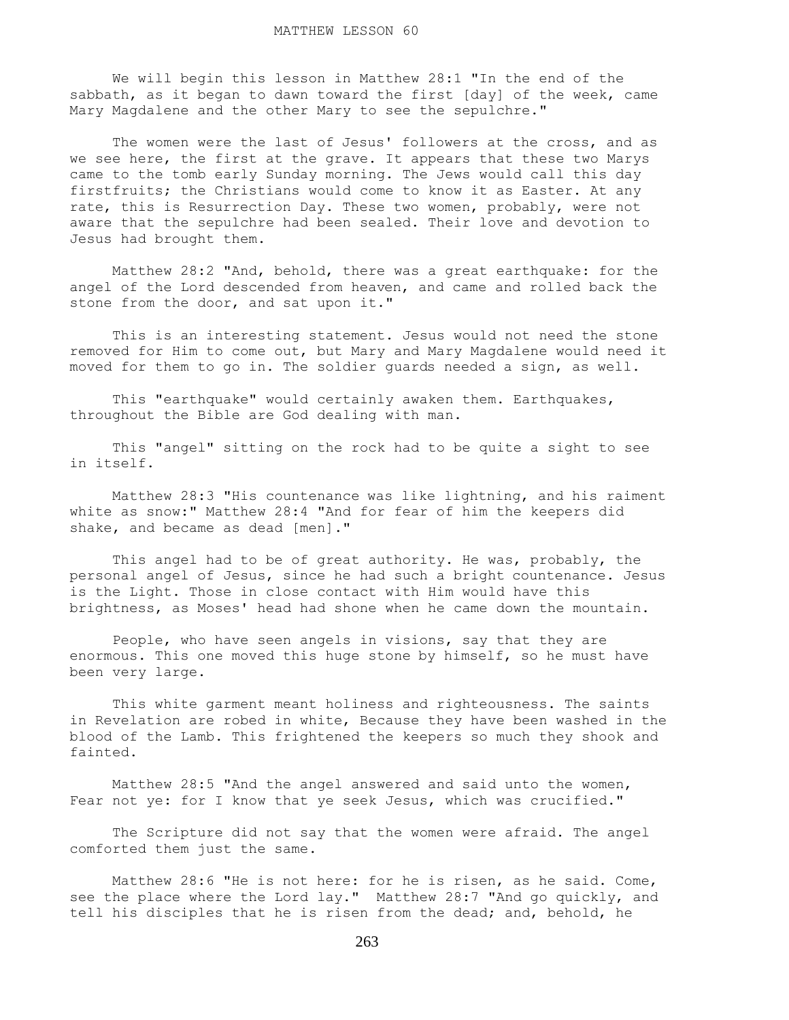We will begin this lesson in Matthew 28:1 "In the end of the sabbath, as it began to dawn toward the first [day] of the week, came Mary Magdalene and the other Mary to see the sepulchre."

The women were the last of Jesus' followers at the cross, and as we see here, the first at the grave. It appears that these two Marys came to the tomb early Sunday morning. The Jews would call this day firstfruits; the Christians would come to know it as Easter. At any rate, this is Resurrection Day. These two women, probably, were not aware that the sepulchre had been sealed. Their love and devotion to Jesus had brought them.

 Matthew 28:2 "And, behold, there was a great earthquake: for the angel of the Lord descended from heaven, and came and rolled back the stone from the door, and sat upon it."

 This is an interesting statement. Jesus would not need the stone removed for Him to come out, but Mary and Mary Magdalene would need it moved for them to go in. The soldier guards needed a sign, as well.

 This "earthquake" would certainly awaken them. Earthquakes, throughout the Bible are God dealing with man.

 This "angel" sitting on the rock had to be quite a sight to see in itself.

 Matthew 28:3 "His countenance was like lightning, and his raiment white as snow:" Matthew 28:4 "And for fear of him the keepers did shake, and became as dead [men]."

 This angel had to be of great authority. He was, probably, the personal angel of Jesus, since he had such a bright countenance. Jesus is the Light. Those in close contact with Him would have this brightness, as Moses' head had shone when he came down the mountain.

 People, who have seen angels in visions, say that they are enormous. This one moved this huge stone by himself, so he must have been very large.

 This white garment meant holiness and righteousness. The saints in Revelation are robed in white, Because they have been washed in the blood of the Lamb. This frightened the keepers so much they shook and fainted.

 Matthew 28:5 "And the angel answered and said unto the women, Fear not ye: for I know that ye seek Jesus, which was crucified."

 The Scripture did not say that the women were afraid. The angel comforted them just the same.

 Matthew 28:6 "He is not here: for he is risen, as he said. Come, see the place where the Lord lay." Matthew 28:7 "And go quickly, and tell his disciples that he is risen from the dead; and, behold, he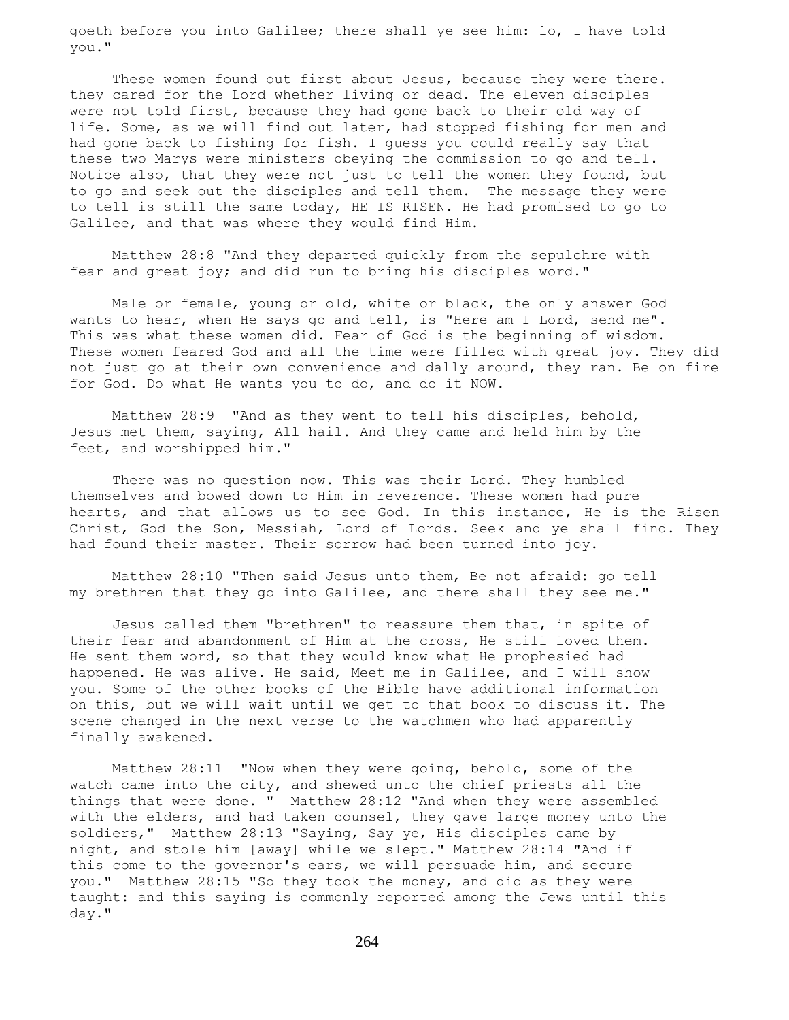goeth before you into Galilee; there shall ye see him: lo, I have told you."

These women found out first about Jesus, because they were there. they cared for the Lord whether living or dead. The eleven disciples were not told first, because they had gone back to their old way of life. Some, as we will find out later, had stopped fishing for men and had gone back to fishing for fish. I guess you could really say that these two Marys were ministers obeying the commission to go and tell. Notice also, that they were not just to tell the women they found, but to go and seek out the disciples and tell them. The message they were to tell is still the same today, HE IS RISEN. He had promised to go to Galilee, and that was where they would find Him.

 Matthew 28:8 "And they departed quickly from the sepulchre with fear and great joy; and did run to bring his disciples word."

 Male or female, young or old, white or black, the only answer God wants to hear, when He says go and tell, is "Here am I Lord, send me". This was what these women did. Fear of God is the beginning of wisdom. These women feared God and all the time were filled with great joy. They did not just go at their own convenience and dally around, they ran. Be on fire for God. Do what He wants you to do, and do it NOW.

 Matthew 28:9 "And as they went to tell his disciples, behold, Jesus met them, saying, All hail. And they came and held him by the feet, and worshipped him."

 There was no question now. This was their Lord. They humbled themselves and bowed down to Him in reverence. These women had pure hearts, and that allows us to see God. In this instance, He is the Risen Christ, God the Son, Messiah, Lord of Lords. Seek and ye shall find. They had found their master. Their sorrow had been turned into joy.

 Matthew 28:10 "Then said Jesus unto them, Be not afraid: go tell my brethren that they go into Galilee, and there shall they see me."

 Jesus called them "brethren" to reassure them that, in spite of their fear and abandonment of Him at the cross, He still loved them. He sent them word, so that they would know what He prophesied had happened. He was alive. He said, Meet me in Galilee, and I will show you. Some of the other books of the Bible have additional information on this, but we will wait until we get to that book to discuss it. The scene changed in the next verse to the watchmen who had apparently finally awakened.

 Matthew 28:11 "Now when they were going, behold, some of the watch came into the city, and shewed unto the chief priests all the things that were done. " Matthew 28:12 "And when they were assembled with the elders, and had taken counsel, they gave large money unto the soldiers," Matthew 28:13 "Saying, Say ye, His disciples came by night, and stole him [away] while we slept." Matthew 28:14 "And if this come to the governor's ears, we will persuade him, and secure you." Matthew 28:15 "So they took the money, and did as they were taught: and this saying is commonly reported among the Jews until this day."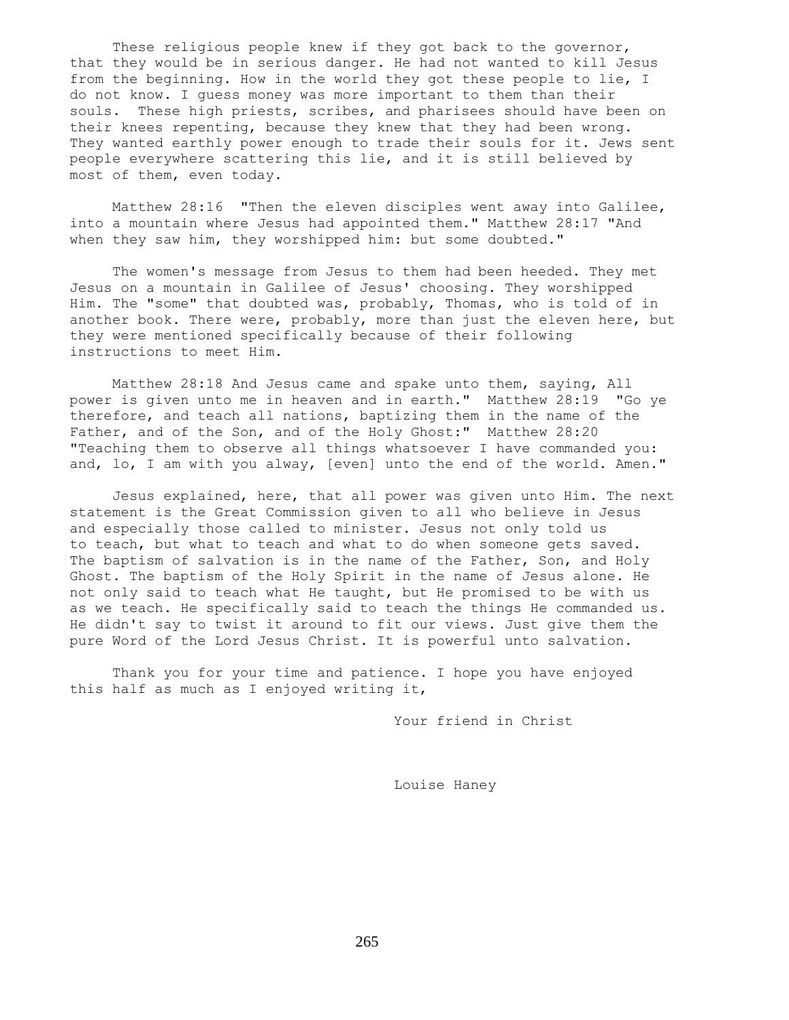These religious people knew if they got back to the governor, that they would be in serious danger. He had not wanted to kill Jesus from the beginning. How in the world they got these people to lie, I do not know. I guess money was more important to them than their souls. These high priests, scribes, and pharisees should have been on their knees repenting, because they knew that they had been wrong. They wanted earthly power enough to trade their souls for it. Jews sent people everywhere scattering this lie, and it is still believed by most of them, even today.

 Matthew 28:16 "Then the eleven disciples went away into Galilee, into a mountain where Jesus had appointed them." Matthew 28:17 "And when they saw him, they worshipped him: but some doubted."

 The women's message from Jesus to them had been heeded. They met Jesus on a mountain in Galilee of Jesus' choosing. They worshipped Him. The "some" that doubted was, probably, Thomas, who is told of in another book. There were, probably, more than just the eleven here, but they were mentioned specifically because of their following instructions to meet Him.

 Matthew 28:18 And Jesus came and spake unto them, saying, All power is given unto me in heaven and in earth." Matthew 28:19 "Go ye therefore, and teach all nations, baptizing them in the name of the Father, and of the Son, and of the Holy Ghost:" Matthew 28:20 "Teaching them to observe all things whatsoever I have commanded you: and, lo, I am with you alway, [even] unto the end of the world. Amen."

 Jesus explained, here, that all power was given unto Him. The next statement is the Great Commission given to all who believe in Jesus and especially those called to minister. Jesus not only told us to teach, but what to teach and what to do when someone gets saved. The baptism of salvation is in the name of the Father, Son, and Holy Ghost. The baptism of the Holy Spirit in the name of Jesus alone. He not only said to teach what He taught, but He promised to be with us as we teach. He specifically said to teach the things He commanded us. He didn't say to twist it around to fit our views. Just give them the pure Word of the Lord Jesus Christ. It is powerful unto salvation.

 Thank you for your time and patience. I hope you have enjoyed this half as much as I enjoyed writing it,

Your friend in Christ

Louise Haney